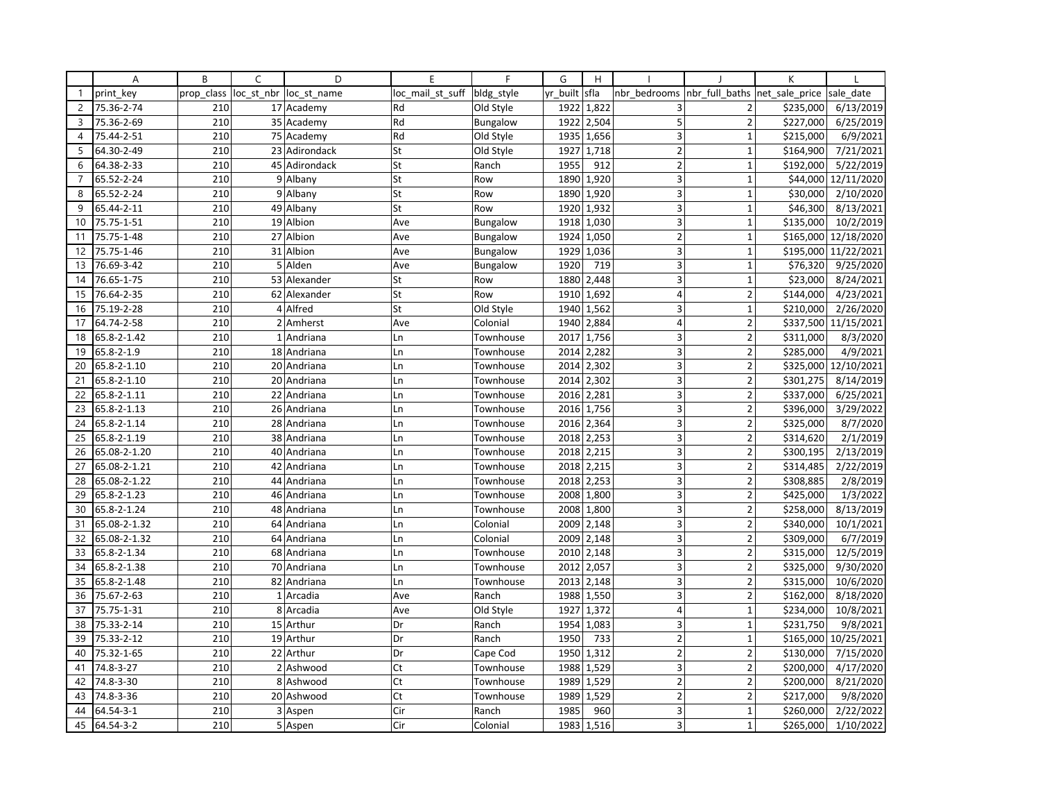|                | A               | B          | C | D                      | E                | F               | G        | H          |                         |                               | K         |                      |
|----------------|-----------------|------------|---|------------------------|------------------|-----------------|----------|------------|-------------------------|-------------------------------|-----------|----------------------|
| $\mathbf{1}$   | print key       | prop class |   | loc st nbr loc st name | loc mail st suff | bldg_style      | yr built | sfla       | nbr bedrooms            | nbr full baths net sale price |           | sale date            |
| $\overline{2}$ | 75.36-2-74      | 210        |   | 17 Academy             | Rd               | Old Style       | 1922     | 1,822      | 3                       | $\overline{2}$                | \$235,000 | 6/13/2019            |
| 3              | 75.36-2-69      | 210        |   | 35 Academy             | Rd               | <b>Bungalow</b> | 1922     | 2,504      | 5                       | $\overline{2}$                | \$227,000 | 6/25/2019            |
| 4              | 75.44-2-51      | 210        |   | 75 Academy             | Rd               | Old Style       | 1935     | 1,656      | 3                       | $\mathbf 1$                   | \$215,000 | 6/9/2021             |
| 5              | 64.30-2-49      | 210        |   | 23 Adirondack          | St               | Old Style       | 1927     | 1,718      | $\overline{2}$          | $\mathbf 1$                   | \$164,900 | 7/21/2021            |
| 6              | 64.38-2-33      | 210        |   | 45 Adirondack          | St               | Ranch           | 1955     | 912        | $\overline{2}$          | $\mathbf{1}$                  | \$192,000 | 5/22/2019            |
| $\overline{7}$ | 65.52-2-24      | 210        |   | 9 Albany               | St               | Row             | 1890     | 1,920      | 3                       | $\mathbf 1$                   | \$44,000  | 12/11/2020           |
| 8              | 65.52-2-24      | 210        |   | 9 Albany               | St               | Row             | 1890     | 1,920      | 3                       | $\mathbf{1}$                  | \$30,000  | 2/10/2020            |
| 9              | 65.44-2-11      | 210        |   | 49 Albany              | St               | Row             | 1920     | 1,932      | 3                       | $\mathbf{1}$                  | \$46,300  | 8/13/2021            |
| 10             | 75.75-1-51      | 210        |   | 19 Albion              | Ave              | Bungalow        | 1918     | 1,030      | 3                       | $\mathbf{1}$                  | \$135,000 | 10/2/2019            |
| 11             | 75.75-1-48      | 210        |   | 27 Albion              | Ave              | Bungalow        | 1924     | 1,050      | $\overline{2}$          | $\mathbf{1}$                  | \$165,000 | 12/18/2020           |
| 12             | 75.75-1-46      | 210        |   | 31 Albion              | Ave              | Bungalow        | 1929     | 1,036      | 3                       | $\mathbf{1}$                  |           | \$195,000 11/22/2021 |
| 13             | 76.69-3-42      | 210        |   | 5 Alden                | Ave              | <b>Bungalow</b> | 1920     | 719        | 3                       | $\mathbf{1}$                  | \$76,320  | 9/25/2020            |
| 14             | 76.65-1-75      | 210        |   | 53 Alexander           | St               | Row             | 1880     | 2,448      | 3                       | $\mathbf{1}$                  | \$23,000  | 8/24/2021            |
| 15             | 76.64-2-35      | 210        |   | 62 Alexander           | St               | Row             | 1910     | 1,692      | $\overline{4}$          | $\overline{2}$                | \$144,000 | 4/23/2021            |
| 16             | 75.19-2-28      | 210        |   | 4 Alfred               | St               | Old Style       | 1940     | 1,562      | $\overline{3}$          | $\mathbf{1}$                  | \$210,000 | 2/26/2020            |
| 17             | 64.74-2-58      | 210        |   | 2 Amherst              | Ave              | Colonial        | 1940     | 2,884      | $\overline{4}$          | $\overline{2}$                |           | \$337,500 11/15/2021 |
| 18             | 65.8-2-1.42     | 210        |   | 1 Andriana             | Ln               | Townhouse       | 2017     | 1,756      | 3                       | $\overline{2}$                | \$311,000 | 8/3/2020             |
| 19             | 65.8-2-1.9      | 210        |   | 18 Andriana            | Ln               | Townhouse       | 2014     | 2,282      | 3                       | $\overline{2}$                | \$285,000 | 4/9/2021             |
| 20             | 65.8-2-1.10     | 210        |   | 20 Andriana            | Ln               | Townhouse       | 2014     | 2,302      | 3                       | $\overline{2}$                | \$325,000 | 12/10/2021           |
| 21             | 65.8-2-1.10     | 210        |   | 20 Andriana            | Ln               | Townhouse       |          | 2014 2,302 | 3                       | $\overline{2}$                | \$301,275 | 8/14/2019            |
| 22             | 65.8-2-1.11     | 210        |   | 22 Andriana            | Ln               | Townhouse       | 2016     | 2,281      | $\overline{\mathbf{3}}$ | $\overline{2}$                | \$337,000 | 6/25/2021            |
| 23             | 65.8-2-1.13     | 210        |   | 26 Andriana            | Ln               | Townhouse       | 2016     | 1,756      | 3                       | $\overline{2}$                | \$396,000 | 3/29/2022            |
| 24             | 65.8-2-1.14     | 210        |   | 28 Andriana            | Ln               | Townhouse       | 2016     | 2,364      | 3                       | $\overline{2}$                | \$325,000 | 8/7/2020             |
| 25             | 65.8-2-1.19     | 210        |   | 38 Andriana            | Ln               | Townhouse       | 2018     | 2,253      | 3                       | $\overline{2}$                | \$314,620 | 2/1/2019             |
| 26             | 65.08-2-1.20    | 210        |   | 40 Andriana            | Ln               | Townhouse       |          | 2018 2,215 | 3                       | $\overline{2}$                | \$300,195 | 2/13/2019            |
| 27             | 65.08-2-1.21    | 210        |   | 42 Andriana            | Ln               | Townhouse       | 2018     | 2,215      | 3                       | $\overline{2}$                | \$314,485 | 2/22/2019            |
| 28             | 65.08-2-1.22    | 210        |   | 44 Andriana            | Ln               | Townhouse       | 2018     | 2,253      | 3                       | $\overline{2}$                | \$308,885 | 2/8/2019             |
| 29             | 65.8-2-1.23     | 210        |   | 46 Andriana            | Ln               | Townhouse       | 2008     | 1,800      | 3                       | $\overline{2}$                | \$425,000 | 1/3/2022             |
| 30             | 65.8-2-1.24     | 210        |   | 48 Andriana            | Ln               | Townhouse       | 2008     | 1,800      | 3                       | $\overline{2}$                | \$258,000 | 8/13/2019            |
| 31             | 65.08-2-1.32    | 210        |   | 64 Andriana            | Ln               | Colonial        | 2009     | 2,148      | 3                       | $\mathbf 2$                   | \$340,000 | 10/1/2021            |
| 32             | 65.08-2-1.32    | 210        |   | 64 Andriana            | Ln               | Colonial        | 2009     | 2,148      | 3                       | $\overline{2}$                | \$309,000 | 6/7/2019             |
| 33             | 65.8-2-1.34     | 210        |   | 68 Andriana            | Ln               | Townhouse       | 2010     | 2,148      | 3                       | $\overline{2}$                | \$315,000 | 12/5/2019            |
| 34             | 65.8-2-1.38     | 210        |   | 70 Andriana            | Ln               | Townhouse       | 2012     | 2,057      | 3                       | $\overline{2}$                | \$325,000 | 9/30/2020            |
| 35             | 65.8-2-1.48     | 210        |   | 82 Andriana            | Ln               | Townhouse       | 2013     | 2,148      | $\overline{3}$          | $\overline{2}$                | \$315,000 | 10/6/2020            |
| 36             | 75.67-2-63      | 210        |   | 1 Arcadia              | Ave              | Ranch           | 1988     | 1,550      | $\overline{3}$          | $\overline{2}$                | \$162,000 | 8/18/2020            |
| 37             | 75.75-1-31      | 210        |   | 8 Arcadia              | Ave              | Old Style       | 1927     | 1,372      | 4                       | $\mathbf{1}$                  | \$234,000 | 10/8/2021            |
| 38             | 75.33-2-14      | 210        |   | 15 Arthur              | Dr               | Ranch           | 1954     | 1,083      | 3                       | $\mathbf{1}$                  | \$231,750 | 9/8/2021             |
| 39             | 75.33-2-12      | 210        |   | 19 Arthur              | Dr               | Ranch           | 1950     | 733        | $\overline{2}$          | $\mathbf{1}$                  | \$165,000 | 10/25/2021           |
| 40             | 75.32-1-65      | 210        |   | 22 Arthur              | Dr               | Cape Cod        | 1950     | 1,312      | $\overline{2}$          | $\overline{2}$                | \$130,000 | 7/15/2020            |
| 41             | 74.8-3-27       | 210        |   | 2 Ashwood              | Ct               | Townhouse       | 1988     | 1,529      | 3                       | $\overline{2}$                | \$200,000 | 4/17/2020            |
| 42             | 74.8-3-30       | 210        |   | 8 Ashwood              | Ct               | Townhouse       | 1989     | 1,529      | $\overline{2}$          | $\overline{2}$                | \$200,000 | 8/21/2020            |
| 43             | 74.8-3-36       | 210        |   | 20 Ashwood             | Ct               | Townhouse       | 1989     | 1,529      | $\overline{2}$          | $\overline{2}$                | \$217,000 | 9/8/2020             |
| 44             | 64.54-3-1       | 210        |   | 3 Aspen                | Cir              | Ranch           | 1985     | 960        | 3                       | $\mathbf 1$                   | \$260,000 | 2/22/2022            |
| 45             | $64.54 - 3 - 2$ | 210        |   | 5 Aspen                | Cir              | Colonial        | 1983     | 1,516      | $\overline{\mathbf{3}}$ | $\mathbf{1}$                  | \$265,000 | 1/10/2022            |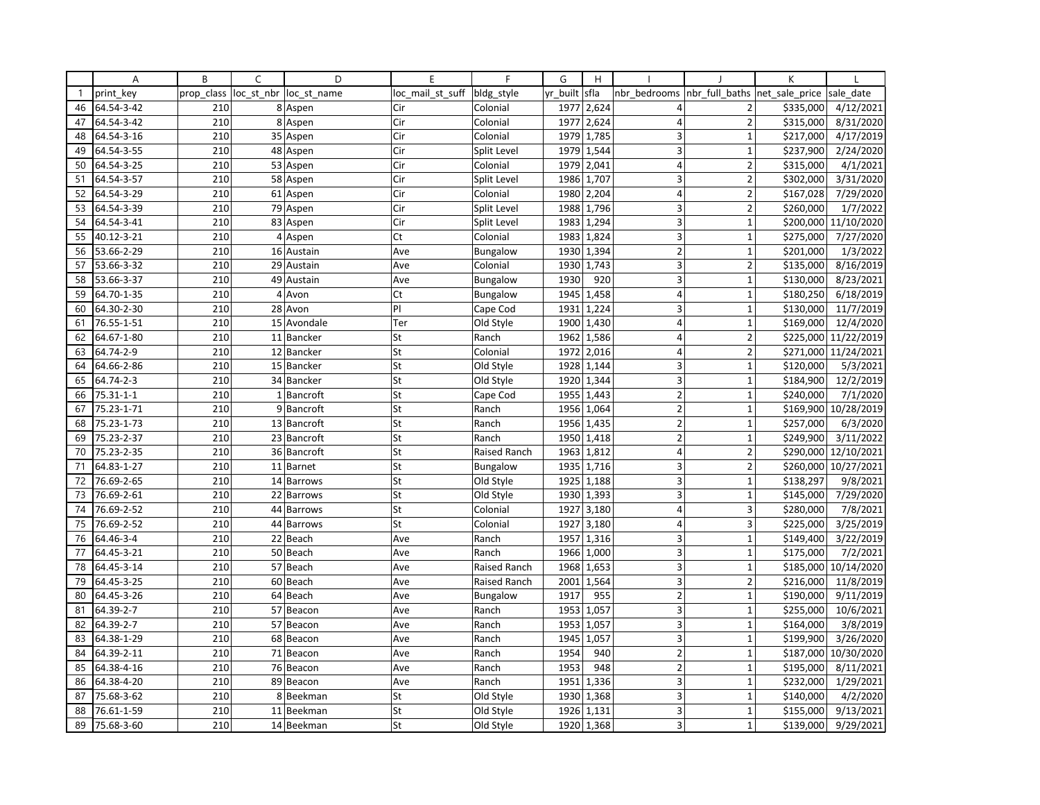|              | Α          | B          | C | D                      | E                | F               | G        | H          |                         |                                | K         |                       |
|--------------|------------|------------|---|------------------------|------------------|-----------------|----------|------------|-------------------------|--------------------------------|-----------|-----------------------|
| $\mathbf{1}$ | print key  | prop_class |   | loc st nbr loc st name | loc mail st suff | bldg_style      | yr_built | sfla       | nbr bedrooms            | nbr_full_baths  net_sale_price |           | sale date             |
| 46           | 64.54-3-42 | 210        |   | 8 Aspen                | Cir              | Colonial        | 1977     | 2,624      | 4                       | $\overline{2}$                 | \$335,000 | 4/12/2021             |
| 47           | 64.54-3-42 | 210        |   | 8 Aspen                | Cir              | Colonial        | 1977     | 2,624      | $\overline{4}$          | $\overline{2}$                 | \$315,000 | 8/31/2020             |
| 48           | 64.54-3-16 | 210        |   | 35 Aspen               | Cir              | Colonial        | 1979     | 1,785      | 3                       | $\mathbf{1}$                   | \$217,000 | 4/17/2019             |
| 49           | 64.54-3-55 | 210        |   | 48 Aspen               | Cir              | Split Level     |          | 1979 1,544 | 3                       | $\mathbf{1}$                   | \$237,900 | 2/24/2020             |
| 50           | 64.54-3-25 | 210        |   | 53 Aspen               | Cir              | Colonial        | 1979     | 2,041      | $\overline{4}$          | $\overline{2}$                 | \$315,000 | 4/1/2021              |
| 51           | 64.54-3-57 | 210        |   | 58 Aspen               | Cir              | Split Level     | 1986     | 1,707      | 3                       | $\overline{2}$                 | \$302,000 | 3/31/2020             |
| 52           | 64.54-3-29 | 210        |   | 61 Aspen               | Cir              | Colonial        | 1980     | 2,204      | $\overline{4}$          | $\overline{2}$                 | \$167,028 | 7/29/2020             |
| 53           | 64.54-3-39 | 210        |   | 79 Aspen               | Cir              | Split Level     | 1988     | 1,796      | 3                       | $\overline{2}$                 | \$260,000 | 1/7/2022              |
| 54           | 64.54-3-41 | 210        |   | 83 Aspen               | Cir              | Split Level     | 1983     | 1,294      | 3                       | $\mathbf 1$                    | \$200,000 | 11/10/2020            |
| 55           | 40.12-3-21 | 210        |   | 4 Aspen                | Ct               | Colonial        | 1983     | 1,824      | 3                       | $\overline{1}$                 | \$275,000 | 7/27/2020             |
| 56           | 53.66-2-29 | 210        |   | 16 Austain             | Ave              | Bungalow        | 1930     | 1,394      | $\overline{2}$          | $\mathbf 1$                    | \$201,000 | 1/3/2022              |
| 57           | 53.66-3-32 | 210        |   | 29 Austain             | Ave              | Colonial        |          | 1930 1,743 | 3                       | $\overline{2}$                 | \$135,000 | 8/16/2019             |
| 58           | 53.66-3-37 | 210        |   | 49 Austain             | Ave              | <b>Bungalow</b> | 1930     | 920        | 3                       | $\mathbf{1}$                   | \$130,000 | 8/23/2021             |
| 59           | 64.70-1-35 | 210        |   | 4 Avon                 | Ct               | <b>Bungalow</b> | 1945     | 1,458      | 4                       | $\mathbf{1}$                   | \$180,250 | 6/18/2019             |
| 60           | 64.30-2-30 | 210        |   | 28 Avon                | PI               | Cape Cod        | 1931     | 1,224      | 3                       | $\mathbf{1}$                   | \$130,000 | 11/7/2019             |
| 61           | 76.55-1-51 | 210        |   | 15 Avondale            | Ter              | Old Style       | 1900     | 1,430      | $\overline{4}$          | $\mathbf{1}$                   | \$169,000 | 12/4/2020             |
| 62           | 64.67-1-80 | 210        |   | 11 Bancker             | St               | Ranch           | 1962     | 1,586      | $\overline{4}$          | $\overline{2}$                 | \$225,000 | 11/22/2019            |
| 63           | 64.74-2-9  | 210        |   | 12 Bancker             | St               | Colonial        | 1972     | 2,016      | $\overline{4}$          | $\overline{2}$                 | \$271,000 | 11/24/2021            |
| 64           | 64.66-2-86 | 210        |   | 15 Bancker             | St               | Old Style       | 1928     | 1,144      | $\overline{\mathbf{3}}$ | $\overline{1}$                 | \$120,000 | 5/3/2021              |
| 65           | 64.74-2-3  | 210        |   | 34 Bancker             | St               | Old Style       |          | 1920 1,344 | 3                       | $\mathbf{1}$                   | \$184,900 | 12/2/2019             |
| 66           | 75.31-1-1  | 210        |   | 1 Bancroft             | St               | Cape Cod        | 1955     | 1,443      | $2 \vert$               | $\mathbf{1}$                   | \$240,000 | 7/1/2020              |
| 67           | 75.23-1-71 | 210        |   | 9 Bancroft             | St               | Ranch           | 1956     | 1,064      | $\overline{2}$          | $\mathbf 1$                    | \$169,900 | 10/28/2019            |
| 68           | 75.23-1-73 | 210        |   | 13 Bancroft            | St               | Ranch           | 1956     | 1,435      | $\overline{2}$          | $\mathbf{1}$                   | \$257,000 | 6/3/2020              |
| 69           | 75.23-2-37 | 210        |   | 23 Bancroft            | St               | Ranch           | 1950     | 1,418      | $\overline{2}$          | $\mathbf 1$                    | \$249,900 | 3/11/2022             |
| 70           | 75.23-2-35 | 210        |   | 36 Bancroft            | St               | Raised Ranch    | 1963     | 1,812      | $\overline{\mathbf{4}}$ | $\overline{2}$                 | \$290,000 | 12/10/2021            |
| 71           | 64.83-1-27 | 210        |   | 11 Barnet              | St               | <b>Bungalow</b> | 1935     | 1,716      | 3                       | $\overline{2}$                 | \$260,000 | 10/27/2021            |
| 72           | 76.69-2-65 | 210        |   | 14 Barrows             | St               | Old Style       | 1925     | 1,188      | 3                       | $\mathbf{1}$                   | \$138,297 | 9/8/2021              |
| 73           | 76.69-2-61 | 210        |   | 22 Barrows             | St               | Old Style       |          | 1930 1,393 | 3                       | $\mathbf{1}$                   | \$145,000 | 7/29/2020             |
| 74           | 76.69-2-52 | 210        |   | 44 Barrows             | St               | Colonial        | 1927     | 3,180      | $\overline{4}$          | 3                              | \$280,000 | 7/8/2021              |
| 75           | 76.69-2-52 | 210        |   | 44 Barrows             | St               | Colonial        | 1927     | 3,180      | 4                       | 3                              | \$225,000 | 3/25/2019             |
| 76           | 64.46-3-4  | 210        |   | 22 Beach               | Ave              | Ranch           | 1957     | 1,316      | 3                       | $\mathbf{1}$                   | \$149,400 | $\frac{1}{3}/22/2019$ |
| 77           | 64.45-3-21 | 210        |   | 50 Beach               | Ave              | Ranch           | 1966     | 1,000      | 3                       | $\mathbf 1$                    | \$175,000 | 7/2/2021              |
| 78           | 64.45-3-14 | 210        |   | 57 Beach               | Ave              | Raised Ranch    | 1968     | 1,653      | 3                       | $\mathbf 1$                    | \$185,000 | 10/14/2020            |
| 79           | 64.45-3-25 | 210        |   | 60 Beach               | Ave              | Raised Ranch    | 2001     | 1,564      | $\overline{3}$          | $\overline{2}$                 | \$216,000 | 11/8/2019             |
| 80           | 64.45-3-26 | 210        |   | 64 Beach               | Ave              | <b>Bungalow</b> | 1917     | 955        | $\overline{2}$          | $\mathbf{1}$                   | \$190,000 | 9/11/2019             |
| 81           | 64.39-2-7  | 210        |   | 57 Beacon              | Ave              | Ranch           |          | 1953 1,057 | 3                       | $\mathbf{1}$                   | \$255,000 | 10/6/2021             |
| 82           | 64.39-2-7  | 210        |   | 57 Beacon              | Ave              | Ranch           | 1953     | 1,057      | 3                       | $\mathbf{1}$                   | \$164,000 | 3/8/2019              |
| 83           | 64.38-1-29 | 210        |   | 68 Beacon              | Ave              | Ranch           | 1945     | 1,057      | 3                       | $\mathbf{1}$                   | \$199,900 | 3/26/2020             |
| 84           | 64.39-2-11 | 210        |   | 71 Beacon              | Ave              | Ranch           | 1954     | 940        | $\overline{2}$          | $\mathbf{1}$                   | \$187,000 | 10/30/2020            |
| 85           | 64.38-4-16 | 210        |   | 76 Beacon              | Ave              | Ranch           | 1953     | 948        | $\overline{2}$          | $\mathbf{1}$                   | \$195,000 | 8/11/2021             |
| 86           | 64.38-4-20 | 210        |   | 89 Beacon              | Ave              | Ranch           | 1951     | 1,336      | 3                       | $\mathbf 1$                    | \$232,000 | 1/29/2021             |
| 87           | 75.68-3-62 | 210        |   | 8 Beekman              | St               | Old Style       | 1930     | 1,368      | 3                       | $\mathbf{1}$                   | \$140,000 | 4/2/2020              |
| 88           | 76.61-1-59 | 210        |   | 11 Beekman             | St               | Old Style       | 1926     | 1,131      | 3                       | $\mathbf 1$                    | \$155,000 | 9/13/2021             |
| 89           | 75.68-3-60 | 210        |   | 14 Beekman             | St               | Old Style       |          | 1920 1,368 | $\overline{\mathbf{3}}$ | $\mathbf{1}$                   | \$139,000 | 9/29/2021             |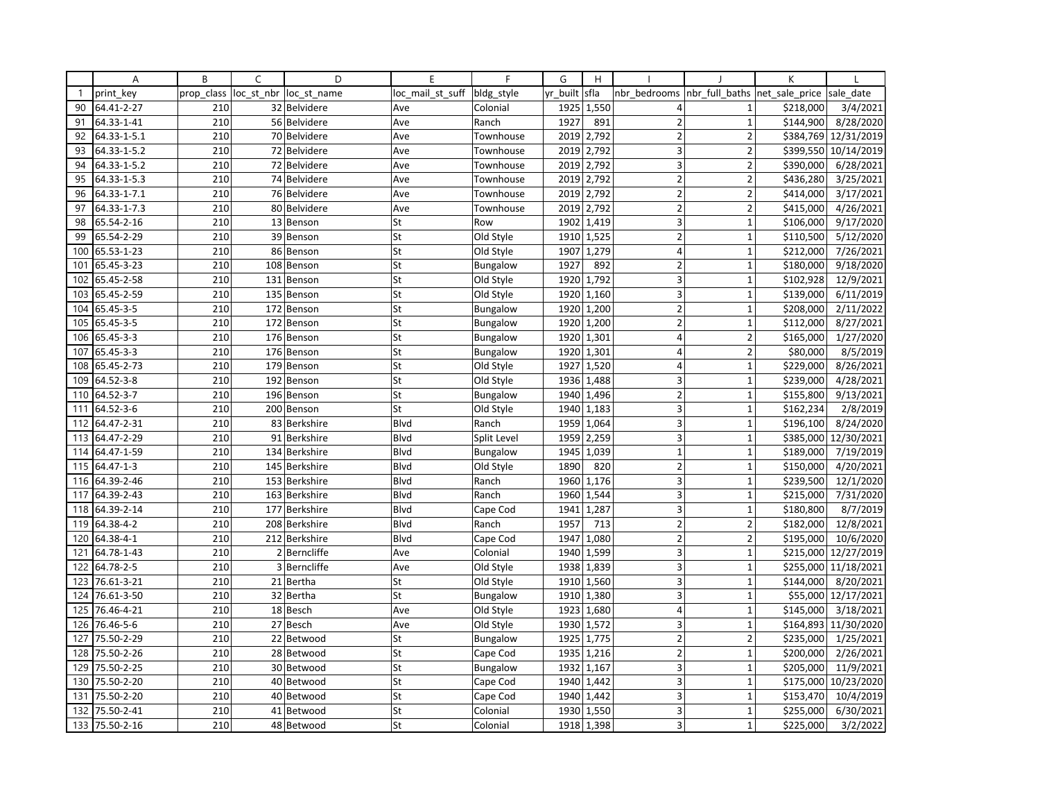|              | Α           | B          | C              | D                | E                | F               | G        | H          |                         |                | K              |            |
|--------------|-------------|------------|----------------|------------------|------------------|-----------------|----------|------------|-------------------------|----------------|----------------|------------|
| $\mathbf{1}$ | print key   | prop_class | loc_st_nbr     | loc st name      | loc_mail_st_suff | bldg_style      | yr built | sfla       | nbr bedrooms            | nbr full baths | net sale price | sale date  |
| 90           | 64.41-2-27  | 210        |                | 32 Belvidere     | Ave              | Colonial        | 1925     | 1,550      | 4                       | 1              | \$218,000      | 3/4/2021   |
| 91           | 64.33-1-41  | 210        |                | 56 Belvidere     | Ave              | Ranch           | 1927     | 891        | $\overline{2}$          | $\mathbf{1}$   | \$144,900      | 8/28/2020  |
| 92           | 64.33-1-5.1 | 210        |                | 70 Belvidere     | Ave              | Townhouse       | 2019     | 2,792      | $\overline{2}$          | $\overline{2}$ | \$384,769      | 12/31/2019 |
| 93           | 64.33-1-5.2 | 210        |                | 72 Belvidere     | Ave              | Townhouse       | 2019     | 2,792      | 3                       | $\overline{2}$ | \$399,550      | 10/14/2019 |
| 94           | 64.33-1-5.2 | 210        |                | 72 Belvidere     | Ave              | Townhouse       | 2019     | 2,792      | 3                       | $\overline{2}$ | \$390,000      | 6/28/2021  |
| 95           | 64.33-1-5.3 | 210        |                | 74 Belvidere     | Ave              | Townhouse       | 2019     | 2,792      | $\overline{2}$          | $\overline{2}$ | \$436,280      | 3/25/2021  |
| 96           | 64.33-1-7.1 | 210        |                | 76 Belvidere     | Ave              | Townhouse       | 2019     | 2,792      | $\overline{2}$          | $\overline{2}$ | \$414,000      | 3/17/2021  |
| 97           | 64.33-1-7.3 | 210        |                | 80 Belvidere     | Ave              | Townhouse       | 2019     | 2,792      | $\overline{2}$          | $\overline{2}$ | \$415,000      | 4/26/2021  |
| 98           | 65.54-2-16  | 210        |                | 13 Benson        | St               | Row             | 1902     | 1,419      | 3                       | $\mathbf{1}$   | \$106,000      | 9/17/2020  |
| 99           | 65.54-2-29  | 210        |                | 39 Benson        | St               | Old Style       | 1910     | 1,525      | $\overline{2}$          | 1              | \$110,500      | 5/12/2020  |
| 100          | 65.53-1-23  | 210        |                | 86 Benson        | St               | Old Style       | 1907     | 1,279      | $\overline{4}$          | $\mathbf{1}$   | \$212,000      | 7/26/2021  |
| 101          | 65.45-3-23  | 210        |                | 108 Benson       | St               | Bungalow        | 1927     | 892        | $\overline{2}$          | $\mathbf{1}$   | \$180,000      | 9/18/2020  |
| 102          | 65.45-2-58  | 210        |                | 131 Benson       | St               | Old Style       | 1920     | 1,792      | 3                       | 1              | \$102,928      | 12/9/2021  |
| 103          | 65.45-2-59  | 210        | 135            | Benson           | St               | Old Style       | 1920     | 1,160      | 3                       | $\mathbf{1}$   | \$139,000      | 6/11/2019  |
| 104          | 65.45-3-5   | 210        |                | 172 Benson       | St               | Bungalow        | 1920     | 1,200      | $\overline{2}$          | $\overline{1}$ | \$208,000      | 2/11/2022  |
| 105          | 65.45-3-5   | 210        |                | 172 Benson       | St               | Bungalow        | 1920     | 1,200      | $\overline{2}$          | $\mathbf{1}$   | \$112,000      | 8/27/2021  |
| 106          | 65.45-3-3   | 210        |                | 176 Benson       | St               | Bungalow        | 1920     | 1,301      | $\overline{4}$          | $\overline{2}$ | \$165,000      | 1/27/2020  |
| 107          | 65.45-3-3   | 210        |                | 176 Benson       | St               | Bungalow        | 1920     | 1,301      | $\overline{4}$          | $\overline{2}$ | \$80,000       | 8/5/2019   |
| 108          | 65.45-2-73  | 210        |                | 179 Benson       | St               | Old Style       | 1927     | 1,520      | $\overline{4}$          | $\mathbf{1}$   | \$229,000      | 8/26/2021  |
| 109          | 64.52-3-8   | 210        |                | 192 Benson       | St               | Old Style       | 1936     | 1,488      | 3                       | $\mathbf{1}$   | \$239,000      | 4/28/2021  |
| 110          | 64.52-3-7   | 210        |                | 196 Benson       | St               | Bungalow        | 1940     | 1,496      | 2                       | $\mathbf{1}$   | \$155,800      | 9/13/2021  |
| 111          | 64.52-3-6   | 210        |                | 200 Benson       | St               | Old Style       | 1940     | 1,183      | 3                       | $\mathbf 1$    | \$162,234      | 2/8/2019   |
| 112          | 64.47-2-31  | 210        |                | 83 Berkshire     | Blvd             | Ranch           | 1959     | 1,064      | $\overline{3}$          | $\mathbf{1}$   | \$196,100      | 8/24/2020  |
| 113          | 64.47-2-29  | 210        |                | 91 Berkshire     | Blvd             | Split Level     | 1959     | 2,259      | 3                       | $\mathbf 1$    | \$385,000      | 12/30/2021 |
| 114          | 64.47-1-59  | 210        |                | 134 Berkshire    | Blvd             | Bungalow        | 1945     | 1,039      | $1\,$                   | $\mathbf 1$    | \$189,000      | 7/19/2019  |
| 115          | 64.47-1-3   | 210        |                | 145 Berkshire    | Blvd             | Old Style       | 1890     | 820        | $\overline{2}$          | $\mathbf{1}$   | \$150,000      | 4/20/2021  |
| 116          | 64.39-2-46  | 210        | 153            | <b>Berkshire</b> | Blvd             | Ranch           | 1960     | 1,176      | 3                       | $\mathbf{1}$   | \$239,500      | 12/1/2020  |
| 117          | 64.39-2-43  | 210        |                | 163 Berkshire    | Blvd             | Ranch           | 1960     | 1,544      | 3                       | $\mathbf{1}$   | \$215,000      | 7/31/2020  |
| 118          | 64.39-2-14  | 210        |                | 177 Berkshire    | <b>B</b> lvd     | Cape Cod        | 1941     | 1,287      | $\overline{\mathbf{3}}$ | $\mathbf{1}$   | \$180,800      | 8/7/2019   |
| 119          | 64.38-4-2   | 210        |                | 208 Berkshire    | Blvd             | Ranch           | 1957     | 713        | $\overline{2}$          | $\overline{2}$ | \$182,000      | 12/8/2021  |
| 120          | 64.38-4-1   | 210        |                | 212 Berkshire    | <b>Blvd</b>      | Cape Cod        | 1947     | 1,080      | $\overline{2}$          | $\overline{2}$ | \$195,000      | 10/6/2020  |
| 121          | 64.78-1-43  | 210        | $\overline{2}$ | Berncliffe       | Ave              | Colonial        | 1940     | 1,599      | 3                       | $\mathbf{1}$   | \$215,000      | 12/27/2019 |
| 122          | 64.78-2-5   | 210        |                | 3 Berncliffe     | Ave              | Old Style       |          | 1938 1,839 | 3                       | $\mathbf{1}$   | \$255,000      | 11/18/2021 |
| 123          | 76.61-3-21  | 210        |                | 21 Bertha        | St               | Old Style       | 1910     | 1,560      | $\overline{3}$          | $\overline{1}$ | \$144,000      | 8/20/2021  |
| 124          | 76.61-3-50  | 210        |                | 32 Bertha        | St               | Bungalow        | 1910     | 1,380      | 3                       | $\overline{1}$ | \$55,000       | 12/17/2021 |
| 125          | 76.46-4-21  | 210        |                | 18 Besch         | Ave              | Old Style       |          | 1923 1,680 | $\overline{4}$          | $\overline{1}$ | \$145,000      | 3/18/2021  |
| 126          | 76.46-5-6   | 210        |                | 27 Besch         | Ave              | Old Style       | 1930     | 1,572      | 3                       | $\mathbf{1}$   | \$164,893      | 11/30/2020 |
| 127          | 75.50-2-29  | 210        |                | 22 Betwood       | St               | <b>Bungalow</b> | 1925     | 1,775      | $\overline{2}$          | $\overline{2}$ | \$235,000      | 1/25/2021  |
| 128          | 75.50-2-26  | 210        |                | 28 Betwood       | St               | Cape Cod        | 1935     | 1,216      | $\overline{2}$          | 1              | \$200,000      | 2/26/2021  |
| 129          | 75.50-2-25  | 210        |                | 30 Betwood       | St               | Bungalow        | 1932     | 1,167      | 3                       | $\mathbf 1$    | \$205,000      | 11/9/2021  |
| 130          | 75.50-2-20  | 210        |                | 40 Betwood       | St               | Cape Cod        |          | 1940 1,442 | 3                       | $\mathbf 1$    | \$175,000      | 10/23/2020 |
| 131          | 75.50-2-20  | 210        |                | 40 Betwood       | St               | Cape Cod        | 1940     | 1,442      | 3                       | $\mathbf{1}$   | \$153,470      | 10/4/2019  |
| 132          | 75.50-2-41  | 210        |                | 41 Betwood       | St               | Colonial        | 1930     | 1,550      | 3                       | $\mathbf{1}$   | \$255,000      | 6/30/2021  |
| 133          | 75.50-2-16  | 210        |                | 48 Betwood       | St               | Colonial        |          | 1918 1,398 | $\overline{3}$          | $\mathbf{1}$   | \$225,000      | 3/2/2022   |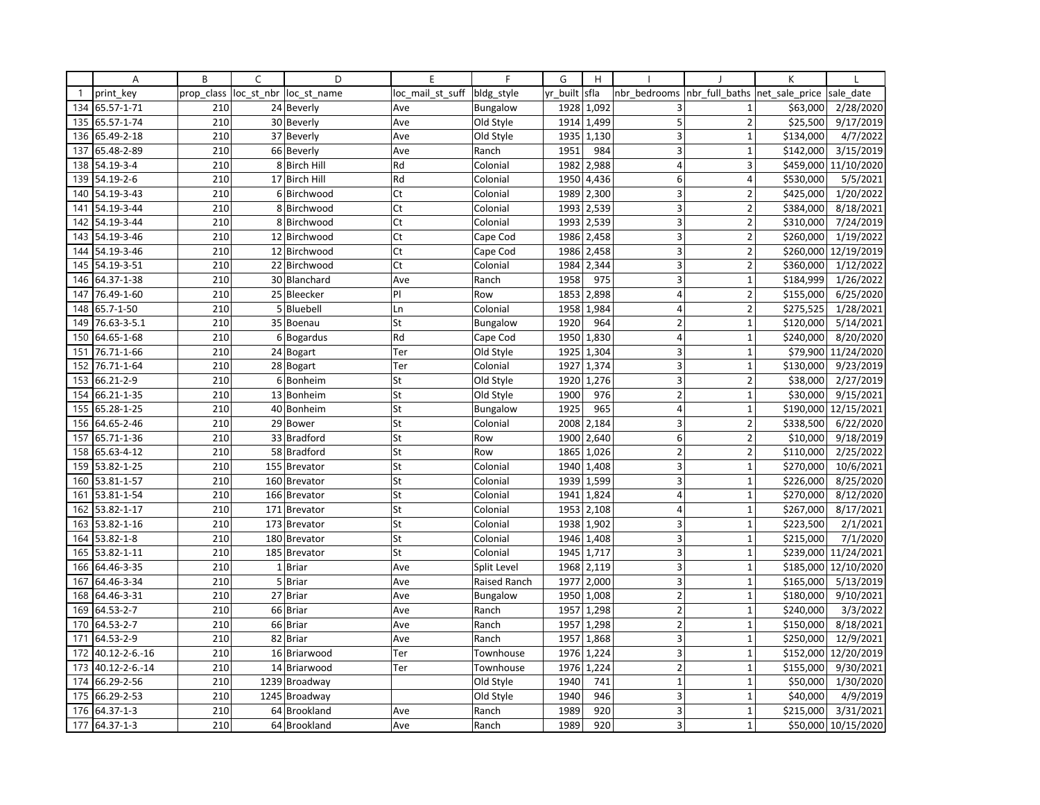|              | Α             | B          | C          | D             | E                | F            | G        | H                       |                         |                          | К              |            |
|--------------|---------------|------------|------------|---------------|------------------|--------------|----------|-------------------------|-------------------------|--------------------------|----------------|------------|
| $\mathbf{1}$ | print key     | prop class | loc_st_nbr | loc st name   | loc_mail_st_suff | bldg_style   | yr built | sfla                    | nbr bedrooms            | nbr full baths           | net sale price | sale date  |
| 134          | 65.57-1-71    | 210        |            | 24 Beverly    | Ave              | Bungalow     | 1928     | 1,092                   | 3                       | $\mathbf{1}$             | \$63,000       | 2/28/2020  |
| 135          | 65.57-1-74    | 210        |            | 30 Beverly    | Ave              | Old Style    | 1914     | 1,499                   | 5                       | $\overline{2}$           | \$25,500       | 9/17/2019  |
| 136          | 65.49-2-18    | 210        |            | 37 Beverly    | Ave              | Old Style    | 1935     | 1,130                   | 3                       | $\mathbf{1}$             | \$134,000      | 4/7/2022   |
| 137          | 65.48-2-89    | 210        |            | 66 Beverly    | Ave              | Ranch        | 1951     | 984                     | 3                       | $\mathbf{1}$             | \$142,000      | 3/15/2019  |
| 138          | 54.19-3-4     | 210        |            | 8 Birch Hill  | Rd               | Colonial     | 1982     | 2,988                   | 4                       | 3                        | \$459,000      | 11/10/2020 |
| 139          | 54.19-2-6     | 210        |            | 17 Birch Hill | Rd               | Colonial     | 1950     | 4,436                   | 6                       | $\overline{4}$           | \$530,000      | 5/5/2021   |
| 140          | 54.19-3-43    | 210        |            | 6 Birchwood   | Ct               | Colonial     | 1989     | 2,300                   | 3                       | $\overline{2}$           | \$425,000      | 1/20/2022  |
| 141          | 54.19-3-44    | 210        |            | 8 Birchwood   | Ct               | Colonial     | 1993     | 2,539                   | 3                       | $\overline{2}$           | \$384,000      | 8/18/2021  |
| 142          | 54.19-3-44    | 210        |            | 8 Birchwood   | Ct               | Colonial     | 1993     | 2,539                   | 3                       | $\overline{2}$           | \$310,000      | 7/24/2019  |
| 143          | 54.19-3-46    | 210        |            | 12 Birchwood  | Ct               | Cape Cod     | 1986     | 2,458                   | 3                       | $\overline{\phantom{a}}$ | \$260,000      | 1/19/2022  |
| 144          | 54.19-3-46    | 210        |            | 12 Birchwood  | Ct               | Cape Cod     | 1986     | 2,458                   | 3                       | $\overline{2}$           | \$260,000      | 12/19/2019 |
| 145          | 54.19-3-51    | 210        |            | 22 Birchwood  | Ct               | Colonial     | 1984     | 2,344                   | 3                       | $\overline{2}$           | \$360,000      | 1/12/2022  |
| 146          | 64.37-1-38    | 210        |            | 30 Blanchard  | Ave              | Ranch        | 1958     | 975                     | 3                       | $\mathbf{1}$             | \$184,999      | 1/26/2022  |
| 147          | 76.49-1-60    | 210        |            | 25 Bleecker   | PI               | Row          | 1853     | 2,898                   | 4                       | 2                        | \$155,000      | 6/25/2020  |
| 148          | 65.7-1-50     | 210        |            | 5 Bluebell    | Ln               | Colonial     | 1958     | 1,984                   | $\overline{4}$          | $\overline{2}$           | \$275,525      | 1/28/2021  |
| 149          | 76.63-3-5.1   | 210        |            | 35 Boenau     | St               | Bungalow     | 1920     | 964                     | $\overline{2}$          | $\mathbf{1}$             | \$120,000      | 5/14/2021  |
| 150          | 64.65-1-68    | 210        |            | 6 Bogardus    | Rd               | Cape Cod     | 1950     | 1,830                   | $\overline{4}$          | $\mathbf{1}$             | \$240,000      | 8/20/2020  |
| 151          | 76.71-1-66    | 210        |            | 24 Bogart     | Ter              | Old Style    | 1925     | 1,304                   | $\overline{\mathbf{3}}$ | 1                        | \$79,900       | 11/24/2020 |
| 152          | 76.71-1-64    | 210        |            | 28 Bogart     | Ter              | Colonial     | 1927     | 1,374                   | $\overline{\mathbf{3}}$ | $\mathbf{1}$             | \$130,000      | 9/23/2019  |
| 153          | 66.21-2-9     | 210        |            | 6 Bonheim     | St               | Old Style    | 1920     | 1,276                   | 3                       | $\overline{\mathbf{c}}$  | \$38,000       | 2/27/2019  |
| 154          | 66.21-1-35    | 210        |            | 13 Bonheim    | St               | Old Style    | 1900     | 976                     | $\overline{2}$          | $\mathbf{1}$             | \$30,000       | 9/15/2021  |
| 155          | 65.28-1-25    | 210        |            | 40 Bonheim    | St               | Bungalow     | 1925     | 965                     | $\overline{4}$          | $\mathbf 1$              | \$190,000      | 12/15/2021 |
| 156          | 64.65-2-46    | 210        |            | 29 Bower      | St               | Colonial     | 2008     | 2,184                   | $\overline{3}$          | $\overline{2}$           | \$338,500      | 6/22/2020  |
| 157          | 65.71-1-36    | 210        |            | 33 Bradford   | St               | Row          | 1900     | 2,640                   | 6                       | $\overline{2}$           | \$10,000       | 9/18/2019  |
| 158          | 65.63-4-12    | 210        |            | 58 Bradford   | St               | Row          | 1865     | 1,026                   | $\mathbf 2$             | $\mathbf 2$              | \$110,000      | 2/25/2022  |
| 159          | 53.82-1-25    | 210        |            | 155 Brevator  | St               | Colonial     | 1940     | 1,408                   | 3                       | $\mathbf{1}$             | \$270,000      | 10/6/2021  |
| 160          | 53.81-1-57    | 210        |            | 160 Brevator  | St               | Colonial     | 1939     | 1,599                   | 3                       | $\mathbf 1$              | \$226,000      | 8/25/2020  |
| 161          | 53.81-1-54    | 210        |            | 166 Brevator  | St               | Colonial     | 1941     | 1,824                   | $\overline{4}$          | $\mathbf{1}$             | \$270,000      | 8/12/2020  |
| 162          | 53.82-1-17    | 210        |            | 171 Brevator  | St               | Colonial     | 1953     | 2,108                   | $\vert 4 \vert$         | $\mathbf{1}$             | \$267,000      | 8/17/2021  |
| 163          | 53.82-1-16    | 210        |            | 173 Brevator  | St               | Colonial     | 1938     | 1,902                   | 3                       | $\mathbf{1}$             | \$223,500      | 2/1/2021   |
| 164          | 53.82-1-8     | 210        |            | 180 Brevator  | St               | Colonial     | 1946     | 1,408                   | 3                       | $\mathbf{1}$             | \$215,000      | 7/1/2020   |
| 165          | 53.82-1-11    | 210        |            | 185 Brevator  | St               | Colonial     | 1945     | 1,717                   | 3                       | $\mathbf{1}$             | \$239,000      | 11/24/2021 |
| 166          | 64.46-3-35    | 210        |            | 1 Briar       | Ave              | Split Level  |          | $\overline{1968}$ 2,119 | 3                       | $\mathbf{1}$             | \$185,000      | 12/10/2020 |
| 167          | 64.46-3-34    | 210        |            | 5 Briar       | Ave              | Raised Ranch | 1977     | 2,000                   | $\overline{3}$          | $\overline{1}$           | \$165,000      | 5/13/2019  |
| 168          | 64.46-3-31    | 210        |            | 27 Briar      | Ave              | Bungalow     | 1950     | 1,008                   | $\overline{2}$          | $\mathbf{1}$             | \$180,000      | 9/10/2021  |
| 169          | 64.53-2-7     | 210        |            | 66 Briar      | Ave              | Ranch        | 1957     | 1,298                   | $\overline{2}$          | $\overline{1}$           | \$240,000      | 3/3/2022   |
| 170          | 64.53-2-7     | 210        |            | 66 Briar      | Ave              | Ranch        | 1957     | 1,298                   | $\overline{2}$          | $\mathbf{1}$             | \$150,000      | 8/18/2021  |
| 171          | 64.53-2-9     | 210        |            | 82 Briar      | Ave              | Ranch        | 1957     | 1,868                   | 3                       | $\mathbf{1}$             | \$250,000      | 12/9/2021  |
| 172          | 40.12-2-6.-16 | 210        |            | 16 Briarwood  | Ter              | Townhouse    | 1976     | 1,224                   | $\overline{\mathbf{3}}$ | 1                        | \$152,000      | 12/20/2019 |
| 173          | 40.12-2-6.-14 | 210        |            | 14 Briarwood  | Ter              | Townhouse    | 1976     | 1,224                   | $\mathbf 2$             | $\mathbf 1$              | \$155,000      | 9/30/2021  |
| 174          | 66.29-2-56    | 210        |            | 1239 Broadway |                  | Old Style    | 1940     | 741                     | $\mathbf{1}$            | $\mathbf 1$              | \$50,000       | 1/30/2020  |
| 175          | 66.29-2-53    | 210        |            | 1245 Broadway |                  | Old Style    | 1940     | 946                     | 3                       | $\mathbf{1}$             | \$40,000       | 4/9/2019   |
| 176          | 64.37-1-3     | 210        |            | 64 Brookland  | Ave              | Ranch        | 1989     | 920                     | 3                       | $\mathbf 1$              | \$215,000      | 3/31/2021  |
| 177          | 64.37-1-3     | 210        |            | 64 Brookland  | Ave              | Ranch        | 1989     | 920                     | $\overline{3}$          | 1                        | \$50,000       | 10/15/2020 |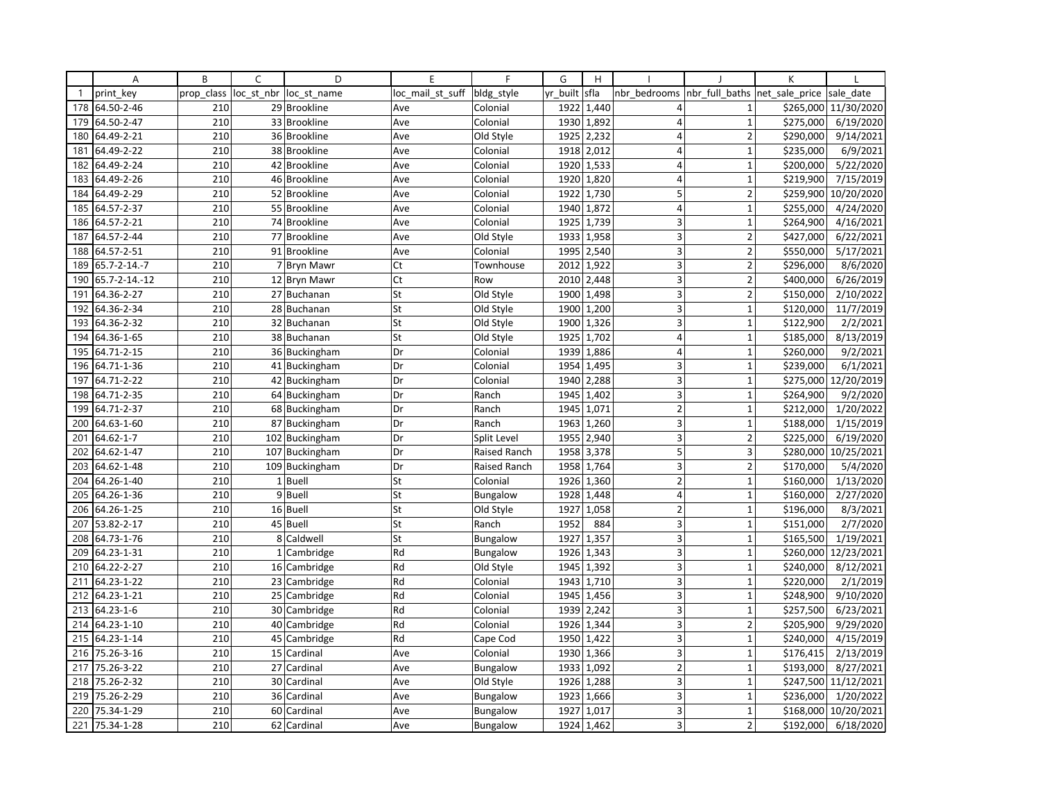|              | Α             | B          | C            | D              | E                | F               | G        | H                        |                         |                          | К              |                       |
|--------------|---------------|------------|--------------|----------------|------------------|-----------------|----------|--------------------------|-------------------------|--------------------------|----------------|-----------------------|
| $\mathbf{1}$ | print key     | prop class | loc_st_nbr   | loc st name    | loc_mail_st_suff | bldg_style      | yr_built | sfla                     | nbr bedrooms            | nbr full baths           | net sale price | sale date             |
| 178          | 64.50-2-46    | 210        |              | 29 Brookline   | Ave              | Colonial        | 1922     | 1,440                    | 4                       | $\mathbf{1}$             | \$265,000      | 11/30/2020            |
| 179          | 64.50-2-47    | 210        |              | 33 Brookline   | Ave              | Colonial        | 1930     | 1,892                    | $\overline{4}$          | $\mathbf{1}$             | \$275,000      | 6/19/2020             |
| 180          | 64.49-2-21    | 210        |              | 36 Brookline   | Ave              | Old Style       | 1925     | 2,232                    | $\overline{4}$          | $\overline{2}$           | \$290,000      | 9/14/2021             |
| 181          | 64.49-2-22    | 210        |              | 38 Brookline   | Ave              | Colonial        |          | 1918 2,012               | $\overline{4}$          | $\mathbf{1}$             | \$235,000      | 6/9/2021              |
| 182          | 64.49-2-24    | 210        |              | 42 Brookline   | Ave              | Colonial        | 1920     | 1,533                    | 4                       | $\overline{1}$           | \$200,000      | 5/22/2020             |
| 183          | 64.49-2-26    | 210        |              | 46 Brookline   | Ave              | Colonial        | 1920     | 1,820                    | $\overline{4}$          | $\mathbf{1}$             | \$219,900      | 7/15/2019             |
| 184          | 64.49-2-29    | 210        |              | 52 Brookline   | Ave              | Colonial        | 1922     | 1,730                    | 5                       | $\overline{2}$           | \$259,900      | 10/20/2020            |
| 185          | 64.57-2-37    | 210        |              | 55 Brookline   | Ave              | Colonial        | 1940     | 1,872                    | $\overline{4}$          | $\mathbf{1}$             | \$255,000      | 4/24/2020             |
| 186          | 64.57-2-21    | 210        |              | 74 Brookline   | Ave              | Colonial        | 1925     | 1,739                    | 3                       | $\mathbf{1}$             | \$264,900      | 4/16/2021             |
| 187          | 64.57-2-44    | 210        |              | 77 Brookline   | Ave              | Old Style       | 1933     | 1,958                    | 3                       | $\overline{\phantom{a}}$ | \$427,000      | 6/22/2021             |
| 188          | 64.57-2-51    | 210        |              | 91 Brookline   | Ave              | Colonial        | 1995     | 2,540                    | 3                       | $\overline{2}$           | \$550,000      | 5/17/2021             |
| 189          | 65.7-2-14.-7  | 210        |              | 7 Bryn Mawr    | Ct               | Townhouse       |          | 2012 1,922               | 3                       | $\overline{2}$           | \$296,000      | 8/6/2020              |
| 190          | 65.7-2-14.-12 | 210        |              | 12 Bryn Mawr   | Ct               | Row             | 2010     | 2,448                    | $\overline{\mathbf{3}}$ | $\overline{2}$           | \$400,000      | 6/26/2019             |
| 191          | 64.36-2-27    | 210        |              | 27 Buchanan    | St               | Old Style       | 1900     | 1,498                    | 3                       | $\overline{2}$           | \$150,000      | 2/10/2022             |
| 192          | 64.36-2-34    | 210        |              | 28 Buchanan    | St               | Old Style       | 1900     | 1,200                    | 3                       | $\mathbf{1}$             | \$120,000      | 11/7/2019             |
| 193          | 64.36-2-32    | 210        |              | 32 Buchanan    | St               | Old Style       | 1900     | 1,326                    | 3                       | $\mathbf{1}$             | \$122,900      | 2/2/2021              |
| 194          | 64.36-1-65    | 210        |              | 38 Buchanan    | St               | Old Style       | 1925     | 1,702                    | $\overline{4}$          | $\mathbf{1}$             | \$185,000      | 8/13/2019             |
| 195          | 64.71-2-15    | 210        |              | 36 Buckingham  | Dr               | Colonial        | 1939     | 1,886                    | $\overline{4}$          | $\overline{1}$           | \$260,000      | 9/2/2021              |
| 196          | 64.71-1-36    | 210        |              | 41 Buckingham  | Dr               | Colonial        | 1954     | 1,495                    | 3                       | $\mathbf{1}$             | \$239,000      | 6/1/2021              |
| 197          | 64.71-2-22    | 210        |              | 42 Buckingham  | Dr               | Colonial        | 1940     | 2,288                    | 3                       | $\mathbf{1}$             | \$275,000      | 12/20/2019            |
| 198          | 64.71-2-35    | 210        |              | 64 Buckingham  | Dr               | Ranch           | 1945     | 1,402                    | 3 <sup>1</sup>          | $\mathbf{1}$             | \$264,900      | 9/2/2020              |
| 199          | 64.71-2-37    | 210        |              | 68 Buckingham  | Dr               | Ranch           | 1945     | 1,071                    | $\overline{2}$          | $\mathbf 1$              | \$212,000      | 1/20/2022             |
| 200          | 64.63-1-60    | 210        |              | 87 Buckingham  | Dr               | Ranch           | 1963     | 1,260                    | $\overline{3}$          | $\mathbf{1}$             | \$188,000      | $\frac{1}{1}/15/2019$ |
| 201          | 64.62-1-7     | 210        |              | 102 Buckingham | Dr               | Split Level     | 1955     | 2,940                    | 3                       | $\overline{2}$           | \$225,000      | 6/19/2020             |
| 202          | 64.62-1-47    | 210        |              | 107 Buckingham | Dr               | Raised Ranch    | 1958     | 3,378                    | 5                       | 3                        | \$280,000      | 10/25/2021            |
| 203          | 64.62-1-48    | 210        |              | 109 Buckingham | Dr               | Raised Ranch    | 1958     | 1,764                    | 3                       | $\overline{2}$           | \$170,000      | 5/4/2020              |
| 204          | 64.26-1-40    | 210        |              | 1 Buell        | St               | Colonial        | 1926     | 1,360                    | $\overline{2}$          | $\mathbf{1}$             | \$160,000      | 1/13/2020             |
| 205          | 64.26-1-36    | 210        |              | 9 Buell        | St               | <b>Bungalow</b> | 1928     | 1,448                    | $\overline{4}$          | $\mathbf{1}$             | \$160,000      | 2/27/2020             |
| 206          | 64.26-1-25    | 210        |              | 16 Buell       | St               | Old Style       | 1927     | 1,058                    | $\overline{2}$          | $\mathbf{1}$             | \$196,000      | 8/3/2021              |
| 207          | 53.82-2-17    | 210        |              | 45 Buell       | St               | Ranch           | 1952     | 884                      | 3                       | $\mathbf{1}$             | \$151,000      | 2/7/2020              |
| 208          | 64.73-1-76    | 210        | 8            | Caldwell       | St               | Bungalow        | 1927     | 1,357                    | $\overline{\mathbf{3}}$ | $\mathbf{1}$             | \$165,500      | 1/19/2021             |
| 209          | 64.23-1-31    | 210        | $\mathbf{1}$ | Cambridge      | Rd               | Bungalow        | 1926     | 1,343                    | 3                       | $\mathbf{1}$             | \$260,000      | 12/23/2021            |
| 210          | 64.22-2-27    | 210        |              | 16 Cambridge   | Rd               | Old Style       |          | $\overline{19}$ 45 1,392 | 3                       | $\mathbf{1}$             | \$240,000      | 8/12/2021             |
| 211          | 64.23-1-22    | 210        |              | 23 Cambridge   | Rd               | Colonial        | 1943     | 1,710                    | $\overline{3}$          | $\overline{1}$           | \$220,000      | 2/1/2019              |
| 212          | 64.23-1-21    | 210        |              | 25 Cambridge   | Rd               | Colonial        | 1945     | 1,456                    | 3                       | $\mathbf{1}$             | \$248,900      | 9/10/2020             |
| 213          | 64.23-1-6     | 210        |              | 30 Cambridge   | Rd               | Colonial        | 1939     | 2,242                    | 3                       | $\mathbf{1}$             | \$257,500      | 6/23/2021             |
| 214          | 64.23-1-10    | 210        |              | 40 Cambridge   | Rd               | Colonial        | 1926     | 1,344                    | 3                       | $\overline{2}$           | \$205,900      | 9/29/2020             |
| 215          | 64.23-1-14    | 210        |              | 45 Cambridge   | Rd               | Cape Cod        | 1950     | 1,422                    | 3                       | $\mathbf{1}$             | \$240,000      | 4/15/2019             |
| 216          | 75.26-3-16    | 210        | 15           | Cardinal       | Ave              | Colonial        | 1930     | 1,366                    | $\overline{\mathbf{3}}$ | $\overline{1}$           | \$176,415      | 2/13/2019             |
| 217          | 75.26-3-22    | 210        |              | 27 Cardinal    | Ave              | Bungalow        | 1933     | 1,092                    | $\mathbf 2$             | $\mathbf{1}$             | \$193,000      | 8/27/2021             |
| 218          | 75.26-2-32    | 210        |              | 30 Cardinal    | Ave              | Old Style       |          | 1926 1,288               | 3                       | $\mathbf 1$              | \$247,500      | 11/12/2021            |
| 219          | 75.26-2-29    | 210        |              | 36 Cardinal    | Ave              | Bungalow        | 1923     | 1,666                    | 3                       | $\mathbf{1}$             | \$236,000      | 1/20/2022             |
| 220          | 75.34-1-29    | 210        |              | 60 Cardinal    | Ave              | <b>Bungalow</b> | 1927     | 1,017                    | 3                       | $\mathbf{1}$             | \$168,000      | 10/20/2021            |
| 221          | 75.34-1-28    | 210        |              | 62 Cardinal    | Ave              | <b>Bungalow</b> |          | 1924 1,462               | $\overline{3}$          | $\overline{2}$           | \$192,000      | 6/18/2020             |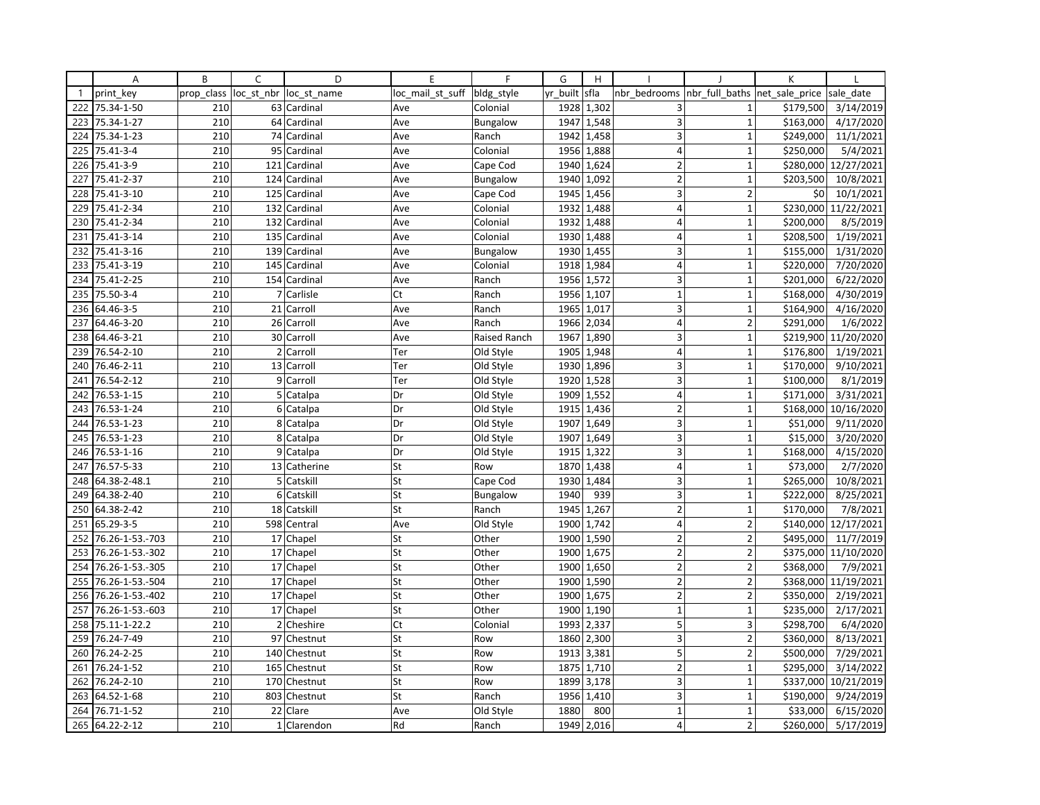|              | Α               | B          | C | D                      | E                | F               | G        | H          |                         |                                | K         |                      |
|--------------|-----------------|------------|---|------------------------|------------------|-----------------|----------|------------|-------------------------|--------------------------------|-----------|----------------------|
| $\mathbf{1}$ | print key       | prop_class |   | loc st nbr loc st name | loc_mail_st_suff | bldg_style      | yr_built | sfla       | nbr bedrooms            | nbr_full_baths  net_sale_price |           | sale date            |
| 222          | 75.34-1-50      | 210        |   | 63 Cardinal            | Ave              | Colonial        | 1928     | 1,302      | 3                       | $\mathbf{1}$                   | \$179,500 | 3/14/2019            |
| 223          | 75.34-1-27      | 210        |   | 64 Cardinal            | Ave              | Bungalow        | 1947     | 1,548      | $\overline{3}$          | $\mathbf{1}$                   | \$163,000 | 4/17/2020            |
| 224          | 75.34-1-23      | 210        |   | 74 Cardinal            | Ave              | Ranch           | 1942     | 1,458      | 3                       | $\mathbf{1}$                   | \$249,000 | 11/1/2021            |
| 225          | 75.41-3-4       | 210        |   | 95 Cardinal            | Ave              | Colonial        |          | 1956 1,888 | 4                       | $\mathbf{1}$                   | \$250,000 | 5/4/2021             |
| 226          | 75.41-3-9       | 210        |   | 121 Cardinal           | Ave              | Cape Cod        | 1940     | 1,624      | $\overline{2}$          | $\overline{1}$                 | \$280,000 | 12/27/2021           |
| 227          | 75.41-2-37      | 210        |   | 124 Cardinal           | Ave              | <b>Bungalow</b> | 1940     | 1,092      | $\overline{2}$          | $\overline{1}$                 | \$203,500 | 10/8/2021            |
| 228          | 75.41-3-10      | 210        |   | 125 Cardinal           | Ave              | Cape Cod        |          | 1945 1,456 | 3                       | $\overline{2}$                 | \$0       | 10/1/2021            |
| 229          | 75.41-2-34      | 210        |   | 132 Cardinal           | Ave              | Colonial        | 1932     | 1,488      | $\overline{4}$          | $\mathbf{1}$                   |           | \$230,000 11/22/2021 |
| 230          | 75.41-2-34      | 210        |   | 132 Cardinal           | Ave              | Colonial        | 1932     | 1,488      | 4                       | $\mathbf{1}$                   | \$200,000 | 8/5/2019             |
| 231          | 75.41-3-14      | 210        |   | 135 Cardinal           | Ave              | Colonial        | 1930     | 1,488      | $\overline{4}$          | $\overline{1}$                 | \$208,500 | 1/19/2021            |
| 232          | 75.41-3-16      | 210        |   | 139 Cardinal           | Ave              | <b>Bungalow</b> | 1930     | 1,455      | 3                       | $\mathbf{1}$                   | \$155,000 | 1/31/2020            |
| 233          | 75.41-3-19      | 210        |   | 145 Cardinal           | Ave              | Colonial        |          | 1918 1,984 | $\overline{4}$          | $\mathbf{1}$                   | \$220,000 | 7/20/2020            |
| 234          | 75.41-2-25      | 210        |   | 154 Cardinal           | Ave              | Ranch           | 1956     | 1,572      | 3                       | $\mathbf{1}$                   | \$201,000 | 6/22/2020            |
| 235          | 75.50-3-4       | 210        |   | 7 Carlisle             | Ct               | Ranch           | 1956     | 1,107      | $\mathbf 1$             | $\mathbf{1}$                   | \$168,000 | 4/30/2019            |
| 236          | 64.46-3-5       | 210        |   | 21 Carroll             | Ave              | Ranch           | 1965     | 1,017      | 3                       | $\overline{1}$                 | \$164,900 | 4/16/2020            |
| 237          | 64.46-3-20      | 210        |   | 26 Carroll             | Ave              | Ranch           | 1966     | 2,034      | $\overline{4}$          | $\overline{2}$                 | \$291,000 | 1/6/2022             |
| 238          | 64.46-3-21      | 210        |   | 30 Carroll             | Ave              | Raised Ranch    | 1967     | 1,890      | 3                       | $\mathbf{1}$                   | \$219,900 | 11/20/2020           |
| 239          | 76.54-2-10      | 210        |   | 2 Carroll              | Ter              | Old Style       | 1905     | 1,948      | $\overline{4}$          | $\mathbf{1}$                   | \$176,800 | 1/19/2021            |
| 240          | 76.46-2-11      | 210        |   | 13 Carroll             | Ter              | Old Style       | 1930     | 1,896      | $\overline{\mathbf{3}}$ | $\mathbf{1}$                   | \$170,000 | 9/10/2021            |
| 241          | 76.54-2-12      | 210        |   | 9 Carroll              | Ter              | Old Style       |          | 1920 1,528 | 3                       | $\mathbf{1}$                   | \$100,000 | 8/1/2019             |
| 242          | 76.53-1-15      | 210        |   | 5 Catalpa              | Dr               | Old Style       | 1909     | 1,552      | $\vert 4 \vert$         | $\mathbf{1}$                   | \$171,000 | 3/31/2021            |
| 243          | 76.53-1-24      | 210        |   | 6 Catalpa              | Dr               | Old Style       | 1915     | 1,436      | $\overline{2}$          | $\mathbf 1$                    | \$168,000 | 10/16/2020           |
| 244          | 76.53-1-23      | 210        | 8 | Catalpa                | Dr               | Old Style       | 1907     | 1,649      | 3                       | $\mathbf{1}$                   | \$51,000  | 9/11/2020            |
| 245          | 76.53-1-23      | 210        |   | 8 Catalpa              | Dr               | Old Style       | 1907     | 1,649      | 3                       | $\mathbf 1$                    | \$15,000  | 3/20/2020            |
| 246          | 76.53-1-16      | 210        |   | 9 Catalpa              | Dr               | Old Style       | 1915     | 1,322      | 3                       | $\mathbf 1$                    | \$168,000 | 4/15/2020            |
| 247          | 76.57-5-33      | 210        |   | 13 Catherine           | St               | Row             | 1870     | 1,438      | $\overline{4}$          | $\mathbf{1}$                   | \$73,000  | 2/7/2020             |
| 248          | 64.38-2-48.1    | 210        |   | 5 Catskill             | St               | Cape Cod        | 1930     | 1,484      | 3                       | $\mathbf{1}$                   | \$265,000 | 10/8/2021            |
| 249          | 64.38-2-40      | 210        |   | 6 Catskill             | St               | Bungalow        | 1940     | 939        | 3                       | $\mathbf{1}$                   | \$222,000 | 8/25/2021            |
| 250          | 64.38-2-42      | 210        |   | 18 Catskill            | St               | Ranch           | 1945     | 1,267      | $\overline{2}$          | $\mathbf{1}$                   | \$170,000 | 7/8/2021             |
| 251          | 65.29-3-5       | 210        |   | 598 Central            | Ave              | Old Style       | 1900     | 1,742      | 4                       | $\overline{2}$                 | \$140,000 | 12/17/2021           |
| 252          | 76.26-1-53.-703 | 210        |   | 17 Chapel              | St               | Other           | 1900     | 1,590      | $\overline{2}$          | $\overline{2}$                 | \$495,000 | 11/7/2019            |
| 253          | 76.26-1-53.-302 | 210        |   | 17 Chapel              | St               | Other           | 1900     | 1,675      | $\overline{2}$          | $\overline{2}$                 |           | \$375,000 11/10/2020 |
| 254          | 76.26-1-53.-305 | 210        |   | 17 Chapel              | St               | Other           |          | 1900 1,650 | $\overline{2}$          | $\overline{2}$                 | \$368,000 | 7/9/2021             |
| 255          | 76.26-1-53.-504 | 210        |   | 17 Chapel              | St               | Other           | 1900     | 1,590      | $\overline{2}$          | $\overline{2}$                 |           | \$368,000 11/19/2021 |
| 256          | 76.26-1-53.-402 | 210        |   | 17 Chapel              | St               | Other           | 1900     | 1,675      | $\overline{2}$          | $\overline{2}$                 | \$350,000 | 2/19/2021            |
| 257          | 76.26-1-53.-603 | 210        |   | 17 Chapel              | St               | Other           |          | 1900 1,190 | $\mathbf{1}$            | $\mathbf{1}$                   | \$235,000 | 2/17/2021            |
| 258          | 75.11-1-22.2    | 210        |   | 2 Cheshire             | Ct               | Colonial        | 1993     | 2,337      | 5                       | 3                              | \$298,700 | 6/4/2020             |
| 259          | 76.24-7-49      | 210        |   | 97 Chestnut            | St               | Row             | 1860     | 2,300      | 3                       | $\overline{2}$                 | \$360,000 | 8/13/2021            |
| 260          | 76.24-2-25      | 210        |   | 140 Chestnut           | St               | Row             | 1913     | 3,381      | 5                       | $\overline{2}$                 | \$500,000 | 7/29/2021            |
| 261          | 76.24-1-52      | 210        |   | 165 Chestnut           | St               | Row             | 1875     | 1,710      | $\overline{2}$          | $\mathbf{1}$                   | \$295,000 | 3/14/2022            |
| 262          | 76.24-2-10      | 210        |   | 170 Chestnut           | St               | Row             | 1899     | 3,178      | 3                       | $\mathbf 1$                    | \$337,000 | 10/21/2019           |
| 263          | 64.52-1-68      | 210        |   | 803 Chestnut           | St               | Ranch           | 1956     | 1,410      | 3                       | $\mathbf{1}$                   | \$190,000 | 9/24/2019            |
| 264          | 76.71-1-52      | 210        |   | 22 Clare               | Ave              | Old Style       | 1880     | 800        | $\mathbf{1}$            | $\mathbf{1}$                   | \$33,000  | 6/15/2020            |
| 265          | 64.22-2-12      | 210        |   | 1 Clarendon            | Rd               | Ranch           | 1949     | 2,016      | $\overline{\mathbf{4}}$ | $\overline{2}$                 | \$260,000 | 5/17/2019            |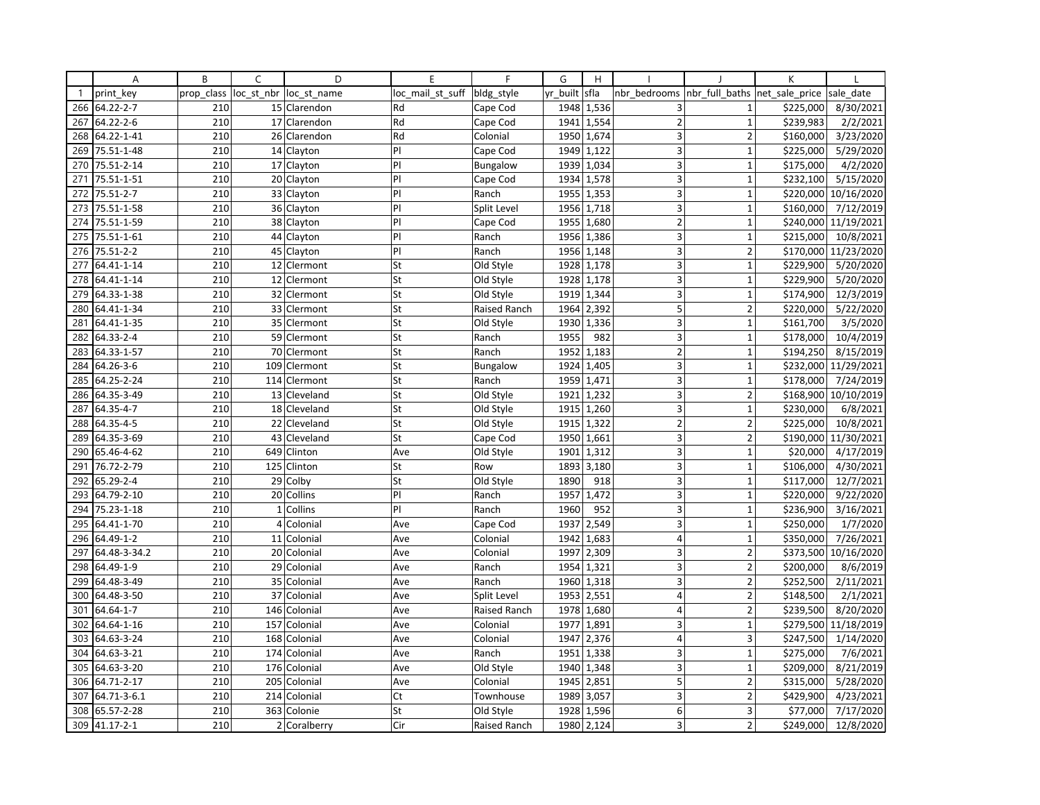|              | Α            | B          | C               | D            | E                | $\mathsf{F}$    | G        | H          |                         |                | K              |                       |
|--------------|--------------|------------|-----------------|--------------|------------------|-----------------|----------|------------|-------------------------|----------------|----------------|-----------------------|
| $\mathbf{1}$ | print key    | prop class | loc_st_nbr      | loc st name  | loc mail st suff | bldg_style      | yr built | sfla       | nbr bedrooms            | nbr full baths | net sale price | sale date             |
| 266          | 64.22-2-7    | 210        |                 | 15 Clarendon | Rd               | Cape Cod        |          | 1948 1,536 | 3                       | $\mathbf{1}$   | \$225,000      | 8/30/2021             |
| 267          | 64.22-2-6    | 210        |                 | 17 Clarendon | Rd               | Cape Cod        | 1941     | 1,554      | $\overline{2}$          | $\mathbf{1}$   | \$239,983      | 2/2/2021              |
| 268          | 64.22-1-41   | 210        | 26              | Clarendon    | Rd               | Colonial        | 1950     | 1,674      | 3                       | $\overline{2}$ | \$160,000      | 3/23/2020             |
| 269          | 75.51-1-48   | 210        |                 | 14 Clayton   | P                | Cape Cod        |          | 1949 1,122 | 3                       | $\mathbf{1}$   | \$225,000      | 5/29/2020             |
| 270          | 75.51-2-14   | 210        |                 | 17 Clayton   | PI               | <b>Bungalow</b> | 1939     | 1,034      | 3                       | $\mathbf{1}$   | \$175,000      | 4/2/2020              |
| 271          | 75.51-1-51   | 210        |                 | 20 Clayton   | PI               | Cape Cod        | 1934     | 1,578      | 3                       | $\mathbf{1}$   | \$232,100      | 5/15/2020             |
| 272          | 75.51-2-7    | 210        | 33              | Clayton      | PI               | Ranch           |          | 1955 1,353 | 3                       | $\mathbf{1}$   | \$220,000      | 10/16/2020            |
| 273          | 75.51-1-58   | 210        | 36              | Clayton      | PI               | Split Level     | 1956     | 1,718      | $\overline{3}$          | $\mathbf{1}$   | \$160,000      | 7/12/2019             |
| 274          | 75.51-1-59   | 210        |                 | 38 Clayton   | $\mathsf{P}$     | Cape Cod        | 1955     | 1,680      | $\mathbf 2$             | $\mathbf 1$    | \$240,000      | 11/19/2021            |
| 275          | 75.51-1-61   | 210        | 44              | Clayton      | PI               | Ranch           | 1956     | 1,386      | 3                       | $\mathbf{1}$   | \$215,000      | 10/8/2021             |
| 276          | 75.51-2-2    | 210        | 45              | Clayton      | PI               | Ranch           | 1956     | 1,148      | 3                       | $\overline{2}$ | \$170,000      | 11/23/2020            |
| 277          | 64.41-1-14   | 210        |                 | 12 Clermont  | St               | Old Style       |          | 1928 1,178 | 3                       | $\mathbf{1}$   | \$229,900      | 5/20/2020             |
| 278          | 64.41-1-14   | 210        | 12              | Clermont     | St               | Old Style       | 1928     | 1,178      | $\overline{\mathbf{3}}$ | $\mathbf{1}$   | \$229,900      | 5/20/2020             |
| 279          | 64.33-1-38   | 210        | 32              | Clermont     | St               | Old Style       | 1919     | 1,344      | 3                       | $\mathbf 1$    | \$174,900      | 12/3/2019             |
| 280          | 64.41-1-34   | 210        | 33              | Clermont     | St               | Raised Ranch    | 1964     | 2,392      | 5                       | $\overline{2}$ | \$220,000      | 5/22/2020             |
| 281          | 64.41-1-35   | 210        |                 | 35 Clermont  | St               | Old Style       | 1930     | 1,336      | 3 <sup>1</sup>          | $\mathbf{1}$   | \$161,700      | 3/5/2020              |
| 282          | 64.33-2-4    | 210        |                 | 59 Clermont  | St               | Ranch           | 1955     | 982        | 3 <sup>1</sup>          | $\mathbf{1}$   | \$178,000      | 10/4/2019             |
| 283          | 64.33-1-57   | 210        |                 | 70 Clermont  | St               | Ranch           | 1952     | 1,183      | $\overline{2}$          | $\mathbf{1}$   | \$194,250      | 8/15/2019             |
| 284          | 64.26-3-6    | 210        | 109             | Clermont     | St               | <b>Bungalow</b> | 1924     | 1,405      | $\overline{\mathbf{3}}$ | $\mathbf{1}$   | \$232,000      | 11/29/2021            |
| 285          | 64.25-2-24   | 210        |                 | 114 Clermont | St               | Ranch           |          | 1959 1,471 | 3 <sup>1</sup>          | $\mathbf 1$    | \$178,000      | 7/24/2019             |
| 286          | 64.35-3-49   | 210        |                 | 13 Cleveland | St               | Old Style       | 1921     | 1,232      | $\overline{\mathbf{3}}$ | $\overline{2}$ |                | \$168,900 10/10/2019  |
| 287          | 64.35-4-7    | 210        |                 | 18 Cleveland | St               | Old Style       | 1915     | 1,260      | 3 <sup>1</sup>          | $\mathbf 1$    | \$230,000      | 6/8/2021              |
| 288          | 64.35-4-5    | 210        | 22              | Cleveland    | St               | Old Style       | 1915     | 1,322      | $\overline{2}$          | $\overline{2}$ | \$225,000      | 10/8/2021             |
| 289          | 64.35-3-69   | 210        | 43              | Cleveland    | St               | Cape Cod        | 1950     | 1,661      | 3                       | $\overline{2}$ | \$190,000      | 11/30/2021            |
| 290          | 65.46-4-62   | 210        | 649             | Clinton      | Ave              | Old Style       | 1901     | 1,312      | $\overline{\mathbf{3}}$ | $\mathbf 1$    | \$20,000       | 4/17/2019             |
| 291          | 76.72-2-79   | 210        | 125             | Clinton      | St               | Row             | 1893     | 3,180      | 3                       | $\mathbf{1}$   | \$106,000      | 4/30/2021             |
| 292          | 65.29-2-4    | 210        | 29              | Colby        | St               | Old Style       | 1890     | 918        | 3                       | $\mathbf 1$    | \$117,000      | 12/7/2021             |
| 293          | 64.79-2-10   | 210        |                 | 20 Collins   | PI               | Ranch           | 1957     | 1,472      | 3                       | $\mathbf{1}$   | \$220,000      | 9/22/2020             |
| 294          | 75.23-1-18   | 210        |                 | 1 Collins    | PI               | Ranch           | 1960     | 952        | $\overline{3}$          | $\mathbf{1}$   | \$236,900      | 3/16/2021             |
| 295          | 64.41-1-70   | 210        | $\overline{4}$  | Colonial     | Ave              | Cape Cod        | 1937     | 2,549      | 3                       | $\mathbf{1}$   | \$250,000      | 1/7/2020              |
| 296          | 64.49-1-2    | 210        | 11              | Colonial     | Ave              | Colonial        | 1942     | 1,683      | $\overline{4}$          | $\mathbf{1}$   | \$350,000      | 7/26/2021             |
| 297          | 64.48-3-34.2 | 210        |                 | 20 Colonial  | Ave              | Colonial        | 1997     | 2,309      | 3                       | $\overline{2}$ | \$373,500      | 10/16/2020            |
| 298          | 64.49-1-9    | 210        | 29              | Colonial     | Ave              | Ranch           | 1954     | 1,321      | 3                       | $\overline{2}$ | \$200,000      | 8/6/2019              |
| 299          | 64.48-3-49   | 210        | 35 <sub>1</sub> | Colonial     | Ave              | Ranch           | 1960     | 1,318      | $\overline{3}$          | $\overline{2}$ | \$252,500      | 2/11/2021             |
| 300          | 64.48-3-50   | 210        | 37              | Colonial     | Ave              | Split Level     | 1953     | 2,551      | $\overline{4}$          | $\overline{2}$ | \$148,500      | 2/1/2021              |
| 301          | 64.64-1-7    | 210        | 146             | Colonial     | Ave              | Raised Ranch    |          | 1978 1,680 | $\overline{4}$          | $\overline{2}$ | \$239,500      | 8/20/2020             |
| 302          | 64.64-1-16   | 210        | 157             | Colonial     | Ave              | Colonial        | 1977     | 1,891      | $\overline{3}$          | $\mathbf{1}$   | \$279,500      | 11/18/2019            |
| 303          | 64.63-3-24   | 210        | 168             | Colonial     | Ave              | Colonial        | 1947     | 2,376      | $\overline{4}$          | 3              | \$247,500      | 1/14/2020             |
| 304          | 64.63-3-21   | 210        | 174             | Colonial     | Ave              | Ranch           | 1951     | 1,338      | 3                       | $\mathbf{1}$   | \$275,000      | 7/6/2021              |
| 305          | 64.63-3-20   | 210        | 176             | Colonial     | Ave              | Old Style       | 1940     | 1,348      | 3                       | $\mathbf{1}$   | \$209,000      | 8/21/2019             |
| 306          | 64.71-2-17   | 210        | 205             | Colonial     | Ave              | Colonial        |          | 1945 2,851 | 5                       | $\overline{2}$ | \$315,000      | 5/28/2020             |
| 307          | 64.71-3-6.1  | 210        | 214             | Colonial     | Ct               | Townhouse       | 1989     | 3,057      | 3 <sup>1</sup>          | $\overline{2}$ | \$429,900      | $\frac{1}{4}$ 23/2021 |
| 308          | 65.57-2-28   | 210        | 363             | Colonie      | St               | Old Style       | 1928     | 1,596      | 6 <sup>1</sup>          | 3              | \$77,000       | 7/17/2020             |
| 309          | 41.17-2-1    | 210        |                 | 2 Coralberry | Cir              | Raised Ranch    |          | 1980 2,124 | $\overline{3}$          | $\overline{2}$ | \$249,000      | 12/8/2020             |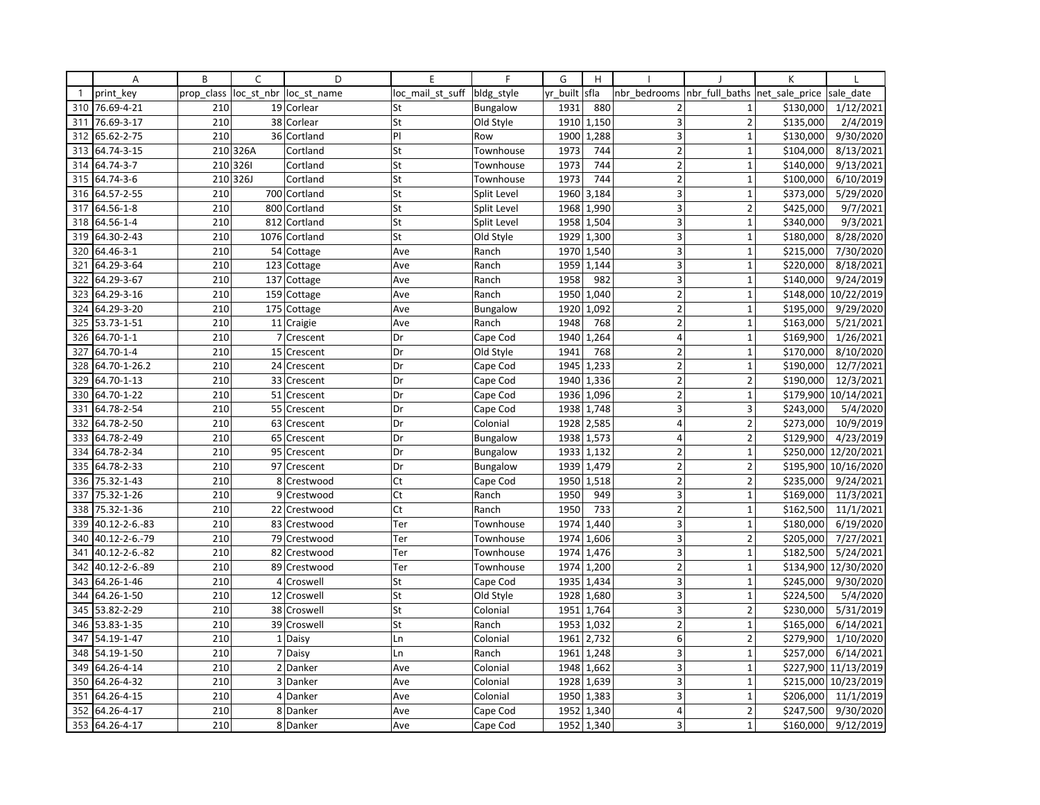|              | Α              | B          | C          | D             | E                | F               | G        | H          |                |                                | K         |                      |
|--------------|----------------|------------|------------|---------------|------------------|-----------------|----------|------------|----------------|--------------------------------|-----------|----------------------|
| $\mathbf{1}$ | print key      | prop_class | loc_st_nbr | loc st name   | loc mail st suff | bldg_style      | yr_built | sfla       | nbr bedrooms   | nbr_full_baths  net_sale_price |           | sale date            |
| 310          | 76.69-4-21     | 210        |            | 19 Corlear    | St               | <b>Bungalow</b> | 1931     | 880        | $\overline{2}$ | $\mathbf{1}$                   | \$130,000 | 1/12/2021            |
| 311          | 76.69-3-17     | 210        |            | 38 Corlear    | St               | Old Style       | 1910     | 1,150      | 3              | $\overline{2}$                 | \$135,000 | 2/4/2019             |
| 312          | 65.62-2-75     | 210        |            | 36 Cortland   | PI               | Row             | 1900     | 1,288      | 3              | $\mathbf{1}$                   | \$130,000 | 9/30/2020            |
| 313          | 64.74-3-15     |            | 210 326A   | Cortland      | St               | Townhouse       | 1973     | 744        | $\overline{2}$ | $\mathbf{1}$                   | \$104,000 | 8/13/2021            |
| 314          | 64.74-3-7      | 210        | 3261       | Cortland      | St               | Townhouse       | 1973     | 744        | $\overline{2}$ | $\overline{1}$                 | \$140,000 | 9/13/2021            |
| 315          | 64.74-3-6      | 210        | 326J       | Cortland      | St               | Townhouse       | 1973     | 744        | $\overline{2}$ | $\overline{1}$                 | \$100,000 | 6/10/2019            |
| 316          | 64.57-2-55     | 210        |            | 700 Cortland  | St               | Split Level     | 1960     | 3,184      | 3              | $\mathbf{1}$                   | \$373,000 | 5/29/2020            |
| 317          | 64.56-1-8      | 210        |            | 800 Cortland  | St               | Split Level     | 1968     | 1,990      | 3              | $\overline{2}$                 | \$425,000 | 9/7/2021             |
| 318          | 64.56-1-4      | 210        |            | 812 Cortland  | St               | Split Level     | 1958     | 1,504      | 3              | $\mathbf{1}$                   | \$340,000 | 9/3/2021             |
| 319          | 64.30-2-43     | 210        |            | 1076 Cortland | St               | Old Style       | 1929     | 1,300      | 3              | $\mathbf{1}$                   | \$180,000 | 8/28/2020            |
| 320          | 64.46-3-1      | 210        |            | 54 Cottage    | Ave              | Ranch           | 1970     | 1,540      | 3              | $\mathbf{1}$                   | \$215,000 | 7/30/2020            |
| 321          | 64.29-3-64     | 210        |            | 123 Cottage   | Ave              | Ranch           | 1959     | 1,144      | 3              | $\mathbf{1}$                   | \$220,000 | 8/18/2021            |
| 322          | 64.29-3-67     | 210        |            | 137 Cottage   | Ave              | Ranch           | 1958     | 982        | 3              | $\mathbf{1}$                   | \$140,000 | 9/24/2019            |
| 323          | 64.29-3-16     | 210        |            | 159 Cottage   | Ave              | Ranch           | 1950     | 1,040      | $\overline{2}$ | $\mathbf{1}$                   | \$148,000 | 10/22/2019           |
| 324          | 64.29-3-20     | 210        |            | 175 Cottage   | Ave              | <b>Bungalow</b> | 1920     | 1,092      | $\overline{2}$ | $\overline{1}$                 | \$195,000 | 9/29/2020            |
| 325          | 53.73-1-51     | 210        |            | 11 Craigie    | Ave              | Ranch           | 1948     | 768        | $\overline{2}$ | $\mathbf{1}$                   | \$163,000 | 5/21/2021            |
|              | 326 64.70-1-1  | 210        |            | 7 Crescent    | Dr               | Cape Cod        | 1940     | 1,264      | $\overline{4}$ | $\mathbf{1}$                   | \$169,900 | 1/26/2021            |
| 327          | 64.70-1-4      | 210        |            | 15 Crescent   | Dr               | Old Style       | 1941     | 768        | $\overline{2}$ | $\mathbf{1}$                   | \$170,000 | 8/10/2020            |
| 328          | 64.70-1-26.2   | 210        |            | 24 Crescent   | Dr               | Cape Cod        | 1945     | 1,233      | $\overline{2}$ | $\overline{1}$                 | \$190,000 | 12/7/2021            |
| 329          | 64.70-1-13     | 210        |            | 33 Crescent   | Dr               | Cape Cod        | 1940     | 1,336      | $\overline{2}$ | $\overline{2}$                 | \$190,000 | 12/3/2021            |
| 330          | 64.70-1-22     | 210        |            | 51 Crescent   | Dr               | Cape Cod        | 1936     | 1,096      | $\overline{2}$ | $\mathbf{1}$                   |           | \$179,900 10/14/2021 |
| 331          | 64.78-2-54     | 210        |            | 55 Crescent   | Dr               | Cape Cod        | 1938     | 1,748      | 3              | 3                              | \$243,000 | 5/4/2020             |
| 332          | 64.78-2-50     | 210        |            | 63 Crescent   | Dr               | Colonial        | 1928     | 2,585      | $\overline{4}$ | $\overline{2}$                 | \$273,000 | 10/9/2019            |
| 333          | 64.78-2-49     | 210        |            | 65 Crescent   | Dr               | <b>Bungalow</b> | 1938     | 1,573      | 4              | $\overline{2}$                 | \$129,900 | 4/23/2019            |
| 334          | 64.78-2-34     | 210        |            | 95 Crescent   | Dr               | <b>Bungalow</b> | 1933     | 1,132      | $\overline{2}$ | $\mathbf 1$                    | \$250,000 | 12/20/2021           |
| 335          | 64.78-2-33     | 210        |            | 97 Crescent   | Dr               | <b>Bungalow</b> | 1939     | 1,479      | $\overline{2}$ | $\overline{2}$                 | \$195,900 | 10/16/2020           |
| 336          | 75.32-1-43     | 210        |            | 8 Crestwood   | Ct               | Cape Cod        | 1950     | 1,518      | $\overline{2}$ | $\overline{2}$                 | \$235,000 | 9/24/2021            |
| 337          | 75.32-1-26     | 210        |            | 9 Crestwood   | Ct               | Ranch           | 1950     | 949        | 3              | $\mathbf{1}$                   | \$169,000 | 11/3/2021            |
| 338          | 75.32-1-36     | 210        |            | 22 Crestwood  | Ct               | Ranch           | 1950     | 733        | $\overline{2}$ | $\mathbf{1}$                   | \$162,500 | 11/1/2021            |
| 339          | 40.12-2-6.-83  | 210        |            | 83 Crestwood  | Ter              | Townhouse       | 1974     | 1,440      | 3              | $\mathbf{1}$                   | \$180,000 | 6/19/2020            |
| 340          | 40.12-2-6.-79  | 210        |            | 79 Crestwood  | Ter              | Townhouse       | 1974     | 1,606      | 3              | $\overline{2}$                 | \$205,000 | 7/27/2021            |
| 341          | 40.12-2-6.-82  | 210        | 82         | Crestwood     | Ter              | Townhouse       | 1974     | 1,476      | 3              | $\mathbf{1}$                   | \$182,500 | 5/24/2021            |
| 342          | 40.12-2-6.-89  | 210        |            | 89 Crestwood  | Ter              | Townhouse       | 1974     | 1,200      | $\overline{2}$ | $\mathbf{1}$                   | \$134,900 | 12/30/2020           |
| 343          | 64.26-1-46     | 210        | 4          | Croswell      | St               | Cape Cod        | 1935     | 1,434      | $\overline{3}$ | $\overline{1}$                 | \$245,000 | 9/30/2020            |
| 344          | 64.26-1-50     | 210        |            | 12 Croswell   | St               | Old Style       | 1928     | 1,680      | 3              | $\mathbf{1}$                   | \$224,500 | 5/4/2020             |
| 345          | 53.82-2-29     | 210        |            | 38 Croswell   | St               | Colonial        | 1951     | 1,764      | 3              | $\overline{2}$                 | \$230,000 | 5/31/2019            |
| 346          | 53.83-1-35     | 210        |            | 39 Croswell   | St               | Ranch           | 1953     | 1,032      | $\overline{2}$ | $\mathbf{1}$                   | \$165,000 | 6/14/2021            |
| 347          | 54.19-1-47     | 210        |            | 1 Daisy       | Ln               | Colonial        | 1961     | 2,732      | 6              | $\overline{2}$                 | \$279,900 | 1/10/2020            |
| 348          | 54.19-1-50     | 210        |            | 7 Daisy       | Ln               | Ranch           | 1961     | 1,248      | $\overline{3}$ | $\mathbf{1}$                   | \$257,000 | 6/14/2021            |
| 349          | 64.26-4-14     | 210        |            | 2 Danker      | Ave              | Colonial        | 1948     | 1,662      | 3              | $\mathbf{1}$                   | \$227,900 | 11/13/2019           |
| 350          | 64.26-4-32     | 210        |            | 3 Danker      | Ave              | Colonial        |          | 1928 1,639 | 3              | $\mathbf 1$                    | \$215,000 | 10/23/2019           |
| 351          | 64.26-4-15     | 210        |            | 4 Danker      | Ave              | Colonial        | 1950     | 1,383      | 3              | $\mathbf{1}$                   | \$206,000 | 11/1/2019            |
| 352          | 64.26-4-17     | 210        |            | 8 Danker      | Ave              | Cape Cod        | 1952     | 1,340      | $\overline{4}$ | $\overline{2}$                 | \$247,500 | 9/30/2020            |
|              | 353 64.26-4-17 | 210        |            | 8 Danker      | Ave              | Cape Cod        |          | 1952 1,340 | 3              | $\mathbf{1}$                   | \$160,000 | 9/12/2019            |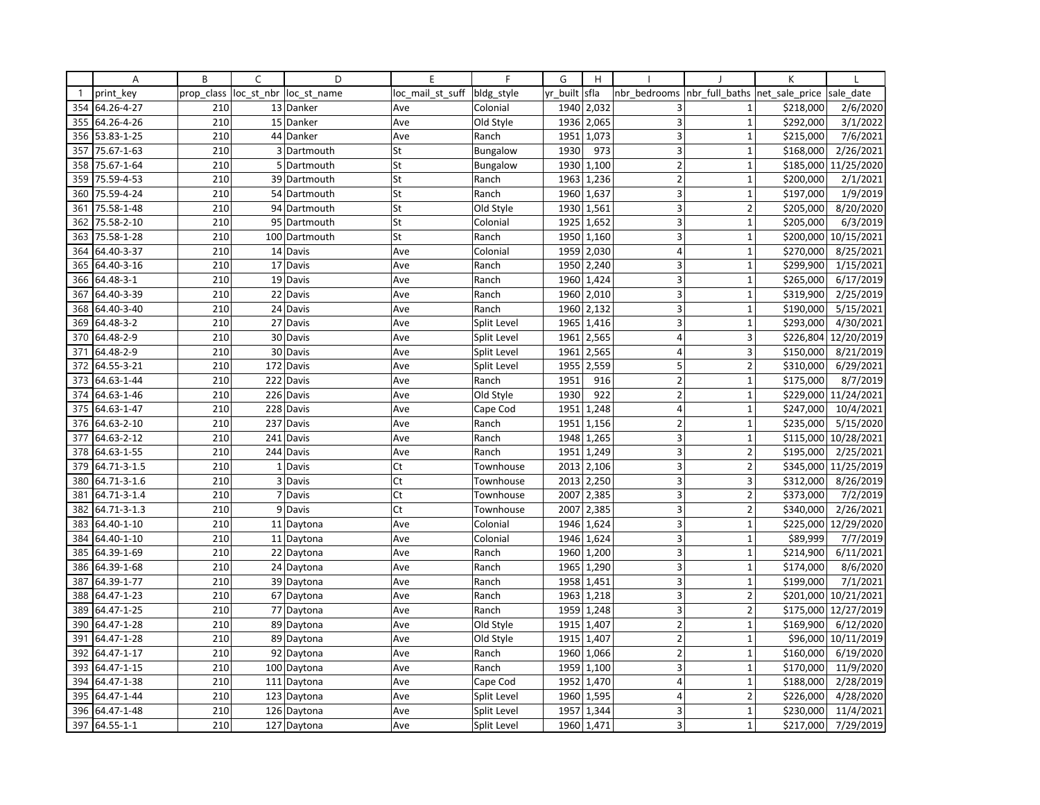|              | Α           | B          | $\mathsf{C}$   | D             | E                | F               | G        | H          |                         |                               | K         |            |
|--------------|-------------|------------|----------------|---------------|------------------|-----------------|----------|------------|-------------------------|-------------------------------|-----------|------------|
| $\mathbf{1}$ | print key   | prop class | loc st nbr     | loc st name   | loc mail st suff | bldg_style      | yr built | sfla       | nbr bedrooms            | nbr full baths net sale price |           | sale date  |
| 354          | 64.26-4-27  | 210        |                | 13 Danker     | Ave              | Colonial        | 1940     | 2,032      | 3                       | $\mathbf{1}$                  | \$218,000 | 2/6/2020   |
| 355          | 64.26-4-26  | 210        |                | 15 Danker     | Ave              | Old Style       | 1936     | 2,065      | 3                       | $\mathbf{1}$                  | \$292,000 | 3/1/2022   |
| 356          | 53.83-1-25  | 210        |                | 44 Danker     | Ave              | Ranch           | 1951     | 1,073      | 3                       | $\mathbf 1$                   | \$215,000 | 7/6/2021   |
| 357          | 75.67-1-63  | 210        |                | 3 Dartmouth   | St               | Bungalow        | 1930     | 973        | $\overline{\mathbf{3}}$ | $\mathbf{1}$                  | \$168,000 | 2/26/2021  |
| 358          | 75.67-1-64  | 210        | 5 <sub>1</sub> | Dartmouth     | St               | <b>Bungalow</b> | 1930     | 1,100      | $\overline{2}$          | $\mathbf{1}$                  | \$185,000 | 11/25/2020 |
| 359          | 75.59-4-53  | 210        |                | 39 Dartmouth  | St               | Ranch           | 1963     | 1,236      | $\overline{2}$          | $\mathbf{1}$                  | \$200,000 | 2/1/2021   |
| 360          | 75.59-4-24  | 210        |                | 54 Dartmouth  | St               | Ranch           |          | 1960 1,637 | 3                       | $\mathbf{1}$                  | \$197,000 | 1/9/2019   |
| 361          | 75.58-1-48  | 210        |                | 94 Dartmouth  | St               | Old Style       | 1930     | 1,561      | 3 <sup>1</sup>          | $\overline{2}$                | \$205,000 | 8/20/2020  |
| 362          | 75.58-2-10  | 210        |                | 95 Dartmouth  | St               | Colonial        |          | 1925 1,652 | 3                       | $\mathbf{1}$                  | \$205,000 | 6/3/2019   |
| 363          | 75.58-1-28  | 210        |                | 100 Dartmouth | St               | Ranch           | 1950     | 1,160      | 3                       | $\mathbf{1}$                  | \$200,000 | 10/15/2021 |
| 364          | 64.40-3-37  | 210        |                | 14 Davis      | Ave              | Colonial        | 1959     | 2,030      | $\overline{4}$          | $\mathbf{1}$                  | \$270,000 | 8/25/2021  |
| 365          | 64.40-3-16  | 210        |                | 17 Davis      | Ave              | Ranch           |          | 1950 2,240 | 3                       | $\mathbf{1}$                  | \$299,900 | 1/15/2021  |
| 366          | 64.48-3-1   | 210        |                | 19 Davis      | Ave              | Ranch           | 1960     | 1,424      | 3                       | $\mathbf 1$                   | \$265,000 | 6/17/2019  |
| 367          | 64.40-3-39  | 210        |                | 22 Davis      | Ave              | Ranch           | 1960     | 2,010      | 3                       | $\mathbf 1$                   | \$319,900 | 2/25/2019  |
| 368          | 64.40-3-40  | 210        |                | 24 Davis      | Ave              | Ranch           | 1960     | 2,132      | 3                       | $\mathbf{1}$                  | \$190,000 | 5/15/2021  |
| 369          | 64.48-3-2   | 210        |                | 27 Davis      | Ave              | Split Level     | 1965     | 1,416      | 3                       | $\mathbf{1}$                  | \$293,000 | 4/30/2021  |
| 370          | 64.48-2-9   | 210        |                | 30 Davis      | Ave              | Split Level     | 1961     | 2,565      | 4                       | 3                             | \$226,804 | 12/20/2019 |
| 371          | 64.48-2-9   | 210        |                | 30 Davis      | Ave              | Split Level     | 1961     | 2,565      | $\overline{4}$          | 3                             | \$150,000 | 8/21/2019  |
| 372          | 64.55-3-21  | 210        | 172            | Davis         | Ave              | Split Level     | 1955     | 2,559      | 5                       | $\overline{2}$                | \$310,000 | 6/29/2021  |
| 373          | 64.63-1-44  | 210        |                | 222 Davis     | Ave              | Ranch           | 1951     | 916        | $\overline{2}$          | $\mathbf{1}$                  | \$175,000 | 8/7/2019   |
| 374          | 64.63-1-46  | 210        | 226            | Davis         | Ave              | Old Style       | 1930     | 922        | $\overline{2}$          | $\mathbf{1}$                  | \$229,000 | 11/24/2021 |
| 375          | 64.63-1-47  | 210        | 228            | Davis         | Ave              | Cape Cod        | 1951     | 1,248      | $\overline{4}$          | $\mathbf 1$                   | \$247,000 | 10/4/2021  |
| 376          | 64.63-2-10  | 210        |                | 237 Davis     | Ave              | Ranch           | 1951     | 1,156      | $\overline{2}$          | $\mathbf{1}$                  | \$235,000 | 5/15/2020  |
| 377          | 64.63-2-12  | 210        |                | 241 Davis     | Ave              | Ranch           | 1948     | 1,265      | 3                       | $\mathbf{1}$                  | \$115,000 | 10/28/2021 |
| 378          | 64.63-1-55  | 210        |                | 244 Davis     | Ave              | Ranch           | 1951     | 1,249      | $\overline{\mathbf{3}}$ | $\overline{2}$                | \$195,000 | 2/25/2021  |
| 379          | 64.71-3-1.5 | 210        |                | 1 Davis       | Ct               | Townhouse       | 2013     | 2,106      | 3                       | $\overline{2}$                | \$345,000 | 11/25/2019 |
| 380          | 64.71-3-1.6 | 210        | $\overline{3}$ | Davis         | Ct               | Townhouse       | 2013     | 2,250      | 3                       | 3                             | \$312,000 | 8/26/2019  |
| 381          | 64.71-3-1.4 | 210        |                | 7 Davis       | Ct               | Townhouse       | 2007     | 2,385      | 3                       | $\overline{2}$                | \$373,000 | 7/2/2019   |
| 382          | 64.71-3-1.3 | 210        |                | 9 Davis       | Ct               | Townhouse       | 2007     | 2,385      | 3 <sup>1</sup>          | $\overline{2}$                | \$340,000 | 2/26/2021  |
| 383          | 64.40-1-10  | 210        |                | 11 Daytona    | Ave              | Colonial        | 1946     | 1,624      | $\overline{3}$          | $\mathbf{1}$                  | \$225,000 | 12/29/2020 |
| 384          | 64.40-1-10  | 210        |                | 11 Daytona    | Ave              | Colonial        | 1946     | 1,624      | 3                       | $\mathbf{1}$                  | \$89,999  | 7/7/2019   |
| 385          | 64.39-1-69  | 210        |                | 22 Daytona    | Ave              | Ranch           | 1960     | 1,200      | 3                       | $\mathbf{1}$                  | \$214,900 | 6/11/2021  |
| 386          | 64.39-1-68  | 210        |                | 24 Daytona    | Ave              | Ranch           |          | 1965 1,290 | 3 <sup>1</sup>          | $\mathbf{1}$                  | \$174,000 | 8/6/2020   |
| 387          | 64.39-1-77  | 210        |                | 39 Daytona    | Ave              | Ranch           | 1958     | 1,451      | $\overline{3}$          | $\mathbf{1}$                  | \$199,000 | 7/1/2021   |
| 388          | 64.47-1-23  | 210        |                | 67 Daytona    | Ave              | Ranch           | 1963     | 1,218      | $\overline{3}$          | $\overline{2}$                | \$201,000 | 10/21/2021 |
| 389          | 64.47-1-25  | 210        |                | 77 Daytona    | Ave              | Ranch           |          | 1959 1,248 | 3                       | $\overline{2}$                | \$175,000 | 12/27/2019 |
| 390          | 64.47-1-28  | 210        |                | 89 Daytona    | Ave              | Old Style       | 1915     | 1,407      | $\overline{2}$          | $\mathbf{1}$                  | \$169,900 | 6/12/2020  |
| 391          | 64.47-1-28  | 210        |                | 89 Daytona    | Ave              | Old Style       | 1915     | 1,407      | $\overline{2}$          | $\mathbf{1}$                  | \$96,000  | 10/11/2019 |
| 392          | 64.47-1-17  | 210        | 92             | Daytona       | Ave              | Ranch           | 1960     | 1,066      | $\overline{2}$          | $\mathbf{1}$                  | \$160,000 | 6/19/2020  |
| 393          | 64.47-1-15  | 210        |                | 100 Daytona   | Ave              | Ranch           | 1959     | 1,100      | 3                       | $\mathbf{1}$                  | \$170,000 | 11/9/2020  |
| 394          | 64.47-1-38  | 210        |                | 111 Daytona   | Ave              | Cape Cod        |          | 1952 1,470 | $\overline{4}$          | $\mathbf 1$                   | \$188,000 | 2/28/2019  |
| 395          | 64.47-1-44  | 210        |                | 123 Daytona   | Ave              | Split Level     | 1960     | 1,595      | $\overline{4}$          | $\overline{2}$                | \$226,000 | 4/28/2020  |
| 396          | 64.47-1-48  | 210        |                | 126 Daytona   | Ave              | Split Level     | 1957     | 1,344      | 3 <sup>1</sup>          | $\mathbf 1$                   | \$230,000 | 11/4/2021  |
| 397          | 64.55-1-1   | 210        |                | 127 Daytona   | Ave              | Split Level     |          | 1960 1,471 | $\overline{\mathbf{3}}$ | $\mathbf{1}$                  | \$217,000 | 7/29/2019  |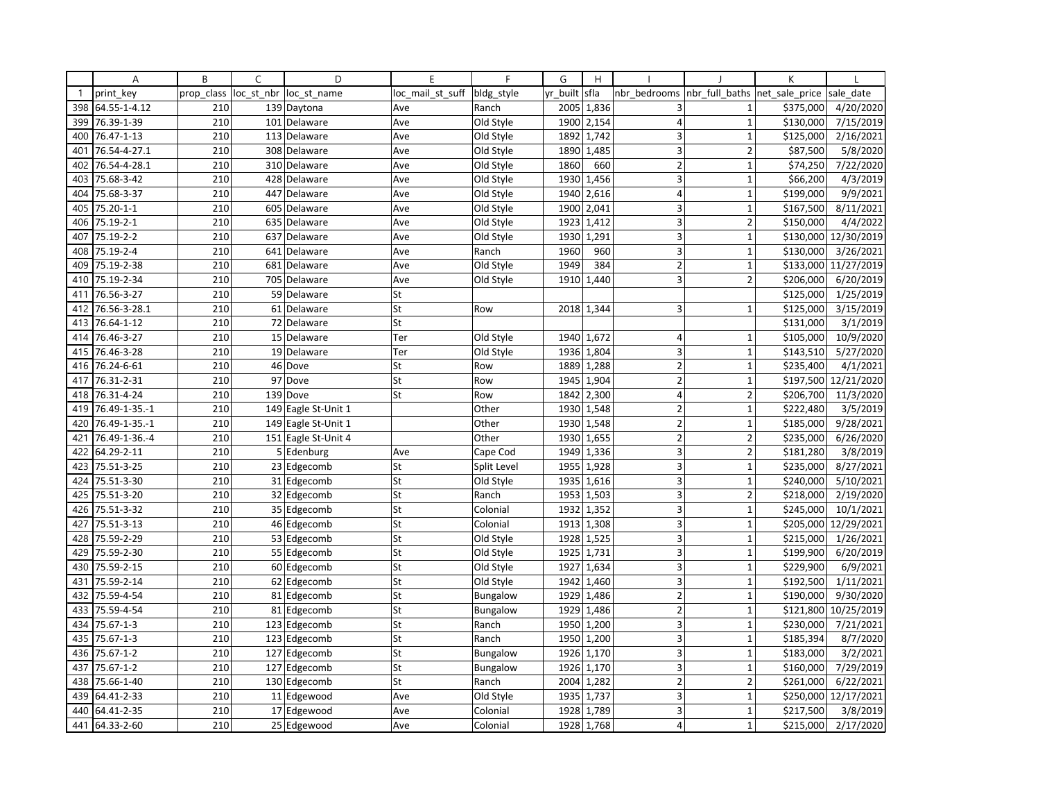|              | Α             | B          | C          | D                   | E                | F           | G        | H          |                         |                | К              |                        |
|--------------|---------------|------------|------------|---------------------|------------------|-------------|----------|------------|-------------------------|----------------|----------------|------------------------|
| $\mathbf{1}$ | print key     | prop class | loc_st_nbr | loc st name         | loc_mail_st_suff | bldg_style  | yr built | sfla       | nbr bedrooms            | nbr full baths | net sale price | sale date              |
| 398          | 64.55-1-4.12  | 210        |            | 139 Daytona         | Ave              | Ranch       | 2005     | 1,836      | 3                       | 1              | \$375,000      | 4/20/2020              |
| 399          | 76.39-1-39    | 210        |            | 101 Delaware        | Ave              | Old Style   | 1900     | 2,154      | $\overline{4}$          | $\mathbf{1}$   | \$130,000      | 7/15/2019              |
| 400          | 76.47-1-13    | 210        |            | 113 Delaware        | Ave              | Old Style   | 1892     | 1,742      | 3                       | $\mathbf{1}$   | \$125,000      | 2/16/2021              |
| 401          | 76.54-4-27.1  | 210        |            | 308 Delaware        | Ave              | Old Style   | 1890     | 1,485      | 3                       | $\overline{2}$ | \$87,500       | 5/8/2020               |
| 402          | 76.54-4-28.1  | 210        |            | 310 Delaware        | Ave              | Old Style   | 1860     | 660        | $\overline{2}$          | $\overline{1}$ | \$74,250       | 7/22/2020              |
| 403          | 75.68-3-42    | 210        |            | 428 Delaware        | Ave              | Old Style   | 1930     | 1,456      | 3                       | $\mathbf{1}$   | \$66,200       | 4/3/2019               |
| 404          | 75.68-3-37    | 210        |            | 447 Delaware        | Ave              | Old Style   | 1940     | 2,616      | $\overline{4}$          | $\mathbf{1}$   | \$199,000      | 9/9/2021               |
| 405          | 75.20-1-1     | 210        |            | 605 Delaware        | Ave              | Old Style   | 1900     | 2,041      | 3                       | $\mathbf{1}$   | \$167,500      | 8/11/2021              |
| 406          | 75.19-2-1     | 210        |            | 635 Delaware        | Ave              | Old Style   | 1923     | 1,412      | 3                       | $\overline{2}$ | \$150,000      | 4/4/2022               |
| 407          | 75.19-2-2     | 210        |            | 637 Delaware        | Ave              | Old Style   | 1930     | 1,291      | 3                       | 1              | \$130,000      | 12/30/2019             |
| 408          | 75.19-2-4     | 210        | 641        | Delaware            | Ave              | Ranch       | 1960     | 960        | 3                       | $\mathbf{1}$   | \$130,000      | 3/26/2021              |
| 409          | 75.19-2-38    | 210        |            | 681 Delaware        | Ave              | Old Style   | 1949     | 384        | $\overline{2}$          | $\mathbf{1}$   | \$133,000      | 11/27/2019             |
| 410          | 75.19-2-34    | 210        |            | 705 Delaware        | Ave              | Old Style   | 1910     | 1,440      | $\overline{\mathbf{3}}$ | $\overline{2}$ | \$206,000      | 6/20/2019              |
| 411          | 76.56-3-27    | 210        |            | 59 Delaware         | St               |             |          |            |                         |                | \$125,000      | 1/25/2019              |
| 412          | 76.56-3-28.1  | 210        |            | 61 Delaware         | St               | Row         |          | 2018 1,344 | 3                       | $\overline{1}$ | \$125,000      | 3/15/2019              |
| 413          | 76.64-1-12    | 210        |            | 72 Delaware         | St               |             |          |            |                         |                | \$131,000      | 3/1/2019               |
| 414          | 76.46-3-27    | 210        |            | 15 Delaware         | Ter              | Old Style   |          | 1940 1,672 | 4                       | $\mathbf{1}$   | \$105,000      | 10/9/2020              |
| 415          | 76.46-3-28    | 210        |            | 19 Delaware         | Ter              | Old Style   | 1936     | 1,804      | 3                       | 1              | \$143,510      | 5/27/2020              |
| 416          | 76.24-6-61    | 210        |            | 46 Dove             | St               | Row         | 1889     | 1,288      | $\mathbf 2$             | $\overline{1}$ | \$235,400      | 4/1/2021               |
| 417          | 76.31-2-31    | 210        |            | 97 Dove             | St               | Row         | 1945     | 1,904      | $\overline{2}$          | $\mathbf{1}$   | \$197,500      | 12/21/2020             |
| 418          | 76.31-4-24    | 210        |            | 139 Dove            | St               | Row         | 1842     | 2,300      | $\vert 4 \vert$         | $\overline{2}$ | \$206,700      | 11/3/2020              |
| 419          | 76.49-1-35.-1 | 210        |            | 149 Eagle St-Unit 1 |                  | Other       | 1930     | 1,548      | $\overline{2}$          | $\mathbf 1$    | \$222,480      | 3/5/2019               |
| 420          | 76.49-1-35.-1 | 210        |            | 149 Eagle St-Unit 1 |                  | Other       | 1930     | 1,548      | $\overline{2}$          | $\mathbf{1}$   | \$185,000      | 9/28/2021              |
| 421          | 76.49-1-36.-4 | 210        |            | 151 Eagle St-Unit 4 |                  | Other       | 1930     | 1,655      | $\overline{2}$          | $\overline{2}$ | \$235,000      | 6/26/2020              |
| 422          | 64.29-2-11    | 210        |            | 5 Edenburg          | Ave              | Cape Cod    | 1949     | 1,336      | $\overline{\mathbf{3}}$ | $\mathbf 2$    | \$181,280      | 3/8/2019               |
| 423          | 75.51-3-25    | 210        |            | 23 Edgecomb         | St               | Split Level | 1955     | 1,928      | 3                       | $\mathbf{1}$   | \$235,000      | 8/27/2021              |
| 424          | 75.51-3-30    | 210        |            | 31 Edgecomb         | St               | Old Style   | 1935     | 1,616      | 3                       | $\mathbf 1$    | \$240,000      | $\frac{1}{5/10/2021}$  |
| 425          | 75.51-3-20    | 210        |            | 32 Edgecomb         | St               | Ranch       |          | 1953 1,503 | 3                       | $\overline{2}$ | \$218,000      | 2/19/2020              |
| 426          | 75.51-3-32    | 210        |            | 35 Edgecomb         | St               | Colonial    | 1932     | 1,352      | $\overline{\mathbf{3}}$ | $\mathbf{1}$   | \$245,000      | 10/1/2021              |
| 427          | 75.51-3-13    | 210        |            | 46 Edgecomb         | St               | Colonial    | 1913     | 1,308      | 3                       | $\mathbf{1}$   | \$205,000      | 12/29/2021             |
| 428          | 75.59-2-29    | 210        |            | 53 Edgecomb         | St               | Old Style   | 1928     | 1,525      | 3                       | $\mathbf{1}$   | \$215,000      | $\overline{1/26/2021}$ |
| 429          | 75.59-2-30    | 210        |            | 55 Edgecomb         | St               | Old Style   | 1925     | 1,731      | 3                       | $\mathbf{1}$   | \$199,900      | 6/20/2019              |
| 430          | 75.59-2-15    | 210        |            | 60 Edgecomb         | St               | Old Style   | 1927     | 1,634      | 3                       | $\mathbf{1}$   | \$229,900      | 6/9/2021               |
| 431          | 75.59-2-14    | 210        |            | 62 Edgecomb         | St               | Old Style   | 1942     | 1,460      | $\overline{3}$          | $\overline{1}$ | \$192,500      | 1/11/2021              |
| 432          | 75.59-4-54    | 210        |            | 81 Edgecomb         | St               | Bungalow    | 1929     | 1,486      | $\overline{2}$          | $\mathbf{1}$   | \$190,000      | 9/30/2020              |
| 433          | 75.59-4-54    | 210        |            | 81 Edgecomb         | St               | Bungalow    | 1929     | 1,486      | $\overline{2}$          | $\overline{1}$ | \$121,800      | 10/25/2019             |
| 434          | 75.67-1-3     | 210        |            | 123 Edgecomb        | St               | Ranch       | 1950     | 1,200      | 3                       | $\mathbf{1}$   | \$230,000      | 7/21/2021              |
| 435          | 75.67-1-3     | 210        |            | 123 Edgecomb        | St               | Ranch       | 1950     | 1,200      | 3                       | $\mathbf{1}$   | \$185,394      | 8/7/2020               |
| 436          | 75.67-1-2     | 210        |            | 127 Edgecomb        | St               | Bungalow    | 1926     | 1,170      | $\overline{\mathbf{3}}$ | 1              | \$183,000      | 3/2/2021               |
| 437          | 75.67-1-2     | 210        |            | 127 Edgecomb        | St               | Bungalow    | 1926     | 1,170      | 3                       | $\mathbf 1$    | \$160,000      | 7/29/2019              |
| 438          | 75.66-1-40    | 210        |            | 130 Edgecomb        | St               | Ranch       | 2004     | 1,282      | $\overline{2}$          | $\overline{2}$ | \$261,000      | 6/22/2021              |
| 439          | 64.41-2-33    | 210        |            | 11 Edgewood         | Ave              | Old Style   | 1935     | 1,737      | 3                       | $\mathbf{1}$   | \$250,000      | 12/17/2021             |
| 440          | 64.41-2-35    | 210        |            | 17 Edgewood         | Ave              | Colonial    | 1928     | 1,789      | 3                       | $\mathbf 1$    | \$217,500      | 3/8/2019               |
| 441          | 64.33-2-60    | 210        |            | 25 Edgewood         | Ave              | Colonial    | 1928     | 1,768      | $\overline{4}$          | 1              | \$215,000      | 2/17/2020              |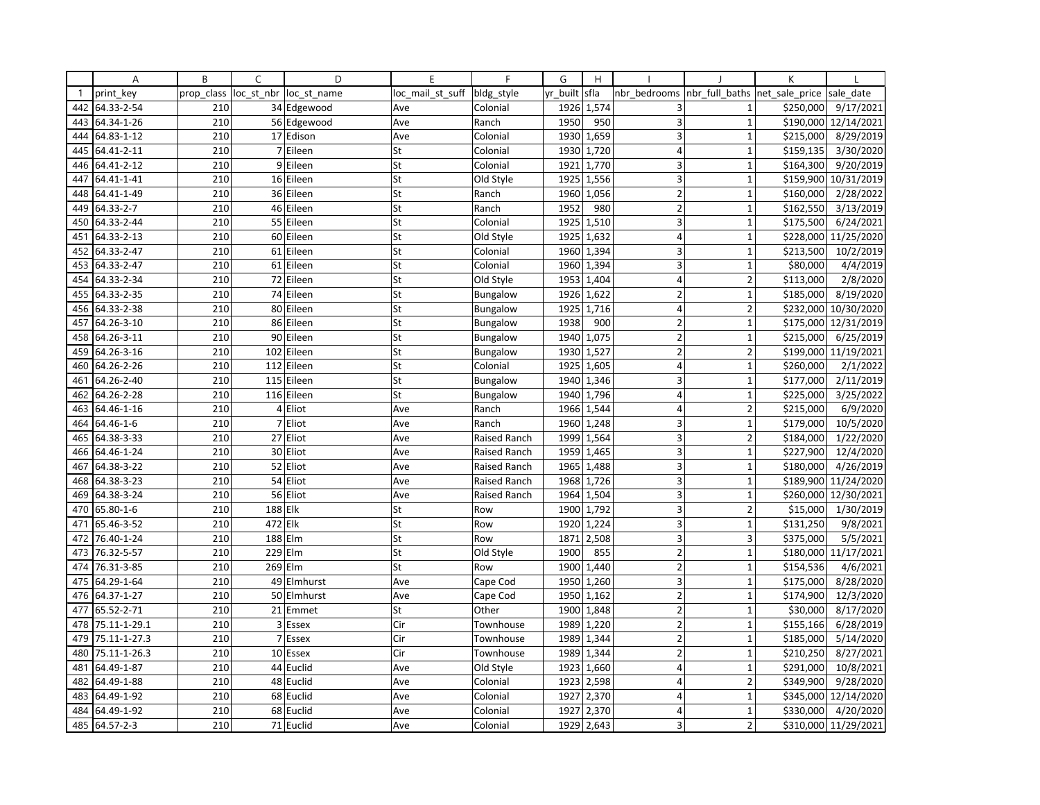|              | Α            | B          | C          | D           | E                | F               | G        | H          |                         |                          | К              |                      |
|--------------|--------------|------------|------------|-------------|------------------|-----------------|----------|------------|-------------------------|--------------------------|----------------|----------------------|
| $\mathbf{1}$ | print key    | prop class | loc_st_nbr | loc st name | loc mail st suff | bldg_style      | yr built | sfla       | nbr bedrooms            | nbr_full_baths           | net sale price | sale date            |
| 442          | 64.33-2-54   | 210        |            | 34 Edgewood | Ave              | Colonial        | 1926     | 1,574      | 3                       | $\mathbf{1}$             | \$250,000      | 9/17/2021            |
| 443          | 64.34-1-26   | 210        |            | 56 Edgewood | Ave              | Ranch           | 1950     | 950        | 3                       | $\mathbf{1}$             | \$190,000      | 12/14/2021           |
| 444          | 64.83-1-12   | 210        |            | 17 Edison   | Ave              | Colonial        | 1930     | 1,659      | 3                       | $\mathbf{1}$             | \$215,000      | 8/29/2019            |
| 445          | 64.41-2-11   | 210        |            | 7 Eileen    | St               | Colonial        |          | 1930 1,720 | $\overline{4}$          | $\mathbf{1}$             | \$159,135      | 3/30/2020            |
| 446          | 64.41-2-12   | 210        |            | 9 Eileen    | St               | Colonial        | 1921     | 1,770      | 3                       | $\overline{1}$           | \$164,300      | 9/20/2019            |
| 447          | 64.41-1-41   | 210        |            | 16 Eileen   | St               | Old Style       | 1925     | 1,556      | 3                       | $\mathbf{1}$             | \$159,900      | 10/31/2019           |
| 448          | 64.41-1-49   | 210        |            | 36 Eileen   | St               | Ranch           | 1960     | 1,056      | $\overline{2}$          | $\mathbf{1}$             | \$160,000      | 2/28/2022            |
| 449          | 64.33-2-7    | 210        |            | 46 Eileen   | St               | Ranch           | 1952     | 980        | $\overline{2}$          | $\mathbf{1}$             | \$162,550      | 3/13/2019            |
| 450          | 64.33-2-44   | 210        |            | 55 Eileen   | St               | Colonial        | 1925     | 1,510      | 3                       | $\mathbf{1}$             | \$175,500      | 6/24/2021            |
| 451          | 64.33-2-13   | 210        |            | 60 Eileen   | St               | Old Style       | 1925     | 1,632      | $\overline{4}$          | 1                        | \$228,000      | 11/25/2020           |
| 452          | 64.33-2-47   | 210        |            | 61 Eileen   | St               | Colonial        | 1960     | 1,394      | 3                       | $\mathbf{1}$             | \$213,500      | 10/2/2019            |
| 453          | 64.33-2-47   | 210        |            | 61 Eileen   | St               | Colonial        |          | 1960 1,394 | 3                       | $\mathbf{1}$             | \$80,000       | 4/4/2019             |
| 454          | 64.33-2-34   | 210        |            | 72 Eileen   | St               | Old Style       | 1953     | 1,404      | $\overline{4}$          | $\overline{2}$           | \$113,000      | 2/8/2020             |
| 455          | 64.33-2-35   | 210        |            | 74 Eileen   | St               | <b>Bungalow</b> | 1926     | 1,622      | $\overline{2}$          | $\mathbf{1}$             | \$185,000      | 8/19/2020            |
| 456          | 64.33-2-38   | 210        |            | 80 Eileen   | St               | Bungalow        | 1925     | 1,716      | $\overline{4}$          | $\overline{2}$           | \$232,000      | 10/30/2020           |
| 457          | 64.26-3-10   | 210        |            | 86 Eileen   | St               | Bungalow        | 1938     | 900        | $\overline{2}$          | $\mathbf{1}$             | \$175,000      | 12/31/2019           |
| 458          | 64.26-3-11   | 210        |            | 90 Eileen   | St               | Bungalow        | 1940     | 1,075      | $\overline{2}$          | $\mathbf{1}$             | \$215,000      | 6/25/2019            |
| 459          | 64.26-3-16   | 210        |            | 102 Eileen  | St               | Bungalow        | 1930     | 1,527      | $\overline{2}$          | $\overline{\phantom{a}}$ | \$199,000      | 11/19/2021           |
| 460          | 64.26-2-26   | 210        | 112        | Eileen      | St               | Colonial        | 1925     | 1,605      | $\overline{4}$          | $\mathbf{1}$             | \$260,000      | 2/1/2022             |
| 461          | 64.26-2-40   | 210        |            | 115 Eileen  | St               | Bungalow        | 1940     | 1,346      | 3                       | $\mathbf{1}$             | \$177,000      | 2/11/2019            |
| 462          | 64.26-2-28   | 210        |            | 116 Eileen  | St               | Bungalow        | 1940     | 1,796      | $\overline{4}$          | $\mathbf{1}$             | \$225,000      | 3/25/2022            |
| 463          | 64.46-1-16   | 210        |            | 4 Eliot     | Ave              | Ranch           | 1966     | 1,544      | $\overline{4}$          | $\overline{2}$           | \$215,000      | 6/9/2020             |
| 464          | 64.46-1-6    | 210        |            | 7 Eliot     | Ave              | Ranch           | 1960     | 1,248      | $\overline{3}$          | $\mathbf{1}$             | \$179,000      | 10/5/2020            |
| 465          | 64.38-3-33   | 210        |            | 27 Eliot    | Ave              | Raised Ranch    | 1999     | 1,564      | 3                       | $\overline{2}$           | \$184,000      | 1/22/2020            |
| 466          | 64.46-1-24   | 210        |            | 30 Eliot    | Ave              | Raised Ranch    | 1959     | 1,465      | $\overline{\mathbf{3}}$ | $\mathbf 1$              | \$227,900      | 12/4/2020            |
| 467          | 64.38-3-22   | 210        |            | 52 Eliot    | Ave              | Raised Ranch    | 1965     | 1,488      | 3                       | $\mathbf{1}$             | \$180,000      | 4/26/2019            |
| 468          | 64.38-3-23   | 210        |            | 54 Eliot    | Ave              | Raised Ranch    | 1968     | 1,726      | 3                       | $\mathbf{1}$             | \$189,900      | 11/24/2020           |
| 469          | 64.38-3-24   | 210        |            | 56 Eliot    | Ave              | Raised Ranch    | 1964     | 1,504      | 3                       | $\mathbf{1}$             | \$260,000      | 12/30/2021           |
| 470          | 65.80-1-6    | 210        | 188 Elk    |             | St               | Row             | 1900     | 1,792      | $\overline{\mathbf{3}}$ | $\overline{2}$           | \$15,000       | 1/30/2019            |
| 471          | 65.46-3-52   | 210        | 472 Elk    |             | St               | Row             | 1920     | 1,224      | 3                       | $\mathbf{1}$             | \$131,250      | 9/8/2021             |
| 472          | 76.40-1-24   | 210        |            | 188 Elm     | St               | Row             | 1871     | 2,508      | 3                       | $\overline{3}$           | \$375,000      | 5/5/2021             |
| 473          | 76.32-5-57   | 210        |            | 229 Elm     | St               | Old Style       | 1900     | 855        | $\overline{2}$          | $\mathbf{1}$             | \$180,000      | 11/17/2021           |
| 474          | 76.31-3-85   | 210        |            | 269 Elm     | St               | Row             |          | 1900 1,440 | $\overline{2}$          | $\mathbf{1}$             | \$154,536      | 4/6/2021             |
| 475          | 64.29-1-64   | 210        |            | 49 Elmhurst | Ave              | Cape Cod        | 1950     | 1,260      | $\overline{3}$          | $\overline{1}$           | \$175,000      | 8/28/2020            |
| 476          | 64.37-1-27   | 210        |            | 50 Elmhurst | Ave              | Cape Cod        | 1950     | 1,162      | $\overline{2}$          | $\mathbf{1}$             | \$174,900      | 12/3/2020            |
| 477          | 65.52-2-71   | 210        |            | 21 Emmet    | St               | Other           | 1900     | 1,848      | $\overline{2}$          | $\mathbf{1}$             | \$30,000       | 8/17/2020            |
| 478          | 75.11-1-29.1 | 210        |            | 3 Essex     | Cir              | Townhouse       | 1989     | 1,220      | $\overline{2}$          | $\mathbf{1}$             | \$155,166      | 6/28/2019            |
| 479          | 75.11-1-27.3 | 210        |            | 7 Essex     | Cir              | Townhouse       | 1989     | 1,344      | $\overline{2}$          | $\mathbf{1}$             | \$185,000      | 5/14/2020            |
| 480          | 75.11-1-26.3 | 210        |            | 10 Essex    | Cir              | Townhouse       | 1989     | 1,344      | $\overline{2}$          | $\overline{1}$           | \$210,250      | 8/27/2021            |
| 481          | 64.49-1-87   | 210        |            | 44 Euclid   | Ave              | Old Style       | 1923     | 1,660      | $\overline{4}$          | $\mathbf 1$              | \$291,000      | 10/8/2021            |
| 482          | 64.49-1-88   | 210        |            | 48 Euclid   | Ave              | Colonial        |          | 1923 2,598 | $\overline{4}$          | $\overline{2}$           | \$349,900      | 9/28/2020            |
| 483          | 64.49-1-92   | 210        |            | 68 Euclid   | Ave              | Colonial        | 1927     | 2,370      | $\overline{4}$          | $\mathbf{1}$             | \$345,000      | 12/14/2020           |
| 484          | 64.49-1-92   | 210        |            | 68 Euclid   | Ave              | Colonial        | 1927     | 2,370      | $\overline{4}$          | $\mathbf{1}$             | \$330,000      | 4/20/2020            |
| 485          | 64.57-2-3    | 210        |            | 71 Euclid   | Ave              | Colonial        | 1929     | 2,643      | 3                       | $\overline{2}$           |                | \$310,000 11/29/2021 |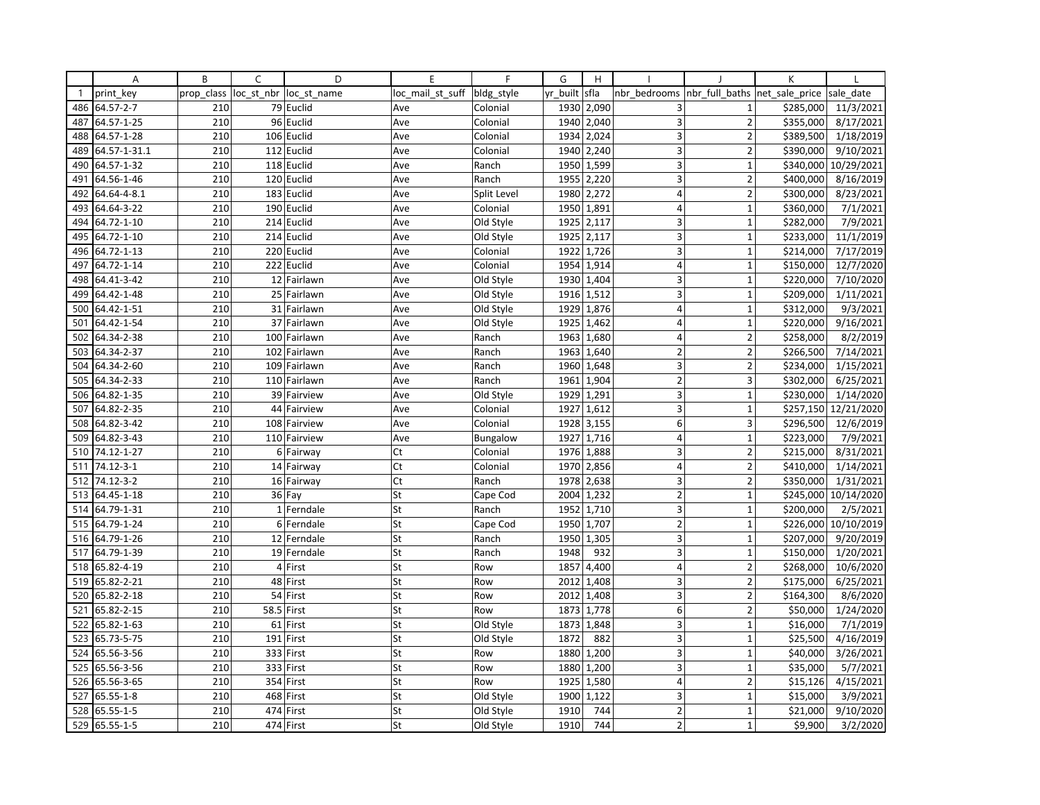|              | Α            | B          | C          | D            | E                | F           | G        | H          |                         |                          | К              |            |
|--------------|--------------|------------|------------|--------------|------------------|-------------|----------|------------|-------------------------|--------------------------|----------------|------------|
| $\mathbf{1}$ | print key    | prop class | loc st nbr | loc st name  | loc mail st suff | bldg_style  | yr built | sfla       | nbr bedrooms            | nbr full baths           | net sale price | sale date  |
| 486          | 64.57-2-7    | 210        |            | 79 Euclid    | Ave              | Colonial    | 1930     | 2,090      | 3                       | $\mathbf{1}$             | \$285,000      | 11/3/2021  |
| 487          | 64.57-1-25   | 210        |            | 96 Euclid    | Ave              | Colonial    | 1940     | 2,040      | 3                       | $\overline{2}$           | \$355,000      | 8/17/2021  |
| 488          | 64.57-1-28   | 210        |            | 106 Euclid   | Ave              | Colonial    | 1934     | 2,024      | 3                       | $\overline{2}$           | \$389,500      | 1/18/2019  |
| 489          | 64.57-1-31.1 | 210        |            | 112 Euclid   | Ave              | Colonial    |          | 1940 2,240 | 3                       | $\overline{2}$           | \$390,000      | 9/10/2021  |
| 490          | 64.57-1-32   | 210        |            | 118 Euclid   | Ave              | Ranch       | 1950     | 1,599      | 3                       | $\overline{1}$           | \$340,000      | 10/29/2021 |
| 491          | 64.56-1-46   | 210        |            | 120 Euclid   | Ave              | Ranch       | 1955     | 2,220      | 3                       | $\overline{2}$           | \$400,000      | 8/16/2019  |
| 492          | 64.64-4-8.1  | 210        |            | 183 Euclid   | Ave              | Split Level | 1980     | 2,272      | $\overline{4}$          | $\overline{2}$           | \$300,000      | 8/23/2021  |
| 493          | 64.64-3-22   | 210        |            | 190 Euclid   | Ave              | Colonial    | 1950     | 1,891      | $\overline{4}$          | $\mathbf{1}$             | \$360,000      | 7/1/2021   |
| 494          | 64.72-1-10   | 210        |            | 214 Euclid   | Ave              | Old Style   | 1925     | 2,117      | 3                       | $\mathbf{1}$             | \$282,000      | 7/9/2021   |
| 495          | 64.72-1-10   | 210        |            | 214 Euclid   | Ave              | Old Style   | 1925     | 2,117      | 3                       | 1                        | \$233,000      | 11/1/2019  |
| 496          | 64.72-1-13   | 210        |            | 220 Euclid   | Ave              | Colonial    | 1922     | 1,726      | 3                       | $\mathbf{1}$             | \$214,000      | 7/17/2019  |
| 497          | 64.72-1-14   | 210        |            | 222 Euclid   | Ave              | Colonial    |          | 1954 1,914 | $\overline{4}$          | $\mathbf{1}$             | \$150,000      | 12/7/2020  |
| 498          | 64.41-3-42   | 210        |            | 12 Fairlawn  | Ave              | Old Style   | 1930     | 1,404      | 3                       | 1                        | \$220,000      | 7/10/2020  |
| 499          | 64.42-1-48   | 210        |            | 25 Fairlawn  | Ave              | Old Style   | 1916     | 1,512      | 3                       | $\mathbf{1}$             | \$209,000      | 1/11/2021  |
| 500          | 64.42-1-51   | 210        |            | 31 Fairlawn  | Ave              | Old Style   | 1929     | 1,876      | $\overline{4}$          | $\mathbf{1}$             | \$312,000      | 9/3/2021   |
| 501          | 64.42-1-54   | 210        |            | 37 Fairlawn  | Ave              | Old Style   | 1925     | 1,462      | $\overline{4}$          | $\mathbf{1}$             | \$220,000      | 9/16/2021  |
| 502          | 64.34-2-38   | 210        |            | 100 Fairlawn | Ave              | Ranch       | 1963     | 1,680      | $\overline{4}$          | $\overline{2}$           | \$258,000      | 8/2/2019   |
| 503          | 64.34-2-37   | 210        |            | 102 Fairlawn | Ave              | Ranch       | 1963     | 1,640      | $\overline{2}$          | $\overline{\phantom{a}}$ | \$266,500      | 7/14/2021  |
| 504          | 64.34-2-60   | 210        |            | 109 Fairlawn | Ave              | Ranch       | 1960     | 1,648      | $\overline{\mathbf{3}}$ | $\overline{2}$           | \$234,000      | 1/15/2021  |
| 505          | 64.34-2-33   | 210        |            | 110 Fairlawn | Ave              | Ranch       | 1961     | 1,904      | $\overline{2}$          | 3                        | \$302,000      | 6/25/2021  |
| 506          | 64.82-1-35   | 210        |            | 39 Fairview  | Ave              | Old Style   | 1929     | 1,291      | 3 <sup>1</sup>          | $\mathbf{1}$             | \$230,000      | 1/14/2020  |
| 507          | 64.82-2-35   | 210        |            | 44 Fairview  | Ave              | Colonial    | 1927     | 1,612      | 3                       | $\mathbf 1$              | \$257,150      | 12/21/2020 |
| 508          | 64.82-3-42   | 210        |            | 108 Fairview | Ave              | Colonial    | 1928     | 3,155      | 6                       | $\overline{3}$           | \$296,500      | 12/6/2019  |
| 509          | 64.82-3-43   | 210        |            | 110 Fairview | Ave              | Bungalow    | 1927     | 1,716      | 4                       | $\mathbf 1$              | \$223,000      | 7/9/2021   |
| 510          | 74.12-1-27   | 210        |            | 6 Fairway    | Ct               | Colonial    | 1976     | 1,888      | $\overline{\mathbf{3}}$ | $\mathbf 2$              | \$215,000      | 8/31/2021  |
| 511          | 74.12-3-1    | 210        |            | 14 Fairway   | Ct               | Colonial    | 1970     | 2,856      | $\overline{4}$          | $\overline{2}$           | \$410,000      | 1/14/2021  |
| 512          | 74.12-3-2    | 210        |            | 16 Fairway   | Ct               | Ranch       | 1978     | 2,638      | 3                       | $\overline{2}$           | \$350,000      | 1/31/2021  |
| 513          | 64.45-1-18   | 210        |            | 36 Fay       | St               | Cape Cod    | 2004     | 1,232      | $\overline{2}$          | $\mathbf{1}$             | \$245,000      | 10/14/2020 |
| 514          | 64.79-1-31   | 210        |            | 1 Ferndale   | St               | Ranch       | 1952     | 1,710      | $\overline{\mathbf{3}}$ | $\mathbf{1}$             | \$200,000      | 2/5/2021   |
| 515          | 64.79-1-24   | 210        |            | 6 Ferndale   | St               | Cape Cod    | 1950     | 1,707      | $\overline{2}$          | $\mathbf{1}$             | \$226,000      | 10/10/2019 |
| 516          | 64.79-1-26   | 210        |            | 12 Ferndale  | St               | Ranch       | 1950     | 1,305      | 3                       | $\mathbf{1}$             | \$207,000      | 9/20/2019  |
| 517          | 64.79-1-39   | 210        |            | 19 Ferndale  | St               | Ranch       | 1948     | 932        | 3                       | $\mathbf{1}$             | \$150,000      | 1/20/2021  |
| 518          | 65.82-4-19   | 210        |            | 4 First      | St               | Row         | 1857     | 4,400      | $\overline{4}$          | $\overline{2}$           | \$268,000      | 10/6/2020  |
| 519          | 65.82-2-21   | 210        |            | 48 First     | St               | Row         | 2012     | 1,408      | $\overline{3}$          | $\overline{2}$           | \$175,000      | 6/25/2021  |
| 520          | 65.82-2-18   | 210        |            | 54 First     | St               | Row         | 2012     | 1,408      | 3                       | $\overline{2}$           | \$164,300      | 8/6/2020   |
| 521          | 65.82-2-15   | 210        |            | 58.5 First   | St               | Row         | 1873     | 1,778      | 6                       | $\overline{2}$           | \$50,000       | 1/24/2020  |
| 522          | 65.82-1-63   | 210        |            | 61 First     | St               | Old Style   | 1873     | 1,848      | 3                       | $\mathbf{1}$             | \$16,000       | 7/1/2019   |
| 523          | 65.73-5-75   | 210        |            | 191 First    | St               | Old Style   | 1872     | 882        | 3                       | $\mathbf{1}$             | \$25,500       | 4/16/2019  |
| 524          | 65.56-3-56   | 210        |            | 333 First    | St               | Row         | 1880     | 1,200      | 3                       | 1                        | \$40,000       | 3/26/2021  |
| 525          | 65.56-3-56   | 210        |            | 333 First    | St               | Row         | 1880     | 1,200      | 3                       | $\mathbf 1$              | \$35,000       | 5/7/2021   |
| 526          | 65.56-3-65   | 210        |            | 354 First    | St               | Row         |          | 1925 1,580 | $\overline{4}$          | $\overline{2}$           | \$15,126       | 4/15/2021  |
| 527          | 65.55-1-8    | 210        |            | 468 First    | St               | Old Style   | 1900     | 1,122      | 3                       | $\mathbf{1}$             | \$15,000       | 3/9/2021   |
| 528          | 65.55-1-5    | 210        |            | 474 First    | St               | Old Style   | 1910     | 744        | $\overline{2}$          | $\mathbf{1}$             | \$21,000       | 9/10/2020  |
| 529          | 65.55-1-5    | 210        |            | 474 First    | St               | Old Style   | 1910     | 744        | $\overline{2}$          | 1                        | \$9,900        | 3/2/2020   |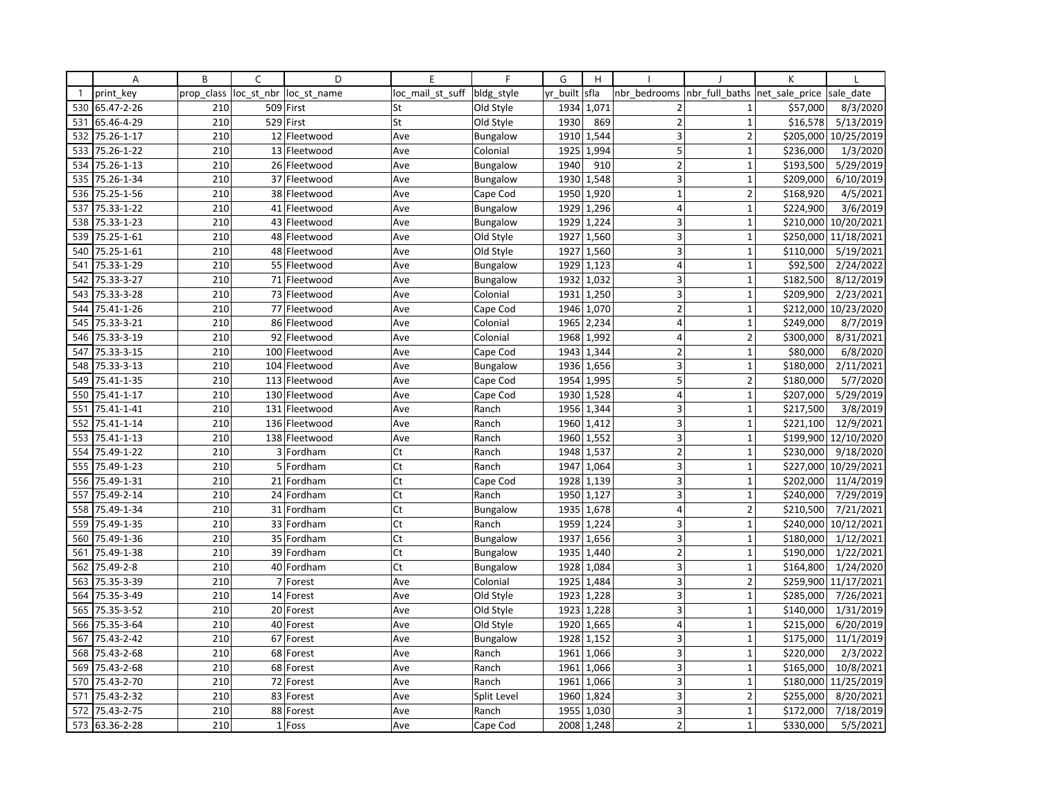|              | A          | B          | $\mathsf{C}$ | D                      | E                | F               | G        | H          |                         |                               | K         |                      |
|--------------|------------|------------|--------------|------------------------|------------------|-----------------|----------|------------|-------------------------|-------------------------------|-----------|----------------------|
| $\mathbf{1}$ | print key  | prop class |              | loc st nbr loc st name | loc_mail_st_suff | bldg_style      | yr built | sfla       | nbr bedrooms            | nbr full baths net sale price |           | sale date            |
| 530          | 65.47-2-26 | 210        |              | 509 First              | St               | Old Style       | 1934     | 1,071      | $\overline{2}$          | $\mathbf{1}$                  | \$57,000  | 8/3/2020             |
| 531          | 65.46-4-29 | 210        |              | 529 First              | St               | Old Style       | 1930     | 869        | $\overline{2}$          | $\mathbf{1}$                  | \$16,578  | 5/13/2019            |
| 532          | 75.26-1-17 | 210        |              | 12 Fleetwood           | Ave              | <b>Bungalow</b> | 1910     | 1,544      | 3                       | $\overline{2}$                | \$205,000 | 10/25/2019           |
| 533          | 75.26-1-22 | 210        |              | 13 Fleetwood           | Ave              | Colonial        | 1925     | 1,994      | 5                       | $\mathbf{1}$                  | \$236,000 | 1/3/2020             |
| 534          | 75.26-1-13 | 210        |              | 26 Fleetwood           | Ave              | <b>Bungalow</b> | 1940     | 910        | $\overline{2}$          | $\overline{1}$                | \$193,500 | 5/29/2019            |
| 535          | 75.26-1-34 | 210        |              | 37 Fleetwood           | Ave              | <b>Bungalow</b> | 1930     | 1,548      | 3                       | $\mathbf 1$                   | \$209,000 | 6/10/2019            |
| 536          | 75.25-1-56 | 210        |              | 38 Fleetwood           | Ave              | Cape Cod        | 1950     | 1,920      | $\mathbf{1}$            | $\overline{2}$                | \$168,920 | $\frac{1}{4}/5/2021$ |
| 537          | 75.33-1-22 | 210        |              | 41 Fleetwood           | Ave              | <b>Bungalow</b> | 1929     | 1,296      | $\overline{\mathbf{4}}$ | $\overline{1}$                | \$224,900 | 3/6/2019             |
| 538          | 75.33-1-23 | 210        |              | 43 Fleetwood           | Ave              | <b>Bungalow</b> | 1929     | 1,224      | 3                       | $\mathbf{1}$                  | \$210,000 | 10/20/2021           |
| 539          | 75.25-1-61 | 210        |              | 48 Fleetwood           | Ave              | Old Style       | 1927     | 1,560      | 3                       | $\mathbf{1}$                  | \$250,000 | 11/18/2021           |
| 540          | 75.25-1-61 | 210        |              | 48 Fleetwood           | Ave              | Old Style       | 1927     | 1,560      | 3                       | $\mathbf{1}$                  | \$110,000 | 5/19/2021            |
| 541          | 75.33-1-29 | 210        |              | 55 Fleetwood           | Ave              | <b>Bungalow</b> | 1929     | 1,123      | $\overline{4}$          | $\mathbf{1}$                  | \$92,500  | 2/24/2022            |
| 542          | 75.33-3-27 | 210        |              | 71 Fleetwood           | Ave              | <b>Bungalow</b> | 1932     | 1,032      | 3                       | $\mathbf{1}$                  | \$182,500 | 8/12/2019            |
| 543          | 75.33-3-28 | 210        |              | 73 Fleetwood           | Ave              | Colonial        | 1931     | 1,250      | 3                       | $\mathbf{1}$                  | \$209,900 | 2/23/2021            |
| 544          | 75.41-1-26 | 210        |              | 77 Fleetwood           | Ave              | Cape Cod        | 1946     | 1,070      | $\overline{2}$          | $\mathbf{1}$                  | \$212,000 | 10/23/2020           |
| 545          | 75.33-3-21 | 210        |              | 86 Fleetwood           | Ave              | Colonial        | 1965     | 2,234      | $\overline{4}$          | $\mathbf{1}$                  | \$249,000 | 8/7/2019             |
| 546          | 75.33-3-19 | 210        |              | 92 Fleetwood           | Ave              | Colonial        | 1968     | 1,992      | 4                       | $\overline{2}$                | \$300,000 | 8/31/2021            |
| 547          | 75.33-3-15 | 210        |              | 100 Fleetwood          | Ave              | Cape Cod        | 1943     | 1,344      | $\overline{2}$          | $\mathbf{1}$                  | \$80,000  | 6/8/2020             |
| 548          | 75.33-3-13 | 210        |              | 104 Fleetwood          | Ave              | Bungalow        | 1936     | 1,656      | 3                       | $\overline{1}$                | \$180,000 | 2/11/2021            |
| 549          | 75.41-1-35 | 210        |              | 113 Fleetwood          | Ave              | Cape Cod        |          | 1954 1,995 | 5                       | $\overline{2}$                | \$180,000 | 5/7/2020             |
| 550          | 75.41-1-17 | 210        |              | 130 Fleetwood          | Ave              | Cape Cod        | 1930     | 1,528      | $\overline{4}$          | $\mathbf{1}$                  | \$207,000 | 5/29/2019            |
| 551          | 75.41-1-41 | 210        |              | 131 Fleetwood          | Ave              | Ranch           | 1956     | 1,344      | 3                       | $\mathbf{1}$                  | \$217,500 | 3/8/2019             |
| 552          | 75.41-1-14 | 210        |              | 136 Fleetwood          | Ave              | Ranch           | 1960     | 1,412      | 3                       | $\mathbf{1}$                  | \$221,100 | 12/9/2021            |
| 553          | 75.41-1-13 | 210        |              | 138 Fleetwood          | Ave              | Ranch           | 1960     | 1,552      | 3                       | $\mathbf{1}$                  | \$199,900 | 12/10/2020           |
| 554          | 75.49-1-22 | 210        |              | 3 Fordham              | Ct               | Ranch           | 1948     | 1,537      | $\overline{2}$          | $\mathbf{1}$                  | \$230,000 | 9/18/2020            |
| 555          | 75.49-1-23 | 210        |              | 5 Fordham              | Ct               | Ranch           | 1947     | 1,064      | 3                       | $\overline{1}$                | \$227,000 | 10/29/2021           |
| 556          | 75.49-1-31 | 210        |              | 21 Fordham             | Ct               | Cape Cod        | 1928     | 1,139      | 3                       | $\overline{1}$                | \$202,000 | 11/4/2019            |
| 557          | 75.49-2-14 | 210        |              | 24 Fordham             | Ct               | Ranch           | 1950     | 1,127      | 3                       | $\mathbf{1}$                  | \$240,000 | 7/29/2019            |
| 558          | 75.49-1-34 | 210        |              | 31 Fordham             | Ct               | Bungalow        | 1935     | 1,678      | $\overline{4}$          | $\overline{2}$                | \$210,500 | 7/21/2021            |
| 559          | 75.49-1-35 | 210        |              | 33 Fordham             | Ct               | Ranch           | 1959     | 1,224      | 3                       | $\mathbf 1$                   | \$240,000 | 10/12/2021           |
| 560          | 75.49-1-36 | 210        |              | 35 Fordham             | Ct               | <b>Bungalow</b> | 1937     | 1,656      | 3                       | $\mathbf{1}$                  | \$180,000 | 1/12/2021            |
| 561          | 75.49-1-38 | 210        |              | 39 Fordham             | Ct               | <b>Bungalow</b> | 1935     | 1,440      | $\overline{2}$          | $\mathbf{1}$                  | \$190,000 | 1/22/2021            |
| 562          | 75.49-2-8  | 210        |              | 40 Fordham             | Ct               | <b>Bungalow</b> | 1928     | 1,084      | 3                       | $\mathbf{1}$                  | \$164,800 | 1/24/2020            |
| 563          | 75.35-3-39 | 210        |              | 7 Forest               | Ave              | Colonial        | 1925     | 1,484      | $\overline{3}$          | $\overline{2}$                | \$259,900 | 11/17/2021           |
| 564          | 75.35-3-49 | 210        |              | 14 Forest              | Ave              | Old Style       | 1923     | 1,228      | $\overline{3}$          | $\mathbf{1}$                  | \$285,000 | 7/26/2021            |
| 565          | 75.35-3-52 | 210        |              | 20 Forest              | Ave              | Old Style       | 1923     | 1,228      | 3                       | $\mathbf{1}$                  | \$140,000 | 1/31/2019            |
| 566          | 75.35-3-64 | 210        |              | 40 Forest              | Ave              | Old Style       | 1920     | 1,665      | $\overline{4}$          | $\mathbf{1}$                  | \$215,000 | 6/20/2019            |
| 567          | 75.43-2-42 | 210        |              | 67 Forest              | Ave              | <b>Bungalow</b> | 1928     | 1,152      | 3                       | $\mathbf{1}$                  | \$175,000 | 11/1/2019            |
| 568          | 75.43-2-68 | 210        |              | 68 Forest              | Ave              | Ranch           | 1961     | 1,066      | $\overline{3}$          | $\overline{1}$                | \$220,000 | 2/3/2022             |
| 569          | 75.43-2-68 | 210        |              | 68 Forest              | Ave              | Ranch           | 1961     | 1,066      | 3                       | $\mathbf{1}$                  | \$165,000 | 10/8/2021            |
| 570          | 75.43-2-70 | 210        |              | 72 Forest              | Ave              | Ranch           | 1961     | 1,066      | 3                       | $\mathbf 1$                   | \$180,000 | 11/25/2019           |
| 571          | 75.43-2-32 | 210        |              | 83 Forest              | Ave              | Split Level     | 1960     | 1,824      | 3                       | $\overline{2}$                | \$255,000 | 8/20/2021            |
| 572          | 75.43-2-75 | 210        |              | 88 Forest              | Ave              | Ranch           | 1955     | 1,030      | 3                       | $\mathbf{1}$                  | \$172,000 | 7/18/2019            |
| 573          | 63.36-2-28 | 210        |              | 1 Foss                 | Ave              | Cape Cod        | 2008     | 1,248      | $\overline{2}$          | $\mathbf{1}$                  | \$330,000 | 5/5/2021             |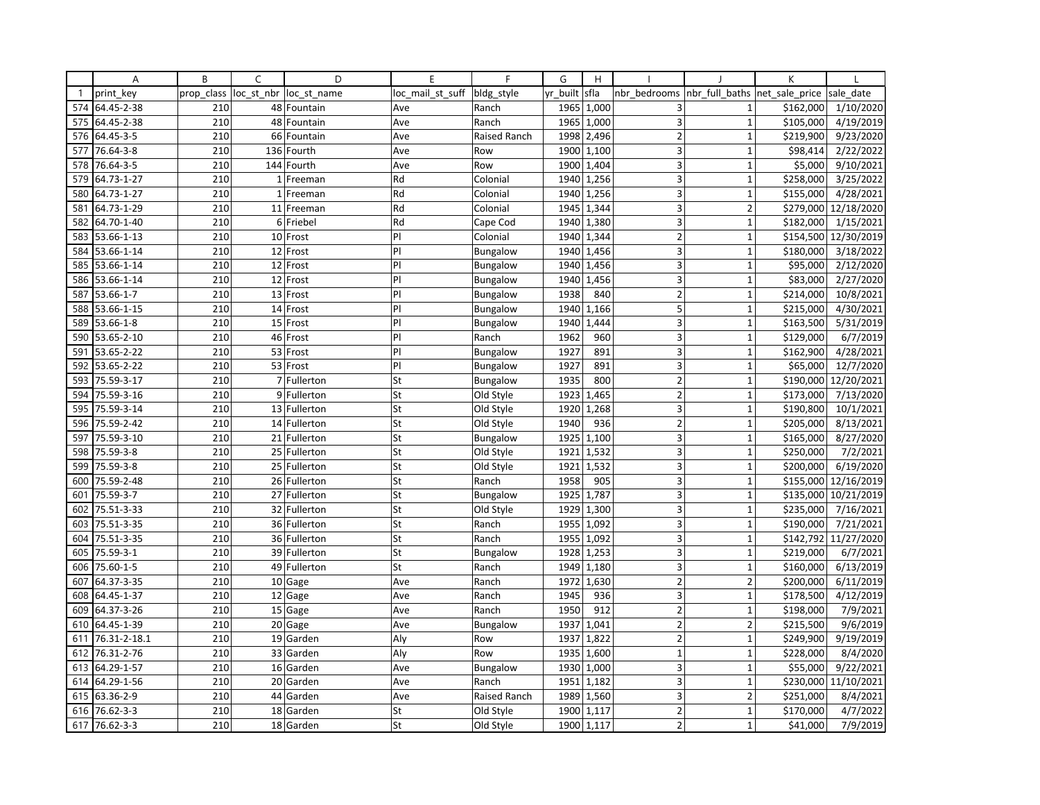|              | Α            | B          | C          | D            | E                | F               | G        | H     |                         |                | K              |            |
|--------------|--------------|------------|------------|--------------|------------------|-----------------|----------|-------|-------------------------|----------------|----------------|------------|
| $\mathbf{1}$ | print key    | prop_class | loc_st_nbr | loc st name  | loc_mail_st_suff | bldg style      | yr built | sfla  | nbr bedrooms            | nbr full baths | net sale price | sale date  |
| 574          | 64.45-2-38   | 210        |            | 48 Fountain  | Ave              | Ranch           | 1965     | 1,000 | 3                       | $\mathbf{1}$   | \$162,000      | 1/10/2020  |
| 575          | 64.45-2-38   | 210        | 48         | Fountain     | Ave              | Ranch           | 1965     | 1,000 | 3                       | $\mathbf{1}$   | \$105,000      | 4/19/2019  |
| 576          | 64.45-3-5    | 210        |            | 66 Fountain  | Ave              | Raised Ranch    | 1998     | 2,496 | $\overline{2}$          | $\mathbf{1}$   | \$219,900      | 9/23/2020  |
| 577          | 76.64-3-8    | 210        |            | 136 Fourth   | Ave              | Row             | 1900     | 1,100 | 3                       | $\mathbf 1$    | \$98,414       | 2/22/2022  |
| 578          | 76.64-3-5    | 210        |            | 144 Fourth   | Ave              | Row             | 1900     | 1,404 | 3                       | $\mathbf{1}$   | \$5,000        | 9/10/2021  |
| 579          | 64.73-1-27   | 210        |            | 1 Freeman    | Rd               | Colonial        | 1940     | 1,256 | $\overline{3}$          | $\mathbf{1}$   | \$258,000      | 3/25/2022  |
| 580          | 64.73-1-27   | 210        |            | 1 Freeman    | Rd               | Colonial        | 1940     | 1,256 | $\overline{3}$          | $\mathbf{1}$   | \$155,000      | 4/28/2021  |
| 581          | 64.73-1-29   | 210        |            | 11 Freeman   | Rd               | Colonial        | 1945     | 1,344 | 3                       | $\overline{2}$ | \$279,000      | 12/18/2020 |
| 582          | 64.70-1-40   | 210        |            | 6 Friebel    | Rd               | Cape Cod        | 1940     | 1,380 | 3                       | $\mathbf{1}$   | \$182,000      | 1/15/2021  |
| 583          | 53.66-1-13   | 210        |            | 10 Frost     | PI               | Colonial        | 1940     | 1,344 | $\overline{2}$          | 1              | \$154,500      | 12/30/2019 |
| 584          | 53.66-1-14   | 210        |            | 12 Frost     | PI               | Bungalow        | 1940     | 1,456 | 3                       | $\mathbf{1}$   | \$180,000      | 3/18/2022  |
| 585          | 53.66-1-14   | 210        |            | 12 Frost     | PI               | Bungalow        | 1940     | 1,456 | 3                       | $\mathbf{1}$   | \$95,000       | 2/12/2020  |
| 586          | 53.66-1-14   | 210        |            | 12 Frost     | PI               | Bungalow        | 1940     | 1,456 | $\overline{\mathbf{3}}$ | $\mathbf{1}$   | \$83,000       | 2/27/2020  |
| 587          | 53.66-1-7    | 210        |            | 13 Frost     | PI               | Bungalow        | 1938     | 840   | $\overline{2}$          | $\mathbf{1}$   | \$214,000      | 10/8/2021  |
| 588          | 53.66-1-15   | 210        |            | 14 Frost     | PI               | Bungalow        | 1940     | 1,166 | 5                       | $\overline{1}$ | \$215,000      | 4/30/2021  |
| 589          | 53.66-1-8    | 210        |            | 15 Frost     | PI               | Bungalow        | 1940     | 1,444 | 3                       | $\mathbf{1}$   | \$163,500      | 5/31/2019  |
| 590          | 53.65-2-10   | 210        |            | 46 Frost     | PI               | Ranch           | 1962     | 960   | $\overline{\mathbf{3}}$ | $\mathbf{1}$   | \$129,000      | 6/7/2019   |
| 591          | 53.65-2-22   | 210        |            | 53 Frost     | PI               | Bungalow        | 1927     | 891   | 3                       | $\overline{1}$ | \$162,900      | 4/28/2021  |
| 592          | 53.65-2-22   | 210        |            | 53 Frost     | PI               | Bungalow        | 1927     | 891   | 3                       | $\mathbf{1}$   | \$65,000       | 12/7/2020  |
| 593          | 75.59-3-17   | 210        |            | 7 Fullerton  | St               | Bungalow        | 1935     | 800   | $\overline{2}$          | $\mathbf{1}$   | \$190,000      | 12/20/2021 |
| 594          | 75.59-3-16   | 210        |            | 9 Fullerton  | St               | Old Style       | 1923     | 1,465 | 2                       | $\mathbf{1}$   | \$173,000      | 7/13/2020  |
| 595          | 75.59-3-14   | 210        |            | 13 Fullerton | St               | Old Style       | 1920     | 1,268 | 3                       | $\mathbf{1}$   | \$190,800      | 10/1/2021  |
| 596          | 75.59-2-42   | 210        |            | 14 Fullerton | St               | Old Style       | 1940     | 936   | $\overline{2}$          | $\mathbf{1}$   | \$205,000      | 8/13/2021  |
| 597          | 75.59-3-10   | 210        |            | 21 Fullerton | St               | Bungalow        | 1925     | 1,100 | 3                       | $\mathbf{1}$   | \$165,000      | 8/27/2020  |
| 598          | 75.59-3-8    | 210        |            | 25 Fullerton | St               | Old Style       | 1921     | 1,532 | 3                       | $\mathbf{1}$   | \$250,000      | 7/2/2021   |
| 599          | 75.59-3-8    | 210        |            | 25 Fullerton | St               | Old Style       | 1921     | 1,532 | $\overline{3}$          | $\overline{1}$ | \$200,000      | 6/19/2020  |
| 600          | 75.59-2-48   | 210        |            | 26 Fullerton | St               | Ranch           | 1958     | 905   | 3                       | $\mathbf{1}$   | \$155,000      | 12/16/2019 |
| 601          | 75.59-3-7    | 210        |            | 27 Fullerton | St               | Bungalow        | 1925     | 1,787 | 3                       | $\overline{1}$ | \$135,000      | 10/21/2019 |
| 602          | 75.51-3-33   | 210        |            | 32 Fullerton | St               | Old Style       | 1929     | 1,300 | 3                       | $\mathbf{1}$   | \$235,000      | 7/16/2021  |
| 603          | 75.51-3-35   | 210        |            | 36 Fullerton | St               | Ranch           | 1955     | 1,092 | 3                       | $\overline{1}$ | \$190,000      | 7/21/2021  |
| 604          | 75.51-3-35   | 210        |            | 36 Fullerton | St               | Ranch           | 1955     | 1,092 | 3                       | 1              | \$142,792      | 11/27/2020 |
| 605          | 75.59-3-1    | 210        |            | 39 Fullerton | St               | <b>Bungalow</b> | 1928     | 1,253 | 3                       | $\mathbf{1}$   | \$219,000      | 6/7/2021   |
| 606          | 75.60-1-5    | 210        |            | 49 Fullerton | St               | Ranch           | 1949     | 1,180 | 3                       | $\mathbf{1}$   | \$160,000      | 6/13/2019  |
| 607          | 64.37-3-35   | 210        |            | 10 Gage      | Ave              | Ranch           | 1972     | 1,630 | $\overline{2}$          | $\overline{2}$ | \$200,000      | 6/11/2019  |
| 608          | 64.45-1-37   | 210        |            | 12 Gage      | Ave              | Ranch           | 1945     | 936   | 3                       | $\mathbf{1}$   | \$178,500      | 4/12/2019  |
| 609          | 64.37-3-26   | 210        |            | 15 Gage      | Ave              | Ranch           | 1950     | 912   | $\overline{2}$          | 1              | \$198,000      | 7/9/2021   |
| 610          | 64.45-1-39   | 210        |            | 20 Gage      | Ave              | Bungalow        | 1937     | 1,041 | $\overline{2}$          | $\overline{2}$ | \$215,500      | 9/6/2019   |
| 611          | 76.31-2-18.1 | 210        |            | 19 Garden    | Aly              | Row             | 1937     | 1,822 | $\overline{2}$          | $\mathbf{1}$   | \$249,900      | 9/19/2019  |
| 612          | 76.31-2-76   | 210        |            | 33 Garden    | Aly              | Row             | 1935     | 1,600 | $\mathbf{1}$            | $\overline{1}$ | \$228,000      | 8/4/2020   |
| 613          | 64.29-1-57   | 210        |            | 16 Garden    | Ave              | <b>Bungalow</b> | 1930     | 1,000 | 3                       | $\mathbf{1}$   | \$55,000       | 9/22/2021  |
| 614          | 64.29-1-56   | 210        |            | 20 Garden    | Ave              | Ranch           | 1951     | 1,182 | 3                       | $\mathbf 1$    | \$230,000      | 11/10/2021 |
| 615          | 63.36-2-9    | 210        |            | 44 Garden    | Ave              | Raised Ranch    | 1989     | 1,560 | $\overline{\mathbf{3}}$ | $\overline{2}$ | \$251,000      | 8/4/2021   |
| 616          | 76.62-3-3    | 210        |            | 18 Garden    | St               | Old Style       | 1900     | 1,117 | $\overline{2}$          | $\mathbf 1$    | \$170,000      | 4/7/2022   |
| 617          | 76.62-3-3    | 210        |            | 18 Garden    | St               | Old Style       | 1900     | 1,117 | $\overline{2}$          | $\mathbf{1}$   | \$41,000       | 7/9/2019   |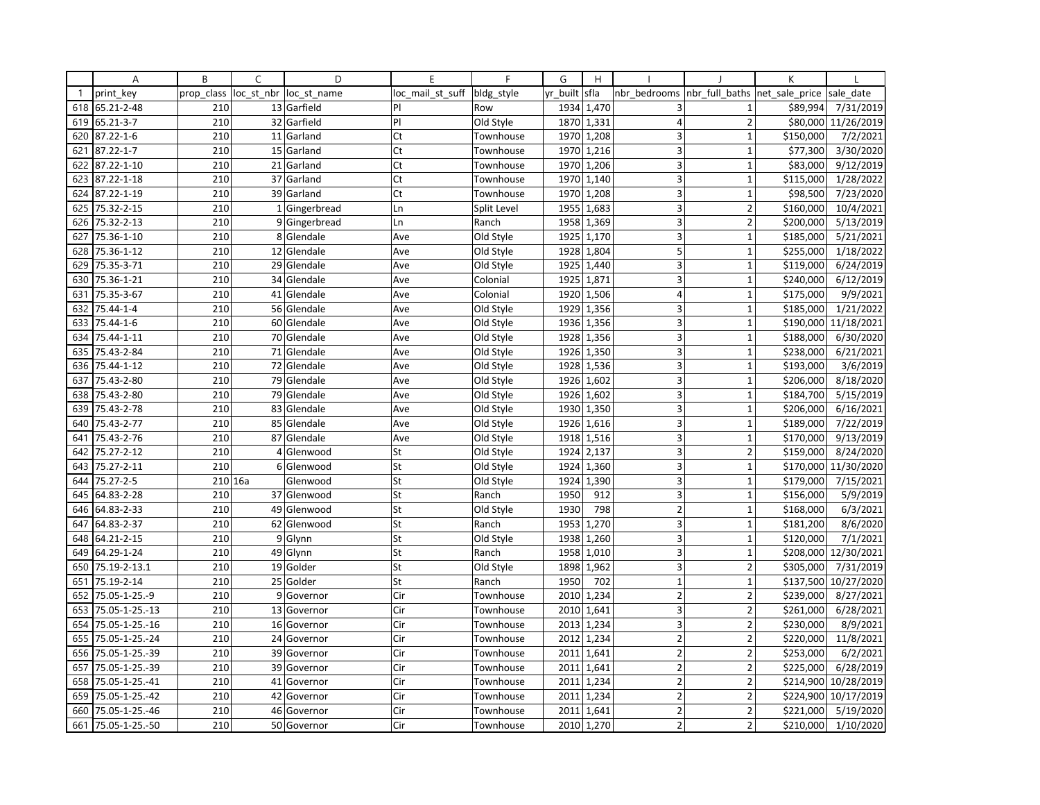|                                        | Α                                                                                                                                            | B                                      | C       | D                                                                                                     | E                                      | F                                                                                                    | G                                    | H                                                                              |                                                                                                               |                                                                                                          | K                                                                                                    |                                                                                                      |
|----------------------------------------|----------------------------------------------------------------------------------------------------------------------------------------------|----------------------------------------|---------|-------------------------------------------------------------------------------------------------------|----------------------------------------|------------------------------------------------------------------------------------------------------|--------------------------------------|--------------------------------------------------------------------------------|---------------------------------------------------------------------------------------------------------------|----------------------------------------------------------------------------------------------------------|------------------------------------------------------------------------------------------------------|------------------------------------------------------------------------------------------------------|
| $\mathbf{1}$                           | print key                                                                                                                                    | prop_class                             |         | loc_st_nbr  loc_st_name                                                                               | loc mail st suff                       | bldg style                                                                                           | yr_built                             | sfla                                                                           | nbr bedrooms                                                                                                  | nbr_full_baths  net_sale_price                                                                           |                                                                                                      | sale date                                                                                            |
| 618                                    | 65.21-2-48                                                                                                                                   | 210                                    |         | 13 Garfield                                                                                           | PI                                     | Row                                                                                                  |                                      | 1934 1,470                                                                     | 3                                                                                                             | $\mathbf{1}$                                                                                             | \$89,994                                                                                             | 7/31/2019                                                                                            |
| 619                                    | 65.21-3-7                                                                                                                                    | 210                                    |         | 32 Garfield                                                                                           | PI                                     | Old Style                                                                                            |                                      | 1870 1,331                                                                     | $\overline{4}$                                                                                                | $\overline{2}$                                                                                           | \$80,000                                                                                             | 11/26/2019                                                                                           |
| 620                                    | 87.22-1-6                                                                                                                                    | 210                                    |         | 11 Garland                                                                                            | Ct                                     | Townhouse                                                                                            | 1970                                 | 1,208                                                                          | 3                                                                                                             | $\mathbf{1}$                                                                                             | \$150,000                                                                                            | 7/2/2021                                                                                             |
| 621                                    | 87.22-1-7                                                                                                                                    | 210                                    |         | 15 Garland                                                                                            | Ct                                     | Townhouse                                                                                            |                                      | 1970 1,216                                                                     | 3                                                                                                             | $\mathbf{1}$                                                                                             | \$77,300                                                                                             | 3/30/2020                                                                                            |
| 622                                    | 87.22-1-10                                                                                                                                   | 210                                    |         | 21 Garland                                                                                            | Ct                                     | Townhouse                                                                                            |                                      | 1970 1,206                                                                     | 3                                                                                                             | $\overline{1}$                                                                                           | \$83,000                                                                                             | 9/12/2019                                                                                            |
| 623                                    | 87.22-1-18                                                                                                                                   | 210                                    |         | 37 Garland                                                                                            | Ct                                     | Townhouse                                                                                            | 1970                                 | 1,140                                                                          | 3                                                                                                             | $\overline{1}$                                                                                           | \$115,000                                                                                            | 1/28/2022                                                                                            |
| 624                                    | 87.22-1-19                                                                                                                                   | 210                                    |         | 39 Garland                                                                                            | Ct                                     | Townhouse                                                                                            | 1970                                 | 1,208                                                                          | 3                                                                                                             | $\mathbf{1}$                                                                                             | \$98,500                                                                                             | 7/23/2020                                                                                            |
| 625                                    | 75.32-2-15                                                                                                                                   | 210                                    |         | 1 Gingerbread                                                                                         | Ln                                     | Split Level                                                                                          | 1955                                 | 1,683                                                                          | 3                                                                                                             | $\overline{2}$                                                                                           | \$160,000                                                                                            | 10/4/2021                                                                                            |
| 626                                    | 75.32-2-13                                                                                                                                   | 210                                    |         | 9 Gingerbread                                                                                         | Ln                                     | Ranch                                                                                                | 1958                                 | 1,369                                                                          | 3                                                                                                             | $\overline{2}$                                                                                           | \$200,000                                                                                            | 5/13/2019                                                                                            |
| 627                                    | 75.36-1-10                                                                                                                                   | 210                                    |         | 8 Glendale                                                                                            | Ave                                    | Old Style                                                                                            | 1925                                 | 1,170                                                                          | 3                                                                                                             | $\overline{1}$                                                                                           | \$185,000                                                                                            | 5/21/2021                                                                                            |
| 628                                    | 75.36-1-12                                                                                                                                   | 210                                    |         | 12 Glendale                                                                                           | Ave                                    | Old Style                                                                                            | 1928                                 | 1,804                                                                          | 5                                                                                                             | $\mathbf{1}$                                                                                             | \$255,000                                                                                            | 1/18/2022                                                                                            |
| 629                                    | 75.35-3-71                                                                                                                                   | 210                                    |         | 29 Glendale                                                                                           | Ave                                    | Old Style                                                                                            |                                      | 1925 1,440                                                                     | 3                                                                                                             | $\mathbf{1}$                                                                                             | \$119,000                                                                                            | 6/24/2019                                                                                            |
| 630                                    | 75.36-1-21                                                                                                                                   | 210                                    |         | 34 Glendale                                                                                           | Ave                                    | Colonial                                                                                             | 1925                                 | 1,871                                                                          | 3                                                                                                             | $\mathbf{1}$                                                                                             | \$240,000                                                                                            | 6/12/2019                                                                                            |
| 631                                    | 75.35-3-67                                                                                                                                   | 210                                    |         | 41 Glendale                                                                                           | Ave                                    | Colonial                                                                                             | 1920                                 | 1,506                                                                          | 4                                                                                                             | $\mathbf{1}$                                                                                             | \$175,000                                                                                            | 9/9/2021                                                                                             |
| 632                                    | 75.44-1-4                                                                                                                                    | 210                                    |         | 56 Glendale                                                                                           | Ave                                    | Old Style                                                                                            | 1929                                 | 1,356                                                                          | 3                                                                                                             | $\overline{1}$                                                                                           | \$185,000                                                                                            | 1/21/2022                                                                                            |
| 633                                    | 75.44-1-6                                                                                                                                    | 210                                    |         | 60 Glendale                                                                                           | Ave                                    | Old Style                                                                                            | 1936                                 | 1,356                                                                          | 3                                                                                                             | $\mathbf{1}$                                                                                             | \$190,000                                                                                            | 11/18/2021                                                                                           |
| 634                                    | 75.44-1-11                                                                                                                                   | 210                                    |         | 70 Glendale                                                                                           | Ave                                    | Old Style                                                                                            | 1928                                 | 1,356                                                                          | 3                                                                                                             | $\overline{1}$                                                                                           | \$188,000                                                                                            | 6/30/2020                                                                                            |
| 635                                    | 75.43-2-84                                                                                                                                   | 210                                    |         | 71 Glendale                                                                                           | Ave                                    | Old Style                                                                                            | 1926                                 | 1,350                                                                          | $\overline{3}$                                                                                                | $\overline{1}$                                                                                           | \$238,000                                                                                            | 6/21/2021                                                                                            |
| 636                                    | 75.44-1-12                                                                                                                                   | 210                                    |         | 72 Glendale                                                                                           | Ave                                    | Old Style                                                                                            | 1928                                 | 1,536                                                                          | $\overline{\mathbf{3}}$                                                                                       | $\mathbf{1}$                                                                                             | \$193,000                                                                                            | 3/6/2019                                                                                             |
| 637                                    | 75.43-2-80                                                                                                                                   | 210                                    |         | 79 Glendale                                                                                           | Ave                                    | Old Style                                                                                            |                                      | 1926 1,602                                                                     | 3                                                                                                             | $\mathbf 1$                                                                                              | \$206,000                                                                                            | 8/18/2020                                                                                            |
| 638                                    | 75.43-2-80                                                                                                                                   | 210                                    |         | 79 Glendale                                                                                           | Ave                                    | Old Style                                                                                            | 1926                                 | 1,602                                                                          | $\overline{3}$                                                                                                | $\mathbf{1}$                                                                                             | \$184,700                                                                                            | 5/15/2019                                                                                            |
| 639                                    | 75.43-2-78                                                                                                                                   | 210                                    |         | 83 Glendale                                                                                           | Ave                                    | Old Style                                                                                            | 1930                                 | 1,350                                                                          | 3                                                                                                             | $\mathbf 1$                                                                                              | \$206,000                                                                                            | 6/16/2021                                                                                            |
| 640                                    | 75.43-2-77                                                                                                                                   | 210                                    |         | 85 Glendale                                                                                           | Ave                                    | Old Style                                                                                            | 1926                                 | 1,616                                                                          | 3                                                                                                             | $\mathbf{1}$                                                                                             | \$189,000                                                                                            | 7/22/2019                                                                                            |
| 641                                    | 75.43-2-76                                                                                                                                   | 210                                    |         | 87 Glendale                                                                                           | Ave                                    | Old Style                                                                                            | 1918                                 | 1,516                                                                          | 3                                                                                                             | $\mathbf 1$                                                                                              | \$170,000                                                                                            | 9/13/2019                                                                                            |
| 642                                    | 75.27-2-12                                                                                                                                   | 210                                    |         | 4 Glenwood                                                                                            | St                                     | Old Style                                                                                            | 1924                                 | 2,137                                                                          | 3                                                                                                             | $\overline{2}$                                                                                           | \$159,000                                                                                            | 8/24/2020                                                                                            |
| 643                                    | 75.27-2-11                                                                                                                                   | 210                                    |         | 6 Glenwood                                                                                            | St                                     | Old Style                                                                                            | 1924                                 | 1,360                                                                          | 3                                                                                                             | $\overline{1}$                                                                                           | \$170,000                                                                                            | 11/30/2020                                                                                           |
| 644                                    | 75.27-2-5                                                                                                                                    |                                        | 210 16a | Glenwood                                                                                              | St                                     | Old Style                                                                                            | 1924                                 | 1,390                                                                          | 3                                                                                                             | $\mathbf{1}$                                                                                             | \$179,000                                                                                            | 7/15/2021                                                                                            |
| 645                                    | 64.83-2-28                                                                                                                                   | 210                                    |         | 37 Glenwood                                                                                           | St                                     | Ranch                                                                                                | 1950                                 | 912                                                                            | 3                                                                                                             | $\mathbf{1}$                                                                                             | \$156,000                                                                                            | 5/9/2019                                                                                             |
| 646                                    | 64.83-2-33                                                                                                                                   | 210                                    |         | 49 Glenwood                                                                                           | St                                     | Old Style                                                                                            | 1930                                 | 798                                                                            | $\overline{2}$                                                                                                | $\mathbf{1}$                                                                                             | \$168,000                                                                                            | 6/3/2021                                                                                             |
| 647                                    | 64.83-2-37                                                                                                                                   | 210                                    |         | 62 Glenwood                                                                                           | St                                     | Ranch                                                                                                | 1953                                 | 1,270                                                                          | 3                                                                                                             | $\mathbf{1}$                                                                                             | \$181,200                                                                                            | 8/6/2020                                                                                             |
| 648                                    | 64.21-2-15                                                                                                                                   | 210                                    | 9       | Glynn                                                                                                 | St                                     | Old Style                                                                                            | 1938                                 | 1,260                                                                          | 3                                                                                                             | $\mathbf{1}$                                                                                             | \$120,000                                                                                            | 7/1/2021                                                                                             |
| 649                                    | 64.29-1-24                                                                                                                                   | 210                                    |         | 49 Glynn                                                                                              | St                                     | Ranch                                                                                                | 1958                                 | 1,010                                                                          | 3                                                                                                             | $\mathbf{1}$                                                                                             | \$208,000                                                                                            | 12/30/2021                                                                                           |
| 650                                    | 75.19-2-13.1                                                                                                                                 | 210                                    |         | 19 Golder                                                                                             | St                                     | Old Style                                                                                            | 1898                                 | 1,962                                                                          | 3                                                                                                             | $\overline{2}$                                                                                           | \$305,000                                                                                            | 7/31/2019                                                                                            |
| 651                                    | 75.19-2-14                                                                                                                                   | 210                                    |         | 25 Golder                                                                                             | St                                     | Ranch                                                                                                | 1950                                 | 702                                                                            | $\mathbf{1}$                                                                                                  | $\overline{1}$                                                                                           | \$137,500                                                                                            | 10/27/2020                                                                                           |
| 652                                    | 75.05-1-25.-9                                                                                                                                | 210                                    |         | 9 Governor                                                                                            | Cir                                    | Townhouse                                                                                            | 2010                                 | 1,234                                                                          | $\overline{2}$                                                                                                | $\overline{2}$                                                                                           | \$239,000                                                                                            | 8/27/2021                                                                                            |
| 653                                    | 75.05-1-25.-13                                                                                                                               | 210                                    |         | 13 Governor                                                                                           | Cir                                    | Townhouse                                                                                            |                                      | 2010 1,641                                                                     | 3                                                                                                             | $\overline{2}$                                                                                           | \$261,000                                                                                            | 6/28/2021                                                                                            |
| 654                                    |                                                                                                                                              | 210                                    |         |                                                                                                       | Cir                                    |                                                                                                      |                                      |                                                                                |                                                                                                               | $\overline{2}$                                                                                           |                                                                                                      |                                                                                                      |
|                                        |                                                                                                                                              |                                        |         |                                                                                                       |                                        |                                                                                                      |                                      |                                                                                |                                                                                                               |                                                                                                          |                                                                                                      |                                                                                                      |
| 656                                    |                                                                                                                                              | 210                                    |         | 39 Governor                                                                                           | Cir                                    |                                                                                                      | 2011                                 |                                                                                | $\overline{2}$                                                                                                | $\overline{2}$                                                                                           |                                                                                                      |                                                                                                      |
|                                        |                                                                                                                                              |                                        |         |                                                                                                       |                                        |                                                                                                      |                                      |                                                                                |                                                                                                               |                                                                                                          |                                                                                                      |                                                                                                      |
|                                        |                                                                                                                                              |                                        |         |                                                                                                       |                                        |                                                                                                      |                                      |                                                                                |                                                                                                               |                                                                                                          |                                                                                                      |                                                                                                      |
|                                        |                                                                                                                                              |                                        |         |                                                                                                       |                                        |                                                                                                      |                                      |                                                                                |                                                                                                               |                                                                                                          |                                                                                                      |                                                                                                      |
|                                        |                                                                                                                                              |                                        |         |                                                                                                       |                                        |                                                                                                      |                                      |                                                                                |                                                                                                               |                                                                                                          |                                                                                                      |                                                                                                      |
|                                        |                                                                                                                                              |                                        |         |                                                                                                       |                                        |                                                                                                      |                                      |                                                                                |                                                                                                               |                                                                                                          |                                                                                                      |                                                                                                      |
| 655<br>657<br>658<br>659<br>660<br>661 | 75.05-1-25.-16<br>75.05-1-25.-24<br>75.05-1-25.-39<br>75.05-1-25.-39<br>75.05-1-25.-41<br>75.05-1-25.-42<br>75.05-1-25.-46<br>75.05-1-25.-50 | 210<br>210<br>210<br>210<br>210<br>210 |         | 16 Governor<br>24 Governor<br>39 Governor<br>41 Governor<br>42 Governor<br>46 Governor<br>50 Governor | Cir<br>Cir<br>Cir<br>Cir<br>Cir<br>Cir | Townhouse<br>Townhouse<br>Townhouse<br>Townhouse<br>Townhouse<br>Townhouse<br>Townhouse<br>Townhouse | 2013<br>2012<br>2011<br>2011<br>2011 | 1,234<br>1,234<br>1,641<br>1,641<br>2011 1,234<br>1,234<br>1,641<br>2010 1,270 | 3<br>$\overline{2}$<br>$\overline{2}$<br>$\overline{2}$<br>$\overline{2}$<br>$\overline{2}$<br>$\overline{2}$ | $\overline{2}$<br>$\overline{2}$<br>$\overline{2}$<br>$\overline{2}$<br>$\overline{2}$<br>$\overline{2}$ | \$230,000<br>\$220,000<br>\$253,000<br>\$225,000<br>\$214,900<br>\$224,900<br>\$221,000<br>\$210,000 | 8/9/2021<br>11/8/2021<br>6/2/2021<br>6/28/2019<br>10/28/2019<br>10/17/2019<br>5/19/2020<br>1/10/2020 |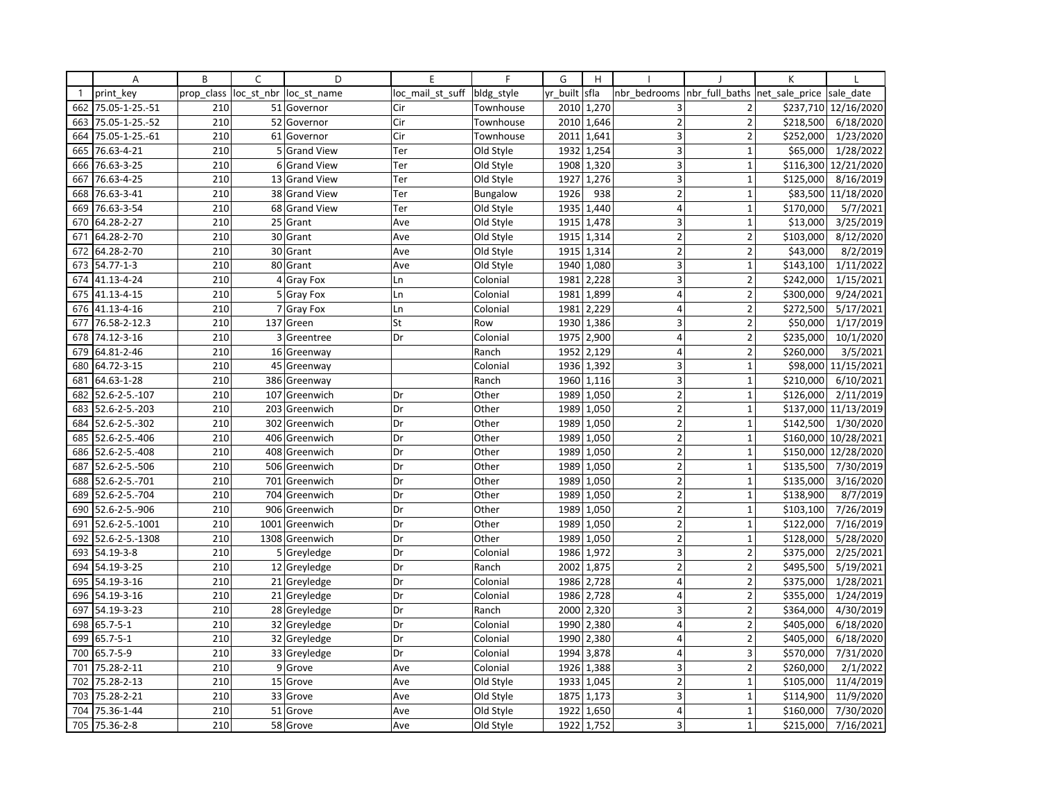|              | Α               | B          | $\mathsf{C}$ | D                 | E                | F          | G        | H          |                         |                               | K         |                     |
|--------------|-----------------|------------|--------------|-------------------|------------------|------------|----------|------------|-------------------------|-------------------------------|-----------|---------------------|
| $\mathbf{1}$ | print key       | prop class | loc st nbr   | loc st name       | loc mail st suff | bldg_style | yr built | sfla       | nbr bedrooms            | nbr full baths net sale price |           | sale date           |
| 662          | 75.05-1-25.-51  | 210        |              | 51 Governor       | Cir              | Townhouse  | 2010     | 1,270      | 3                       | $\overline{2}$                | \$237,710 | 12/16/2020          |
| 663          | 75.05-1-25.-52  | 210        |              | 52 Governor       | Cir              | Townhouse  | 2010     | 1,646      | $\overline{2}$          | $\overline{2}$                | \$218,500 | 6/18/2020           |
| 664          | 75.05-1-25.-61  | 210        |              | 61 Governor       | Cir              | Townhouse  | 2011     | 1,641      | 3                       | $\overline{2}$                | \$252,000 | 1/23/2020           |
| 665          | 76.63-4-21      | 210        |              | 5 Grand View      | Ter              | Old Style  |          | 1932 1,254 | $\overline{\mathbf{3}}$ | $\mathbf{1}$                  | \$65,000  | 1/28/2022           |
| 666          | 76.63-3-25      | 210        | 61           | <b>Grand View</b> | Ter              | Old Style  | 1908     | 1,320      | 3                       | $\mathbf{1}$                  | \$116,300 | 12/21/2020          |
| 667          | 76.63-4-25      | 210        | 13           | <b>Grand View</b> | Ter              | Old Style  | 1927     | 1,276      | 3                       | $\mathbf 1$                   | \$125,000 | 8/16/2019           |
| 668          | 76.63-3-41      | 210        |              | 38 Grand View     | Ter              | Bungalow   | 1926     | 938        | $\overline{2}$          | $\mathbf{1}$                  |           | \$83,500 11/18/2020 |
| 669          | 76.63-3-54      | 210        |              | 68 Grand View     | Ter              | Old Style  | 1935     | 1,440      | $\vert 4 \vert$         | $\mathbf{1}$                  | \$170,000 | 5/7/2021            |
| 670          | 64.28-2-27      | 210        |              | 25 Grant          | Ave              | Old Style  | 1915     | 1,478      | 3                       | $\mathbf{1}$                  | \$13,000  | 3/25/2019           |
| 671          | 64.28-2-70      | 210        |              | 30 Grant          | Ave              | Old Style  | 1915     | 1,314      | $\overline{2}$          | $\overline{2}$                | \$103,000 | 8/12/2020           |
| 672          | 64.28-2-70      | 210        |              | 30 Grant          | Ave              | Old Style  | 1915     | 1,314      | $\overline{2}$          | $\overline{2}$                | \$43,000  | 8/2/2019            |
| 673          | $54.77 - 1 - 3$ | 210        |              | 80 Grant          | Ave              | Old Style  |          | 1940 1,080 | 3                       | $\mathbf{1}$                  | \$143,100 | 1/11/2022           |
| 674          | 41.13-4-24      | 210        |              | 4 Gray Fox        | Ln               | Colonial   | 1981     | 2,228      | 3                       | $\overline{2}$                | \$242,000 | 1/15/2021           |
| 675          | 41.13-4-15      | 210        | 5            | <b>Gray Fox</b>   | Ln               | Colonial   | 1981     | 1,899      | $\overline{4}$          | $\overline{2}$                | \$300,000 | 9/24/2021           |
| 676          | 41.13-4-16      | 210        |              | 7 Gray Fox        | Ln               | Colonial   | 1981     | 2,229      | $\overline{4}$          | $\overline{2}$                | \$272,500 | 5/17/2021           |
| 677          | 76.58-2-12.3    | 210        |              | 137 Green         | St               | Row        | 1930     | 1,386      | 3                       | $\overline{2}$                | \$50,000  | 1/17/2019           |
| 678          | 74.12-3-16      | 210        | 3            | Greentree         | Dr               | Colonial   | 1975     | 2,900      | 4                       | $\overline{2}$                | \$235,000 | 10/1/2020           |
| 679          | 64.81-2-46      | 210        |              | 16 Greenway       |                  | Ranch      | 1952     | 2,129      | $\overline{4}$          | $\overline{2}$                | \$260,000 | 3/5/2021            |
| 680          | 64.72-3-15      | 210        |              | 45 Greenway       |                  | Colonial   | 1936     | 1,392      | 3                       | $\mathbf{1}$                  | \$98,000  | 11/15/2021          |
| 681          | 64.63-1-28      | 210        |              | 386 Greenway      |                  | Ranch      |          | 1960 1,116 | 3                       | $\mathbf{1}$                  | \$210,000 | 6/10/2021           |
| 682          | 52.6-2-5.-107   | 210        |              | 107 Greenwich     | Dr               | Other      | 1989     | 1,050      | $\overline{2}$          | $\mathbf{1}$                  | \$126,000 | 2/11/2019           |
| 683          | 52.6-2-5.-203   | 210        | 203          | Greenwich         | Dr               | Other      | 1989     | 1,050      | $\overline{2}$          | $\mathbf{1}$                  | \$137,000 | 11/13/2019          |
| 684          | 52.6-2-5.-302   | 210        |              | 302 Greenwich     | Dr               | Other      | 1989     | 1,050      | $\overline{2}$          | $\overline{1}$                | \$142,500 | 1/30/2020           |
| 685          | 52.6-2-5.-406   | 210        |              | 406 Greenwich     | Dr               | Other      | 1989     | 1,050      | $\overline{2}$          | $\mathbf{1}$                  | \$160,000 | 10/28/2021          |
| 686          | 52.6-2-5.-408   | 210        |              | 408 Greenwich     | Dr               | Other      | 1989     | 1,050      | $\overline{2}$          | $\mathbf{1}$                  | \$150,000 | 12/28/2020          |
| 687          | 52.6-2-5.-506   | 210        |              | 506 Greenwich     | Dr               | Other      | 1989     | 1,050      | $\overline{2}$          | $\overline{1}$                | \$135,500 | 7/30/2019           |
| 688          | 52.6-2-5.-701   | 210        | 701          | Greenwich         | Dr               | Other      | 1989     | 1,050      | $\overline{2}$          | $\mathbf 1$                   | \$135,000 | 3/16/2020           |
| 689          | 52.6-2-5.-704   | 210        |              | 704 Greenwich     | Dr               | Other      | 1989     | 1,050      | $\overline{2}$          | $\mathbf{1}$                  | \$138,900 | 8/7/2019            |
| 690          | 52.6-2-5.-906   | 210        |              | 906 Greenwich     | Dr               | Other      | 1989     | 1,050      | 2                       | $\mathbf{1}$                  | \$103,100 | 7/26/2019           |
| 691          | 52.6-2-5.-1001  | 210        |              | 1001 Greenwich    | Dr               | Other      | 1989     | 1,050      | $\overline{2}$          | $\mathbf{1}$                  | \$122,000 | 7/16/2019           |
| 692          | 52.6-2-5.-1308  | 210        | 1308         | Greenwich         | Dr               | Other      | 1989     | 1,050      | $\overline{2}$          | $\mathbf{1}$                  | \$128,000 | 5/28/2020           |
| 693          | 54.19-3-8       | 210        |              | 5 Greyledge       | Dr               | Colonial   | 1986     | 1,972      | 3                       | $\overline{\mathbf{c}}$       | \$375,000 | 2/25/2021           |
| 694          | 54.19-3-25      | 210        |              | 12 Greyledge      | Dr               | Ranch      | 2002     | 1,875      | $\overline{2}$          | $\overline{2}$                | \$495,500 | 5/19/2021           |
| 695          | 54.19-3-16      | 210        |              | 21 Greyledge      | Dr               | Colonial   | 1986     | 2,728      | $\overline{4}$          | $\overline{2}$                | \$375,000 | 1/28/2021           |
| 696          | 54.19-3-16      | 210        |              | 21 Greyledge      | Dr               | Colonial   | 1986     | 2,728      | $\overline{4}$          | $\overline{2}$                | \$355,000 | 1/24/2019           |
| 697          | 54.19-3-23      | 210        |              | 28 Greyledge      | Dr               | Ranch      | 2000     | 2,320      | 3                       | 2                             | \$364,000 | 4/30/2019           |
| 698          | $65.7 - 5 - 1$  | 210        |              | 32 Greyledge      | Dr               | Colonial   | 1990     | 2,380      | $\vert 4 \vert$         | $\overline{2}$                | \$405,000 | 6/18/2020           |
| 699          | $65.7 - 5 - 1$  | 210        |              | 32 Greyledge      | Dr               | Colonial   | 1990     | 2,380      | $\overline{4}$          | $\overline{2}$                | \$405,000 | 6/18/2020           |
| 700          | 65.7-5-9        | 210        |              | 33 Greyledge      | Dr               | Colonial   | 1994     | 3,878      | $\overline{4}$          | $\overline{3}$                | \$570,000 | 7/31/2020           |
| 701          | 75.28-2-11      | 210        | 9            | Grove             | Ave              | Colonial   | 1926     | 1,388      | 3                       | 2                             | \$260,000 | 2/1/2022            |
| 702          | 75.28-2-13      | 210        |              | 15 Grove          | Ave              | Old Style  |          | 1933 1,045 | $\overline{2}$          | $\mathbf 1$                   | \$105,000 | 11/4/2019           |
| 703          | 75.28-2-21      | 210        |              | 33 Grove          | Ave              | Old Style  | 1875     | 1,173      | 3                       | $\mathbf{1}$                  | \$114,900 | 11/9/2020           |
| 704          | 75.36-1-44      | 210        |              | 51 Grove          | Ave              | Old Style  | 1922     | 1,650      | $\overline{4}$          | $\mathbf 1$                   | \$160,000 | 7/30/2020           |
| 705          | 75.36-2-8       | 210        |              | 58 Grove          | Ave              | Old Style  | 1922     | 1,752      | $\overline{3}$          | 1                             | \$215,000 | 7/16/2021           |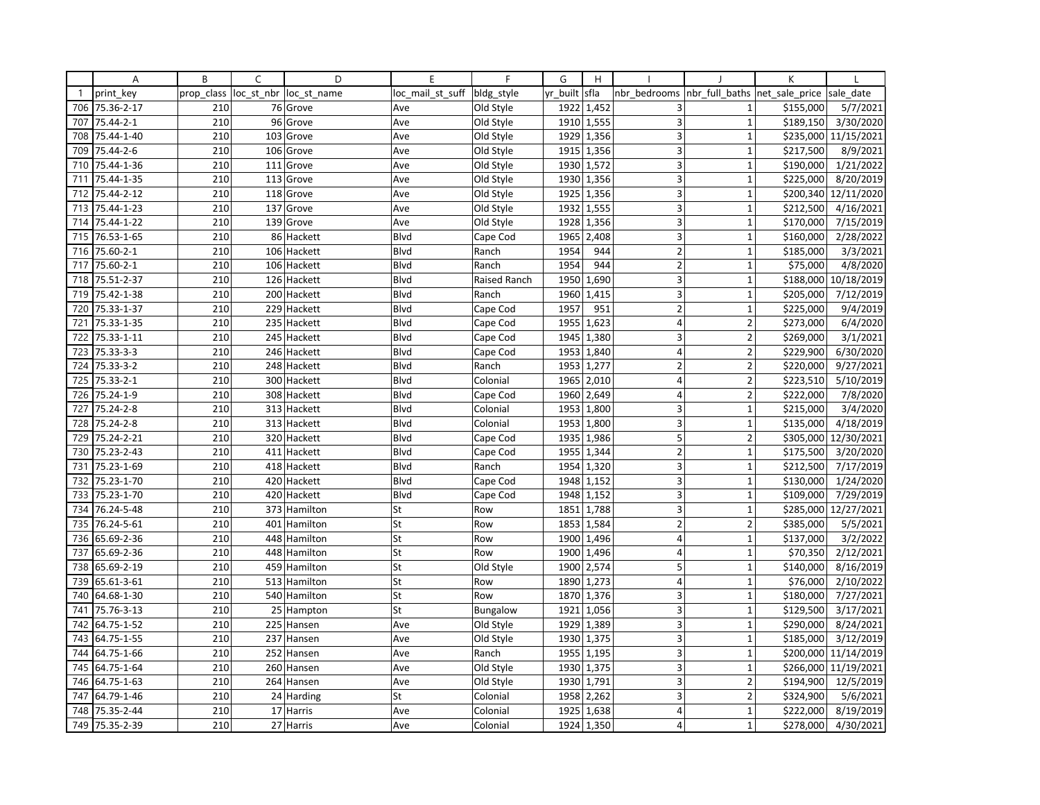|              | Α          | B          | C          | D            | E                | F            | G        | H                       |                         |                | К              |            |
|--------------|------------|------------|------------|--------------|------------------|--------------|----------|-------------------------|-------------------------|----------------|----------------|------------|
| $\mathbf{1}$ | print key  | prop_class | loc_st_nbr | loc st name  | loc mail st suff | bldg_style   | yr built | sfla                    | nbr bedrooms            | nbr full baths | net sale price | sale date  |
| 706          | 75.36-2-17 | 210        |            | 76 Grove     | Ave              | Old Style    | 1922     | 1,452                   | 3                       | $\mathbf{1}$   | \$155,000      | 5/7/2021   |
| 707          | 75.44-2-1  | 210        | 96         | Grove        | Ave              | Old Style    | 1910     | 1,555                   | 3                       | $\mathbf{1}$   | \$189,150      | 3/30/2020  |
| 708          | 75.44-1-40 | 210        | 103        | Grove        | Ave              | Old Style    | 1929     | 1,356                   | 3                       | $\mathbf{1}$   | \$235,000      | 11/15/2021 |
| 709          | 75.44-2-6  | 210        |            | 106 Grove    | Ave              | Old Style    |          | 1915 1,356              | 3                       | $\mathbf{1}$   | \$217,500      | 8/9/2021   |
| 710          | 75.44-1-36 | 210        |            | 111 Grove    | Ave              | Old Style    | 1930     | 1,572                   | 3                       | $\mathbf{1}$   | \$190,000      | 1/21/2022  |
| 711          | 75.44-1-35 | 210        | 113        | Grove        | Ave              | Old Style    | 1930     | 1,356                   | 3                       | $\mathbf{1}$   | \$225,000      | 8/20/2019  |
| 712          | 75.44-2-12 | 210        |            | 118 Grove    | Ave              | Old Style    |          | $\overline{1925}$ 1,356 | 3                       | $\mathbf{1}$   | \$200,340      | 12/11/2020 |
| 713          | 75.44-1-23 | 210        |            | 137 Grove    | Ave              | Old Style    | 1932     | 1,555                   | 3                       | $\mathbf{1}$   | \$212,500      | 4/16/2021  |
| 714          | 75.44-1-22 | 210        |            | 139 Grove    | Ave              | Old Style    | 1928     | 1,356                   | 3                       | $\mathbf{1}$   | \$170,000      | 7/15/2019  |
| 715          | 76.53-1-65 | 210        |            | 86 Hackett   | Blvd             | Cape Cod     | 1965     | 2,408                   | 3                       | 1              | \$160,000      | 2/28/2022  |
| 716          | 75.60-2-1  | 210        |            | 106 Hackett  | Blvd             | Ranch        | 1954     | 944                     | $\overline{2}$          | $\mathbf{1}$   | \$185,000      | 3/3/2021   |
| 717          | 75.60-2-1  | 210        |            | 106 Hackett  | Blvd             | Ranch        | 1954     | 944                     | $\overline{2}$          | $\mathbf{1}$   | \$75,000       | 4/8/2020   |
| 718          | 75.51-2-37 | 210        |            | 126 Hackett  | Blvd             | Raised Ranch | 1950     | 1,690                   | $\overline{\mathbf{3}}$ | $\mathbf{1}$   | \$188,000      | 10/18/2019 |
| 719          | 75.42-1-38 | 210        |            | 200 Hackett  | Blvd             | Ranch        | 1960     | 1,415                   | 3                       | $\mathbf{1}$   | \$205,000      | 7/12/2019  |
| 720          | 75.33-1-37 | 210        |            | 229 Hackett  | Blvd             | Cape Cod     | 1957     | 951                     | $\overline{2}$          | $\mathbf{1}$   | \$225,000      | 9/4/2019   |
| 721          | 75.33-1-35 | 210        |            | 235 Hackett  | Blvd             | Cape Cod     | 1955     | 1,623                   | $\overline{4}$          | $\overline{2}$ | \$273,000      | 6/4/2020   |
| 722          | 75.33-1-11 | 210        |            | 245 Hackett  | <b>B</b> lvd     | Cape Cod     | 1945     | 1,380                   | $\overline{\mathbf{3}}$ | $\overline{2}$ | \$269,000      | 3/1/2021   |
| 723          | 75.33-3-3  | 210        |            | 246 Hackett  | Blvd             | Cape Cod     | 1953     | 1,840                   | $\overline{4}$          | $\overline{2}$ | \$229,900      | 6/30/2020  |
| 724          | 75.33-3-2  | 210        |            | 248 Hackett  | Blvd             | Ranch        | 1953     | 1,277                   | $\overline{2}$          | $\overline{2}$ | \$220,000      | 9/27/2021  |
| 725          | 75.33-2-1  | 210        |            | 300 Hackett  | Blvd             | Colonial     | 1965     | 2,010                   | $\overline{\mathbf{4}}$ | $\overline{2}$ | \$223,510      | 5/10/2019  |
| 726          | 75.24-1-9  | 210        |            | 308 Hackett  | <b>Blvd</b>      | Cape Cod     | 1960     | 2,649                   | $\vert 4 \vert$         | $\overline{2}$ | \$222,000      | 7/8/2020   |
| 727          | 75.24-2-8  | 210        |            | 313 Hackett  | Blvd             | Colonial     | 1953     | 1,800                   | 3                       | $\mathbf 1$    | \$215,000      | 3/4/2020   |
| 728          | 75.24-2-8  | 210        |            | 313 Hackett  | <b>Blvd</b>      | Colonial     | 1953     | 1,800                   | 3                       | $\mathbf{1}$   | \$135,000      | 4/18/2019  |
| 729          | 75.24-2-21 | 210        |            | 320 Hackett  | Blvd             | Cape Cod     | 1935     | 1,986                   | 5                       | $\overline{2}$ | \$305,000      | 12/30/2021 |
| 730          | 75.23-2-43 | 210        |            | 411 Hackett  | Blvd             | Cape Cod     |          | 1955 1,344              | $\overline{2}$          | $\mathbf{1}$   | \$175,500      | 3/20/2020  |
| 731          | 75.23-1-69 | 210        |            | 418 Hackett  | <b>B</b> lvd     | Ranch        | 1954     | 1,320                   | $\overline{3}$          | $\overline{1}$ | \$212,500      | 7/17/2019  |
| 732          | 75.23-1-70 | 210        |            | 420 Hackett  | Blvd             | Cape Cod     | 1948     | 1,152                   | 3                       | $\mathbf{1}$   | \$130,000      | 1/24/2020  |
| 733          | 75.23-1-70 | 210        |            | 420 Hackett  | Blvd             | Cape Cod     | 1948     | 1,152                   | 3                       | $\overline{1}$ | \$109,000      | 7/29/2019  |
| 734          | 76.24-5-48 | 210        |            | 373 Hamilton | St               | Row          | 1851     | 1,788                   | 3                       | $\mathbf{1}$   | \$285,000      | 12/27/2021 |
| 735          | 76.24-5-61 | 210        |            | 401 Hamilton | St               | Row          | 1853     | 1,584                   | $\overline{2}$          | $\overline{2}$ | \$385,000      | 5/5/2021   |
| 736          | 65.69-2-36 | 210        |            | 448 Hamilton | St               | Row          | 1900     | 1,496                   | $\overline{4}$          | $\overline{1}$ | \$137,000      | 3/2/2022   |
| 737          | 65.69-2-36 | 210        |            | 448 Hamilton | St               | Row          | 1900     | 1,496                   | 4                       | $\mathbf{1}$   | \$70,350       | 2/12/2021  |
| 738          | 65.69-2-19 | 210        |            | 459 Hamilton | St               | Old Style    | 1900     | 2,574                   | 5                       | $\mathbf{1}$   | \$140,000      | 8/16/2019  |
| 739          | 65.61-3-61 | 210        |            | 513 Hamilton | St               | Row          | 1890     | 1,273                   | $\overline{4}$          | $\overline{1}$ | \$76,000       | 2/10/2022  |
| 740          | 64.68-1-30 | 210        |            | 540 Hamilton | St               | Row          | 1870     | 1,376                   | 3                       | $\mathbf{1}$   | \$180,000      | 7/27/2021  |
| 741          | 75.76-3-13 | 210        |            | 25 Hampton   | St               | Bungalow     | 1921     | 1,056                   | 3                       | 1              | \$129,500      | 3/17/2021  |
| 742          | 64.75-1-52 | 210        |            | 225 Hansen   | Ave              | Old Style    | 1929     | 1,389                   | 3                       | $\mathbf{1}$   | \$290,000      | 8/24/2021  |
| 743          | 64.75-1-55 | 210        |            | 237 Hansen   | Ave              | Old Style    |          | 1930 1,375              | $\overline{\mathbf{3}}$ | $\mathbf{1}$   | \$185,000      | 3/12/2019  |
| 744          | 64.75-1-66 | 210        |            | 252 Hansen   | Ave              | Ranch        | 1955     | 1,195                   | $\overline{3}$          | $\overline{1}$ | \$200,000      | 11/14/2019 |
| 745          | 64.75-1-64 | 210        |            | 260 Hansen   | Ave              | Old Style    | 1930     | 1,375                   | 3                       | $\mathbf{1}$   | \$266,000      | 11/19/2021 |
| 746          | 64.75-1-63 | 210        |            | 264 Hansen   | Ave              | Old Style    | 1930     | 1,791                   | 3                       | $\overline{2}$ | \$194,900      | 12/5/2019  |
| 747          | 64.79-1-46 | 210        |            | 24 Harding   | St               | Colonial     | 1958     | 2,262                   | 3 <sup>1</sup>          | $\overline{2}$ | \$324,900      | 5/6/2021   |
| 748          | 75.35-2-44 | 210        |            | 17 Harris    | Ave              | Colonial     | 1925     | 1,638                   | $\overline{\mathbf{4}}$ | $\mathbf 1$    | \$222,000      | 8/19/2019  |
| 749          | 75.35-2-39 | 210        |            | 27 Harris    | Ave              | Colonial     |          | 1924 1,350              | $\overline{4}$          | $\mathbf{1}$   | \$278,000      | 4/30/2021  |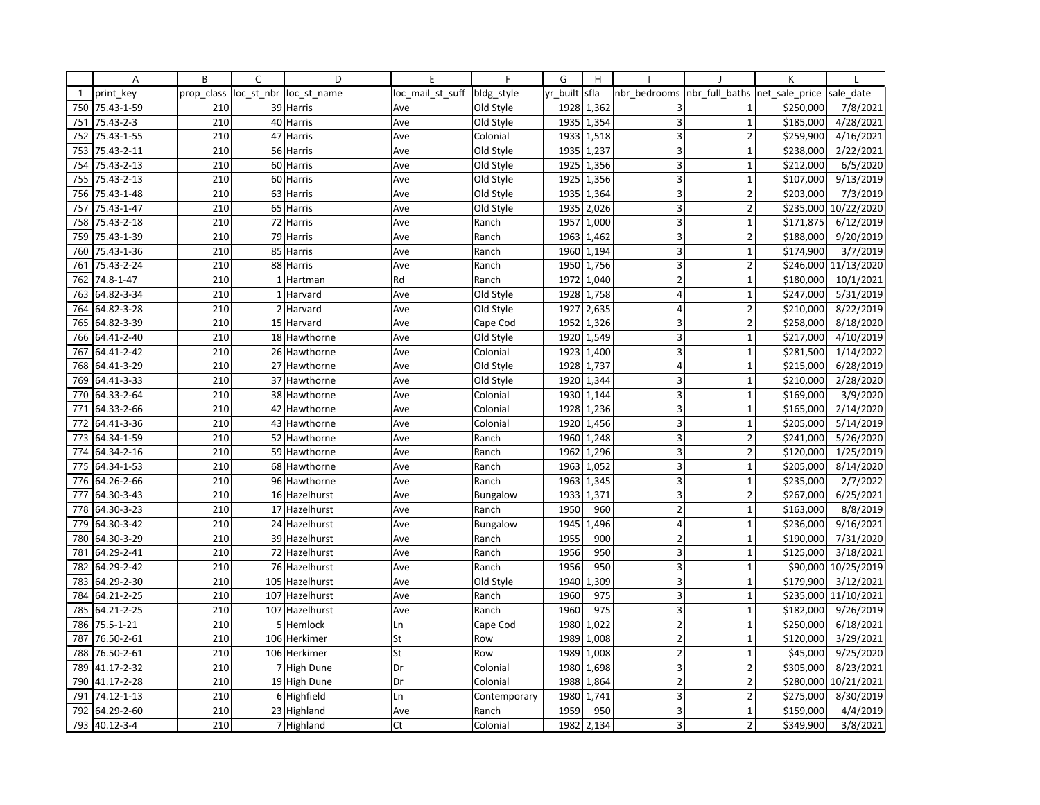|              | Α          | B          | C          | D              | E                | F               | G        | H          |                         |                          | К              |                       |
|--------------|------------|------------|------------|----------------|------------------|-----------------|----------|------------|-------------------------|--------------------------|----------------|-----------------------|
| $\mathbf{1}$ | print key  | prop class | loc_st_nbr | loc st name    | loc_mail_st_suff | bldg_style      | yr built | sfla       | nbr bedrooms            | nbr_full_baths           | net sale price | sale date             |
| 750          | 75.43-1-59 | 210        |            | 39 Harris      | Ave              | Old Style       | 1928     | 1,362      | 3                       | $\mathbf{1}$             | \$250,000      | 7/8/2021              |
| 751          | 75.43-2-3  | 210        |            | 40 Harris      | Ave              | Old Style       | 1935     | 1,354      | 3                       | $\mathbf{1}$             | \$185,000      | 4/28/2021             |
| 752          | 75.43-1-55 | 210        |            | 47 Harris      | Ave              | Colonial        |          | 1933 1,518 | 3                       | $\overline{2}$           | \$259,900      | 4/16/2021             |
| 753          | 75.43-2-11 | 210        |            | 56 Harris      | Ave              | Old Style       |          | 1935 1,237 | 3                       | $\mathbf{1}$             | \$238,000      | 2/22/2021             |
| 754          | 75.43-2-13 | 210        |            | 60 Harris      | Ave              | Old Style       | 1925     | 1,356      | 3                       | $\overline{1}$           | \$212,000      | 6/5/2020              |
| 755          | 75.43-2-13 | 210        |            | 60 Harris      | Ave              | Old Style       | 1925     | 1,356      | 3                       | $\mathbf{1}$             | \$107,000      | 9/13/2019             |
| 756          | 75.43-1-48 | 210        |            | 63 Harris      | Ave              | Old Style       |          | 1935 1,364 | 3                       | $\overline{2}$           | \$203,000      | 7/3/2019              |
| 757          | 75.43-1-47 | 210        |            | 65 Harris      | Ave              | Old Style       | 1935     | 2,026      | 3                       | $\overline{2}$           | \$235,000      | 10/22/2020            |
| 758          | 75.43-2-18 | 210        |            | 72 Harris      | Ave              | Ranch           | 1957     | 1,000      | 3                       | $\mathbf{1}$             | \$171,875      | 6/12/2019             |
| 759          | 75.43-1-39 | 210        |            | 79 Harris      | Ave              | Ranch           | 1963     | 1,462      | 3                       | $\overline{\phantom{a}}$ | \$188,000      | 9/20/2019             |
| 760          | 75.43-1-36 | 210        |            | 85 Harris      | Ave              | Ranch           | 1960     | 1,194      | 3                       | $\mathbf 1$              | \$174,900      | 3/7/2019              |
| 761          | 75.43-2-24 | 210        |            | 88 Harris      | Ave              | Ranch           |          | 1950 1,756 | 3                       | $\overline{2}$           | \$246,000      | 11/13/2020            |
| 762          | 74.8-1-47  | 210        |            | 1 Hartman      | Rd               | Ranch           | 1972     | 1,040      | $\overline{2}$          | 1                        | \$180,000      | 10/1/2021             |
| 763          | 64.82-3-34 | 210        |            | 1 Harvard      | Ave              | Old Style       | 1928     | 1,758      | 4                       | $\mathbf{1}$             | \$247,000      | 5/31/2019             |
| 764          | 64.82-3-28 | 210        |            | 2 Harvard      | Ave              | Old Style       | 1927     | 2,635      | 4                       | $\overline{2}$           | \$210,000      | 8/22/2019             |
| 765          | 64.82-3-39 | 210        |            | 15 Harvard     | Ave              | Cape Cod        | 1952     | 1,326      | 3                       | $\overline{2}$           | \$258,000      | 8/18/2020             |
| 766          | 64.41-2-40 | 210        |            | 18 Hawthorne   | Ave              | Old Style       | 1920     | 1,549      | $\overline{\mathbf{3}}$ | $\mathbf{1}$             | \$217,000      | $\frac{1}{4}$ 10/2019 |
| 767          | 64.41-2-42 | 210        |            | 26 Hawthorne   | Ave              | Colonial        | 1923     | 1,400      | $\overline{3}$          | 1                        | \$281,500      | 1/14/2022             |
| 768          | 64.41-3-29 | 210        |            | 27 Hawthorne   | Ave              | Old Style       | 1928     | 1,737      | $\overline{4}$          | $\mathbf{1}$             | \$215,000      | 6/28/2019             |
| 769          | 64.41-3-33 | 210        |            | 37 Hawthorne   | Ave              | Old Style       | 1920     | 1,344      | 3                       | $\mathbf{1}$             | \$210,000      | 2/28/2020             |
| 770          | 64.33-2-64 | 210        |            | 38 Hawthorne   | Ave              | Colonial        | 1930     | 1,144      | 3 <sup>1</sup>          | $\mathbf{1}$             | \$169,000      | 3/9/2020              |
| 771          | 64.33-2-66 | 210        |            | 42 Hawthorne   | Ave              | Colonial        | 1928     | 1,236      | 3                       | $\mathbf 1$              | \$165,000      | 2/14/2020             |
| 772          | 64.41-3-36 | 210        |            | 43 Hawthorne   | Ave              | Colonial        | 1920     | 1,456      | $\overline{3}$          | $\mathbf{1}$             | \$205,000      | 5/14/2019             |
| 773          | 64.34-1-59 | 210        |            | 52 Hawthorne   | Ave              | Ranch           | 1960     | 1,248      | 3                       | $\overline{2}$           | \$241,000      | 5/26/2020             |
| 774          | 64.34-2-16 | 210        |            | 59 Hawthorne   | Ave              | Ranch           | 1962     | 1,296      | $\overline{\mathbf{3}}$ | $\mathbf 2$              | \$120,000      | 1/25/2019             |
| 775          | 64.34-1-53 | 210        |            | 68 Hawthorne   | Ave              | Ranch           | 1963     | 1,052      | 3                       | $\mathbf{1}$             | \$205,000      | 8/14/2020             |
| 776          | 64.26-2-66 | 210        |            | 96 Hawthorne   | Ave              | Ranch           | 1963     | 1,345      | 3                       | $\mathbf 1$              | \$235,000      | $\frac{1}{2}/7/2022$  |
| 777          | 64.30-3-43 | 210        |            | 16 Hazelhurst  | Ave              | <b>Bungalow</b> | 1933     | 1,371      | 3                       | $\overline{2}$           | \$267,000      | 6/25/2021             |
| 778          | 64.30-3-23 | 210        |            | 17 Hazelhurst  | Ave              | Ranch           | 1950     | 960        | $\overline{2}$          | $\mathbf{1}$             | \$163,000      | 8/8/2019              |
| 779          | 64.30-3-42 | 210        |            | 24 Hazelhurst  | Ave              | Bungalow        | 1945     | 1,496      | 4                       | $\mathbf{1}$             | \$236,000      | 9/16/2021             |
| 780          | 64.30-3-29 | 210        |            | 39 Hazelhurst  | Ave              | Ranch           | 1955     | 900        | $\overline{2}$          | $\mathbf{1}$             | \$190,000      | 7/31/2020             |
| 781          | 64.29-2-41 | 210        |            | 72 Hazelhurst  | Ave              | Ranch           | 1956     | 950        | 3                       | $\mathbf{1}$             | \$125,000      | 3/18/2021             |
| 782          | 64.29-2-42 | 210        |            | 76 Hazelhurst  | Ave              | Ranch           | 1956     | 950        | 3                       | $\mathbf{1}$             | \$90,000       | 10/25/2019            |
| 783          | 64.29-2-30 | 210        |            | 105 Hazelhurst | Ave              | Old Style       | 1940     | 1,309      | $\overline{3}$          | $\overline{1}$           | \$179,900      | 3/12/2021             |
| 784          | 64.21-2-25 | 210        |            | 107 Hazelhurst | Ave              | Ranch           | 1960     | 975        | 3                       | $\mathbf{1}$             | \$235,000      | 11/10/2021            |
| 785          | 64.21-2-25 | 210        |            | 107 Hazelhurst | Ave              | Ranch           | 1960     | 975        | 3                       | $\mathbf{1}$             | \$182,000      | 9/26/2019             |
| 786          | 75.5-1-21  | 210        |            | 5 Hemlock      | Ln               | Cape Cod        | 1980     | 1,022      | $\overline{2}$          | $\mathbf{1}$             | \$250,000      | 6/18/2021             |
| 787          | 76.50-2-61 | 210        |            | 106 Herkimer   | St               | Row             | 1989     | 1,008      | $\overline{2}$          | $\mathbf{1}$             | \$120,000      | 3/29/2021             |
| 788          | 76.50-2-61 | 210        |            | 106 Herkimer   | St               | Row             | 1989     | 1,008      | $\overline{2}$          | 1                        | \$45,000       | 9/25/2020             |
| 789          | 41.17-2-32 | 210        |            | 7 High Dune    | Dr               | Colonial        | 1980     | 1,698      | 3                       | 2                        | \$305,000      | 8/23/2021             |
| 790          | 41.17-2-28 | 210        |            | 19 High Dune   | Dr               | Colonial        | 1988     | 1,864      | $\overline{2}$          | $\overline{2}$           | \$280,000      | 10/21/2021            |
| 791          | 74.12-1-13 | 210        |            | 6 Highfield    | Ln               | Contemporary    | 1980     | 1,741      | 3                       | $\overline{2}$           | \$275,000      | 8/30/2019             |
| 792          | 64.29-2-60 | 210        |            | 23 Highland    | Ave              | Ranch           | 1959     | 950        | 3                       | $\mathbf 1$              | \$159,000      | 4/4/2019              |
| 793          | 40.12-3-4  | 210        |            | 7 Highland     | Ct               | Colonial        | 1982     | 2,134      | $\overline{3}$          | $\overline{2}$           | \$349,900      | 3/8/2021              |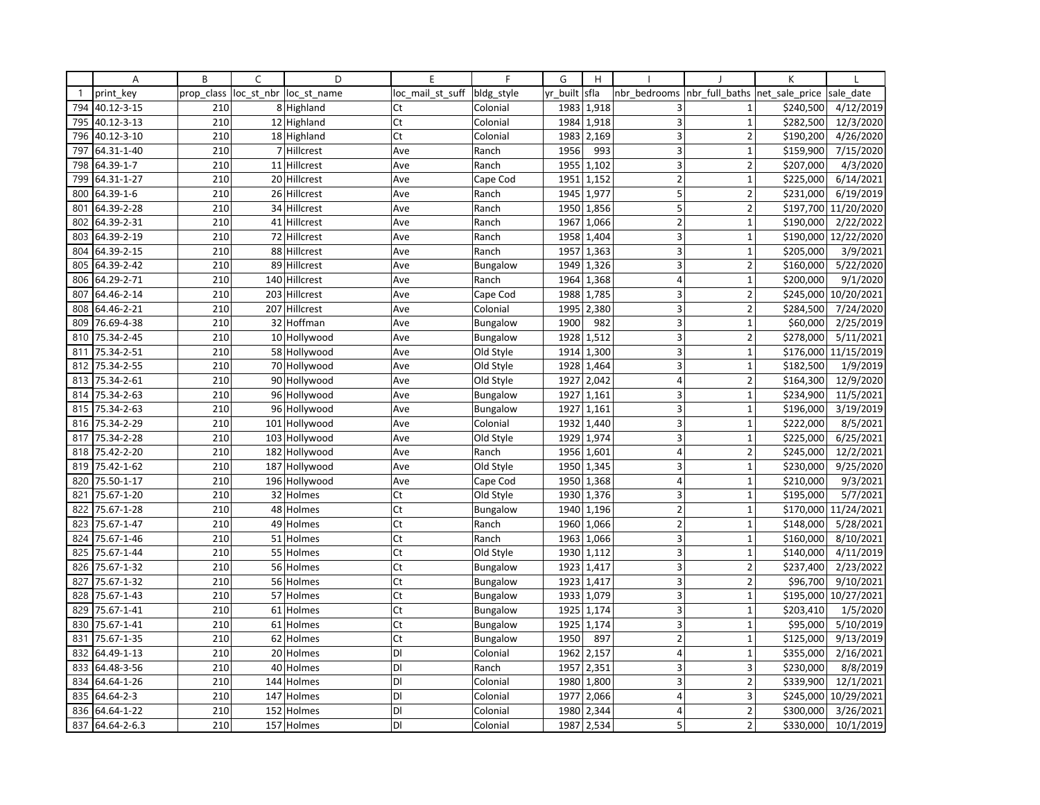|              | Α           | B          | C          | D             | E                | F               | G        | H          |                         |                         | К              |                       |
|--------------|-------------|------------|------------|---------------|------------------|-----------------|----------|------------|-------------------------|-------------------------|----------------|-----------------------|
| $\mathbf{1}$ | print key   | prop_class | loc_st_nbr | loc st name   | loc mail st suff | bldg_style      | yr built | sfla       | nbr bedrooms            | nbr full baths          | net sale price | sale date             |
| 794          | 40.12-3-15  | 210        |            | 8 Highland    | Ct               | Colonial        | 1983     | 1,918      | 3                       | 1                       | \$240,500      | 4/12/2019             |
| 795          | 40.12-3-13  | 210        |            | 12 Highland   | Ct               | Colonial        | 1984     | 1,918      | 3                       | $\mathbf{1}$            | \$282,500      | 12/3/2020             |
| 796          | 40.12-3-10  | 210        |            | 18 Highland   | Ct               | Colonial        | 1983     | 2,169      | 3                       | $\overline{2}$          | \$190,200      | 4/26/2020             |
| 797          | 64.31-1-40  | 210        |            | 7 Hillcrest   | Ave              | Ranch           | 1956     | 993        | 3                       | $\mathbf{1}$            | \$159,900      | 7/15/2020             |
| 798          | 64.39-1-7   | 210        |            | 11 Hillcrest  | Ave              | Ranch           | 1955     | 1,102      | 3                       | $\overline{2}$          | \$207,000      | 4/3/2020              |
| 799          | 64.31-1-27  | 210        |            | 20 Hillcrest  | Ave              | Cape Cod        | 1951     | 1,152      | $\overline{2}$          | $\mathbf{1}$            | \$225,000      | 6/14/2021             |
| 800          | 64.39-1-6   | 210        |            | 26 Hillcrest  | Ave              | Ranch           |          | 1945 1,977 | 5                       | $\overline{2}$          | \$231,000      | 6/19/2019             |
| 801          | 64.39-2-28  | 210        |            | 34 Hillcrest  | Ave              | Ranch           | 1950     | 1,856      | 5                       | $\overline{2}$          | \$197,700      | 11/20/2020            |
| 802          | 64.39-2-31  | 210        |            | 41 Hillcrest  | Ave              | Ranch           | 1967     | 1,066      | $\mathbf 2$             | $\mathbf{1}$            | \$190,000      | 2/22/2022             |
| 803          | 64.39-2-19  | 210        |            | 72 Hillcrest  | Ave              | Ranch           | 1958     | 1,404      | 3                       | 1                       | \$190,000      | 12/22/2020            |
| 804          | 64.39-2-15  | 210        |            | 88 Hillcrest  | Ave              | Ranch           | 1957     | 1,363      | 3                       | $\mathbf 1$             | \$205,000      | 3/9/2021              |
| 805          | 64.39-2-42  | 210        |            | 89 Hillcrest  | Ave              | Bungalow        | 1949     | 1,326      | 3                       | $\overline{2}$          | \$160,000      | 5/22/2020             |
| 806          | 64.29-2-71  | 210        |            | 140 Hillcrest | Ave              | Ranch           | 1964     | 1,368      | $\overline{4}$          | $\overline{1}$          | \$200,000      | 9/1/2020              |
| 807          | 64.46-2-14  | 210        |            | 203 Hillcrest | Ave              | Cape Cod        | 1988     | 1,785      | 3                       | $\overline{2}$          | \$245,000      | 10/20/2021            |
| 808          | 64.46-2-21  | 210        |            | 207 Hillcrest | Ave              | Colonial        | 1995     | 2,380      | 3                       | $\overline{2}$          | \$284,500      | 7/24/2020             |
| 809          | 76.69-4-38  | 210        |            | 32 Hoffman    | Ave              | Bungalow        | 1900     | 982        | 3                       | $\mathbf{1}$            | \$60,000       | 2/25/2019             |
| 810          | 75.34-2-45  | 210        |            | 10 Hollywood  | Ave              | Bungalow        | 1928     | 1,512      | 3                       | $\overline{2}$          | \$278,000      | 5/11/2021             |
| 811          | 75.34-2-51  | 210        |            | 58 Hollywood  | Ave              | Old Style       | 1914     | 1,300      | $\overline{\mathbf{3}}$ | 1                       | \$176,000      | 11/15/2019            |
| 812          | 75.34-2-55  | 210        |            | 70 Hollywood  | Ave              | Old Style       | 1928     | 1,464      | 3                       | $\mathbf{1}$            | \$182,500      | 1/9/2019              |
| 813          | 75.34-2-61  | 210        |            | 90 Hollywood  | Ave              | Old Style       | 1927     | 2,042      | $\overline{4}$          | $\overline{\mathbf{c}}$ | \$164,300      | 12/9/2020             |
| 814          | 75.34-2-63  | 210        |            | 96 Hollywood  | Ave              | Bungalow        | 1927     | 1,161      | 3 <sup>1</sup>          | $\mathbf{1}$            | \$234,900      | 11/5/2021             |
| 815          | 75.34-2-63  | 210        |            | 96 Hollywood  | Ave              | <b>Bungalow</b> | 1927     | 1,161      | 3                       | $\mathbf 1$             | \$196,000      | 3/19/2019             |
| 816          | 75.34-2-29  | 210        |            | 101 Hollywood | Ave              | Colonial        | 1932     | 1,440      | $\overline{3}$          | $\mathbf{1}$            | \$222,000      | 8/5/2021              |
| 817          | 75.34-2-28  | 210        |            | 103 Hollywood | Ave              | Old Style       | 1929     | 1,974      | 3                       | $\mathbf 1$             | \$225,000      | 6/25/2021             |
| 818          | 75.42-2-20  | 210        |            | 182 Hollywood | Ave              | Ranch           | 1956     | 1,601      | $\overline{\mathbf{4}}$ | $\mathbf 2$             | \$245,000      | 12/2/2021             |
| 819          | 75.42-1-62  | 210        |            | 187 Hollywood | Ave              | Old Style       | 1950     | 1,345      | 3                       | $\mathbf{1}$            | \$230,000      | 9/25/2020             |
| 820          | 75.50-1-17  | 210        |            | 196 Hollywood | Ave              | Cape Cod        | 1950     | 1,368      | $\overline{4}$          | $\mathbf{1}$            | \$210,000      | 9/3/2021              |
| 821          | 75.67-1-20  | 210        |            | 32 Holmes     | Ct               | Old Style       | 1930     | 1,376      | 3                       | $\mathbf{1}$            | \$195,000      | 5/7/2021              |
| 822          | 75.67-1-28  | 210        |            | 48 Holmes     | Ct               | Bungalow        | 1940     | 1,196      | $\overline{2}$          | $\mathbf{1}$            | \$170,000      | 11/24/2021            |
| 823          | 75.67-1-47  | 210        |            | 49 Holmes     | Ct               | Ranch           | 1960     | 1,066      | $\overline{2}$          | $\mathbf{1}$            | \$148,000      | 5/28/2021             |
| 824          | 75.67-1-46  | 210        |            | 51 Holmes     | Ct               | Ranch           | 1963     | 1,066      | 3                       | $\mathbf{1}$            | \$160,000      | $\frac{1}{8}$ 10/2021 |
| 825          | 75.67-1-44  | 210        |            | 55 Holmes     | Ct               | Old Style       | 1930     | 1,112      | 3                       | $\mathbf{1}$            | \$140,000      | 4/11/2019             |
| 826          | 75.67-1-32  | 210        |            | 56 Holmes     | Ct               | Bungalow        |          | 1923 1,417 | 3                       | $\overline{2}$          | \$237,400      | 2/23/2022             |
| 827          | 75.67-1-32  | 210        |            | 56 Holmes     | Ct               | Bungalow        | 1923     | 1,417      | $\overline{3}$          | $\overline{2}$          | \$96,700       | 9/10/2021             |
| 828          | 75.67-1-43  | 210        |            | 57 Holmes     | Ct               | Bungalow        | 1933     | 1,079      | 3                       | $\mathbf{1}$            | \$195,000      | 10/27/2021            |
| 829          | 75.67-1-41  | 210        |            | 61 Holmes     | Ct               | Bungalow        | 1925     | 1,174      | 3                       | $\mathbf{1}$            | \$203,410      | 1/5/2020              |
| 830          | 75.67-1-41  | 210        |            | 61 Holmes     | Ct               | Bungalow        | 1925     | 1,174      | 3                       | $\mathbf{1}$            | \$95,000       | 5/10/2019             |
| 831          | 75.67-1-35  | 210        |            | 62 Holmes     | Ct               | <b>Bungalow</b> | 1950     | 897        | $\overline{2}$          | $\mathbf{1}$            | \$125,000      | 9/13/2019             |
| 832          | 64.49-1-13  | 210        |            | 20 Holmes     | DI               | Colonial        | 1962     | 2,157      | $\overline{4}$          | 1                       | \$355,000      | 2/16/2021             |
| 833          | 64.48-3-56  | 210        |            | 40 Holmes     | DI               | Ranch           | 1957     | 2,351      | 3                       | 3                       | \$230,000      | 8/8/2019              |
| 834          | 64.64-1-26  | 210        |            | 144 Holmes    | DI               | Colonial        | 1980     | 1,800      | 3                       | $\overline{2}$          | \$339,900      | 12/1/2021             |
| 835          | 64.64-2-3   | 210        |            | 147 Holmes    | DI               | Colonial        | 1977     | 2,066      | $\overline{4}$          | 3                       | \$245,000      | 10/29/2021            |
| 836          | 64.64-1-22  | 210        |            | 152 Holmes    | DI               | Colonial        | 1980     | 2,344      | $\overline{4}$          | $\overline{2}$          | \$300,000      | 3/26/2021             |
| 837          | 64.64-2-6.3 | 210        |            | 157 Holmes    | DI               | Colonial        | 1987     | 2,534      | 5                       | $\overline{2}$          | \$330,000      | 10/1/2019             |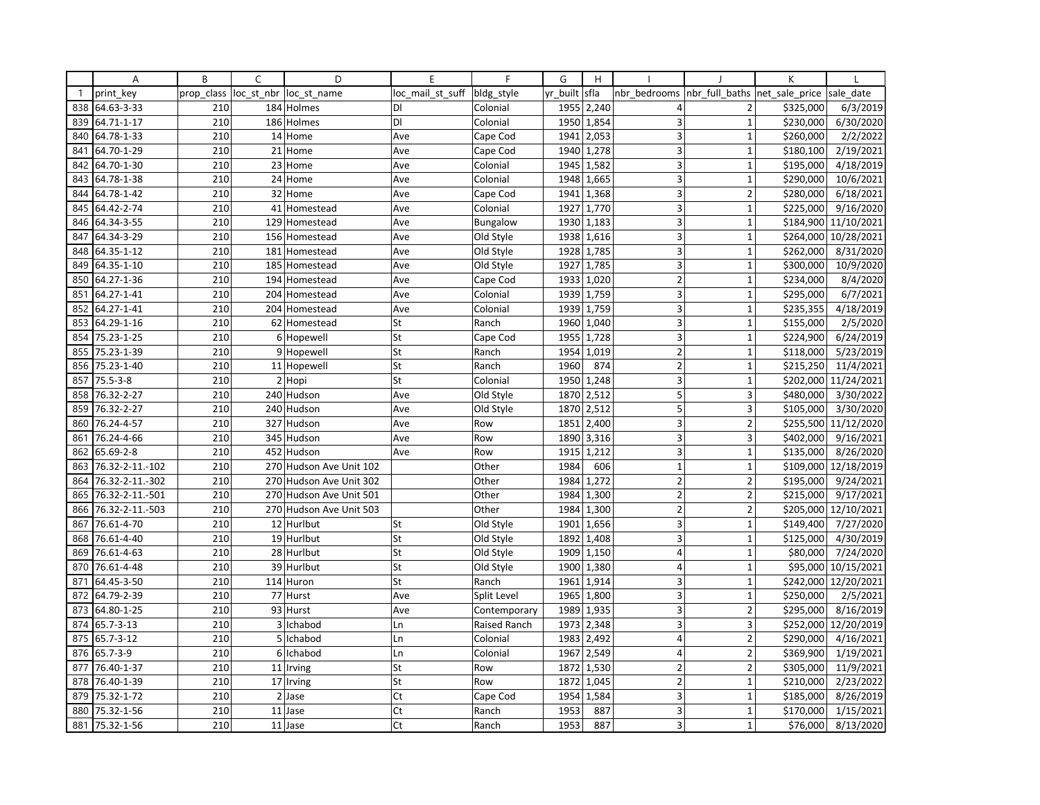|              | Α               | B          | C | D                       | E                | F               | G        | H          |                         |                                | K         |                      |
|--------------|-----------------|------------|---|-------------------------|------------------|-----------------|----------|------------|-------------------------|--------------------------------|-----------|----------------------|
| $\mathbf{1}$ | print key       | prop_class |   | loc_st_nbr  loc_st_name | loc mail st suff | bldg_style      | yr_built | sfla       | nbr bedrooms            | nbr_full_baths  net_sale_price |           | sale date            |
| 838          | 64.63-3-33      | 210        |   | 184 Holmes              | DI               | Colonial        |          | 1955 2,240 | 4                       | 2                              | \$325,000 | 6/3/2019             |
| 839          | 64.71-1-17      | 210        |   | 186 Holmes              | DI               | Colonial        | 1950     | 1,854      | $\overline{3}$          | $\mathbf{1}$                   | \$230,000 | 6/30/2020            |
| 840          | 64.78-1-33      | 210        |   | 14 Home                 | Ave              | Cape Cod        | 1941     | 2,053      | 3                       | $\mathbf{1}$                   | \$260,000 | 2/2/2022             |
| 841          | 64.70-1-29      | 210        |   | 21 Home                 | Ave              | Cape Cod        |          | 1940 1,278 | 3                       | $\mathbf 1$                    | \$180,100 | 2/19/2021            |
| 842          | 64.70-1-30      | 210        |   | 23 Home                 | Ave              | Colonial        | 1945     | 1,582      | 3                       | $\overline{1}$                 | \$195,000 | 4/18/2019            |
| 843          | 64.78-1-38      | 210        |   | 24 Home                 | Ave              | Colonial        | 1948     | 1,665      | 3                       | $\overline{1}$                 | \$290,000 | 10/6/2021            |
| 844          | 64.78-1-42      | 210        |   | 32 Home                 | Ave              | Cape Cod        | 1941     | 1,368      | 3                       | $\overline{2}$                 | \$280,000 | 6/18/2021            |
| 845          | 64.42-2-74      | 210        |   | 41 Homestead            | Ave              | Colonial        | 1927     | 1,770      | 3                       | $\mathbf{1}$                   | \$225,000 | 9/16/2020            |
|              | 846 64.34-3-55  | 210        |   | 129 Homestead           | Ave              | <b>Bungalow</b> |          | 1930 1,183 | 3                       | $\mathbf{1}$                   | \$184,900 | 11/10/2021           |
| 847          | 64.34-3-29      | 210        |   | 156 Homestead           | Ave              | Old Style       | 1938     | 1,616      | $\overline{3}$          | $\overline{1}$                 | \$264,000 | 10/28/2021           |
| 848          | 64.35-1-12      | 210        |   | 181 Homestead           | Ave              | Old Style       | 1928     | 1,785      | 3                       | $\mathbf{1}$                   | \$262,000 | 8/31/2020            |
| 849          | 64.35-1-10      | 210        |   | 185 Homestead           | Ave              | Old Style       | 1927     | 1,785      | 3                       | $\mathbf{1}$                   | \$300,000 | 10/9/2020            |
| 850          | 64.27-1-36      | 210        |   | 194 Homestead           | Ave              | Cape Cod        | 1933     | 1,020      | $\overline{2}$          | $\overline{1}$                 | \$234,000 | 8/4/2020             |
| 851          | 64.27-1-41      | 210        |   | 204 Homestead           | Ave              | Colonial        | 1939     | 1,759      | 3                       | $\mathbf{1}$                   | \$295,000 | 6/7/2021             |
| 852          | 64.27-1-41      | 210        |   | 204 Homestead           | Ave              | Colonial        | 1939     | 1,759      | 3                       | $\mathbf{1}$                   | \$235,355 | 4/18/2019            |
| 853          | 64.29-1-16      | 210        |   | 62 Homestead            | St               | Ranch           | 1960     | 1,040      | 3                       | $\mathbf{1}$                   | \$155,000 | 2/5/2020             |
| 854          | 75.23-1-25      | 210        |   | 6 Hopewell              | St               | Cape Cod        | 1955     | 1,728      | 3                       | $\mathbf{1}$                   | \$224,900 | 6/24/2019            |
| 855          | 75.23-1-39      | 210        |   | 9 Hopewell              | St               | Ranch           | 1954     | 1,019      | $\overline{2}$          | $\mathbf{1}$                   | \$118,000 | 5/23/2019            |
| 856          | 75.23-1-40      | 210        |   | 11 Hopewell             | St               | Ranch           | 1960     | 874        | $\overline{2}$          | $\mathbf{1}$                   | \$215,250 | 11/4/2021            |
| 857          | 75.5-3-8        | 210        |   | 2 Hopi                  | St               | Colonial        |          | 1950 1,248 | 3                       | $\mathbf{1}$                   | \$202,000 | 11/24/2021           |
| 858          | 76.32-2-27      | 210        |   | 240 Hudson              | Ave              | Old Style       | 1870     | 2,512      | 5                       | $\overline{3}$                 | \$480,000 | 3/30/2022            |
| 859          | 76.32-2-27      | 210        |   | 240 Hudson              | Ave              | Old Style       | 1870     | 2,512      | 5                       | 3                              | \$105,000 | 3/30/2020            |
| 860          | 76.24-4-57      | 210        |   | 327 Hudson              | Ave              | Row             | 1851     | 2,400      | 3                       | $\overline{2}$                 | \$255,500 | 11/12/2020           |
| 861          | 76.24-4-66      | 210        |   | 345 Hudson              | Ave              | Row             | 1890     | 3,316      | 3                       | 3                              | \$402,000 | 9/16/2021            |
| 862          | 65.69-2-8       | 210        |   | 452 Hudson              | Ave              | Row             |          | 1915 1,212 | 3                       | $\mathbf{1}$                   | \$135,000 | 8/26/2020            |
| 863          | 76.32-2-11.-102 | 210        |   | 270 Hudson Ave Unit 102 |                  | Other           | 1984     | 606        | $\mathbf{1}$            | $\mathbf{1}$                   | \$109,000 | 12/18/2019           |
| 864          | 76.32-2-11.-302 | 210        |   | 270 Hudson Ave Unit 302 |                  | Other           | 1984     | 1,272      | $\overline{2}$          | $\overline{2}$                 | \$195,000 | 9/24/2021            |
| 865          | 76.32-2-11.-501 | 210        |   | 270 Hudson Ave Unit 501 |                  | Other           | 1984     | 1,300      | $\overline{2}$          | $\overline{2}$                 | \$215,000 | 9/17/2021            |
| 866          | 76.32-2-11.-503 | 210        |   | 270 Hudson Ave Unit 503 |                  | Other           | 1984     | 1,300      | $\overline{2}$          | $\overline{2}$                 |           | \$205,000 12/10/2021 |
| 867          | 76.61-4-70      | 210        |   | 12 Hurlbut              | St               | Old Style       | 1901     | 1,656      | 3                       | $\mathbf{1}$                   | \$149,400 | 7/27/2020            |
| 868          | 76.61-4-40      | 210        |   | 19 Hurlbut              | St               | Old Style       | 1892     | 1,408      | 3                       | $\overline{1}$                 | \$125,000 | 4/30/2019            |
| 869          | 76.61-4-63      | 210        |   | 28 Hurlbut              | St               | Old Style       | 1909     | 1,150      | 4                       | $\mathbf{1}$                   | \$80,000  | 7/24/2020            |
| 870          | 76.61-4-48      | 210        |   | 39 Hurlbut              | St               | Old Style       |          | 1900 1,380 | $\overline{4}$          | $\mathbf{1}$                   | \$95,000  | 10/15/2021           |
| 871          | 64.45-3-50      | 210        |   | 114 Huron               | St               | Ranch           | 1961     | 1,914      | 3                       | $\overline{1}$                 |           | \$242,000 12/20/2021 |
| 872          | 64.79-2-39      | 210        |   | 77 Hurst                | Ave              | Split Level     | 1965     | 1,800      | 3                       | $\overline{1}$                 | \$250,000 | 2/5/2021             |
| 873          | 64.80-1-25      | 210        |   | 93 Hurst                | Ave              | Contemporary    | 1989     | 1,935      | 3                       | $\overline{2}$                 | \$295,000 | 8/16/2019            |
| 874          | 65.7-3-13       | 210        |   | 3 Ichabod               | Ln               | Raised Ranch    | 1973     | 2,348      | 3                       | 3                              | \$252,000 | 12/20/2019           |
| 875          | 65.7-3-12       | 210        |   | 5 Ichabod               | Ln               | Colonial        | 1983     | 2,492      | $\overline{\mathbf{4}}$ | $\overline{2}$                 | \$290,000 | 4/16/2021            |
| 876          | 65.7-3-9        | 210        |   | 6 Ichabod               | Ln               | Colonial        | 1967     | 2,549      | $\overline{4}$          | $\overline{2}$                 | \$369,900 | 1/19/2021            |
| 877          | 76.40-1-37      | 210        |   | 11 Irving               | St               | Row             | 1872     | 1,530      | $\mathbf 2$             | $\overline{2}$                 | \$305,000 | 11/9/2021            |
| 878          | 76.40-1-39      | 210        |   | 17 Irving               | St               | Row             | 1872     | 1,045      | $\overline{2}$          | $\mathbf{1}$                   | \$210,000 | 2/23/2022            |
| 879          | 75.32-1-72      | 210        |   | $2$ Jase                | Ct               | Cape Cod        | 1954     | 1,584      | 3                       | $\mathbf{1}$                   | \$185,000 | 8/26/2019            |
| 880          | 75.32-1-56      | 210        |   | 11 Jase                 | Ct               | Ranch           | 1953     | 887        | 3                       | $\mathbf{1}$                   | \$170,000 | 1/15/2021            |
| 881          | 75.32-1-56      | 210        |   | 11 Jase                 | Ct               | Ranch           | 1953     | 887        | $\overline{\mathbf{3}}$ | $\mathbf{1}$                   | \$76,000  | 8/13/2020            |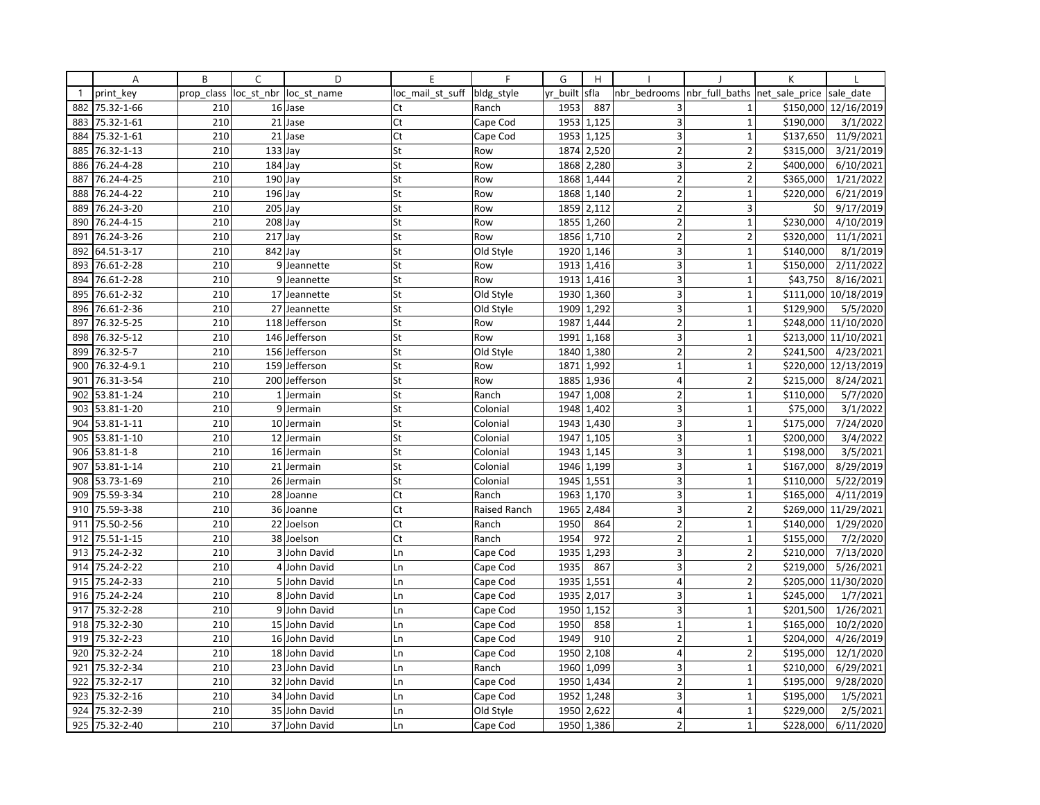|              | Α           | B          | C                    | D             | E                | F            | G        | H          |                         |                          | К              |            |
|--------------|-------------|------------|----------------------|---------------|------------------|--------------|----------|------------|-------------------------|--------------------------|----------------|------------|
| $\mathbf{1}$ | print key   | prop class | loc st nbr           | loc st name   | loc_mail_st_suff | bldg_style   | yr built | sfla       | nbr bedrooms            | nbr full baths           | net sale price | sale date  |
| 882          | 75.32-1-66  | 210        |                      | 16 Jase       | Ct               | Ranch        | 1953     | 887        | 3                       | 1                        | \$150,000      | 12/16/2019 |
| 883          | 75.32-1-61  | 210        |                      | 21 Jase       | Ct               | Cape Cod     | 1953     | 1,125      | $\overline{3}$          | $\mathbf{1}$             | \$190,000      | 3/1/2022   |
| 884          | 75.32-1-61  | 210        |                      | 21 Jase       | Ct               | Cape Cod     | 1953     | 1,125      | 3                       | $\mathbf{1}$             | \$137,650      | 11/9/2021  |
| 885          | 76.32-1-13  | 210        | $133$ Jay            |               | St               | Row          |          | 1874 2,520 | $\overline{2}$          | $\overline{2}$           | \$315,000      | 3/21/2019  |
| 886          | 76.24-4-28  | 210        | $184$ Jay            |               | St               | Row          | 1868     | 2,280      | 3                       | $\overline{2}$           | \$400,000      | 6/10/2021  |
| 887          | 76.24-4-25  | 210        | $190$ Jay            |               | St               | Row          | 1868     | 1,444      | $\overline{2}$          | $\overline{2}$           | \$365,000      | 1/21/2022  |
| 888          | 76.24-4-22  | 210        | $196$ Jay            |               | St               | Row          |          | 1868 1,140 | $\overline{2}$          | $\mathbf{1}$             | \$220,000      | 6/21/2019  |
| 889          | 76.24-3-20  | 210        | $\overline{2}05$ Jay |               | St               | Row          | 1859     | 2,112      | $\overline{2}$          | $\overline{3}$           | \$0            | 9/17/2019  |
| 890          | 76.24-4-15  | 210        | $208$ Jay            |               | St               | Row          |          | 1855 1,260 | $\mathbf 2$             | $\mathbf{1}$             | \$230,000      | 4/10/2019  |
| 891          | 76.24-3-26  | 210        | $217$ Jay            |               | St               | Row          | 1856     | 1,710      | $\overline{2}$          | $\overline{\phantom{a}}$ | \$320,000      | 11/1/2021  |
| 892          | 64.51-3-17  | 210        | 842 Jay              |               | St               | Old Style    | 1920     | 1,146      | 3                       | $\mathbf{1}$             | \$140,000      | 8/1/2019   |
| 893          | 76.61-2-28  | 210        |                      | 9 Jeannette   | St               | Row          |          | 1913 1,416 | 3                       | $\mathbf{1}$             | \$150,000      | 2/11/2022  |
| 894          | 76.61-2-28  | 210        | $\overline{9}$       | Jeannette     | St               | Row          |          | 1913 1,416 | $\overline{3}$          | 1                        | \$43,750       | 8/16/2021  |
| 895          | 76.61-2-32  | 210        |                      | 17 Jeannette  | St               | Old Style    | 1930     | 1,360      | 3                       | $\mathbf{1}$             | \$111,000      | 10/18/2019 |
| 896          | 76.61-2-36  | 210        |                      | 27 Jeannette  | St               | Old Style    | 1909     | 1,292      | 3                       | $\overline{1}$           | \$129,900      | 5/5/2020   |
| 897          | 76.32-5-25  | 210        |                      | 118 Jefferson | St               | Row          | 1987     | 1,444      | $\overline{2}$          | $\mathbf{1}$             | \$248,000      | 11/10/2020 |
| 898          | 76.32-5-12  | 210        |                      | 146 Jefferson | St               | Row          | 1991     | 1,168      | $\overline{\mathbf{3}}$ | $\mathbf{1}$             | \$213,000      | 11/10/2021 |
| 899          | 76.32-5-7   | 210        |                      | 156 Jefferson | St               | Old Style    | 1840     | 1,380      | $\overline{2}$          | $\overline{\phantom{a}}$ | \$241,500      | 4/23/2021  |
| 900          | 76.32-4-9.1 | 210        |                      | 159 Jefferson | St               | Row          | 1871     | 1,992      | $\mathbf 1$             | $\mathbf{1}$             | \$220,000      | 12/13/2019 |
| 901          | 76.31-3-54  | 210        |                      | 200 Jefferson | St               | Row          | 1885     | 1,936      | $\overline{4}$          | $\overline{\mathbf{c}}$  | \$215,000      | 8/24/2021  |
| 902          | 53.81-1-24  | 210        |                      | 1 Jermain     | St               | Ranch        | 1947     | 1,008      | 2                       | $\mathbf{1}$             | \$110,000      | 5/7/2020   |
| 903          | 53.81-1-20  | 210        |                      | 9 Jermain     | St               | Colonial     | 1948     | 1,402      | 3                       | $\mathbf 1$              | \$75,000       | 3/1/2022   |
| 904          | 53.81-1-11  | 210        |                      | 10 Jermain    | St               | Colonial     | 1943     | 1,430      | 3                       | $\mathbf{1}$             | \$175,000      | 7/24/2020  |
| 905          | 53.81-1-10  | 210        |                      | 12 Jermain    | St               | Colonial     | 1947     | 1,105      | 3                       | $\mathbf 1$              | \$200,000      | 3/4/2022   |
| 906          | 53.81-1-8   | 210        |                      | 16 Jermain    | St               | Colonial     | 1943     | 1,145      | $\overline{\mathbf{3}}$ | $\mathbf 1$              | \$198,000      | 3/5/2021   |
| 907          | 53.81-1-14  | 210        | 21                   | Jermain       | St               | Colonial     | 1946     | 1,199      | 3                       | $\mathbf{1}$             | \$167,000      | 8/29/2019  |
| 908          | 53.73-1-69  | 210        |                      | 26 Jermain    | St               | Colonial     | 1945     | 1,551      | 3                       | $\mathbf{1}$             | \$110,000      | 5/22/2019  |
| 909          | 75.59-3-34  | 210        |                      | 28 Joanne     | Ct               | Ranch        | 1963     | 1,170      | 3                       | $\mathbf{1}$             | \$165,000      | 4/11/2019  |
| 910          | 75.59-3-38  | 210        |                      | 36 Joanne     | Ct               | Raised Ranch | 1965     | 2,484      | $\overline{\mathbf{3}}$ | $\overline{2}$           | \$269,000      | 11/29/2021 |
| 911          | 75.50-2-56  | 210        |                      | 22 Joelson    | Ct               | Ranch        | 1950     | 864        | $\overline{2}$          | $\mathbf{1}$             | \$140,000      | 1/29/2020  |
| 912          | 75.51-1-15  | 210        |                      | 38 Joelson    | Ct               | Ranch        | 1954     | 972        | $\overline{2}$          | $\mathbf{1}$             | \$155,000      | 7/2/2020   |
| 913          | 75.24-2-32  | 210        |                      | 3 John David  | Ln               | Cape Cod     | 1935     | 1,293      | 3                       | $\overline{2}$           | \$210,000      | 7/13/2020  |
| 914          | 75.24-2-22  | 210        |                      | 4 John David  | Ln               | Cape Cod     | 1935     | 867        | 3                       | $\overline{2}$           | \$219,000      | 5/26/2021  |
| 915          | 75.24-2-33  | 210        |                      | 5 John David  | Ln               | Cape Cod     | 1935     | 1,551      | $\overline{4}$          | $\overline{2}$           | \$205,000      | 11/30/2020 |
| 916          | 75.24-2-24  | 210        |                      | 8 John David  | Ln               | Cape Cod     | 1935     | 2,017      | 3                       | $\mathbf{1}$             | \$245,000      | 1/7/2021   |
| 917          | 75.32-2-28  | 210        |                      | 9 John David  | Ln               | Cape Cod     | 1950     | 1,152      | 3                       | $\mathbf{1}$             | \$201,500      | 1/26/2021  |
| 918          | 75.32-2-30  | 210        |                      | 15 John David | Ln               | Cape Cod     | 1950     | 858        | $\mathbf{1}$            | $\mathbf{1}$             | \$165,000      | 10/2/2020  |
| 919          | 75.32-2-23  | 210        |                      | 16 John David | Ln               | Cape Cod     | 1949     | 910        | $\overline{2}$          | $\mathbf{1}$             | \$204,000      | 4/26/2019  |
| 920          | 75.32-2-24  | 210        |                      | 18 John David | Ln               | Cape Cod     | 1950     | 2,108      | $\overline{4}$          | $\overline{\phantom{a}}$ | \$195,000      | 12/1/2020  |
| 921          | 75.32-2-34  | 210        |                      | 23 John David | Ln               | Ranch        | 1960     | 1,099      | 3                       | $\mathbf 1$              | \$210,000      | 6/29/2021  |
| 922          | 75.32-2-17  | 210        |                      | 32 John David | Ln               | Cape Cod     |          | 1950 1,434 | $\overline{2}$          | $\mathbf 1$              | \$195,000      | 9/28/2020  |
| 923          | 75.32-2-16  | 210        |                      | 34 John David | Ln               | Cape Cod     | 1952     | 1,248      | 3                       | $\mathbf{1}$             | \$195,000      | 1/5/2021   |
| 924          | 75.32-2-39  | 210        |                      | 35 John David | Ln               | Old Style    | 1950     | 2,622      | $\overline{4}$          | $\mathbf{1}$             | \$229,000      | 2/5/2021   |
| 925          | 75.32-2-40  | 210        |                      | 37 John David | Ln               | Cape Cod     |          | 1950 1,386 | $\overline{2}$          | 1                        | \$228,000      | 6/11/2020  |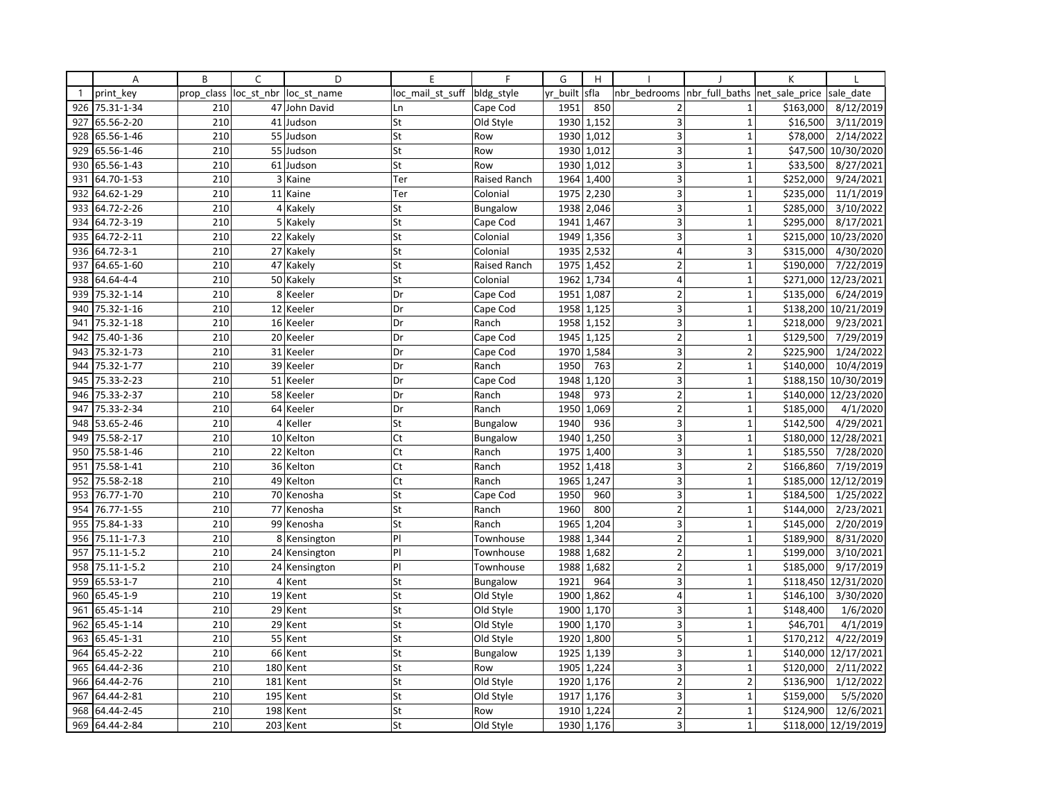|              | Α           | B          | C          | D             | E                | F            | G        | H          |                         |                          | К              |                      |
|--------------|-------------|------------|------------|---------------|------------------|--------------|----------|------------|-------------------------|--------------------------|----------------|----------------------|
| $\mathbf{1}$ | print key   | prop_class | loc_st_nbr | loc st name   | loc mail st suff | bldg_style   | yr built | sfla       | nbr bedrooms            | nbr full baths           | net sale price | sale date            |
| 926          | 75.31-1-34  | 210        |            | 47 John David | Ln               | Cape Cod     | 1951     | 850        | $\overline{2}$          | $\mathbf{1}$             | \$163,000      | 8/12/2019            |
| 927          | 65.56-2-20  | 210        |            | 41 Judson     | St               | Old Style    | 1930     | 1,152      | 3                       | $\mathbf{1}$             | \$16,500       | 3/11/2019            |
| 928          | 65.56-1-46  | 210        |            | 55 Judson     | St               | Row          | 1930     | 1,012      | 3                       | $\mathbf{1}$             | \$78,000       | 2/14/2022            |
| 929          | 65.56-1-46  | 210        |            | 55 Judson     | St               | Row          |          | 1930 1,012 | 3                       | $\mathbf{1}$             | \$47,500       | 10/30/2020           |
| 930          | 65.56-1-43  | 210        |            | 61 Judson     | St               | Row          | 1930     | 1,012      | 3                       | $\overline{1}$           | \$33,500       | 8/27/2021            |
| 931          | 64.70-1-53  | 210        | 3          | Kaine         | Ter              | Raised Ranch | 1964     | 1,400      | 3                       | $\mathbf{1}$             | \$252,000      | 9/24/2021            |
| 932          | 64.62-1-29  | 210        |            | 11 Kaine      | Ter              | Colonial     | 1975     | 2,230      | 3                       | $\mathbf{1}$             | \$235,000      | 11/1/2019            |
| 933          | 64.72-2-26  | 210        | 4          | Kakely        | St               | Bungalow     | 1938     | 2,046      | 3                       | $\mathbf{1}$             | \$285,000      | 3/10/2022            |
| 934          | 64.72-3-19  | 210        |            | 5 Kakely      | St               | Cape Cod     | 1941     | 1,467      | 3                       | $\mathbf{1}$             | \$295,000      | 8/17/2021            |
| 935          | 64.72-2-11  | 210        | 22         | Kakely        | St               | Colonial     | 1949     | 1,356      | $\overline{3}$          | 1                        | \$215,000      | 10/23/2020           |
| 936          | 64.72-3-1   | 210        |            | 27 Kakely     | St               | Colonial     | 1935     | 2,532      | $\overline{4}$          | 3                        | \$315,000      | 4/30/2020            |
| 937          | 64.65-1-60  | 210        |            | 47 Kakely     | St               | Raised Ranch |          | 1975 1,452 | $\overline{2}$          | $\mathbf{1}$             | \$190,000      | 7/22/2019            |
| 938          | 64.64-4-4   | 210        |            | 50 Kakely     | St               | Colonial     | 1962     | 1,734      | $\overline{4}$          | 1                        | \$271,000      | 12/23/2021           |
| 939          | 75.32-1-14  | 210        | 8          | Keeler        | Dr               | Cape Cod     | 1951     | 1,087      | $\overline{2}$          | $\mathbf{1}$             | \$135,000      | 6/24/2019            |
| 940          | 75.32-1-16  | 210        | 12         | Keeler        | Dr               | Cape Cod     |          | 1958 1,125 | 3                       | $\overline{1}$           | \$138,200      | 10/21/2019           |
| 941          | 75.32-1-18  | 210        |            | 16 Keeler     | Dr               | Ranch        | 1958     | 1,152      | 3                       | $\mathbf{1}$             | \$218,000      | 9/23/2021            |
| 942          | 75.40-1-36  | 210        |            | 20 Keeler     | Dr               | Cape Cod     | 1945     | 1,125      | $\overline{2}$          | $\mathbf{1}$             | \$129,500      | 7/29/2019            |
| 943          | 75.32-1-73  | 210        | 31 I       | Keeler        | Dr               | Cape Cod     | 1970     | 1,584      | $\overline{\mathbf{3}}$ | $\overline{\phantom{a}}$ | \$225,900      | 1/24/2022            |
| 944          | 75.32-1-77  | 210        |            | 39 Keeler     | Dr               | Ranch        | 1950     | 763        | $\overline{2}$          | $\mathbf{1}$             | \$140,000      | 10/4/2019            |
| 945          | 75.33-2-23  | 210        |            | 51 Keeler     | Dr               | Cape Cod     | 1948     | 1,120      | 3                       | $\mathbf{1}$             | \$188,150      | 10/30/2019           |
| 946          | 75.33-2-37  | 210        |            | 58 Keeler     | Dr               | Ranch        | 1948     | 973        | 2                       | $\mathbf{1}$             | \$140,000      | 12/23/2020           |
| 947          | 75.33-2-34  | 210        |            | 64 Keeler     | Dr               | Ranch        | 1950     | 1,069      | $\overline{2}$          | $\mathbf 1$              | \$185,000      | 4/1/2020             |
| 948          | 53.65-2-46  | 210        | 4          | Keller        | St               | Bungalow     | 1940     | 936        | $\overline{3}$          | $\mathbf{1}$             | \$142,500      | 4/29/2021            |
| 949          | 75.58-2-17  | 210        |            | 10 Kelton     | Ct               | Bungalow     | 1940     | 1,250      | 3                       | $\mathbf 1$              | \$180,000      | 12/28/2021           |
| 950          | 75.58-1-46  | 210        |            | 22 Kelton     | Ct               | Ranch        | 1975     | 1,400      | $\overline{\mathbf{3}}$ | $\mathbf 1$              | \$185,550      | 7/28/2020            |
| 951          | 75.58-1-41  | 210        |            | 36 Kelton     | Ct               | Ranch        | 1952     | 1,418      | 3                       | $\overline{2}$           | \$166,860      | 7/19/2019            |
| 952          | 75.58-2-18  | 210        | 49         | Kelton        | Ct               | Ranch        | 1965     | 1,247      | 3                       | $\mathbf{1}$             | \$185,000      | 12/12/2019           |
| 953          | 76.77-1-70  | 210        |            | 70 Kenosha    | St               | Cape Cod     | 1950     | 960        | 3                       | $\mathbf{1}$             | \$184,500      | 1/25/2022            |
| 954          | 76.77-1-55  | 210        |            | 77 Kenosha    | St               | Ranch        | 1960     | 800        | $\overline{2}$          | $\mathbf{1}$             | \$144,000      | 2/23/2021            |
| 955          | 75.84-1-33  | 210        |            | 99 Kenosha    | St               | Ranch        | 1965     | 1,204      | 3                       | $\mathbf{1}$             | \$145,000      | 2/20/2019            |
| 956          | 75.11-1-7.3 | 210        | 8          | Kensington    | PI               | Townhouse    | 1988     | 1,344      | $\overline{2}$          | $\mathbf{1}$             | \$189,900      | 8/31/2020            |
| 957          | 75.11-1-5.2 | 210        |            | 24 Kensington | PI               | Townhouse    | 1988     | 1,682      | $\overline{2}$          | $\mathbf{1}$             | \$199,000      | 3/10/2021            |
| 958          | 75.11-1-5.2 | 210        |            | 24 Kensington | PI               | Townhouse    | 1988     | 1,682      | $\overline{2}$          | $\mathbf{1}$             | \$185,000      | 9/17/2019            |
| 959          | 65.53-1-7   | 210        | 4          | Kent          | St               | Bungalow     | 1921     | 964        | $\overline{3}$          | $\overline{1}$           | \$118,450      | 12/31/2020           |
| 960          | 65.45-1-9   | 210        | 19         | Kent          | St               | Old Style    | 1900     | 1,862      | 4                       | $\mathbf{1}$             | \$146,100      | 3/30/2020            |
| 961          | 65.45-1-14  | 210        |            | 29 Kent       | St               | Old Style    | 1900     | 1,170      | 3                       | $\mathbf{1}$             | \$148,400      | 1/6/2020             |
| 962          | 65.45-1-14  | 210        |            | 29 Kent       | St               | Old Style    | 1900     | 1,170      | 3                       | $\mathbf{1}$             | \$46,701       | 4/1/2019             |
| 963          | 65.45-1-31  | 210        |            | 55 Kent       | St               | Old Style    | 1920     | 1,800      | 5                       | $\mathbf{1}$             | \$170,212      | 4/22/2019            |
| 964          | 65.45-2-22  | 210        | 66         | Kent          | St               | Bungalow     | 1925     | 1,139      | $\overline{\mathbf{3}}$ | 1                        | \$140,000      | 12/17/2021           |
| 965          | 64.44-2-36  | 210        | 180        | Kent          | St               | Row          | 1905     | 1,224      | 3                       | $\mathbf 1$              | \$120,000      | 2/11/2022            |
| 966          | 64.44-2-76  | 210        | 181        | Kent          | St               | Old Style    |          | 1920 1,176 | $\overline{2}$          | $\overline{2}$           | \$136,900      | 1/12/2022            |
| 967          | 64.44-2-81  | 210        | 195        | Kent          | St               | Old Style    | 1917     | 1,176      | 3                       | $\mathbf{1}$             | \$159,000      | 5/5/2020             |
| 968          | 64.44-2-45  | 210        | 198        | Kent          | St               | Row          | 1910     | 1,224      | $\overline{2}$          | $\mathbf{1}$             | \$124,900      | 12/6/2021            |
| 969          | 64.44-2-84  | 210        |            | 203 Kent      | St               | Old Style    |          | 1930 1,176 | 3                       | 1                        |                | \$118,000 12/19/2019 |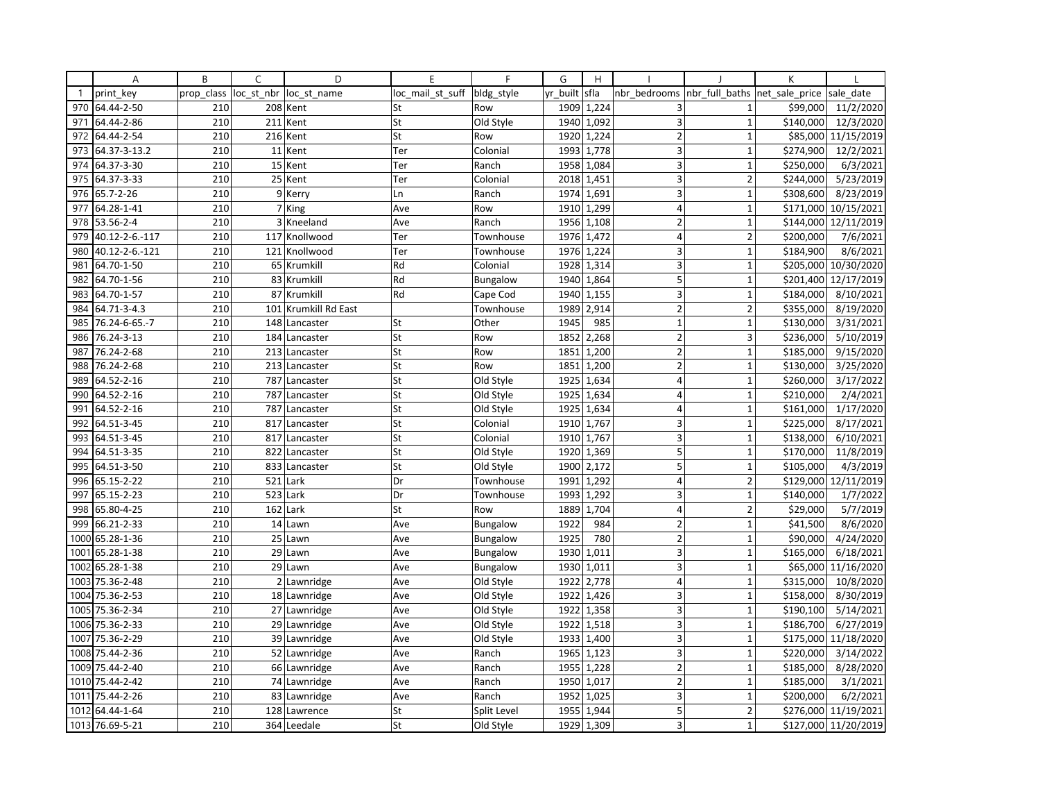|              | Α               | B          | C   | D                      | E                | F               | G        | H                       |                         |                                | K         |                        |
|--------------|-----------------|------------|-----|------------------------|------------------|-----------------|----------|-------------------------|-------------------------|--------------------------------|-----------|------------------------|
| $\mathbf{1}$ | print key       | prop class |     | loc st nbr loc st name | loc mail st suff | bldg_style      | yr_built | sfla                    | nbr bedrooms            | nbr_full_baths  net_sale_price |           | sale date              |
| 970          | 64.44-2-50      | 210        |     | 208 Kent               | St               | Row             | 1909     | 1,224                   | 3                       | $\mathbf{1}$                   | \$99,000  | 11/2/2020              |
| 971          | 64.44-2-86      | 210        |     | 211 Kent               | St               | Old Style       | 1940     | 1,092                   | $\overline{3}$          | $\mathbf{1}$                   | \$140,000 | 12/3/2020              |
| 972          | 64.44-2-54      | 210        |     | 216 Kent               | St               | Row             | 1920     | 1,224                   | $\overline{2}$          | $\mathbf{1}$                   |           | \$85,000 11/15/2019    |
| 973          | 64.37-3-13.2    | 210        |     | 11 Kent                | Ter              | Colonial        |          | 1993 1,778              | 3                       | $\mathbf{1}$                   | \$274,900 | 12/2/2021              |
| 974          | 64.37-3-30      | 210        |     | 15 Kent                | Ter              | Ranch           | 1958     | 1,084                   | 3                       | $\mathbf{1}$                   | \$250,000 | 6/3/2021               |
| 975          | 64.37-3-33      | 210        |     | 25 Kent                | Ter              | Colonial        | 2018     | 1,451                   | 3                       | $\overline{2}$                 | \$244,000 | 5/23/2019              |
| 976          | 65.7-2-26       | 210        |     | 9 Kerry                | Ln               | Ranch           |          | 1974 1,691              | 3                       | $\mathbf{1}$                   | \$308,600 | 8/23/2019              |
| 977          | 64.28-1-41      | 210        |     | 7 King                 | Ave              | Row             | 1910     | 1,299                   | $\overline{4}$          | $\mathbf{1}$                   | \$171,000 | 10/15/2021             |
| 978          | 53.56-2-4       | 210        |     | 3 Kneeland             | Ave              | Ranch           |          | 1956 1,108              | $\overline{2}$          | $\mathbf{1}$                   |           | \$144,000 12/11/2019   |
| 979          | 40.12-2-6.-117  | 210        |     | 117 Knollwood          | Ter              | Townhouse       | 1976     | 1,472                   | $\overline{4}$          | $\overline{2}$                 | \$200,000 | 7/6/2021               |
| 980          | 40.12-2-6.-121  | 210        |     | 121 Knollwood          | Ter              | Townhouse       | 1976     | 1,224                   | 3                       | $\mathbf{1}$                   | \$184,900 | 8/6/2021               |
| 981          | 64.70-1-50      | 210        |     | 65 Krumkill            | Rd               | Colonial        |          | 1928 1,314              | 3                       | $\mathbf{1}$                   |           | \$205,000 10/30/2020   |
| 982          | 64.70-1-56      | 210        |     | 83 Krumkill            | Rd               | Bungalow        | 1940     | 1,864                   | 5                       | $\mathbf{1}$                   | \$201,400 | 12/17/2019             |
| 983          | 64.70-1-57      | 210        |     | 87 Krumkill            | Rd               | Cape Cod        | 1940     | 1,155                   | 3                       | $\mathbf{1}$                   | \$184,000 | 8/10/2021              |
| 984          | 64.71-3-4.3     | 210        |     | 101 Krumkill Rd East   |                  | Townhouse       | 1989     | 2,914                   | $\overline{2}$          | $\overline{2}$                 | \$355,000 | 8/19/2020              |
| 985          | 76.24-6-65.-7   | 210        |     | 148 Lancaster          | St               | Other           | 1945     | 985                     | $\mathbf{1}$            | $\mathbf{1}$                   | \$130,000 | 3/31/2021              |
| 986          | 76.24-3-13      | 210        |     | 184 Lancaster          | St               | Row             | 1852     | 2,268                   | $\overline{2}$          | 3                              | \$236,000 | 5/10/2019              |
| 987          | 76.24-2-68      | 210        |     | 213 Lancaster          | St               | Row             | 1851     | 1,200                   | $\overline{2}$          | $\mathbf{1}$                   | \$185,000 | $\frac{1}{9}$ /15/2020 |
| 988          | 76.24-2-68      | 210        |     | 213 Lancaster          | St               | Row             | 1851     | 1,200                   | $\overline{2}$          | $\mathbf{1}$                   | \$130,000 | 3/25/2020              |
| 989          | 64.52-2-16      | 210        |     | 787 Lancaster          | St               | Old Style       | 1925     | 1,634                   | $\overline{4}$          | $\mathbf 1$                    | \$260,000 | $\frac{1}{3}/17/2022$  |
| 990          | 64.52-2-16      | 210        |     | 787 Lancaster          | St               | Old Style       | 1925     | 1,634                   | $\overline{\mathbf{4}}$ | $\mathbf{1}$                   | \$210,000 | 2/4/2021               |
| 991          | 64.52-2-16      | 210        |     | 787 Lancaster          | St               | Old Style       | 1925     | 1,634                   | $\overline{4}$          | $\mathbf{1}$                   | \$161,000 | 1/17/2020              |
| 992          | 64.51-3-45      | 210        |     | 817 Lancaster          | St               | Colonial        | 1910     | 1,767                   | 3                       | $\mathbf{1}$                   | \$225,000 | 8/17/2021              |
| 993          | 64.51-3-45      | 210        | 817 | Lancaster              | St               | Colonial        | 1910     | 1,767                   | 3                       | $\mathbf 1$                    | \$138,000 | 6/10/2021              |
| 994          | 64.51-3-35      | 210        |     | 822 Lancaster          | St               | Old Style       |          | 1920 1,369              | 5                       | $\mathbf 1$                    | \$170,000 | 11/8/2019              |
| 995          | 64.51-3-50      | 210        |     | 833 Lancaster          | St               | Old Style       | 1900     | 2,172                   | 5                       | $\mathbf{1}$                   | \$105,000 | 4/3/2019               |
| 996          | 65.15-2-22      | 210        |     | 521 Lark               | Dr               | Townhouse       | 1991     | 1,292                   | $\overline{4}$          | $\overline{2}$                 | \$129,000 | 12/11/2019             |
| 997          | 65.15-2-23      | 210        |     | 523 Lark               | Dr               | Townhouse       | 1993     | 1,292                   | 3                       | $\mathbf{1}$                   | \$140,000 | 1/7/2022               |
| 998          | 65.80-4-25      | 210        |     | 162 Lark               | St               | Row             | 1889     | 1,704                   | $\overline{4}$          | $\overline{2}$                 | \$29,000  | 5/7/2019               |
| 999          | 66.21-2-33      | 210        |     | 14 Lawn                | Ave              | <b>Bungalow</b> | 1922     | 984                     | $\overline{2}$          | $\mathbf 1$                    | \$41,500  | 8/6/2020               |
| 1000         | 65.28-1-36      | 210        |     | 25 Lawn                | Ave              | <b>Bungalow</b> | 1925     | 780                     | $\overline{2}$          | $\mathbf{1}$                   | \$90,000  | 4/24/2020              |
| 1001         | 65.28-1-38      | 210        |     | 29 Lawn                | Ave              | Bungalow        | 1930     | 1,011                   | 3                       | $\mathbf{1}$                   | \$165,000 | 6/18/2021              |
| 1002         | 65.28-1-38      | 210        |     | 29 Lawn                | Ave              | <b>Bungalow</b> |          | $\overline{1930}$ 1,011 | 3                       | $\mathbf{1}$                   | \$65,000  | 11/16/2020             |
| 1003         | 75.36-2-48      | 210        |     | 2 Lawnridge            | Ave              | Old Style       | 1922     | 2,778                   | $\overline{4}$          | $\overline{1}$                 | \$315,000 | 10/8/2020              |
| 1004         | 75.36-2-53      | 210        |     | 18 Lawnridge           | Ave              | Old Style       | 1922     | 1,426                   | 3                       | $\mathbf{1}$                   | \$158,000 | 8/30/2019              |
| 1005         | 75.36-2-34      | 210        |     | 27 Lawnridge           | Ave              | Old Style       | 1922     | 1,358                   | 3                       | $\mathbf{1}$                   | \$190,100 | 5/14/2021              |
| 1006         | 75.36-2-33      | 210        |     | 29 Lawnridge           | Ave              | Old Style       | 1922     | 1,518                   | 3                       | $\mathbf{1}$                   | \$186,700 | 6/27/2019              |
| 1007         | 75.36-2-29      | 210        |     | 39 Lawnridge           | Ave              | Old Style       | 1933     | 1,400                   | 3                       | $\mathbf{1}$                   | \$175,000 | 11/18/2020             |
| 1008         | 75.44-2-36      | 210        |     | 52 Lawnridge           | Ave              | Ranch           | 1965     | 1,123                   | $\overline{3}$          | $\mathbf{1}$                   | \$220,000 | 3/14/2022              |
| 1009         | 75.44-2-40      | 210        |     | 66 Lawnridge           | Ave              | Ranch           | 1955     | 1,228                   | $\overline{2}$          | $\mathbf{1}$                   | \$185,000 | 8/28/2020              |
|              | 1010 75.44-2-42 | 210        |     | 74 Lawnridge           | Ave              | Ranch           |          | 1950 1,017              | $\overline{2}$          | $\mathbf 1$                    | \$185,000 | 3/1/2021               |
| 1011         | 75.44-2-26      | 210        |     | 83 Lawnridge           | Ave              | Ranch           | 1952     | 1,025                   | 3                       | $\mathbf{1}$                   | \$200,000 | 6/2/2021               |
| 1012         | 64.44-1-64      | 210        |     | 128 Lawrence           | St               | Split Level     | 1955     | 1,944                   | 5                       | $\overline{2}$                 | \$276,000 | 11/19/2021             |
|              | 1013 76.69-5-21 | 210        |     | 364 Leedale            | St               | Old Style       |          | 1929 1,309              | 3                       | $\mathbf{1}$                   |           | \$127,000 11/20/2019   |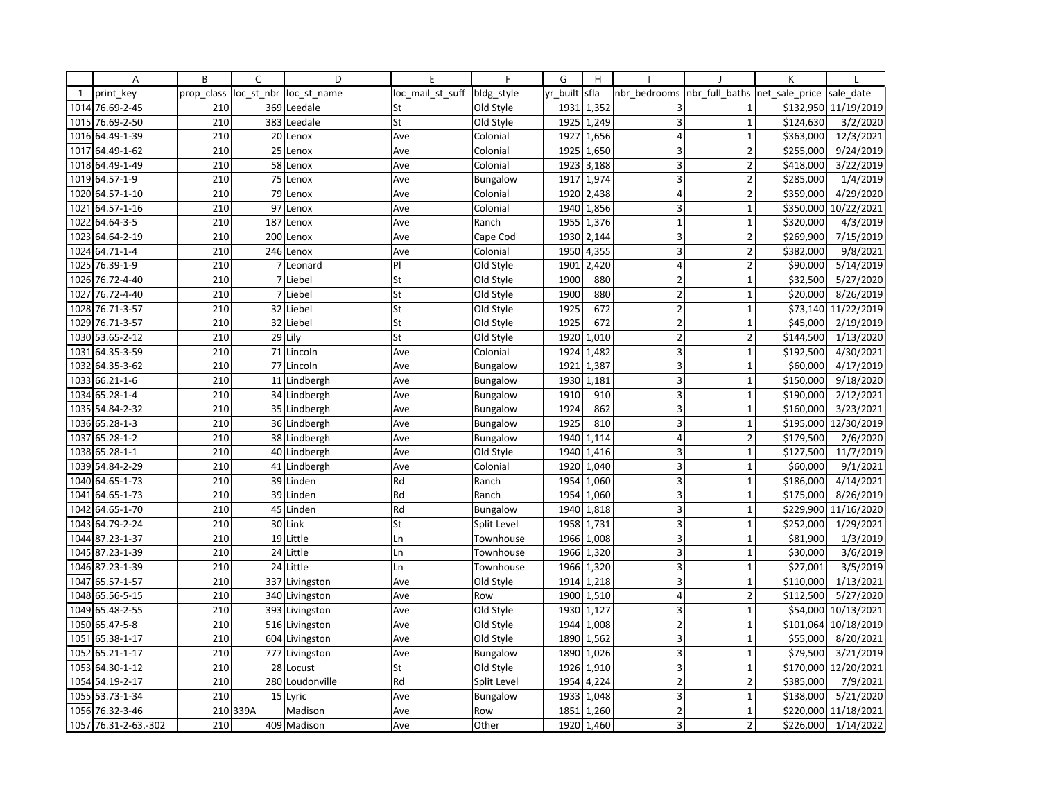|              | Α                    | B          | C              | D               | E                | $\mathsf{F}$    | G        | H          |                         |                | K              |                      |
|--------------|----------------------|------------|----------------|-----------------|------------------|-----------------|----------|------------|-------------------------|----------------|----------------|----------------------|
| $\mathbf{1}$ | print key            | prop_class | loc_st_nbr     | loc st name     | loc mail st suff | bldg style      | yr built | sfla       | nbr bedrooms            | nbr_full_baths | net sale price | sale_date            |
|              | 1014 76.69-2-45      | 210        |                | 369 Leedale     | St               | Old Style       | 1931     | 1,352      | 3                       | $\mathbf{1}$   |                | \$132,950 11/19/2019 |
| 1015         | 76.69-2-50           | 210        | 383            | Leedale         | St               | Old Style       | 1925     | 1,249      | $\overline{3}$          | $\mathbf{1}$   | \$124,630      | 3/2/2020             |
| 1016         | 64.49-1-39           | 210        | 20             | Lenox           | Ave              | Colonial        | 1927     | 1,656      | $\overline{4}$          | $\mathbf{1}$   | \$363,000      | 12/3/2021            |
| 1017         | 64.49-1-62           | 210        | 25             | Lenox           | Ave              | Colonial        |          | 1925 1,650 | 3                       | $\overline{2}$ | \$255,000      | 9/24/2019            |
|              | 1018 64.49-1-49      | 210        |                | 58 Lenox        | Ave              | Colonial        | 1923     | 3,188      | 3                       | $\overline{2}$ | \$418,000      | 3/22/2019            |
| 1019         | 64.57-1-9            | 210        | 75             | Lenox           | Ave              | <b>Bungalow</b> | 1917     | 1,974      | 3                       | $\overline{2}$ | \$285,000      | 1/4/2019             |
| 1020         | 64.57-1-10           | 210        | 79             | Lenox           | Ave              | Colonial        | 1920     | 2,438      | $\overline{4}$          | $\overline{2}$ | \$359,000      | 4/29/2020            |
| 1021         | 64.57-1-16           | 210        | 97             | Lenox           | Ave              | Colonial        | 1940     | 1,856      | 3                       | $\mathbf{1}$   | \$350,000      | 10/22/2021           |
| 1022         | 64.64-3-5            | 210        | 187            | Lenox           | Ave              | Ranch           | 1955     | 1,376      | $\mathbf{1}$            | $\mathbf 1$    | \$320,000      | 4/3/2019             |
| 1023         | 64.64-2-19           | 210        | 200            | Lenox           | Ave              | Cape Cod        | 1930     | 2,144      | 3                       | $\overline{2}$ | \$269,900      | 7/15/2019            |
| 1024         | 64.71-1-4            | 210        | 246            | Lenox           | Ave              | Colonial        | 1950     | 4,355      | 3                       | $\overline{2}$ | \$382,000      | 9/8/2021             |
| 1025         | 76.39-1-9            | 210        | $\overline{7}$ | Leonard         | PI               | Old Style       | 1901     | 2,420      | $\overline{4}$          | $\overline{2}$ | \$90,000       | 5/14/2019            |
| 1026         | 76.72-4-40           | 210        |                | 7 Liebel        | St               | Old Style       | 1900     | 880        | $\overline{2}$          | $\mathbf{1}$   | \$32,500       | 5/27/2020            |
| 1027         | 76.72-4-40           | 210        |                | 7 Liebel        | St               | Old Style       | 1900     | 880        | $\overline{2}$          | $\mathbf 1$    | \$20,000       | 8/26/2019            |
| 1028         | 76.71-3-57           | 210        | 32             | Liebel          | St               | Old Style       | 1925     | 672        | $\overline{2}$          | $\mathbf{1}$   | \$73,140       | 11/22/2019           |
| 1029         | 76.71-3-57           | 210        | 32             | Liebel          | St               | Old Style       | 1925     | 672        | $\overline{2}$          | $\mathbf{1}$   | \$45,000       | 2/19/2019            |
|              | 1030 53.65-2-12      | 210        | 29             | Lily            | St               | Old Style       | 1920     | 1,010      | $\overline{2}$          | $\overline{2}$ | \$144,500      | 1/13/2020            |
| 1031         | 64.35-3-59           | 210        | 71             | Lincoln         | Ave              | Colonial        | 1924     | 1,482      | $\overline{3}$          | $\overline{1}$ | \$192,500      | 4/30/2021            |
| 1032         | 64.35-3-62           | 210        |                | 77 Lincoln      | Ave              | <b>Bungalow</b> | 1921     | 1,387      | $\overline{\mathbf{3}}$ | $\mathbf{1}$   | \$60,000       | 4/17/2019            |
|              | 1033 66.21-1-6       | 210        |                | 11 Lindbergh    | Ave              | <b>Bungalow</b> |          | 1930 1,181 | 3                       | $\mathbf 1$    | \$150,000      | 9/18/2020            |
| 1034         | 65.28-1-4            | 210        |                | 34 Lindbergh    | Ave              | <b>Bungalow</b> | 1910     | 910        | $\overline{3}$          | $\mathbf{1}$   | \$190,000      | 2/12/2021            |
| 1035         | 54.84-2-32           | 210        |                | 35 Lindbergh    | Ave              | <b>Bungalow</b> | 1924     | 862        | 3 <sup>1</sup>          | $\mathbf 1$    | \$160,000      | 3/23/2021            |
|              | 1036 65.28-1-3       | 210        |                | 36 Lindbergh    | Ave              | <b>Bungalow</b> | 1925     | 810        | 3                       | $\mathbf{1}$   | \$195,000      | 12/30/2019           |
| 1037         | 65.28-1-2            | 210        |                | 38 Lindbergh    | Ave              | <b>Bungalow</b> | 1940     | 1,114      | 4                       | $\overline{2}$ | \$179,500      | 2/6/2020             |
|              | 1038 65.28-1-1       | 210        |                | 40 Lindbergh    | Ave              | Old Style       | 1940     | 1,416      | 3 <sup>1</sup>          | $\mathbf 1$    | \$127,500      | 11/7/2019            |
| 1039         | 54.84-2-29           | 210        |                | 41 Lindbergh    | Ave              | Colonial        | 1920     | 1,040      | 3                       | $\mathbf{1}$   | \$60,000       | 9/1/2021             |
| 1040         | 64.65-1-73           | 210        | 39             | Linden          | Rd               | Ranch           | 1954     | 1,060      | 3                       | $\mathbf 1$    | \$186,000      | 4/14/2021            |
| 1041         | 64.65-1-73           | 210        |                | 39 Linden       | Rd               | Ranch           |          | 1954 1,060 | 3                       | $\mathbf{1}$   | \$175,000      | 8/26/2019            |
| 1042         | 64.65-1-70           | 210        | 45             | Linden          | Rd               | <b>Bungalow</b> | 1940     | 1,818      | $\overline{3}$          | $\mathbf{1}$   | \$229,900      | 11/16/2020           |
| 1043         | 64.79-2-24           | 210        |                | 30 Link         | St               | Split Level     | 1958     | 1,731      | 3                       | $\mathbf{1}$   | \$252,000      | 1/29/2021            |
| 1044         | 87.23-1-37           | 210        | 19             | Little          | Ln               | Townhouse       | 1966     | 1,008      | 3                       | $\mathbf{1}$   | \$81,900       | 1/3/2019             |
| 1045         | 87.23-1-39           | 210        | 24             | Little          | Ln               | Townhouse       | 1966     | 1,320      | 3                       | $\mathbf{1}$   | \$30,000       | 3/6/2019             |
| 1046         | 87.23-1-39           | 210        | 24             | Little          | Ln               | Townhouse       | 1966     | 1,320      | 3                       | $\mathbf{1}$   | \$27,001       | 3/5/2019             |
| 1047         | 65.57-1-57           | 210        |                | 337 Livingston  | Ave              | Old Style       | 1914     | 1,218      | $\overline{3}$          | $\mathbf{1}$   | \$110,000      | 1/13/2021            |
| 1048         | 65.56-5-15           | 210        |                | 340 Livingston  | Ave              | Row             | 1900     | 1,510      | $\overline{4}$          | $\overline{2}$ | \$112,500      | 5/27/2020            |
|              | 1049 65.48-2-55      | 210        |                | 393 Livingston  | Ave              | Old Style       | 1930     | 1,127      | 3                       | $\mathbf{1}$   | \$54,000       | 10/13/2021           |
| 1050         | 65.47-5-8            | 210        |                | 516 Livingston  | Ave              | Old Style       | 1944     | 1,008      | $\overline{2}$          | $\mathbf{1}$   | \$101,064      | 10/18/2019           |
|              | 1051 65.38-1-17      | 210        |                | 604 Livingston  | Ave              | Old Style       | 1890     | 1,562      | 3                       | $\mathbf{1}$   | \$55,000       | 8/20/2021            |
| 1052         | 65.21-1-17           | 210        |                | 777 Livingston  | Ave              | <b>Bungalow</b> | 1890     | 1,026      | $\overline{3}$          | $\mathbf{1}$   | \$79,500       | 3/21/2019            |
| 1053         | 64.30-1-12           | 210        | 28             | Locust          | St               | Old Style       | 1926     | 1,910      | 3                       | $\mathbf{1}$   | \$170,000      | 12/20/2021           |
|              | 1054 54.19-2-17      | 210        |                | 280 Loudonville | Rd               | Split Level     | 1954     | 4,224      | $\overline{2}$          | $\overline{2}$ | \$385,000      | 7/9/2021             |
|              | 1055 53.73-1-34      | 210        | 15             | Lyric           | Ave              | Bungalow        | 1933     | 1,048      | 3 <sup>1</sup>          | $\mathbf{1}$   | \$138,000      | 5/21/2020            |
|              | 1056 76.32-3-46      |            | 210 339A       | Madison         | Ave              | Row             | 1851     | 1,260      | $\overline{2}$          | $\mathbf{1}$   | \$220,000      | 11/18/2021           |
|              | 1057 76.31-2-63.-302 | 210        |                | 409 Madison     | Ave              | Other           |          | 1920 1,460 | $\overline{3}$          | $\overline{2}$ | \$226,000      | 1/14/2022            |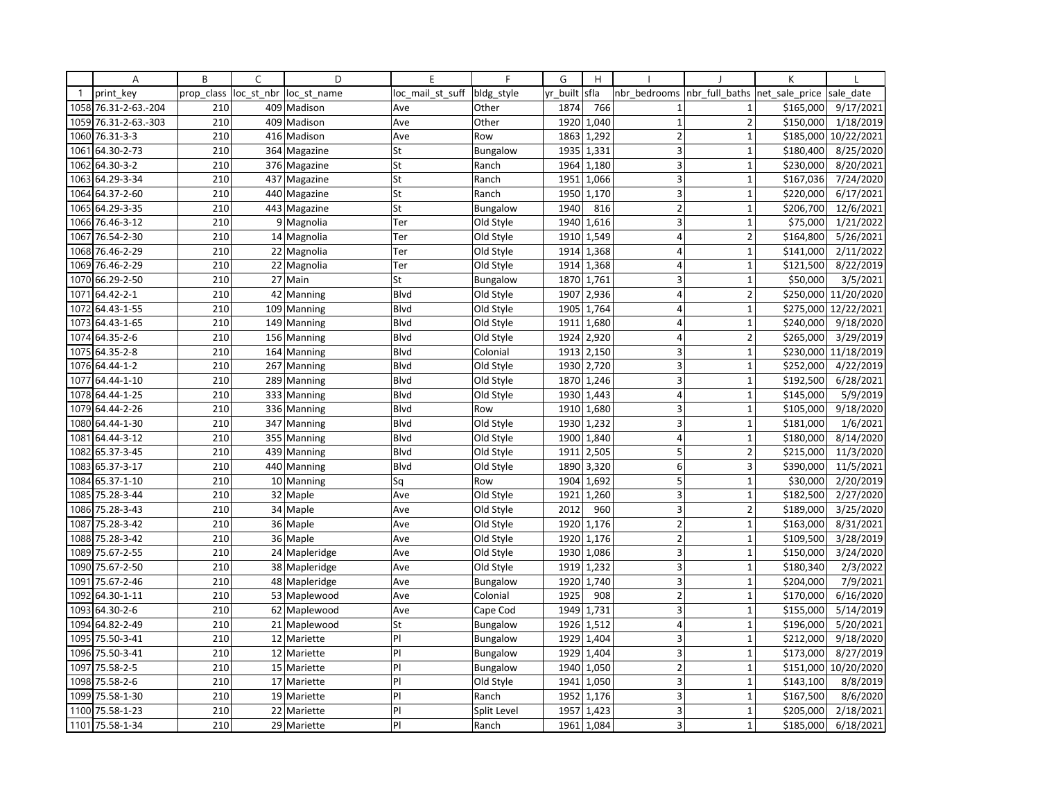|              | Α                    | B          | C          | D             | E                | F               | G        | H          |                         |                          | К              |            |
|--------------|----------------------|------------|------------|---------------|------------------|-----------------|----------|------------|-------------------------|--------------------------|----------------|------------|
| $\mathbf{1}$ | print key            | prop class | loc st nbr | loc st name   | loc_mail_st_suff | bldg_style      | yr built | sfla       | nbr bedrooms            | nbr full baths           | net sale price | sale date  |
|              | 1058 76.31-2-63.-204 | 210        |            | 409 Madison   | Ave              | Other           | 1874     | 766        | $\mathbf{1}$            | $\mathbf{1}$             | \$165,000      | 9/17/2021  |
| 1059         | 76.31-2-63.-303      | 210        | 409        | Madison       | Ave              | Other           | 1920     | 1,040      | $\mathbf{1}$            | $\overline{2}$           | \$150,000      | 1/18/2019  |
| 1060         | 76.31-3-3            | 210        |            | 416 Madison   | Ave              | Row             | 1863     | 1,292      | $\overline{2}$          | $\mathbf{1}$             | \$185,000      | 10/22/2021 |
| 1061         | 64.30-2-73           | 210        |            | 364 Magazine  | St               | Bungalow        |          | 1935 1,331 | 3                       | $\mathbf{1}$             | \$180,400      | 8/25/2020  |
| 1062         | 64.30-3-2            | 210        |            | 376 Magazine  | St               | Ranch           | 1964     | 1,180      | 3                       | $\overline{1}$           | \$230,000      | 8/20/2021  |
| 1063         | 64.29-3-34           | 210        |            | 437 Magazine  | St               | Ranch           | 1951     | 1,066      | 3                       | $\mathbf{1}$             | \$167,036      | 7/24/2020  |
| 1064         | 64.37-2-60           | 210        |            | 440 Magazine  | St               | Ranch           | 1950     | 1,170      | 3                       | $\mathbf{1}$             | \$220,000      | 6/17/2021  |
| 1065         | 64.29-3-35           | 210        |            | 443 Magazine  | St               | Bungalow        | 1940     | 816        | $\overline{2}$          | $\mathbf{1}$             | \$206,700      | 12/6/2021  |
|              | 1066 76.46-3-12      | 210        |            | 9 Magnolia    | Ter              | Old Style       | 1940     | 1,616      | 3                       | $\mathbf{1}$             | \$75,000       | 1/21/2022  |
| 1067         | 76.54-2-30           | 210        |            | 14 Magnolia   | Ter              | Old Style       | 1910     | 1,549      | $\overline{4}$          | $\overline{\phantom{a}}$ | \$164,800      | 5/26/2021  |
| 1068         | 76.46-2-29           | 210        |            | 22 Magnolia   | Ter              | Old Style       | 1914     | 1,368      | 4                       | $\mathbf{1}$             | \$141,000      | 2/11/2022  |
| 1069         | 76.46-2-29           | 210        |            | 22 Magnolia   | Ter              | Old Style       |          | 1914 1,368 | $\overline{4}$          | $\mathbf{1}$             | \$121,500      | 8/22/2019  |
| 1070         | 66.29-2-50           | 210        |            | 27 Main       | St               | Bungalow        | 1870     | 1,761      | 3                       | 1                        | \$50,000       | 3/5/2021   |
| 1071         | 64.42-2-1            | 210        | 42         | Manning       | Blvd             | Old Style       | 1907     | 2,936      | 4                       | 2                        | \$250,000      | 11/20/2020 |
| 1072         | 64.43-1-55           | 210        |            | 109 Manning   | Blvd             | Old Style       | 1905     | 1,764      | $\overline{4}$          | $\overline{1}$           | \$275,000      | 12/22/2021 |
| 1073         | 64.43-1-65           | 210        |            | 149 Manning   | Blvd             | Old Style       | 1911     | 1,680      | $\overline{4}$          | $\mathbf{1}$             | \$240,000      | 9/18/2020  |
|              | 1074 64.35-2-6       | 210        |            | 156 Manning   | Blvd             | Old Style       | 1924     | 2,920      | $\overline{4}$          | $\overline{2}$           | \$265,000      | 3/29/2019  |
| 1075         | 64.35-2-8            | 210        |            | 164 Manning   | Blvd             | Colonial        | 1913     | 2,150      | $\overline{\mathbf{3}}$ | 1                        | \$230,000      | 11/18/2019 |
| 1076         | 64.44-1-2            | 210        |            | 267 Manning   | Blvd             | Old Style       | 1930     | 2,720      | 3                       | $\overline{1}$           | \$252,000      | 4/22/2019  |
| 1077         | 64.44-1-10           | 210        |            | 289 Manning   | Blvd             | Old Style       | 1870     | 1,246      | 3                       | $\mathbf{1}$             | \$192,500      | 6/28/2021  |
| 1078         | 64.44-1-25           | 210        |            | 333 Manning   | Blvd             | Old Style       | 1930     | 1,443      | $\vert 4 \vert$         | $\mathbf{1}$             | \$145,000      | 5/9/2019   |
| 1079         | 64.44-2-26           | 210        |            | 336 Manning   | Blvd             | Row             | 1910     | 1,680      | 3                       | $\mathbf 1$              | \$105,000      | 9/18/2020  |
| 1080         | 64.44-1-30           | 210        |            | 347 Manning   | Blvd             | Old Style       | 1930     | 1,232      | $\overline{3}$          | $\mathbf{1}$             | \$181,000      | 1/6/2021   |
| 1081         | 64.44-3-12           | 210        |            | 355 Manning   | Blvd             | Old Style       | 1900     | 1,840      | 4                       | $\mathbf 1$              | \$180,000      | 8/14/2020  |
| 1082         | 65.37-3-45           | 210        |            | 439 Manning   | Blvd             | Old Style       | 1911     | 2,505      | 5                       | $\mathbf 2$              | \$215,000      | 11/3/2020  |
| 1083         | 65.37-3-17           | 210        |            | 440 Manning   | Blvd             | Old Style       | 1890     | 3,320      | 6                       | $\overline{3}$           | \$390,000      | 11/5/2021  |
| 1084         | 65.37-1-10           | 210        |            | 10 Manning    | Sq               | Row             | 1904     | 1,692      | 5                       | $\mathbf{1}$             | \$30,000       | 2/20/2019  |
|              | 1085 75.28-3-44      | 210        |            | 32 Maple      | Ave              | Old Style       | 1921     | 1,260      | 3                       | $\mathbf{1}$             | \$182,500      | 2/27/2020  |
| 1086         | 75.28-3-43           | 210        |            | 34 Maple      | Ave              | Old Style       | 2012     | 960        | $\overline{\mathbf{3}}$ | $\overline{2}$           | \$189,000      | 3/25/2020  |
| 1087         | 75.28-3-42           | 210        |            | 36 Maple      | Ave              | Old Style       | 1920     | 1,176      | $\overline{2}$          | $\mathbf{1}$             | \$163,000      | 8/31/2021  |
| 1088         | 75.28-3-42           | 210        |            | 36 Maple      | Ave              | Old Style       | 1920     | 1,176      | $\overline{2}$          | $\mathbf{1}$             | \$109,500      | 3/28/2019  |
| 1089         | 75.67-2-55           | 210        |            | 24 Mapleridge | Ave              | Old Style       | 1930     | 1,086      | 3                       | $\mathbf{1}$             | \$150,000      | 3/24/2020  |
| 1090         | 75.67-2-50           | 210        |            | 38 Mapleridge | Ave              | Old Style       |          | 1919 1,232 | 3                       | $\mathbf{1}$             | \$180,340      | 2/3/2022   |
| 1091         | 75.67-2-46           | 210        |            | 48 Mapleridge | Ave              | <b>Bungalow</b> | 1920     | 1.740      | $\overline{3}$          | $\overline{1}$           | \$204,000      | 7/9/2021   |
| 1092         | 64.30-1-11           | 210        |            | 53 Maplewood  | Ave              | Colonial        | 1925     | 908        | $\overline{2}$          | $\mathbf{1}$             | \$170,000      | 6/16/2020  |
| 1093         | 64.30-2-6            | 210        |            | 62 Maplewood  | Ave              | Cape Cod        | 1949     | 1,731      | 3                       | $\overline{1}$           | \$155,000      | 5/14/2019  |
| 1094         | 64.82-2-49           | 210        |            | 21 Maplewood  | St               | Bungalow        | 1926     | 1,512      | $\overline{4}$          | $\mathbf{1}$             | \$196,000      | 5/20/2021  |
|              | 1095 75.50-3-41      | 210        |            | 12 Mariette   | PI               | Bungalow        | 1929     | 1,404      | 3                       | $\mathbf{1}$             | \$212,000      | 9/18/2020  |
| 1096         | 75.50-3-41           | 210        |            | 12 Mariette   | PI               | Bungalow        | 1929     | 1,404      | $\overline{\mathbf{3}}$ | 1                        | \$173,000      | 8/27/2019  |
| 1097         | 75.58-2-5            | 210        |            | 15 Mariette   | PI               | Bungalow        | 1940     | 1,050      | $\overline{2}$          | $\mathbf{1}$             | \$151,000      | 10/20/2020 |
| 1098         | 75.58-2-6            | 210        |            | 17 Mariette   | P                | Old Style       | 1941     | 1,050      | 3                       | $\mathbf{1}$             | \$143,100      | 8/8/2019   |
| 1099         | 75.58-1-30           | 210        |            | 19 Mariette   | PI               | Ranch           | 1952     | 1,176      | 3                       | $\mathbf{1}$             | \$167,500      | 8/6/2020   |
| 1100         | 75.58-1-23           | 210        |            | 22 Mariette   | PI               | Split Level     | 1957     | 1,423      | 3                       | $\mathbf{1}$             | \$205,000      | 2/18/2021  |
|              | 1101 75.58-1-34      | 210        |            | 29 Mariette   | PI               | Ranch           | 1961     | 1,084      | $\overline{3}$          | 1                        | \$185,000      | 6/18/2021  |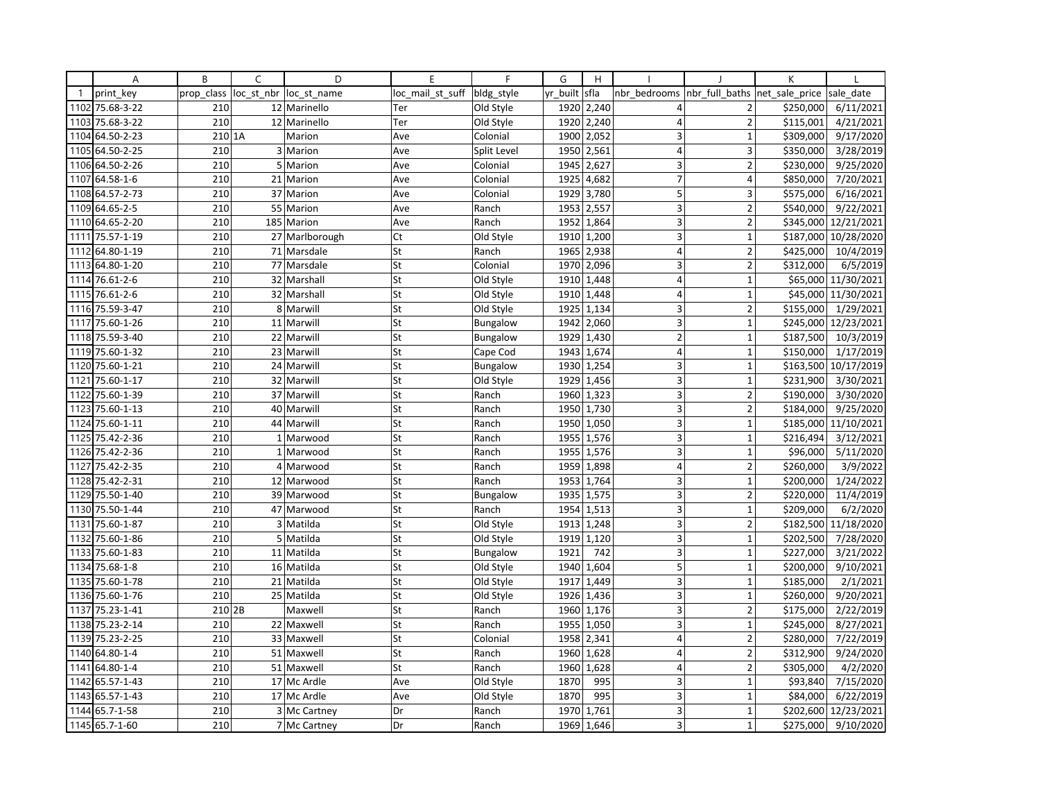|              | Α               | B          | C              | D              | E                | $\mathsf{F}$    | G        | H          |                         |                | K              |                     |
|--------------|-----------------|------------|----------------|----------------|------------------|-----------------|----------|------------|-------------------------|----------------|----------------|---------------------|
| $\mathbf{1}$ | print key       | prop_class | loc_st_nbr     | loc st name    | loc mail st suff | bldg style      | yr built | sfla       | nbr bedrooms            | nbr full baths | net sale price | sale date           |
| 1102         | 75.68-3-22      | 210        |                | 12 Marinello   | Ter              | Old Style       |          | 1920 2,240 | 4                       | $\overline{2}$ | \$250,000      | 6/11/2021           |
| 1103         | 75.68-3-22      | 210        |                | 12 Marinello   | Ter              | Old Style       | 1920     | 2,240      | $\overline{4}$          | $\overline{2}$ | \$115,001      | 4/21/2021           |
| 1104         | 64.50-2-23      | 210 1A     |                | Marion         | Ave              | Colonial        | 1900     | 2,052      | 3                       | $\mathbf{1}$   | \$309,000      | 9/17/2020           |
| 1105         | 64.50-2-25      | 210        |                | 3 Marion       | Ave              | Split Level     |          | 1950 2,561 | 4                       | 3              | \$350,000      | 3/28/2019           |
|              | 1106 64.50-2-26 | 210        | $\overline{5}$ | Marion         | Ave              | Colonial        | 1945     | 2,627      | 3                       | $\overline{2}$ | \$230,000      | 9/25/2020           |
| 1107         | 64.58-1-6       | 210        |                | 21 Marion      | Ave              | Colonial        | 1925     | 4,682      | $\overline{7}$          | 4              | \$850,000      | 7/20/2021           |
|              | 1108 64.57-2-73 | 210        |                | 37 Marion      | Ave              | Colonial        | 1929     | 3,780      | 5                       | 3              | \$575,000      | 6/16/2021           |
| 1109         | 64.65-2-5       | 210        | 55             | Marion         | Ave              | Ranch           | 1953     | 2,557      | 3                       | $\overline{2}$ | \$540,000      | 9/22/2021           |
|              | 1110 64.65-2-20 | 210        |                | 185 Marion     | Ave              | Ranch           | 1952     | 1,864      | 3                       | $\overline{2}$ | \$345,000      | 12/21/2021          |
| 1111         | 75.57-1-19      | 210        |                | 27 Marlborough | Ct               | Old Style       | 1910     | 1,200      | $\overline{3}$          | $\overline{1}$ | \$187,000      | 10/28/2020          |
| 1112         | 64.80-1-19      | 210        |                | 71 Marsdale    | St               | Ranch           | 1965     | 2,938      | $\overline{4}$          | $\overline{2}$ | \$425,000      | 10/4/2019           |
|              | 1113 64.80-1-20 | 210        |                | 77 Marsdale    | St               | Colonial        | 1970     | 2,096      | $\overline{3}$          | $\overline{2}$ | \$312,000      | 6/5/2019            |
|              | 1114 76.61-2-6  | 210        |                | 32 Marshall    | St               | Old Style       | 1910     | 1,448      | $\overline{4}$          | $\mathbf{1}$   |                | \$65,000 11/30/2021 |
|              | 1115 76.61-2-6  | 210        |                | 32 Marshall    | St               | Old Style       | 1910     | 1,448      | $\overline{4}$          | $\mathbf 1$    | \$45,000       | 11/30/2021          |
| 1116         | 75.59-3-47      | 210        | 8              | Marwill        | St               | Old Style       | 1925     | 1,134      | 3                       | $\overline{2}$ | \$155,000      | 1/29/2021           |
| 1117         | 75.60-1-26      | 210        |                | 11 Marwill     | St               | Bungalow        | 1942     | 2,060      | $\overline{3}$          | $\mathbf{1}$   | \$245,000      | 12/23/2021          |
|              | 1118 75.59-3-40 | 210        |                | 22 Marwill     | St               | <b>Bungalow</b> | 1929     | 1,430      | $\overline{2}$          | $\mathbf{1}$   | \$187,500      | 10/3/2019           |
| 1119         | 75.60-1-32      | 210        |                | 23 Marwill     | St               | Cape Cod        | 1943     | 1,674      | $\overline{4}$          | $\overline{1}$ | \$150,000      | 1/17/2019           |
| 1120         | 75.60-1-21      | 210        |                | 24 Marwill     | St               | <b>Bungalow</b> | 1930     | 1,254      | 3                       | $\mathbf 1$    | \$163,500      | 10/17/2019          |
| 1121         | 75.60-1-17      | 210        |                | 32 Marwill     | St               | Old Style       |          | 1929 1,456 | 3                       | $\mathbf{1}$   | \$231,900      | 3/30/2021           |
| 1122         | 75.60-1-39      | 210        |                | 37 Marwill     | St               | Ranch           | 1960     | 1,323      | $\overline{3}$          | $\overline{2}$ | \$190,000      | 3/30/2020           |
|              | 1123 75.60-1-13 | 210        |                | 40 Marwill     | St               | Ranch           | 1950     | 1,730      | $\overline{3}$          | $\overline{2}$ | \$184,000      | 9/25/2020           |
| 1124         | 75.60-1-11      | 210        | 44             | Marwill        | St               | Ranch           | 1950     | 1,050      | 3                       | $\mathbf{1}$   | \$185,000      | 11/10/2021          |
| 1125         | 75.42-2-36      | 210        |                | 1 Marwood      | St               | Ranch           | 1955     | 1,576      | 3                       | $\mathbf{1}$   | \$216,494      | 3/12/2021           |
| 1126         | 75.42-2-36      | 210        |                | 1 Marwood      | St               | Ranch           |          | 1955 1,576 | 3                       | $\mathbf{1}$   | \$96,000       | 5/11/2020           |
| 1127         | 75.42-2-35      | 210        |                | 4 Marwood      | St               | Ranch           | 1959     | 1,898      | $\overline{4}$          | $\overline{2}$ | \$260,000      | 3/9/2022            |
| 1128         | 75.42-2-31      | 210        |                | 12 Marwood     | St               | Ranch           | 1953     | 1,764      | 3                       | $\mathbf 1$    | \$200,000      | 1/24/2022           |
| 1129         | 75.50-1-40      | 210        |                | 39 Marwood     | St               | <b>Bungalow</b> | 1935     | 1,575      | 3                       | $\overline{2}$ | \$220,000      | 11/4/2019           |
| 1130         | 75.50-1-44      | 210        |                | 47 Marwood     | St               | Ranch           | 1954     | 1,513      | 3 <sup>1</sup>          | $\mathbf{1}$   | \$209,000      | 6/2/2020            |
| 1131         | 75.60-1-87      | 210        |                | 3 Matilda      | St               | Old Style       | 1913     | 1,248      | $\overline{3}$          | $\overline{2}$ | \$182,500      | 11/18/2020          |
| 1132         | 75.60-1-86      | 210        | 5 <sub>1</sub> | Matilda        | St               | Old Style       | 1919     | 1,120      | 3                       | $\mathbf{1}$   | \$202,500      | 7/28/2020           |
| 1133         | 75.60-1-83      | 210        |                | 11 Matilda     | St               | Bungalow        | 1921     | 742        | 3                       | $\mathbf{1}$   | \$227,000      | 3/21/2022           |
| 1134         | 75.68-1-8       | 210        |                | 16 Matilda     | St               | Old Style       | 1940     | 1,604      | 5                       | $\mathbf{1}$   | \$200,000      | 9/10/2021           |
| 1135         | 75.60-1-78      | 210        |                | 21 Matilda     | St               | Old Style       | 1917     | 1,449      | 3 <sup>1</sup>          | $\mathbf{1}$   | \$185,000      | 2/1/2021            |
|              | 1136 75.60-1-76 | 210        |                | 25 Matilda     | St               | Old Style       | 1926     | 1,436      | 3                       | $\mathbf 1$    | \$260,000      | 9/20/2021           |
| 1137         | 75.23-1-41      | 210 2B     |                | Maxwell        | St               | Ranch           | 1960     | 1,176      | 3                       | $\overline{2}$ | \$175,000      | 2/22/2019           |
| 1138         | 75.23-2-14      | 210        |                | 22 Maxwell     | St               | Ranch           | 1955     | 1,050      | 3 <sup>1</sup>          | $\mathbf{1}$   | \$245,000      | 8/27/2021           |
| 1139         | 75.23-2-25      | 210        |                | 33 Maxwell     | St               | Colonial        | 1958     | 2,341      | $\vert 4 \vert$         | $\overline{2}$ | \$280,000      | 7/22/2019           |
|              | 1140 64.80-1-4  | 210        |                | 51 Maxwell     | St               | Ranch           | 1960     | 1,628      | $\overline{\mathbf{4}}$ | $\overline{2}$ | \$312,900      | 9/24/2020           |
| 1141         | 64.80-1-4       | 210        |                | 51 Maxwell     | St               | Ranch           | 1960     | 1,628      | $\overline{\mathbf{4}}$ | $\overline{2}$ | \$305,000      | 4/2/2020            |
| 1142         | 65.57-1-43      | 210        |                | 17 Mc Ardle    | Ave              | Old Style       | 1870     | 995        | $\overline{3}$          | $\mathbf{1}$   | \$93,840       | 7/15/2020           |
| 1143         | 65.57-1-43      | 210        |                | 17 Mc Ardle    | Ave              | Old Style       | 1870     | 995        | 3 <sup>1</sup>          | $\mathbf{1}$   | \$84,000       | 6/22/2019           |
|              | 1144 65.7-1-58  | 210        |                | 3 Mc Cartney   | Dr               | Ranch           | 1970     | 1,761      | 3 <sup>1</sup>          | $\mathbf{1}$   | \$202,600      | 12/23/2021          |
|              | 1145 65.7-1-60  | 210        |                | 7 Mc Cartney   | Dr               | Ranch           | 1969     | 1,646      | $\overline{3}$          | $\mathbf{1}$   | \$275,000      | 9/10/2020           |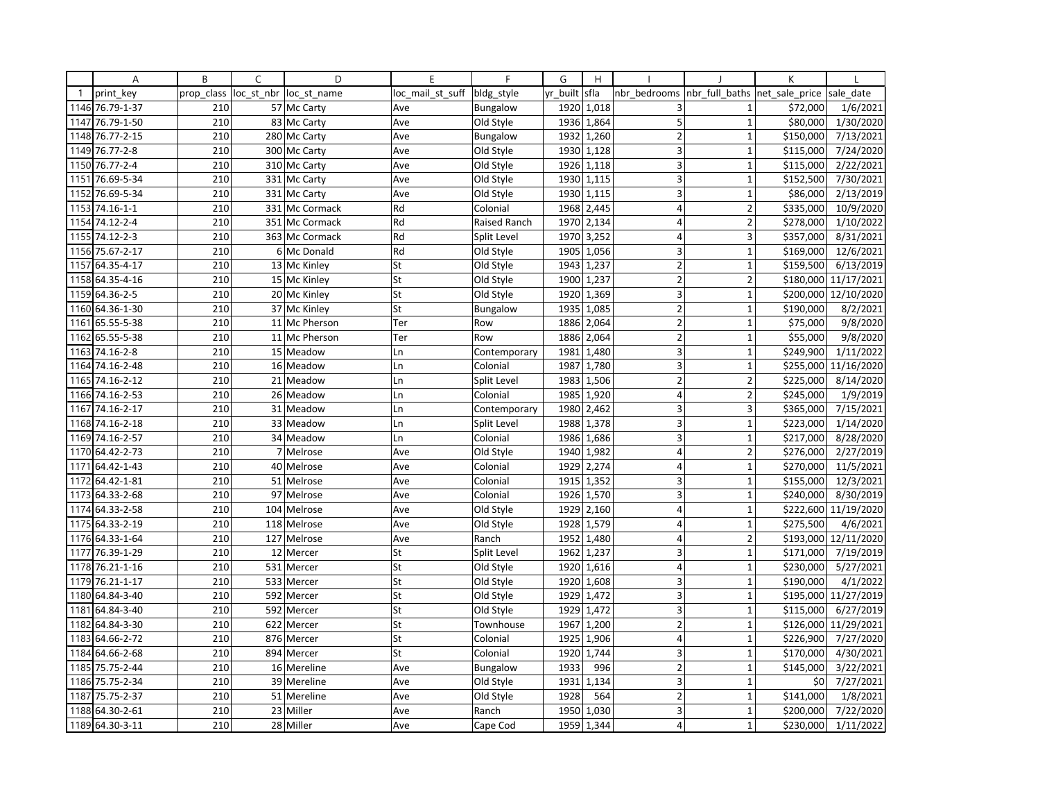|              | Α               | B          | $\overline{C}$ | D                      | E                | F               | G        | H          |                         |                               | K         |            |
|--------------|-----------------|------------|----------------|------------------------|------------------|-----------------|----------|------------|-------------------------|-------------------------------|-----------|------------|
| $\mathbf{1}$ | print key       | prop class |                | loc st nbr loc st name | loc mail st suff | bldg_style      | yr built | sfla       | nbr bedrooms            | nbr full baths net sale price |           | sale date  |
|              | 1146 76.79-1-37 | 210        |                | 57 Mc Carty            | Ave              | Bungalow        | 1920     | 1,018      | 3                       |                               | \$72,000  | 1/6/2021   |
| 1147         | 76.79-1-50      | 210        |                | 83 Mc Carty            | Ave              | Old Style       | 1936     | 1,864      | 5                       | $\mathbf{1}$                  | \$80,000  | 1/30/2020  |
| 1148         | 76.77-2-15      | 210        |                | 280 Mc Carty           | Ave              | Bungalow        | 1932     | 1,260      | $\overline{2}$          | $\mathbf 1$                   | \$150,000 | 7/13/2021  |
|              | 1149 76.77-2-8  | 210        |                | 300 Mc Carty           | Ave              | Old Style       |          | 1930 1,128 | $\overline{\mathbf{3}}$ | $\mathbf{1}$                  | \$115,000 | 7/24/2020  |
|              | 1150 76.77-2-4  | 210        |                | 310 Mc Carty           | Ave              | Old Style       | 1926     | 1,118      | 3                       | $\mathbf{1}$                  | \$115,000 | 2/22/2021  |
| 1151         | 76.69-5-34      | 210        |                | 331 Mc Carty           | Ave              | Old Style       | 1930     | 1,115      | 3                       | $\mathbf{1}$                  | \$152,500 | 7/30/2021  |
| 1152         | 76.69-5-34      | 210        |                | 331 Mc Carty           | Ave              | Old Style       |          | 1930 1,115 | 3                       | $\mathbf{1}$                  | \$86,000  | 2/13/2019  |
| 1153         | 74.16-1-1       | 210        |                | 331 Mc Cormack         | Rd               | Colonial        | 1968     | 2,445      | $\vert 4 \vert$         | $\overline{2}$                | \$335,000 | 10/9/2020  |
|              | 1154 74.12-2-4  | 210        |                | 351 Mc Cormack         | Rd               | Raised Ranch    | 1970     | 2,134      | $\overline{4}$          | $\overline{2}$                | \$278,000 | 1/10/2022  |
| 1155         | 74.12-2-3       | 210        |                | 363 Mc Cormack         | Rd               | Split Level     | 1970     | 3,252      | $\overline{4}$          | $\overline{3}$                | \$357,000 | 8/31/2021  |
|              | 1156 75.67-2-17 | 210        |                | 6 Mc Donald            | Rd               | Old Style       | 1905     | 1,056      | 3                       | $\mathbf{1}$                  | \$169,000 | 12/6/2021  |
| 1157         | 64.35-4-17      | 210        |                | 13 Mc Kinley           | St               | Old Style       |          | 1943 1,237 | $\overline{2}$          | $\mathbf{1}$                  | \$159,500 | 6/13/2019  |
|              | 1158 64.35-4-16 | 210        |                | 15 Mc Kinley           | St               | Old Style       | 1900     | 1,237      | $\overline{2}$          | $\overline{2}$                | \$180,000 | 11/17/2021 |
| 1159         | 64.36-2-5       | 210        |                | 20 Mc Kinley           | St               | Old Style       | 1920     | 1,369      | 3                       | $\mathbf{1}$                  | \$200,000 | 12/10/2020 |
|              | 1160 64.36-1-30 | 210        |                | 37 Mc Kinley           | St               | <b>Bungalow</b> |          | 1935 1,085 | $\overline{2}$          | $\mathbf{1}$                  | \$190,000 | 8/2/2021   |
| 1161         | 65.55-5-38      | 210        |                | 11 Mc Pherson          | Ter              | Row             | 1886     | 2,064      | $\overline{2}$          | $\mathbf{1}$                  | \$75,000  | 9/8/2020   |
|              | 1162 65.55-5-38 | 210        |                | 11 Mc Pherson          | Ter              | Row             | 1886     | 2,064      | $\overline{2}$          | $\mathbf{1}$                  | \$55,000  | 9/8/2020   |
| 1163         | 74.16-2-8       | 210        |                | 15 Meadow              | Ln               | Contemporary    | 1981     | 1,480      | 3                       | 1                             | \$249,900 | 1/11/2022  |
|              | 1164 74.16-2-48 | 210        |                | 16 Meadow              | Ln               | Colonial        | 1987     | 1,780      | 3                       | $\overline{1}$                | \$255,000 | 11/16/2020 |
|              | 1165 74.16-2-12 | 210        |                | 21 Meadow              | Ln               | Split Level     |          | 1983 1,506 | $\overline{2}$          | $\overline{2}$                | \$225,000 | 8/14/2020  |
|              | 1166 74.16-2-53 | 210        |                | 26 Meadow              | Ln               | Colonial        | 1985     | 1,920      | $\overline{4}$          | $\overline{2}$                | \$245,000 | 1/9/2019   |
|              | 1167 74.16-2-17 | 210        |                | 31 Meadow              | Ln               | Contemporary    | 1980     | 2,462      | 3                       | 3                             | \$365,000 | 7/15/2021  |
|              | 1168 74.16-2-18 | 210        |                | 33 Meadow              | Ln               | Split Level     | 1988     | 1,378      | 3                       | $\overline{1}$                | \$223,000 | 1/14/2020  |
| 1169         | 74.16-2-57      | 210        |                | 34 Meadow              | Ln               | Colonial        | 1986     | 1,686      | 3                       | $\mathbf{1}$                  | \$217,000 | 8/28/2020  |
|              | 1170 64.42-2-73 | 210        |                | 7 Melrose              | Ave              | Old Style       | 1940     | 1,982      | $\overline{4}$          | $\overline{2}$                | \$276,000 | 2/27/2019  |
| 1171         | 64.42-1-43      | 210        |                | 40 Melrose             | Ave              | Colonial        | 1929     | 2,274      | $\overline{4}$          | $\overline{1}$                | \$270,000 | 11/5/2021  |
| 1172         | 64.42-1-81      | 210        |                | 51 Melrose             | Ave              | Colonial        | 1915     | 1,352      | 3                       | $\mathbf{1}$                  | \$155,000 | 12/3/2021  |
|              | 1173 64.33-2-68 | 210        |                | 97 Melrose             | Ave              | Colonial        |          | 1926 1,570 | 3                       | $\mathbf{1}$                  | \$240,000 | 8/30/2019  |
|              | 1174 64.33-2-58 | 210        |                | 104 Melrose            | Ave              | Old Style       | 1929     | 2,160      | $\vert 4 \vert$         | $\mathbf{1}$                  | \$222,600 | 11/19/2020 |
|              | 1175 64.33-2-19 | 210        |                | 118 Melrose            | Ave              | Old Style       | 1928     | 1,579      | $\overline{4}$          | $\mathbf{1}$                  | \$275,500 | 4/6/2021   |
| 1176         | 64.33-1-64      | 210        |                | 127 Melrose            | Ave              | Ranch           | 1952     | 1,480      | $\overline{4}$          | $\overline{\phantom{a}}$      | \$193,000 | 12/11/2020 |
| 1177         | 76.39-1-29      | 210        |                | 12 Mercer              | St               | Split Level     | 1962     | 1,237      | 3                       | $\mathbf{1}$                  | \$171,000 | 7/19/2019  |
| 1178         | 76.21-1-16      | 210        |                | 531 Mercer             | St               | Old Style       |          | 1920 1,616 | $\overline{4}$          | $\mathbf{1}$                  | \$230,000 | 5/27/2021  |
|              | 1179 76.21-1-17 | 210        |                | 533 Mercer             | St               | Old Style       | 1920     | 1,608      | 3                       | $\mathbf{1}$                  | \$190,000 | 4/1/2022   |
| 1180         | 64.84-3-40      | 210        |                | 592 Mercer             | St               | Old Style       | 1929     | 1,472      | 3                       | $\mathbf{1}$                  | \$195,000 | 11/27/2019 |
|              | 1181 64.84-3-40 | 210        |                | 592 Mercer             | St               | Old Style       | 1929     | 1,472      | 3                       | $\mathbf{1}$                  | \$115,000 | 6/27/2019  |
| 1182         | 64.84-3-30      | 210        |                | 622 Mercer             | St               | Townhouse       | 1967     | 1,200      | $\mathbf 2$             | $\mathbf{1}$                  | \$126,000 | 11/29/2021 |
|              | 1183 64.66-2-72 | 210        |                | 876 Mercer             | St               | Colonial        | 1925     | 1,906      | $\vert 4 \vert$         | $\mathbf{1}$                  | \$226,900 | 7/27/2020  |
| 1184         | 64.66-2-68      | 210        | 894            | Mercer                 | St               | Colonial        | 1920     | 1,744      | 3                       | 1                             | \$170,000 | 4/30/2021  |
|              | 1185 75.75-2-44 | 210        |                | 16 Mereline            | Ave              | Bungalow        | 1933     | 996        | $\overline{2}$          | $\mathbf 1$                   | \$145,000 | 3/22/2021  |
|              | 1186 75.75-2-34 | 210        |                | 39 Mereline            | Ave              | Old Style       | 1931     | 1,134      | 3                       | $\mathbf 1$                   | \$0       | 7/27/2021  |
| 1187         | 75.75-2-37      | 210        |                | 51 Mereline            | Ave              | Old Style       | 1928     | 564        | $\overline{2}$          | $\mathbf{1}$                  | \$141,000 | 1/8/2021   |
|              | 1188 64.30-2-61 | 210        |                | 23 Miller              | Ave              | Ranch           | 1950     | 1,030      | 3                       | $\mathbf{1}$                  | \$200,000 | 7/22/2020  |
|              | 1189 64.30-3-11 | 210        |                | 28 Miller              | Ave              | Cape Cod        | 1959     | 1,344      | $\overline{4}$          | $\mathbf{1}$                  | \$230,000 | 1/11/2022  |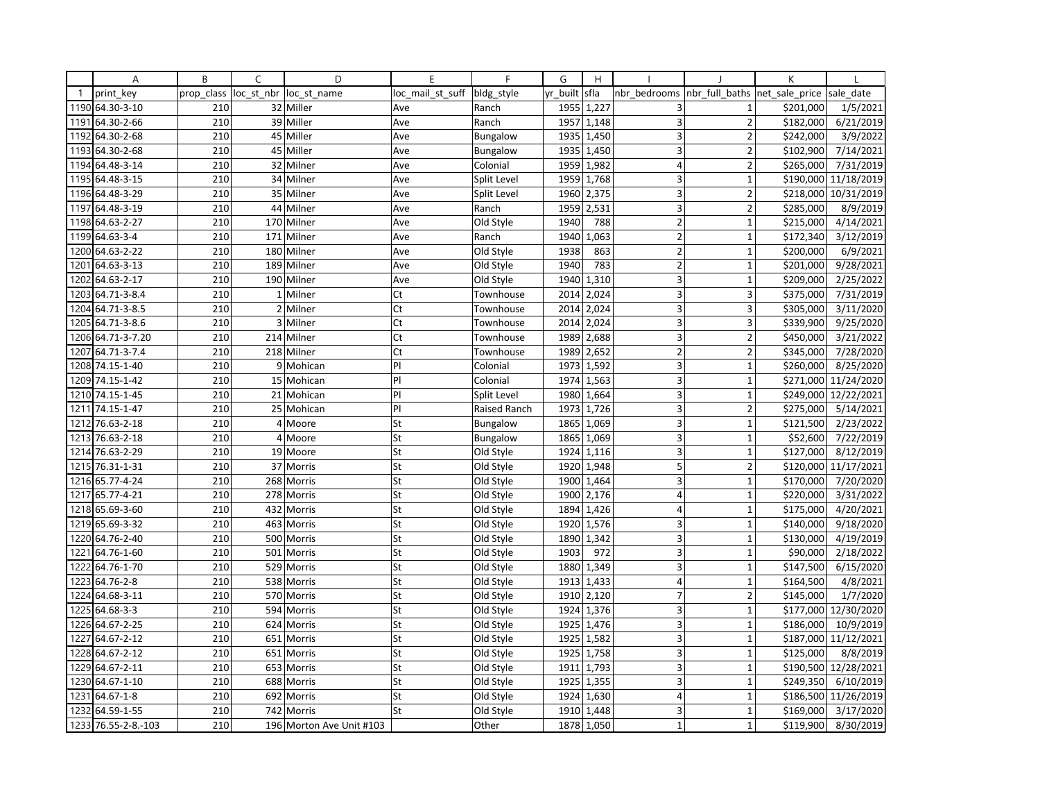|              | Α                   | B          | C | D                        | E                | F               | G        | H          |                         |                | K              |                      |
|--------------|---------------------|------------|---|--------------------------|------------------|-----------------|----------|------------|-------------------------|----------------|----------------|----------------------|
| $\mathbf{1}$ | print key           | prop_class |   | loc st nbr loc st name   | loc mail st suff | bldg style      | yr built | sfla       | nbr bedrooms            | nbr full baths | net sale price | sale date            |
|              | 1190 64.30-3-10     | 210        |   | 32 Miller                | Ave              | Ranch           | 1955     | 1,227      | 3                       | $\mathbf{1}$   | \$201,000      | 1/5/2021             |
| 1191         | 64.30-2-66          | 210        |   | 39 Miller                | Ave              | Ranch           | 1957     | 1,148      | 3                       | $\overline{2}$ | \$182,000      | 6/21/2019            |
| 1192         | 64.30-2-68          | 210        |   | 45 Miller                | Ave              | <b>Bungalow</b> | 1935     | 1,450      | 3                       | $\overline{2}$ | \$242,000      | 3/9/2022             |
| 1193         | 64.30-2-68          | 210        |   | 45 Miller                | Ave              | <b>Bungalow</b> |          | 1935 1,450 | 3                       | $\overline{2}$ | \$102,900      | 7/14/2021            |
|              | 1194 64.48-3-14     | 210        |   | 32 Milner                | Ave              | Colonial        | 1959     | 1,982      | 4                       | $\overline{2}$ | \$265,000      | 7/31/2019            |
| 1195         | 64.48-3-15          | 210        |   | 34 Milner                | Ave              | Split Level     | 1959     | 1,768      | 3                       | $\mathbf{1}$   | \$190,000      | 11/18/2019           |
|              | 1196 64.48-3-29     | 210        |   | 35 Milner                | Ave              | Split Level     | 1960     | 2,375      | 3                       | $\overline{2}$ |                | \$218,000 10/31/2019 |
| 1197         | 64.48-3-19          | 210        |   | 44 Milner                | Ave              | Ranch           | 1959     | 2,531      | 3                       | $\overline{2}$ | \$285,000      | 8/9/2019             |
|              | 1198 64.63-2-27     | 210        |   | 170 Milner               | Ave              | Old Style       | 1940     | 788        | $\mathbf 2$             | $\mathbf{1}$   | \$215,000      | 4/14/2021            |
| 1199         | 64.63-3-4           | 210        |   | 171 Milner               | Ave              | Ranch           | 1940     | 1,063      | $\overline{2}$          | $\mathbf{1}$   | \$172,340      | 3/12/2019            |
| 1200         | 64.63-2-22          | 210        |   | 180 Milner               | Ave              | Old Style       | 1938     | 863        | $\mathbf 2$             | $\mathbf{1}$   | \$200,000      | 6/9/2021             |
| 1201         | 64.63-3-13          | 210        |   | 189 Milner               | Ave              | Old Style       | 1940     | 783        | $\overline{2}$          | $\mathbf{1}$   | \$201,000      | 9/28/2021            |
| 1202         | 64.63-2-17          | 210        |   | 190 Milner               | Ave              | Old Style       | 1940     | 1,310      | 3                       | $\mathbf{1}$   | \$209,000      | 2/25/2022            |
| 1203         | 64.71-3-8.4         | 210        |   | 1 Milner                 | Ct               | Townhouse       | 2014     | 2,024      | 3                       | 3              | \$375,000      | 7/31/2019            |
|              | 1204 64.71-3-8.5    | 210        |   | 2 Milner                 | Ct               | Townhouse       | 2014     | 2,024      | 3                       | 3              | \$305,000      | 3/11/2020            |
| 1205         | 64.71-3-8.6         | 210        |   | 3 Milner                 | Ct               | Townhouse       | 2014     | 2,024      | 3                       | $\overline{3}$ | \$339,900      | 9/25/2020            |
|              | 1206 64.71-3-7.20   | 210        |   | 214 Milner               | Ct               | Townhouse       | 1989     | 2,688      | 3                       | $\overline{2}$ | \$450,000      | 3/21/2022            |
| 1207         | 64.71-3-7.4         | 210        |   | 218 Milner               | Ct               | Townhouse       | 1989     | 2,652      | $\overline{2}$          | $\overline{2}$ | \$345,000      | 7/28/2020            |
|              | 1208 74.15-1-40     | 210        |   | 9 Mohican                | P                | Colonial        | 1973     | 1,592      | $\overline{3}$          | $\mathbf{1}$   | \$260,000      | 8/25/2020            |
|              | 1209 74.15-1-42     | 210        |   | 15 Mohican               | P                | Colonial        | 1974     | 1,563      | 3                       | $\mathbf 1$    |                | \$271,000 11/24/2020 |
| 1210         | 74.15-1-45          | 210        |   | 21 Mohican               | PI               | Split Level     | 1980     | 1,664      | 3                       | $\mathbf{1}$   |                | \$249,000 12/22/2021 |
|              | 1211 74.15-1-47     | 210        |   | 25 Mohican               | PI               | Raised Ranch    | 1973     | 1,726      | 3                       | $\overline{2}$ | \$275,000      | 5/14/2021            |
| 1212         | 76.63-2-18          | 210        |   | 4 Moore                  | St               | <b>Bungalow</b> | 1865     | 1,069      | $\overline{3}$          | $\mathbf{1}$   | \$121,500      | 2/23/2022            |
| 1213         | 76.63-2-18          | 210        |   | 4 Moore                  | St               | <b>Bungalow</b> | 1865     | 1,069      | 3                       | $\mathbf{1}$   | \$52,600       | 7/22/2019            |
|              | 1214 76.63-2-29     | 210        |   | 19 Moore                 | St               | Old Style       |          | 1924 1,116 | 3                       | $\mathbf 1$    | \$127,000      | 8/12/2019            |
| 1215         | 76.31-1-31          | 210        |   | 37 Morris                | St               | Old Style       | 1920     | 1,948      | 5                       | $\overline{2}$ |                | \$120,000 11/17/2021 |
| 1216         | 65.77-4-24          | 210        |   | 268 Morris               | St               | Old Style       | 1900     | 1,464      | 3                       | $\mathbf{1}$   | \$170,000      | 7/20/2020            |
| 1217         | 65.77-4-21          | 210        |   | 278 Morris               | St               | Old Style       | 1900     | 2,176      | $\overline{4}$          | $\mathbf{1}$   | \$220,000      | 3/31/2022            |
| 1218         | 65.69-3-60          | 210        |   | 432 Morris               | St               | Old Style       | 1894     | 1,426      | $\overline{4}$          | $\mathbf{1}$   | \$175,000      | 4/20/2021            |
|              | 1219 65.69-3-32     | 210        |   | 463 Morris               | St               | Old Style       | 1920     | 1,576      | 3                       | $\mathbf 1$    | \$140,000      | 9/18/2020            |
| 1220         | 64.76-2-40          | 210        |   | 500 Morris               | St               | Old Style       | 1890     | 1,342      | $\overline{3}$          | $\overline{1}$ | \$130,000      | 4/19/2019            |
| 1221         | 64.76-1-60          | 210        |   | 501 Morris               | St               | Old Style       | 1903     | 972        | 3                       | $\mathbf{1}$   | \$90,000       | 2/18/2022            |
| 1222         | 64.76-1-70          | 210        |   | 529 Morris               | St               | Old Style       |          | 1880 1,349 | 3                       | $\mathbf{1}$   | \$147,500      | 6/15/2020            |
| 1223         | 64.76-2-8           | 210        |   | 538 Morris               | St               | Old Style       | 1913     | 1,433      | $\overline{4}$          | $\mathbf{1}$   | \$164,500      | 4/8/2021             |
| 1224         | 64.68-3-11          | 210        |   | 570 Morris               | St               | Old Style       | 1910     | 2,120      | $\overline{7}$          | $\overline{2}$ | \$145,000      | 1/7/2020             |
| 1225         | 64.68-3-3           | 210        |   | 594 Morris               | St               | Old Style       | 1924     | 1,376      | 3                       | $\mathbf{1}$   |                | \$177,000 12/30/2020 |
| 1226         | 64.67-2-25          | 210        |   | 624 Morris               | St               | Old Style       | 1925     | 1,476      | 3                       | $\mathbf{1}$   | \$186,000      | 10/9/2019            |
| 1227         | 64.67-2-12          | 210        |   | 651 Morris               | St               | Old Style       | 1925     | 1,582      | 3                       | $\mathbf{1}$   |                | \$187,000 11/12/2021 |
| 1228         | 64.67-2-12          | 210        |   | 651 Morris               | St               | Old Style       | 1925     | 1,758      | $\overline{3}$          | $\mathbf{1}$   | \$125,000      | 8/8/2019             |
| 1229         | 64.67-2-11          | 210        |   | 653 Morris               | St               | Old Style       | 1911     | 1,793      | 3                       | $\mathbf{1}$   |                | \$190,500 12/28/2021 |
|              | 1230 64.67-1-10     | 210        |   | 688 Morris               | St               | Old Style       |          | 1925 1,355 | 3                       | $\mathbf 1$    | \$249,350      | 6/10/2019            |
| 1231         | 64.67-1-8           | 210        |   | 692 Morris               | St               | Old Style       | 1924     | 1,630      | $\overline{\mathbf{4}}$ | $\mathbf{1}$   |                | \$186,500 11/26/2019 |
| 1232         | 64.59-1-55          | 210        |   | 742 Morris               | St               | Old Style       | 1910     | 1,448      | 3                       | $\mathbf{1}$   | \$169,000      | 3/17/2020            |
|              | 1233 76.55-2-8.-103 | 210        |   | 196 Morton Ave Unit #103 |                  | Other           |          | 1878 1,050 | $\mathbf{1}$            | $\mathbf{1}$   | \$119,900      | 8/30/2019            |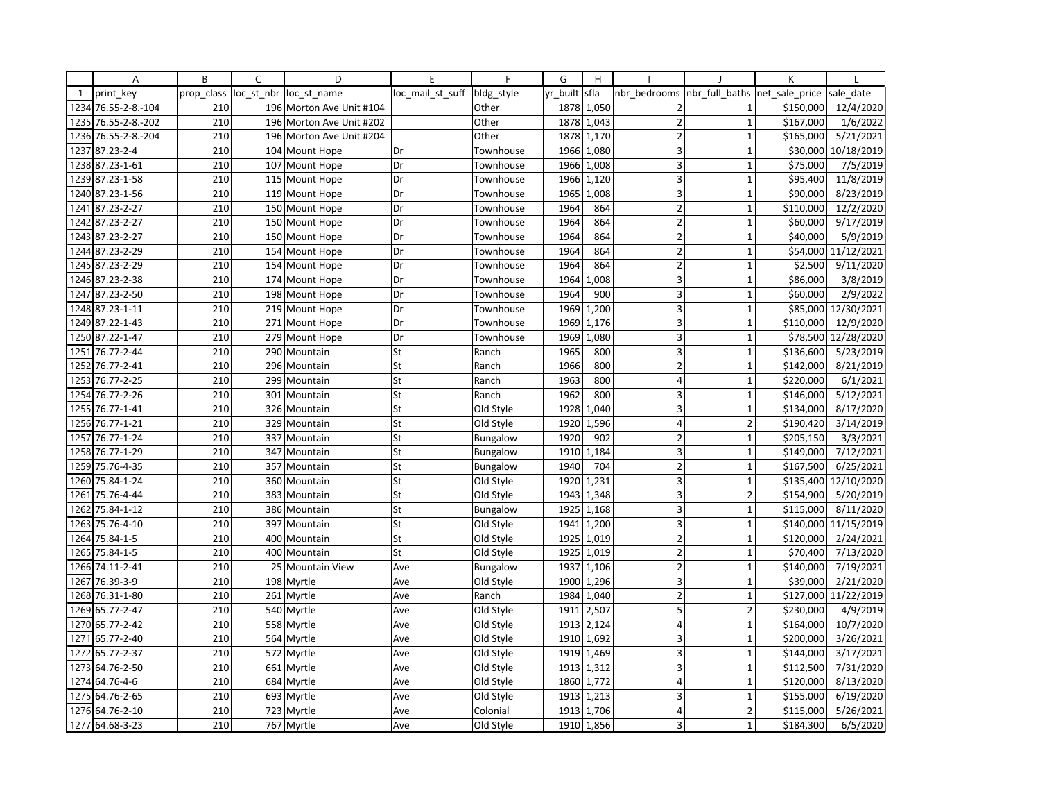|              | Α               | B          | C          | D                        | E                | F               | G        | H          |                         |                | K              |            |
|--------------|-----------------|------------|------------|--------------------------|------------------|-----------------|----------|------------|-------------------------|----------------|----------------|------------|
| $\mathbf{1}$ | print key       | prop class | loc st nbr | loc st name              | loc mail st suff | bldg style      | yr built | sfla       | nbr bedrooms            | nbr full baths | net_sale_price | sale date  |
| 1234         | 76.55-2-8.-104  | 210        |            | 196 Morton Ave Unit #104 |                  | Other           | 1878     | 1,050      | $\overline{2}$          | 1              | \$150,000      | 12/4/2020  |
| 1235         | 76.55-2-8.-202  | 210        | 196        | Morton Ave Unit #202     |                  | Other           | 1878     | 1,043      | $\overline{2}$          | $\mathbf{1}$   | \$167,000      | 1/6/2022   |
| 1236         | 76.55-2-8.-204  | 210        |            | 196 Morton Ave Unit #204 |                  | Other           | 1878     | 1,170      | $\overline{2}$          | $\mathbf{1}$   | \$165,000      | 5/21/2021  |
| 1237         | 87.23-2-4       | 210        |            | 104 Mount Hope           | Dr               | Townhouse       | 1966     | 1,080      | 3                       | $\mathbf{1}$   | \$30,000       | 10/18/2019 |
| 1238         | 87.23-1-61      | 210        |            | 107 Mount Hope           | Dr               | Townhouse       | 1966     | 1,008      | 3                       | $\overline{1}$ | \$75,000       | 7/5/2019   |
| 1239         | 87.23-1-58      | 210        | 115        | Mount Hope               | Dr               | Townhouse       | 1966     | 1,120      | 3                       | $\mathbf{1}$   | \$95,400       | 11/8/2019  |
|              | 1240 87.23-1-56 | 210        |            | 119 Mount Hope           | Dr               | Townhouse       | 1965     | 1,008      | 3                       | $\mathbf{1}$   | \$90,000       | 8/23/2019  |
| 1241         | 87.23-2-27      | 210        |            | 150 Mount Hope           | Dr               | Townhouse       | 1964     | 864        | $\overline{2}$          | $\overline{1}$ | \$110,000      | 12/2/2020  |
|              | 1242 87.23-2-27 | 210        |            | 150 Mount Hope           | Dr               | Townhouse       | 1964     | 864        | $\overline{2}$          | $\mathbf{1}$   | \$60,000       | 9/17/2019  |
| 1243         | 87.23-2-27      | 210        |            | 150 Mount Hope           | Dr               | Townhouse       | 1964     | 864        | $\overline{2}$          | $\overline{1}$ | \$40,000       | 5/9/2019   |
|              | 1244 87.23-2-29 | 210        |            | 154 Mount Hope           | Dr               | Townhouse       | 1964     | 864        | $\overline{2}$          | $\overline{1}$ | \$54,000       | 11/12/2021 |
|              | 1245 87.23-2-29 | 210        |            | 154 Mount Hope           | Dr               | Townhouse       | 1964     | 864        | $\overline{2}$          | $\mathbf{1}$   | \$2,500        | 9/11/2020  |
|              | 1246 87.23-2-38 | 210        |            | 174 Mount Hope           | Dr               | Townhouse       | 1964     | 1,008      | 3                       | $\overline{1}$ | \$86,000       | 3/8/2019   |
| 1247         | 87.23-2-50      | 210        |            | 198 Mount Hope           | Dr               | Townhouse       | 1964     | 900        | 3                       | $\mathbf{1}$   | \$60,000       | 2/9/2022   |
|              | 1248 87.23-1-11 | 210        |            | 219 Mount Hope           | Dr               | Townhouse       | 1969     | 1,200      | 3                       | $\mathbf{1}$   | \$85,000       | 12/30/2021 |
| 1249         | 87.22-1-43      | 210        |            | 271 Mount Hope           | Dr               | Townhouse       | 1969     | 1,176      | 3                       | $\mathbf{1}$   | \$110,000      | 12/9/2020  |
|              | 1250 87.22-1-47 | 210        |            | 279 Mount Hope           | Dr               | Townhouse       | 1969     | 1,080      | 3                       | $\mathbf{1}$   | \$78,500       | 12/28/2020 |
| 1251         | 76.77-2-44      | 210        |            | 290 Mountain             | St               | Ranch           | 1965     | 800        | 3                       | $\overline{1}$ | \$136,600      | 5/23/2019  |
| 1252         | 76.77-2-41      | 210        | 296        | Mountain                 | St               | Ranch           | 1966     | 800        | $\mathbf 2$             | $\mathbf{1}$   | \$142,000      | 8/21/2019  |
| 1253         | 76.77-2-25      | 210        |            | 299 Mountain             | St               | Ranch           | 1963     | 800        | 4                       | $\mathbf{1}$   | \$220,000      | 6/1/2021   |
| 1254         | 76.77-2-26      | 210        |            | 301 Mountain             | St               | Ranch           | 1962     | 800        | 3                       | $\mathbf{1}$   | \$146,000      | 5/12/2021  |
| 1255         | 76.77-1-41      | 210        |            | 326 Mountain             | St               | Old Style       | 1928     | 1,040      | 3                       | $\mathbf{1}$   | \$134,000      | 8/17/2020  |
| 1256         | 76.77-1-21      | 210        |            | 329 Mountain             | St               | Old Style       | 1920     | 1,596      | $\overline{4}$          | $\overline{2}$ | \$190,420      | 3/14/2019  |
| 1257         | 76.77-1-24      | 210        |            | 337 Mountain             | St               | <b>Bungalow</b> | 1920     | 902        | $\mathbf 2$             | $\mathbf{1}$   | \$205,150      | 3/3/2021   |
| 1258         | 76.77-1-29      | 210        |            | 347 Mountain             | St               | <b>Bungalow</b> | 1910     | 1,184      | 3                       | $\mathbf{1}$   | \$149,000      | 7/12/2021  |
| 1259         | 75.76-4-35      | 210        |            | 357 Mountain             | St               | <b>Bungalow</b> | 1940     | 704        | $\overline{2}$          | $\mathbf{1}$   | \$167,500      | 6/25/2021  |
| 1260         | 75.84-1-24      | 210        |            | 360 Mountain             | St               | Old Style       | 1920     | 1,231      | 3                       | $\mathbf{1}$   | \$135,400      | 12/10/2020 |
| 1261         | 75.76-4-44      | 210        |            | 383 Mountain             | St               | Old Style       | 1943     | 1,348      | 3                       | $\overline{2}$ | \$154,900      | 5/20/2019  |
| 1262         | 75.84-1-12      | 210        |            | 386 Mountain             | St               | <b>Bungalow</b> | 1925     | 1,168      | $\overline{\mathbf{3}}$ | $\mathbf{1}$   | \$115,000      | 8/11/2020  |
| 1263         | 75.76-4-10      | 210        |            | 397 Mountain             | St               | Old Style       | 1941     | 1,200      | 3                       | $\mathbf{1}$   | \$140,000      | 11/15/2019 |
| 1264         | 75.84-1-5       | 210        |            | 400 Mountain             | St               | Old Style       | 1925     | 1,019      | $\overline{2}$          | $\mathbf{1}$   | \$120,000      | 2/24/2021  |
| 1265         | 75.84-1-5       | 210        |            | 400 Mountain             | St               | Old Style       | 1925     | 1,019      | $\overline{2}$          | $\mathbf{1}$   | \$70,400       | 7/13/2020  |
| 1266         | 74.11-2-41      | 210        | 25         | <b>Mountain View</b>     | Ave              | <b>Bungalow</b> | 1937     | 1,106      | $\overline{2}$          | $\mathbf{1}$   | \$140,000      | 7/19/2021  |
| 1267         | 76.39-3-9       | 210        |            | 198 Myrtle               | Ave              | Old Style       | 1900     | 1,296      | $\overline{3}$          | $\overline{1}$ | \$39,000       | 2/21/2020  |
| 1268         | 76.31-1-80      | 210        |            | 261 Myrtle               | Ave              | Ranch           | 1984     | 1,040      | $\overline{2}$          | $\mathbf{1}$   | \$127,000      | 11/22/2019 |
|              | 1269 65.77-2-47 | 210        |            | 540 Myrtle               | Ave              | Old Style       | 1911     | 2,507      | 5                       | $\overline{2}$ | \$230,000      | 4/9/2019   |
| 1270         | 65.77-2-42      | 210        |            | 558 Myrtle               | Ave              | Old Style       | 1913     | 2,124      | $\overline{4}$          | $\mathbf{1}$   | \$164,000      | 10/7/2020  |
| 1271         | 65.77-2-40      | 210        |            | 564 Myrtle               | Ave              | Old Style       |          | 1910 1,692 | 3                       | $\mathbf{1}$   | \$200,000      | 3/26/2021  |
| 1272         | 65.77-2-37      | 210        |            | 572 Myrtle               | Ave              | Old Style       | 1919     | 1,469      | 3                       | $\overline{1}$ | \$144,000      | 3/17/2021  |
| 1273         | 64.76-2-50      | 210        |            | 661 Myrtle               | Ave              | Old Style       | 1913     | 1,312      | 3                       | $\overline{1}$ | \$112,500      | 7/31/2020  |
|              | 1274 64.76-4-6  | 210        |            | 684 Myrtle               | Ave              | Old Style       |          | 1860 1,772 | 4                       | $\mathbf{1}$   | \$120,000      | 8/13/2020  |
| 1275         | 64.76-2-65      | 210        |            | 693 Myrtle               | Ave              | Old Style       | 1913     | 1,213      | 3                       | $\overline{1}$ | \$155,000      | 6/19/2020  |
|              | 1276 64.76-2-10 | 210        |            | 723 Myrtle               | Ave              | Colonial        | 1913     | 1,706      | $\overline{4}$          | $\overline{2}$ | \$115,000      | 5/26/2021  |
|              | 1277 64.68-3-23 | 210        |            | 767 Myrtle               | Ave              | Old Style       |          | 1910 1,856 | 3                       | $\overline{1}$ | \$184,300      | 6/5/2020   |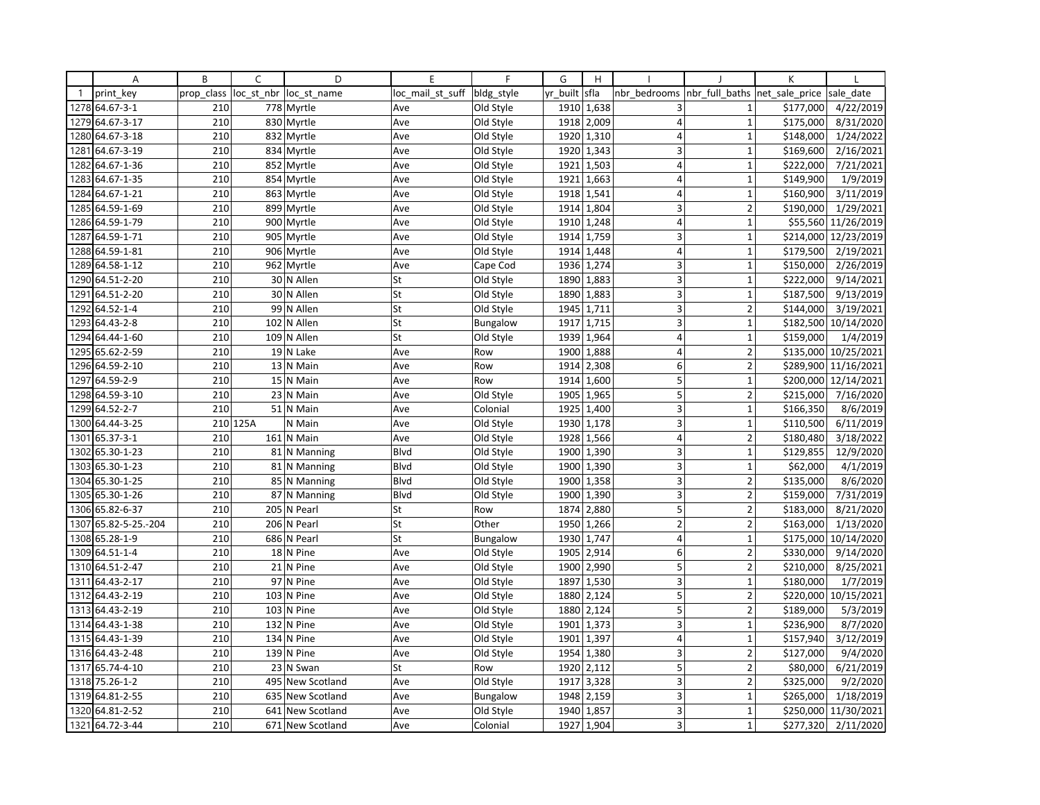|              | Α               | B          | C          | D                | E                | $\mathsf{F}$    | G        | H          |                         |                | K              |                      |
|--------------|-----------------|------------|------------|------------------|------------------|-----------------|----------|------------|-------------------------|----------------|----------------|----------------------|
| $\mathbf{1}$ | print key       | prop class | loc_st_nbr | loc st name      | loc mail st suff | bldg style      | yr built | sfla       | nbr bedrooms            | nbr_full_baths | net sale price | sale date            |
|              | 1278 64.67-3-1  | 210        |            | 778 Myrtle       | Ave              | Old Style       |          | 1910 1,638 | 3                       | $\mathbf{1}$   | \$177,000      | 4/22/2019            |
| 1279         | 64.67-3-17      | 210        |            | 830 Myrtle       | Ave              | Old Style       | 1918     | 2,009      | $\overline{4}$          | $\mathbf{1}$   | \$175,000      | 8/31/2020            |
| 1280         | 64.67-3-18      | 210        | 832        | Myrtle           | Ave              | Old Style       | 1920     | 1,310      | $\overline{4}$          | $\mathbf{1}$   | \$148,000      | 1/24/2022            |
| 1281         | 64.67-3-19      | 210        |            | 834 Myrtle       | Ave              | Old Style       |          | 1920 1,343 | 3                       | $\mathbf{1}$   | \$169,600      | 2/16/2021            |
| 1282         | 64.67-1-36      | 210        |            | 852 Myrtle       | Ave              | Old Style       | 1921     | 1,503      | $\overline{4}$          | $\mathbf{1}$   | \$222,000      | 7/21/2021            |
| 1283         | 64.67-1-35      | 210        | 854        | Myrtle           | Ave              | Old Style       | 1921     | 1,663      | $\overline{4}$          | $\mathbf{1}$   | \$149,900      | 1/9/2019             |
| 1284         | 64.67-1-21      | 210        |            | 863 Myrtle       | Ave              | Old Style       |          | 1918 1,541 | $\overline{4}$          | $\mathbf{1}$   | \$160,900      | 3/11/2019            |
| 1285         | 64.59-1-69      | 210        | 899        | Myrtle           | Ave              | Old Style       | 1914     | 1,804      | 3                       | $\overline{2}$ | \$190,000      | 1/29/2021            |
|              | 1286 64.59-1-79 | 210        |            | 900 Myrtle       | Ave              | Old Style       |          | 1910 1,248 | 4                       | $\mathbf 1$    | \$55,560       | 11/26/2019           |
| 1287         | 64.59-1-71      | 210        | 905        | Myrtle           | Ave              | Old Style       | 1914     | 1,759      | 3                       | $\mathbf{1}$   | \$214,000      | 12/23/2019           |
|              | 1288 64.59-1-81 | 210        |            | 906 Myrtle       | Ave              | Old Style       | 1914     | 1,448      | $\overline{4}$          | $\mathbf{1}$   | \$179,500      | 2/19/2021            |
|              | 1289 64.58-1-12 | 210        |            | 962 Myrtle       | Ave              | Cape Cod        | 1936     | 1,274      | 3                       | $\mathbf{1}$   | \$150,000      | 2/26/2019            |
| 1290         | 64.51-2-20      | 210        |            | 30 N Allen       | St               | Old Style       | 1890     | 1,883      | $\overline{\mathbf{3}}$ | $\mathbf{1}$   | \$222,000      | 9/14/2021            |
| 1291         | 64.51-2-20      | 210        |            | 30 N Allen       | St               | Old Style       | 1890     | 1,883      | 3                       | $\mathbf 1$    | \$187,500      | 9/13/2019            |
| 1292         | 64.52-1-4       | 210        |            | 99 N Allen       | St               | Old Style       | 1945     | 1,711      | 3                       | $\overline{2}$ | \$144,000      | 3/19/2021            |
| 1293         | 64.43-2-8       | 210        |            | 102 N Allen      | St               | Bungalow        | 1917     | 1,715      | 3 <sup>1</sup>          | $\mathbf{1}$   | \$182,500      | 10/14/2020           |
|              | 1294 64.44-1-60 | 210        |            | 109 N Allen      | St               | Old Style       | 1939     | 1,964      | $\vert 4 \vert$         | $\mathbf{1}$   | \$159,000      | 1/4/2019             |
| 1295         | 65.62-2-59      | 210        |            | 19 N Lake        | Ave              | Row             | 1900     | 1,888      | $\overline{4}$          | $\overline{2}$ | \$135,000      | 10/25/2021           |
|              | 1296 64.59-2-10 | 210        |            | 13 N Main        | Ave              | Row             | 1914     | 2,308      | $6 \mid$                | $\overline{2}$ | \$289,900      | 11/16/2021           |
| 1297         | 64.59-2-9       | 210        |            | 15 N Main        | Ave              | Row             |          | 1914 1,600 | 5                       | $\mathbf 1$    |                | \$200,000 12/14/2021 |
| 1298         | 64.59-3-10      | 210        |            | 23 N Main        | Ave              | Old Style       | 1905     | 1,965      | 5 <sup>1</sup>          | $\overline{2}$ | \$215,000      | 7/16/2020            |
|              | 1299 64.52-2-7  | 210        |            | 51 N Main        | Ave              | Colonial        | 1925     | 1,400      | 3 <sup>1</sup>          | $\mathbf 1$    | \$166,350      | 8/6/2019             |
| 1300         | 64.44-3-25      |            | 210 125A   | N Main           | Ave              | Old Style       | 1930     | 1,178      | 3                       | $\mathbf{1}$   | \$110,500      | 6/11/2019            |
| 1301         | 65.37-3-1       | 210        |            | 161 N Main       | Ave              | Old Style       | 1928     | 1,566      | $\overline{4}$          | $\overline{2}$ | \$180,480      | 3/18/2022            |
| 1302         | 65.30-1-23      | 210        |            | 81 N Manning     | Blvd             | Old Style       |          | 1900 1,390 | $\overline{\mathbf{3}}$ | $\mathbf 1$    | \$129,855      | 12/9/2020            |
| 1303         | 65.30-1-23      | 210        |            | 81 N Manning     | Blvd             | Old Style       | 1900     | 1,390      | 3                       | $\mathbf{1}$   | \$62,000       | 4/1/2019             |
| 1304         | 65.30-1-25      | 210        |            | 85 N Manning     | Blvd             | Old Style       | 1900     | 1,358      | 3                       | $\overline{2}$ | \$135,000      | 8/6/2020             |
|              | 1305 65.30-1-26 | 210        |            | 87 N Manning     | Blvd             | Old Style       |          | 1900 1,390 | 3                       | $\overline{2}$ | \$159,000      | 7/31/2019            |
| 1306         | 65.82-6-37      | 210        | 205        | N Pearl          | St               | Row             | 1874     | 2,880      | $\overline{5}$          | $\overline{2}$ | \$183,000      | 8/21/2020            |
| 1307         | 65.82-5-25.-204 | 210        |            | 206 N Pearl      | St               | Other           | 1950     | 1,266      | $\overline{2}$          | $\overline{2}$ | \$163,000      | 1/13/2020            |
| 1308         | 65.28-1-9       | 210        | 686        | N Pearl          | St               | <b>Bungalow</b> | 1930     | 1,747      | $\overline{4}$          | $\mathbf{1}$   | \$175,000      | 10/14/2020           |
| 1309         | 64.51-1-4       | 210        |            | 18 N Pine        | Ave              | Old Style       | 1905     | 2,914      | 6 <sup>1</sup>          | $\overline{2}$ | \$330,000      | 9/14/2020            |
| 1310         | 64.51-2-47      | 210        |            | 21 N Pine        | Ave              | Old Style       |          | 1900 2,990 | 5                       | $\overline{2}$ | \$210,000      | 8/25/2021            |
| 1311         | 64.43-2-17      | 210        |            | 97 N Pine        | Ave              | Old Style       | 1897     | 1,530      | $\overline{3}$          | $\mathbf{1}$   | \$180,000      | 1/7/2019             |
| 1312         | 64.43-2-19      | 210        |            | 103 N Pine       | Ave              | Old Style       | 1880     | 2,124      | 5                       | $\overline{2}$ | \$220,000      | 10/15/2021           |
|              | 1313 64.43-2-19 | 210        |            | 103 N Pine       | Ave              | Old Style       | 1880     | 2,124      | 5                       | $\overline{2}$ | \$189,000      | 5/3/2019             |
| 1314         | 64.43-1-38      | 210        |            | 132 N Pine       | Ave              | Old Style       | 1901     | 1,373      | 3 <sup>1</sup>          | $\mathbf{1}$   | \$236,900      | 8/7/2020             |
|              | 1315 64.43-1-39 | 210        |            | $134$ N Pine     | Ave              | Old Style       | 1901     | 1,397      | $\overline{4}$          | $\mathbf{1}$   | \$157,940      | 3/12/2019            |
| 1316         | 64.43-2-48      | 210        | 139        | N Pine           | Ave              | Old Style       | 1954     | 1,380      | 3                       | $\overline{2}$ | \$127,000      | 9/4/2020             |
| 1317         | 65.74-4-10      | 210        |            | 23 N Swan        | St               | Row             | 1920     | 2,112      | 5                       | $\overline{2}$ | \$80,000       | 6/21/2019            |
|              | 1318 75.26-1-2  | 210        |            | 495 New Scotland | Ave              | Old Style       | 1917     | 3,328      | $\overline{3}$          | $\overline{2}$ | \$325,000      | 9/2/2020             |
| 1319         | 64.81-2-55      | 210        |            | 635 New Scotland | Ave              | <b>Bungalow</b> | 1948     | 2,159      | 3 <sup>1</sup>          | $\mathbf{1}$   | \$265,000      | 1/18/2019            |
| 1320         | 64.81-2-52      | 210        |            | 641 New Scotland | Ave              | Old Style       | 1940     | 1,857      | 3 <sup>1</sup>          | $\mathbf 1$    | \$250,000      | 11/30/2021           |
|              | 1321 64.72-3-44 | 210        |            | 671 New Scotland | Ave              | Colonial        | 1927     | 1,904      | $\overline{\mathbf{3}}$ | $\mathbf{1}$   | \$277,320      | 2/11/2020            |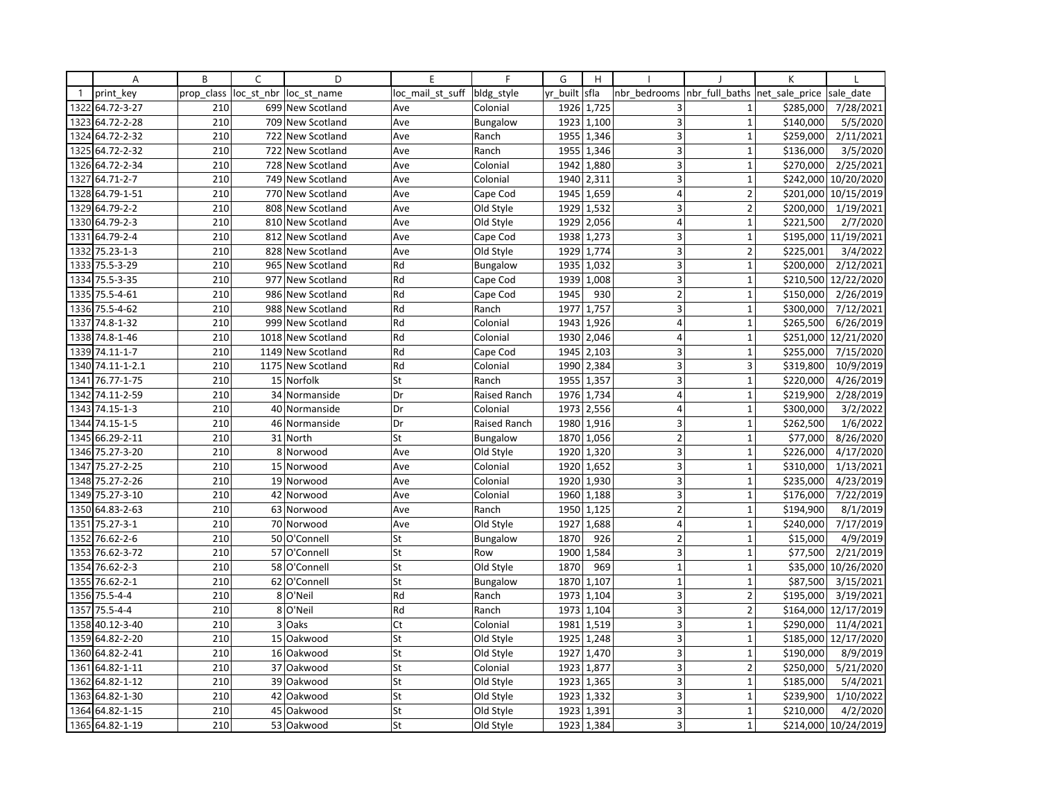|                | A                | B          | $\mathsf{C}$ | D                 | E                | F               | G        | H          |                         |                | K              |                      |
|----------------|------------------|------------|--------------|-------------------|------------------|-----------------|----------|------------|-------------------------|----------------|----------------|----------------------|
| $\overline{1}$ | print key        | prop class | loc_st_nbr   | loc st name       | loc mail st suff | bldg_style      | yr built | sfla       | nbr bedrooms            | nbr full baths | net sale price | sale date            |
| 1322           | 64.72-3-27       | 210        |              | 699 New Scotland  | Ave              | Colonial        | 1926     | 1,725      | 3                       | 1              | \$285,000      | 7/28/2021            |
| 1323           | 64.72-2-28       | 210        |              | 709 New Scotland  | Ave              | <b>Bungalow</b> | 1923     | 1,100      | 3                       | $\mathbf{1}$   | \$140,000      | 5/5/2020             |
| 1324           | 64.72-2-32       | 210        |              | 722 New Scotland  | Ave              | Ranch           | 1955     | 1,346      | $\mathsf 3$             | $\mathbf{1}$   | \$259,000      | 2/11/2021            |
| 1325           | 64.72-2-32       | 210        |              | 722 New Scotland  | Ave              | Ranch           | 1955     | 1,346      | $\overline{\mathbf{3}}$ | $\mathbf{1}$   | \$136,000      | 3/5/2020             |
| 1326           | 64.72-2-34       | 210        |              | 728 New Scotland  | Ave              | Colonial        | 1942     | 1,880      | 3                       | $\mathbf{1}$   | \$270,000      | 2/25/2021            |
| 1327           | 64.71-2-7        | 210        |              | 749 New Scotland  | Ave              | Colonial        | 1940     | 2,311      | 3                       | $\mathbf{1}$   | \$242,000      | 10/20/2020           |
|                | 1328 64.79-1-51  | 210        |              | 770 New Scotland  | Ave              | Cape Cod        | 1945     | 1,659      | 4                       | $\overline{2}$ | \$201,000      | 10/15/2019           |
| 1329           | 64.79-2-2        | 210        | 808          | New Scotland      | Ave              | Old Style       | 1929     | 1,532      | $\overline{\mathbf{3}}$ | $\overline{2}$ | \$200,000      | 1/19/2021            |
|                | 1330 64.79-2-3   | 210        |              | 810 New Scotland  | Ave              | Old Style       | 1929     | 2,056      | $\overline{\mathbf{4}}$ | $\overline{1}$ | \$221,500      | 2/7/2020             |
| 1331           | 64.79-2-4        | 210        |              | 812 New Scotland  | Ave              | Cape Cod        | 1938     | 1,273      | 3                       | $\mathbf{1}$   | \$195,000      | 11/19/2021           |
| 1332           | 75.23-1-3        | 210        |              | 828 New Scotland  | Ave              | Old Style       | 1929     | 1,774      | 3                       | $\overline{2}$ | \$225,001      | 3/4/2022             |
| 1333           | 75.5-3-29        | 210        |              | 965 New Scotland  | Rd               | <b>Bungalow</b> | 1935     | 1,032      | 3                       | $\mathbf{1}$   | \$200,000      | 2/12/2021            |
| 1334           | 75.5-3-35        | 210        |              | 977 New Scotland  | Rd               | Cape Cod        | 1939     | 1,008      | 3                       | $\overline{1}$ | \$210,500      | 12/22/2020           |
| 1335           | 75.5-4-61        | 210        | 986          | New Scotland      | Rd               | Cape Cod        | 1945     | 930        | $\overline{2}$          | $\mathbf{1}$   | \$150,000      | 2/26/2019            |
|                | 1336 75.5-4-62   | 210        |              | 988 New Scotland  | Rd               | Ranch           | 1977     | 1,757      | 3                       | $\mathbf{1}$   | \$300,000      | 7/12/2021            |
| 1337           | 74.8-1-32        | 210        |              | 999 New Scotland  | Rd               | Colonial        | 1943     | 1,926      | $\overline{4}$          | $\overline{1}$ | \$265,500      | 6/26/2019            |
|                | 1338 74.8-1-46   | 210        |              | 1018 New Scotland | Rd               | Colonial        |          | 1930 2,046 | 4                       | $\mathbf{1}$   | \$251,000      | 12/21/2020           |
| 1339           | 74.11-1-7        | 210        | 1149         | New Scotland      | Rd               | Cape Cod        | 1945     | 2,103      | 3                       | 1              | \$255,000      | 7/15/2020            |
|                | 1340 74.11-1-2.1 | 210        |              | 1175 New Scotland | Rd               | Colonial        | 1990     | 2,384      | 3                       | 3              | \$319,800      | 10/9/2019            |
| 1341           | 76.77-1-75       | 210        |              | 15 Norfolk        | St               | Ranch           |          | 1955 1,357 | 3                       | $\mathbf{1}$   | \$220,000      | 4/26/2019            |
| 1342           | 74.11-2-59       | 210        |              | 34 Normanside     | Dr               | Raised Ranch    | 1976     | 1,734      | $\overline{4}$          | $\overline{1}$ | \$219,900      | 2/28/2019            |
| 1343           | 74.15-1-3        | 210        |              | 40 Normanside     | Dr               | Colonial        | 1973     | 2,556      | 4                       | $\mathbf{1}$   | \$300,000      | 3/2/2022             |
| 1344           | 74.15-1-5        | 210        |              | 46 Normanside     | Dr               | Raised Ranch    | 1980     | 1,916      | 3                       | $\mathbf{1}$   | \$262,500      | 1/6/2022             |
| 1345           | 66.29-2-11       | 210        |              | 31 North          | St               | Bungalow        | 1870     | 1,056      | $\overline{2}$          | $\mathbf{1}$   | \$77,000       | 8/26/2020            |
|                | 1346 75.27-3-20  | 210        |              | 8 Norwood         | Ave              | Old Style       |          | 1920 1,320 | $\mathsf 3$             | $\mathbf{1}$   | \$226,000      | 4/17/2020            |
| 1347           | 75.27-2-25       | 210        |              | 15 Norwood        | Ave              | Colonial        | 1920     | 1,652      | 3                       | $\mathbf{1}$   | \$310,000      | 1/13/2021            |
| 1348           | 75.27-2-26       | 210        |              | 19 Norwood        | Ave              | Colonial        | 1920     | 1,930      | 3                       | $\mathbf{1}$   | \$235,000      | 4/23/2019            |
|                | 1349 75.27-3-10  | 210        |              | 42 Norwood        | Ave              | Colonial        |          | 1960 1,188 | 3                       | $\mathbf{1}$   | \$176,000      | 7/22/2019            |
| 1350           | 64.83-2-63       | 210        |              | 63 Norwood        | Ave              | Ranch           | 1950     | 1,125      | $\overline{2}$          | $\mathbf{1}$   | \$194,900      | 8/1/2019             |
| 1351           | 75.27-3-1        | 210        |              | 70 Norwood        | Ave              | Old Style       | 1927     | 1,688      | $\overline{4}$          | $\mathbf{1}$   | \$240,000      | 7/17/2019            |
| 1352           | 76.62-2-6        | 210        |              | 50 O'Connell      | St               | Bungalow        | 1870     | 926        | $\overline{2}$          | $\overline{1}$ | \$15,000       | 4/9/2019             |
| 1353           | 76.62-3-72       | 210        |              | 57 O'Connell      | St               | Row             | 1900     | 1,584      | 3                       | $\mathbf 1$    | \$77,500       | 2/21/2019            |
| 1354           | 76.62-2-3        | 210        |              | 58 O'Connell      | St               | Old Style       | 1870     | 969        | $\mathbf{1}$            | $\mathbf{1}$   | \$35,000       | 10/26/2020           |
| 1355           | 76.62-2-1        | 210        |              | 62 O'Connell      | St               | <b>Bungalow</b> | 1870     | 1,107      | $\mathbf{1}$            | $\mathbf{1}$   | \$87,500       | 3/15/2021            |
| 1356           | $75.5 - 4 - 4$   | 210        | 8            | O'Neil            | Rd               | Ranch           | 1973     | 1,104      | 3                       | $\overline{2}$ | \$195,000      | 3/19/2021            |
| 1357           | $75.5 - 4 - 4$   | 210        |              | 8 O'Neil          | Rd               | Ranch           |          | 1973 1,104 | 3                       | $\overline{2}$ | \$164,000      | 12/17/2019           |
| 1358           | 40.12-3-40       | 210        |              | 3 Oaks            | Ct               | Colonial        | 1981     | 1,519      | 3                       | $\mathbf{1}$   | \$290,000      | 11/4/2021            |
|                | 1359 64.82-2-20  | 210        |              | 15 Oakwood        | St               | Old Style       | 1925     | 1,248      | 3                       | $\mathbf{1}$   | \$185,000      | 12/17/2020           |
| 1360           | 64.82-2-41       | 210        |              | 16 Oakwood        | St               | Old Style       | 1927     | 1,470      | 3                       | $\mathbf{1}$   | \$190,000      | 8/9/2019             |
| 1361           | 64.82-1-11       | 210        |              | 37 Oakwood        | St               | Colonial        | 1923     | 1,877      | 3                       | $\overline{2}$ | \$250,000      | 5/21/2020            |
| 1362           | 64.82-1-12       | 210        |              | 39 Oakwood        | St               | Old Style       |          | 1923 1,365 | 3                       | $\mathbf{1}$   | \$185,000      | 5/4/2021             |
| 1363           | 64.82-1-30       | 210        |              | 42 Oakwood        | St               | Old Style       | 1923     | 1,332      | 3                       | $\overline{1}$ | \$239,900      | 1/10/2022            |
|                | 1364 64.82-1-15  | 210        | 45           | Oakwood           | St               | Old Style       | 1923     | 1,391      | 3                       | $\mathbf{1}$   | \$210,000      | 4/2/2020             |
|                | 1365 64.82-1-19  | 210        |              | 53 Oakwood        | St               | Old Style       |          | 1923 1,384 | $\overline{\mathbf{3}}$ | $\overline{1}$ |                | \$214,000 10/24/2019 |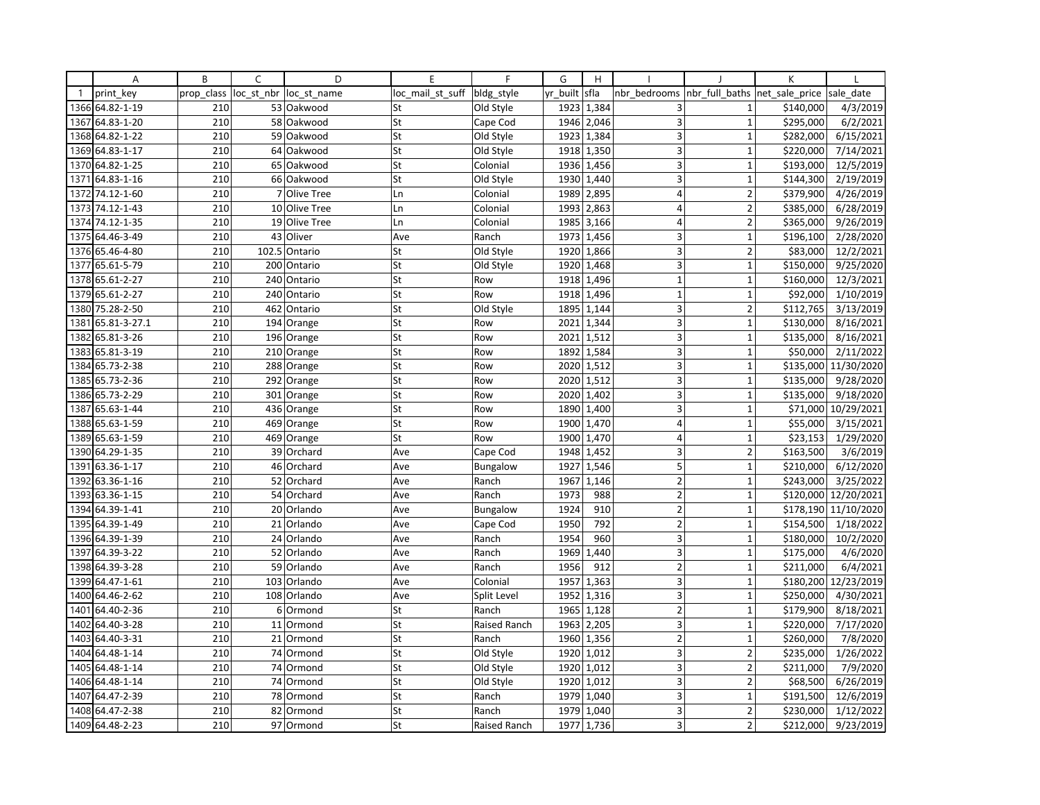|              | Α               | B          | $\overline{C}$ | D             | E                | F               | G        | H          |                         |                               | K         |            |
|--------------|-----------------|------------|----------------|---------------|------------------|-----------------|----------|------------|-------------------------|-------------------------------|-----------|------------|
| $\mathbf{1}$ | print key       | prop class | loc st nbr     | loc st name   | loc_mail_st_suff | bldg_style      | yr built | sfla       | nbr bedrooms            | nbr full baths net sale price |           | sale date  |
| 1366         | 64.82-1-19      | 210        |                | 53 Oakwood    | St               | Old Style       | 1923     | 1,384      | 3                       | $\mathbf{1}$                  | \$140,000 | 4/3/2019   |
| 1367         | 64.83-1-20      | 210        |                | 58 Oakwood    | St               | Cape Cod        | 1946     | 2,046      | 3                       | $\mathbf{1}$                  | \$295,000 | 6/2/2021   |
| 1368         | 64.82-1-22      | 210        |                | 59 Oakwood    | St               | Old Style       | 1923     | 1,384      | 3                       | $\mathbf 1$                   | \$282,000 | 6/15/2021  |
|              | 1369 64.83-1-17 | 210        |                | 64 Oakwood    | St               | Old Style       |          | 1918 1,350 | $\overline{\mathbf{3}}$ | $\mathbf{1}$                  | \$220,000 | 7/14/2021  |
| 1370         | 64.82-1-25      | 210        |                | 65 Oakwood    | St               | Colonial        | 1936     | 1,456      | 3                       | $\mathbf{1}$                  | \$193,000 | 12/5/2019  |
| 1371         | 64.83-1-16      | 210        |                | 66 Oakwood    | St               | Old Style       | 1930     | 1,440      | 3                       | $\mathbf 1$                   | \$144,300 | 2/19/2019  |
| 1372         | 74.12-1-60      | 210        |                | 7 Olive Tree  | Ln               | Colonial        | 1989     | 2,895      | 4                       | $\mathbf 2$                   | \$379,900 | 4/26/2019  |
| 1373         | 74.12-1-43      | 210        |                | 10 Olive Tree | Ln               | Colonial        | 1993     | 2,863      | $\vert 4 \vert$         | $\overline{2}$                | \$385,000 | 6/28/2019  |
|              | 1374 74.12-1-35 | 210        |                | 19 Olive Tree | Ln               | Colonial        | 1985     | 3,166      | $\overline{4}$          | $\overline{2}$                | \$365,000 | 9/26/2019  |
| 1375         | 64.46-3-49      | 210        | 43             | Oliver        | Ave              | Ranch           | 1973     | 1,456      | $\overline{3}$          | $\mathbf{1}$                  | \$196,100 | 2/28/2020  |
|              | 1376 65.46-4-80 | 210        | 102.5          | Ontario       | St               | Old Style       | 1920     | 1,866      | 3                       | $\overline{2}$                | \$83,000  | 12/2/2021  |
| 1377         | 65.61-5-79      | 210        |                | 200 Ontario   | St               | Old Style       |          | 1920 1,468 | 3                       | $\mathbf{1}$                  | \$150,000 | 9/25/2020  |
|              | 1378 65.61-2-27 | 210        |                | 240 Ontario   | St               | Row             | 1918     | 1,496      | $\mathbf{1}$            | $\overline{1}$                | \$160,000 | 12/3/2021  |
| 1379         | 65.61-2-27      | 210        | 240            | Ontario       | St               | Row             | 1918     | 1,496      | $\mathbf{1}$            | $\mathbf{1}$                  | \$92,000  | 1/10/2019  |
|              | 1380 75.28-2-50 | 210        |                | 462 Ontario   | St               | Old Style       |          | 1895 1,144 | 3                       | $\overline{2}$                | \$112,765 | 3/13/2019  |
| 1381         | 65.81-3-27.1    | 210        |                | 194 Orange    | St               | Row             | 2021     | 1,344      | 3                       | $\mathbf{1}$                  | \$130,000 | 8/16/2021  |
| 1382         | 65.81-3-26      | 210        |                | 196 Orange    | St               | Row             | 2021     | 1,512      | 3                       | $\mathbf{1}$                  | \$135,000 | 8/16/2021  |
| 1383         | 65.81-3-19      | 210        |                | 210 Orange    | St               | Row             | 1892     | 1,584      | 3                       | 1                             | \$50,000  | 2/11/2022  |
| 1384         | 65.73-2-38      | 210        |                | 288 Orange    | St               | Row             | 2020     | 1,512      | 3                       | $\overline{1}$                | \$135,000 | 11/30/2020 |
|              | 1385 65.73-2-36 | 210        |                | 292 Orange    | St               | Row             |          | 2020 1,512 | 3                       | $\mathbf{1}$                  | \$135,000 | 9/28/2020  |
| 1386         | 65.73-2-29      | 210        |                | 301 Orange    | St               | Row             | 2020     | 1,402      | $\overline{3}$          | $\mathbf{1}$                  | \$135,000 | 9/18/2020  |
| 1387         | 65.63-1-44      | 210        |                | 436 Orange    | St               | Row             | 1890     | 1,400      | 3                       | $\mathbf{1}$                  | \$71,000  | 10/29/2021 |
|              | 1388 65.63-1-59 | 210        |                | 469 Orange    | St               | Row             | 1900     | 1,470      | $\overline{4}$          | $\mathbf{1}$                  | \$55,000  | 3/15/2021  |
| 1389         | 65.63-1-59      | 210        |                | 469 Orange    | St               | Row             | 1900     | 1,470      | $\overline{4}$          | $\mathbf{1}$                  | \$23,153  | 1/29/2020  |
|              | 1390 64.29-1-35 | 210        |                | 39 Orchard    | Ave              | Cape Cod        | 1948     | 1,452      | 3                       | $\overline{2}$                | \$163,500 | 3/6/2019   |
| 1391         | 63.36-1-17      | 210        |                | 46 Orchard    | Ave              | <b>Bungalow</b> | 1927     | 1,546      | 5                       | $\overline{1}$                | \$210,000 | 6/12/2020  |
| 1392         | 63.36-1-16      | 210        |                | 52 Orchard    | Ave              | Ranch           | 1967     | 1,146      | $\overline{2}$          | $\mathbf{1}$                  | \$243,000 | 3/25/2022  |
|              | 1393 63.36-1-15 | 210        |                | 54 Orchard    | Ave              | Ranch           | 1973     | 988        | $\overline{2}$          | $\mathbf{1}$                  | \$120,000 | 12/20/2021 |
| 1394         | 64.39-1-41      | 210        |                | 20 Orlando    | Ave              | Bungalow        | 1924     | 910        | 2                       | $\mathbf{1}$                  | \$178,190 | 11/10/2020 |
|              | 1395 64.39-1-49 | 210        |                | 21 Orlando    | Ave              | Cape Cod        | 1950     | 792        | $\overline{2}$          | $\mathbf{1}$                  | \$154,500 | 1/18/2022  |
| 1396         | 64.39-1-39      | 210        |                | 24 Orlando    | Ave              | Ranch           | 1954     | 960        | 3                       | $\mathbf{1}$                  | \$180,000 | 10/2/2020  |
| 1397         | 64.39-3-22      | 210        |                | 52 Orlando    | Ave              | Ranch           | 1969     | 1,440      | 3                       | $\mathbf{1}$                  | \$175,000 | 4/6/2020   |
| 1398         | 64.39-3-28      | 210        |                | 59 Orlando    | Ave              | Ranch           | 1956     | 912        | $\overline{2}$          | $\mathbf{1}$                  | \$211,000 | 6/4/2021   |
|              | 1399 64.47-1-61 | 210        |                | 103 Orlando   | Ave              | Colonial        | 1957     | 1,363      | 3                       | $\mathbf{1}$                  | \$180,200 | 12/23/2019 |
| 1400         | 64.46-2-62      | 210        | 108            | Orlando       | Ave              | Split Level     | 1952     | 1,316      | 3                       | $\mathbf{1}$                  | \$250,000 | 4/30/2021  |
| 1401         | 64.40-2-36      | 210        |                | 6 Ormond      | St               | Ranch           | 1965     | 1,128      | $\overline{2}$          | $\mathbf{1}$                  | \$179,900 | 8/18/2021  |
| 1402         | 64.40-3-28      | 210        |                | 11 Ormond     | St               | Raised Ranch    | 1963     | 2,205      | 3                       | $\mathbf{1}$                  | \$220,000 | 7/17/2020  |
| 1403         | 64.40-3-31      | 210        |                | 21 Ormond     | St               | Ranch           | 1960     | 1,356      | $\overline{2}$          | $\mathbf{1}$                  | \$260,000 | 7/8/2020   |
| 1404         | 64.48-1-14      | 210        |                | 74 Ormond     | St               | Old Style       | 1920     | 1,012      | 3                       | $\overline{\phantom{a}}$      | \$235,000 | 1/26/2022  |
| 1405         | 64.48-1-14      | 210        |                | 74 Ormond     | St               | Old Style       | 1920     | 1,012      | 3                       | 2                             | \$211,000 | 7/9/2020   |
| 1406         | 64.48-1-14      | 210        |                | 74 Ormond     | St               | Old Style       |          | 1920 1,012 | 3                       | $\overline{2}$                | \$68,500  | 6/26/2019  |
| 1407         | 64.47-2-39      | 210        |                | 78 Ormond     | St               | Ranch           | 1979     | 1,040      | 3                       | $\mathbf{1}$                  | \$191,500 | 12/6/2019  |
| 1408         | 64.47-2-38      | 210        |                | 82 Ormond     | St               | Ranch           | 1979     | 1,040      | 3                       | $\overline{2}$                | \$230,000 | 1/12/2022  |
|              | 1409 64.48-2-23 | 210        |                | 97 Ormond     | St               | Raised Ranch    | 1977     | 1,736      | $\overline{3}$          | $\overline{2}$                | \$212,000 | 9/23/2019  |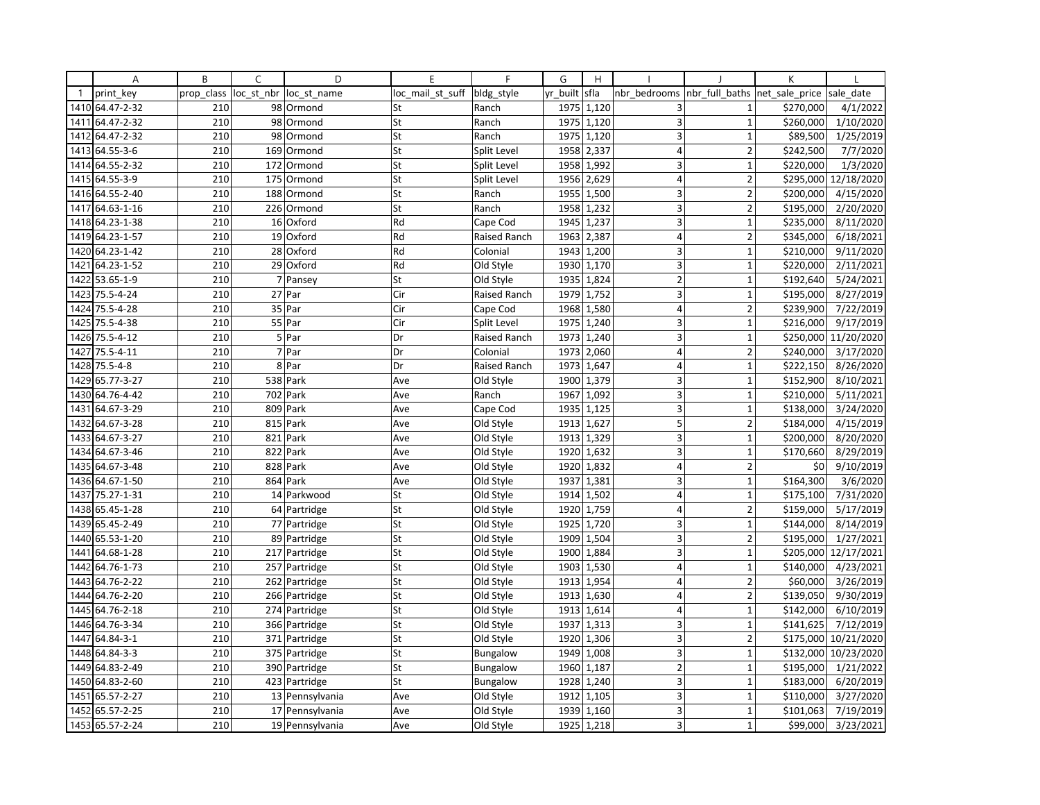|              | Α               | B          | C          | D               | E                | $\mathsf{F}$    | G        | H          |                         |                               | K         |                    |
|--------------|-----------------|------------|------------|-----------------|------------------|-----------------|----------|------------|-------------------------|-------------------------------|-----------|--------------------|
| $\mathbf{1}$ | print key       | prop class | loc_st_nbr | loc st name     | loc mail st suff | bldg style      | yr built | sfla       | nbr bedrooms            | nbr full baths net sale price |           | sale date          |
|              | 1410 64.47-2-32 | 210        |            | 98 Ormond       | St               | Ranch           |          | 1975 1,120 | 3                       | $\mathbf{1}$                  | \$270,000 | 4/1/2022           |
| 1411         | 64.47-2-32      | 210        | 98         | Ormond          | St               | Ranch           | 1975     | 1,120      | $\overline{3}$          | $\mathbf{1}$                  | \$260,000 | 1/10/2020          |
| 1412         | 64.47-2-32      | 210        | 98         | Ormond          | St               | Ranch           | 1975     | 1,120      | 3                       | $\mathbf{1}$                  | \$89,500  | 1/25/2019          |
| 1413         | 64.55-3-6       | 210        |            | 169 Ormond      | St               | Split Level     |          | 1958 2,337 | $\overline{4}$          | $\overline{2}$                | \$242,500 | 7/7/2020           |
|              | 1414 64.55-2-32 | 210        |            | 172 Ormond      | St               | Split Level     | 1958     | 1,992      | 3                       | $\mathbf{1}$                  | \$220,000 | 1/3/2020           |
| 1415         | 64.55-3-9       | 210        | 175        | Ormond          | St               | Split Level     | 1956     | 2,629      | $\overline{4}$          | $\overline{2}$                | \$295,000 | 12/18/2020         |
|              | 1416 64.55-2-40 | 210        |            | 188 Ormond      | St               | Ranch           |          | 1955 1,500 | 3                       | $\overline{2}$                | \$200,000 | 4/15/2020          |
| 1417         | 64.63-1-16      | 210        |            | 226 Ormond      | St               | Ranch           | 1958     | 1,232      | $\overline{3}$          | $\overline{2}$                | \$195,000 | 2/20/2020          |
|              | 1418 64.23-1-38 | 210        |            | 16 Oxford       | Rd               | Cape Cod        | 1945     | 1,237      | 3                       | $\mathbf 1$                   | \$235,000 | 8/11/2020          |
| 1419         | 64.23-1-57      | 210        |            | 19 Oxford       | Rd               | Raised Ranch    | 1963     | 2,387      | $\overline{4}$          | $\overline{2}$                | \$345,000 | 6/18/2021          |
| 1420         | 64.23-1-42      | 210        |            | 28 Oxford       | Rd               | Colonial        | 1943     | 1,200      | 3                       | $\mathbf{1}$                  | \$210,000 | 9/11/2020          |
| 1421         | 64.23-1-52      | 210        |            | 29 Oxford       | Rd               | Old Style       |          | 1930 1,170 | 3                       | $\mathbf{1}$                  | \$220,000 | 2/11/2021          |
| 1422         | 53.65-1-9       | 210        |            | 7 Pansey        | St               | Old Style       | 1935     | 1,824      | $\overline{2}$          | $\mathbf{1}$                  | \$192,640 | 5/24/2021          |
| 1423         | 75.5-4-24       | 210        |            | 27 Par          | Cir              | Raised Ranch    | 1979     | 1,752      | 3                       | $\mathbf 1$                   | \$195,000 | 8/27/2019          |
| 1424         | 75.5-4-28       | 210        |            | 35 Par          | Cir              | Cape Cod        | 1968     | 1,580      | $\overline{4}$          | $\overline{2}$                | \$239,900 | 7/22/2019          |
| 1425         | 75.5-4-38       | 210        |            | 55 Par          | Cir              | Split Level     | 1975     | 1,240      | 3                       | $\mathbf{1}$                  | \$216,000 | 9/17/2019          |
|              | 1426 75.5-4-12  | 210        |            | $5$ Par         | Dr               | Raised Ranch    | 1973     | 1,240      | 3 <sup>1</sup>          | $\mathbf{1}$                  | \$250,000 | 11/20/2020         |
| 1427         | 75.5-4-11       | 210        |            | 7 Par           | Dr               | Colonial        | 1973     | 2,060      | $\overline{4}$          | $\overline{2}$                | \$240,000 | 3/17/2020          |
| 1428         | $75.5 - 4 - 8$  | 210        |            | 8 Par           | Dr               | Raised Ranch    | 1973     | 1,647      | $\overline{\mathbf{4}}$ | $\mathbf{1}$                  | \$222,150 | 8/26/2020          |
|              | 1429 65.77-3-27 | 210        |            | 538 Park        | Ave              | Old Style       |          | 1900 1,379 | $\overline{3}$          | $\mathbf{1}$                  | \$152,900 | 8/10/2021          |
| 1430         | 64.76-4-42      | 210        |            | 702 Park        | Ave              | Ranch           | 1967     | 1,092      | 3 <sup>1</sup>          | $\mathbf{1}$                  | \$210,000 | $\sqrt{5/11/2021}$ |
| 1431         | 64.67-3-29      | 210        |            | 809 Park        | Ave              | Cape Cod        | 1935     | 1,125      | 3 <sup>1</sup>          | $\mathbf 1$                   | \$138,000 | 3/24/2020          |
| 1432         | 64.67-3-28      | 210        |            | 815 Park        | Ave              | Old Style       | 1913     | 1,627      | 5                       | $\overline{2}$                | \$184,000 | 4/15/2019          |
| 1433         | 64.67-3-27      | 210        |            | 821 Park        | Ave              | Old Style       | 1913     | 1,329      | 3                       | $\mathbf{1}$                  | \$200,000 | 8/20/2020          |
|              | 1434 64.67-3-46 | 210        |            | 822 Park        | Ave              | Old Style       |          | 1920 1,632 | $\overline{\mathbf{3}}$ | $\mathbf 1$                   | \$170,660 | 8/29/2019          |
| 1435         | 64.67-3-48      | 210        |            | 828 Park        | Ave              | Old Style       | 1920     | 1,832      | $\overline{4}$          | $\overline{2}$                | \$0       | 9/10/2019          |
| 1436         | 64.67-1-50      | 210        |            | 864 Park        | Ave              | Old Style       | 1937     | 1,381      | 3                       | $\mathbf{1}$                  | \$164,300 | 3/6/2020           |
| 1437         | 75.27-1-31      | 210        |            | 14 Parkwood     | St               | Old Style       |          | 1914 1,502 | $\overline{4}$          | $\mathbf{1}^{\prime}$         | \$175,100 | 7/31/2020          |
| 1438         | 65.45-1-28      | 210        |            | 64 Partridge    | St               | Old Style       | 1920     | 1,759      | $\vert 4 \vert$         | $\overline{2}$                | \$159,000 | 5/17/2019          |
|              | 1439 65.45-2-49 | 210        |            | 77 Partridge    | St               | Old Style       | 1925     | 1,720      | 3                       | $\mathbf{1}$                  | \$144,000 | 8/14/2019          |
| 1440         | 65.53-1-20      | 210        |            | 89 Partridge    | St               | Old Style       | 1909     | 1,504      | 3                       | $\overline{2}$                | \$195,000 | 1/27/2021          |
| 1441         | 64.68-1-28      | 210        |            | 217 Partridge   | St               | Old Style       | 1900     | 1,884      | 3                       | $\mathbf{1}$                  | \$205,000 | 12/17/2021         |
| 1442         | 64.76-1-73      | 210        |            | 257 Partridge   | St               | Old Style       |          | 1903 1,530 | $\overline{4}$          | $\mathbf{1}$                  | \$140,000 | 4/23/2021          |
| 1443         | 64.76-2-22      | 210        |            | 262 Partridge   | St               | Old Style       | 1913     | 1,954      | $\overline{4}$          | $\overline{2}$                | \$60,000  | 3/26/2019          |
| 1444         | 64.76-2-20      | 210        |            | 266 Partridge   | St               | Old Style       | 1913     | 1,630      | $\overline{4}$          | $\overline{2}$                | \$139,050 | 9/30/2019          |
|              | 1445 64.76-2-18 | 210        |            | 274 Partridge   | St               | Old Style       |          | 1913 1,614 | $\overline{4}$          | $\mathbf{1}$                  | \$142,000 | 6/10/2019          |
| 1446         | 64.76-3-34      | 210        |            | 366 Partridge   | St               | Old Style       | 1937     | 1,313      | 3 <sup>1</sup>          | $\mathbf{1}$                  | \$141,625 | 7/12/2019          |
| 1447         | 64.84-3-1       | 210        |            | 371 Partridge   | St               | Old Style       |          | 1920 1,306 | 3                       | $\overline{2}$                | \$175,000 | 10/21/2020         |
| 1448         | 64.84-3-3       | 210        |            | 375 Partridge   | St               | <b>Bungalow</b> | 1949     | 1,008      | $\overline{3}$          | $\mathbf{1}$                  | \$132,000 | 10/23/2020         |
| 1449         | 64.83-2-49      | 210        |            | 390 Partridge   | St               | Bungalow        | 1960     | 1,187      | $\mathbf 2$             | $\mathbf{1}$                  | \$195,000 | 1/21/2022          |
|              | 1450 64.83-2-60 | 210        |            | 423 Partridge   | St               | <b>Bungalow</b> |          | 1928 1,240 | $\overline{3}$          | $\mathbf 1$                   | \$183,000 | 6/20/2019          |
| 1451         | 65.57-2-27      | 210        |            | 13 Pennsylvania | Ave              | Old Style       | 1912     | 1,105      | 3 <sup>1</sup>          | $\mathbf{1}$                  | \$110,000 | 3/27/2020          |
| 1452         | 65.57-2-25      | 210        |            | 17 Pennsylvania | Ave              | Old Style       | 1939     | 1,160      | 3 <sup>1</sup>          | $1\,$                         | \$101,063 | 7/19/2019          |
|              | 1453 65.57-2-24 | 210        |            | 19 Pennsylvania | Ave              | Old Style       |          | 1925 1,218 | $\overline{\mathbf{3}}$ | $\mathbf{1}$                  | \$99,000  | 3/23/2021          |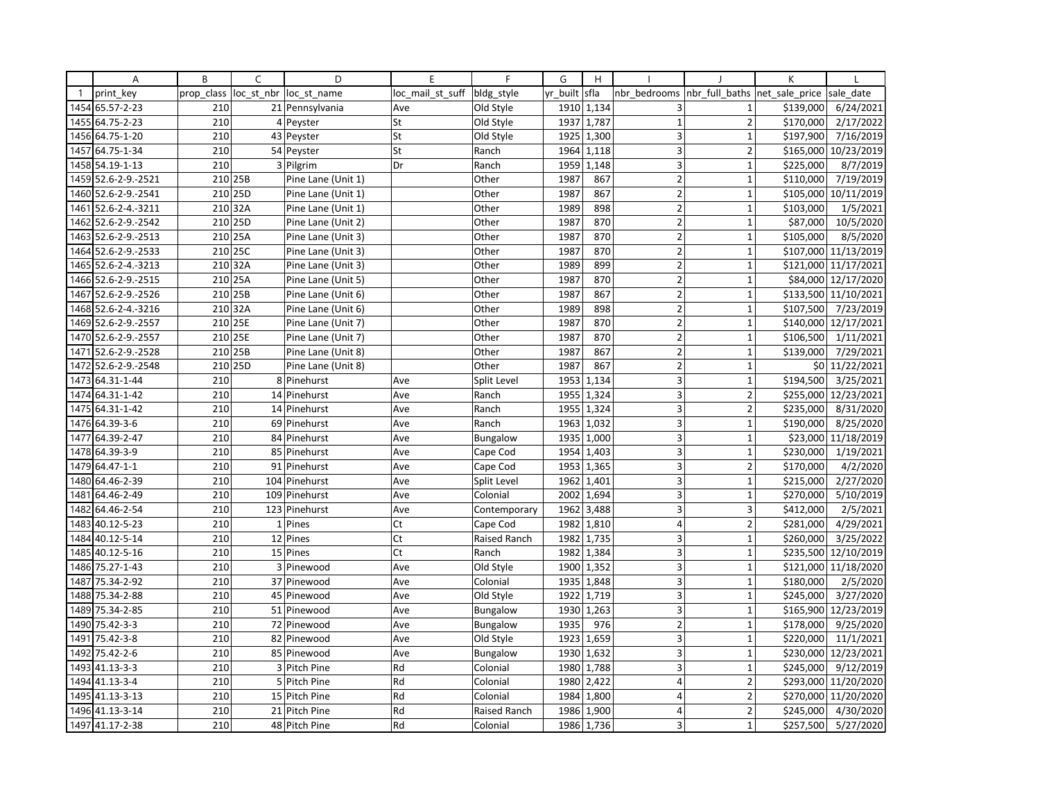|              | Α                   | B          | C          | D                  | E                | F               | G        | H          |                         |                | K              |                      |
|--------------|---------------------|------------|------------|--------------------|------------------|-----------------|----------|------------|-------------------------|----------------|----------------|----------------------|
| $\mathbf{1}$ | print key           | prop_class | loc st nbr | loc st name        | loc_mail_st_suff | bldg_style      | yr built | sfla       | nbr bedrooms            | nbr full baths | net_sale_price | sale date            |
| 1454         | 65.57-2-23          | 210        |            | 21 Pennsylvania    | Ave              | Old Style       | 1910     | 1,134      | 3                       | $\mathbf{1}$   | \$139,000      | 6/24/2021            |
| 1455         | 64.75-2-23          | 210        |            | 4 Peyster          | St               | Old Style       | 1937     | 1,787      | $\mathbf{1}$            | $\overline{2}$ | \$170,000      | 2/17/2022            |
| 1456         | 64.75-1-20          | 210        |            | 43 Peyster         | St               | Old Style       | 1925     | 1,300      | 3                       | $\mathbf{1}$   | \$197,900      | 7/16/2019            |
| 1457         | 64.75-1-34          | 210        |            | 54 Peyster         | St               | Ranch           |          | 1964 1,118 | 3                       | $\overline{2}$ | \$165,000      | 10/23/2019           |
|              | 1458 54.19-1-13     | 210        |            | 3 Pilgrim          | Dr               | Ranch           | 1959     | 1,148      | 3                       | $\overline{1}$ | \$225,000      | 8/7/2019             |
| 1459         | 52.6-2-9.-2521      | 210 25B    |            | Pine Lane (Unit 1) |                  | Other           | 1987     | 867        | $\overline{2}$          | $\mathbf{1}$   | \$110,000      | 7/19/2019            |
|              | 1460 52.6-2-9.-2541 | 210 25D    |            | Pine Lane (Unit 1) |                  | Other           | 1987     | 867        | $\overline{2}$          | $\mathbf{1}$   | \$105,000      | 10/11/2019           |
| 1461         | 52.6-2-4.-3211      | 210 32A    |            | Pine Lane (Unit 1) |                  | Other           | 1989     | 898        | $\overline{2}$          | $\mathbf{1}$   | \$103,000      | 1/5/2021             |
| 1462         | 52.6-2-9.-2542      | 210 25D    |            | Pine Lane (Unit 2) |                  | Other           | 1987     | 870        | $\mathbf 2$             | $\mathbf{1}$   | \$87,000       | 10/5/2020            |
| 1463         | 52.6-2-9.-2513      | 210 25A    |            | Pine Lane (Unit 3) |                  | Other           | 1987     | 870        | $\overline{2}$          | 1              | \$105,000      | 8/5/2020             |
| 1464         | 52.6-2-9.-2533      | 210 25C    |            | Pine Lane (Unit 3) |                  | Other           | 1987     | 870        | $\overline{2}$          | $\mathbf{1}$   | \$107,000      | 11/13/2019           |
|              | 1465 52.6-2-4.-3213 | $210$ 32A  |            | Pine Lane (Unit 3) |                  | Other           | 1989     | 899        | $\overline{2}$          | $\mathbf{1}$   |                | \$121,000 11/17/2021 |
|              | 1466 52.6-2-9.-2515 | 210 25A    |            | Pine Lane (Unit 5) |                  | Other           | 1987     | 870        | $\overline{2}$          | 1              | \$84,000       | 12/17/2020           |
| 1467         | 52.6-2-9.-2526      | 210 25B    |            | Pine Lane (Unit 6) |                  | Other           | 1987     | 867        | $\overline{2}$          | $\mathbf{1}$   | \$133,500      | 11/10/2021           |
|              | 1468 52.6-2-4.-3216 | 210 32A    |            | Pine Lane (Unit 6) |                  | Other           | 1989     | 898        | $\overline{2}$          | $\overline{1}$ | \$107,500      | 7/23/2019            |
| 1469         | 52.6-2-9.-2557      | 210 25E    |            | Pine Lane (Unit 7) |                  | Other           | 1987     | 870        | $\overline{2}$          | $\mathbf{1}$   | \$140,000      | 12/17/2021           |
|              | 1470 52.6-2-9.-2557 | 210 25E    |            | Pine Lane (Unit 7) |                  | Other           | 1987     | 870        | $\overline{2}$          | $\mathbf{1}$   | \$106,500      | 1/11/2021            |
| 1471         | 52.6-2-9.-2528      | 210 25B    |            | Pine Lane (Unit 8) |                  | Other           | 1987     | 867        | $\overline{2}$          | 1              | \$139,000      | 7/29/2021            |
| 1472         | 52.6-2-9.-2548      | 210 25D    |            | Pine Lane (Unit 8) |                  | Other           | 1987     | 867        | $\overline{2}$          | $\overline{1}$ | \$0            | 11/22/2021           |
|              | 1473 64.31-1-44     | 210        |            | 8 Pinehurst        | Ave              | Split Level     | 1953     | 1,134      | 3                       | $\mathbf 1$    | \$194,500      | 3/25/2021            |
|              | 1474 64.31-1-42     | 210        |            | 14 Pinehurst       | Ave              | Ranch           | 1955     | 1,324      | 3 <sup>1</sup>          | $\overline{2}$ | \$255,000      | 12/23/2021           |
| 1475         | 64.31-1-42          | 210        |            | 14 Pinehurst       | Ave              | Ranch           | 1955     | 1,324      | 3                       | $\overline{2}$ | \$235,000      | 8/31/2020            |
| 1476         | 64.39-3-6           | 210        |            | 69 Pinehurst       | Ave              | Ranch           | 1963     | 1,032      | $\overline{3}$          | $\overline{1}$ | \$190,000      | 8/25/2020            |
| 1477         | 64.39-2-47          | 210        |            | 84 Pinehurst       | Ave              | Bungalow        | 1935     | 1,000      | 3                       | $\mathbf{1}$   | \$23,000       | 11/18/2019           |
|              | 1478 64.39-3-9      | 210        |            | 85 Pinehurst       | Ave              | Cape Cod        | 1954     | 1,403      | 3                       | $\mathbf 1$    | \$230,000      | 1/19/2021            |
| 1479         | 64.47-1-1           | 210        |            | 91 Pinehurst       | Ave              | Cape Cod        | 1953     | 1,365      | 3                       | $\overline{2}$ | \$170,000      | 4/2/2020             |
| 1480         | 64.46-2-39          | 210        |            | 104 Pinehurst      | Ave              | Split Level     | 1962     | 1,401      | 3                       | $\mathbf{1}$   | \$215,000      | 2/27/2020            |
| 1481         | 64.46-2-49          | 210        |            | 109 Pinehurst      | Ave              | Colonial        | 2002     | 1,694      | 3                       | $\mathbf{1}$   | \$270,000      | 5/10/2019            |
| 1482         | 64.46-2-54          | 210        |            | 123 Pinehurst      | Ave              | Contemporary    | 1962     | 3,488      | $\overline{\mathbf{3}}$ | 3              | \$412,000      | 2/5/2021             |
| 1483         | 40.12-5-23          | 210        |            | 1 Pines            | Ct               | Cape Cod        | 1982     | 1,810      | 4                       | $\overline{2}$ | \$281,000      | 4/29/2021            |
| 1484         | 40.12-5-14          | 210        |            | 12 Pines           | Ct               | Raised Ranch    | 1982     | 1,735      | $\overline{3}$          | $\mathbf{1}$   | \$260,000      | 3/25/2022            |
| 1485         | 40.12-5-16          | 210        |            | 15 Pines           | Ct               | Ranch           | 1982     | 1,384      | 3                       | $\mathbf{1}$   | \$235,500      | 12/10/2019           |
| 1486         | 75.27-1-43          | 210        |            | 3 Pinewood         | Ave              | Old Style       |          | 1900 1,352 | 3                       | $\mathbf{1}$   |                | \$121,000 11/18/2020 |
| 1487         | 75.34-2-92          | 210        |            | 37 Pinewood        | Ave              | Colonial        | 1935     | 1,848      | $\overline{3}$          | $\overline{1}$ | \$180,000      | 2/5/2020             |
| 1488         | 75.34-2-88          | 210        |            | 45 Pinewood        | Ave              | Old Style       | 1922     | 1,719      | 3                       | $\mathbf{1}$   | \$245,000      | 3/27/2020            |
| 1489         | 75.34-2-85          | 210        |            | 51 Pinewood        | Ave              | Bungalow        | 1930     | 1,263      | 3                       | $\overline{1}$ | \$165,900      | 12/23/2019           |
| 1490         | 75.42-3-3           | 210        |            | 72 Pinewood        | Ave              | Bungalow        | 1935     | 976        | $\overline{2}$          | $\mathbf{1}$   | \$178,000      | 9/25/2020            |
| 1491         | 75.42-3-8           | 210        |            | 82 Pinewood        | Ave              | Old Style       | 1923     | 1,659      | 3                       | $\mathbf{1}$   | \$220,000      | 11/1/2021            |
| 1492         | 75.42-2-6           | 210        |            | 85 Pinewood        | Ave              | <b>Bungalow</b> | 1930     | 1,632      | 3                       | 1              | \$230,000      | 12/23/2021           |
| 1493         | 41.13-3-3           | 210        |            | 3 Pitch Pine       | Rd               | Colonial        | 1980     | 1,788      | 3                       | $\mathbf{1}$   | \$245,000      | 9/12/2019            |
|              | 1494 41.13-3-4      | 210        |            | 5 Pitch Pine       | Rd               | Colonial        | 1980     | 2,422      | $\overline{4}$          | $\overline{2}$ | \$293,000      | 11/20/2020           |
| 1495         | 41.13-3-13          | 210        |            | 15 Pitch Pine      | Rd               | Colonial        | 1984     | 1,800      | $\overline{4}$          | $\overline{2}$ | \$270,000      | 11/20/2020           |
| 1496         | 41.13-3-14          | 210        |            | 21 Pitch Pine      | Rd               | Raised Ranch    | 1986     | 1,900      | $\overline{4}$          | $\overline{2}$ | \$245,000      | 4/30/2020            |
| 1497         | 41.17-2-38          | 210        |            | 48 Pitch Pine      | Rd               | Colonial        |          | 1986 1,736 | $\overline{3}$          | $\mathbf{1}$   | \$257,500      | 5/27/2020            |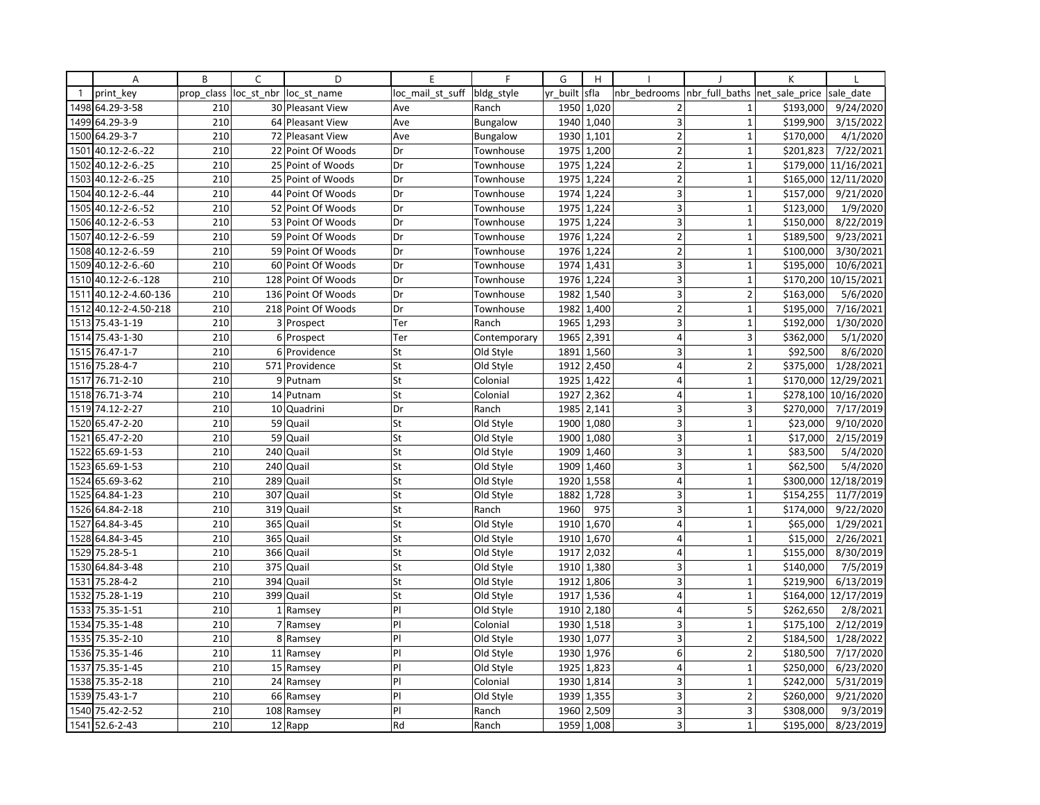|              | Α                | B          | $\mathsf{C}$ | D                     | E                | F               | G        | H          |                         |                               | K         |                        |
|--------------|------------------|------------|--------------|-----------------------|------------------|-----------------|----------|------------|-------------------------|-------------------------------|-----------|------------------------|
| $\mathbf{1}$ | print key        | prop class | loc st nbr   | loc st name           | loc mail st suff | bldg_style      | yr built | sfla       | nbr bedrooms            | nbr full baths net sale price |           | sale date              |
| 1498         | 64.29-3-58       | 210        |              | 30 Pleasant View      | Ave              | Ranch           | 1950     | 1,020      | $\overline{2}$          | $\mathbf{1}$                  | \$193,000 | 9/24/2020              |
| 1499         | 64.29-3-9        | 210        |              | 64 Pleasant View      | Ave              | <b>Bungalow</b> | 1940     | 1,040      | 3                       | $\mathbf{1}$                  | \$199,900 | 3/15/2022              |
| 1500         | 64.29-3-7        | 210        |              | 72 Pleasant View      | Ave              | <b>Bungalow</b> | 1930     | 1,101      | $\overline{2}$          | $\mathbf 1$                   | \$170,000 | 4/1/2020               |
| 1501         | 40.12-2-6.-22    | 210        |              | 22 Point Of Woods     | Dr               | Townhouse       |          | 1975 1,200 | 2                       | $\mathbf{1}$                  | \$201,823 | 7/22/2021              |
| 1502         | 40.12-2-6.-25    | 210        |              | 25 Point of Woods     | Dr               | Townhouse       | 1975     | 1,224      | $\overline{2}$          | $\mathbf{1}$                  | \$179,000 | 11/16/2021             |
| 1503         | 40.12-2-6.-25    | 210        |              | 25 Point of Woods     | Dr               | Townhouse       | 1975     | 1,224      | $\overline{2}$          | $\mathbf{1}$                  | \$165,000 | 12/11/2020             |
| 1504         | 40.12-2-6.-44    | 210        |              | 44 Point Of Woods     | Dr               | Townhouse       |          | 1974 1,224 | 3                       | $\mathbf{1}$                  | \$157,000 | 9/21/2020              |
| 1505         | 40.12-2-6.-52    | 210        |              | 52 Point Of Woods     | Dr               | Townhouse       | 1975     | 1,224      | $\overline{3}$          | $\mathbf{1}$                  | \$123,000 | 1/9/2020               |
| 1506         | 40.12-2-6.-53    | 210        |              | 53 Point Of Woods     | Dr               | Townhouse       | 1975     | 1,224      | 3                       | $\mathbf{1}$                  | \$150,000 | 8/22/2019              |
| 1507         | 40.12-2-6.-59    | 210        |              | 59 Point Of Woods     | Dr               | Townhouse       | 1976     | 1,224      | $\overline{2}$          | $\mathbf{1}$                  | \$189,500 | 9/23/2021              |
| 1508         | 40.12-2-6.-59    | 210        |              | 59 Point Of Woods     | Dr               | Townhouse       | 1976     | 1,224      | $\overline{2}$          | $\mathbf{1}$                  | \$100,000 | 3/30/2021              |
| 1509         | 40.12-2-6.-60    | 210        |              | 60 Point Of Woods     | Dr               | Townhouse       |          | 1974 1,431 | 3                       | $\mathbf{1}$                  | \$195,000 | 10/6/2021              |
| 1510         | 40.12-2-6.-128   | 210        |              | 128 Point Of Woods    | Dr               | Townhouse       | 1976     | 1,224      | 3                       | $\mathbf{1}$                  | \$170,200 | 10/15/2021             |
| 1511         | 40.12-2-4.60-136 | 210        | 136          | Point Of Woods        | Dr               | Townhouse       | 1982     | 1,540      | 3                       | $\overline{2}$                | \$163,000 | 5/6/2020               |
| 1512         | 40.12-2-4.50-218 | 210        |              | 218 Point Of Woods    | Dr               | Townhouse       | 1982     | 1,400      | $\overline{2}$          | $\overline{1}$                | \$195,000 | $\frac{1}{7}$ 16/2021  |
| 1513         | 75.43-1-19       | 210        |              | 3 Prospect            | Ter              | Ranch           | 1965     | 1,293      | 3                       | $\mathbf{1}$                  | \$192,000 | 1/30/2020              |
|              | 1514 75.43-1-30  | 210        |              | 6 Prospect            | Ter              | Contemporary    | 1965     | 2,391      | 4                       | 3                             | \$362,000 | 5/1/2020               |
| 1515         | 76.47-1-7        | 210        | $6 \mid$     | Providence            | St               | Old Style       | 1891     | 1,560      | 3                       | $\mathbf{1}$                  | \$92,500  | 8/6/2020               |
| 1516         | 75.28-4-7        | 210        |              | 571 Providence        | St               | Old Style       | 1912     | 2,450      | $\overline{4}$          | $\overline{2}$                | \$375,000 | 1/28/2021              |
| 1517         | 76.71-2-10       | 210        |              | 9 Putnam              | St               | Colonial        |          | 1925 1,422 | $\overline{4}$          | $\mathbf{1}$                  | \$170,000 | 12/29/2021             |
| 1518         | 76.71-3-74       | 210        |              | 14 Putnam             | St               | Colonial        | 1927     | 2,362      | $\vert$                 | $\mathbf{1}$                  | \$278,100 | 10/16/2020             |
| 1519         | 74.12-2-27       | 210        |              | 10 Quadrini           | Dr               | Ranch           | 1985     | 2,141      | 3                       | 3                             | \$270,000 | 7/17/2019              |
| 1520         | 65.47-2-20       | 210        |              | $\overline{59}$ Quail | St               | Old Style       | 1900     | 1,080      | 3                       | $\mathbf{1}$                  | \$23,000  | 9/10/2020              |
| 1521         | 65.47-2-20       | 210        | 59           | Quail                 | St               | Old Style       | 1900     | 1,080      | 3                       | $\mathbf{1}$                  | \$17,000  | $\frac{1}{2}$ /15/2019 |
| 1522         | 65.69-1-53       | 210        |              | 240 Quail             | St               | Old Style       | 1909     | 1,460      | $\overline{3}$          | $\mathbf 1$                   | \$83,500  | 5/4/2020               |
| 1523         | 65.69-1-53       | 210        |              | 240 Quail             | St               | Old Style       | 1909     | 1,460      | 3                       | $\mathbf{1}$                  | \$62,500  | 5/4/2020               |
| 1524         | 65.69-3-62       | 210        | 289          | Quail                 | St               | Old Style       | 1920     | 1,558      | $\overline{4}$          | $\mathbf 1$                   | \$300,000 | 12/18/2019             |
| 1525         | 64.84-1-23       | 210        | 307          | Quail                 | St               | Old Style       | 1882     | 1,728      | 3                       | $\mathbf{1}$                  | \$154,255 | 11/7/2019              |
| 1526         | 64.84-2-18       | 210        | 319          | Quail                 | St               | Ranch           | 1960     | 975        | 3 <sup>1</sup>          | $\mathbf{1}$                  | \$174,000 | 9/22/2020              |
| 1527         | 64.84-3-45       | 210        | 365          | Quail                 | St               | Old Style       | 1910     | 1,670      | $\overline{4}$          | $\mathbf{1}$                  | \$65,000  | 1/29/2021              |
| 1528         | 64.84-3-45       | 210        | 365          | Quail                 | St               | Old Style       | 1910     | 1,670      | $\overline{4}$          | $\mathbf{1}$                  | \$15,000  | 2/26/2021              |
| 1529         | 75.28-5-1        | 210        | 366          | Quail                 | St               | Old Style       | 1917     | 2,032      | $\overline{4}$          | $\mathbf{1}$                  | \$155,000 | 8/30/2019              |
| 1530         | 64.84-3-48       | 210        | 375          | Quail                 | St               | Old Style       |          | 1910 1,380 | 3                       | $\mathbf{1}$                  | \$140,000 | 7/5/2019               |
| 1531         | 75.28-4-2        | 210        | 394          | Quail                 | St               | Old Style       | 1912     | 1,806      | $\overline{3}$          | $\mathbf{1}$                  | \$219,900 | 6/13/2019              |
| 1532         | 75.28-1-19       | 210        | 399          | Quail                 | St               | Old Style       | 1917     | 1,536      | $\overline{4}$          | $\mathbf{1}$                  | \$164,000 | 12/17/2019             |
| 1533         | 75.35-1-51       | 210        |              | 1 Ramsey              | P                | Old Style       |          | 1910 2,180 | $\overline{4}$          | 5                             | \$262,650 | 2/8/2021               |
| 1534         | 75.35-1-48       | 210        |              | 7 Ramsey              | PI               | Colonial        |          | 1930 1,518 | 3 <sup>1</sup>          | $\mathbf{1}$                  | \$175,100 | 2/12/2019              |
|              | 1535 75.35-2-10  | 210        |              | 8 Ramsey              | PI               | Old Style       |          | 1930 1,077 | 3                       | $\overline{2}$                | \$184,500 | 1/28/2022              |
| 1536         | 75.35-1-46       | 210        | 11           | Ramsey                | PI               | Old Style       | 1930     | 1,976      | $6 \mid$                | $\overline{2}$                | \$180,500 | 7/17/2020              |
| 1537         | 75.35-1-45       | 210        |              | 15 Ramsey             | PI               | Old Style       | 1925     | 1,823      | $\overline{4}$          | $\mathbf{1}$                  | \$250,000 | 6/23/2020              |
|              | 1538 75.35-2-18  | 210        |              | 24 Ramsey             | PI               | Colonial        |          | 1930 1,814 | 3                       | $\mathbf 1$                   | \$242,000 | 5/31/2019              |
| 1539         | 75.43-1-7        | 210        |              | 66 Ramsey             | PI               | Old Style       | 1939     | 1,355      | 3 <sup>1</sup>          | $\overline{2}$                | \$260,000 | 9/21/2020              |
|              | 1540 75.42-2-52  | 210        |              | 108 Ramsey            | PI               | Ranch           | 1960     | 2,509      | 3 <sup>1</sup>          | 3                             | \$308,000 | 9/3/2019               |
|              | 1541 52.6-2-43   | 210        |              | $12$ Rapp             | Rd               | Ranch           |          | 1959 1,008 | $\overline{\mathbf{3}}$ | $\mathbf{1}$                  | \$195,000 | 8/23/2019              |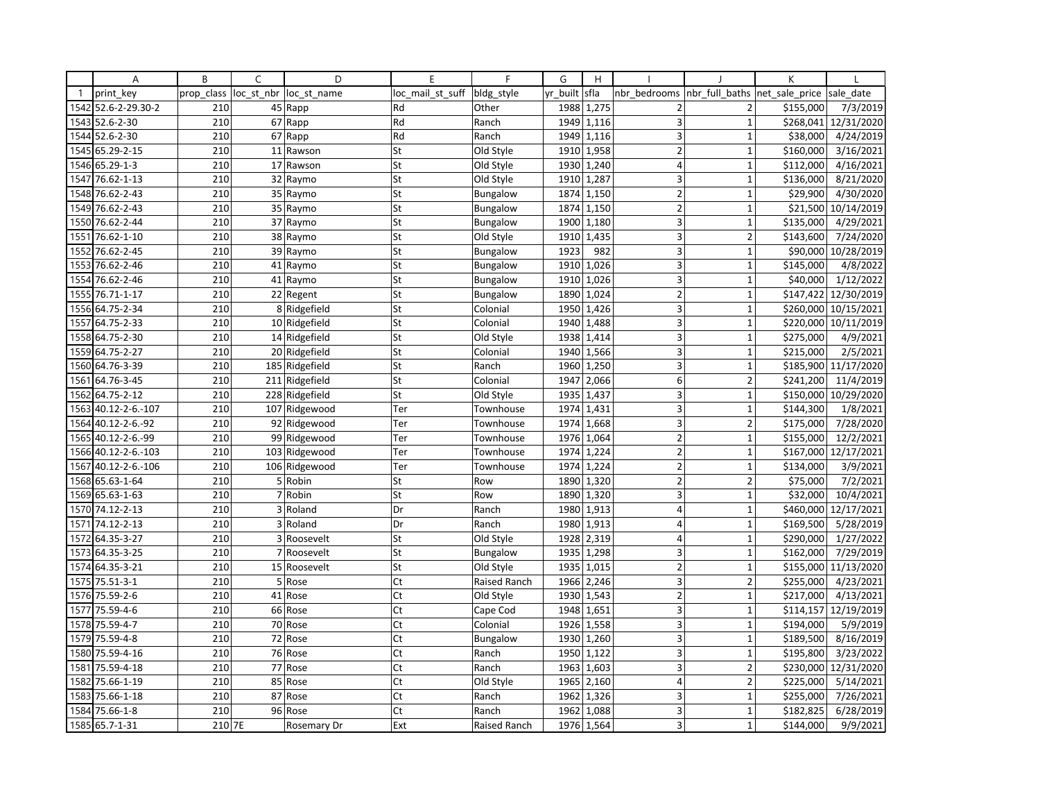|              | Α                   | B          | C | D                      | E                | F               | G        | H                       |                |                | K              |                      |
|--------------|---------------------|------------|---|------------------------|------------------|-----------------|----------|-------------------------|----------------|----------------|----------------|----------------------|
| $\mathbf{1}$ | print key           | prop class |   | loc st nbr loc st name | loc mail st suff | bldg_style      | yr built | sfla                    | nbr bedrooms   | nbr full baths | net sale price | sale date            |
| 1542         | 52.6-2-29.30-2      | 210        |   | 45 Rapp                | Rd               | Other           | 1988     | 1,275                   | $\overline{2}$ | $\overline{2}$ | \$155,000      | 7/3/2019             |
| 1543         | 52.6-2-30           | 210        |   | 67 Rapp                | Rd               | Ranch           | 1949     | 1,116                   | 3              | $\mathbf{1}$   |                | \$268,041 12/31/2020 |
| 1544         | 52.6-2-30           | 210        |   | 67 Rapp                | Rd               | Ranch           | 1949     | 1,116                   | 3              | $\mathbf{1}$   | \$38,000       | 4/24/2019            |
|              | 1545 65.29-2-15     | 210        |   | 11 Rawson              | St               | Old Style       |          | 1910 1,958              | $\overline{2}$ | $\mathbf{1}$   | \$160,000      | 3/16/2021            |
| 1546         | 65.29-1-3           | 210        |   | 17 Rawson              | St               | Old Style       | 1930     | 1,240                   | 4              | $\mathbf{1}$   | \$112,000      | 4/16/2021            |
| 1547         | 76.62-1-13          | 210        |   | 32 Raymo               | St               | Old Style       | 1910     | 1,287                   | 3              | $\mathbf{1}$   | \$136,000      | 8/21/2020            |
| 1548         | 76.62-2-43          | 210        |   | 35 Raymo               | St               | <b>Bungalow</b> | 1874     | 1,150                   | $\overline{2}$ | $\mathbf{1}$   | \$29,900       | 4/30/2020            |
| 1549         | 76.62-2-43          | 210        |   | 35 Raymo               | St               | <b>Bungalow</b> | 1874     | 1,150                   | $\overline{2}$ | $\mathbf{1}$   |                | \$21,500 10/14/2019  |
|              | 1550 76.62-2-44     | 210        |   | 37 Raymo               | St               | <b>Bungalow</b> | 1900     | 1,180                   | 3              | $\mathbf 1$    | \$135,000      | 4/29/2021            |
| 1551         | 76.62-1-10          | 210        |   | 38 Raymo               | St               | Old Style       | 1910     | 1,435                   | 3              | $\overline{2}$ | \$143,600      | 7/24/2020            |
| 1552         | 76.62-2-45          | 210        |   | 39 Raymo               | St               | <b>Bungalow</b> | 1923     | 982                     | 3              | $\mathbf{1}$   |                | \$90,000 10/28/2019  |
| 1553         | 76.62-2-46          | 210        |   | 41 Raymo               | St               | <b>Bungalow</b> |          | 1910 1,026              | 3              | $\mathbf{1}$   | \$145,000      | 4/8/2022             |
| 1554         | 76.62-2-46          | 210        |   | 41 Raymo               | St               | <b>Bungalow</b> | 1910     | 1,026                   | 3              | $\mathbf{1}$   | \$40,000       | 1/12/2022            |
| 1555         | 76.71-1-17          | 210        |   | 22 Regent              | St               | <b>Bungalow</b> | 1890     | 1,024                   | $\overline{2}$ | $\mathbf 1$    |                | \$147,422 12/30/2019 |
|              | 1556 64.75-2-34     | 210        |   | 8 Ridgefield           | St               | Colonial        | 1950     | 1,426                   | 3              | $\mathbf{1}$   |                | \$260,000 10/15/2021 |
| 1557         | 64.75-2-33          | 210        |   | 10 Ridgefield          | St               | Colonial        | 1940     | 1,488                   | 3              | $\mathbf{1}$   |                | \$220,000 10/11/2019 |
|              | 1558 64.75-2-30     | 210        |   | 14 Ridgefield          | St               | Old Style       | 1938     | 1,414                   | 3              | $\mathbf{1}$   | \$275,000      | 4/9/2021             |
| 1559         | 64.75-2-27          | 210        |   | 20 Ridgefield          | St               | Colonial        | 1940     | 1,566                   | 3              | $\mathbf{1}$   | \$215,000      | 2/5/2021             |
| 1560         | 64.76-3-39          | 210        |   | 185 Ridgefield         | St               | Ranch           | 1960     | 1,250                   | 3              | $\mathbf{1}$   |                | \$185,900 11/17/2020 |
|              | 1561 64.76-3-45     | 210        |   | 211 Ridgefield         | St               | Colonial        | 1947     | 2,066                   | 6              | $\overline{2}$ | \$241,200      | 11/4/2019            |
| 1562         | 64.75-2-12          | 210        |   | 228 Ridgefield         | St               | Old Style       | 1935     | 1,437                   | 3              | $\mathbf{1}$   |                | \$150,000 10/29/2020 |
| 1563         | 40.12-2-6.-107      | 210        |   | 107 Ridgewood          | Ter              | Townhouse       | 1974     | 1,431                   | 3              | $\mathbf{1}$   | \$144,300      | 1/8/2021             |
| 1564         | 40.12-2-6.-92       | 210        |   | 92 Ridgewood           | Ter              | Townhouse       | 1974     | 1,668                   | $\overline{3}$ | $\overline{2}$ | \$175,000      | 7/28/2020            |
| 1565         | 40.12-2-6.-99       | 210        |   | 99 Ridgewood           | Ter              | Townhouse       | 1976     | 1,064                   | $\mathbf 2$    | $\mathbf{1}$   | \$155,000      | 12/2/2021            |
|              | 1566 40.12-2-6.-103 | 210        |   | 103 Ridgewood          | Ter              | Townhouse       | 1974     | 1,224                   | $\mathbf 2$    | $\mathbf 1$    |                | \$167,000 12/17/2021 |
| 1567         | 40.12-2-6.-106      | 210        |   | 106 Ridgewood          | Ter              | Townhouse       | 1974     | 1,224                   | $\overline{2}$ | $\mathbf{1}$   | \$134,000      | 3/9/2021             |
| 1568         | 65.63-1-64          | 210        |   | 5 Robin                | St               | Row             | 1890     | 1,320                   | $\overline{2}$ | $\overline{2}$ | \$75,000       | 7/2/2021             |
|              | 1569 65.63-1-63     | 210        |   | 7 Robin                | St               | Row             | 1890     | 1,320                   | 3              | $\mathbf{1}$   | \$32,000       | 10/4/2021            |
| 1570         | 74.12-2-13          | 210        |   | 3 Roland               | Dr               | Ranch           | 1980     | 1,913                   | $\overline{4}$ | $\mathbf{1}$   |                | \$460,000 12/17/2021 |
| 1571         | 74.12-2-13          | 210        |   | 3 Roland               | Dr               | Ranch           | 1980     | 1,913                   | 4              | $\mathbf 1$    | \$169,500      | 5/28/2019            |
| 1572         | 64.35-3-27          | 210        | 3 | Roosevelt              | St               | Old Style       | 1928     | 2,319                   | $\overline{4}$ | $\overline{1}$ | \$290,000      | 1/27/2022            |
| 1573         | 64.35-3-25          | 210        |   | 7 Roosevelt            | St               | <b>Bungalow</b> | 1935     | 1,298                   | 3              | $\mathbf{1}$   | \$162,000      | 7/29/2019            |
|              | 1574 64.35-3-21     | 210        |   | 15 Roosevelt           | St               | Old Style       |          | $\overline{1935}$ 1,015 | $\overline{2}$ | $\mathbf{1}$   |                | \$155,000 11/13/2020 |
|              | 1575 75.51-3-1      | 210        |   | 5 Rose                 | Ct               | Raised Ranch    | 1966     | 2,246                   | $\mathsf 3$    | $\overline{2}$ | \$255,000      | 4/23/2021            |
| 1576         | 75.59-2-6           | 210        |   | 41 Rose                | Ct               | Old Style       | 1930     | 1,543                   | $\overline{2}$ | $\mathbf 1$    | \$217,000      | 4/13/2021            |
| 1577         | 75.59-4-6           | 210        |   | 66 Rose                | Ct               | Cape Cod        | 1948     | 1,651                   | 3              | $\mathbf{1}$   |                | \$114,157 12/19/2019 |
| 1578         | 75.59-4-7           | 210        |   | 70 Rose                | Ct               | Colonial        | 1926     | 1,558                   | 3              | $\mathbf{1}$   | \$194,000      | 5/9/2019             |
| 1579         | 75.59-4-8           | 210        |   | 72 Rose                | Ct               | <b>Bungalow</b> | 1930     | 1,260                   | 3              | $\mathbf{1}$   | \$189,500      | 8/16/2019            |
| 1580         | 75.59-4-16          | 210        |   | 76 Rose                | Ct               | Ranch           | 1950     | 1,122                   | $\overline{3}$ | $\mathbf{1}$   | \$195,800      | 3/23/2022            |
| 1581         | 75.59-4-18          | 210        |   | 77 Rose                | Ct               | Ranch           | 1963     | 1,603                   | 3              | $\overline{2}$ |                | \$230,000 12/31/2020 |
| 1582         | 75.66-1-19          | 210        |   | 85 Rose                | Ct               | Old Style       |          | 1965 2,160              | $\overline{4}$ | $\overline{2}$ | \$225,000      | 5/14/2021            |
| 1583         | 75.66-1-18          | 210        |   | 87 Rose                | Ct               | Ranch           | 1962     | 1,326                   | 3              | $\mathbf{1}$   | \$255,000      | 7/26/2021            |
| 1584         | 75.66-1-8           | 210        |   | 96 Rose                | Ct               | Ranch           | 1962     | 1,088                   | 3              | $\mathbf 1$    | \$182,825      | 6/28/2019            |
|              | 1585 65.7-1-31      | 210 7E     |   | Rosemary Dr            | Ext              | Raised Ranch    | 1976     | 1,564                   | 3              | $\mathbf{1}$   | \$144,000      | 9/9/2021             |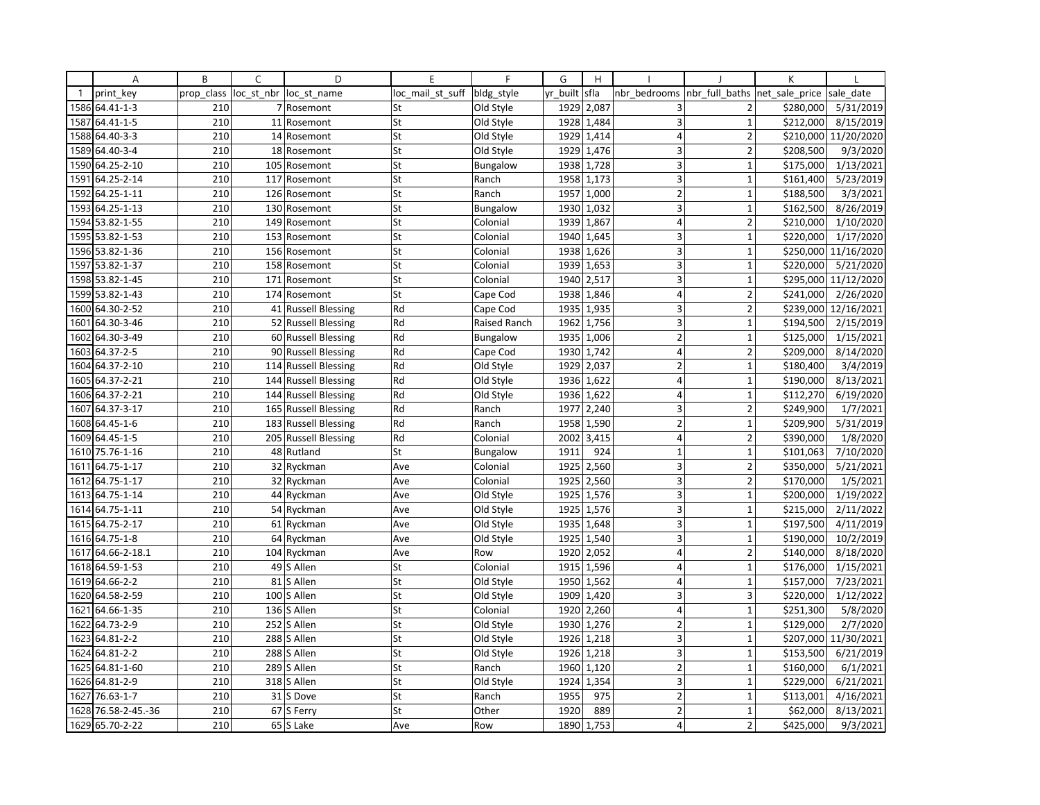|              | Α               | B          | C          | D                       | E                | $\mathsf{F}$    | G        | H                       |                         |                | К              |            |
|--------------|-----------------|------------|------------|-------------------------|------------------|-----------------|----------|-------------------------|-------------------------|----------------|----------------|------------|
| $\mathbf{1}$ | print key       | prop class | loc_st_nbr | loc st name             | loc mail st suff | bldg style      | yr_built | sfla                    | nbr bedrooms            | nbr_full_baths | net sale price | sale date  |
|              | 1586 64.41-1-3  | 210        |            | 7 Rosemont              | St               | Old Style       | 1929     | 2,087                   | 3                       | $\overline{2}$ | \$280,000      | 5/31/2019  |
| 1587         | 64.41-1-5       | 210        |            | 11 Rosemont             | St               | Old Style       | 1928     | 1,484                   | 3                       | $\mathbf{1}$   | \$212,000      | 8/15/2019  |
|              | 1588 64.40-3-3  | 210        |            | 14 Rosemont             | St               | Old Style       | 1929     | 1,414                   | $\overline{4}$          | $\overline{2}$ | \$210,000      | 11/20/2020 |
|              | 1589 64.40-3-4  | 210        |            | 18 Rosemont             | St               | Old Style       |          | 1929 1,476              | 3                       | $\overline{2}$ | \$208,500      | 9/3/2020   |
|              | 1590 64.25-2-10 | 210        |            | 105 Rosemont            | St               | <b>Bungalow</b> | 1938     | 1,728                   | 3                       | $\overline{1}$ | \$175,000      | 1/13/2021  |
| 1591         | 64.25-2-14      | 210        | 117        | Rosemont                | St               | Ranch           | 1958     | 1,173                   | 3                       | $\mathbf{1}$   | \$161,400      | 5/23/2019  |
| 1592         | 64.25-1-11      | 210        |            | 126 Rosemont            | St               | Ranch           | 1957     | 1,000                   | $\overline{2}$          | $\mathbf{1}$   | \$188,500      | 3/3/2021   |
| 1593         | 64.25-1-13      | 210        |            | 130 Rosemont            | St               | Bungalow        | 1930     | 1,032                   | 3                       | $\mathbf{1}$   | \$162,500      | 8/26/2019  |
|              | 1594 53.82-1-55 | 210        |            | 149 Rosemont            | St               | Colonial        |          | 1939 1,867              | 4                       | $\overline{2}$ | \$210,000      | 1/10/2020  |
|              | 1595 53.82-1-53 | 210        |            | 153 Rosemont            | St               | Colonial        | 1940     | 1,645                   | 3                       | $\overline{1}$ | \$220,000      | 1/17/2020  |
|              | 1596 53.82-1-36 | 210        |            | 156 Rosemont            | St               | Colonial        | 1938     | 1,626                   | 3                       | $\overline{1}$ | \$250,000      | 11/16/2020 |
|              | 1597 53.82-1-37 | 210        |            | 158 Rosemont            | St               | Colonial        |          | 1939 1,653              | 3                       | $\mathbf{1}$   | \$220,000      | 5/21/2020  |
| 1598         | 53.82-1-45      | 210        |            | 171 Rosemont            | St               | Colonial        | 1940     | 2,517                   | 3                       | $\overline{1}$ | \$295,000      | 11/12/2020 |
|              | 1599 53.82-1-43 | 210        |            | 174 Rosemont            | St               | Cape Cod        | 1938     | 1,846                   | 4                       | $\overline{2}$ | \$241,000      | 2/26/2020  |
|              | 1600 64.30-2-52 | 210        |            | 41 Russell Blessing     | Rd               | Cape Cod        | 1935     | 1,935                   | 3                       | $\overline{2}$ | \$239,000      | 12/16/2021 |
| 1601         | 64.30-3-46      | 210        |            | 52 Russell Blessing     | Rd               | Raised Ranch    | 1962     | 1,756                   | 3                       | $\mathbf{1}$   | \$194,500      | 2/15/2019  |
| 1602         | 64.30-3-49      | 210        |            | 60 Russell Blessing     | Rd               | Bungalow        | 1935     | 1,006                   | $\overline{2}$          | $\mathbf{1}$   | \$125,000      | 1/15/2021  |
|              | 1603 64.37-2-5  | 210        |            | 90 Russell Blessing     | Rd               | Cape Cod        | 1930     | 1,742                   | $\overline{4}$          | $\overline{2}$ | \$209,000      | 8/14/2020  |
| 1604         | 64.37-2-10      | 210        | 114        | <b>Russell Blessing</b> | Rd               | Old Style       | 1929     | 2,037                   | $\mathbf 2$             | $\overline{1}$ | \$180,400      | 3/4/2019   |
|              | 1605 64.37-2-21 | 210        |            | 144 Russell Blessing    | Rd               | Old Style       | 1936     | 1,622                   | 4                       | $\mathbf{1}$   | \$190,000      | 8/13/2021  |
| 1606         | 64.37-2-21      | 210        |            | 144 Russell Blessing    | Rd               | Old Style       | 1936     | 1,622                   | $\vert 4 \vert$         | $\mathbf{1}$   | \$112,270      | 6/19/2020  |
|              | 1607 64.37-3-17 | 210        |            | 165 Russell Blessing    | Rd               | Ranch           | 1977     | 2,240                   | 3                       | $\overline{2}$ | \$249,900      | 1/7/2021   |
|              | 1608 64.45-1-6  | 210        |            | 183 Russell Blessing    | Rd               | Ranch           | 1958     | 1,590                   | $\overline{2}$          | $\overline{1}$ | \$209,900      | 5/31/2019  |
|              | 1609 64.45-1-5  | 210        | 205        | <b>Russell Blessing</b> | Rd               | Colonial        | 2002     | 3,415                   | 4                       | $\mathbf 2$    | \$390,000      | 1/8/2020   |
|              | 1610 75.76-1-16 | 210        |            | 48 Rutland              | St               | <b>Bungalow</b> | 1911     | 924                     | $\mathbf 1$             | $\mathbf{1}$   | \$101,063      | 7/10/2020  |
| 1611         | 64.75-1-17      | 210        |            | 32 Ryckman              | Ave              | Colonial        | 1925     | 2,560                   | 3                       | $\overline{2}$ | \$350,000      | 5/21/2021  |
| 1612         | 64.75-1-17      | 210        |            | 32 Ryckman              | Ave              | Colonial        | 1925     | 2,560                   | 3                       | $\overline{2}$ | \$170,000      | 1/5/2021   |
|              | 1613 64.75-1-14 | 210        |            | 44 Ryckman              | Ave              | Old Style       | 1925     | 1,576                   | 3                       | $\mathbf{1}$   | \$200,000      | 1/19/2022  |
|              | 1614 64.75-1-11 | 210        |            | 54 Ryckman              | Ave              | Old Style       | 1925     | 1,576                   | $\overline{\mathbf{3}}$ | $\mathbf{1}$   | \$215,000      | 2/11/2022  |
|              | 1615 64.75-2-17 | 210        |            | 61 Ryckman              | Ave              | Old Style       | 1935     | 1,648                   | 3                       | $\mathbf{1}$   | \$197,500      | 4/11/2019  |
| 1616         | 64.75-1-8       | 210        |            | 64 Ryckman              | Ave              | Old Style       | 1925     | 1,540                   | 3                       | $\mathbf{1}$   | \$190,000      | 10/2/2019  |
| 1617         | 64.66-2-18.1    | 210        |            | 104 Ryckman             | Ave              | Row             | 1920     | 2,052                   | $\overline{4}$          | $\overline{2}$ | \$140,000      | 8/18/2020  |
|              | 1618 64.59-1-53 | 210        |            | 49 S Allen              | St               | Colonial        |          | $\overline{1915}$ 1,596 | $\overline{4}$          | $\mathbf{1}$   | \$176,000      | 1/15/2021  |
|              | 1619 64.66-2-2  | 210        |            | 81 S Allen              | St               | Old Style       | 1950     | 1,562                   | $\overline{4}$          | $\mathbf{1}$   | \$157,000      | 7/23/2021  |
|              | 1620 64.58-2-59 | 210        | 100        | S Allen                 | St               | Old Style       | 1909     | 1,420                   | 3                       | 3              | \$220,000      | 1/12/2022  |
| 1621         | 64.66-1-35      | 210        |            | 136 S Allen             | St               | Colonial        |          | 1920 2,260              | 4                       | $\mathbf{1}$   | \$251,300      | 5/8/2020   |
| 1622         | 64.73-2-9       | 210        | 252        | S Allen                 | St               | Old Style       | 1930     | 1,276                   | $\overline{2}$          | $\mathbf{1}$   | \$129,000      | 2/7/2020   |
|              | 1623 64.81-2-2  | 210        |            | 288 S Allen             | St               | Old Style       | 1926     | 1,218                   | 3                       | $\mathbf{1}$   | \$207,000      | 11/30/2021 |
| 1624         | 64.81-2-2       | 210        | 288        | S Allen                 | St               | Old Style       | 1926     | 1,218                   | $\overline{3}$          | $\overline{1}$ | \$153,500      | 6/21/2019  |
|              | 1625 64.81-1-60 | 210        |            | 289 S Allen             | St               | Ranch           | 1960     | 1,120                   | $\overline{2}$          | $\overline{1}$ | \$160,000      | 6/1/2021   |
|              | 1626 64.81-2-9  | 210        |            | 318 S Allen             | St               | Old Style       | 1924     | 1,354                   | 3                       | $\mathbf{1}$   | \$229,000      | 6/21/2021  |
| 1627         | 76.63-1-7       | 210        |            | 31 S Dove               | St               | Ranch           | 1955     | 975                     | $\overline{2}$          | $\overline{1}$ | \$113,001      | 4/16/2021  |
| 1628         | 76.58-2-45.-36  | 210        |            | 67 S Ferry              | St               | Other           | 1920     | 889                     | $\overline{2}$          | $\mathbf{1}$   | \$62,000       | 8/13/2021  |
|              | 1629 65.70-2-22 | 210        |            | 65 S Lake               | Ave              | Row             | 1890     | 1,753                   | $\overline{4}$          | $\overline{2}$ | \$425,000      | 9/3/2021   |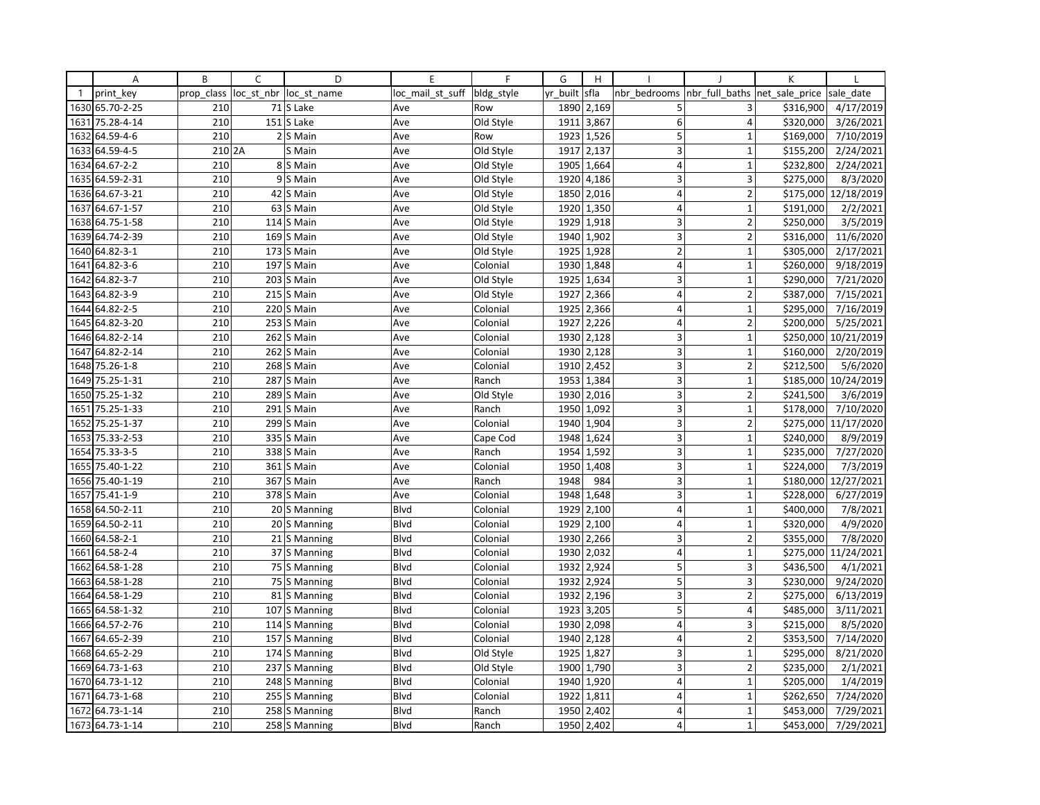|              | Α               | B          | C          | D             | E                | $\mathsf{F}$ | G        | H          |                         |                         | K              |                       |
|--------------|-----------------|------------|------------|---------------|------------------|--------------|----------|------------|-------------------------|-------------------------|----------------|-----------------------|
| $\mathbf{1}$ | print key       | prop class | loc st nbr | loc st name   | loc mail st suff | bldg style   | yr built | sfla       | nbr bedrooms            | nbr full baths          | net sale price | sale date             |
|              | 1630 65.70-2-25 | 210        |            | 71 S Lake     | Ave              | Row          |          | 1890 2,169 | 5                       | 3                       | \$316,900      | 4/17/2019             |
| 1631         | 75.28-4-14      | 210        |            | $151$ S Lake  | Ave              | Old Style    | 1911     | 3,867      | 6                       | 4                       | \$320,000      | 3/26/2021             |
| 1632         | 64.59-4-6       | 210        |            | 2 S Main      | Ave              | Row          | 1923     | 1,526      | 5                       | $\mathbf{1}$            | \$169,000      | 7/10/2019             |
| 1633         | 64.59-4-5       | 210 2A     |            | S Main        | Ave              | Old Style    | 1917     | 2,137      | 3                       | $\mathbf{1}$            | \$155,200      | 2/24/2021             |
|              | 1634 64.67-2-2  | 210        |            | 8 S Main      | Ave              | Old Style    | 1905     | 1,664      | $\overline{4}$          | $\mathbf{1}$            | \$232,800      | 2/24/2021             |
| 1635         | 64.59-2-31      | 210        | 9          | S Main        | Ave              | Old Style    | 1920     | 4,186      | 3                       | 3                       | \$275,000      | 8/3/2020              |
|              | 1636 64.67-3-21 | 210        | 42         | S Main        | Ave              | Old Style    |          | 1850 2,016 | $\overline{4}$          | $\overline{2}$          |                | \$175,000 12/18/2019  |
| 1637         | 64.67-1-57      | 210        | 63         | S Main        | Ave              | Old Style    | 1920     | 1,350      | $\overline{\mathbf{4}}$ | $\mathbf{1}$            | \$191,000      | 2/2/2021              |
|              | 1638 64.75-1-58 | 210        |            | 114 S Main    | Ave              | Old Style    |          | 1929 1,918 | 3                       | $\overline{2}$          | \$250,000      | 3/5/2019              |
| 1639         | 64.74-2-39      | 210        |            | 169 S Main    | Ave              | Old Style    | 1940     | 1,902      | $\overline{3}$          | $\overline{2}$          | \$316,000      | 11/6/2020             |
|              | 1640 64.82-3-1  | 210        |            | 173 S Main    | Ave              | Old Style    | 1925     | 1,928      | $\overline{2}$          | $\mathbf{1}$            | \$305,000      | 2/17/2021             |
| 1641         | 64.82-3-6       | 210        |            | 197 S Main    | Ave              | Colonial     |          | 1930 1,848 | $\overline{4}$          | $\mathbf{1}$            | \$260,000      | 9/18/2019             |
| 1642         | 64.82-3-7       | 210        | 203        | S Main        | Ave              | Old Style    | 1925     | 1,634      | 3                       | $\mathbf{1}$            | \$290,000      | 7/21/2020             |
| 1643         | 64.82-3-9       | 210        |            | $215$ S Main  | Ave              | Old Style    | 1927     | 2,366      | $\overline{4}$          | $\overline{2}$          | \$387,000      | 7/15/2021             |
| 1644         | 64.82-2-5       | 210        |            | 220 S Main    | Ave              | Colonial     | 1925     | 2,366      | $\overline{4}$          | $\mathbf{1}$            | \$295,000      | 7/16/2019             |
| 1645         | 64.82-3-20      | 210        |            | $253$ S Main  | Ave              | Colonial     | 1927     | 2,226      | $\overline{4}$          | $\overline{2}$          | \$200,000      | 5/25/2021             |
|              | 1646 64.82-2-14 | 210        |            | 262 S Main    | Ave              | Colonial     | 1930     | 2,128      | 3 <sup>1</sup>          | $\mathbf{1}$            | \$250,000      | 10/21/2019            |
| 1647         | 64.82-2-14      | 210        |            | 262 S Main    | Ave              | Colonial     | 1930     | 2,128      | $\overline{3}$          | $\mathbf{1}$            | \$160,000      | 2/20/2019             |
|              | 1648 75.26-1-8  | 210        |            | 268 S Main    | Ave              | Colonial     | 1910     | 2,452      | $\overline{\mathbf{3}}$ | $\overline{2}$          | \$212,500      | $\frac{1}{5/6}$ /2020 |
|              | 1649 75.25-1-31 | 210        |            | 287 S Main    | Ave              | Ranch        |          | 1953 1,384 | 3                       | $\mathbf{1}$            |                | \$185,000 10/24/2019  |
| 1650         | 75.25-1-32      | 210        |            | 289 S Main    | Ave              | Old Style    | 1930     | 2,016      | 3 <sup>1</sup>          | $\overline{2}$          | \$241,500      | 3/6/2019              |
| 1651         | 75.25-1-33      | 210        |            | $291$ S Main  | Ave              | Ranch        | 1950     | 1,092      | 3 <sup>1</sup>          | $\mathbf{1}$            | \$178,000      | 7/10/2020             |
| 1652         | 75.25-1-37      | 210        | 299        | S Main        | Ave              | Colonial     | 1940     | 1,904      | 3                       | $\overline{2}$          | \$275,000      | 11/17/2020            |
| 1653         | 75.33-2-53      | 210        | 335        | S Main        | Ave              | Cape Cod     | 1948     | 1,624      | 3                       | $\mathbf 1$             | \$240,000      | 8/9/2019              |
|              | 1654 75.33-3-5  | 210        |            | 338 S Main    | Ave              | Ranch        | 1954     | 1,592      | 3 <sup>1</sup>          | $\mathbf 1$             | \$235,000      | 7/27/2020             |
|              | 1655 75.40-1-22 | 210        |            | 361 S Main    | Ave              | Colonial     | 1950     | 1,408      | 3                       | $\overline{1}$          | \$224,000      | 7/3/2019              |
|              | 1656 75.40-1-19 | 210        | 367        | S Main        | Ave              | Ranch        | 1948     | 984        | 3                       | $\mathbf{1}$            | \$180,000      | 12/27/2021            |
| 1657         | 75.41-1-9       | 210        |            | 378 S Main    | Ave              | Colonial     |          | 1948 1,648 | 3                       | $\mathbf{1}$            | \$228,000      | 6/27/2019             |
| 1658         | 64.50-2-11      | 210        |            | 20 S Manning  | Blvd             | Colonial     | 1929     | 2,100      | $\vert$                 | $\mathbf{1}$            | \$400.000      | 7/8/2021              |
|              | 1659 64.50-2-11 | 210        |            | 20 S Manning  | Blvd             | Colonial     | 1929     | 2,100      | $\overline{4}$          | $\mathbf{1}$            | \$320,000      | 4/9/2020              |
| 1660         | 64.58-2-1       | 210        |            | 21 S Manning  | <b>Blvd</b>      | Colonial     | 1930     | 2,266      | 3                       | $\overline{2}$          | \$355,000      | 7/8/2020              |
| 1661         | 64.58-2-4       | 210        |            | 37 S Manning  | Blvd             | Colonial     | 1930     | 2,032      | $\overline{4}$          | $\mathbf{1}$            |                | \$275,000 11/24/2021  |
| 1662         | 64.58-1-28      | 210        |            | 75 S Manning  | Blvd             | Colonial     | 1932     | 2,924      | 5                       | 3                       | \$436,500      | 4/1/2021              |
| 1663         | 64.58-1-28      | 210        |            | 75 S Manning  | <b>B</b> lvd     | Colonial     | 1932     | 2,924      | 5                       | $\overline{\mathbf{3}}$ | \$230,000      | 9/24/2020             |
| 1664         | 64.58-1-29      | 210        |            | 81 S Manning  | Blvd             | Colonial     | 1932     | 2,196      | 3                       | $\overline{2}$          | \$275,000      | 6/13/2019             |
|              | 1665 64.58-1-32 | 210        |            | 107 S Manning | Blvd             | Colonial     | 1923     | 3,205      | 5                       | 4                       | \$485,000      | 3/11/2021             |
| 1666         | 64.57-2-76      | 210        |            | 114 S Manning | <b>Blvd</b>      | Colonial     | 1930     | 2,098      | $\overline{4}$          | 3                       | \$215,000      | 8/5/2020              |
| 1667         | 64.65-2-39      | 210        |            | 157 S Manning | Blvd             | Colonial     |          | 1940 2,128 | $\overline{4}$          | $\overline{2}$          | \$353,500      | 7/14/2020             |
| 1668         | 64.65-2-29      | 210        |            | 174 S Manning | <b>Blvd</b>      | Old Style    | 1925     | 1,827      | 3                       | $\overline{1}$          | \$295,000      | 8/21/2020             |
|              | 1669 64.73-1-63 | 210        |            | 237 S Manning | Blvd             | Old Style    | 1900     | 1,790      | 3                       | $\overline{2}$          | \$235,000      | 2/1/2021              |
|              | 1670 64.73-1-12 | 210        |            | 248 S Manning | Blvd             | Colonial     |          | 1940 1,920 | $\overline{4}$          | $\mathbf 1$             | \$205,000      | 1/4/2019              |
| 1671         | 64.73-1-68      | 210        |            | 255 S Manning | Blvd             | Colonial     | 1922     | 1,811      | $\overline{\mathbf{4}}$ | $\mathbf{1}$            | \$262,650      | 7/24/2020             |
| 1672         | 64.73-1-14      | 210        |            | 258 S Manning | Blvd             | Ranch        | 1950     | 2,402      | $\overline{4}$          | $\mathbf 1$             | \$453,000      | 7/29/2021             |
|              | 1673 64.73-1-14 | 210        |            | 258 S Manning | Blvd             | Ranch        |          | 1950 2,402 | $\overline{\mathbf{A}}$ | $\mathbf{1}$            | \$453,000      | 7/29/2021             |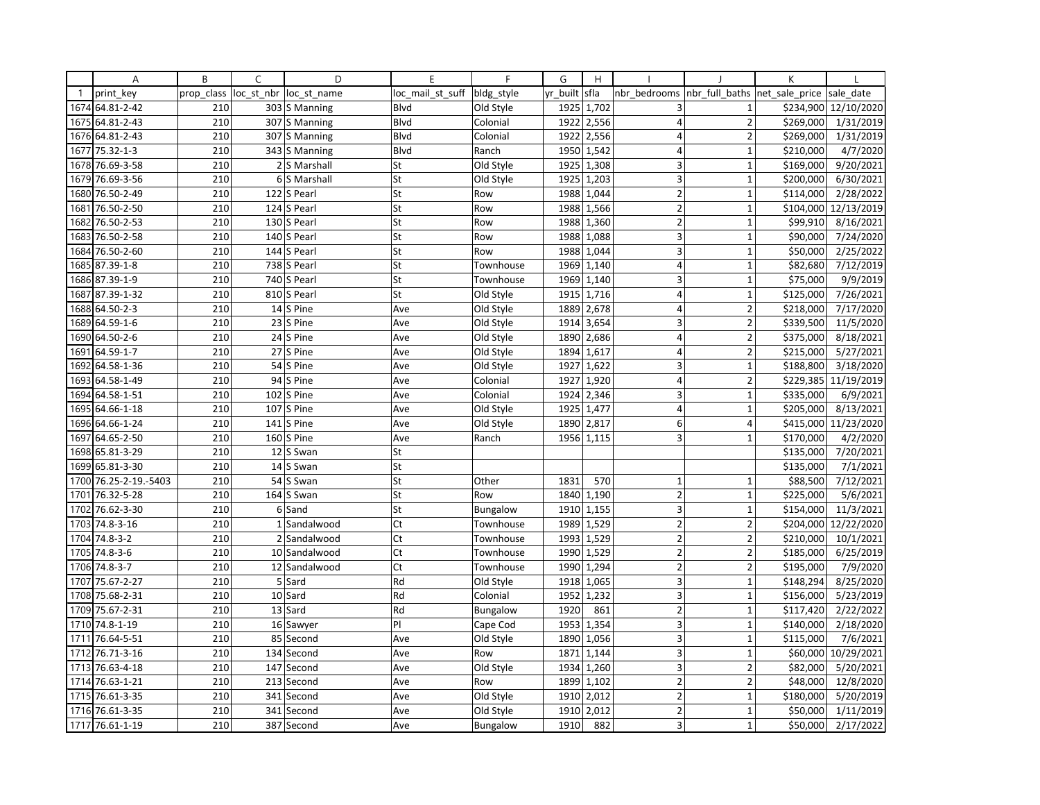|              | Α                | B          | C              | D                       | E                | $\mathsf{F}$    | G        | H          |                         |                | K              |                      |
|--------------|------------------|------------|----------------|-------------------------|------------------|-----------------|----------|------------|-------------------------|----------------|----------------|----------------------|
| $\mathbf{1}$ | print key        | prop class | loc st nbr     | loc st name             | loc mail st suff | bldg style      | yr built | sfla       | nbr bedrooms            | nbr full baths | net sale price | sale date            |
| 1674         | 64.81-2-42       | 210        |                | 303 S Manning           | Blvd             | Old Style       | 1925     | 1,702      | 3                       | $\mathbf{1}$   | \$234,900      | 12/10/2020           |
| 1675         | 64.81-2-43       | 210        |                | 307 S Manning           | Blvd             | Colonial        | 1922     | 2,556      | $\overline{4}$          | $\overline{2}$ | \$269,000      | 1/31/2019            |
| 1676         | 64.81-2-43       | 210        |                | 307 S Manning           | Blvd             | Colonial        | 1922     | 2,556      | $\overline{4}$          | $\overline{2}$ | \$269,000      | 1/31/2019            |
| 1677         | 75.32-1-3        | 210        |                | 343 S Manning           | Blvd             | Ranch           |          | 1950 1,542 | $\overline{4}$          | $\mathbf 1$    | \$210,000      | 4/7/2020             |
| 1678         | 76.69-3-58       | 210        |                | 2 S Marshall            | St               | Old Style       | 1925     | 1,308      | 3                       | $\mathbf{1}$   | \$169,000      | 9/20/2021            |
| 1679         | 76.69-3-56       | 210        | 6 <sup>1</sup> | S Marshall              | St               | Old Style       | 1925     | 1,203      | 3                       | $\mathbf{1}$   | \$200,000      | 6/30/2021            |
| 1680         | 76.50-2-49       | 210        |                | 122 S Pearl             | St               | Row             | 1988     | 1,044      | $\overline{2}$          | $\mathbf{1}$   | \$114,000      | 2/28/2022            |
| 1681         | 76.50-2-50       | 210        | 124            | S Pearl                 | St               | Row             | 1988     | 1,566      | $\overline{2}$          | $\mathbf{1}$   | \$104,000      | 12/13/2019           |
| 1682         | 76.50-2-53       | 210        |                | 130 S Pearl             | St               | Row             | 1988     | 1,360      | $\overline{2}$          | $\mathbf 1$    | \$99,910       | 8/16/2021            |
| 1683         | 76.50-2-58       | 210        |                | 140 S Pearl             | St               | Row             | 1988     | 1,088      | $\overline{3}$          | $\mathbf{1}$   | \$90,000       | 7/24/2020            |
| 1684         | 76.50-2-60       | 210        |                | 144 S Pearl             | St               | Row             | 1988     | 1,044      | 3                       | $\mathbf{1}$   | \$50,000       | 2/25/2022            |
|              | 1685 87.39-1-8   | 210        |                | 738 S Pearl             | St               | Townhouse       | 1969     | 1,140      | $\overline{\mathbf{4}}$ | $\mathbf{1}$   | \$82,680       | 7/12/2019            |
| 1686         | 87.39-1-9        | 210        |                | 740 S Pearl             | St               | Townhouse       | 1969     | 1,140      | $\overline{3}$          | $\mathbf{1}$   | \$75,000       | 9/9/2019             |
| 1687         | 87.39-1-32       | 210        |                | 810 S Pearl             | St               | Old Style       | 1915     | 1,716      | $\overline{4}$          | $\mathbf 1$    | \$125,000      | 7/26/2021            |
| 1688         | 64.50-2-3        | 210        |                | 14 S Pine               | Ave              | Old Style       | 1889     | 2,678      | $\overline{4}$          | $\overline{2}$ | \$218,000      | 7/17/2020            |
| 1689         | 64.59-1-6        | 210        |                | 23 S Pine               | Ave              | Old Style       | 1914     | 3,654      | 3                       | $\overline{2}$ | \$339,500      | 11/5/2020            |
| 1690         | 64.50-2-6        | 210        |                | 24 S Pine               | Ave              | Old Style       | 1890     | 2,686      | $\overline{4}$          | $\overline{2}$ | \$375,000      | 8/18/2021            |
| 1691         | 64.59-1-7        | 210        |                | 27 S Pine               | Ave              | Old Style       | 1894     | 1,617      | $\overline{4}$          | $\overline{2}$ | \$215,000      | 5/27/2021            |
| 1692         | 64.58-1-36       | 210        | 54             | S Pine                  | Ave              | Old Style       | 1927     | 1,622      | 3                       | $\mathbf 1$    | \$188,800      | 3/18/2020            |
|              | 1693 64.58-1-49  | 210        |                | 94 S Pine               | Ave              | Colonial        | 1927     | 1,920      | $\overline{4}$          | $\overline{2}$ |                | \$229,385 11/19/2019 |
| 1694         | 64.58-1-51       | 210        |                | $102$ S Pine            | Ave              | Colonial        | 1924     | 2,346      | $\overline{3}$          | $\mathbf{1}$   | \$335,000      | 6/9/2021             |
|              | 1695 64.66-1-18  | 210        |                | 107 S Pine              | Ave              | Old Style       | 1925     | 1,477      | 4                       | $\mathbf{1}$   | \$205,000      | 8/13/2021            |
| 1696         | 64.66-1-24       | 210        | 141            | S Pine                  | Ave              | Old Style       | 1890     | 2,817      | 6 <sup>1</sup>          | 4              | \$415,000      | 11/23/2020           |
| 1697         | 64.65-2-50       | 210        |                | $\overline{160}$ S Pine | Ave              | Ranch           | 1956     | 1,115      | $\overline{3}$          | $\mathbf{1}$   | \$170,000      | 4/2/2020             |
| 1698         | 65.81-3-29       | 210        | 12             | S Swan                  | St               |                 |          |            |                         |                | \$135,000      | 7/20/2021            |
|              | 1699 65.81-3-30  | 210        | 14             | S Swan                  | St               |                 |          |            |                         |                | \$135,000      | 7/1/2021             |
| 1700         | 76.25-2-19.-5403 | 210        | 54             | S Swan                  | St               | Other           | 1831     | 570        | $\mathbf 1$             | $\mathbf 1$    | \$88,500       | 7/12/2021            |
| 1701         | 76.32-5-28       | 210        |                | 164 S Swan              | St               | Row             | 1840     | 1,190      | $\overline{2}$          | $\mathbf{1}$   | \$225,000      | 5/6/2021             |
| 1702         | 76.62-3-30       | 210        | $6 \mid$       | Sand                    | St               | Bungalow        | 1910     | 1,155      | 3 <sup>1</sup>          | $\mathbf{1}$   | \$154,000      | 11/3/2021            |
| 1703         | 74.8-3-16        | 210        | $1\vert$       | Sandalwood              | Ct               | Townhouse       | 1989     | 1,529      | $\overline{2}$          | $\overline{2}$ | \$204,000      | 12/22/2020           |
| 1704         | $74.8 - 3 - 2$   | 210        | $\overline{2}$ | Sandalwood              | Ct               | Townhouse       | 1993     | 1,529      | $\overline{2}$          | $\overline{2}$ | \$210,000      | 10/1/2021            |
| 1705         | 74.8-3-6         | 210        |                | 10 Sandalwood           | Ct               | Townhouse       | 1990     | 1,529      | $\overline{2}$          | $\overline{2}$ | \$185,000      | 6/25/2019            |
| 1706         | $74.8 - 3 - 7$   | 210        |                | 12 Sandalwood           | Ct               | Townhouse       | 1990     | 1,294      | $\overline{2}$          | $\overline{2}$ | \$195,000      | 7/9/2020             |
| 1707         | 75.67-2-27       | 210        |                | 5 Sard                  | Rd               | Old Style       | 1918     | 1,065      | 3 <sup>1</sup>          | $\mathbf{1}$   | \$148,294      | 8/25/2020            |
|              | 1708 75.68-2-31  | 210        |                | 10 Sard                 | Rd               | Colonial        | 1952     | 1,232      | 3                       | $\mathbf 1$    | \$156,000      | 5/23/2019            |
| 1709         | 75.67-2-31       | 210        |                | 13 Sard                 | Rd               | <b>Bungalow</b> | 1920     | 861        | $\overline{2}$          | $\mathbf{1}$   | \$117,420      | 2/22/2022            |
|              | 1710 74.8-1-19   | 210        |                | 16 Sawyer               | PI               | Cape Cod        | 1953     | 1,354      | 3 <sup>1</sup>          | $\mathbf{1}$   | \$140,000      | 2/18/2020            |
| 1711         | 76.64-5-51       | 210        |                | 85 Second               | Ave              | Old Style       | 1890     | 1,056      | $\overline{3}$          | $\mathbf 1$    | \$115,000      | 7/6/2021             |
| 1712         | 76.71-3-16       | 210        |                | 134 Second              | Ave              | Row             | 1871     | 1,144      | $\overline{3}$          | $\mathbf{1}$   | \$60,000       | 10/29/2021           |
| 1713         | 76.63-4-18       | 210        | 147            | Second                  | Ave              | Old Style       | 1934     | 1,260      | 3                       | $\overline{2}$ | \$82,000       | 5/20/2021            |
| 1714         | 76.63-1-21       | 210        |                | 213 Second              | Ave              | Row             |          | 1899 1,102 | $\overline{2}$          | $\overline{2}$ | \$48,000       | 12/8/2020            |
| 1715         | 76.61-3-35       | 210        | 341            | Second                  | Ave              | Old Style       | 1910     | 2,012      | 2                       | $\mathbf{1}$   | \$180,000      | 5/20/2019            |
|              | 1716 76.61-3-35  | 210        |                | 341 Second              | Ave              | Old Style       |          | 1910 2,012 | 2                       | $\mathbf{1}$   | \$50,000       | 1/11/2019            |
|              | 1717 76.61-1-19  | 210        |                | 387 Second              | Ave              | Bungalow        | 1910     | 882        | $\overline{\mathbf{3}}$ | $\mathbf{1}$   | \$50,000       | 2/17/2022            |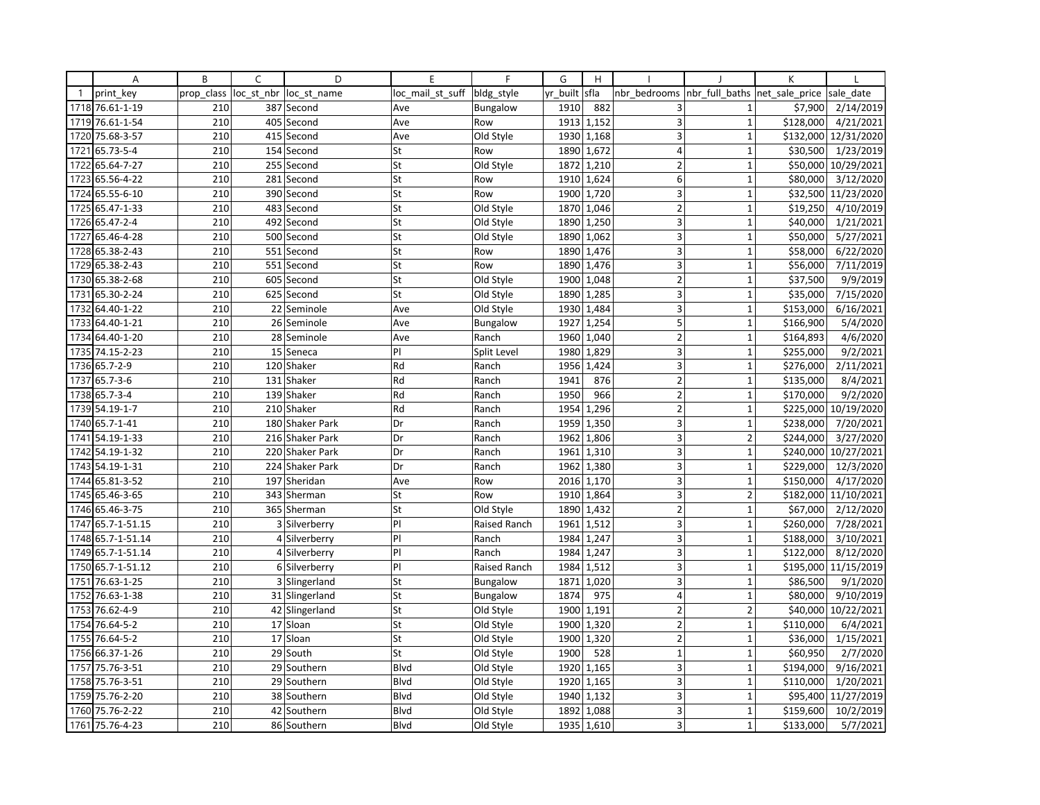|              | Α               | B          | C          | D               | E                | F            | G        | H          |                         |                                | K         |                       |
|--------------|-----------------|------------|------------|-----------------|------------------|--------------|----------|------------|-------------------------|--------------------------------|-----------|-----------------------|
| $\mathbf{1}$ | print key       | prop_class | loc_st_nbr | loc st name     | loc_mail_st_suff | bldg style   | yr_built | sfla       | nbr bedrooms            | nbr_full_baths  net_sale_price |           | sale date             |
|              | 1718 76.61-1-19 | 210        |            | 387 Second      | Ave              | Bungalow     | 1910     | 882        | 3                       | 1                              | \$7,900   | 2/14/2019             |
| 1719         | 76.61-1-54      | 210        | 405        | Second          | Ave              | Row          | 1913     | 1,152      | 3                       | $\mathbf{1}$                   | \$128,000 | 4/21/2021             |
| 1720         | 75.68-3-57      | 210        |            | 415 Second      | Ave              | Old Style    | 1930     | 1,168      | 3                       | $\mathbf{1}$                   | \$132,000 | 12/31/2020            |
| 1721         | 65.73-5-4       | 210        |            | 154 Second      | St               | Row          |          | 1890 1,672 | $\overline{4}$          | $\mathbf{1}$                   | \$30,500  | 1/23/2019             |
| 1722         | 65.64-7-27      | 210        |            | 255 Second      | St               | Old Style    | 1872     | 1,210      | $\overline{2}$          | $\overline{1}$                 | \$50,000  | 10/29/2021            |
| 1723         | 65.56-4-22      | 210        | 281        | Second          | St               | Row          | 1910     | 1,624      | 6                       | $\mathbf{1}$                   | \$80,000  | 3/12/2020             |
| 1724         | 65.55-6-10      | 210        |            | 390 Second      | St               | Row          | 1900     | 1,720      | 3                       | $\mathbf{1}$                   | \$32,500  | 11/23/2020            |
| 1725         | 65.47-1-33      | 210        | 483        | Second          | St               | Old Style    | 1870     | 1,046      | $\overline{2}$          | $\mathbf{1}$                   | \$19,250  | 4/10/2019             |
|              | 1726 65.47-2-4  | 210        |            | 492 Second      | St               | Old Style    | 1890     | 1,250      | 3                       | $\mathbf{1}$                   | \$40,000  | 1/21/2021             |
| 1727         | 65.46-4-28      | 210        |            | 500 Second      | St               | Old Style    | 1890     | 1,062      | $\overline{3}$          | 1                              | \$50,000  | 5/27/2021             |
| 1728         | 65.38-2-43      | 210        | 551        | Second          | St               | Row          | 1890     | 1,476      | 3                       | $\mathbf{1}$                   | \$58,000  | 6/22/2020             |
|              | 1729 65.38-2-43 | 210        |            | 551 Second      | St               | Row          | 1890     | 1,476      | 3                       | $\mathbf{1}$                   | \$56,000  | 7/11/2019             |
| 1730         | 65.38-2-68      | 210        | 605        | Second          | St               | Old Style    | 1900     | 1,048      | $\overline{2}$          | 1                              | \$37,500  | 9/9/2019              |
| 1731         | 65.30-2-24      | 210        | 625        | Second          | St               | Old Style    | 1890     | 1,285      | 3                       | $\mathbf{1}$                   | \$35,000  | 7/15/2020             |
| 1732         | 64.40-1-22      | 210        |            | 22 Seminole     | Ave              | Old Style    | 1930     | 1,484      | 3                       | $\mathbf{1}$                   | \$153,000 | 6/16/2021             |
| 1733         | 64.40-1-21      | 210        | 26         | Seminole        | Ave              | Bungalow     | 1927     | 1,254      | 5                       | $\mathbf{1}$                   | \$166,900 | 5/4/2020              |
|              | 1734 64.40-1-20 | 210        |            | 28 Seminole     | Ave              | Ranch        | 1960     | 1,040      | $\overline{2}$          | $\mathbf{1}$                   | \$164,893 | 4/6/2020              |
|              | 1735 74.15-2-23 | 210        | 15         | Seneca          | PI               | Split Level  | 1980     | 1,829      | $\overline{\mathbf{3}}$ | 1                              | \$255,000 | 9/2/2021              |
| 1736         | $65.7 - 2 - 9$  | 210        |            | 120 Shaker      | Rd               | Ranch        | 1956     | 1,424      | 3                       | $\overline{1}$                 | \$276,000 | $\frac{1}{2}/11/2021$ |
| 1737         | $65.7 - 3 - 6$  | 210        |            | 131 Shaker      | Rd               | Ranch        | 1941     | 876        | $\overline{2}$          | $\mathbf{1}$                   | \$135,000 | 8/4/2021              |
| 1738         | $65.7 - 3 - 4$  | 210        |            | 139 Shaker      | Rd               | Ranch        | 1950     | 966        | $\overline{2}$          | $\mathbf{1}$                   | \$170,000 | 9/2/2020              |
|              | 1739 54.19-1-7  | 210        |            | 210 Shaker      | Rd               | Ranch        | 1954     | 1,296      | $\overline{2}$          | $\mathbf 1$                    | \$225,000 | 10/19/2020            |
| 1740         | 65.7-1-41       | 210        |            | 180 Shaker Park | Dr               | Ranch        | 1959     | 1,350      | $\overline{3}$          | $\overline{1}$                 | \$238,000 | 7/20/2021             |
| 1741         | 54.19-1-33      | 210        |            | 216 Shaker Park | Dr               | Ranch        | 1962     | 1,806      | 3                       | $\overline{2}$                 | \$244,000 | 3/27/2020             |
| 1742         | 54.19-1-32      | 210        |            | 220 Shaker Park | Dr               | Ranch        | 1961     | 1,310      | 3                       | $\mathbf 1$                    | \$240,000 | 10/27/2021            |
| 1743         | 54.19-1-31      | 210        |            | 224 Shaker Park | Dr               | Ranch        | 1962     | 1,380      | 3                       | $\mathbf{1}$                   | \$229,000 | 12/3/2020             |
| 1744         | 65.81-3-52      | 210        | 197        | Sheridan        | Ave              | Row          | 2016     | 1,170      | 3                       | $\mathbf{1}$                   | \$150,000 | 4/17/2020             |
|              | 1745 65.46-3-65 | 210        |            | 343 Sherman     | St               | Row          | 1910     | 1,864      | 3                       | $\overline{2}$                 | \$182,000 | 11/10/2021            |
| 1746         | 65.46-3-75      | 210        |            | 365 Sherman     | St               | Old Style    | 1890     | 1,432      | $\overline{2}$          | $\mathbf{1}$                   | \$67,000  | 2/12/2020             |
| 1747         | 65.7-1-51.15    | 210        |            | 3 Silverberry   | PI               | Raised Ranch | 1961     | 1,512      | 3                       | $\mathbf{1}$                   | \$260,000 | 7/28/2021             |
| 1748         | 65.7-1-51.14    | 210        | 4          | Silverberry     | PI               | Ranch        | 1984     | 1,247      | 3                       | $\mathbf{1}$                   | \$188,000 | $\frac{1}{3/10/2021}$ |
| 1749         | 65.7-1-51.14    | 210        |            | 4 Silverberry   | PI               | Ranch        | 1984     | 1,247      | 3                       | $\mathbf{1}$                   | \$122,000 | 8/12/2020             |
| 1750         | 65.7-1-51.12    | 210        |            | 6 Silverberry   | PI               | Raised Ranch | 1984     | 1,512      | 3                       | $\mathbf{1}$                   | \$195,000 | 11/15/2019            |
| 1751         | 76.63-1-25      | 210        |            | 3 Slingerland   | St               | Bungalow     | 1871     | 1,020      | $\overline{3}$          | $\overline{1}$                 | \$86,500  | 9/1/2020              |
| 1752         | 76.63-1-38      | 210        |            | 31 Slingerland  | St               | Bungalow     | 1874     | 975        | $\overline{4}$          | $\mathbf{1}$                   | \$80,000  | 9/10/2019             |
| 1753         | 76.62-4-9       | 210        |            | 42 Slingerland  | St               | Old Style    | 1900     | 1,191      | $\overline{2}$          | $\overline{2}$                 | \$40,000  | 10/22/2021            |
| 1754         | 76.64-5-2       | 210        |            | 17 Sloan        | St               | Old Style    | 1900     | 1,320      | $\overline{2}$          | $\mathbf{1}$                   | \$110,000 | 6/4/2021              |
|              | 1755 76.64-5-2  | 210        |            | 17 Sloan        | St               | Old Style    | 1900     | 1,320      | $\overline{2}$          | $\mathbf{1}$                   | \$36,000  | 1/15/2021             |
| 1756         | 66.37-1-26      | 210        | 29         | South           | St               | Old Style    | 1900     | 528        | $\overline{1}$          | $\overline{1}$                 | \$60,950  | 2/7/2020              |
| 1757         | 75.76-3-51      | 210        |            | 29 Southern     | Blvd             | Old Style    | 1920     | 1,165      | 3                       | $\mathbf{1}$                   | \$194,000 | 9/16/2021             |
|              | 1758 75.76-3-51 | 210        |            | 29 Southern     | Blvd             | Old Style    | 1920     | 1,165      | 3                       | $\mathbf 1$                    | \$110,000 | 1/20/2021             |
| 1759         | 75.76-2-20      | 210        |            | 38 Southern     | <b>Blvd</b>      | Old Style    | 1940     | 1,132      | 3                       | $\mathbf{1}$                   | \$95,400  | 11/27/2019            |
| 1760         | 75.76-2-22      | 210        |            | 42 Southern     | Blvd             | Old Style    | 1892     | 1,088      | 3                       | $\mathbf{1}$                   | \$159,600 | 10/2/2019             |
|              | 1761 75.76-4-23 | 210        |            | 86 Southern     | <b>Blvd</b>      | Old Style    | 1935     | 1,610      | $\overline{3}$          | 1                              | \$133,000 | 5/7/2021              |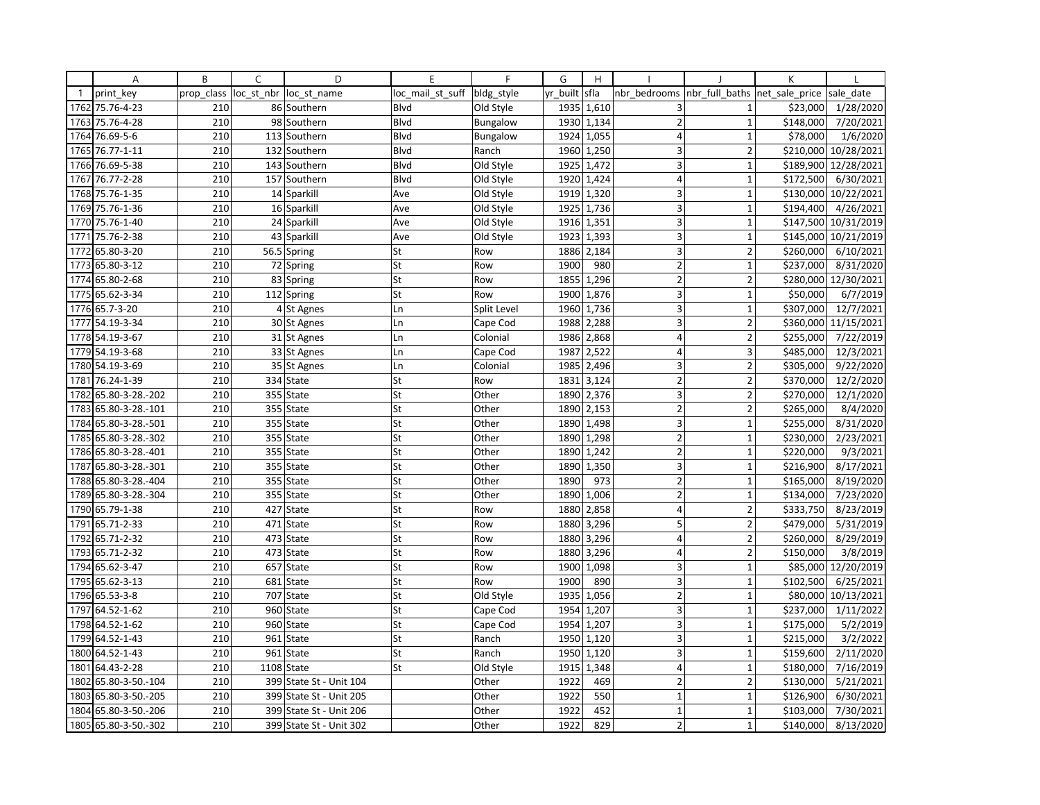|              | Α                    | B          | C          | D                       | E                | $\mathsf{F}$    | G        | H          |                         |                          | K              |                       |
|--------------|----------------------|------------|------------|-------------------------|------------------|-----------------|----------|------------|-------------------------|--------------------------|----------------|-----------------------|
| $\mathbf{1}$ | print key            | prop class | loc_st_nbr | loc st name             | loc mail st suff | bldg style      | yr_built | sfla       | nbr bedrooms            | nbr full baths           | net_sale_price | sale date             |
| 1762         | 75.76-4-23           | 210        |            | 86 Southern             | Blvd             | Old Style       | 1935     | 1,610      | 3                       | 1                        | \$23,000       | 1/28/2020             |
| 1763         | 75.76-4-28           | 210        | 98         | Southern                | <b>Blvd</b>      | Bungalow        | 1930     | 1,134      | $\overline{2}$          | $\mathbf{1}$             | \$148,000      | 7/20/2021             |
| 1764         | 76.69-5-6            | 210        |            | 113 Southern            | Blvd             | <b>Bungalow</b> | 1924     | 1,055      | 4                       | $\mathbf{1}$             | \$78,000       | 1/6/2020              |
| 1765         | 76.77-1-11           | 210        |            | 132 Southern            | Blvd             | Ranch           |          | 1960 1,250 | 3                       | $\overline{2}$           | \$210,000      | 10/28/2021            |
| 1766         | 76.69-5-38           | 210        |            | 143 Southern            | Blvd             | Old Style       | 1925     | 1,472      | 3                       | $\mathbf{1}$             | \$189,900      | 12/28/2021            |
| 1767         | 76.77-2-28           | 210        |            | 157 Southern            | <b>Blvd</b>      | Old Style       | 1920     | 1,424      | $\overline{4}$          | $\mathbf{1}$             | \$172,500      | 6/30/2021             |
|              | 1768 75.76-1-35      | 210        |            | 14 Sparkill             | Ave              | Old Style       | 1919     | 1,320      | 3                       | $\mathbf{1}$             | \$130,000      | 10/22/2021            |
| 1769         | 75.76-1-36           | 210        | 16         | Sparkill                | Ave              | Old Style       | 1925     | 1,736      | 3                       | $\overline{1}$           | \$194,400      | 4/26/2021             |
| 1770         | 75.76-1-40           | 210        |            | 24 Sparkill             | Ave              | Old Style       | 1916     | 1,351      | 3                       | $\mathbf{1}$             | \$147,500      | 10/31/2019            |
| 1771         | 75.76-2-38           | 210        |            | 43 Sparkill             | Ave              | Old Style       | 1923     | 1,393      | 3                       | 1                        | \$145,000      | 10/21/2019            |
| 1772         | 65.80-3-20           | 210        |            | 56.5 Spring             | St               | Row             | 1886     | 2,184      | 3                       | $\overline{2}$           | \$260,000      | 6/10/2021             |
|              | 1773 65.80-3-12      | 210        |            | 72 Spring               | St               | Row             | 1900     | 980        | $\overline{2}$          | $\mathbf{1}$             | \$237,000      | 8/31/2020             |
| 1774         | 65.80-2-68           | 210        | 83         | Spring                  | St               | Row             | 1855     | 1,296      | $\overline{2}$          | $\overline{2}$           | \$280,000      | 12/30/2021            |
|              | 1775 65.62-3-34      | 210        |            | 112 Spring              | St               | Row             | 1900     | 1,876      | 3                       | $\mathbf{1}$             | \$50,000       | 6/7/2019              |
|              | 1776 65.7-3-20       | 210        |            | 4 St Agnes              | Ln               | Split Level     | 1960     | 1,736      | 3                       | $\mathbf{1}$             | \$307,000      | 12/7/2021             |
| 1777         | 54.19-3-34           | 210        |            | 30 St Agnes             | Ln               | Cape Cod        | 1988     | 2,288      | 3                       | $\overline{2}$           | \$360,000      | 11/15/2021            |
|              | 1778 54.19-3-67      | 210        |            | 31 St Agnes             | Ln               | Colonial        | 1986     | 2,868      | $\overline{4}$          | $\overline{2}$           | \$255,000      | 7/22/2019             |
|              | 1779 54.19-3-68      | 210        |            | 33 St Agnes             | Ln               | Cape Cod        | 1987     | 2,522      | $\overline{4}$          | 3                        | \$485,000      | 12/3/2021             |
|              | 1780 54.19-3-69      | 210        |            | 35 St Agnes             | Ln               | Colonial        | 1985     | 2,496      | 3                       | $\overline{2}$           | \$305,000      | 9/22/2020             |
| 1781         | 76.24-1-39           | 210        |            | 334 State               | St               | Row             | 1831     | 3,124      | $\overline{2}$          | $\overline{2}$           | \$370,000      | 12/2/2020             |
| 1782         | 65.80-3-28.-202      | 210        | 355        | State                   | St               | Other           | 1890     | 2,376      | $\overline{3}$          | $\overline{2}$           | \$270,000      | 12/1/2020             |
|              | 1783 65.80-3-28.-101 | 210        |            | 355 State               | St               | Other           | 1890     | 2,153      | $\overline{2}$          | $\overline{2}$           | \$265,000      | 8/4/2020              |
| 1784         | 65.80-3-28.-501      | 210        | 355        | State                   | St               | Other           | 1890     | 1,498      | 3                       | $\mathbf{1}$             | \$255,000      | 8/31/2020             |
| 1785         | 65.80-3-28.-302      | 210        |            | 355 State               | St               | Other           | 1890     | 1,298      | $\overline{2}$          | $\mathbf{1}$             | \$230,000      | 2/23/2021             |
| 1786         | 65.80-3-28.-401      | 210        |            | 355 State               | St               | Other           |          | 1890 1,242 | $\overline{2}$          | $\mathbf{1}$             | \$220,000      | 9/3/2021              |
| 1787         | 65.80-3-28.-301      | 210        |            | 355 State               | St               | Other           | 1890     | 1,350      | $\overline{3}$          | $\overline{1}$           | \$216,900      | 8/17/2021             |
| 1788         | 65.80-3-28.-404      | 210        | 355        | State                   | St               | Other           | 1890     | 973        | $\overline{2}$          | $\mathbf{1}$             | \$165,000      | 8/19/2020             |
|              | 1789 65.80-3-28.-304 | 210        |            | 355 State               | St               | Other           | 1890     | 1,006      | $\overline{2}$          | 1                        | \$134,000      | 7/23/2020             |
|              | 1790 65.79-1-38      | 210        |            | 427 State               | St               | Row             | 1880     | 2,858      | 4                       | $\overline{2}$           | \$333,750      | 8/23/2019             |
| 1791         | 65.71-2-33           | 210        |            | 471 State               | St               | Row             | 1880     | 3,296      | 5                       | $\overline{2}$           | \$479,000      | 5/31/2019             |
| 1792         | 65.71-2-32           | 210        | 473        | State                   | St               | Row             | 1880     | 3,296      | $\overline{4}$          | $\overline{\phantom{a}}$ | \$260,000      | 8/29/2019             |
|              | 1793 65.71-2-32      | 210        |            | 473 State               | St               | Row             | 1880     | 3,296      | 4                       | $\overline{2}$           | \$150,000      | 3/8/2019              |
|              | 1794 65.62-3-47      | 210        |            | 657 State               | St               | Row             | 1900     | 1,098      | 3                       | $\mathbf{1}$             | \$85,000       | 12/20/2019            |
| 1795         | 65.62-3-13           | 210        |            | 681 State               | St               | Row             | 1900     | 890        | 3                       | $\overline{1}$           | \$102,500      | 6/25/2021             |
|              | 1796 65.53-3-8       | 210        |            | 707 State               | St               | Old Style       | 1935     | 1,056      | $\overline{2}$          | $\mathbf{1}$             | \$80,000       | 10/13/2021            |
|              | 1797 64.52-1-62      | 210        |            | 960 State               | St               | Cape Cod        | 1954     | 1,207      | $\overline{\mathbf{3}}$ | $\overline{1}$           | \$237,000      | 1/11/2022             |
|              | 1798 64.52-1-62      | 210        |            | 960 State               | St               | Cape Cod        | 1954     | 1,207      | 3                       | $\mathbf{1}$             | \$175,000      | 5/2/2019              |
|              | 1799 64.52-1-43      | 210        |            | 961 State               | St               | Ranch           | 1950     | 1,120      | $\overline{\mathbf{3}}$ | $\mathbf{1}$             | \$215,000      | 3/2/2022              |
|              | 1800 64.52-1-43      | 210        |            | 961 State               | St               | Ranch           | 1950     | 1,120      | $\overline{3}$          | $\mathbf{1}$             | \$159,600      | 2/11/2020             |
| 1801         | 64.43-2-28           | 210        | 1108       | <b>State</b>            | St               | Old Style       | 1915     | 1,348      | $\overline{4}$          | $\overline{1}$           | \$180,000      | 7/16/2019             |
| 1802         | 65.80-3-50.-104      | 210        |            | 399 State St - Unit 104 |                  | Other           | 1922     | 469        | $\overline{2}$          | $\overline{2}$           | \$130,000      | 5/21/2021             |
| 1803         | 65.80-3-50.-205      | 210        | 399        | State St - Unit 205     |                  | Other           | 1922     | 550        | $\mathbf{1}$            | $\mathbf{1}$             | \$126,900      | $\frac{1}{6}$ 30/2021 |
| 1804         | 65.80-3-50.-206      | 210        |            | 399 State St - Unit 206 |                  | Other           | 1922     | 452        | $1\,$                   | $\mathbf{1}$             | \$103,000      | 7/30/2021             |
|              | 1805 65.80-3-50.-302 | 210        |            | 399 State St - Unit 302 |                  | Other           | 1922     | 829        | $\overline{2}$          | $\mathbf{1}$             | \$140,000      | 8/13/2020             |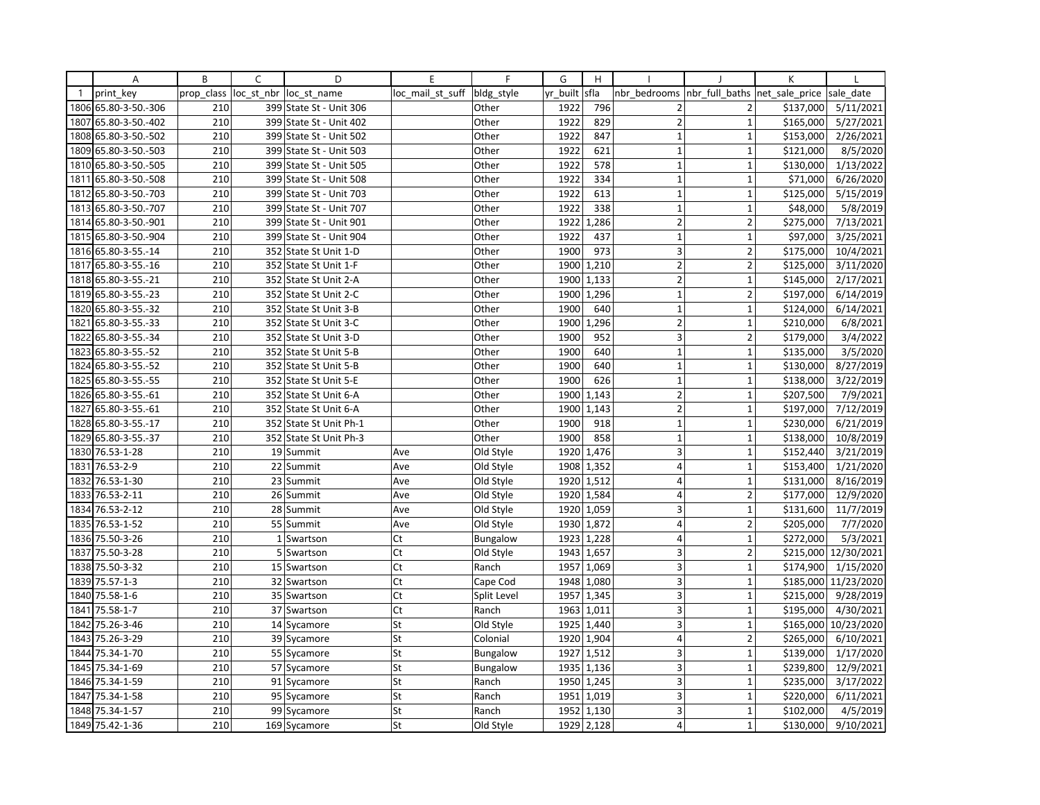|              | Α                    | B          | C            | D                       | E                | $\mathsf{F}$    | G        | H          |                         |                | K              |                       |
|--------------|----------------------|------------|--------------|-------------------------|------------------|-----------------|----------|------------|-------------------------|----------------|----------------|-----------------------|
| $\mathbf{1}$ | print_key            | prop class | loc_st_nbr   | loc st name             | loc mail st suff | bldg style      | yr built | sfla       | nbr bedrooms            | nbr_full_baths | net_sale_price | sale date             |
| 1806         | 65.80-3-50.-306      | 210        |              | 399 State St - Unit 306 |                  | Other           | 1922     | 796        | $\overline{2}$          | $\overline{2}$ | \$137,000      | 5/11/2021             |
| 1807         | 65.80-3-50.-402      | 210        | 399          | State St - Unit 402     |                  | Other           | 1922     | 829        | $\overline{2}$          | $\mathbf{1}$   | \$165,000      | 5/27/2021             |
| 1808         | 65.80-3-50.-502      | 210        |              | 399 State St - Unit 502 |                  | Other           | 1922     | 847        | $\mathbf{1}$            | $\mathbf{1}$   | \$153,000      | 2/26/2021             |
|              | 1809 65.80-3-50.-503 | 210        |              | 399 State St - Unit 503 |                  | Other           | 1922     | 621        | $\mathbf{1}$            | $\mathbf{1}$   | \$121,000      | 8/5/2020              |
| 1810         | 65.80-3-50.-505      | 210        |              | 399 State St - Unit 505 |                  | Other           | 1922     | 578        | $\mathbf{1}$            | $\overline{1}$ | \$130,000      | 1/13/2022             |
| 1811         | 65.80-3-50.-508      | 210        | 399          | State St - Unit 508     |                  | Other           | 1922     | 334        | $\mathbf{1}$            | $\mathbf{1}$   | \$71,000       | 6/26/2020             |
| 1812         | 65.80-3-50.-703      | 210        |              | 399 State St - Unit 703 |                  | Other           | 1922     | 613        | $\mathbf{1}$            | $\mathbf{1}$   | \$125,000      | 5/15/2019             |
| 1813         | 65.80-3-50.-707      | 210        | 399          | State St - Unit 707     |                  | Other           | 1922     | 338        | $\mathbf{1}$            | $\mathbf{1}$   | \$48,000       | 5/8/2019              |
|              | 1814 65.80-3-50.-901 | 210        |              | 399 State St - Unit 901 |                  | Other           | 1922     | 1,286      | $\overline{2}$          | $\overline{2}$ | \$275,000      | 7/13/2021             |
| 1815         | 65.80-3-50.-904      | 210        |              | 399 State St - Unit 904 |                  | Other           | 1922     | 437        | $\mathbf{1}$            | $\overline{1}$ | \$97,000       | 3/25/2021             |
|              | 1816 65.80-3-55.-14  | 210        |              | 352 State St Unit 1-D   |                  | Other           | 1900     | 973        | 3                       | $\overline{2}$ | \$175,000      | 10/4/2021             |
| 1817         | 65.80-3-55.-16       | 210        |              | 352 State St Unit 1-F   |                  | Other           | 1900     | 1,210      | $\overline{2}$          | $\overline{2}$ | \$125,000      | 3/11/2020             |
|              | 1818 65.80-3-55.-21  | 210        |              | 352 State St Unit 2-A   |                  | Other           | 1900     | 1,133      | $\overline{2}$          | $\overline{1}$ | \$145,000      | 2/17/2021             |
| 1819         | 65.80-3-55.-23       | 210        |              | 352 State St Unit 2-C   |                  | Other           | 1900     | 1,296      | $\mathbf{1}$            | $\overline{2}$ | \$197,000      | 6/14/2019             |
|              | 1820 65.80-3-55.-32  | 210        |              | 352 State St Unit 3-B   |                  | Other           | 1900     | 640        | $\mathbf{1}$            | $\mathbf{1}$   | \$124,000      | 6/14/2021             |
| 1821         | 65.80-3-55.-33       | 210        |              | 352 State St Unit 3-C   |                  | Other           | 1900     | 1,296      | $\overline{2}$          | $\mathbf{1}$   | \$210,000      | 6/8/2021              |
| 1822         | 65.80-3-55.-34       | 210        |              | 352 State St Unit 3-D   |                  | Other           | 1900     | 952        | $\overline{\mathbf{3}}$ | $\overline{2}$ | \$179,000      | 3/4/2022              |
| 1823         | 65.80-3-55.-52       | 210        |              | 352 State St Unit 5-B   |                  | Other           | 1900     | 640        | $\mathbf{1}$            | $\mathbf{1}$   | \$135,000      | 3/5/2020              |
| 1824         | 65.80-3-55.-52       | 210        |              | 352 State St Unit 5-B   |                  | Other           | 1900     | 640        | $\mathbf 1$             | $\overline{1}$ | \$130,000      | 8/27/2019             |
|              | 1825 65.80-3-55.-55  | 210        |              | 352 State St Unit 5-E   |                  | Other           | 1900     | 626        | $\mathbf{1}$            | $\mathbf{1}$   | \$138,000      | 3/22/2019             |
| 1826         | 65.80-3-55.-61       | 210        |              | 352 State St Unit 6-A   |                  | Other           | 1900     | 1,143      | $\overline{2}$          | $\mathbf{1}$   | \$207,500      | 7/9/2021              |
| 1827         | 65.80-3-55.-61       | 210        |              | 352 State St Unit 6-A   |                  | Other           | 1900     | 1,143      | $\overline{2}$          | $\mathbf 1$    | \$197,000      | 7/12/2019             |
| 1828         | 65.80-3-55.-17       | 210        |              | 352 State St Unit Ph-1  |                  | Other           | 1900     | 918        | $\mathbf{1}$            | $\overline{1}$ | \$230,000      | 6/21/2019             |
| 1829         | 65.80-3-55.-37       | 210        |              | 352 State St Unit Ph-3  |                  | Other           | 1900     | 858        | $\mathbf{1}$            | $\mathbf{1}$   | \$138,000      | 10/8/2019             |
|              | 1830 76.53-1-28      | 210        |              | 19 Summit               | Ave              | Old Style       | 1920     | 1,476      | 3                       | $\mathbf{1}$   | \$152,440      | 3/21/2019             |
| 1831         | 76.53-2-9            | 210        | 22           | Summit                  | Ave              | Old Style       | 1908     | 1,352      | $\overline{4}$          | $\mathbf{1}$   | \$153,400      | 1/21/2020             |
| 1832         | 76.53-1-30           | 210        | 23           | Summit                  | Ave              | Old Style       | 1920     | 1,512      | 4                       | $\mathbf{1}$   | \$131,000      | 8/16/2019             |
| 1833         | 76.53-2-11           | 210        |              | 26 Summit               | Ave              | Old Style       |          | 1920 1,584 | $\overline{\mathbf{4}}$ | $\overline{2}$ | \$177,000      | 12/9/2020             |
| 1834         | 76.53-2-12           | 210        |              | 28 Summit               | Ave              | Old Style       | 1920     | 1,059      | $\overline{\mathbf{3}}$ | $\mathbf{1}$   | \$131,600      | 11/7/2019             |
| 1835         | 76.53-1-52           | 210        |              | 55 Summit               | Ave              | Old Style       | 1930     | 1,872      | $\overline{\mathbf{4}}$ | $\overline{2}$ | \$205,000      | 7/7/2020              |
| 1836         | 75.50-3-26           | 210        | $\mathbf{1}$ | Swartson                | Ct               | <b>Bungalow</b> | 1923     | 1,228      | $\overline{4}$          | $\mathbf{1}$   | \$272,000      | 5/3/2021              |
| 1837         | 75.50-3-28           | 210        | 5            | Swartson                | Ct               | Old Style       | 1943     | 1,657      | 3                       | $\overline{2}$ | \$215,000      | 12/30/2021            |
| 1838         | 75.50-3-32           | 210        |              | 15 Swartson             | Ct               | Ranch           |          | 1957 1,069 | 3                       | $\mathbf{1}$   | \$174,900      | 1/15/2020             |
| 1839         | 75.57-1-3            | 210        |              | 32 Swartson             | Ct               | Cape Cod        | 1948     | 1,080      | $\overline{3}$          | $\mathbf{1}$   | \$185,000      | 11/23/2020            |
| 1840         | 75.58-1-6            | 210        |              | 35 Swartson             | Ct               | Split Level     | 1957     | 1,345      | 3                       | $\mathbf{1}$   | \$215,000      | 9/28/2019             |
| 1841         | 75.58-1-7            | 210        |              | 37 Swartson             | Ct               | Ranch           |          | 1963 1,011 | 3                       | $\mathbf{1}$   | \$195,000      | 4/30/2021             |
| 1842         | 75.26-3-46           | 210        |              | 14 Sycamore             | St               | Old Style       | 1925     | 1,440      | 3                       | $\mathbf{1}$   | \$165,000      | 10/23/2020            |
| 1843         | 75.26-3-29           | 210        |              | 39 Sycamore             | St               | Colonial        |          | 1920 1,904 | $\overline{4}$          | $\overline{2}$ | \$265,000      | 6/10/2021             |
| 1844         | 75.34-1-70           | 210        | 55           | Sycamore                | St               | <b>Bungalow</b> | 1927     | 1,512      | $\overline{3}$          | $\overline{1}$ | \$139,000      | 1/17/2020             |
| 1845         | 75.34-1-69           | 210        |              | 57 Sycamore             | St               | Bungalow        | 1935     | 1,136      | 3                       | $\overline{1}$ | \$239,800      | 12/9/2021             |
| 1846         | 75.34-1-59           | 210        |              | 91 Sycamore             | St               | Ranch           |          | 1950 1,245 | 3                       | $\mathbf{1}$   | \$235,000      | 3/17/2022             |
| 1847         | 75.34-1-58           | 210        |              | 95 Sycamore             | St               | Ranch           | 1951     | 1,019      | 3                       | $\overline{1}$ | \$220,000      | $\frac{1}{6}$ 11/2021 |
| 1848         | 75.34-1-57           | 210        |              | 99 Sycamore             | St               | Ranch           | 1952     | 1,130      | 3                       | $\mathbf{1}$   | \$102,000      | 4/5/2019              |
|              | 1849 75.42-1-36      | 210        |              | 169 Sycamore            | St               | Old Style       | 1929     | 2,128      | $\overline{4}$          | $\mathbf{1}$   | \$130,000      | 9/10/2021             |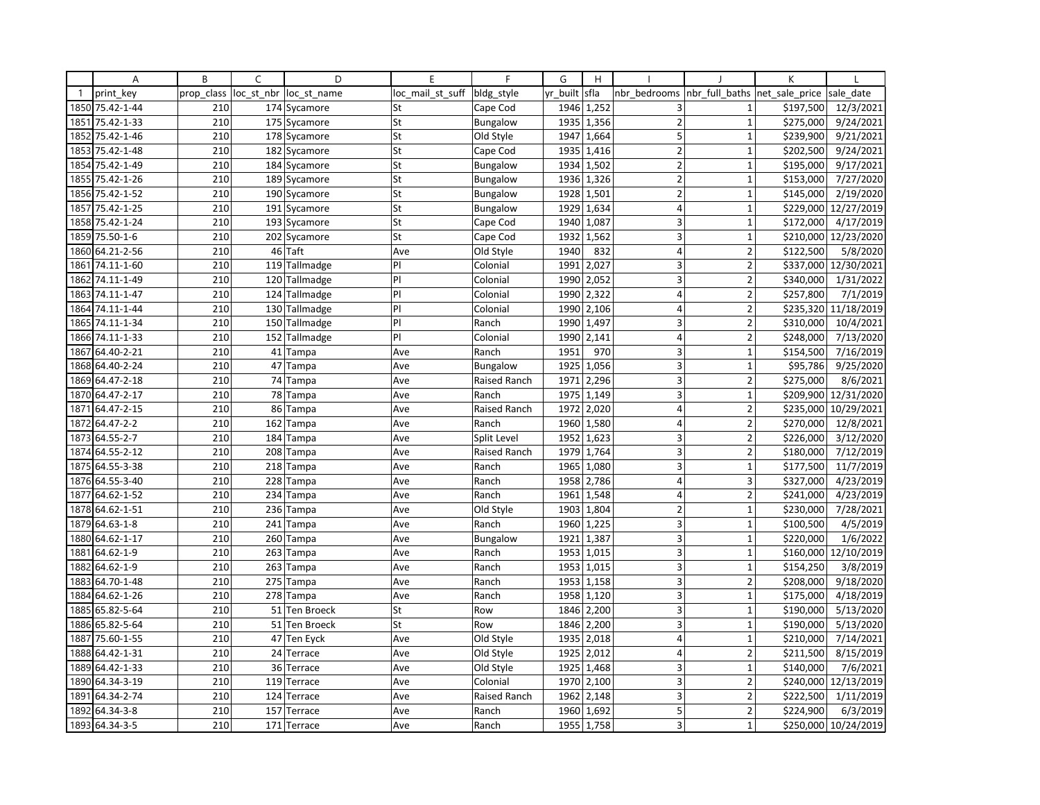|              | Α               | B          | C          | D                 | E                | F                   | G        | H          |                         |                         | K              |                      |
|--------------|-----------------|------------|------------|-------------------|------------------|---------------------|----------|------------|-------------------------|-------------------------|----------------|----------------------|
| $\mathbf{1}$ | print key       | prop class | loc st nbr | loc st name       | loc mail st suff | bldg style          | yr built | sfla       | nbr bedrooms            | nbr full baths          | net sale price | sale date            |
| 1850         | 75.42-1-44      | 210        |            | 174 Sycamore      | St               | Cape Cod            | 1946     | 1,252      | 3                       | $\mathbf{1}$            | \$197,500      | 12/3/2021            |
| 1851         | 75.42-1-33      | 210        |            | 175 Sycamore      | St               | <b>Bungalow</b>     | 1935     | 1,356      | $\overline{2}$          | $\mathbf{1}$            | \$275,000      | 9/24/2021            |
| 1852         | 75.42-1-46      | 210        |            | 178 Sycamore      | St               | Old Style           | 1947     | 1,664      | 5                       | $\mathbf{1}$            | \$239,900      | 9/21/2021            |
| 1853         | 75.42-1-48      | 210        |            | 182 Sycamore      | St               | Cape Cod            |          | 1935 1,416 | $\overline{2}$          | $\mathbf{1}$            | \$202,500      | 9/24/2021            |
| 1854         | 75.42-1-49      | 210        |            | 184 Sycamore      | St               | <b>Bungalow</b>     | 1934     | 1,502      | $\overline{2}$          | $\mathbf{1}$            | \$195,000      | 9/17/2021            |
| 1855         | 75.42-1-26      | 210        |            | 189 Sycamore      | St               | <b>Bungalow</b>     | 1936     | 1,326      | $\overline{2}$          | $\mathbf{1}$            | \$153,000      | 7/27/2020            |
| 1856         | 75.42-1-52      | 210        |            | 190 Sycamore      | St               | <b>Bungalow</b>     | 1928     | 1,501      | $\overline{2}$          | $\mathbf{1}$            | \$145,000      | 2/19/2020            |
| 1857         | 75.42-1-25      | 210        | 191        | Sycamore          | St               | Bungalow            | 1929     | 1,634      | $\overline{4}$          | $\mathbf{1}$            |                | \$229,000 12/27/2019 |
|              | 1858 75.42-1-24 | 210        |            | 193 Sycamore      | St               | Cape Cod            | 1940     | 1,087      | 3                       | $\mathbf{1}$            | \$172,000      | 4/17/2019            |
| 1859         | 75.50-1-6       | 210        |            | 202 Sycamore      | St               | Cape Cod            | 1932     | 1,562      | 3                       | $\mathbf{1}$            |                | \$210,000 12/23/2020 |
| 1860         | 64.21-2-56      | 210        | 46         | Taft              | Ave              | Old Style           | 1940     | 832        | 4                       | $\overline{\mathbf{c}}$ | \$122,500      | 5/8/2020             |
| 1861         | 74.11-1-60      | 210        |            | 119 Tallmadge     | P                | Colonial            | 1991     | 2,027      | 3                       | $\overline{2}$          |                | \$337,000 12/30/2021 |
| 1862         | 74.11-1-49      | 210        |            | 120 Tallmadge     | PI               | Colonial            | 1990     | 2,052      | 3                       | $\overline{2}$          | \$340,000      | 1/31/2022            |
| 1863         | 74.11-1-47      | 210        |            | 124 Tallmadge     | P                | Colonial            | 1990     | 2,322      | 4                       | $\overline{2}$          | \$257,800      | 7/1/2019             |
| 1864         | 74.11-1-44      | 210        |            | 130 Tallmadge     | PI               | Colonial            | 1990     | 2,106      | 4                       | $\overline{2}$          |                | \$235,320 11/18/2019 |
| 1865         | 74.11-1-34      | 210        |            | 150 Tallmadge     | PI               | Ranch               | 1990     | 1,497      | 3                       | $\overline{2}$          | \$310,000      | 10/4/2021            |
| 1866         | 74.11-1-33      | 210        |            | 152 Tallmadge     | PI               | Colonial            | 1990     | 2,141      | $\overline{4}$          | $\overline{2}$          | \$248,000      | 7/13/2020            |
| 1867         | 64.40-2-21      | 210        | 41         | Tampa             | Ave              | Ranch               | 1951     | 970        | 3                       | $\mathbf{1}$            | \$154,500      | 7/16/2019            |
| 1868         | 64.40-2-24      | 210        | 47         | Tampa             | Ave              | <b>Bungalow</b>     | 1925     | 1,056      | $\overline{3}$          | $\mathbf{1}$            | \$95,786       | 9/25/2020            |
|              | 1869 64.47-2-18 | 210        |            | 74 Tampa          | Ave              | Raised Ranch        | 1971     | 2,296      | 3                       | $\overline{2}$          | \$275,000      | 8/6/2021             |
| 1870         | 64.47-2-17      | 210        |            | 78 Tampa          | Ave              | Ranch               | 1975     | 1,149      | 3                       | $\mathbf{1}$            |                | \$209,900 12/31/2020 |
| 1871         | 64.47-2-15      | 210        |            | 86 Tampa          | Ave              | Raised Ranch        | 1972     | 2,020      | $\overline{4}$          | $\overline{2}$          |                | \$235,000 10/29/2021 |
| 1872         | 64.47-2-2       | 210        | 162        | Tampa             | Ave              | Ranch               | 1960     | 1,580      | $\overline{\mathbf{4}}$ | $\overline{2}$          | \$270,000      | 12/8/2021            |
| 1873         | 64.55-2-7       | 210        | 184        | Tampa             | Ave              | Split Level         | 1952     | 1,623      | 3                       | $\overline{2}$          | \$226,000      | 3/12/2020            |
|              | 1874 64.55-2-12 | 210        |            | 208 Tampa         | Ave              | Raised Ranch        | 1979     | 1,764      | 3                       | $\overline{2}$          | \$180,000      | 7/12/2019            |
| 1875         | 64.55-3-38      | 210        |            | 218 Tampa         | Ave              | Ranch               | 1965     | 1,080      | 3                       | $\overline{1}$          | \$177,500      | 11/7/2019            |
| 1876         | 64.55-3-40      | 210        | 228        | Tampa             | Ave              | Ranch               | 1958     | 2,786      | $\overline{4}$          | 3                       | \$327,000      | 4/23/2019            |
| 1877         | 64.62-1-52      | 210        |            | 234 Tampa         | Ave              | Ranch               | 1961     | 1,548      | $\overline{4}$          | $\overline{2}$          | \$241,000      | 4/23/2019            |
| 1878         | 64.62-1-51      | 210        | 236        | Tampa             | Ave              | Old Style           | 1903     | 1,804      | $\mathbf 2$             | $\mathbf{1}$            | \$230,000      | 7/28/2021            |
| 1879         | 64.63-1-8       | 210        |            | 241 Tampa         | Ave              | Ranch               | 1960     | 1,225      | 3                       | $\mathbf 1$             | \$100,500      | 4/5/2019             |
| 1880         | 64.62-1-17      | 210        | 260        | Tampa             | Ave              | <b>Bungalow</b>     | 1921     | 1,387      | 3                       | $\overline{1}$          | \$220,000      | 1/6/2022             |
| 1881         | 64.62-1-9       | 210        | 263        | Tampa             | Ave              | Ranch               | 1953     | 1,015      | 3                       | $\mathbf{1}$            |                | \$160,000 12/10/2019 |
| 1882         | 64.62-1-9       | 210        |            | 263 Tampa         | Ave              | Ranch               |          | 1953 1,015 | 3                       | $\mathbf{1}$            | \$154,250      | 3/8/2019             |
| 1883         | 64.70-1-48      | 210        |            | 275 Tampa         | Ave              | Ranch               | 1953     | 1,158      | $\mathsf 3$             | $\overline{2}$          | \$208,000      | 9/18/2020            |
| 1884         | 64.62-1-26      | 210        |            | 278 Tampa         | Ave              | Ranch               | 1958     | 1,120      | 3                       | $\overline{1}$          | \$175,000      | 4/18/2019            |
|              | 1885 65.82-5-64 | 210        | 51         | <b>Ten Broeck</b> | St               | Row                 | 1846     | 2,200      | 3                       | $\mathbf{1}$            | \$190,000      | 5/13/2020            |
| 1886         | 65.82-5-64      | 210        |            | 51 Ten Broeck     | St               | Row                 | 1846     | 2,200      | 3                       | $\mathbf{1}$            | \$190,000      | 5/13/2020            |
| 1887         | 75.60-1-55      | 210        |            | 47 Ten Eyck       | Ave              | Old Style           | 1935     | 2,018      | $\overline{4}$          | $\mathbf{1}$            | \$210,000      | 7/14/2021            |
| 1888         | 64.42-1-31      | 210        |            | 24 Terrace        | Ave              | Old Style           | 1925     | 2,012      | $\overline{4}$          | $\overline{2}$          | \$211,500      | 8/15/2019            |
| 1889         | 64.42-1-33      | 210        | 36         | Terrace           | Ave              | Old Style           | 1925     | 1,468      | 3                       | $\mathbf{1}$            | \$140,000      | 7/6/2021             |
|              | 1890 64.34-3-19 | 210        |            | 119 Terrace       | Ave              | Colonial            |          | 1970 2,100 | 3                       | $\overline{2}$          |                | \$240,000 12/13/2019 |
| 1891         | 64.34-2-74      | 210        |            | 124 Terrace       | Ave              | <b>Raised Ranch</b> | 1962     | 2,148      | 3                       | $\overline{2}$          | \$222,500      | 1/11/2019            |
| 1892         | 64.34-3-8       | 210        |            | 157 Terrace       | Ave              | Ranch               | 1960     | 1,692      | 5                       | $\overline{2}$          | \$224,900      | 6/3/2019             |
|              | 1893 64.34-3-5  | 210        |            | 171 Terrace       | Ave              | Ranch               | 1955     | 1,758      | 3                       | $\mathbf{1}$            |                | \$250,000 10/24/2019 |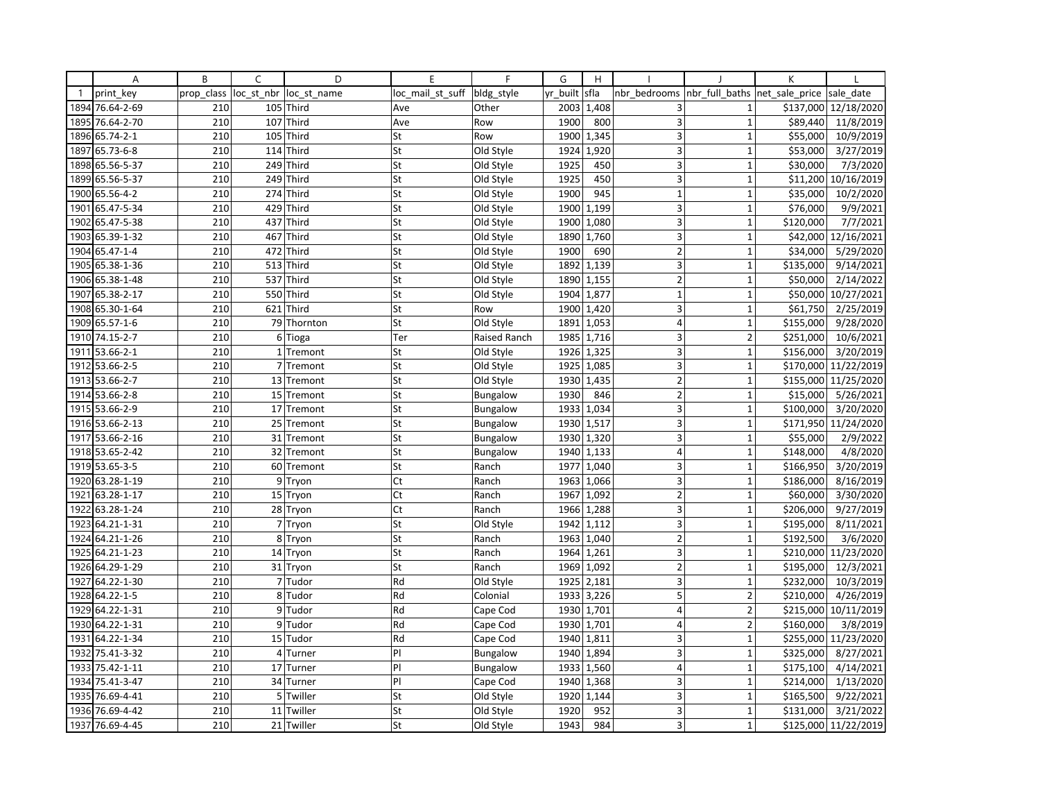|              | Α               | B          | C              | D           | E                | $\mathsf{F}$    | G        | H          |                         |                | K              |                       |
|--------------|-----------------|------------|----------------|-------------|------------------|-----------------|----------|------------|-------------------------|----------------|----------------|-----------------------|
| $\mathbf{1}$ | print key       | prop class | loc st nbr     | loc st name | loc mail st suff | bldg style      | yr built | sfla       | nbr bedrooms            | nbr full baths | net sale price | sale date             |
| 1894         | 76.64-2-69      | 210        | 105            | Third       | Ave              | Other           | 2003     | 1,408      | 3                       | $\mathbf{1}$   | \$137,000      | 12/18/2020            |
| 1895         | 76.64-2-70      | 210        | 107            | Third       | Ave              | Row             | 1900     | 800        | $\overline{3}$          | $\mathbf{1}$   | \$89,440       | 11/8/2019             |
| 1896         | 65.74-2-1       | 210        | 105            | Third       | St               | Row             | 1900     | 1,345      | $\overline{3}$          | $\mathbf{1}$   | \$55,000       | 10/9/2019             |
| 1897         | 65.73-6-8       | 210        | 114            | Third       | St               | Old Style       | 1924     | 1.920      | 3                       | $\mathbf{1}$   | \$53,000       | 3/27/2019             |
|              | 1898 65.56-5-37 | 210        | 249            | Third       | St               | Old Style       | 1925     | 450        | 3                       | $\mathbf{1}$   | \$30,000       | 7/3/2020              |
| 1899         | 65.56-5-37      | 210        | 249            | Third       | St               | Old Style       | 1925     | 450        | 3                       | $\mathbf{1}$   | \$11,200       | 10/16/2019            |
| 1900         | 65.56-4-2       | 210        | 274            | Third       | St               | Old Style       | 1900     | 945        | $\mathbf{1}$            | $\mathbf{1}$   | \$35,000       | 10/2/2020             |
| 1901         | 65.47-5-34      | 210        | 429            | Third       | St               | Old Style       | 1900     | 1,199      | 3                       | $\mathbf{1}$   | \$76,000       | 9/9/2021              |
| 1902         | 65.47-5-38      | 210        | 437            | Third       | St               | Old Style       | 1900     | 1,080      | 3                       | $\mathbf{1}$   | \$120,000      | 7/7/2021              |
| 1903         | 65.39-1-32      | 210        | 467            | Third       | St               | Old Style       | 1890     | 1,760      | $\overline{3}$          | $\overline{1}$ | \$42,000       | 12/16/2021            |
|              | 1904 65.47-1-4  | 210        | 472            | Third       | St               | Old Style       | 1900     | 690        | $\overline{2}$          | $\mathbf{1}$   | \$34,000       | 5/29/2020             |
|              | 1905 65.38-1-36 | 210        | 513            | Third       | St               | Old Style       | 1892     | 1,139      | 3                       | $\mathbf{1}$   | \$135,000      | 9/14/2021             |
| 1906         | 65.38-1-48      | 210        | 537            | Third       | St               | Old Style       | 1890     | 1,155      | $\overline{2}$          | $\mathbf{1}$   | \$50,000       | 2/14/2022             |
| 1907         | 65.38-2-17      | 210        | 550            | Third       | St               | Old Style       | 1904     | 1,877      | $\mathbf 1$             | $\mathbf 1$    | \$50,000       | 10/27/2021            |
|              | 1908 65.30-1-64 | 210        | 621            | Third       | St               | Row             | 1900     | 1,420      | 3                       | $\mathbf{1}$   | \$61,750       | 2/25/2019             |
| 1909         | 65.57-1-6       | 210        | 79             | Thornton    | St               | Old Style       | 1891     | 1,053      | $\overline{4}$          | $\mathbf{1}$   | \$155,000      | 9/28/2020             |
|              | 1910 74.15-2-7  | 210        | 6 <sup>1</sup> | Tioga       | Ter              | Raised Ranch    | 1985     | 1,716      | 3 <sup>1</sup>          | $\overline{2}$ | \$251,000      | 10/6/2021             |
| 1911         | 53.66-2-1       | 210        | 1 <sup>1</sup> | Tremont     | St               | Old Style       | 1926     | 1,325      | $\overline{3}$          | $\mathbf{1}$   | \$156,000      | 3/20/2019             |
| 1912         | 53.66-2-5       | 210        | $\overline{7}$ | Tremont     | St               | Old Style       | 1925     | 1,085      | $\overline{\mathbf{3}}$ | $\mathbf{1}$   | \$170,000      | 11/22/2019            |
|              | 1913 53.66-2-7  | 210        |                | 13 Tremont  | St               | Old Style       |          | 1930 1,435 | $\overline{2}$          | $\mathbf{1}$   |                | \$155,000 11/25/2020  |
|              | 1914 53.66-2-8  | 210        | 15             | Tremont     | St               | <b>Bungalow</b> | 1930     | 846        | $\overline{2}$          | $\mathbf{1}$   | \$15,000       | 5/26/2021             |
|              | 1915 53.66-2-9  | 210        |                | 17 Tremont  | St               | <b>Bungalow</b> | 1933     | 1,034      | 3 <sup>1</sup>          | $\mathbf{1}$   | \$100,000      | 3/20/2020             |
|              | 1916 53.66-2-13 | 210        | 25             | Tremont     | St               | <b>Bungalow</b> | 1930     | 1,517      | 3                       | $\mathbf{1}$   | \$171,950      | 11/24/2020            |
| 1917         | 53.66-2-16      | 210        | 31             | Tremont     | St               | <b>Bungalow</b> | 1930     | 1,320      | 3                       | $\mathbf 1$    | \$55,000       | 2/9/2022              |
|              | 1918 53.65-2-42 | 210        | 32             | Tremont     | St               | <b>Bungalow</b> |          | 1940 1,133 | $\vert 4 \vert$         | $\mathbf 1$    | \$148,000      | 4/8/2020              |
| 1919         | 53.65-3-5       | 210        | 60             | Tremont     | St               | Ranch           | 1977     | 1,040      | 3                       | $\mathbf{1}$   | \$166,950      | 3/20/2019             |
| 1920         | 63.28-1-19      | 210        | 9              | Tryon       | Ct               | Ranch           | 1963     | 1,066      | 3                       | $\mathbf{1}$   | \$186,000      | 8/16/2019             |
| 1921         | 63.28-1-17      | 210        |                | 15 Tryon    | Ct               | Ranch           | 1967     | 1,092      | $\overline{2}$          | $\mathbf{1}$   | \$60,000       | 3/30/2020             |
| 1922         | 63.28-1-24      | 210        | 28             | Tryon       | Ct               | Ranch           | 1966     | 1,288      | $\overline{3}$          | $\mathbf{1}$   | \$206,000      | 9/27/2019             |
| 1923         | 64.21-1-31      | 210        |                | 7 Tryon     | St               | Old Style       | 1942     | 1,112      | 3                       | $\mathbf{1}$   | \$195,000      | 8/11/2021             |
| 1924         | 64.21-1-26      | 210        | 8              | Tryon       | St               | Ranch           | 1963     | 1,040      | $\overline{2}$          | $\mathbf{1}$   | \$192,500      | $\frac{1}{3}$ /6/2020 |
| 1925         | 64.21-1-23      | 210        | 14             | Tryon       | St               | Ranch           | 1964     | 1,261      | 3                       | $\mathbf{1}$   | \$210,000      | 11/23/2020            |
| 1926         | 64.29-1-29      | 210        | 31             | Tryon       | St               | Ranch           | 1969     | 1,092      | $\overline{2}$          | $\mathbf{1}$   | \$195,000      | 12/3/2021             |
| 1927         | 64.22-1-30      | 210        | $\overline{7}$ | Tudor       | Rd               | Old Style       | 1925     | 2,181      | $\overline{3}$          | $\mathbf{1}$   | \$232,000      | 10/3/2019             |
| 1928         | 64.22-1-5       | 210        | 8              | Tudor       | Rd               | Colonial        | 1933     | 3,226      | 5                       | $\overline{2}$ | \$210,000      | 4/26/2019             |
| 1929         | 64.22-1-31      | 210        | 9              | Tudor       | Rd               | Cape Cod        |          | 1930 1,701 | $\overline{4}$          | $\overline{2}$ | \$215,000      | 10/11/2019            |
| 1930         | 64.22-1-31      | 210        | $\overline{9}$ | Tudor       | Rd               | Cape Cod        | 1930     | 1,701      | $\overline{4}$          | $\overline{2}$ | \$160,000      | 3/8/2019              |
| 1931         | 64.22-1-34      | 210        | 15             | Tudor       | Rd               | Cape Cod        | 1940     | 1,811      | 3                       | $\mathbf{1}$   | \$255,000      | 11/23/2020            |
| 1932         | 75.41-3-32      | 210        | 4              | Turner      | P                | <b>Bungalow</b> | 1940     | 1,894      | $\overline{3}$          | $\mathbf{1}$   | \$325,000      | 8/27/2021             |
| 1933         | 75.42-1-11      | 210        | 17             | Turner      | P                | Bungalow        | 1933     | 1,560      | $\overline{4}$          | $\mathbf{1}$   | \$175,100      | 4/14/2021             |
| 1934         | 75.41-3-47      | 210        | 34             | Turner      | PI               | Cape Cod        | 1940     | 1,368      | 3                       | $\mathbf 1$    | \$214,000      | 1/13/2020             |
| 1935         | 76.69-4-41      | 210        | 5              | Twiller     | St               | Old Style       | 1920     | 1,144      | 3 <sup>1</sup>          | $\mathbf{1}$   | \$165,500      | 9/22/2021             |
|              | 1936 76.69-4-42 | 210        | 11             | Twiller     | St               | Old Style       | 1920     | 952        | 3 <sup>1</sup>          | $1\,$          | \$131,000      | 3/21/2022             |
|              | 1937 76.69-4-45 | 210        |                | 21 Twiller  | St               | Old Style       | 1943     | 984        | $\overline{3}$          | $\mathbf{1}$   |                | \$125,000 11/22/2019  |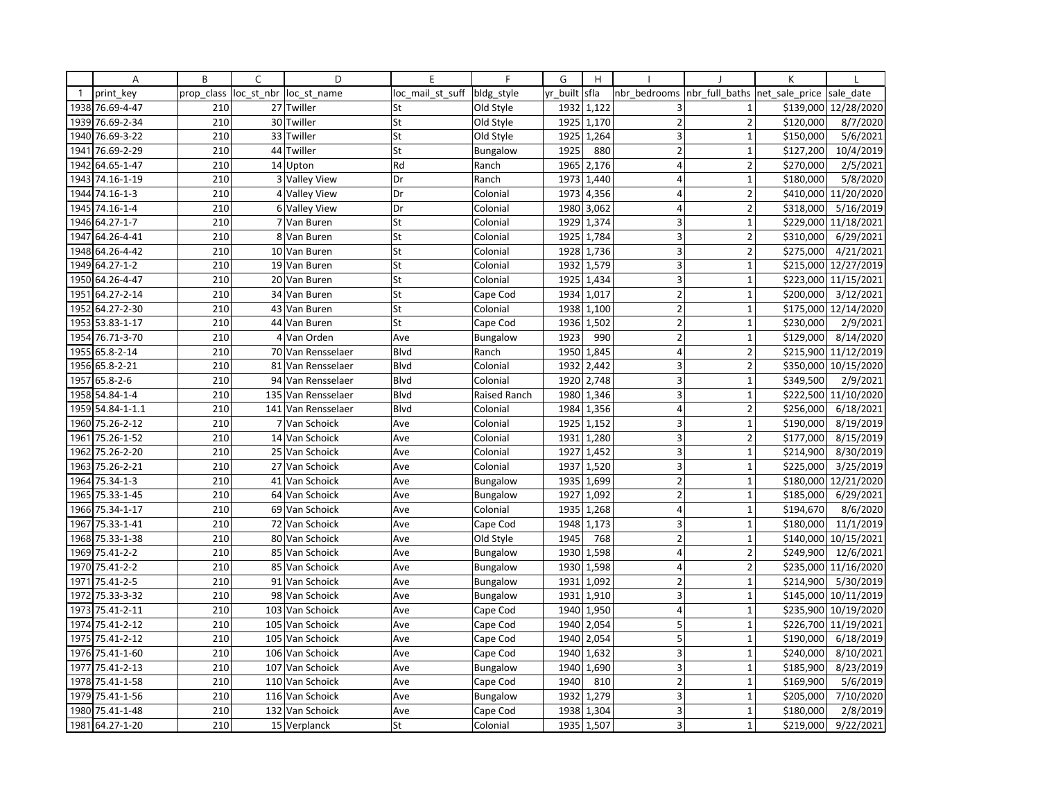|              | Α               | B          | C              | D                  | E                | $\mathsf{F}$    | G        | H                       |                         |                                | K         |                      |
|--------------|-----------------|------------|----------------|--------------------|------------------|-----------------|----------|-------------------------|-------------------------|--------------------------------|-----------|----------------------|
| $\mathbf{1}$ | print key       | prop class | loc_st_nbr     | loc st name        | loc mail st suff | bldg style      | yr built | sfla                    | nbr bedrooms            | nbr_full_baths  net_sale_price |           | sale date            |
| 1938         | 76.69-4-47      | 210        |                | 27 Twiller         | St               | Old Style       |          | 1932 1,122              | 3                       | $\mathbf{1}$                   | \$139,000 | 12/28/2020           |
| 1939         | 76.69-2-34      | 210        | 30             | Twiller            | St               | Old Style       | 1925     | 1,170                   | $\overline{2}$          | $\overline{2}$                 | \$120,000 | 8/7/2020             |
| 1940         | 76.69-3-22      | 210        | 33             | Twiller            | St               | Old Style       | 1925     | 1,264                   | 3                       | $\mathbf{1}$                   | \$150,000 | 5/6/2021             |
| 1941         | 76.69-2-29      | 210        | 44             | Twiller            | St               | <b>Bungalow</b> | 1925     | 880                     | $\overline{2}$          | $\mathbf{1}$                   | \$127,200 | 10/4/2019            |
| 1942         | 64.65-1-47      | 210        |                | 14 Upton           | Rd               | Ranch           | 1965     | 2,176                   | $\overline{4}$          | $\overline{2}$                 | \$270,000 | 2/5/2021             |
| 1943         | 74.16-1-19      | 210        | 3              | <b>Valley View</b> | Dr               | Ranch           | 1973     | 1,440                   | $\overline{4}$          | $\mathbf{1}$                   | \$180,000 | 5/8/2020             |
| 1944         | 74.16-1-3       | 210        |                | 4 Valley View      | Dr               | Colonial        | 1973     | 4,356                   | $\overline{4}$          | $\overline{2}$                 |           | \$410,000 11/20/2020 |
| 1945         | 74.16-1-4       | 210        |                | 6 Valley View      | Dr               | Colonial        | 1980     | 3,062                   | $\overline{\mathbf{4}}$ | $\overline{2}$                 | \$318,000 | 5/16/2019            |
|              | 1946 64.27-1-7  | 210        |                | 7 Van Buren        | St               | Colonial        |          | 1929 1,374              | 3                       | $\mathbf 1$                    | \$229,000 | 11/18/2021           |
| 1947         | 64.26-4-41      | 210        | 8              | Van Buren          | St               | Colonial        | 1925     | 1,784                   | 3                       | $\overline{2}$                 | \$310,000 | 6/29/2021            |
| 1948         | 64.26-4-42      | 210        |                | 10 Van Buren       | St               | Colonial        | 1928     | 1,736                   | 3                       | $\overline{2}$                 | \$275,000 | 4/21/2021            |
| 1949         | 64.27-1-2       | 210        |                | 19 Van Buren       | St               | Colonial        | 1932     | 1,579                   | 3                       | $\mathbf{1}$                   |           | \$215,000 12/27/2019 |
| 1950         | 64.26-4-47      | 210        |                | 20 Van Buren       | St               | Colonial        | 1925     | 1,434                   | $\overline{\mathbf{3}}$ | $\mathbf{1}$                   |           | \$223,000 11/15/2021 |
| 1951         | 64.27-2-14      | 210        | 34             | Van Buren          | St               | Cape Cod        | 1934     | 1,017                   | $\mathbf 2$             | $\mathbf 1$                    | \$200,000 | 3/12/2021            |
| 1952         | 64.27-2-30      | 210        | 43             | Van Buren          | St               | Colonial        | 1938     | 1,100                   | $\overline{2}$          | $\mathbf{1}$                   | \$175,000 | 12/14/2020           |
| 1953         | 53.83-1-17      | 210        |                | 44 Van Buren       | St               | Cape Cod        | 1936     | 1,502                   | $\overline{2}$          | $\mathbf{1}$                   | \$230,000 | 2/9/2021             |
|              | 1954 76.71-3-70 | 210        | 4              | Van Orden          | Ave              | Bungalow        | 1923     | 990                     | $\overline{2}$          | $\mathbf{1}$                   | \$129,000 | 8/14/2020            |
| 1955         | 65.8-2-14       | 210        |                | 70 Van Rensselaer  | Blvd             | Ranch           | 1950     | 1,845                   | $\overline{4}$          | $\overline{2}$                 | \$215,900 | 11/12/2019           |
| 1956         | 65.8-2-21       | 210        | 81             | Van Rensselaer     | Blvd             | Colonial        | 1932     | 2,442                   | $\overline{\mathbf{3}}$ | $\overline{2}$                 | \$350,000 | 10/15/2020           |
| 1957         | $65.8 - 2 - 6$  | 210        |                | 94 Van Rensselaer  | Blvd             | Colonial        | 1920     | 2,748                   | 3                       | $\mathbf{1}$                   | \$349,500 | 2/9/2021             |
| 1958         | 54.84-1-4       | 210        | 135            | Van Rensselaer     | Blvd             | Raised Ranch    | 1980     | 1,346                   | $\overline{\mathbf{3}}$ | $\mathbf{1}$                   |           | \$222,500 11/10/2020 |
| 1959         | 54.84-1-1.1     | 210        |                | 141 Van Rensselaer | Blvd             | Colonial        | 1984     | 1,356                   | $\overline{4}$          | $\overline{2}$                 | \$256,000 | 6/18/2021            |
| 1960         | 75.26-2-12      | 210        | $\overline{7}$ | Van Schoick        | Ave              | Colonial        | 1925     | 1,152                   | 3                       | $\mathbf{1}$                   | \$190,000 | 8/19/2019            |
| 1961         | 75.26-1-52      | 210        |                | 14 Van Schoick     | Ave              | Colonial        | 1931     | 1,280                   | 3                       | $\overline{2}$                 | \$177,000 | 8/15/2019            |
| 1962         | 75.26-2-20      | 210        |                | 25 Van Schoick     | Ave              | Colonial        | 1927     | 1,452                   | $\overline{\mathbf{3}}$ | $\mathbf 1$                    | \$214,900 | 8/30/2019            |
| 1963         | 75.26-2-21      | 210        |                | 27 Van Schoick     | Ave              | Colonial        | 1937     | 1,520                   | 3                       | $\mathbf{1}$                   | \$225,000 | 3/25/2019            |
| 1964         | 75.34-1-3       | 210        |                | 41 Van Schoick     | Ave              | <b>Bungalow</b> | 1935     | 1,699                   | $\overline{2}$          | $\mathbf 1$                    | \$180,000 | 12/21/2020           |
| 1965         | 75.33-1-45      | 210        |                | 64 Van Schoick     | Ave              | <b>Bungalow</b> | 1927     | 1,092                   | $\overline{2}$          | $\mathbf{1}$                   | \$185,000 | 6/29/2021            |
| 1966         | 75.34-1-17      | 210        |                | 69 Van Schoick     | Ave              | Colonial        | 1935     | 1,268                   | $\overline{4}$          | $\mathbf{1}$                   | \$194,670 | 8/6/2020             |
| 1967         | 75.33-1-41      | 210        |                | 72 Van Schoick     | Ave              | Cape Cod        | 1948     | 1,173                   | 3                       | $\mathbf{1}$                   | \$180,000 | 11/1/2019            |
| 1968         | 75.33-1-38      | 210        | 80             | Van Schoick        | Ave              | Old Style       | 1945     | 768                     | $\overline{2}$          | $\mathbf{1}$                   | \$140,000 | 10/15/2021           |
| 1969         | 75.41-2-2       | 210        | 85             | Van Schoick        | Ave              | <b>Bungalow</b> | 1930     | 1,598                   | $\overline{4}$          | $\overline{2}$                 | \$249,900 | 12/6/2021            |
| 1970         | 75.41-2-2       | 210        | 85             | Van Schoick        | Ave              | <b>Bungalow</b> |          | $\overline{1930}$ 1,598 | $\overline{4}$          | $\overline{2}$                 |           | \$235,000 11/16/2020 |
| 1971         | 75.41-2-5       | 210        |                | 91 Van Schoick     | Ave              | <b>Bungalow</b> | 1931     | 1,092                   | $\overline{2}$          | $\mathbf{1}$                   | \$214,900 | 5/30/2019            |
| 1972         | 75.33-3-32      | 210        | 98             | Van Schoick        | Ave              | <b>Bungalow</b> | 1931     | 1,910                   | 3                       | $\mathbf 1$                    | \$145,000 | 10/11/2019           |
| 1973         | 75.41-2-11      | 210        |                | 103 Van Schoick    | Ave              | Cape Cod        |          | 1940 1,950              | $\overline{4}$          | $\mathbf{1}$                   | \$235,900 | 10/19/2020           |
| 1974         | 75.41-2-12      | 210        | 105            | Van Schoick        | Ave              | Cape Cod        | 1940     | 2,054                   | 5                       | $\mathbf{1}$                   |           | \$226,700 11/19/2021 |
|              | 1975 75.41-2-12 | 210        |                | 105 Van Schoick    | Ave              | Cape Cod        | 1940     | 2,054                   | 5                       | $\mathbf{1}$                   | \$190,000 | 6/18/2019            |
| 1976         | 75.41-1-60      | 210        | 106            | Van Schoick        | Ave              | Cape Cod        | 1940     | 1,632                   | $\overline{3}$          | $\mathbf{1}$                   | \$240,000 | 8/10/2021            |
| 1977         | 75.41-2-13      | 210        | 107            | Van Schoick        | Ave              | Bungalow        | 1940     | 1,690                   | 3                       | $\mathbf{1}$                   | \$185,900 | 8/23/2019            |
| 1978         | 75.41-1-58      | 210        |                | 110 Van Schoick    | Ave              | Cape Cod        | 1940     | 810                     | $\overline{2}$          | $\mathbf 1$                    | \$169,900 | 5/6/2019             |
| 1979         | 75.41-1-56      | 210        | 116            | Van Schoick        | Ave              | <b>Bungalow</b> | 1932     | 1,279                   | 3                       | $\mathbf{1}$                   | \$205,000 | 7/10/2020            |
| 1980         | 75.41-1-48      | 210        |                | 132 Van Schoick    | Ave              | Cape Cod        | 1938     | 1,304                   | 3 <sup>1</sup>          | $1\,$                          | \$180,000 | 2/8/2019             |
|              | 1981 64.27-1-20 | 210        |                | 15 Verplanck       | St               | Colonial        |          | 1935 1,507              | $\overline{\mathbf{3}}$ | $\mathbf{1}$                   | \$219,000 | 9/22/2021            |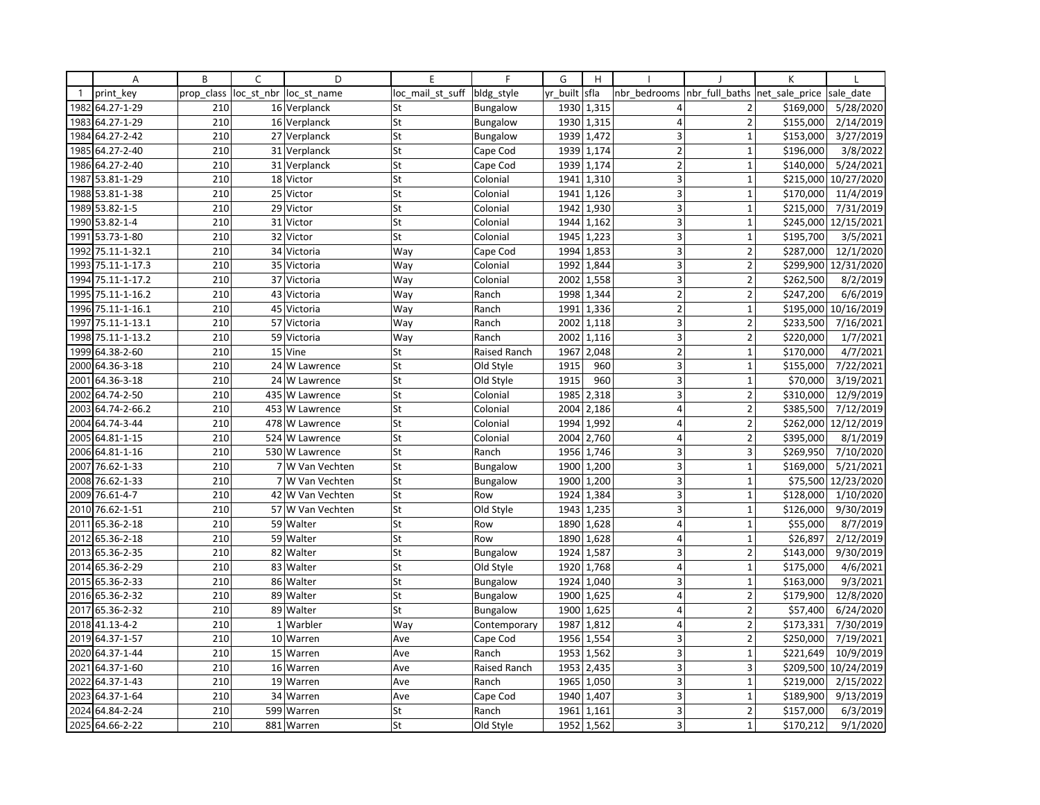|              | Α               | B          | C          | D                | E                | F            | G        | H          |                         |                | K              |            |
|--------------|-----------------|------------|------------|------------------|------------------|--------------|----------|------------|-------------------------|----------------|----------------|------------|
| $\mathbf{1}$ | print key       | prop_class | loc_st_nbr | loc st name      | loc mail st suff | bldg style   | yr built | sfla       | nbr bedrooms            | nbr full baths | net sale price | sale date  |
| 1982         | 64.27-1-29      | 210        |            | 16 Verplanck     | St               | Bungalow     | 1930     | 1,315      | 4                       | $\overline{2}$ | \$169,000      | 5/28/2020  |
| 1983         | 64.27-1-29      | 210        |            | 16 Verplanck     | St               | Bungalow     | 1930     | 1,315      | $\overline{4}$          | $\overline{2}$ | \$155,000      | 2/14/2019  |
| 1984         | 64.27-2-42      | 210        |            | 27 Verplanck     | St               | Bungalow     | 1939     | 1,472      | 3                       | $\mathbf{1}$   | \$153,000      | 3/27/2019  |
| 1985         | 64.27-2-40      | 210        |            | 31 Verplanck     | St               | Cape Cod     |          | 1939 1,174 | $\overline{2}$          | $\mathbf 1$    | \$196,000      | 3/8/2022   |
| 1986         | 64.27-2-40      | 210        |            | 31 Verplanck     | St               | Cape Cod     | 1939     | 1,174      | $\overline{2}$          | $\overline{1}$ | \$140,000      | 5/24/2021  |
| 1987         | 53.81-1-29      | 210        |            | 18 Victor        | St               | Colonial     | 1941     | 1,310      | 3                       | $\mathbf{1}$   | \$215,000      | 10/27/2020 |
| 1988         | 53.81-1-38      | 210        | 25         | Victor           | St               | Colonial     | 1941     | 1,126      | $\overline{3}$          | $\mathbf{1}$   | \$170,000      | 11/4/2019  |
| 1989         | 53.82-1-5       | 210        |            | 29 Victor        | St               | Colonial     | 1942     | 1,930      | 3                       | $\mathbf{1}$   | \$215,000      | 7/31/2019  |
|              | 1990 53.82-1-4  | 210        | 31         | Victor           | St               | Colonial     | 1944     | 1,162      | 3                       | $\mathbf{1}$   | \$245,000      | 12/15/2021 |
| 1991         | 53.73-1-80      | 210        |            | 32 Victor        | St               | Colonial     | 1945     | 1,223      | 3                       | 1              | \$195,700      | 3/5/2021   |
| 1992         | 75.11-1-32.1    | 210        | 34         | Victoria         | Way              | Cape Cod     | 1994     | 1,853      | 3                       | $\overline{2}$ | \$287,000      | 12/1/2020  |
| 1993         | 75.11-1-17.3    | 210        |            | 35 Victoria      | Way              | Colonial     | 1992     | 1,844      | 3                       | $\overline{2}$ | \$299,900      | 12/31/2020 |
| 1994         | 75.11-1-17.2    | 210        | 37         | Victoria         | Way              | Colonial     | 2002     | 1,558      | $\overline{\mathbf{3}}$ | $\overline{2}$ | \$262,500      | 8/2/2019   |
| 1995         | 75.11-1-16.2    | 210        | 43         | Victoria         | Way              | Ranch        | 1998     | 1,344      | $\overline{2}$          | $\overline{2}$ | \$247,200      | 6/6/2019   |
| 1996         | 75.11-1-16.1    | 210        | 45         | Victoria         | Way              | Ranch        | 1991     | 1,336      | $\overline{2}$          | $\overline{1}$ | \$195,000      | 10/16/2019 |
| 1997         | 75.11-1-13.1    | 210        |            | 57 Victoria      | Way              | Ranch        | 2002     | 1,118      | 3                       | $\overline{2}$ | \$233,500      | 7/16/2021  |
| 1998         | 75.11-1-13.2    | 210        |            | 59 Victoria      | Way              | Ranch        | 2002     | 1,116      | $\overline{\mathbf{3}}$ | $\overline{2}$ | \$220,000      | 1/7/2021   |
| 1999         | 64.38-2-60      | 210        |            | 15 Vine          | St               | Raised Ranch | 1967     | 2,048      | $\overline{2}$          | $\overline{1}$ | \$170,000      | 4/7/2021   |
| 2000         | 64.36-3-18      | 210        |            | 24 W Lawrence    | St               | Old Style    | 1915     | 960        | 3                       | $\mathbf{1}$   | \$155,000      | 7/22/2021  |
| 2001         | 64.36-3-18      | 210        |            | 24 W Lawrence    | St               | Old Style    | 1915     | 960        | 3                       | $\mathbf{1}$   | \$70,000       | 3/19/2021  |
| 2002         | 64.74-2-50      | 210        | 435        | W Lawrence       | St               | Colonial     | 1985     | 2,318      | $\overline{\mathbf{3}}$ | $\overline{2}$ | \$310,000      | 12/9/2019  |
| 2003         | 64.74-2-66.2    | 210        |            | 453 W Lawrence   | St               | Colonial     | 2004     | 2,186      | 4                       | $\overline{2}$ | \$385,500      | 7/12/2019  |
| 2004         | 64.74-3-44      | 210        | 478        | W Lawrence       | St               | Colonial     | 1994     | 1,992      | $\overline{4}$          | $\overline{2}$ | \$262,000      | 12/12/2019 |
| 2005         | 64.81-1-15      | 210        |            | 524 W Lawrence   | St               | Colonial     | 2004     | 2,760      | $\overline{4}$          | $\overline{2}$ | \$395,000      | 8/1/2019   |
| 2006         | 64.81-1-16      | 210        |            | 530 W Lawrence   | St               | Ranch        | 1956     | 1,746      | 3                       | 3              | \$269,950      | 7/10/2020  |
| 2007         | 76.62-1-33      | 210        |            | 7 W Van Vechten  | St               | Bungalow     | 1900     | 1,200      | $\overline{3}$          | $\overline{1}$ | \$169,000      | 5/21/2021  |
| 2008         | 76.62-1-33      | 210        |            | 7 W Van Vechten  | St               | Bungalow     | 1900     | 1,200      | 3                       | $\mathbf{1}$   | \$75,500       | 12/23/2020 |
| 2009         | 76.61-4-7       | 210        | 42         | W Van Vechten    | St               | Row          | 1924     | 1,384      | 3                       | $\overline{1}$ | \$128,000      | 1/10/2020  |
| 2010         | 76.62-1-51      | 210        |            | 57 W Van Vechten | St               | Old Style    | 1943     | 1,235      | 3                       | $\mathbf{1}$   | \$126,000      | 9/30/2019  |
| 2011         | 65.36-2-18      | 210        |            | 59 Walter        | St               | Row          | 1890     | 1,628      | $\overline{4}$          | $\overline{1}$ | \$55,000       | 8/7/2019   |
| 2012         | 65.36-2-18      | 210        |            | 59 Walter        | St               | Row          | 1890     | 1,628      | $\overline{4}$          | 1              | \$26,897       | 2/12/2019  |
| 2013         | 65.36-2-35      | 210        |            | 82 Walter        | St               | Bungalow     | 1924     | 1,587      | 3                       | $\overline{2}$ | \$143,000      | 9/30/2019  |
|              | 2014 65.36-2-29 | 210        |            | 83 Walter        | St               | Old Style    | 1920     | 1,768      | $\overline{4}$          | $\mathbf{1}$   | \$175,000      | 4/6/2021   |
|              | 2015 65.36-2-33 | 210        |            | 86 Walter        | St               | Bungalow     | 1924     | 1,040      | 3                       | $\mathbf{1}$   | \$163,000      | 9/3/2021   |
|              | 2016 65.36-2-32 | 210        |            | 89 Walter        | St               | Bungalow     | 1900     | 1,625      | $\overline{4}$          | $\overline{2}$ | \$179,900      | 12/8/2020  |
| 2017         | 65.36-2-32      | 210        |            | 89 Walter        | St               | Bungalow     | 1900     | 1,625      | $\overline{4}$          | $\overline{2}$ | \$57,400       | 6/24/2020  |
| 2018         | 41.13-4-2       | 210        |            | 1 Warbler        | Way              | Contemporary | 1987     | 1,812      | 4                       | $\overline{2}$ | \$173,331      | 7/30/2019  |
| 2019         | 64.37-1-57      | 210        |            | 10 Warren        | Ave              | Cape Cod     | 1956     | 1,554      | 3 <sup>1</sup>          | $\overline{2}$ | \$250,000      | 7/19/2021  |
| 2020         | 64.37-1-44      | 210        |            | 15 Warren        | Ave              | Ranch        | 1953     | 1,562      | $\overline{3}$          | $\overline{1}$ | \$221,649      | 10/9/2019  |
| 2021         | 64.37-1-60      | 210        |            | 16 Warren        | Ave              | Raised Ranch | 1953     | 2,435      | 3                       | 3              | \$209,500      | 10/24/2019 |
| 2022         | 64.37-1-43      | 210        |            | 19 Warren        | Ave              | Ranch        | 1965     | 1,050      | 3                       | $\mathbf 1$    | \$219,000      | 2/15/2022  |
| 2023         | 64.37-1-64      | 210        | 34         | Warren           | Ave              | Cape Cod     | 1940     | 1,407      | $\overline{\mathbf{3}}$ | $\mathbf{1}$   | \$189,900      | 9/13/2019  |
|              | 2024 64.84-2-24 | 210        |            | 599 Warren       | St               | Ranch        | 1961     | 1,161      | 3                       | $\overline{2}$ | \$157,000      | 6/3/2019   |
|              | 2025 64.66-2-22 | 210        |            | 881 Warren       | St               | Old Style    | 1952     | 1,562      | $\overline{3}$          | $\mathbf{1}$   | \$170,212      | 9/1/2020   |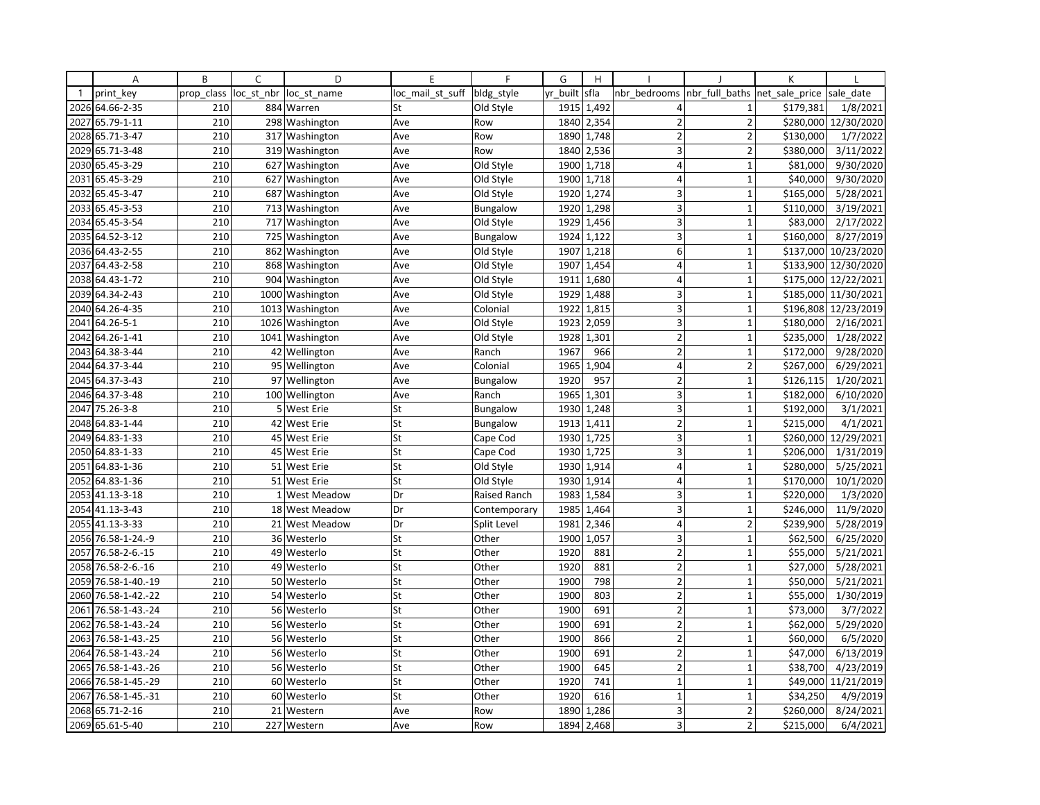|              | A               | B          | $\mathsf{C}$   | D                | E                | F               | G        | H          |                         |                               | K         |                        |
|--------------|-----------------|------------|----------------|------------------|------------------|-----------------|----------|------------|-------------------------|-------------------------------|-----------|------------------------|
| $\mathbf{1}$ | print key       | prop class | loc st nbr     | loc st name      | loc mail st suff | bldg_style      | yr built | sfla       | nbr bedrooms            | nbr full baths net sale price |           | sale date              |
| 2026         | 64.66-2-35      | 210        |                | 884 Warren       | St               | Old Style       | 1915     | 1,492      | $\overline{4}$          | $\mathbf{1}$                  | \$179,381 | 1/8/2021               |
| 2027         | 65.79-1-11      | 210        |                | 298 Washington   | Ave              | Row             | 1840     | 2,354      | $\overline{2}$          | $\overline{2}$                | \$280,000 | $\frac{1}{2}$ /30/2020 |
| 2028         | 65.71-3-47      | 210        |                | 317 Washington   | Ave              | Row             | 1890     | 1,748      | $\overline{2}$          | $\overline{2}$                | \$130,000 | 1/7/2022               |
| 2029         | 65.71-3-48      | 210        |                | 319 Washington   | Ave              | Row             | 1840     | 2,536      | $\overline{\mathbf{3}}$ | $\overline{2}$                | \$380,000 | 3/11/2022              |
| 2030         | 65.45-3-29      | 210        |                | 627 Washington   | Ave              | Old Style       | 1900     | 1,718      | $\overline{4}$          | $\mathbf{1}$                  | \$81,000  | 9/30/2020              |
| 2031         | 65.45-3-29      | 210        |                | 627 Washington   | Ave              | Old Style       | 1900     | 1,718      | $\overline{4}$          | $\mathbf 1$                   | \$40,000  | 9/30/2020              |
| 2032         | 65.45-3-47      | 210        |                | 687 Washington   | Ave              | Old Style       |          | 1920 1,274 | 3                       | $\mathbf{1}$                  | \$165,000 | 5/28/2021              |
| 2033         | 65.45-3-53      | 210        |                | 713 Washington   | Ave              | <b>Bungalow</b> | 1920     | 1,298      | 3 <sup>1</sup>          | $\mathbf{1}$                  | \$110,000 | 3/19/2021              |
|              | 2034 65.45-3-54 | 210        |                | 717 Washington   | Ave              | Old Style       |          | 1929 1,456 | 3                       | $\mathbf{1}$                  | \$83,000  | 2/17/2022              |
| 2035         | 64.52-3-12      | 210        | 725            | Washington       | Ave              | Bungalow        | 1924     | 1,122      | 3                       | $\mathbf{1}$                  | \$160,000 | 8/27/2019              |
| 2036         | 64.43-2-55      | 210        | 862            | Washington       | Ave              | Old Style       | 1907     | 1,218      | 6 <sup>1</sup>          | $\mathbf{1}$                  | \$137,000 | 10/23/2020             |
| 2037         | 64.43-2-58      | 210        |                | 868 Washington   | Ave              | Old Style       | 1907     | 1,454      | $\overline{\mathbf{4}}$ | $\mathbf{1}$                  |           | \$133,900 12/30/2020   |
|              | 2038 64.43-1-72 | 210        |                | 904 Washington   | Ave              | Old Style       | 1911     | 1,680      | 4                       | $\mathbf{1}$                  |           | \$175,000 12/22/2021   |
| 2039         | 64.34-2-43      | 210        | 1000           | Washington       | Ave              | Old Style       | 1929     | 1,488      | 3                       | $\mathbf 1$                   | \$185,000 | 11/30/2021             |
|              | 2040 64.26-4-35 | 210        |                | 1013 Washington  | Ave              | Colonial        | 1922     | 1,815      | 3                       | $\mathbf{1}$                  |           | \$196,808 12/23/2019   |
| 2041         | 64.26-5-1       | 210        | 1026           | Washington       | Ave              | Old Style       | 1923     | 2,059      | 3                       | $\mathbf{1}$                  | \$180,000 | 2/16/2021              |
| 2042         | 64.26-1-41      | 210        |                | 1041 Washington  | Ave              | Old Style       | 1928     | 1,301      | $\overline{2}$          | $\mathbf 1$                   | \$235,000 | 1/28/2022              |
| 2043         | 64.38-3-44      | 210        | 42             | Wellington       | Ave              | Ranch           | 1967     | 966        | $\overline{2}$          | $\mathbf{1}$                  | \$172,000 | 9/28/2020              |
| 2044         | 64.37-3-44      | 210        |                | 95 Wellington    | Ave              | Colonial        | 1965     | 1,904      | $\overline{4}$          | $\overline{2}$                | \$267,000 | 6/29/2021              |
|              | 2045 64.37-3-43 | 210        |                | 97 Wellington    | Ave              | Bungalow        | 1920     | 957        | $\overline{2}$          | $\mathbf{1}$                  | \$126,115 | 1/20/2021              |
| 2046         | 64.37-3-48      | 210        |                | 100 Wellington   | Ave              | Ranch           | 1965     | 1,301      | $\overline{\mathbf{3}}$ | $\mathbf{1}$                  | \$182,000 | 6/10/2020              |
| 2047         | 75.26-3-8       | 210        | 5 <sub>l</sub> | <b>West Erie</b> | St               | <b>Bungalow</b> | 1930     | 1,248      | 3                       | $\mathbf{1}$                  | \$192,000 | 3/1/2021               |
| 2048         | 64.83-1-44      | 210        | 42             | <b>West Erie</b> | St               | Bungalow        | 1913     | 1,411      | $\overline{2}$          | $\mathbf{1}$                  | \$215,000 | 4/1/2021               |
| 2049         | 64.83-1-33      | 210        |                | 45 West Erie     | St               | Cape Cod        | 1930     | 1,725      | 3                       | $\mathbf{1}$                  | \$260,000 | 12/29/2021             |
| 2050         | 64.83-1-33      | 210        |                | 45 West Erie     | St               | Cape Cod        | 1930     | 1,725      | $\overline{3}$          | $\mathbf 1$                   | \$206,000 | 1/31/2019              |
| 2051         | 64.83-1-36      | 210        |                | 51 West Erie     | St               | Old Style       | 1930     | 1,914      | $\overline{4}$          | $\overline{1}$                | \$280,000 | 5/25/2021              |
| 2052         | 64.83-1-36      | 210        |                | 51 West Erie     | St               | Old Style       | 1930     | 1,914      | $\overline{4}$          | $\mathbf 1$                   | \$170,000 | 10/1/2020              |
| 2053         | 41.13-3-18      | 210        |                | 1 West Meadow    | Dr               | Raised Ranch    |          | 1983 1,584 | 3                       | $\mathbf{1}$                  | \$220,000 | 1/3/2020               |
| 2054         | 41.13-3-43      | 210        |                | 18 West Meadow   | Dr               | Contemporary    | 1985     | 1,464      | 3 <sup>1</sup>          | $\mathbf{1}$                  | \$246,000 | 11/9/2020              |
|              | 2055 41.13-3-33 | 210        |                | 21 West Meadow   | Dr               | Split Level     | 1981     | 2,346      | $\overline{4}$          | $\overline{2}$                | \$239,900 | 5/28/2019              |
| 2056         | 76.58-1-24.-9   | 210        | 36             | Westerlo         | St               | Other           | 1900     | 1,057      | 3                       | $\mathbf{1}$                  | \$62,500  | 6/25/2020              |
| 2057         | 76.58-2-6.-15   | 210        |                | 49 Westerlo      | St               | Other           | 1920     | 881        | $\overline{2}$          | $\mathbf{1}$                  | \$55,000  | 5/21/2021              |
| 2058         | 76.58-2-6.-16   | 210        |                | 49 Westerlo      | St               | Other           | 1920     | 881        | $\overline{2}$          | $\mathbf{1}$                  | \$27,000  | 5/28/2021              |
| 2059         | 76.58-1-40.-19  | 210        |                | 50 Westerlo      | St               | Other           | 1900     | 798        | $\overline{2}$          | $\mathbf{1}$                  | \$50,000  | 5/21/2021              |
| 2060         | 76.58-1-42.-22  | 210        |                | 54 Westerlo      | St               | Other           | 1900     | 803        | $\mathbf 2$             | $\mathbf{1}$                  | \$55,000  | 1/30/2019              |
| 2061         | 76.58-1-43.-24  | 210        |                | 56 Westerlo      | St               | Other           | 1900     | 691        | $\overline{2}$          | $\mathbf{1}$                  | \$73,000  | 3/7/2022               |
| 2062         | 76.58-1-43.-24  | 210        |                | 56 Westerlo      | St               | Other           | 1900     | 691        | $\overline{2}$          | $\mathbf{1}$                  | \$62,000  | 5/29/2020              |
| 2063         | 76.58-1-43.-25  | 210        |                | 56 Westerlo      | St               | Other           | 1900     | 866        | $\overline{2}$          | $\mathbf 1$                   | \$60,000  | 6/5/2020               |
| 2064         | 76.58-1-43.-24  | 210        | 56             | Westerlo         | St               | Other           | 1900     | 691        | $\overline{2}$          | $\mathbf{1}$                  | \$47,000  | 6/13/2019              |
| 2065         | 76.58-1-43.-26  | 210        |                | 56 Westerlo      | St               | Other           | 1900     | 645        | $\mathbf 2$             | $\mathbf{1}$                  | \$38,700  | 4/23/2019              |
| 2066         | 76.58-1-45.-29  | 210        |                | 60 Westerlo      | St               | Other           | 1920     | 741        | $\mathbf{1}$            | $\mathbf 1$                   | \$49,000  | 11/21/2019             |
| 2067         | 76.58-1-45.-31  | 210        |                | 60 Westerlo      | St               | Other           | 1920     | 616        | $\mathbf{1}$            | $\mathbf{1}$                  | \$34,250  | 4/9/2019               |
| 2068         | 65.71-2-16      | 210        |                | 21 Western       | Ave              | Row             | 1890     | 1,286      | 3 <sup>1</sup>          | $\overline{2}$                | \$260,000 | 8/24/2021              |
|              | 2069 65.61-5-40 | 210        |                | 227 Western      | Ave              | Row             | 1894     | 2,468      | $\overline{\mathbf{3}}$ | $\overline{2}$                | \$215,000 | 6/4/2021               |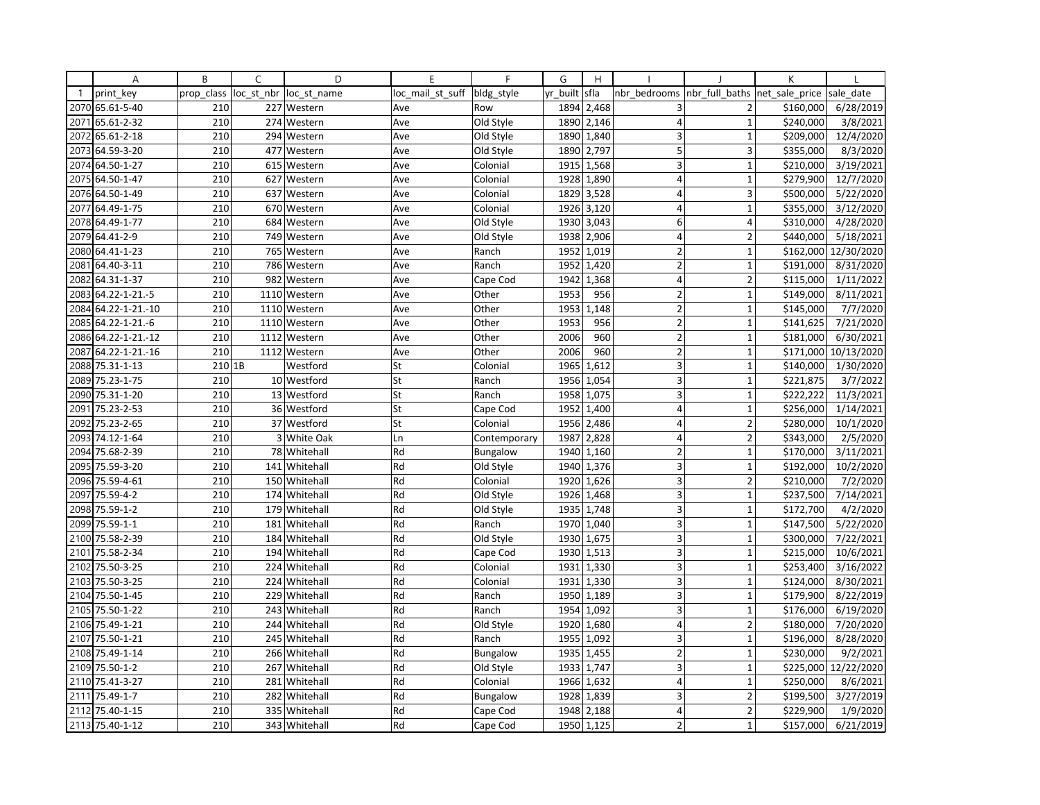|              | Α                   | B          | C          | D             | E                | F               | G        | H          |                         |                          | К              |            |
|--------------|---------------------|------------|------------|---------------|------------------|-----------------|----------|------------|-------------------------|--------------------------|----------------|------------|
| $\mathbf{1}$ | print key           | prop class | loc st nbr | loc st name   | loc_mail_st_suff | bldg_style      | yr built | sfla       | nbr bedrooms            | nbr full baths           | net sale price | sale date  |
| 2070         | 65.61-5-40          | 210        |            | 227 Western   | Ave              | Row             | 1894     | 2,468      | 3                       | 2                        | \$160,000      | 6/28/2019  |
| 2071         | 65.61-2-32          | 210        |            | 274 Western   | Ave              | Old Style       | 1890     | 2,146      | $\overline{4}$          | $\mathbf{1}$             | \$240,000      | 3/8/2021   |
| 2072         | 65.61-2-18          | 210        |            | 294 Western   | Ave              | Old Style       | 1890     | 1,840      | 3                       | $\mathbf{1}$             | \$209,000      | 12/4/2020  |
| 2073         | 64.59-3-20          | 210        |            | 477 Western   | Ave              | Old Style       | 1890     | 2,797      | 5                       | 3                        | \$355,000      | 8/3/2020   |
|              | 2074 64.50-1-27     | 210        |            | 615 Western   | Ave              | Colonial        | 1915     | 1,568      | 3                       | $\overline{1}$           | \$210,000      | 3/19/2021  |
| 2075         | 64.50-1-47          | 210        |            | 627 Western   | Ave              | Colonial        | 1928     | 1,890      | $\overline{4}$          | $\mathbf{1}$             | \$279,900      | 12/7/2020  |
|              | 2076 64.50-1-49     | 210        |            | 637 Western   | Ave              | Colonial        | 1829     | 3,528      | $\overline{4}$          | 3                        | \$500,000      | 5/22/2020  |
| 2077         | 64.49-1-75          | 210        |            | 670 Western   | Ave              | Colonial        | 1926     | 3,120      | $\overline{4}$          | $\mathbf{1}$             | \$355,000      | 3/12/2020  |
|              | 2078 64.49-1-77     | 210        |            | 684 Western   | Ave              | Old Style       | 1930     | 3,043      | 6                       | 4                        | \$310,000      | 4/28/2020  |
| 2079         | 64.41-2-9           | 210        | 749        | Western       | Ave              | Old Style       | 1938     | 2,906      | $\overline{4}$          | $\overline{\phantom{a}}$ | \$440,000      | 5/18/2021  |
| 2080         | 64.41-1-23          | 210        | 765        | Western       | Ave              | Ranch           | 1952     | 1,019      | $\overline{2}$          | $\mathbf{1}$             | \$162,000      | 12/30/2020 |
| 2081         | 64.40-3-11          | 210        |            | 786 Western   | Ave              | Ranch           | 1952     | 1,420      | $\overline{2}$          | $\mathbf{1}$             | \$191,000      | 8/31/2020  |
| 2082         | 64.31-1-37          | 210        | 982        | Western       | Ave              | Cape Cod        | 1942     | 1,368      | $\overline{4}$          | $\overline{2}$           | \$115,000      | 1/11/2022  |
| 2083         | 64.22-1-21.-5       | 210        |            | 1110 Western  | Ave              | Other           | 1953     | 956        | $\overline{2}$          | $\mathbf{1}$             | \$149,000      | 8/11/2021  |
| 2084         | 64.22-1-21.-10      | 210        |            | 1110 Western  | Ave              | Other           | 1953     | 1,148      | $\overline{2}$          | $\overline{1}$           | \$145,000      | 7/7/2020   |
| 2085         | 64.22-1-21.-6       | 210        |            | 1110 Western  | Ave              | Other           | 1953     | 956        | $\overline{2}$          | $\mathbf{1}$             | \$141,625      | 7/21/2020  |
|              | 2086 64.22-1-21.-12 | 210        |            | 1112 Western  | Ave              | Other           | 2006     | 960        | $\overline{2}$          | $\mathbf{1}$             | \$181,000      | 6/30/2021  |
| 2087         | 64.22-1-21.-16      | 210        |            | 1112 Western  | Ave              | Other           | 2006     | 960        | $\overline{2}$          | 1                        | \$171,000      | 10/13/2020 |
| 2088         | 75.31-1-13          | 210 1B     |            | Westford      | St               | Colonial        | 1965     | 1,612      | $\overline{\mathbf{3}}$ | $\overline{1}$           | \$140,000      | 1/30/2020  |
|              | 2089 75.23-1-75     | 210        |            | 10 Westford   | St               | Ranch           | 1956     | 1,054      | 3                       | $\mathbf{1}$             | \$221,875      | 3/7/2022   |
| 2090         | 75.31-1-20          | 210        |            | 13 Westford   | St               | Ranch           | 1958     | 1,075      | 3 <sup>1</sup>          | $\mathbf{1}$             | \$222,222      | 11/3/2021  |
| 2091         | 75.23-2-53          | 210        |            | 36 Westford   | St               | Cape Cod        | 1952     | 1,400      | $\overline{4}$          | $\mathbf 1$              | \$256,000      | 1/14/2021  |
| 2092         | 75.23-2-65          | 210        |            | 37 Westford   | St               | Colonial        | 1956     | 2,486      | $\overline{4}$          | $\overline{2}$           | \$280,000      | 10/1/2020  |
| 2093         | 74.12-1-64          | 210        |            | 3 White Oak   | Ln               | Contemporary    | 1987     | 2,828      | 4                       | 2                        | \$343,000      | 2/5/2020   |
| 2094         | 75.68-2-39          | 210        |            | 78 Whitehall  | Rd               | Bungalow        | 1940     | 1,160      | $\mathbf 2$             | $\mathbf 1$              | \$170,000      | 3/11/2021  |
| 2095         | 75.59-3-20          | 210        |            | 141 Whitehall | Rd               | Old Style       | 1940     | 1,376      | 3                       | $\mathbf{1}$             | \$192,000      | 10/2/2020  |
| 2096         | 75.59-4-61          | 210        |            | 150 Whitehall | Rd               | Colonial        | 1920     | 1,626      | 3                       | $\overline{2}$           | \$210,000      | 7/2/2020   |
| 2097         | 75.59-4-2           | 210        |            | 174 Whitehall | Rd               | Old Style       | 1926     | 1,468      | 3                       | $\mathbf{1}$             | \$237,500      | 7/14/2021  |
| 2098         | 75.59-1-2           | 210        | 179        | Whitehall     | Rd               | Old Style       | 1935     | 1,748      | $\overline{\mathbf{3}}$ | $\mathbf{1}$             | \$172,700      | 4/2/2020   |
|              | 2099 75.59-1-1      | 210        |            | 181 Whitehall | Rd               | Ranch           | 1970     | 1,040      | 3                       | $\mathbf{1}$             | \$147,500      | 5/22/2020  |
| 2100         | 75.58-2-39          | 210        | 184        | Whitehall     | Rd               | Old Style       | 1930     | 1,675      | 3                       | $\mathbf{1}$             | \$300,000      | 7/22/2021  |
| 2101         | 75.58-2-34          | 210        |            | 194 Whitehall | Rd               | Cape Cod        | 1930     | 1,513      | 3                       | $\mathbf{1}$             | \$215,000      | 10/6/2021  |
| 2102         | 75.50-3-25          | 210        |            | 224 Whitehall | Rd               | Colonial        |          | 1931 1,330 | 3                       | $\mathbf{1}$             | \$253,400      | 3/16/2022  |
| 2103         | 75.50-3-25          | 210        |            | 224 Whitehall | Rd               | Colonial        | 1931     | 1,330      | $\overline{3}$          | $\overline{1}$           | \$124,000      | 8/30/2021  |
| 2104         | 75.50-1-45          | 210        | 229        | Whitehall     | Rd               | Ranch           | 1950     | 1,189      | 3                       | $\mathbf{1}$             | \$179,900      | 8/22/2019  |
|              | 2105 75.50-1-22     | 210        |            | 243 Whitehall | Rd               | Ranch           | 1954     | 1,092      | 3                       | $\overline{1}$           | \$176,000      | 6/19/2020  |
| 2106         | 75.49-1-21          | 210        | 244        | Whitehall     | Rd               | Old Style       | 1920     | 1,680      | $\overline{4}$          | $\overline{2}$           | \$180,000      | 7/20/2020  |
| 2107         | 75.50-1-21          | 210        |            | 245 Whitehall | Rd               | Ranch           | 1955     | 1,092      | 3                       | $\mathbf{1}$             | \$196,000      | 8/28/2020  |
| 2108         | 75.49-1-14          | 210        | 266        | Whitehall     | Rd               | Bungalow        | 1935     | 1,455      | $\overline{2}$          | 1                        | \$230,000      | 9/2/2021   |
| 2109         | 75.50-1-2           | 210        |            | 267 Whitehall | Rd               | Old Style       | 1933     | 1,747      | 3                       | $\mathbf 1$              | \$225,000      | 12/22/2020 |
|              | 2110 75.41-3-27     | 210        |            | 281 Whitehall | Rd               | Colonial        |          | 1966 1,632 | $\overline{4}$          | $\mathbf 1$              | \$250,000      | 8/6/2021   |
| 2111         | 75.49-1-7           | 210        | 282        | Whitehall     | Rd               | <b>Bungalow</b> | 1928     | 1,839      | 3                       | $\overline{2}$           | \$199,500      | 3/27/2019  |
| 2112         | 75.40-1-15          | 210        |            | 335 Whitehall | Rd               | Cape Cod        | 1948     | 2,188      | $\overline{4}$          | $\overline{2}$           | \$229,900      | 1/9/2020   |
|              | 2113 75.40-1-12     | 210        |            | 343 Whitehall | Rd               | Cape Cod        |          | 1950 1,125 | $\overline{2}$          | $\mathbf{1}$             | \$157,000      | 6/21/2019  |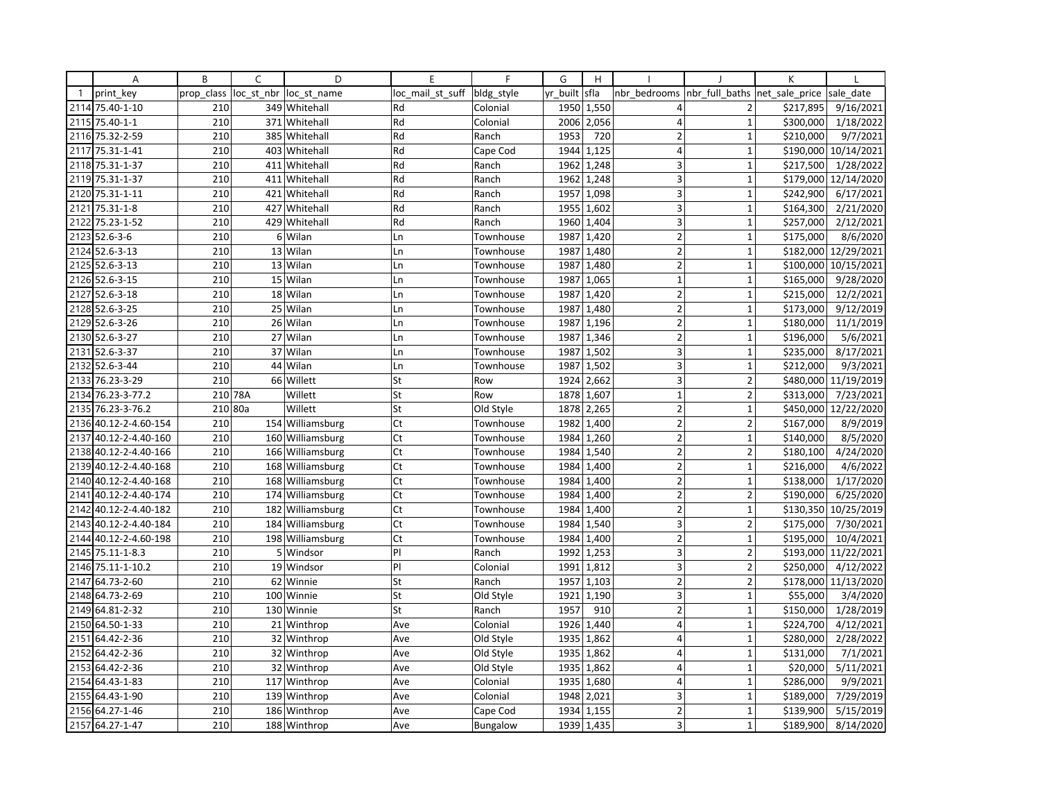|              | Α                | B          | C              | D                | E                | $\mathsf{F}$ | G        | H          |                         |                | K              |                        |
|--------------|------------------|------------|----------------|------------------|------------------|--------------|----------|------------|-------------------------|----------------|----------------|------------------------|
| $\mathbf{1}$ | print key        | prop class | loc st nbr     | loc st name      | loc mail st suff | bldg style   | yr built | sfla       | nbr bedrooms            | nbr full baths | net sale price | sale date              |
| 2114         | 75.40-1-10       | 210        |                | 349 Whitehall    | Rd               | Colonial     |          | 1950 1,550 | 4                       | 2              | \$217,895      | 9/16/2021              |
| 2115         | 75.40-1-1        | 210        |                | 371 Whitehall    | Rd               | Colonial     | 2006     | 2,056      | $\overline{4}$          | $\mathbf{1}$   | \$300,000      | 1/18/2022              |
| 2116         | 75.32-2-59       | 210        |                | 385 Whitehall    | Rd               | Ranch        | 1953     | 720        | $\overline{2}$          | $\mathbf{1}$   | \$210,000      | 9/7/2021               |
| 2117         | 75.31-1-41       | 210        |                | 403 Whitehall    | Rd               | Cape Cod     | 1944     | 1.125      | $\overline{4}$          | $\mathbf{1}$   |                | \$190,000 10/14/2021   |
|              | 2118 75.31-1-37  | 210        |                | 411 Whitehall    | Rd               | Ranch        | 1962     | 1,248      | 3                       | $\mathbf{1}$   | \$217,500      | 1/28/2022              |
| 2119         | 75.31-1-37       | 210        | 411            | Whitehall        | Rd               | Ranch        | 1962     | 1,248      | 3                       | $\mathbf{1}$   | \$179,000      | 12/14/2020             |
| 2120         | 75.31-1-11       | 210        |                | 421 Whitehall    | Rd               | Ranch        | 1957     | 1,098      | 3                       | $\mathbf{1}$   | \$242,900      | 6/17/2021              |
| 2121         | $75.31 - 1 - 8$  | 210        | 427            | Whitehall        | Rd               | Ranch        | 1955     | 1,602      | 3                       | $\mathbf{1}$   | \$164,300      | 2/21/2020              |
| 2122         | 75.23-1-52       | 210        |                | 429 Whitehall    | Rd               | Ranch        | 1960     | 1,404      | 3                       | $\mathbf 1$    | \$257,000      | 2/12/2021              |
| 2123         | $52.6 - 3 - 6$   | 210        | 6 <sup>1</sup> | Wilan            | Ln               | Townhouse    | 1987     | 1,420      | $\overline{2}$          | $\mathbf{1}$   | \$175,000      | 8/6/2020               |
|              | 2124 52.6-3-13   | 210        | 13             | Wilan            | Ln               | Townhouse    | 1987     | 1,480      | $\mathbf 2$             | $\mathbf{1}$   | \$182,000      | 12/29/2021             |
|              | 2125 52.6-3-13   | 210        |                | 13 Wilan         | Ln               | Townhouse    | 1987     | 1,480      | $\overline{2}$          | $\mathbf{1}$   | \$100,000      | 10/15/2021             |
|              | 2126 52.6-3-15   | 210        |                | 15 Wilan         | Ln               | Townhouse    | 1987     | 1,065      | $\mathbf{1}$            | $\mathbf{1}$   | \$165,000      | 9/28/2020              |
| 2127         | $52.6 - 3 - 18$  | 210        |                | 18 Wilan         | Ln               | Townhouse    | 1987     | 1,420      | $\overline{2}$          | $\mathbf 1$    | \$215,000      | 12/2/2021              |
|              | 2128 52.6-3-25   | 210        |                | 25 Wilan         | Ln               | Townhouse    | 1987     | 1,480      | $\overline{2}$          | $\mathbf{1}$   | \$173,000      | 9/12/2019              |
| 2129         | 52.6-3-26        | 210        |                | 26 Wilan         | Ln               | Townhouse    | 1987     | 1,196      | $\overline{2}$          | $\mathbf{1}$   | \$180,000      | $\frac{1}{11}{1/2019}$ |
|              | 2130 52.6-3-27   | 210        |                | 27 Wilan         | Ln               | Townhouse    | 1987     | 1,346      | $\overline{2}$          | $\mathbf{1}$   | \$196,000      | 5/6/2021               |
| 2131         | 52.6-3-37        | 210        |                | 37 Wilan         | Ln               | Townhouse    | 1987     | 1,502      | $\overline{3}$          | $\mathbf{1}$   | \$235,000      | 8/17/2021              |
| 2132         | 52.6-3-44        | 210        |                | 44 Wilan         | Ln               | Townhouse    | 1987     | 1,502      | $\overline{\mathbf{3}}$ | $\mathbf{1}$   | \$212,000      | 9/3/2021               |
|              | 2133 76.23-3-29  | 210        |                | 66 Willett       | St               | Row          |          | 1924 2,662 | 3                       | $\overline{2}$ |                | \$480,000 11/19/2019   |
| 2134         | 76.23-3-77.2     | 210 78A    |                | Willett          | St               | Row          | 1878     | 1,607      | 1                       | $\overline{2}$ | \$313,000      | 7/23/2021              |
| 2135         | 76.23-3-76.2     | 210 80a    |                | Willett          | St               | Old Style    | 1878     | 2,265      | $\overline{2}$          | $\mathbf{1}$   | \$450,000      | 12/22/2020             |
| 2136         | 40.12-2-4.60-154 | 210        |                | 154 Williamsburg | Ct               | Townhouse    | 1982     | 1,400      | $\overline{2}$          | $\overline{2}$ | \$167,000      | 8/9/2019               |
| 2137         | 40.12-2-4.40-160 | 210        |                | 160 Williamsburg | Ct               | Townhouse    | 1984     | 1,260      | $\overline{2}$          | $\mathbf 1$    | \$140,000      | 8/5/2020               |
| 2138         | 40.12-2-4.40-166 | 210        |                | 166 Williamsburg | Ct               | Townhouse    | 1984     | 1,540      | $\overline{2}$          | $\overline{2}$ | \$180,100      | 4/24/2020              |
| 2139         | 40.12-2-4.40-168 | 210        |                | 168 Williamsburg | Ct               | Townhouse    | 1984     | 1,400      | $\overline{2}$          | $\overline{1}$ | \$216,000      | 4/6/2022               |
| 2140         | 40.12-2-4.40-168 | 210        |                | 168 Williamsburg | Ct               | Townhouse    | 1984     | 1,400      | $\overline{2}$          | $\mathbf 1$    | \$138,000      | 1/17/2020              |
| 2141         | 40.12-2-4.40-174 | 210        |                | 174 Williamsburg | Ct               | Townhouse    | 1984     | 1,400      | $\overline{2}$          | $\overline{2}$ | \$190,000      | 6/25/2020              |
| 2142         | 40.12-2-4.40-182 | 210        | 182            | Williamsburg     | Ct               | Townhouse    | 1984     | 1,400      | $\overline{2}$          | $\mathbf{1}$   |                | \$130,350 10/25/2019   |
| 2143         | 40.12-2-4.40-184 | 210        |                | 184 Williamsburg | Ct               | Townhouse    | 1984     | 1,540      | 3                       | $\overline{2}$ | \$175,000      | 7/30/2021              |
| 2144         | 40.12-2-4.60-198 | 210        | 198            | Williamsburg     | Ct               | Townhouse    | 1984     | 1,400      | $\overline{2}$          | $\mathbf{1}$   | \$195,000      | 10/4/2021              |
| 2145         | 75.11-1-8.3      | 210        | 5 <sup>1</sup> | Windsor          | PI               | Ranch        | 1992     | 1,253      | 3                       | $\overline{2}$ | \$193,000      | 11/22/2021             |
| 2146         | 75.11-1-10.2     | 210        |                | 19 Windsor       | PI               | Colonial     | 1991     | 1,812      | 3                       | $\overline{2}$ | \$250,000      | 4/12/2022              |
| 2147         | 64.73-2-60       | 210        | 62             | Winnie           | St               | Ranch        | 1957     | 1,103      | $\overline{2}$          | $\overline{2}$ | \$178,000      | 11/13/2020             |
| 2148         | 64.73-2-69       | 210        |                | 100 Winnie       | St               | Old Style    | 1921     | 1,190      | 3                       | $\mathbf 1$    | \$55,000       | 3/4/2020               |
| 2149         | 64.81-2-32       | 210        |                | 130 Winnie       | St               | Ranch        | 1957     | 910        | $\overline{2}$          | $\mathbf{1}$   | \$150,000      | 1/28/2019              |
| 2150         | 64.50-1-33       | 210        |                | 21 Winthrop      | Ave              | Colonial     | 1926     | 1,440      | $\overline{4}$          | $\mathbf{1}$   | \$224,700      | 4/12/2021              |
|              | 2151 64.42-2-36  | 210        |                | 32 Winthrop      | Ave              | Old Style    | 1935     | 1,862      | $\overline{4}$          | $\mathbf{1}$   | \$280,000      | 2/28/2022              |
| 2152         | 64.42-2-36       | 210        |                | 32 Winthrop      | Ave              | Old Style    | 1935     | 1,862      | $\overline{4}$          | $\mathbf{1}$   | \$131,000      | 7/1/2021               |
| 2153         | 64.42-2-36       | 210        |                | 32 Winthrop      | Ave              | Old Style    | 1935     | 1,862      | $\overline{4}$          | $\mathbf{1}$   | \$20,000       | 5/11/2021              |
|              | 2154 64.43-1-83  | 210        |                | 117 Winthrop     | Ave              | Colonial     |          | 1935 1,680 | $\overline{4}$          | $\mathbf{1}$   | \$286,000      | 9/9/2021               |
|              | 2155 64.43-1-90  | 210        |                | 139 Winthrop     | Ave              | Colonial     | 1948     | 2,021      | 3                       | $\mathbf{1}$   | \$189,000      | 7/29/2019              |
|              | 2156 64.27-1-46  | 210        |                | 186 Winthrop     | Ave              | Cape Cod     | 1934     | 1,155      | $\overline{2}$          | $\mathbf 1$    | \$139,900      | 5/15/2019              |
|              | 2157 64.27-1-47  | 210        |                | 188 Winthrop     | Ave              | Bungalow     |          | 1939 1,435 | $\overline{3}$          | $\mathbf{1}$   | \$189,900      | 8/14/2020              |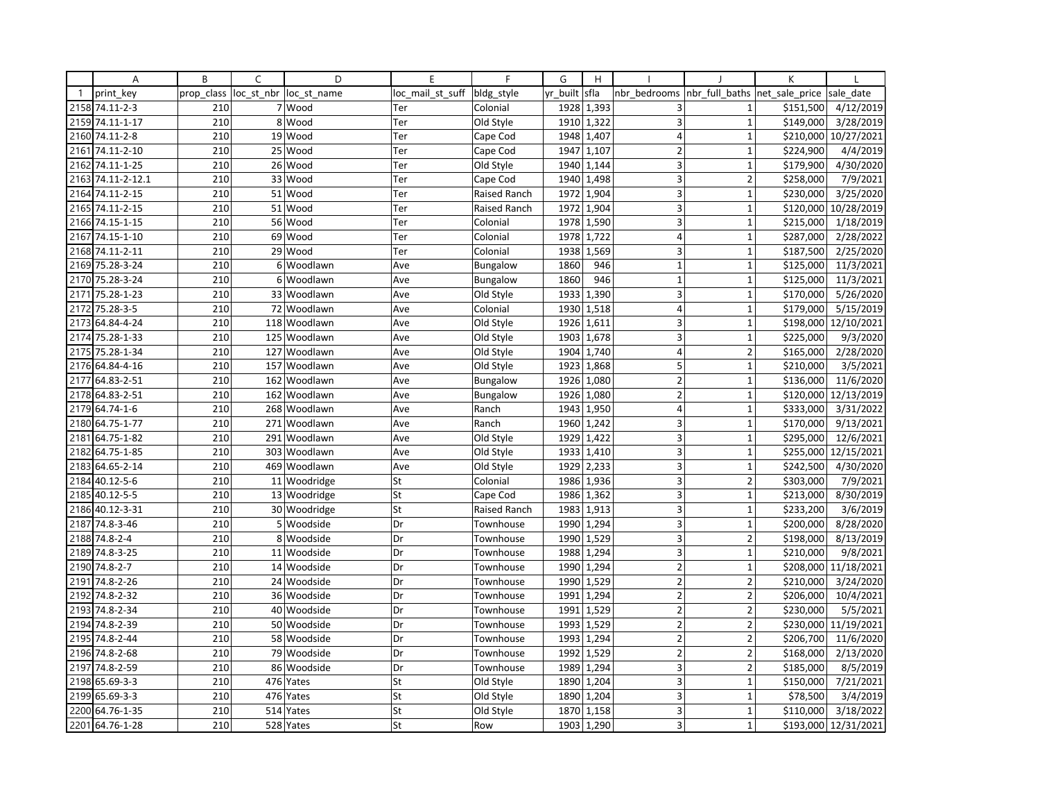|              | Α               | B          | C              | D            | E                | F                   | G        | H          |                         |                         | K              |            |
|--------------|-----------------|------------|----------------|--------------|------------------|---------------------|----------|------------|-------------------------|-------------------------|----------------|------------|
| $\mathbf{1}$ | print key       | prop class | loc_st_nbr     | loc st name  | loc mail st suff | bldg style          | yr built | sfla       | nbr bedrooms            | nbr full baths          | net sale price | sale date  |
|              | 2158 74.11-2-3  | 210        |                | 7 Wood       | Ter              | Colonial            |          | 1928 1,393 | 3                       | $\mathbf{1}$            | \$151,500      | 4/12/2019  |
| 2159         | 74.11-1-17      | 210        | 8              | Wood         | Ter              | Old Style           | 1910     | 1,322      | $\overline{3}$          | $\mathbf{1}$            | \$149,000      | 3/28/2019  |
| 2160         | 74.11-2-8       | 210        |                | 19 Wood      | Ter              | Cape Cod            | 1948     | 1,407      | $\overline{4}$          | $\mathbf{1}$            | \$210,000      | 10/27/2021 |
| 2161         | 74.11-2-10      | 210        |                | 25 Wood      | Ter              | Cape Cod            | 1947     | 1,107      | $\overline{2}$          | $\mathbf{1}$            | \$224,900      | 4/4/2019   |
| 2162         | 74.11-1-25      | 210        |                | 26 Wood      | Ter              | Old Style           | 1940     | 1,144      | 3                       | $\mathbf{1}$            | \$179,900      | 4/30/2020  |
| 2163         | 74.11-2-12.1    | 210        | 33             | Wood         | Ter              | Cape Cod            | 1940     | 1,498      | 3                       | $\overline{2}$          | \$258,000      | 7/9/2021   |
| 2164         | 74.11-2-15      | 210        |                | 51 Wood      | Ter              | Raised Ranch        |          | 1972 1,904 | 3                       | $\mathbf{1}$            | \$230,000      | 3/25/2020  |
| 2165         | 74.11-2-15      | 210        |                | 51 Wood      | Ter              | <b>Raised Ranch</b> | 1972     | 1,904      | 3                       | $\mathbf{1}$            | \$120,000      | 10/28/2019 |
|              | 2166 74.15-1-15 | 210        |                | 56 Wood      | Ter              | Colonial            |          | 1978 1,590 | 3                       | $\mathbf 1$             | \$215,000      | 1/18/2019  |
| 2167         | 74.15-1-10      | 210        |                | 69 Wood      | Ter              | Colonial            | 1978     | 1,722      | $\overline{4}$          | $\mathbf{1}$            | \$287,000      | 2/28/2022  |
|              | 2168 74.11-2-11 | 210        |                | 29 Wood      | Ter              | Colonial            | 1938     | 1,569      | 3                       | $\mathbf 1$             | \$187,500      | 2/25/2020  |
|              | 2169 75.28-3-24 | 210        | $6 \mid$       | Woodlawn     | Ave              | Bungalow            | 1860     | 946        | $\mathbf{1}$            | $\mathbf{1}$            | \$125,000      | 11/3/2021  |
| 2170         | 75.28-3-24      | 210        | 6 <sup>1</sup> | Woodlawn     | Ave              | Bungalow            | 1860     | 946        | $\mathbf{1}$            | $\mathbf{1}$            | \$125,000      | 11/3/2021  |
| 2171         | 75.28-1-23      | 210        | 33             | Woodlawn     | Ave              | Old Style           | 1933     | 1,390      | 3                       | $\mathbf 1$             | \$170,000      | 5/26/2020  |
| 2172         | 75.28-3-5       | 210        | 72             | Woodlawn     | Ave              | Colonial            | 1930     | 1,518      | $\overline{4}$          | $\mathbf{1}$            | \$179,000      | 5/15/2019  |
| 2173         | 64.84-4-24      | 210        | 118            | Woodlawn     | Ave              | Old Style           | 1926     | 1,611      | 3                       | $\mathbf{1}$            | \$198,000      | 12/10/2021 |
|              | 2174 75.28-1-33 | 210        |                | 125 Woodlawn | Ave              | Old Style           | 1903     | 1,678      | 3 <sup>1</sup>          | $\mathbf{1}$            | \$225,000      | 9/3/2020   |
| 2175         | 75.28-1-34      | 210        |                | 127 Woodlawn | Ave              | Old Style           | 1904     | 1,740      | $\overline{4}$          | $\overline{2}$          | \$165,000      | 2/28/2020  |
| 2176         | 64.84-4-16      | 210        | 157            | Woodlawn     | Ave              | Old Style           | 1923     | 1,868      | 5                       | $\mathbf{1}$            | \$210,000      | 3/5/2021   |
| 2177         | 64.83-2-51      | 210        |                | 162 Woodlawn | Ave              | <b>Bungalow</b>     | 1926     | 1,080      | $\overline{2}$          | $\mathbf 1$             | \$136,000      | 11/6/2020  |
| 2178         | 64.83-2-51      | 210        | 162            | Woodlawn     | Ave              | <b>Bungalow</b>     | 1926     | 1,080      | 2                       | $\mathbf{1}$            | \$120,000      | 12/13/2019 |
| 2179         | 64.74-1-6       | 210        |                | 268 Woodlawn | Ave              | Ranch               | 1943     | 1,950      | $\overline{4}$          | $\mathbf 1$             | \$333,000      | 3/31/2022  |
| 2180         | 64.75-1-77      | 210        |                | 271 Woodlawn | Ave              | Ranch               | 1960     | 1,242      | 3                       | $\mathbf{1}$            | \$170,000      | 9/13/2021  |
| 2181         | 64.75-1-82      | 210        | 291            | Woodlawn     | Ave              | Old Style           | 1929     | 1,422      | 3                       | $\mathbf 1$             | \$295,000      | 12/6/2021  |
| 2182         | 64.75-1-85      | 210        | 303            | Woodlawn     | Ave              | Old Style           |          | 1933 1,410 | $\overline{\mathbf{3}}$ | $\mathbf 1$             | \$255,000      | 12/15/2021 |
| 2183         | 64.65-2-14      | 210        |                | 469 Woodlawn | Ave              | Old Style           | 1929     | 2,233      | 3                       | $\mathbf{1}$            | \$242,500      | 4/30/2020  |
| 2184         | 40.12-5-6       | 210        |                | 11 Woodridge | St               | Colonial            | 1986     | 1,936      | 3                       | $\overline{2}$          | \$303,000      | 7/9/2021   |
|              | 2185 40.12-5-5  | 210        |                | 13 Woodridge | St               | Cape Cod            |          | 1986 1,362 | 3                       | $\mathbf{1}$            | \$213,000      | 8/30/2019  |
| 2186         | 40.12-3-31      | 210        |                | 30 Woodridge | St               | Raised Ranch        | 1983     | 1,913      | $\overline{3}$          | $\mathbf{1}$            | \$233,200      | 3/6/2019   |
| 2187         | 74.8-3-46       | 210        | 5 <sup>1</sup> | Woodside     | Dr               | Townhouse           | 1990     | 1,294      | 3                       | $\mathbf{1}$            | \$200,000      | 8/28/2020  |
| 2188         | 74.8-2-4        | 210        | 8              | Woodside     | Dr               | Townhouse           | 1990     | 1,529      | 3                       | $\overline{2}$          | \$198,000      | 8/13/2019  |
| 2189         | 74.8-3-25       | 210        |                | 11 Woodside  | Dr               | Townhouse           | 1988     | 1,294      | 3                       | $\mathbf{1}$            | \$210,000      | 9/8/2021   |
| 2190         | $74.8 - 2 - 7$  | 210        |                | 14 Woodside  | Dr               | Townhouse           | 1990     | 1,294      | $\overline{2}$          | $\mathbf{1}$            | \$208,000      | 11/18/2021 |
| 2191         | 74.8-2-26       | 210        |                | 24 Woodside  | Dr               | Townhouse           | 1990     | 1,529      | $\overline{2}$          | $\overline{2}$          | \$210,000      | 3/24/2020  |
| 2192         | 74.8-2-32       | 210        |                | 36 Woodside  | Dr               | Townhouse           | 1991     | 1,294      | $\overline{2}$          | $\overline{2}$          | \$206,000      | 10/4/2021  |
| 2193         | 74.8-2-34       | 210        |                | 40 Woodside  | Dr               | Townhouse           | 1991     | 1,529      | $\overline{2}$          | $\overline{2}$          | \$230,000      | 5/5/2021   |
| 2194         | 74.8-2-39       | 210        |                | 50 Woodside  | Dr               | Townhouse           | 1993     | 1,529      | $\overline{2}$          | $\overline{2}$          | \$230,000      | 11/19/2021 |
|              | 2195 74.8-2-44  | 210        |                | 58 Woodside  | Dr               | Townhouse           | 1993     | 1,294      | $\overline{2}$          | $\overline{2}$          | \$206,700      | 11/6/2020  |
| 2196         | 74.8-2-68       | 210        | 79             | Woodside     | Dr               | Townhouse           | 1992     | 1,529      | $\overline{2}$          | $\overline{2}$          | \$168,000      | 2/13/2020  |
| 2197         | 74.8-2-59       | 210        | 86             | Woodside     | Dr               | Townhouse           | 1989     | 1,294      | 3                       | $\overline{\mathbf{c}}$ | \$185,000      | 8/5/2019   |
|              | 2198 65.69-3-3  | 210        | 476            | Yates        | St               | Old Style           | 1890     | 1,204      | 3                       | $\mathbf 1$             | \$150,000      | 7/21/2021  |
| 2199         | 65.69-3-3       | 210        | 476            | Yates        | St               | Old Style           | 1890     | 1,204      | 3 <sup>1</sup>          | $\mathbf{1}$            | \$78,500       | 3/4/2019   |
| 2200         | 64.76-1-35      | 210        | 514            | Yates        | St               | Old Style           | 1870     | 1,158      | 3 <sup>1</sup>          | $\mathbf 1$             | \$110,000      | 3/18/2022  |
|              | 2201 64.76-1-28 | 210        |                | 528 Yates    | St               | Row                 | 1903     | 1,290      | $\overline{\mathbf{3}}$ | $\mathbf{1}$            | \$193,000      | 12/31/2021 |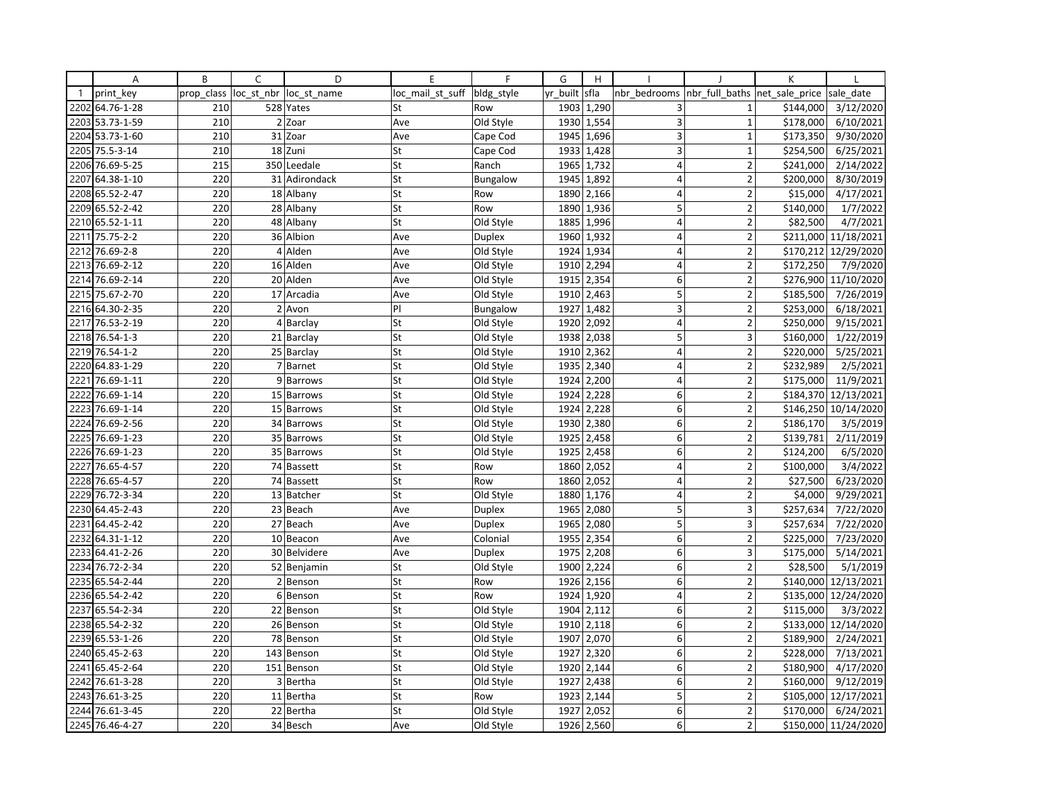|              | Α               | B          | C              | D             | E                | F             | G        | H          |                |                          | К              |                      |
|--------------|-----------------|------------|----------------|---------------|------------------|---------------|----------|------------|----------------|--------------------------|----------------|----------------------|
| $\mathbf{1}$ | print key       | prop class | loc_st_nbr     | loc st name   | loc mail st suff | bldg style    | yr built | sfla       | nbr bedrooms   | nbr full baths           | net_sale_price | sale date            |
| 2202         | 64.76-1-28      | 210        |                | 528 Yates     | St               | Row           | 1903     | 1,290      | 3              | 1                        | \$144,000      | 3/12/2020            |
| 2203         | 53.73-1-59      | 210        |                | $2$ Zoar      | Ave              | Old Style     | 1930     | 1,554      | 3              | $\mathbf{1}$             | \$178,000      | 6/10/2021            |
| 2204         | 53.73-1-60      | 210        |                | 31 Zoar       | Ave              | Cape Cod      | 1945     | 1,696      | 3              | $\mathbf{1}$             | \$173,350      | 9/30/2020            |
| 2205         | 75.5-3-14       | 210        |                | 18 Zuni       | St               | Cape Cod      |          | 1933 1,428 | 3              | $\mathbf{1}$             | \$254,500      | 6/25/2021            |
| 2206         | 76.69-5-25      | 215        |                | 350 Leedale   | St               | Ranch         | 1965     | 1,732      | 4              | $\overline{2}$           | \$241,000      | 2/14/2022            |
| 2207         | 64.38-1-10      | 220        |                | 31 Adirondack | St               | Bungalow      | 1945     | 1,892      | $\overline{4}$ | $\overline{2}$           | \$200,000      | 8/30/2019            |
|              | 2208 65.52-2-47 | 220        |                | 18 Albany     | St               | Row           | 1890     | 2,166      | 4              | $\overline{2}$           | \$15,000       | 4/17/2021            |
| 2209         | 65.52-2-42      | 220        |                | 28 Albany     | St               | Row           | 1890     | 1,936      | 5              | $\overline{2}$           | \$140,000      | 1/7/2022             |
|              | 2210 65.52-1-11 | 220        |                | 48 Albany     | St               | Old Style     | 1885     | 1,996      | 4              | $\overline{2}$           | \$82,500       | 4/7/2021             |
| 2211         | 75.75-2-2       | 220        |                | 36 Albion     | Ave              | <b>Duplex</b> | 1960     | 1,932      | $\overline{4}$ | $\overline{\phantom{a}}$ | \$211,000      | 11/18/2021           |
| 2212         | 76.69-2-8       | 220        |                | 4 Alden       | Ave              | Old Style     | 1924     | 1,934      | 4              | $\overline{2}$           | \$170,212      | 12/29/2020           |
| 2213         | 76.69-2-12      | 220        |                | 16 Alden      | Ave              | Old Style     |          | 1910 2,294 | $\overline{4}$ | $\overline{2}$           | \$172,250      | 7/9/2020             |
| 2214         | 76.69-2-14      | 220        |                | 20 Alden      | Ave              | Old Style     | 1915     | 2,354      | 6              | $\overline{2}$           | \$276,900      | 11/10/2020           |
| 2215         | 75.67-2-70      | 220        |                | 17 Arcadia    | Ave              | Old Style     | 1910     | 2,463      | 5              | $\overline{2}$           | \$185,500      | 7/26/2019            |
|              | 2216 64.30-2-35 | 220        |                | $2$ Avon      | PI               | Bungalow      | 1927     | 1,482      | 3              | $\overline{2}$           | \$253,000      | 6/18/2021            |
| 2217         | 76.53-2-19      | 220        |                | 4 Barclay     | St               | Old Style     | 1920     | 2,092      | $\overline{4}$ | $\overline{2}$           | \$250,000      | 9/15/2021            |
| 2218         | 76.54-1-3       | 220        |                | 21 Barclay    | St               | Old Style     | 1938     | 2,038      | 5              | 3                        | \$160,000      | 1/22/2019            |
| 2219         | 76.54-1-2       | 220        |                | 25 Barclay    | St               | Old Style     | 1910     | 2,362      | $\overline{4}$ | $\overline{2}$           | \$220,000      | 5/25/2021            |
| 2220         | 64.83-1-29      | 220        | $\overline{7}$ | Barnet        | St               | Old Style     | 1935     | 2,340      | $\overline{4}$ | $\overline{2}$           | \$232,989      | 2/5/2021             |
| 2221         | 76.69-1-11      | 220        |                | 9 Barrows     | St               | Old Style     | 1924     | 2,200      | 4              | $\overline{2}$           | \$175,000      | 11/9/2021            |
| 2222         | 76.69-1-14      | 220        |                | 15 Barrows    | St               | Old Style     | 1924     | 2,228      | $6 \mid$       | $\overline{2}$           | \$184,370      | 12/13/2021           |
| 2223         | 76.69-1-14      | 220        |                | 15 Barrows    | St               | Old Style     | 1924     | 2,228      | 6              | $\overline{2}$           | \$146,250      | 10/14/2020           |
| 2224         | 76.69-2-56      | 220        |                | 34 Barrows    | St               | Old Style     | 1930     | 2,380      | 6              | $\overline{2}$           | \$186,170      | 3/5/2019             |
| 2225         | 76.69-1-23      | 220        |                | 35 Barrows    | St               | Old Style     | 1925     | 2,458      | 6              | $\mathbf 2$              | \$139,781      | 2/11/2019            |
| 2226         | 76.69-1-23      | 220        |                | 35 Barrows    | St               | Old Style     | 1925     | 2,458      | $6 \mid$       | $\mathbf 2$              | \$124,200      | 6/5/2020             |
| 2227         | 76.65-4-57      | 220        |                | 74 Bassett    | St               | Row           | 1860     | 2,052      | $\overline{4}$ | $\overline{2}$           | \$100,000      | 3/4/2022             |
| 2228         | 76.65-4-57      | 220        |                | 74 Bassett    | St               | Row           | 1860     | 2,052      | 4              | $\overline{2}$           | \$27,500       | 6/23/2020            |
| 2229         | 76.72-3-34      | 220        |                | 13 Batcher    | St               | Old Style     | 1880     | 1,176      | $\overline{4}$ | $\overline{2}$           | \$4,000        | 9/29/2021            |
| 2230         | 64.45-2-43      | 220        |                | 23 Beach      | Ave              | Duplex        | 1965     | 2,080      | 5              | 3                        | \$257,634      | 7/22/2020            |
| 2231         | 64.45-2-42      | 220        |                | 27 Beach      | Ave              | Duplex        | 1965     | 2,080      | 5              | 3                        | \$257,634      | 7/22/2020            |
| 2232         | 64.31-1-12      | 220        |                | 10 Beacon     | Ave              | Colonial      | 1955     | 2,354      | 6              | $\overline{2}$           | \$225,000      | 7/23/2020            |
| 2233         | 64.41-2-26      | 220        |                | 30 Belvidere  | Ave              | <b>Duplex</b> | 1975     | 2,208      | 6              | 3                        | \$175,000      | 5/14/2021            |
| 2234         | 76.72-2-34      | 220        |                | 52 Benjamin   | St               | Old Style     | 1900     | 2,224      | 6 <sup>1</sup> | $\overline{2}$           | \$28,500       | 5/1/2019             |
| 2235         | 65.54-2-44      | 220        |                | 2 Benson      | St               | Row           | 1926     | 2,156      | $\mathsf 6$    | $\overline{2}$           | \$140,000      | 12/13/2021           |
| 2236         | 65.54-2-42      | 220        | $6 \mid$       | Benson        | St               | Row           | 1924     | 1,920      | 4              | $\overline{2}$           | \$135,000      | 12/24/2020           |
|              | 2237 65.54-2-34 | 220        |                | 22 Benson     | St               | Old Style     | 1904     | 2,112      | 6              | $\overline{2}$           | \$115,000      | 3/3/2022             |
| 2238         | 65.54-2-32      | 220        |                | 26 Benson     | St               | Old Style     | 1910     | 2,118      | $6 \mid$       | $\overline{2}$           | \$133,000      | 12/14/2020           |
|              | 2239 65.53-1-26 | 220        |                | 78 Benson     | St               | Old Style     | 1907     | 2,070      | 6              | $\overline{2}$           | \$189,900      | 2/24/2021            |
| 2240         | 65.45-2-63      | 220        | 143            | Benson        | St               | Old Style     | 1927     | 2,320      | 6              | $\overline{\phantom{a}}$ | \$228,000      | 7/13/2021            |
| 2241         | 65.45-2-64      | 220        |                | 151 Benson    | St               | Old Style     | 1920     | 2,144      | 6              | $\overline{2}$           | \$180,900      | 4/17/2020            |
| 2242         | 76.61-3-28      | 220        |                | 3 Bertha      | St               | Old Style     | 1927     | 2,438      | 6              | $\overline{2}$           | \$160,000      | 9/12/2019            |
| 2243         | 76.61-3-25      | 220        |                | 11 Bertha     | St               | Row           | 1923     | 2,144      | 5              | $\overline{2}$           | \$105,000      | 12/17/2021           |
|              | 2244 76.61-3-45 | 220        |                | 22 Bertha     | St               | Old Style     | 1927     | 2,052      | 6              | $\overline{2}$           | \$170,000      | 6/24/2021            |
|              | 2245 76.46-4-27 | 220        |                | 34 Besch      | Ave              | Old Style     | 1926     | 2,560      | 6              | $\overline{2}$           |                | \$150,000 11/24/2020 |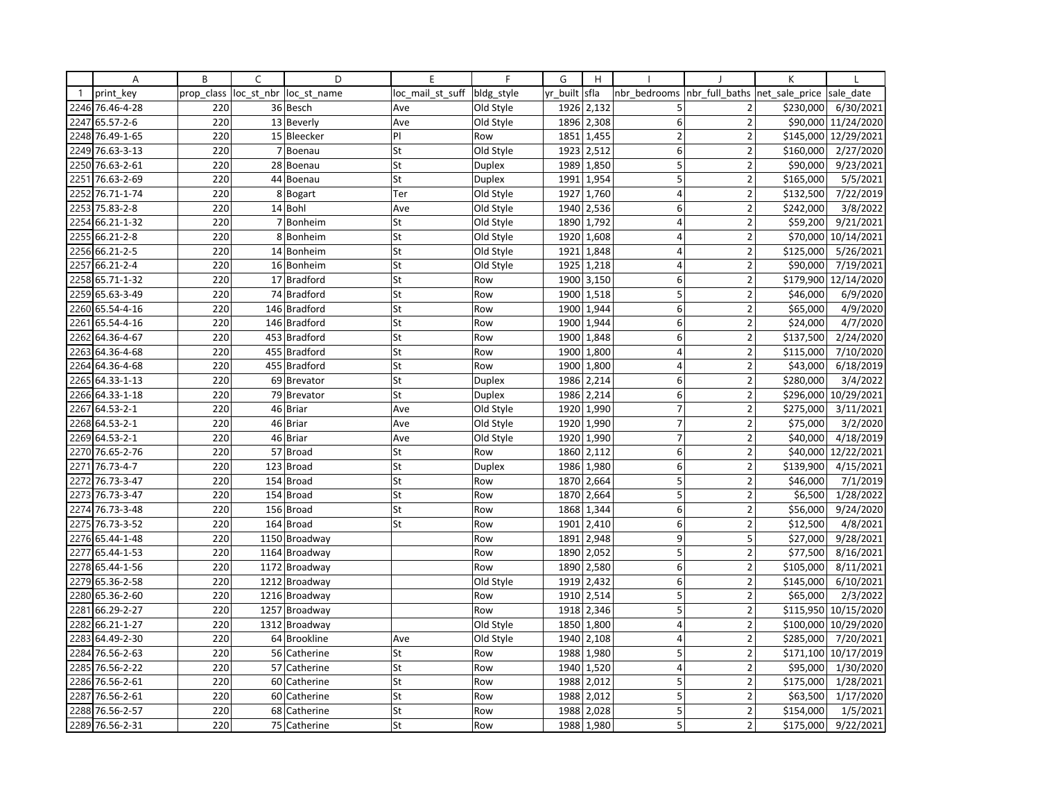|              | Α               | B          | C   | D                      | E                | F             | G        | H          |                  |                         | K              |                      |
|--------------|-----------------|------------|-----|------------------------|------------------|---------------|----------|------------|------------------|-------------------------|----------------|----------------------|
| $\mathbf{1}$ | print key       | prop class |     | loc st nbr loc st name | loc mail st suff | bldg_style    | yr built | sfla       | nbr bedrooms     | nbr full baths          | net sale price | sale date            |
| 2246         | 76.46-4-28      | 220        |     | 36 Besch               | Ave              | Old Style     | 1926     | 2,132      | 5                | 2                       | \$230,000      | 6/30/2021            |
| 2247         | 65.57-2-6       | 220        |     | 13 Beverly             | Ave              | Old Style     | 1896     | 2,308      | 6                | $\overline{2}$          |                | \$90,000 11/24/2020  |
| 2248         | 76.49-1-65      | 220        |     | 15 Bleecker            | P                | Row           | 1851     | 1,455      | $\overline{2}$   | $\overline{2}$          |                | \$145,000 12/29/2021 |
| 2249         | 76.63-3-13      | 220        |     | 7 Boenau               | St               | Old Style     |          | 1923 2,512 | 6                | $\overline{2}$          | \$160,000      | 2/27/2020            |
| 2250         | 76.63-2-61      | 220        |     | 28 Boenau              | St               | <b>Duplex</b> | 1989     | 1,850      | 5                | $\overline{2}$          | \$90,000       | 9/23/2021            |
| 2251         | 76.63-2-69      | 220        |     | 44 Boenau              | St               | <b>Duplex</b> | 1991     | 1,954      | 5                | $\overline{2}$          | \$165,000      | 5/5/2021             |
| 2252         | 76.71-1-74      | 220        |     | 8 Bogart               | Ter              | Old Style     | 1927     | 1,760      | $\overline{4}$   | $\overline{2}$          | \$132,500      | 7/22/2019            |
| 2253         | 75.83-2-8       | 220        |     | 14 Bohl                | Ave              | Old Style     | 1940     | 2,536      | 6                | $\overline{2}$          | \$242,000      | 3/8/2022             |
|              | 2254 66.21-1-32 | 220        |     | 7 Bonheim              | St               | Old Style     | 1890     | 1,792      | 4                | $\overline{2}$          | \$59,200       | 9/21/2021            |
| 2255         | 66.21-2-8       | 220        | 8   | Bonheim                | St               | Old Style     | 1920     | 1,608      | 4                | $\overline{2}$          | \$70,000       | 10/14/2021           |
|              | 2256 66.21-2-5  | 220        |     | 14 Bonheim             | St               | Old Style     | 1921     | 1,848      | 4                | $\overline{\mathbf{c}}$ | \$125,000      | 5/26/2021            |
| 2257         | 66.21-2-4       | 220        |     | 16 Bonheim             | St               | Old Style     |          | 1925 1,218 | $\overline{4}$   | $\overline{2}$          | \$90,000       | 7/19/2021            |
| 2258         | 65.71-1-32      | 220        |     | 17 Bradford            | St               | Row           | 1900     | 3,150      | 6                | $\overline{2}$          |                | \$179,900 12/14/2020 |
| 2259         | 65.63-3-49      | 220        |     | 74 Bradford            | St               | Row           | 1900     | 1,518      | 5                | $\overline{2}$          | \$46,000       | 6/9/2020             |
|              | 2260 65.54-4-16 | 220        |     | 146 Bradford           | St               | Row           | 1900     | 1,944      | 6                | $\overline{\mathbf{c}}$ | \$65,000       | 4/9/2020             |
| 2261         | 65.54-4-16      | 220        |     | 146 Bradford           | St               | Row           | 1900     | 1,944      | 6                | $\overline{2}$          | \$24,000       | 4/7/2020             |
| 2262         | 64.36-4-67      | 220        |     | 453 Bradford           | St               | Row           | 1900     | 1,848      | 6                | $\overline{2}$          | \$137,500      | 2/24/2020            |
| 2263         | 64.36-4-68      | 220        |     | 455 Bradford           | St               | Row           | 1900     | 1,800      | $\overline{4}$   | $\overline{2}$          | \$115,000      | 7/10/2020            |
| 2264         | 64.36-4-68      | 220        |     | 455 Bradford           | St               | Row           | 1900     | 1,800      | $\overline{4}$   | $\overline{2}$          | \$43,000       | 6/18/2019            |
|              | 2265 64.33-1-13 | 220        |     | 69 Brevator            | St               | Duplex        | 1986     | 2,214      | 6                | $\overline{2}$          | \$280,000      | 3/4/2022             |
| 2266         | 64.33-1-18      | 220        |     | 79 Brevator            | St               | <b>Duplex</b> | 1986     | 2,214      | 6                | $\overline{2}$          |                | \$296,000 10/29/2021 |
| 2267         | 64.53-2-1       | 220        |     | 46 Briar               | Ave              | Old Style     | 1920     | 1,990      | $\overline{7}$   | $\overline{2}$          | \$275,000      | 3/11/2021            |
| 2268         | 64.53-2-1       | 220        |     | 46 Briar               | Ave              | Old Style     | 1920     | 1,990      | $\overline{7}$   | $\overline{2}$          | \$75,000       | 3/2/2020             |
| 2269         | 64.53-2-1       | 220        |     | 46 Briar               | Ave              | Old Style     | 1920     | 1,990      | $\overline{7}$   | $\overline{2}$          | \$40,000       | 4/18/2019            |
| 2270         | 76.65-2-76      | 220        |     | 57 Broad               | St               | Row           | 1860     | 2,112      | 6                | $\overline{2}$          |                | \$40,000 12/22/2021  |
| 2271         | 76.73-4-7       | 220        |     | 123 Broad              | St               | <b>Duplex</b> | 1986     | 1,980      | 6                | $\overline{2}$          | \$139,900      | 4/15/2021            |
| 2272         | 76.73-3-47      | 220        | 154 | <b>Broad</b>           | St               | Row           | 1870     | 2,664      | 5                | $\overline{2}$          | \$46,000       | 7/1/2019             |
| 2273         | 76.73-3-47      | 220        |     | 154 Broad              | St               | Row           | 1870     | 2,664      | 5                | $\overline{2}$          | \$6,500        | 1/28/2022            |
| 2274         | 76.73-3-48      | 220        |     | 156 Broad              | St               | Row           | 1868     | 1,344      | 6                | $\overline{\mathbf{c}}$ | \$56,000       | 9/24/2020            |
| 2275         | 76.73-3-52      | 220        |     | 164 Broad              | St               | Row           | 1901     | 2,410      | 6                | $\overline{2}$          | \$12,500       | 4/8/2021             |
| 2276         | 65.44-1-48      | 220        |     | 1150 Broadway          |                  | Row           | 1891     | 2,948      | 9                | 5                       | \$27,000       | 9/28/2021            |
| 2277         | 65.44-1-53      | 220        |     | 1164 Broadway          |                  | Row           | 1890     | 2,052      | 5                | $\overline{2}$          | \$77,500       | 8/16/2021            |
| 2278         | 65.44-1-56      | 220        |     | 1172 Broadway          |                  | Row           |          | 1890 2,580 | 6                | $\overline{2}$          | \$105,000      | 8/11/2021            |
| 2279         | 65.36-2-58      | 220        |     | 1212 Broadway          |                  | Old Style     | 1919     | 2,432      | $\boldsymbol{6}$ | $\overline{2}$          | \$145,000      | 6/10/2021            |
| 2280         | 65.36-2-60      | 220        |     | 1216 Broadway          |                  | Row           | 1910     | 2,514      | 5                | $\overline{2}$          | \$65,000       | 2/3/2022             |
| 2281         | 66.29-2-27      | 220        |     | 1257 Broadway          |                  | Row           | 1918     | 2,346      | 5                | $\overline{2}$          |                | \$115,950 10/15/2020 |
| 2282         | 66.21-1-27      | 220        |     | 1312 Broadway          |                  | Old Style     | 1850     | 1,800      | $\overline{4}$   | $\overline{2}$          |                | \$100,000 10/29/2020 |
| 2283         | 64.49-2-30      | 220        |     | 64 Brookline           | Ave              | Old Style     | 1940     | 2,108      | 4                | $\overline{2}$          | \$285,000      | 7/20/2021            |
| 2284         | 76.56-2-63      | 220        | 56  | Catherine              | St               | Row           | 1988     | 1,980      | 5                | $\overline{2}$          |                | \$171,100 10/17/2019 |
| 2285         | 76.56-2-22      | 220        |     | 57 Catherine           | St               | Row           | 1940     | 1,520      | 4                | $\overline{2}$          | \$95,000       | 1/30/2020            |
| 2286         | 76.56-2-61      | 220        |     | 60 Catherine           | St               | Row           | 1988     | 2,012      | 5                | $\overline{\mathbf{c}}$ | \$175,000      | 1/28/2021            |
| 2287         | 76.56-2-61      | 220        |     | 60 Catherine           | St               | Row           | 1988     | 2,012      | 5                | $\overline{2}$          | \$63,500       | 1/17/2020            |
| 2288         | 76.56-2-57      | 220        |     | 68 Catherine           | St               | Row           | 1988     | 2,028      | 5                | $\overline{2}$          | \$154,000      | 1/5/2021             |
|              | 2289 76.56-2-31 | 220        |     | 75 Catherine           | St               | Row           | 1988     | 1,980      | 5                | $\overline{2}$          | \$175,000      | 9/22/2021            |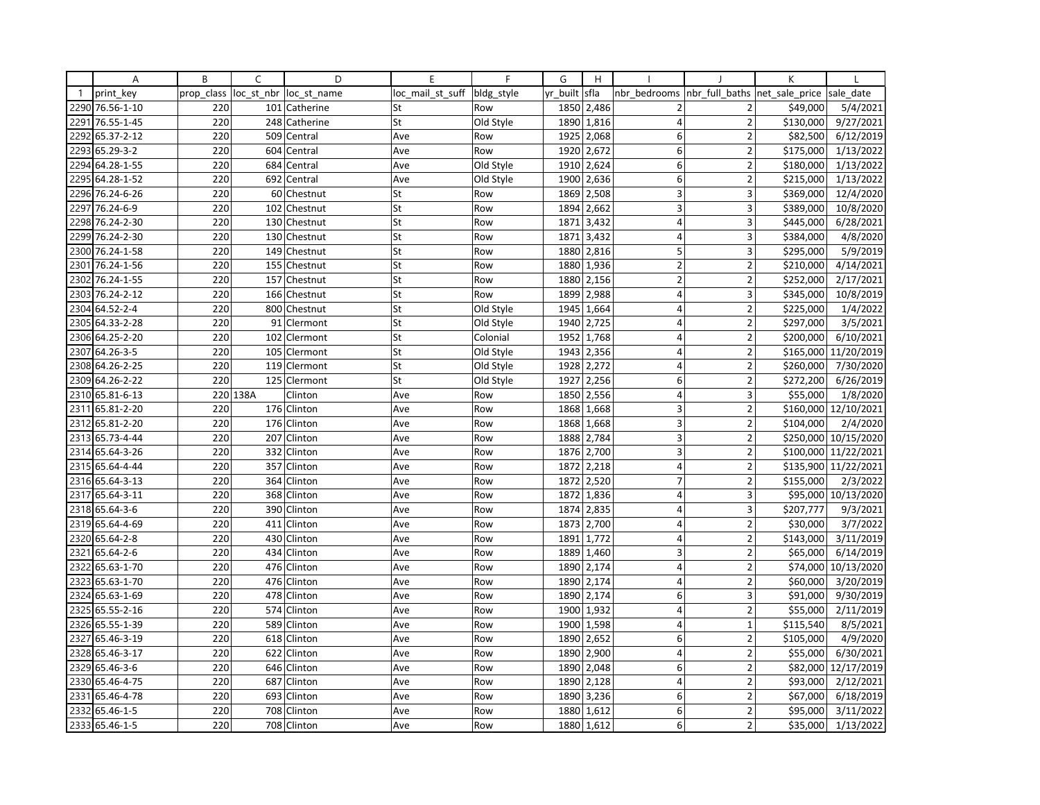|              | A               | B          | C          | D             | E                | F          | G        | H          |                 |                          | К              |                      |
|--------------|-----------------|------------|------------|---------------|------------------|------------|----------|------------|-----------------|--------------------------|----------------|----------------------|
| $\mathbf{1}$ | print key       | prop class | loc st nbr | loc st name   | loc mail st suff | bldg style | yr built | sfla       | nbr bedrooms    | nbr full baths           | net_sale_price | sale date            |
| 2290         | 76.56-1-10      | 220        |            | 101 Catherine | St               | Row        | 1850     | 2,486      | $\overline{2}$  | $\overline{2}$           | \$49,000       | 5/4/2021             |
| 2291         | 76.55-1-45      | 220        | 248        | Catherine     | St               | Old Style  | 1890     | 1,816      | $\overline{4}$  | $\overline{2}$           | \$130,000      | 9/27/2021            |
| 2292         | 65.37-2-12      | 220        | 509        | Central       | Ave              | Row        | 1925     | 2,068      | 6               | $\overline{2}$           | \$82,500       | 6/12/2019            |
| 2293         | 65.29-3-2       | 220        |            | 604 Central   | Ave              | Row        | 1920     | 2,672      | 6               | $\overline{2}$           | \$175,000      | 1/13/2022            |
| 2294         | 64.28-1-55      | 220        |            | 684 Central   | Ave              | Old Style  | 1910     | 2,624      | 6               | $\overline{2}$           | \$180,000      | 1/13/2022            |
| 2295         | 64.28-1-52      | 220        | 692        | Central       | Ave              | Old Style  | 1900     | 2,636      | 6               | $\overline{2}$           | \$215,000      | 1/13/2022            |
| 2296         | 76.24-6-26      | 220        |            | 60 Chestnut   | St               | Row        | 1869     | 2,508      | 3               | 3                        | \$369,000      | 12/4/2020            |
| 2297         | 76.24-6-9       | 220        | 102        | Chestnut      | St               | Row        | 1894     | 2,662      | 3               | 3                        | \$389,000      | 10/8/2020            |
| 2298         | 76.24-2-30      | 220        |            | 130 Chestnut  | St               | Row        | 1871     | 3,432      | 4               | 3                        | \$445,000      | 6/28/2021            |
| 2299         | 76.24-2-30      | 220        | 130        | Chestnut      | St               | Row        | 1871     | 3,432      | $\overline{4}$  | 3                        | \$384,000      | 4/8/2020             |
| 2300         | 76.24-1-58      | 220        | 149        | Chestnut      | St               | Row        | 1880     | 2,816      | 5               | 3                        | \$295,000      | 5/9/2019             |
| 2301         | 76.24-1-56      | 220        |            | 155 Chestnut  | St               | Row        | 1880     | 1,936      | $\overline{2}$  | $\overline{2}$           | \$210,000      | 4/14/2021            |
| 2302         | 76.24-1-55      | 220        | 157        | Chestnut      | St               | Row        | 1880     | 2,156      | $\overline{2}$  | $\overline{2}$           | \$252,000      | 2/17/2021            |
| 2303         | 76.24-2-12      | 220        | 166        | Chestnut      | St               | Row        | 1899     | 2,988      | 4               | 3                        | \$345,000      | 10/8/2019            |
| 2304         | 64.52-2-4       | 220        |            | 800 Chestnut  | St               | Old Style  | 1945     | 1,664      | $\overline{4}$  | $\overline{2}$           | \$225,000      | 1/4/2022             |
| 2305         | 64.33-2-28      | 220        |            | 91 Clermont   | St               | Old Style  | 1940     | 2,725      | $\overline{4}$  | $\overline{2}$           | \$297,000      | 3/5/2021             |
|              | 2306 64.25-2-20 | 220        |            | 102 Clermont  | St               | Colonial   | 1952     | 1,768      | $\overline{4}$  | $\overline{2}$           | \$200,000      | 6/10/2021            |
| 2307         | 64.26-3-5       | 220        | 105        | Clermont      | St               | Old Style  | 1943     | 2,356      | $\overline{4}$  | $\overline{2}$           | \$165,000      | 11/20/2019           |
| 2308         | 64.26-2-25      | 220        | 119        | Clermont      | St               | Old Style  | 1928     | 2,272      | 4               | $\overline{2}$           | \$260,000      | 7/30/2020            |
|              | 2309 64.26-2-22 | 220        |            | 125 Clermont  | St               | Old Style  | 1927     | 2,256      | 6               | $\overline{2}$           | \$272,200      | 6/26/2019            |
|              | 2310 65.81-6-13 |            | 220 138A   | Clinton       | Ave              | Row        | 1850     | 2,556      | $\vert 4 \vert$ | 3                        | \$55,000       | 1/8/2020             |
| 2311         | 65.81-2-20      | 220        |            | 176 Clinton   | Ave              | Row        | 1868     | 1,668      | 3               | $\overline{2}$           | \$160,000      | 12/10/2021           |
| 2312         | 65.81-2-20      | 220        | 176        | Clinton       | Ave              | Row        | 1868     | 1,668      | 3               | $\overline{2}$           | \$104,000      | 2/4/2020             |
| 2313         | 65.73-4-44      | 220        | 207        | Clinton       | Ave              | Row        | 1888     | 2,784      | 3               | $\overline{2}$           | \$250,000      | 10/15/2020           |
|              | 2314 65.64-3-26 | 220        |            | 332 Clinton   | Ave              | Row        | 1876     | 2,700      | 3               | $\overline{2}$           |                | \$100,000 11/22/2021 |
| 2315         | 65.64-4-44      | 220        | 357        | Clinton       | Ave              | Row        | 1872     | 2,218      | $\overline{4}$  | $\overline{2}$           |                | \$135,900 11/22/2021 |
| 2316         | 65.64-3-13      | 220        | 364        | Clinton       | Ave              | Row        | 1872     | 2,520      | $\overline{7}$  | $\overline{2}$           | \$155,000      | 2/3/2022             |
| 2317         | 65.64-3-11      | 220        | 368        | Clinton       | Ave              | Row        | 1872     | 1,836      | 4               | 3                        | \$95,000       | 10/13/2020           |
| 2318         | 65.64-3-6       | 220        | 390        | Clinton       | Ave              | Row        | 1874     | 2,835      | 4               | 3                        | \$207,777      | 9/3/2021             |
|              | 2319 65.64-4-69 | 220        | 411        | Clinton       | Ave              | Row        | 1873     | 2,700      | $\overline{4}$  | $\overline{2}$           | \$30,000       | 3/7/2022             |
| 2320         | 65.64-2-8       | 220        | 430        | Clinton       | Ave              | Row        | 1891     | 1,772      | $\overline{4}$  | $\overline{2}$           | \$143,000      | 3/11/2019            |
| 2321         | 65.64-2-6       | 220        | 434        | Clinton       | Ave              | Row        | 1889     | 1,460      | 3               | $\overline{2}$           | \$65,000       | 6/14/2019            |
| 2322         | 65.63-1-70      | 220        | 476        | Clinton       | Ave              | Row        | 1890     | 2,174      | 4               | $\overline{2}$           | \$74,000       | 10/13/2020           |
| 2323         | 65.63-1-70      | 220        | 476        | Clinton       | Ave              | Row        | 1890     | 2,174      | $\overline{4}$  | $\overline{2}$           | \$60,000       | 3/20/2019            |
|              | 2324 65.63-1-69 | 220        | 478        | Clinton       | Ave              | Row        | 1890     | 2,174      | 6               | 3                        | \$91,000       | 9/30/2019            |
| 2325         | 65.55-2-16      | 220        | 574        | Clinton       | Ave              | Row        | 1900     | 1,932      | 4               | $\overline{\phantom{a}}$ | \$55,000       | 2/11/2019            |
| 2326         | 65.55-1-39      | 220        | 589        | Clinton       | Ave              | Row        | 1900     | 1,598      | 4               | $\mathbf{1}$             | \$115,540      | 8/5/2021             |
| 2327         | 65.46-3-19      | 220        | 618        | Clinton       | Ave              | Row        | 1890     | 2,652      | 6               | $\overline{2}$           | \$105,000      | 4/9/2020             |
| 2328         | 65.46-3-17      | 220        | 622        | Clinton       | Ave              | Row        | 1890     | 2,900      | $\overline{4}$  | $\overline{2}$           | \$55,000       | 6/30/2021            |
| 2329         | 65.46-3-6       | 220        | 646        | Clinton       | Ave              | Row        | 1890     | 2,048      | 6               | $\overline{2}$           | \$82,000       | 12/17/2019           |
|              | 2330 65.46-4-75 | 220        | 687        | Clinton       | Ave              | Row        | 1890     | 2,128      | 4               | $\overline{2}$           | \$93,000       | 2/12/2021            |
| 2331         | 65.46-4-78      | 220        | 693        | Clinton       | Ave              | Row        | 1890     | 3,236      | 6               | $\overline{2}$           | \$67,000       | 6/18/2019            |
| 2332         | 65.46-1-5       | 220        | 708        | Clinton       | Ave              | Row        | 1880     | 1,612      | 6               | $\mathbf 2$              | \$95,000       | 3/11/2022            |
|              | 2333 65.46-1-5  | 220        |            | 708 Clinton   | Ave              | Row        |          | 1880 1,612 | 6 <sup>1</sup>  | $\overline{2}$           | \$35,000       | 1/13/2022            |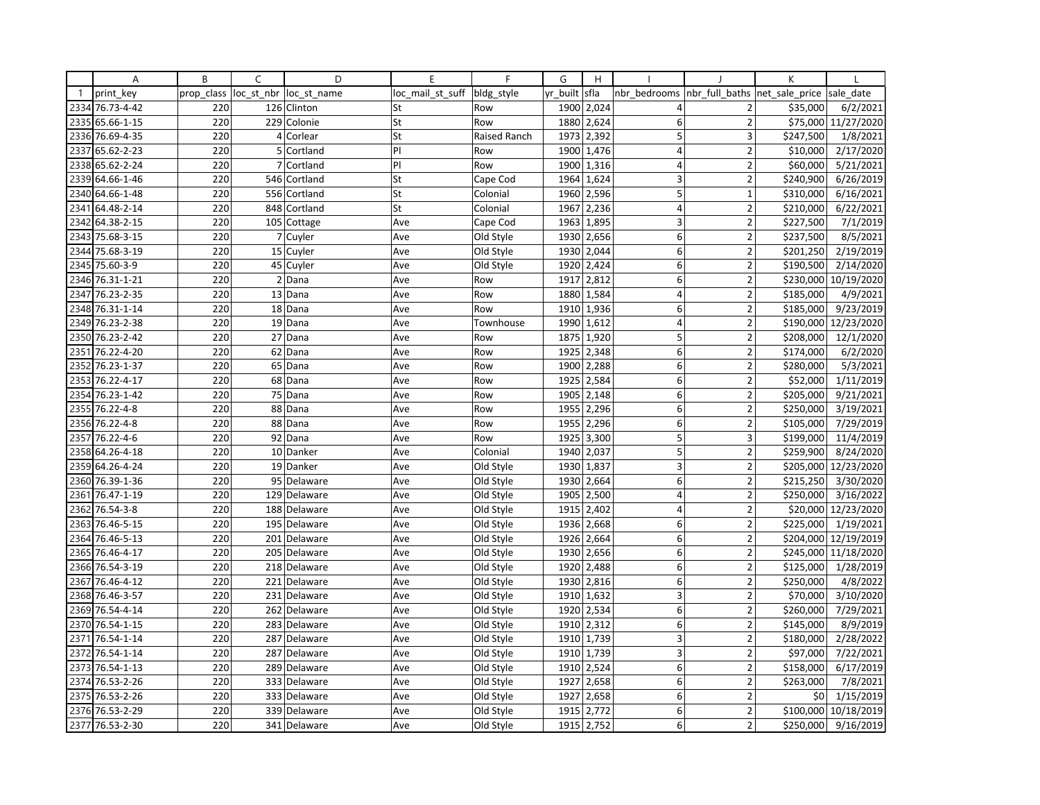|              | Α               | B          | C              | D            | E                | F                   | G        | H          |                  |                         | K              |                      |
|--------------|-----------------|------------|----------------|--------------|------------------|---------------------|----------|------------|------------------|-------------------------|----------------|----------------------|
| $\mathbf{1}$ | print key       | prop class | loc st nbr     | loc st name  | loc mail st suff | bldg_style          | yr built | sfla       | nbr bedrooms     | nbr full baths          | net_sale_price | sale date            |
| 2334         | 76.73-4-42      | 220        |                | 126 Clinton  | St               | Row                 |          | 1900 2,024 | 4                | $\overline{2}$          | \$35,000       | 6/2/2021             |
| 2335         | 65.66-1-15      | 220        | 229            | Colonie      | St               | Row                 | 1880     | 2,624      | 6                | $\overline{2}$          | \$75,000       | 11/27/2020           |
| 2336         | 76.69-4-35      | 220        | $\overline{4}$ | Corlear      | St               | <b>Raised Ranch</b> | 1973     | 2,392      | 5                | 3                       | \$247,500      | 1/8/2021             |
| 2337         | 65.62-2-23      | 220        | 5 <sub>1</sub> | Cortland     | P                | Row                 |          | 1900 1,476 | $\overline{4}$   | $\overline{2}$          | \$10,000       | 2/17/2020            |
|              | 2338 65.62-2-24 | 220        | $\overline{7}$ | Cortland     | PI               | Row                 | 1900     | 1,316      | $\overline{4}$   | $\overline{2}$          | \$60,000       | 5/21/2021            |
| 2339         | 64.66-1-46      | 220        | 546            | Cortland     | St               | Cape Cod            | 1964     | 1,624      | 3                | $\overline{2}$          | \$240,900      | 6/26/2019            |
| 2340         | 64.66-1-48      | 220        | 556            | Cortland     | St               | Colonial            | 1960     | 2,596      | 5                | $\mathbf{1}$            | \$310,000      | 6/16/2021            |
| 2341         | 64.48-2-14      | 220        | 848            | Cortland     | St               | Colonial            | 1967     | 2,236      | $\overline{4}$   | $\overline{2}$          | \$210,000      | 6/22/2021            |
| 2342         | 64.38-2-15      | 220        | 105            | Cottage      | Ave              | Cape Cod            | 1963     | 1,895      | 3                | $\overline{2}$          | \$227,500      | 7/1/2019             |
| 2343         | 75.68-3-15      | 220        | 7 <sup>1</sup> | Cuyler       | Ave              | Old Style           | 1930     | 2,656      | 6                | $\overline{2}$          | \$237,500      | 8/5/2021             |
| 2344         | 75.68-3-19      | 220        | 15             | Cuyler       | Ave              | Old Style           | 1930     | 2,044      | 6 <sup>1</sup>   | $\overline{\mathbf{c}}$ | \$201,250      | 2/19/2019            |
| 2345         | 75.60-3-9       | 220        | 45             | Cuyler       | Ave              | Old Style           | 1920     | 2,424      | 6 <sup>1</sup>   | $\overline{2}$          | \$190,500      | 2/14/2020            |
| 2346         | 76.31-1-21      | 220        | $\overline{2}$ | Dana         | Ave              | Row                 | 1917     | 2,812      | 6 <sup>1</sup>   | $\overline{2}$          | \$230,000      | 10/19/2020           |
| 2347         | 76.23-2-35      | 220        | 13             | Dana         | Ave              | Row                 | 1880     | 1,584      | 4                | $\overline{2}$          | \$185,000      | 4/9/2021             |
| 2348         | 76.31-1-14      | 220        |                | 18 Dana      | Ave              | Row                 | 1910     | 1,936      | 6                | $\overline{2}$          | \$185,000      | 9/23/2019            |
| 2349         | 76.23-2-38      | 220        |                | 19 Dana      | Ave              | Townhouse           | 1990     | 1,612      | $\overline{4}$   | $\overline{2}$          | \$190,000      | 12/23/2020           |
| 2350         | 76.23-2-42      | 220        |                | 27 Dana      | Ave              | Row                 | 1875     | 1,920      | 5                | $\overline{2}$          | \$208,000      | 12/1/2020            |
| 2351         | 76.22-4-20      | 220        |                | 62 Dana      | Ave              | Row                 | 1925     | 2,348      | 6                | $\overline{2}$          | \$174,000      | 6/2/2020             |
| 2352         | 76.23-1-37      | 220        | 65             | Dana         | Ave              | Row                 | 1900     | 2,288      | 6                | $\overline{2}$          | \$280,000      | 5/3/2021             |
| 2353         | 76.22-4-17      | 220        |                | 68 Dana      | Ave              | Row                 | 1925     | 2,584      | 6 <sup>1</sup>   | $\overline{2}$          | \$52,000       | 1/11/2019            |
| 2354         | 76.23-1-42      | 220        | 75             | Dana         | Ave              | Row                 | 1905     | 2,148      | 6 <sup>1</sup>   | $\overline{2}$          | \$205,000      | 9/21/2021            |
| 2355         | 76.22-4-8       | 220        |                | 88 Dana      | Ave              | Row                 | 1955     | 2,296      | $6 \mid$         | $\overline{2}$          | \$250,000      | 3/19/2021            |
| 2356         | 76.22-4-8       | 220        | 88             | Dana         | Ave              | Row                 | 1955     | 2,296      | 6                | $\overline{2}$          | \$105,000      | 7/29/2019            |
| 2357         | 76.22-4-6       | 220        | 92             | Dana         | Ave              | Row                 | 1925     | 3,300      | 5                | 3                       | \$199,000      | 11/4/2019            |
| 2358         | 64.26-4-18      | 220        |                | 10 Danker    | Ave              | Colonial            | 1940     | 2,037      | 5                | $\overline{2}$          | \$259,900      | 8/24/2020            |
| 2359         | 64.26-4-24      | 220        |                | 19 Danker    | Ave              | Old Style           | 1930     | 1,837      | 3                | $\overline{2}$          | \$205,000      | 12/23/2020           |
| 2360         | 76.39-1-36      | 220        | 95             | Delaware     | Ave              | Old Style           | 1930     | 2,664      | 6 <sup>1</sup>   | $\overline{2}$          | \$215,250      | 3/30/2020            |
| 2361         | 76.47-1-19      | 220        |                | 129 Delaware | Ave              | Old Style           |          | 1905 2,500 | $\overline{4}$   | $\overline{2}$          | \$250,000      | 3/16/2022            |
| 2362         | 76.54-3-8       | 220        | 188            | Delaware     | Ave              | Old Style           | 1915     | 2,402      | $\vert 4 \vert$  | $\overline{2}$          |                | \$20,000 12/23/2020  |
| 2363         | 76.46-5-15      | 220        |                | 195 Delaware | Ave              | Old Style           | 1936     | 2,668      | $6 \mid$         | $\overline{2}$          | \$225,000      | 1/19/2021            |
| 2364         | 76.46-5-13      | 220        | 201            | Delaware     | Ave              | Old Style           | 1926     | 2,664      | 6                | $\overline{2}$          | \$204,000      | 12/19/2019           |
| 2365         | 76.46-4-17      | 220        | 205            | Delaware     | Ave              | Old Style           | 1930     | 2,656      | 6 <sup>1</sup>   | $\overline{2}$          |                | \$245,000 11/18/2020 |
| 2366         | 76.54-3-19      | 220        | 218            | Delaware     | Ave              | Old Style           | 1920     | 2,488      | 6 <sup>1</sup>   | $\overline{2}$          | \$125,000      | 1/28/2019            |
| 2367         | 76.46-4-12      | 220        |                | 221 Delaware | Ave              | Old Style           | 1930     | 2,816      | $\boldsymbol{6}$ | $\overline{2}$          | \$250,000      | 4/8/2022             |
| 2368         | 76.46-3-57      | 220        |                | 231 Delaware | Ave              | Old Style           | 1910     | 1,632      | 3                | $\overline{2}$          | \$70,000       | 3/10/2020            |
| 2369         | 76.54-4-14      | 220        |                | 262 Delaware | Ave              | Old Style           |          | 1920 2,534 | 6 <sup>1</sup>   | $\overline{2}$          | \$260,000      | 7/29/2021            |
| 2370         | 76.54-1-15      | 220        | 283            | Delaware     | Ave              | Old Style           | 1910     | 2,312      | 6 <sup>1</sup>   | $\overline{2}$          | \$145,000      | 8/9/2019             |
| 2371         | 76.54-1-14      | 220        |                | 287 Delaware | Ave              | Old Style           |          | 1910 1,739 | 3                | $\overline{2}$          | \$180,000      | 2/28/2022            |
| 2372         | 76.54-1-14      | 220        |                | 287 Delaware | Ave              | Old Style           | 1910     | 1,739      | $\overline{3}$   | $\overline{2}$          | \$97,000       | 7/22/2021            |
| 2373         | 76.54-1-13      | 220        |                | 289 Delaware | Ave              | Old Style           | 1910     | 2,524      | $6 \mid$         | $\overline{2}$          | \$158,000      | 6/17/2019            |
| 2374         | 76.53-2-26      | 220        |                | 333 Delaware | Ave              | Old Style           | 1927     | 2,658      | $6 \mid$         | $\overline{2}$          | \$263,000      | 7/8/2021             |
| 2375         | 76.53-2-26      | 220        |                | 333 Delaware | Ave              | Old Style           | 1927     | 2,658      | 6 <sup>1</sup>   | $\overline{2}$          | \$0            | 1/15/2019            |
|              | 2376 76.53-2-29 | 220        |                | 339 Delaware | Ave              | Old Style           | 1915     | 2,772      | 6 <sup>1</sup>   | $\overline{2}$          | \$100,000      | 10/18/2019           |
| 2377         | 76.53-2-30      | 220        |                | 341 Delaware | Ave              | Old Style           | 1915     | 2,752      | $6 \mid$         | $\overline{2}$          | \$250,000      | 9/16/2019            |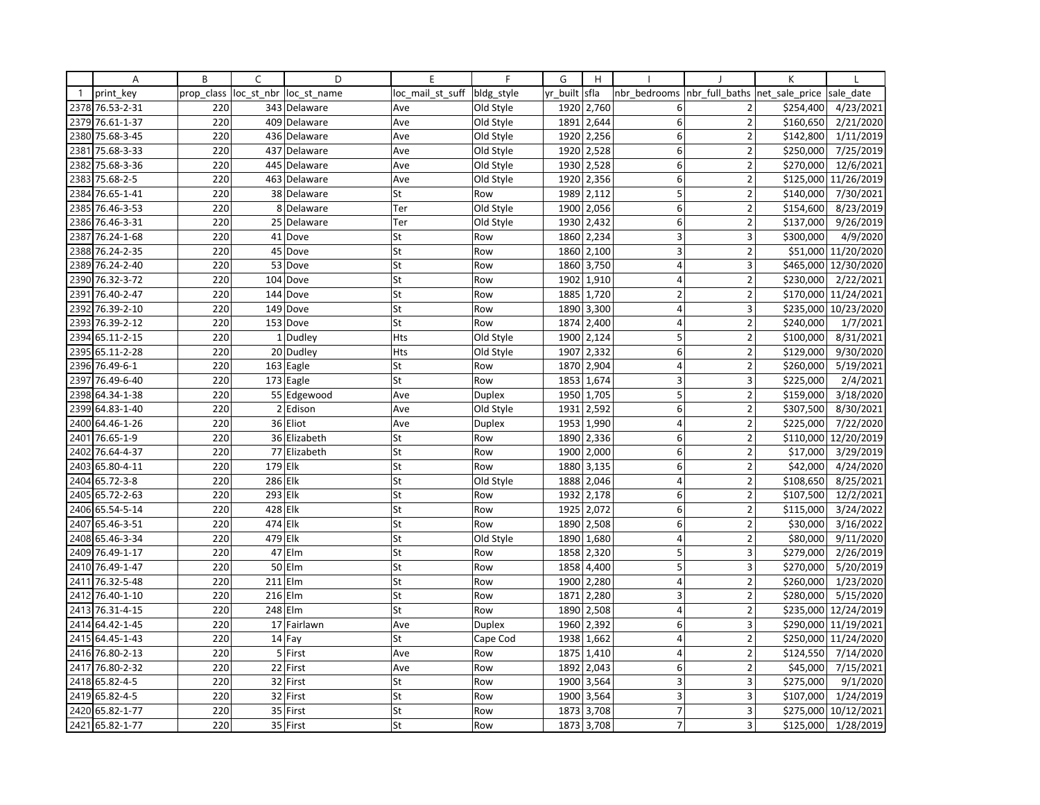|              | Α               | B          | C       | D                      | E                | F             | G        | H          |                         |                         | K                    |                      |
|--------------|-----------------|------------|---------|------------------------|------------------|---------------|----------|------------|-------------------------|-------------------------|----------------------|----------------------|
| $\mathbf{1}$ | print key       | prop_class |         | loc st nbr loc st name | loc mail st suff | bldg_style    | yr built | sfla       | nbr bedrooms            | nbr full baths          | net sale price       | sale date            |
| 2378         | 76.53-2-31      | 220        |         | 343 Delaware           | Ave              | Old Style     | 1920     | 2,760      | 6                       | $\overline{2}$          | \$254,400            | 4/23/2021            |
| 2379         | 76.61-1-37      | 220        |         | 409 Delaware           | Ave              | Old Style     | 1891     | 2,644      | 6                       | $\overline{2}$          | \$160,650            | 2/21/2020            |
| 2380         | 75.68-3-45      | 220        |         | 436 Delaware           | Ave              | Old Style     | 1920     | 2,256      | 6                       | $\overline{2}$          | \$142,800            | 1/11/2019            |
| 2381         | 75.68-3-33      | 220        |         | 437 Delaware           | Ave              | Old Style     |          | 1920 2,528 | 6                       | $\overline{2}$          | \$250,000            | 7/25/2019            |
| 2382         | 75.68-3-36      | 220        |         | 445 Delaware           | Ave              | Old Style     | 1930     | 2,528      | 6                       | $\overline{2}$          | \$270,000            | 12/6/2021            |
| 2383         | 75.68-2-5       | 220        |         | 463 Delaware           | Ave              | Old Style     | 1920     | 2,356      | 6                       | $\overline{2}$          | \$125,000            | 11/26/2019           |
| 2384         | 76.65-1-41      | 220        |         | 38 Delaware            | St               | Row           | 1989     | 2,112      | 5                       | $\overline{2}$          | \$140,000            | 7/30/2021            |
| 2385         | 76.46-3-53      | 220        |         | 8 Delaware             | Ter              | Old Style     | 1900     | 2,056      | 6                       | $\overline{2}$          | \$154,600            | 8/23/2019            |
|              | 2386 76.46-3-31 | 220        |         | 25 Delaware            | Ter              | Old Style     | 1930     | 2,432      | 6                       | $\overline{2}$          | \$137,000            | 9/26/2019            |
| 2387         | 76.24-1-68      | 220        |         | 41 Dove                | St               | Row           | 1860     | 2,234      | 3                       | $\overline{\mathbf{3}}$ | \$300,000            | 4/9/2020             |
| 2388         | 76.24-2-35      | 220        |         | 45 Dove                | St               | Row           | 1860     | 2,100      | 3                       | $\overline{2}$          |                      | \$51,000 11/20/2020  |
| 2389         | 76.24-2-40      | 220        |         | 53 Dove                | St               | Row           | 1860     | 3,750      | $\overline{\mathbf{4}}$ | $\overline{\mathbf{3}}$ |                      | \$465,000 12/30/2020 |
| 2390         | 76.32-3-72      | 220        |         | 104 Dove               | St               | Row           | 1902     | 1,910      | 4                       | $\overline{2}$          | \$230,000            | 2/22/2021            |
| 2391         | 76.40-2-47      | 220        |         | 144 Dove               | St               | Row           | 1885     | 1,720      | $\overline{2}$          | $\overline{2}$          |                      | \$170,000 11/24/2021 |
| 2392         | 76.39-2-10      | 220        |         | 149 Dove               | St               | Row           | 1890     | 3,300      | $\overline{4}$          | 3                       |                      | \$235,000 10/23/2020 |
| 2393         | 76.39-2-12      | 220        |         | 153 Dove               | St               | Row           | 1874     | 2,400      | $\overline{4}$          | $\overline{2}$          | \$240,000            | 1/7/2021             |
| 2394         | 65.11-2-15      | 220        |         | 1 Dudley               | <b>Hts</b>       | Old Style     | 1900     | 2,124      | 5                       | $\overline{2}$          | \$100,000            | 8/31/2021            |
| 2395         | 65.11-2-28      | 220        |         | 20 Dudley              | Hts              | Old Style     | 1907     | 2,332      | 6                       | $\overline{2}$          | \$129,000            | 9/30/2020            |
| 2396         | 76.49-6-1       | 220        |         | 163 Eagle              | St               | Row           | 1870     | 2,904      | 4                       | $\overline{2}$          | \$260,000            | 5/19/2021            |
| 2397         | 76.49-6-40      | 220        |         | 173 Eagle              | St               | Row           | 1853     | 1,674      | $\overline{3}$          | 3                       | \$225,000            | 2/4/2021             |
| 2398         | 64.34-1-38      | 220        |         | 55 Edgewood            | Ave              | <b>Duplex</b> | 1950     | 1,705      | 5                       | $\overline{2}$          | \$159,000            | 3/18/2020            |
| 2399         | 64.83-1-40      | 220        |         | 2 Edison               | Ave              | Old Style     | 1931     | 2,592      | 6                       | $\overline{2}$          | \$307,500            | 8/30/2021            |
| 2400         | 64.46-1-26      | 220        |         | 36 Eliot               | Ave              | Duplex        | 1953     | 1,990      | $\overline{4}$          | $\overline{2}$          | \$225,000            | 7/22/2020            |
| 2401         | 76.65-1-9       | 220        |         | 36 Elizabeth           | St               | Row           | 1890     | 2,336      | 6                       | $\overline{2}$          |                      | \$110,000 12/20/2019 |
| 2402         | 76.64-4-37      | 220        |         | 77 Elizabeth           | St               | Row           | 1900     | 2,000      | 6                       | $\overline{2}$          | $\overline{$}17,000$ | 3/29/2019            |
| 2403         | 65.80-4-11      | 220        | 179 Elk |                        | St               | Row           | 1880     | 3,135      | 6                       | $\overline{2}$          | \$42,000             | 4/24/2020            |
| 2404         | 65.72-3-8       | 220        | 286 Elk |                        | St               | Old Style     | 1888     | 2,046      | 4                       | $\overline{2}$          | \$108,650            | 8/25/2021            |
|              | 2405 65.72-2-63 | 220        | 293 Elk |                        | St               | Row           | 1932     | 2,178      | 6                       | $\overline{2}$          | \$107,500            | 12/2/2021            |
| 2406         | 65.54-5-14      | 220        | 428 Elk |                        | St               | Row           | 1925     | 2,072      | 6                       | $\overline{2}$          | \$115,000            | 3/24/2022            |
| 2407         | 65.46-3-51      | 220        | 474 Elk |                        | St               | Row           | 1890     | 2,508      | 6                       | $\overline{2}$          | \$30,000             | 3/16/2022            |
| 2408         | 65.46-3-34      | 220        | 479 Elk |                        | St               | Old Style     | 1890     | 1,680      | $\overline{4}$          | $\overline{2}$          | \$80,000             | 9/11/2020            |
| 2409         | 76.49-1-17      | 220        |         | 47 Elm                 | St               | Row           | 1858     | 2,320      | 5                       | 3                       | \$279,000            | 2/26/2019            |
|              | 2410 76.49-1-47 | 220        |         | 50 Elm                 | St               | Row           | 1858     | 4,400      | 5                       | 3                       | \$270,000            | 5/20/2019            |
| 2411         | 76.32-5-48      | 220        |         | $211$ Elm              | St               | Row           | 1900     | 2,280      | $\overline{4}$          | $\overline{2}$          | \$260,000            | 1/23/2020            |
| 2412         | 76.40-1-10      | 220        |         | 216 Elm                | St               | Row           | 1871     | 2,280      | 3                       | $\overline{2}$          | \$280,000            | 5/15/2020            |
| 2413         | 76.31-4-15      | 220        |         | 248 Elm                | St               | Row           | 1890     | 2,508      | $\overline{4}$          | $\overline{2}$          |                      | \$235,000 12/24/2019 |
| 2414         | 64.42-1-45      | 220        |         | 17 Fairlawn            | Ave              | Duplex        | 1960     | 2,392      | 6                       | 3                       |                      | \$290,000 11/19/2021 |
|              | 2415 64.45-1-43 | 220        |         | 14 Fay                 | St               | Cape Cod      | 1938     | 1,662      | 4                       | $\overline{2}$          |                      | \$250,000 11/24/2020 |
|              | 2416 76.80-2-13 | 220        |         | 5 First                | Ave              | Row           | 1875     | 1,410      | $\overline{4}$          | $\overline{2}$          | \$124,550            | 7/14/2020            |
| 2417         | 76.80-2-32      | 220        |         | 22 First               | Ave              | Row           | 1892     | 2,043      | 6                       | $\overline{2}$          | \$45,000             | 7/15/2021            |
|              | 2418 65.82-4-5  | 220        |         | 32 First               | St               | Row           | 1900     | 3,564      | 3                       | 3                       | \$275,000            | 9/1/2020             |
| 2419         | 65.82-4-5       | 220        |         | 32 First               | St               | Row           | 1900     | 3,564      | 3                       | 3                       | \$107,000            | 1/24/2019            |
| 2420         | 65.82-1-77      | 220        |         | 35 First               | St               | Row           | 1873     | 3,708      | $\overline{7}$          | 3                       |                      | \$275,000 10/12/2021 |
|              | 2421 65.82-1-77 | 220        |         | 35 First               | St               | Row           | 1873     | 3,708      | $\overline{7}$          | $\overline{\mathbf{3}}$ | \$125,000            | 1/28/2019            |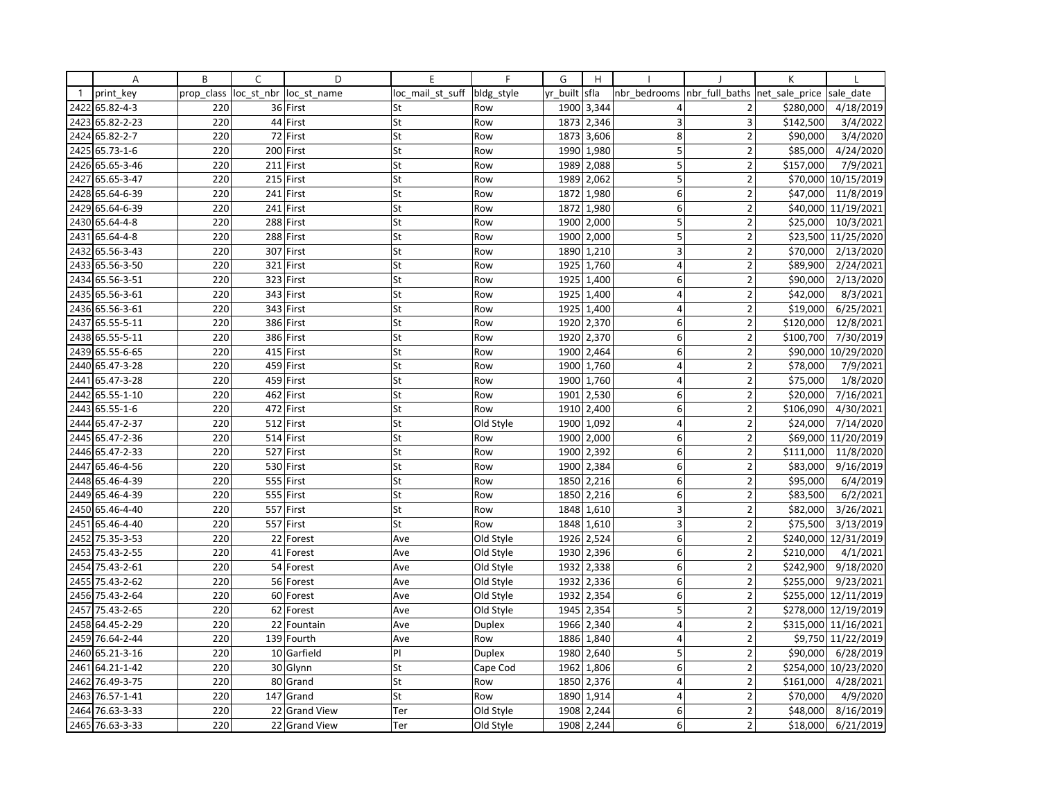|                | Α               | B          | C | D                      | E                | F             | G        | H          |                         |                                | К         |                    |
|----------------|-----------------|------------|---|------------------------|------------------|---------------|----------|------------|-------------------------|--------------------------------|-----------|--------------------|
| $\overline{1}$ | print key       | prop class |   | loc st nbr loc st name | loc mail st suff | bldg_style    | yr built | sfla       | nbr bedrooms            | nbr_full_baths  net_sale_price |           | sale date          |
| 2422           | 65.82-4-3       | 220        |   | 36 First               | St               | Row           | 1900     | 3,344      | 4                       | 2                              | \$280,000 | 4/18/2019          |
| 2423           | 65.82-2-23      | 220        |   | 44 First               | St               | Row           | 1873     | 2,346      | 3                       | 3                              | \$142,500 | 3/4/2022           |
| 2424           | 65.82-2-7       | 220        |   | 72 First               | St               | Row           | 1873     | 3,606      | 8                       | $\overline{2}$                 | \$90,000  | 3/4/2020           |
|                | 2425 65.73-1-6  | 220        |   | 200 First              | St               | Row           | 1990     | 1,980      | 5                       | $\overline{2}$                 | \$85,000  | 4/24/2020          |
| 2426           | 65.65-3-46      | 220        |   | 211 First              | St               | Row           | 1989     | 2,088      | 5                       | $\overline{2}$                 | \$157,000 | 7/9/2021           |
| 2427           | 65.65-3-47      | 220        |   | 215 First              | St               | Row           | 1989     | 2,062      | 5                       | $\overline{2}$                 | \$70,000  | 10/15/2019         |
| 2428           | 65.64-6-39      | 220        |   | 241 First              | St               | Row           | 1872     | 1,980      | 6                       | $\overline{2}$                 | \$47,000  | 11/8/2019          |
| 2429           | 65.64-6-39      | 220        |   | 241 First              | St               | Row           | 1872     | 1,980      | 6                       | $\overline{2}$                 | \$40,000  | 11/19/2021         |
|                | 2430 65.64-4-8  | 220        |   | 288 First              | St               | Row           | 1900     | 2,000      | 5                       | $\mathbf 2$                    | \$25,000  | 10/3/2021          |
| 2431           | 65.64-4-8       | 220        |   | 288 First              | St               | Row           | 1900     | 2,000      | $\overline{\mathbf{5}}$ | $\overline{2}$                 | \$23,500  | 11/25/2020         |
| 2432           | 65.56-3-43      | 220        |   | 307 First              | St               | Row           | 1890     | 1,210      | 3                       | $\overline{2}$                 | \$70,000  | 2/13/2020          |
|                | 2433 65.56-3-50 | 220        |   | 321 First              | St               | Row           | 1925     | 1,760      | $\overline{4}$          | $\overline{2}$                 | \$89,900  | 2/24/2021          |
| 2434           | 65.56-3-51      | 220        |   | 323 First              | St               | Row           | 1925     | 1,400      | 6 <sup>1</sup>          | $\overline{2}$                 | \$90,000  | 2/13/2020          |
|                | 2435 65.56-3-61 | 220        |   | 343 First              | St               | Row           | 1925     | 1,400      | $\overline{4}$          | $\overline{2}$                 | \$42,000  | 8/3/2021           |
|                | 2436 65.56-3-61 | 220        |   | 343 First              | St               | Row           | 1925     | 1,400      | $\overline{4}$          | $\overline{\phantom{a}}$       | \$19,000  | 6/25/2021          |
| 2437           | 65.55-5-11      | 220        |   | 386 First              | St               | Row           | 1920     | 2,370      | 6                       | $\mathbf 2$                    | \$120,000 | 12/8/2021          |
|                | 2438 65.55-5-11 | 220        |   | 386 First              | St               | Row           |          | 1920 2,370 | $6 \mid$                | $\overline{2}$                 | \$100,700 | 7/30/2019          |
|                | 2439 65.55-6-65 | 220        |   | 415 First              | St               | Row           | 1900     | 2,464      | 6                       | $\overline{2}$                 | \$90,000  | 10/29/2020         |
| 2440           | 65.47-3-28      | 220        |   | 459 First              | St               | Row           | 1900     | 1,760      | $\overline{4}$          | $\overline{2}$                 | \$78,000  | 7/9/2021           |
|                | 2441 65.47-3-28 | 220        |   | 459 First              | St               | Row           | 1900     | 1,760      | 4                       | 2                              | \$75,000  | 1/8/2020           |
| 2442           | 65.55-1-10      | 220        |   | 462 First              | St               | Row           | 1901     | 2,530      | $6 \mid$                | $\overline{2}$                 | \$20,000  | 7/16/2021          |
| 2443           | 65.55-1-6       | 220        |   | 472 First              | St               | Row           | 1910     | 2,400      | 6                       | $\overline{2}$                 | \$106,090 | 4/30/2021          |
| 2444           | 65.47-2-37      | 220        |   | 512 First              | St               | Old Style     | 1900     | 1,092      | $\overline{4}$          | $\overline{2}$                 | \$24,000  | 7/14/2020          |
| 2445           | 65.47-2-36      | 220        |   | 514 First              | St               | Row           | 1900     | 2,000      | 6                       | $\overline{2}$                 | \$69,000  | 11/20/2019         |
| 2446           | 65.47-2-33      | 220        |   | 527 First              | St               | Row           | 1900     | 2,392      | $6 \mid$                | $\overline{2}$                 | \$111,000 | 11/8/2020          |
| 2447           | 65.46-4-56      | 220        |   | 530 First              | St               | Row           | 1900     | 2,384      | 6                       | $\overline{2}$                 | \$83,000  | 9/16/2019          |
| 2448           | 65.46-4-39      | 220        |   | 555 First              | St               | Row           | 1850     | 2,216      | 6                       | $\overline{2}$                 | \$95,000  | 6/4/2019           |
| 2449           | 65.46-4-39      | 220        |   | 555 First              | St               | Row           | 1850     | 2,216      | 6                       | $\overline{2}$                 | \$83,500  | 6/2/2021           |
| 2450           | 65.46-4-40      | 220        |   | 557 First              | St               | Row           | 1848     | 1,610      | 3                       | $\overline{2}$                 | \$82,000  | 3/26/2021          |
|                | 2451 65.46-4-40 | 220        |   | 557 First              | St               | Row           | 1848     | 1,610      | 3                       | $\overline{2}$                 | \$75,500  | 3/13/2019          |
| 2452           | 75.35-3-53      | 220        |   | 22 Forest              | Ave              | Old Style     | 1926     | 2,524      | 6                       | $\overline{2}$                 | \$240,000 | 12/31/2019         |
| 2453           | 75.43-2-55      | 220        |   | 41 Forest              | Ave              | Old Style     | 1930     | 2,396      | 6                       | $\overline{2}$                 | \$210,000 | 4/1/2021           |
| 2454           | 75.43-2-61      | 220        |   | 54 Forest              | Ave              | Old Style     | 1932     | 2,338      | 6                       | $\overline{2}$                 | \$242,900 | 9/18/2020          |
| 2455           | 75.43-2-62      | 220        |   | 56 Forest              | Ave              | Old Style     | 1932     | 2,336      | 6                       | $\overline{2}$                 | \$255,000 | 9/23/2021          |
|                | 2456 75.43-2-64 | 220        |   | 60 Forest              | Ave              | Old Style     | 1932     | 2,354      | $\overline{6}$          | $\overline{2}$                 | \$255,000 | 12/11/2019         |
| 2457           | 75.43-2-65      | 220        |   | 62 Forest              | Ave              | Old Style     | 1945     | 2,354      | 5                       | $\overline{\phantom{a}}$       | \$278,000 | 12/19/2019         |
| 2458           | 64.45-2-29      | 220        |   | 22 Fountain            | Ave              | <b>Duplex</b> | 1966     | 2,340      | $\overline{4}$          | $\overline{2}$                 | \$315,000 | 11/16/2021         |
|                | 2459 76.64-2-44 | 220        |   | 139 Fourth             | Ave              | Row           | 1886     | 1,840      | $\overline{4}$          | $\overline{2}$                 |           | \$9,750 11/22/2019 |
| 2460           | 65.21-3-16      | 220        |   | 10 Garfield            | PI               | <b>Duplex</b> | 1980     | 2,640      | 5                       | $\overline{2}$                 | \$90,000  | 6/28/2019          |
| 2461           | 64.21-1-42      | 220        |   | 30 Glynn               | St               | Cape Cod      | 1962     | 1,806      | 6                       | $\overline{2}$                 | \$254,000 | 10/23/2020         |
| 2462           | 76.49-3-75      | 220        |   | 80 Grand               | St               | Row           | 1850     | 2,376      | $\overline{4}$          | $\overline{2}$                 | \$161,000 | 4/28/2021          |
| 2463           | 76.57-1-41      | 220        |   | 147 Grand              | St               | Row           | 1890     | 1,914      | $\overline{\mathbf{4}}$ | $\overline{2}$                 | \$70,000  | 4/9/2020           |
|                | 2464 76.63-3-33 | 220        |   | 22 Grand View          | Ter              | Old Style     | 1908     | 2,244      | 6                       | $\overline{2}$                 | \$48,000  | 8/16/2019          |
|                | 2465 76.63-3-33 | 220        |   | 22 Grand View          | Ter              | Old Style     | 1908     | 2,244      | 6 <sup>1</sup>          | $\overline{2}$                 | \$18,000  | 6/21/2019          |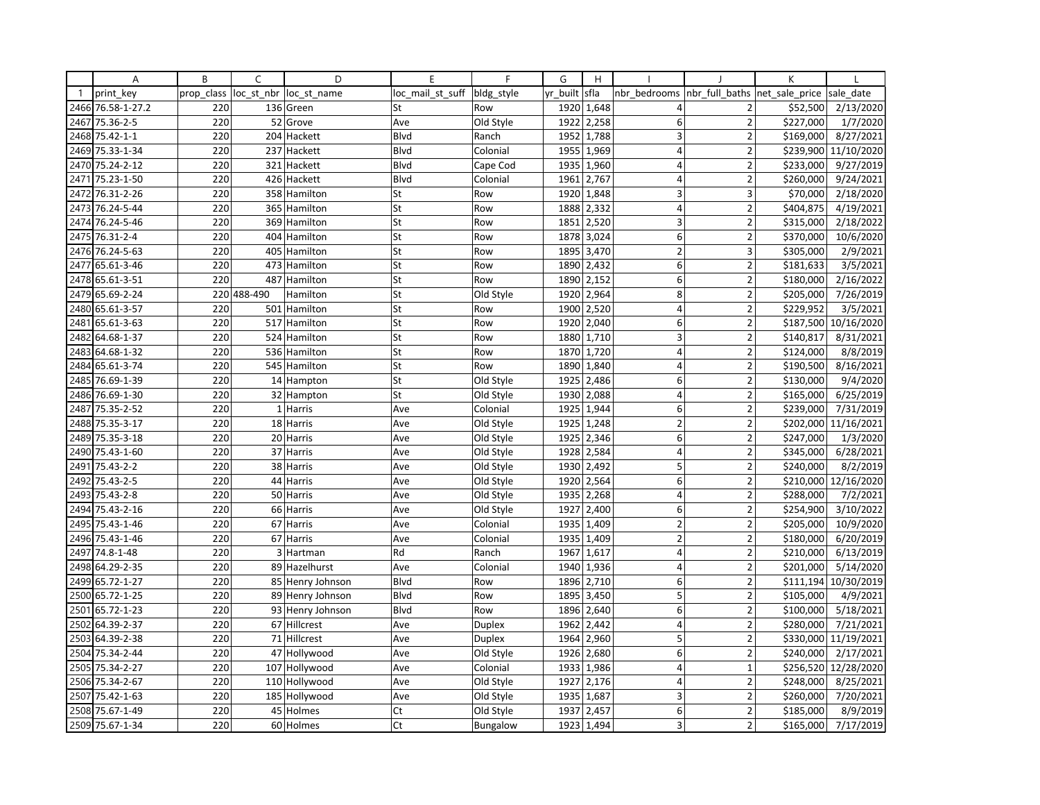|              | Α               | B          | C          | D                | E                | F          | G        | H          |                 |                          | К              |            |
|--------------|-----------------|------------|------------|------------------|------------------|------------|----------|------------|-----------------|--------------------------|----------------|------------|
| $\mathbf{1}$ | print key       | prop class | loc_st_nbr | loc st name      | loc_mail_st_suff | bldg_style | yr built | sfla       | nbr bedrooms    | nbr full baths           | net sale price | sale date  |
| 2466         | 76.58-1-27.2    | 220        |            | 136 Green        | St               | Row        | 1920     | 1,648      | 4               | 2                        | \$52,500       | 2/13/2020  |
| 2467         | 75.36-2-5       | 220        |            | 52 Grove         | Ave              | Old Style  | 1922     | 2,258      | 6               | $\overline{2}$           | \$227,000      | 1/7/2020   |
| 2468         | 75.42-1-1       | 220        |            | 204 Hackett      | Blvd             | Ranch      | 1952     | 1,788      | 3               | $\overline{2}$           | \$169,000      | 8/27/2021  |
| 2469         | 75.33-1-34      | 220        |            | 237 Hackett      | <b>B</b> lvd     | Colonial   |          | 1955 1,969 | $\overline{4}$  | $\overline{2}$           | \$239,900      | 11/10/2020 |
| 2470         | 75.24-2-12      | 220        |            | 321 Hackett      | Blvd             | Cape Cod   | 1935     | 1,960      | 4               | $\overline{2}$           | \$233,000      | 9/27/2019  |
| 2471         | 75.23-1-50      | 220        |            | 426 Hackett      | Blvd             | Colonial   | 1961     | 2,767      | $\overline{4}$  | $\overline{2}$           | \$260,000      | 9/24/2021  |
| 2472         | 76.31-2-26      | 220        |            | 358 Hamilton     | St               | Row        | 1920     | 1,848      | $\overline{3}$  | 3                        | \$70,000       | 2/18/2020  |
| 2473         | 76.24-5-44      | 220        |            | 365 Hamilton     | St               | Row        | 1888     | 2,332      | $\overline{4}$  | $\overline{2}$           | \$404,875      | 4/19/2021  |
| 2474         | 76.24-5-46      | 220        |            | 369 Hamilton     | St               | Row        | 1851     | 2,520      | 3               | $\overline{2}$           | \$315,000      | 2/18/2022  |
| 2475         | 76.31-2-4       | 220        |            | 404 Hamilton     | St               | Row        | 1878     | 3,024      | 6               | $\overline{\phantom{a}}$ | \$370,000      | 10/6/2020  |
| 2476         | 76.24-5-63      | 220        |            | 405 Hamilton     | St               | Row        | 1895     | 3,470      | $\overline{2}$  | 3                        | \$305,000      | 2/9/2021   |
| 2477         | 65.61-3-46      | 220        |            | 473 Hamilton     | St               | Row        | 1890     | 2,432      | 6               | $\overline{2}$           | \$181,633      | 3/5/2021   |
| 2478         | 65.61-3-51      | 220        |            | 487 Hamilton     | St               | Row        | 1890     | 2,152      | 6               | $\overline{2}$           | \$180,000      | 2/16/2022  |
| 2479         | 65.69-2-24      | 220        | 488-490    | Hamilton         | St               | Old Style  | 1920     | 2,964      | 8               | $\overline{2}$           | \$205,000      | 7/26/2019  |
| 2480         | 65.61-3-57      | 220        |            | 501 Hamilton     | St               | Row        | 1900     | 2,520      | $\overline{4}$  | $\overline{2}$           | \$229,952      | 3/5/2021   |
| 2481         | 65.61-3-63      | 220        |            | 517 Hamilton     | St               | Row        | 1920     | 2,040      | 6               | $\overline{2}$           | \$187,500      | 10/16/2020 |
| 2482         | 64.68-1-37      | 220        |            | 524 Hamilton     | St               | Row        | 1880     | 1,710      | 3               | $\overline{2}$           | \$140,817      | 8/31/2021  |
| 2483         | 64.68-1-32      | 220        |            | 536 Hamilton     | St               | Row        | 1870     | 1,720      | $\overline{4}$  | $\overline{\phantom{a}}$ | \$124,000      | 8/8/2019   |
| 2484         | 65.61-3-74      | 220        |            | 545 Hamilton     | St               | Row        | 1890     | 1,840      | $\overline{4}$  | $\overline{2}$           | \$190,500      | 8/16/2021  |
| 2485         | 76.69-1-39      | 220        |            | 14 Hampton       | St               | Old Style  | 1925     | 2,486      | 6               | $\overline{\mathbf{c}}$  | \$130,000      | 9/4/2020   |
| 2486         | 76.69-1-30      | 220        |            | 32 Hampton       | St               | Old Style  | 1930     | 2,088      | $\vert 4 \vert$ | $\overline{2}$           | \$165,000      | 6/25/2019  |
| 2487         | 75.35-2-52      | 220        |            | 1 Harris         | Ave              | Colonial   | 1925     | 1,944      | 6               | $\overline{2}$           | \$239,000      | 7/31/2019  |
| 2488         | 75.35-3-17      | 220        |            | 18 Harris        | Ave              | Old Style  | 1925     | 1,248      | $\overline{2}$  | $\overline{2}$           | \$202,000      | 11/16/2021 |
| 2489         | 75.35-3-18      | 220        |            | 20 Harris        | Ave              | Old Style  | 1925     | 2,346      | 6               | $\overline{2}$           | \$247,000      | 1/3/2020   |
| 2490         | 75.43-1-60      | 220        |            | 37 Harris        | Ave              | Old Style  | 1928     | 2,584      | 4               | $\mathbf 2$              | \$345,000      | 6/28/2021  |
| 2491         | 75.43-2-2       | 220        |            | 38 Harris        | Ave              | Old Style  | 1930     | 2,492      | 5               | $\overline{2}$           | \$240,000      | 8/2/2019   |
| 2492         | 75.43-2-5       | 220        |            | 44 Harris        | Ave              | Old Style  | 1920     | 2,564      | 6               | $\overline{2}$           | \$210,000      | 12/16/2020 |
| 2493         | 75.43-2-8       | 220        |            | 50 Harris        | Ave              | Old Style  | 1935     | 2,268      | $\overline{4}$  | $\overline{2}$           | \$288,000      | 7/2/2021   |
| 2494         | 75.43-2-16      | 220        |            | 66 Harris        | Ave              | Old Style  | 1927     | 2,400      | $6 \mid$        | $\overline{2}$           | \$254,900      | 3/10/2022  |
| 2495         | 75.43-1-46      | 220        |            | 67 Harris        | Ave              | Colonial   | 1935     | 1,409      | $\overline{2}$  | $\overline{2}$           | \$205,000      | 10/9/2020  |
| 2496         | 75.43-1-46      | 220        |            | 67 Harris        | Ave              | Colonial   | 1935     | 1,409      | $\overline{2}$  | $\overline{2}$           | \$180,000      | 6/20/2019  |
| 2497         | 74.8-1-48       | 220        |            | 3 Hartman        | Rd               | Ranch      | 1967     | 1,617      | $\overline{4}$  | $\overline{2}$           | \$210,000      | 6/13/2019  |
| 2498         | 64.29-2-35      | 220        |            | 89 Hazelhurst    | Ave              | Colonial   |          | 1940 1,936 | $\overline{4}$  | $\overline{2}$           | \$201,000      | 5/14/2020  |
| 2499         | 65.72-1-27      | 220        |            | 85 Henry Johnson | <b>Blvd</b>      | Row        | 1896     | 2,710      | $\mathsf 6$     | $\overline{2}$           | \$111,194      | 10/30/2019 |
| 2500         | 65.72-1-25      | 220        |            | 89 Henry Johnson | Blvd             | Row        | 1895     | 3,450      | 5               | $\overline{2}$           | \$105,000      | 4/9/2021   |
|              | 2501 65.72-1-23 | 220        |            | 93 Henry Johnson | Blvd             | Row        | 1896     | 2,640      | 6               | $\overline{2}$           | \$100,000      | 5/18/2021  |
| 2502         | 64.39-2-37      | 220        |            | 67 Hillcrest     | Ave              | Duplex     | 1962     | 2,442      | $\overline{4}$  | $\overline{2}$           | \$280,000      | 7/21/2021  |
| 2503         | 64.39-2-38      | 220        |            | 71 Hillcrest     | Ave              | Duplex     | 1964     | 2,960      | 5               | $\overline{2}$           | \$330,000      | 11/19/2021 |
| 2504         | 75.34-2-44      | 220        |            | 47 Hollywood     | Ave              | Old Style  | 1926     | 2,680      | 6               | $\overline{\phantom{a}}$ | \$240,000      | 2/17/2021  |
| 2505         | 75.34-2-27      | 220        |            | 107 Hollywood    | Ave              | Colonial   | 1933     | 1,986      | $\overline{4}$  | $\mathbf 1$              | \$256,520      | 12/28/2020 |
|              | 2506 75.34-2-67 | 220        |            | 110 Hollywood    | Ave              | Old Style  | 1927     | 2,176      | $\overline{4}$  | $\overline{2}$           | \$248,000      | 8/25/2021  |
| 2507         | 75.42-1-63      | 220        |            | 185 Hollywood    | Ave              | Old Style  | 1935     | 1,687      | 3               | $\overline{2}$           | \$260,000      | 7/20/2021  |
| 2508         | 75.67-1-49      | 220        |            | 45 Holmes        | Ct               | Old Style  | 1937     | 2,457      | 6               | $\overline{2}$           | \$185,000      | 8/9/2019   |
|              | 2509 75.67-1-34 | 220        |            | 60 Holmes        | Ct               | Bungalow   |          | 1923 1,494 | 3               | $\overline{2}$           | \$165,000      | 7/17/2019  |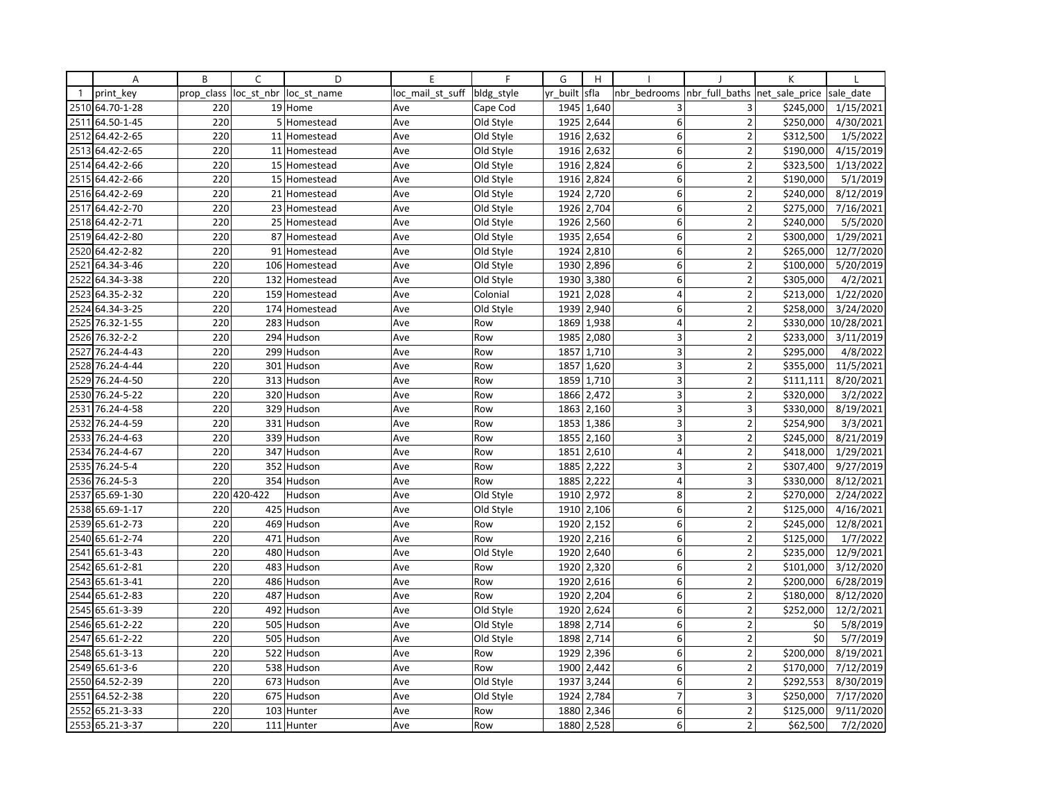|              | Α               | B          | C           | D             | E                | F          | G        | H          |                         |                          | К                  |            |
|--------------|-----------------|------------|-------------|---------------|------------------|------------|----------|------------|-------------------------|--------------------------|--------------------|------------|
| $\mathbf{1}$ | print key       | prop class | loc_st_nbr  | loc st name   | loc mail st suff | bldg style | yr built | sfla       | nbr bedrooms            | nbr full baths           | net_sale_price     | sale date  |
|              | 2510 64.70-1-28 | 220        |             | 19 Home       | Ave              | Cape Cod   | 1945     | 1,640      | 3                       | 3                        | \$245,000          | 1/15/2021  |
| 2511         | 64.50-1-45      | 220        |             | 5 Homestead   | Ave              | Old Style  | 1925     | 2,644      | 6                       | $\overline{2}$           | \$250,000          | 4/30/2021  |
| 2512         | 64.42-2-65      | 220        |             | 11 Homestead  | Ave              | Old Style  | 1916     | 2,632      | 6                       | $\overline{2}$           | \$312,500          | 1/5/2022   |
| 2513         | 64.42-2-65      | 220        |             | 11 Homestead  | Ave              | Old Style  |          | 1916 2,632 | $6 \mid$                | $\overline{2}$           | \$190,000          | 4/15/2019  |
| 2514         | 64.42-2-66      | 220        |             | 15 Homestead  | Ave              | Old Style  | 1916     | 2,824      | 6                       | $\overline{2}$           | \$323,500          | 1/13/2022  |
| 2515         | 64.42-2-66      | 220        |             | 15 Homestead  | Ave              | Old Style  | 1916     | 2,824      | 6                       | $\overline{2}$           | \$190,000          | 5/1/2019   |
|              | 2516 64.42-2-69 | 220        |             | 21 Homestead  | Ave              | Old Style  | 1924     | 2,720      | 6                       | $\overline{2}$           | \$240,000          | 8/12/2019  |
| 2517         | 64.42-2-70      | 220        |             | 23 Homestead  | Ave              | Old Style  | 1926     | 2,704      | 6                       | $\overline{2}$           | \$275,000          | 7/16/2021  |
|              | 2518 64.42-2-71 | 220        |             | 25 Homestead  | Ave              | Old Style  | 1926     | 2,560      | 6                       | $\overline{2}$           | \$240,000          | 5/5/2020   |
|              | 2519 64.42-2-80 | 220        |             | 87 Homestead  | Ave              | Old Style  | 1935     | 2,654      | 6                       | $\overline{\phantom{a}}$ | \$300,000          | 1/29/2021  |
|              | 2520 64.42-2-82 | 220        |             | 91 Homestead  | Ave              | Old Style  | 1924     | 2,810      | 6                       | $\overline{2}$           | \$265,000          | 12/7/2020  |
| 2521         | 64.34-3-46      | 220        |             | 106 Homestead | Ave              | Old Style  | 1930     | 2,896      | 6                       | $\overline{2}$           | \$100,000          | 5/20/2019  |
| 2522         | 64.34-3-38      | 220        |             | 132 Homestead | Ave              | Old Style  | 1930     | 3,380      | 6                       | $\overline{2}$           | \$305,000          | 4/2/2021   |
| 2523         | 64.35-2-32      | 220        |             | 159 Homestead | Ave              | Colonial   | 1921     | 2,028      | 4                       | $\overline{2}$           | \$213,000          | 1/22/2020  |
|              | 2524 64.34-3-25 | 220        |             | 174 Homestead | Ave              | Old Style  | 1939     | 2,940      | 6                       | $\overline{2}$           | \$258,000          | 3/24/2020  |
| 2525         | 76.32-1-55      | 220        |             | 283 Hudson    | Ave              | Row        | 1869     | 1,938      | $\overline{4}$          | $\overline{2}$           | \$330,000          | 10/28/2021 |
| 2526         | 76.32-2-2       | 220        |             | 294 Hudson    | Ave              | Row        | 1985     | 2,080      | 3                       | $\overline{2}$           | \$233,000          | 3/11/2019  |
| 2527         | 76.24-4-43      | 220        |             | 299 Hudson    | Ave              | Row        | 1857     | 1,710      | 3                       | $\overline{2}$           | \$295,000          | 4/8/2022   |
| 2528         | 76.24-4-44      | 220        | 301         | Hudson        | Ave              | Row        | 1857     | 1,620      | 3                       | $\overline{2}$           | \$355,000          | 11/5/2021  |
| 2529         | 76.24-4-50      | 220        |             | 313 Hudson    | Ave              | Row        | 1859     | 1,710      | 3                       | $\overline{2}$           | \$111,111          | 8/20/2021  |
| 2530         | 76.24-5-22      | 220        |             | 320 Hudson    | Ave              | Row        | 1866     | 2,472      | $\overline{\mathbf{3}}$ | $\overline{2}$           | \$320,000          | 3/2/2022   |
| 2531         | 76.24-4-58      | 220        |             | 329 Hudson    | Ave              | Row        | 1863     | 2,160      | 3                       | 3                        | \$330,000          | 8/19/2021  |
| 2532         | 76.24-4-59      | 220        |             | 331 Hudson    | Ave              | Row        | 1853     | 1,386      | 3                       | $\overline{2}$           | \$254,900          | 3/3/2021   |
| 2533         | 76.24-4-63      | 220        |             | 339 Hudson    | Ave              | Row        | 1855     | 2,160      | 3                       | $\mathbf 2$              | \$245,000          | 8/21/2019  |
| 2534         | 76.24-4-67      | 220        |             | 347 Hudson    | Ave              | Row        | 1851     | 2,610      | 4                       | $\mathbf 2$              | \$418,000          | 1/29/2021  |
| 2535         | 76.24-5-4       | 220        |             | 352 Hudson    | Ave              | Row        | 1885     | 2,222      | 3                       | $\overline{2}$           | \$307,400          | 9/27/2019  |
| 2536         | 76.24-5-3       | 220        |             | 354 Hudson    | Ave              | Row        | 1885     | 2,222      | 4                       | 3                        | \$330,000          | 8/12/2021  |
| 2537         | 65.69-1-30      |            | 220 420-422 | Hudson        | Ave              | Old Style  | 1910     | 2,972      | 8                       | $\overline{2}$           | \$270,000          | 2/24/2022  |
| 2538         | 65.69-1-17      | 220        |             | 425 Hudson    | Ave              | Old Style  | 1910     | 2,106      | $6 \mid$                | $\mathbf 2$              | \$125,000          | 4/16/2021  |
|              | 2539 65.61-2-73 | 220        |             | 469 Hudson    | Ave              | Row        | 1920     | 2,152      | 6                       | $\overline{2}$           | \$245,000          | 12/8/2021  |
| 2540         | 65.61-2-74      | 220        |             | 471 Hudson    | Ave              | Row        | 1920     | 2,216      | 6                       | $\overline{2}$           | \$125,000          | 1/7/2022   |
| 2541         | 65.61-3-43      | 220        | 480         | Hudson        | Ave              | Old Style  | 1920     | 2,640      | 6                       | $\overline{2}$           | \$235,000          | 12/9/2021  |
| 2542         | 65.61-2-81      | 220        |             | 483 Hudson    | Ave              | Row        |          | 1920 2,320 | 6 <sup>1</sup>          | $\overline{2}$           | \$101,000          | 3/12/2020  |
|              | 2543 65.61-3-41 | 220        |             | 486 Hudson    | Ave              | Row        | 1920     | 2,616      | $\mathsf 6$             | $\overline{2}$           | \$200,000          | 6/28/2019  |
| 2544         | 65.61-2-83      | 220        |             | 487 Hudson    | Ave              | Row        | 1920     | 2,204      | 6                       | $\overline{2}$           | \$180,000          | 8/12/2020  |
|              | 2545 65.61-3-39 | 220        |             | 492 Hudson    | Ave              | Old Style  |          | 1920 2,624 | 6                       | $\overline{2}$           | \$252,000          | 12/2/2021  |
| 2546         | 65.61-2-22      | 220        |             | 505 Hudson    | Ave              | Old Style  | 1898     | 2,714      | 6                       | $\overline{2}$           | \$0                | 5/8/2019   |
| 2547         | 65.61-2-22      | 220        |             | 505 Hudson    | Ave              | Old Style  | 1898     | 2,714      | 6                       | $\overline{2}$           | $\overline{\xi_0}$ | 5/7/2019   |
| 2548         | 65.61-3-13      | 220        |             | 522 Hudson    | Ave              | Row        | 1929     | 2,396      | 6                       | $\overline{2}$           | \$200,000          | 8/19/2021  |
|              | 2549 65.61-3-6  | 220        |             | 538 Hudson    | Ave              | Row        | 1900     | 2,442      | 6                       | $\overline{2}$           | \$170,000          | 7/12/2019  |
|              | 2550 64.52-2-39 | 220        |             | 673 Hudson    | Ave              | Old Style  | 1937     | 3,244      | 6                       | $\overline{2}$           | \$292,553          | 8/30/2019  |
| 2551         | 64.52-2-38      | 220        |             | 675 Hudson    | Ave              | Old Style  | 1924     | 2,784      | $\overline{7}$          | 3                        | \$250,000          | 7/17/2020  |
| 2552         | 65.21-3-33      | 220        |             | 103 Hunter    | Ave              | Row        | 1880     | 2,346      | 6                       | $\overline{2}$           | \$125,000          | 9/11/2020  |
|              | 2553 65.21-3-37 | 220        |             | 111 Hunter    | Ave              | Row        | 1880     | 2,528      | 6                       | $\overline{2}$           | \$62,500           | 7/2/2020   |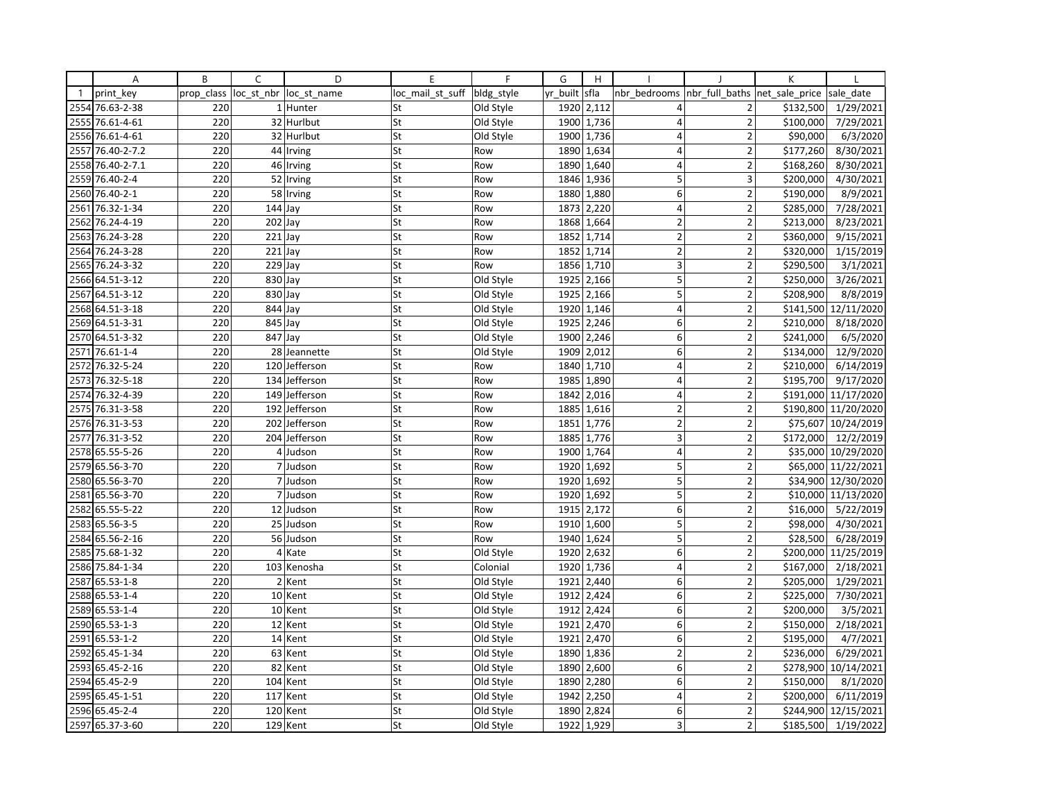|              | Α               | B          | C                     | D             | E                | F          | G        | H            |                         |                          | К              |                       |
|--------------|-----------------|------------|-----------------------|---------------|------------------|------------|----------|--------------|-------------------------|--------------------------|----------------|-----------------------|
| $\mathbf{1}$ | print key       | prop class | loc_st_nbr            | loc st name   | loc mail st suff | bldg_style | yr built | sfla         | nbr bedrooms            | nbr full baths           | net sale price | sale date             |
| 2554         | 76.63-2-38      | 220        |                       | 1 Hunter      | St               | Old Style  |          | 1920 2,112   | 4                       | $\overline{2}$           | \$132,500      | 1/29/2021             |
| 2555         | 76.61-4-61      | 220        |                       | 32 Hurlbut    | St               | Old Style  | 1900     | 1,736        | $\overline{4}$          | $\overline{2}$           | \$100,000      | 7/29/2021             |
| 2556         | 76.61-4-61      | 220        |                       | 32 Hurlbut    | St               | Old Style  | 1900     | 1,736        | $\overline{4}$          | $\overline{2}$           | \$90,000       | 6/3/2020              |
| 2557         | 76.40-2-7.2     | 220        |                       | 44 Irving     | St               | Row        |          | 1890 1,634   | 4                       | $\overline{2}$           | \$177,260      | 8/30/2021             |
| 2558         | 76.40-2-7.1     | 220        |                       | 46 Irving     | St               | Row        | 1890     | 1,640        | 4                       | $\overline{2}$           | \$168,260      | 8/30/2021             |
| 2559         | 76.40-2-4       | 220        |                       | 52 Irving     | St               | Row        | 1846     | 1,936        | 5                       | 3                        | \$200,000      | 4/30/2021             |
|              | 2560 76.40-2-1  | 220        |                       | 58 Irving     | St               | Row        |          | 1880 1,880   | 6                       | $\overline{2}$           | \$190,000      | 8/9/2021              |
| 2561         | 76.32-1-34      | 220        | $\overline{1}$ 44 Jay |               | St               | Row        | 1873     | 2,220        | $\overline{4}$          | $\overline{2}$           | \$285,000      | 7/28/2021             |
| 2562         | 76.24-4-19      | 220        | $202$ Jay             |               | St               | Row        |          | 1868 1,664   | $\overline{2}$          | $\overline{2}$           | \$213,000      | 8/23/2021             |
| 2563         | 76.24-3-28      | 220        | $221$ Jay             |               | St               | Row        | 1852     | 1,714        | $\overline{2}$          | $\overline{\phantom{a}}$ | \$360,000      | 9/15/2021             |
| 2564         | 76.24-3-28      | 220        | $221$ Jay             |               | St               | Row        | 1852     | 1,714        | $\mathbf 2$             | $\overline{2}$           | \$320,000      | 1/15/2019             |
| 2565         | 76.24-3-32      | 220        | 229 Jay               |               | St               | Row        | 1856     | 1,710        | 3                       | $\overline{2}$           | \$290,500      | 3/1/2021              |
| 2566         | 64.51-3-12      | 220        | 830 Jay               |               | St               | Old Style  | 1925     | 2,166        | 5                       | $\overline{2}$           | \$250,000      | 3/26/2021             |
|              | 2567 64.51-3-12 | 220        | 830 Jay               |               | St               | Old Style  | 1925     | 2,166        | 5                       | $\overline{2}$           | \$208,900      | 8/8/2019              |
|              | 2568 64.51-3-18 | 220        | 844 Jay               |               | St               | Old Style  | 1920     | 1,146        | 4                       | $\overline{2}$           | \$141,500      | 12/11/2020            |
|              | 2569 64.51-3-31 | 220        | 845 Jay               |               | St               | Old Style  | 1925     | 2,246        | 6                       | $\overline{2}$           | \$210,000      | 8/18/2020             |
|              | 2570 64.51-3-32 | 220        | 847 Jay               |               | St               | Old Style  | 1900     | 2,246        | 6                       | $\overline{2}$           | \$241,000      | 6/5/2020              |
| 2571         | 76.61-1-4       | 220        |                       | 28 Jeannette  | St               | Old Style  | 1909     | 2,012        | 6                       | $\overline{2}$           | \$134,000      | 12/9/2020             |
| 2572         | 76.32-5-24      | 220        | 120                   | Jefferson     | St               | Row        | 1840     | 1,710        | $\overline{4}$          | $\overline{2}$           | \$210,000      | $\sqrt{6/14/2019}$    |
|              | 2573 76.32-5-18 | 220        |                       | 134 Jefferson | St               | Row        | 1985     | 1,890        | $\overline{4}$          | $\overline{2}$           | \$195,700      | 9/17/2020             |
|              | 2574 76.32-4-39 | 220        | 149                   | Jefferson     | St               | Row        | 1842     | 2,016        | $\vert 4 \vert$         | $\overline{2}$           | \$191,000      | 11/17/2020            |
|              | 2575 76.31-3-58 | 220        |                       | 192 Jefferson | St               | Row        | 1885     | 1,616        | $\overline{2}$          | $\overline{2}$           | \$190,800      | 11/20/2020            |
|              | 2576 76.31-3-53 | 220        |                       | 202 Jefferson | St               | Row        | 1851     | 1,776        | $\overline{2}$          | $\overline{2}$           | \$75,607       | 10/24/2019            |
| 2577         | 76.31-3-52      | 220        |                       | 204 Jefferson | St               | Row        | 1885     | 1,776        | 3                       | $\mathbf 2$              | \$172,000      | 12/2/2019             |
|              | 2578 65.55-5-26 | 220        |                       | 4 Judson      | St               | Row        | 1900     | 1,764        | $\overline{\mathbf{4}}$ | $\mathbf 2$              | \$35,000       | 10/29/2020            |
|              | 2579 65.56-3-70 | 220        |                       | 7 Judson      | St               | Row        | 1920     | 1,692        | 5                       | $\overline{2}$           | \$65,000       | 11/22/2021            |
| 2580         | 65.56-3-70      | 220        |                       | 7 Judson      | St               | Row        | 1920     | 1,692        | 5                       | $\mathbf 2$              | \$34,900       | 12/30/2020            |
| 2581         | 65.56-3-70      | 220        |                       | 7 Judson      | St               | Row        |          | 1920 1,692   | 5                       | $\overline{2}$           | \$10,000       | 11/13/2020            |
| 2582         | 65.55-5-22      | 220        |                       | 12 Judson     | St               | Row        | 1915     | 2,172        | $6 \mid$                | $\mathbf 2$              | \$16,000       | 5/22/2019             |
|              | 2583 65.56-3-5  | 220        |                       | 25 Judson     | St               | Row        | 1910     | 1,600        | 5                       | $\overline{2}$           | \$98,000       | 4/30/2021             |
| 2584         | 65.56-2-16      | 220        | 56                    | Judson        | St               | Row        | 1940     | 1,624        | 5                       | $\overline{2}$           | \$28,500       | 6/28/2019             |
| 2585         | 75.68-1-32      | 220        |                       | 4 Kate        | St               | Old Style  | 1920     | 2,632        | 6                       | $\overline{2}$           | \$200,000      | 11/25/2019            |
| 2586         | 75.84-1-34      | 220        |                       | 103 Kenosha   | St               | Colonial   |          | 1920   1,736 | $\overline{4}$          | $\overline{2}$           | \$167,000      | 2/18/2021             |
| 2587         | 65.53-1-8       | 220        |                       | 2 Kent        | St               | Old Style  | 1921     | 2,440        | $\mathsf 6$             | $\overline{2}$           | \$205,000      | 1/29/2021             |
| 2588         | 65.53-1-4       | 220        |                       | 10 Kent       | St               | Old Style  | 1912     | 2,424        | 6                       | $\overline{2}$           | \$225,000      | 7/30/2021             |
|              | 2589 65.53-1-4  | 220        |                       | 10 Kent       | St               | Old Style  | 1912     | 2,424        | 6                       | $\overline{2}$           | \$200,000      | 3/5/2021              |
| 2590         | 65.53-1-3       | 220        |                       | 12 Kent       | St               | Old Style  | 1921     | 2,470        | 6 <sup>1</sup>          | $\overline{2}$           | \$150,000      | 2/18/2021             |
| 2591         | 65.53-1-2       | 220        |                       | 14 Kent       | St               | Old Style  | 1921     | 2,470        | 6                       | $\overline{2}$           | \$195,000      | $\frac{1}{4}$ /7/2021 |
| 2592         | 65.45-1-34      | 220        | 63                    | Kent          | St               | Old Style  | 1890     | 1,836        | $\overline{2}$          | $\overline{2}$           | \$236,000      | 6/29/2021             |
|              | 2593 65.45-2-16 | 220        | 82                    | Kent          | St               | Old Style  | 1890     | 2,600        | 6                       | $\overline{2}$           | \$278,900      | 10/14/2021            |
|              | 2594 65.45-2-9  | 220        |                       | 104 Kent      | St               | Old Style  | 1890     | 2,280        | 6                       | $\overline{2}$           | \$150,000      | 8/1/2020              |
| 2595         | 65.45-1-51      | 220        |                       | 117 Kent      | St               | Old Style  | 1942     | 2,250        | $\overline{4}$          | $\overline{2}$           | \$200,000      | 6/11/2019             |
|              | 2596 65.45-2-4  | 220        |                       | 120 Kent      | St               | Old Style  | 1890     | 2,824        | 6                       | $\overline{2}$           | \$244,900      | 12/15/2021            |
|              | 2597 65.37-3-60 | 220        |                       | 129 Kent      | St               | Old Style  |          | 1922 1,929   | 3                       | $\overline{2}$           | \$185,500      | 1/19/2022             |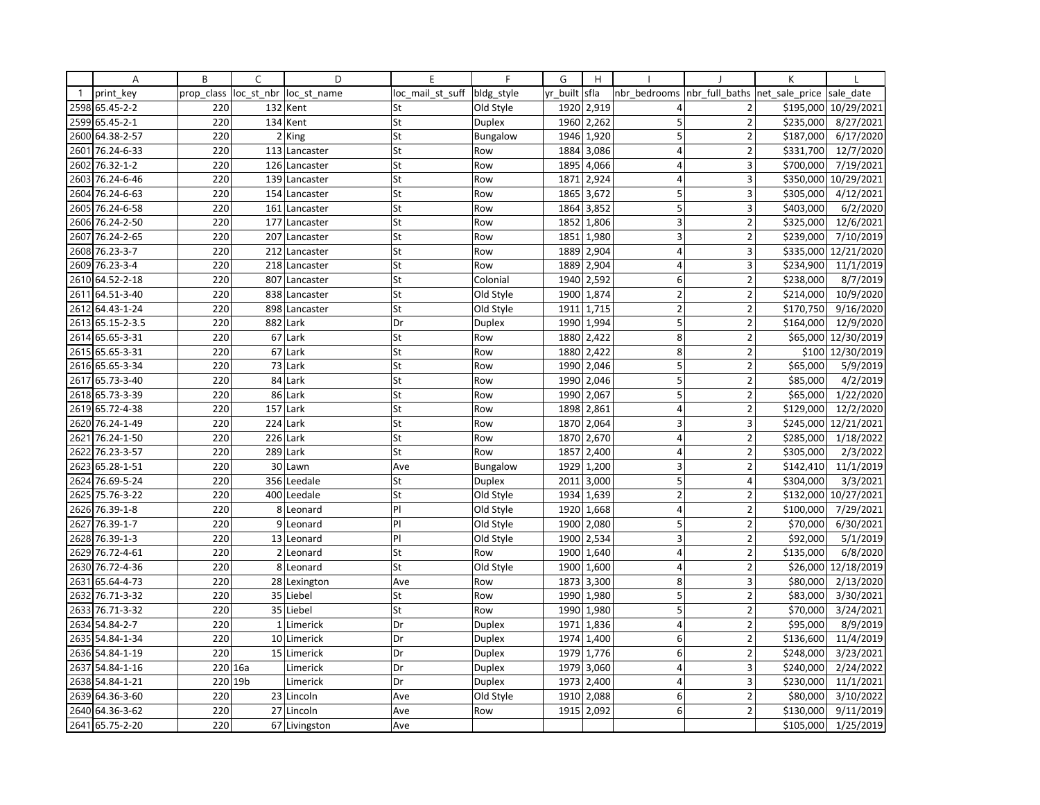|              | Α               | B          | C   | D                      | E                | F               | G        | H     |                |                         | К              |                        |
|--------------|-----------------|------------|-----|------------------------|------------------|-----------------|----------|-------|----------------|-------------------------|----------------|------------------------|
| $\mathbf{1}$ | print key       | prop_class |     | loc st nbr loc st name | loc mail st suff | bldg_style      | yr built | sfla  | nbr bedrooms   | nbr full baths          | net sale price | sale_date              |
| 2598         | 65.45-2-2       | 220        |     | 132 Kent               | St               | Old Style       | 1920     | 2,919 | 4              | $\overline{2}$          | \$195,000      | 10/29/2021             |
| 2599         | 65.45-2-1       | 220        | 134 | Kent                   | St               | <b>Duplex</b>   | 1960     | 2,262 | 5              | $\overline{2}$          | \$235,000      | 8/27/2021              |
| 2600         | 64.38-2-57      | 220        |     | 2 King                 | St               | Bungalow        | 1946     | 1,920 | 5              | $\overline{2}$          | \$187,000      | 6/17/2020              |
| 2601         | 76.24-6-33      | 220        |     | 113 Lancaster          | St               | Row             | 1884     | 3,086 | 4              | $\overline{2}$          | \$331,700      | 12/7/2020              |
| 2602         | 76.32-1-2       | 220        |     | 126 Lancaster          | St               | Row             | 1895     | 4,066 | 4              | 3                       | \$700,000      | 7/19/2021              |
| 2603         | 76.24-6-46      | 220        |     | 139 Lancaster          | St               | Row             | 1871     | 2,924 | $\overline{4}$ | 3                       | \$350,000      | 10/29/2021             |
| 2604         | 76.24-6-63      | 220        |     | 154 Lancaster          | St               | Row             | 1865     | 3,672 | 5              | 3                       | \$305,000      | $\frac{1}{4}$ /12/2021 |
| 2605         | 76.24-6-58      | 220        |     | 161 Lancaster          | St               | Row             | 1864     | 3,852 | 5              | 3                       | \$403,000      | 6/2/2020               |
| 2606         | 76.24-2-50      | 220        |     | 177 Lancaster          | St               | Row             | 1852     | 1,806 | 3              | $\overline{2}$          | \$325,000      | 12/6/2021              |
| 2607         | 76.24-2-65      | 220        |     | 207 Lancaster          | St               | Row             | 1851     | 1,980 | $\overline{3}$ | $\overline{2}$          | \$239,000      | 7/10/2019              |
| 2608         | 76.23-3-7       | 220        |     | 212 Lancaster          | St               | Row             | 1889     | 2,904 | $\overline{4}$ | 3                       | \$335,000      | 12/21/2020             |
| 2609         | 76.23-3-4       | 220        |     | 218 Lancaster          | St               | Row             | 1889     | 2,904 | $\overline{4}$ | 3                       | \$234,900      | 11/1/2019              |
| 2610         | 64.52-2-18      | 220        |     | 807 Lancaster          | St               | Colonial        | 1940     | 2,592 | $\overline{6}$ | $\overline{2}$          | \$238,000      | 8/7/2019               |
| 2611         | 64.51-3-40      | 220        |     | 838 Lancaster          | St               | Old Style       | 1900     | 1,874 | $\overline{2}$ | $\overline{2}$          | \$214,000      | 10/9/2020              |
| 2612         | 64.43-1-24      | 220        |     | 898 Lancaster          | St               | Old Style       | 1911     | 1,715 | $\overline{2}$ | $\overline{2}$          | \$170,750      | 9/16/2020              |
| 2613         | 65.15-2-3.5     | 220        |     | 882 Lark               | Dr               | <b>Duplex</b>   | 1990     | 1,994 | 5              | $\overline{2}$          | \$164,000      | 12/9/2020              |
|              | 2614 65.65-3-31 | 220        |     | 67 Lark                | St               | Row             | 1880     | 2,422 | 8              | $\overline{2}$          |                | \$65,000 12/30/2019    |
| 2615         | 65.65-3-31      | 220        |     | 67 Lark                | St               | Row             | 1880     | 2,422 | 8              | $\overline{2}$          |                | \$100 12/30/2019       |
| 2616         | 65.65-3-34      | 220        |     | 73 Lark                | St               | Row             | 1990     | 2,046 | 5              | $\overline{2}$          | \$65,000       | 5/9/2019               |
| 2617         | 65.73-3-40      | 220        |     | 84 Lark                | St               | Row             | 1990     | 2,046 | 5              | $\overline{2}$          | \$85,000       | 4/2/2019               |
| 2618         | 65.73-3-39      | 220        |     | 86 Lark                | St               | Row             | 1990     | 2,067 | 5              | $\overline{2}$          | \$65,000       | 1/22/2020              |
| 2619         | 65.72-4-38      | 220        |     | 157 Lark               | St               | Row             | 1898     | 2,861 | 4              | $\overline{2}$          | \$129,000      | 12/2/2020              |
| 2620         | 76.24-1-49      | 220        |     | 224 Lark               | St               | Row             | 1870     | 2,064 | $\overline{3}$ | $\overline{3}$          | \$245,000      | 12/21/2021             |
| 2621         | 76.24-1-50      | 220        |     | 226 Lark               | St               | Row             | 1870     | 2,670 | $\overline{4}$ | $\overline{2}$          | \$285,000      | 1/18/2022              |
| 2622         | 76.23-3-57      | 220        |     | 289 Lark               | St               | Row             | 1857     | 2,400 | $\overline{4}$ | $\overline{2}$          | \$305,000      | 2/3/2022               |
| 2623         | 65.28-1-51      | 220        |     | 30 Lawn                | Ave              | <b>Bungalow</b> | 1929     | 1,200 | 3              | $\overline{2}$          | \$142,410      | 11/1/2019              |
| 2624         | 76.69-5-24      | 220        |     | 356 Leedale            | St               | <b>Duplex</b>   | 2011     | 3,000 | 5              | 4                       | \$304,000      | 3/3/2021               |
| 2625         | 75.76-3-22      | 220        |     | 400 Leedale            | St               | Old Style       | 1934     | 1,639 | $\overline{2}$ | $\overline{2}$          | \$132,000      | 10/27/2021             |
| 2626         | 76.39-1-8       | 220        |     | 8 Leonard              | P                | Old Style       | 1920     | 1,668 | $\overline{4}$ | $\overline{2}$          | \$100,000      | 7/29/2021              |
| 2627         | 76.39-1-7       | 220        |     | 9 Leonard              | P                | Old Style       | 1900     | 2,080 | 5              | $\overline{2}$          | \$70,000       | 6/30/2021              |
| 2628         | 76.39-1-3       | 220        |     | 13 Leonard             | PI               | Old Style       | 1900     | 2,534 | $\overline{3}$ | $\overline{2}$          | \$92,000       | 5/1/2019               |
| 2629         | 76.72-4-61      | 220        |     | 2 Leonard              | St               | Row             | 1900     | 1,640 | 4              | $\overline{\mathbf{c}}$ | \$135,000      | 6/8/2020               |
| 2630         | 76.72-4-36      | 220        |     | 8 Leonard              | St               | Old Style       | 1900     | 1,600 | $\overline{4}$ | $\overline{2}$          |                | \$26,000 12/18/2019    |
| 2631         | 65.64-4-73      | 220        |     | 28 Lexington           | Ave              | Row             | 1873     | 3,300 | 8              | $\overline{3}$          | \$80,000       | 2/13/2020              |
| 2632         | 76.71-3-32      | 220        |     | 35 Liebel              | St               | Row             | 1990     | 1,980 | 5              | $\overline{2}$          | \$83,000       | 3/30/2021              |
| 2633         | 76.71-3-32      | 220        |     | 35 Liebel              | St               | Row             | 1990     | 1,980 | 5              | $\overline{2}$          | \$70,000       | 3/24/2021              |
| 2634         | 54.84-2-7       | 220        |     | 1 Limerick             | Dr               | Duplex          | 1971     | 1,836 | $\overline{4}$ | $\overline{2}$          | \$95,000       | 8/9/2019               |
|              | 2635 54.84-1-34 | 220        |     | 10 Limerick            | Dr               | <b>Duplex</b>   | 1974     | 1,400 | 6              | $\overline{2}$          | \$136,600      | 11/4/2019              |
| 2636         | 54.84-1-19      | 220        |     | 15 Limerick            | Dr               | Duplex          | 1979     | 1,776 | 6              | $\overline{2}$          | \$248,000      | 3/23/2021              |
| 2637         | 54.84-1-16      | 220 16a    |     | Limerick               | Dr               | Duplex          | 1979     | 3,060 | 4              | 3                       | \$240,000      | 2/24/2022              |
|              | 2638 54.84-1-21 | 220 19b    |     | Limerick               | Dr               | Duplex          | 1973     | 2,400 | $\overline{4}$ | 3                       | \$230,000      | 11/1/2021              |
| 2639         | 64.36-3-60      | 220        |     | 23 Lincoln             | Ave              | Old Style       | 1910     | 2,088 | 6              | $\overline{2}$          | \$80,000       | 3/10/2022              |
|              | 2640 64.36-3-62 | 220        |     | 27 Lincoln             | Ave              | Row             | 1915     | 2,092 | 6              | $\overline{2}$          | \$130,000      | 9/11/2019              |
|              | 2641 65.75-2-20 | 220        |     | 67 Livingston          | Ave              |                 |          |       |                |                         | \$105,000      | 1/25/2019              |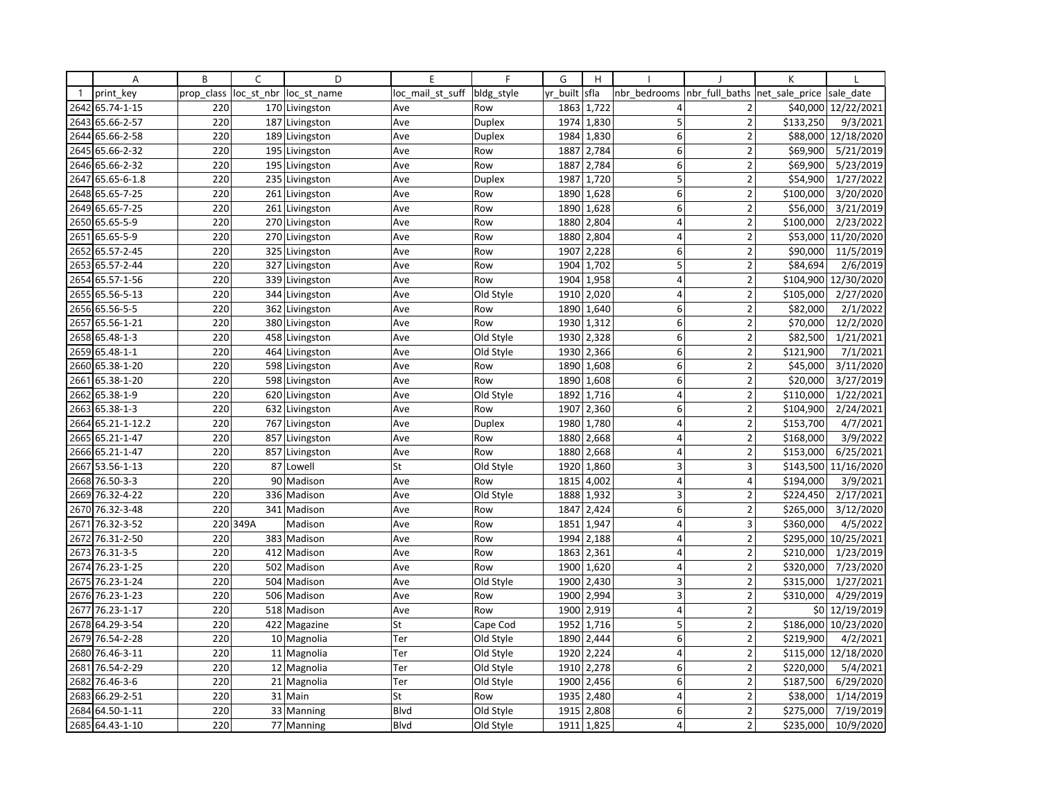|              | Α               | B          | C          | D              | E                | F             | G        | H     |                         |                | K              |                      |
|--------------|-----------------|------------|------------|----------------|------------------|---------------|----------|-------|-------------------------|----------------|----------------|----------------------|
| $\mathbf{1}$ | print key       | prop_class | loc st nbr | loc st name    | loc_mail_st_suff | bldg style    | yr built | sfla  | nbr bedrooms            | nbr full baths | net sale price | sale date            |
| 2642         | 65.74-1-15      | 220        |            | 170 Livingston | Ave              | Row           | 1863     | 1,722 | 4                       | $\overline{2}$ |                | \$40,000 12/22/2021  |
| 2643         | 65.66-2-57      | 220        |            | 187 Livingston | Ave              | <b>Duplex</b> | 1974     | 1,830 | 5                       | $\overline{2}$ | \$133,250      | 9/3/2021             |
| 2644         | 65.66-2-58      | 220        |            | 189 Livingston | Ave              | Duplex        | 1984     | 1,830 | 6                       | $\overline{2}$ |                | \$88,000 12/18/2020  |
| 2645         | 65.66-2-32      | 220        |            | 195 Livingston | Ave              | Row           | 1887     | 2,784 | 6                       | $\overline{2}$ | \$69,900       | 5/21/2019            |
|              | 2646 65.66-2-32 | 220        |            | 195 Livingston | Ave              | Row           | 1887     | 2,784 | 6                       | $\overline{2}$ | \$69,900       | 5/23/2019            |
| 2647         | 65.65-6-1.8     | 220        |            | 235 Livingston | Ave              | Duplex        | 1987     | 1,720 | 5                       | $\overline{2}$ | \$54,900       | 1/27/2022            |
|              | 2648 65.65-7-25 | 220        |            | 261 Livingston | Ave              | Row           | 1890     | 1,628 | 6                       | $\overline{2}$ | \$100,000      | 3/20/2020            |
| 2649         | 65.65-7-25      | 220        |            | 261 Livingston | Ave              | Row           | 1890     | 1,628 | 6                       | $\overline{2}$ | \$56,000       | 3/21/2019            |
|              | 2650 65.65-5-9  | 220        |            | 270 Livingston | Ave              | Row           | 1880     | 2,804 | 4                       | $\overline{2}$ | \$100,000      | 2/23/2022            |
| 2651         | 65.65-5-9       | 220        |            | 270 Livingston | Ave              | Row           | 1880     | 2,804 | 4                       | $\overline{2}$ |                | \$53,000 11/20/2020  |
| 2652         | 65.57-2-45      | 220        |            | 325 Livingston | Ave              | Row           | 1907     | 2,228 | 6                       | $\overline{2}$ | \$90,000       | 11/5/2019            |
|              | 2653 65.57-2-44 | 220        |            | 327 Livingston | Ave              | Row           | 1904     | 1,702 | 5                       | $\overline{2}$ | \$84,694       | 2/6/2019             |
| 2654         | 65.57-1-56      | 220        |            | 339 Livingston | Ave              | Row           | 1904     | 1,958 | $\overline{4}$          | $\overline{2}$ |                | \$104,900 12/30/2020 |
| 2655         | 65.56-5-13      | 220        |            | 344 Livingston | Ave              | Old Style     | 1910     | 2,020 | 4                       | $\overline{2}$ | \$105,000      | 2/27/2020            |
|              | 2656 65.56-5-5  | 220        |            | 362 Livingston | Ave              | Row           | 1890     | 1,640 | 6                       | $\overline{2}$ | \$82,000       | 2/1/2022             |
| 2657         | 65.56-1-21      | 220        |            | 380 Livingston | Ave              | Row           | 1930     | 1,312 | 6                       | $\overline{2}$ | \$70,000       | 12/2/2020            |
|              | 2658 65.48-1-3  | 220        |            | 458 Livingston | Ave              | Old Style     | 1930     | 2,328 | 6                       | $\overline{2}$ | \$82,500       | 1/21/2021            |
| 2659         | 65.48-1-1       | 220        |            | 464 Livingston | Ave              | Old Style     | 1930     | 2,366 | 6                       | $\overline{2}$ | \$121,900      | 7/1/2021             |
| 2660         | 65.38-1-20      | 220        |            | 598 Livingston | Ave              | Row           | 1890     | 1,608 | 6                       | $\overline{2}$ | \$45,000       | 3/11/2020            |
| 2661         | 65.38-1-20      | 220        |            | 598 Livingston | Ave              | Row           | 1890     | 1,608 | 6                       | $\overline{2}$ | \$20,000       | 3/27/2019            |
| 2662         | 65.38-1-9       | 220        |            | 620 Livingston | Ave              | Old Style     | 1892     | 1,716 | $\overline{4}$          | $\overline{2}$ | \$110,000      | 1/22/2021            |
| 2663         | 65.38-1-3       | 220        |            | 632 Livingston | Ave              | Row           | 1907     | 2,360 | 6                       | $\overline{2}$ | \$104,900      | 2/24/2021            |
| 2664         | 65.21-1-12.2    | 220        |            | 767 Livingston | Ave              | Duplex        | 1980     | 1,780 | $\overline{\mathbf{4}}$ | $\overline{2}$ | \$153,700      | 4/7/2021             |
| 2665         | 65.21-1-47      | 220        |            | 857 Livingston | Ave              | Row           | 1880     | 2,668 | 4                       | $\overline{2}$ | \$168,000      | 3/9/2022             |
|              | 2666 65.21-1-47 | 220        |            | 857 Livingston | Ave              | Row           | 1880     | 2,668 | $\overline{4}$          | $\overline{2}$ | \$153,000      | 6/25/2021            |
| 2667         | 53.56-1-13      | 220        |            | 87 Lowell      | St               | Old Style     | 1920     | 1,860 | 3                       | 3              |                | \$143,500 11/16/2020 |
| 2668         | 76.50-3-3       | 220        |            | 90 Madison     | Ave              | Row           | 1815     | 4,002 | $\overline{4}$          | 4              | \$194,000      | 3/9/2021             |
| 2669         | 76.32-4-22      | 220        |            | 336 Madison    | Ave              | Old Style     | 1888     | 1,932 | $\overline{3}$          | $\overline{2}$ | \$224,450      | 2/17/2021            |
| 2670         | 76.32-3-48      | 220        |            | 341 Madison    | Ave              | Row           | 1847     | 2,424 | 6                       | $\overline{2}$ | \$265,000      | 3/12/2020            |
| 2671         | 76.32-3-52      |            | 220 349A   | Madison        | Ave              | Row           | 1851     | 1,947 | 4                       | 3              | \$360,000      | 4/5/2022             |
| 2672         | 76.31-2-50      | 220        |            | 383 Madison    | Ave              | Row           | 1994     | 2,188 | $\overline{4}$          | $\overline{2}$ | \$295,000      | 10/25/2021           |
| 2673         | 76.31-3-5       | 220        |            | 412 Madison    | Ave              | Row           | 1863     | 2,361 | $\overline{4}$          | $\overline{2}$ | \$210,000      | 1/23/2019            |
| 2674         | 76.23-1-25      | 220        |            | 502 Madison    | Ave              | Row           | 1900     | 1,620 | 4                       | $\overline{2}$ | \$320,000      | 7/23/2020            |
| 2675         | 76.23-1-24      | 220        |            | 504 Madison    | Ave              | Old Style     | 1900     | 2,430 | 3                       | $\overline{2}$ | \$315,000      | 1/27/2021            |
| 2676         | 76.23-1-23      | 220        |            | 506 Madison    | Ave              | Row           | 1900     | 2,994 | 3                       | $\overline{2}$ | \$310,000      | 4/29/2019            |
| 2677         | 76.23-1-17      | 220        |            | 518 Madison    | Ave              | Row           | 1900     | 2,919 | 4                       | $\overline{2}$ |                | \$0 12/19/2019       |
| 2678         | 64.29-3-54      | 220        |            | 422 Magazine   | St               | Cape Cod      | 1952     | 1,716 | 5                       | $\overline{2}$ |                | \$186,000 10/23/2020 |
| 2679         | 76.54-2-28      | 220        |            | 10 Magnolia    | Ter              | Old Style     | 1890     | 2,444 | 6                       | $\overline{2}$ | \$219,900      | 4/2/2021             |
| 2680         | 76.46-3-11      | 220        |            | 11 Magnolia    | Ter              | Old Style     | 1920     | 2,224 | $\overline{4}$          | $\overline{2}$ |                | \$115,000 12/18/2020 |
| 2681         | 76.54-2-29      | 220        |            | 12 Magnolia    | Ter              | Old Style     | 1910     | 2,278 | 6                       | $\overline{2}$ | \$220,000      | 5/4/2021             |
| 2682         | 76.46-3-6       | 220        |            | 21 Magnolia    | Ter              | Old Style     | 1900     | 2,456 | 6                       | $\overline{2}$ | \$187,500      | 6/29/2020            |
| 2683         | 66.29-2-51      | 220        |            | 31 Main        | St               | Row           | 1935     | 2,480 | 4                       | $\overline{2}$ | \$38,000       | 1/14/2019            |
| 2684         | 64.50-1-11      | 220        |            | 33 Manning     | <b>Blvd</b>      | Old Style     | 1915     | 2,808 | 6                       | $\overline{2}$ | \$275,000      | 7/19/2019            |
|              | 2685 64.43-1-10 | 220        |            | 77 Manning     | <b>Blvd</b>      | Old Style     | 1911     | 1,825 | 4                       | $\overline{2}$ | \$235,000      | 10/9/2020            |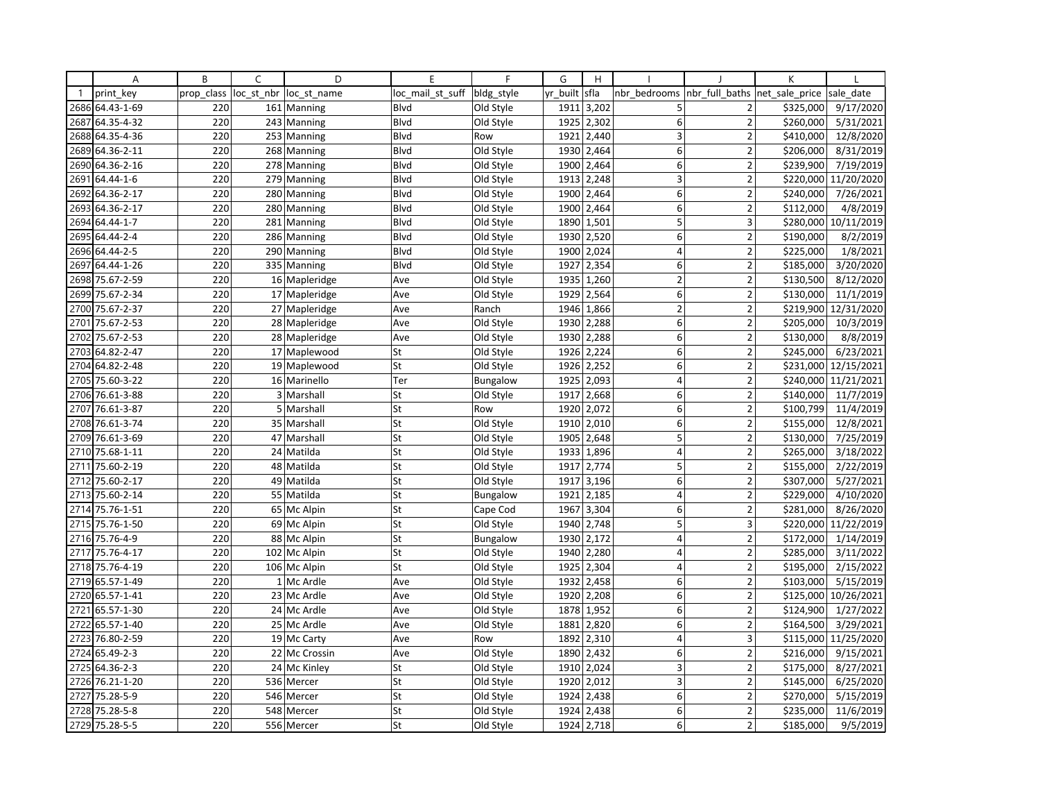|              | Α               | B          | C          | D             | E                | F               | G        | H          |                |                         | К              |                      |
|--------------|-----------------|------------|------------|---------------|------------------|-----------------|----------|------------|----------------|-------------------------|----------------|----------------------|
| $\mathbf{1}$ | print key       | prop class | loc st nbr | loc st name   | loc mail st suff | bldg_style      | yr built | sfla       | nbr bedrooms   | nbr full baths          | net sale price | sale date            |
| 2686         | 64.43-1-69      | 220        |            | 161 Manning   | <b>Blvd</b>      | Old Style       | 1911     | 3,202      | 5              | 2                       | \$325,000      | 9/17/2020            |
| 2687         | 64.35-4-32      | 220        |            | 243 Manning   | <b>Blvd</b>      | Old Style       | 1925     | 2,302      | 6              | $\overline{2}$          | \$260,000      | 5/31/2021            |
|              | 2688 64.35-4-36 | 220        |            | 253 Manning   | Blvd             | Row             | 1921     | 2,440      | 3              | $\overline{2}$          | \$410,000      | 12/8/2020            |
|              | 2689 64.36-2-11 | 220        |            | 268 Manning   | <b>B</b> lvd     | Old Style       |          | 1930 2,464 | 6              | $\overline{2}$          | \$206,000      | 8/31/2019            |
|              | 2690 64.36-2-16 | 220        |            | 278 Manning   | Blvd             | Old Style       | 1900     | 2,464      | 6              | $\overline{2}$          | \$239,900      | 7/19/2019            |
| 2691         | 64.44-1-6       | 220        |            | 279 Manning   | Blvd             | Old Style       | 1913     | 2,248      | 3              | $\overline{2}$          | \$220,000      | 11/20/2020           |
| 2692         | 64.36-2-17      | 220        |            | 280 Manning   | Blvd             | Old Style       | 1900     | 2,464      | 6              | $\overline{2}$          | \$240,000      | 7/26/2021            |
| 2693         | 64.36-2-17      | 220        |            | 280 Manning   | <b>Blvd</b>      | Old Style       | 1900     | 2,464      | 6              | $\overline{2}$          | \$112,000      | 4/8/2019             |
|              | 2694 64.44-1-7  | 220        |            | 281 Manning   | Blvd             | Old Style       | 1890     | 1,501      | 5              | 3                       |                | \$280,000 10/11/2019 |
| 2695         | 64.44-2-4       | 220        |            | 286 Manning   | Blvd             | Old Style       | 1930     | 2,520      | 6              | $\overline{2}$          | \$190,000      | 8/2/2019             |
|              | 2696 64.44-2-5  | 220        |            | 290 Manning   | Blvd             | Old Style       | 1900     | 2,024      | 4              | $\overline{\mathbf{c}}$ | \$225,000      | 1/8/2021             |
| 2697         | 64.44-1-26      | 220        |            | 335 Manning   | Blvd             | Old Style       |          | 1927 2,354 | 6              | $\overline{2}$          | \$185,000      | 3/20/2020            |
|              | 2698 75.67-2-59 | 220        |            | 16 Mapleridge | Ave              | Old Style       | 1935     | 1,260      | $\overline{2}$ | $\overline{2}$          | \$130,500      | 8/12/2020            |
| 2699         | 75.67-2-34      | 220        |            | 17 Mapleridge | Ave              | Old Style       | 1929     | 2,564      | 6              | $\overline{2}$          | \$130,000      | 11/1/2019            |
| 2700         | 75.67-2-37      | 220        |            | 27 Mapleridge | Ave              | Ranch           | 1946     | 1,866      | $\overline{2}$ | $\overline{2}$          |                | \$219,900 12/31/2020 |
| 2701         | 75.67-2-53      | 220        |            | 28 Mapleridge | Ave              | Old Style       | 1930     | 2,288      | 6              | $\overline{2}$          | \$205,000      | 10/3/2019            |
| 2702         | 75.67-2-53      | 220        |            | 28 Mapleridge | Ave              | Old Style       | 1930     | 2,288      | 6              | $\overline{2}$          | \$130,000      | 8/8/2019             |
| 2703         | 64.82-2-47      | 220        |            | 17 Maplewood  | St               | Old Style       | 1926     | 2,224      | 6              | $\overline{2}$          | \$245,000      | 6/23/2021            |
| 2704         | 64.82-2-48      | 220        |            | 19 Maplewood  | St               | Old Style       | 1926     | 2,252      | 6              | $\overline{2}$          |                | \$231,000 12/15/2021 |
|              | 2705 75.60-3-22 | 220        |            | 16 Marinello  | Ter              | <b>Bungalow</b> | 1925     | 2,093      | 4              | $\overline{2}$          |                | \$240,000 11/21/2021 |
| 2706         | 76.61-3-88      | 220        |            | 3 Marshall    | St               | Old Style       | 1917     | 2,668      | 6              | $\overline{2}$          | \$140,000      | 11/7/2019            |
| 2707         | 76.61-3-87      | 220        |            | 5 Marshall    | St               | Row             | 1920     | 2,072      | 6              | $\overline{2}$          | \$100,799      | 11/4/2019            |
| 2708         | 76.61-3-74      | 220        |            | 35 Marshall   | St               | Old Style       | 1910     | 2,010      | 6              | $\overline{2}$          | \$155,000      | 12/8/2021            |
| 2709         | 76.61-3-69      | 220        |            | 47 Marshall   | St               | Old Style       | 1905     | 2,648      | 5              | $\overline{2}$          | \$130,000      | 7/25/2019            |
|              | 2710 75.68-1-11 | 220        |            | 24 Matilda    | St               | Old Style       | 1933     | 1,896      | 4              | $\overline{2}$          | \$265,000      | 3/18/2022            |
| 2711         | 75.60-2-19      | 220        |            | 48 Matilda    | St               | Old Style       | 1917     | 2,774      | 5              | $\overline{2}$          | \$155,000      | 2/22/2019            |
| 2712         | 75.60-2-17      | 220        |            | 49 Matilda    | St               | Old Style       | 1917     | 3,196      | 6              | $\overline{2}$          | \$307,000      | 5/27/2021            |
|              | 2713 75.60-2-14 | 220        |            | 55 Matilda    | St               | <b>Bungalow</b> | 1921     | 2,185      | $\overline{4}$ | $\overline{2}$          | \$229,000      | 4/10/2020            |
| 2714         | 75.76-1-51      | 220        |            | 65 Mc Alpin   | St               | Cape Cod        | 1967     | 3,304      | 6              | $\overline{2}$          | \$281,000      | 8/26/2020            |
|              | 2715 75.76-1-50 | 220        |            | 69 Mc Alpin   | St               | Old Style       | 1940     | 2,748      | 5              | 3                       |                | \$220,000 11/22/2019 |
| 2716         | 75.76-4-9       | 220        |            | 88 Mc Alpin   | St               | <b>Bungalow</b> | 1930     | 2,172      | $\overline{4}$ | $\overline{2}$          | \$172,000      | 1/14/2019            |
| 2717         | 75.76-4-17      | 220        |            | 102 Mc Alpin  | St               | Old Style       | 1940     | 2,280      | $\overline{4}$ | $\overline{2}$          | \$285,000      | 3/11/2022            |
|              | 2718 75.76-4-19 | 220        |            | 106 Mc Alpin  | St               | Old Style       |          | 1925 2,304 | $\overline{4}$ | $\overline{2}$          | \$195,000      | 2/15/2022            |
|              | 2719 65.57-1-49 | 220        |            | 1 Mc Ardle    | Ave              | Old Style       | 1932     | 2,458      | 6              | $\overline{2}$          | \$103,000      | 5/15/2019            |
| 2720         | 65.57-1-41      | 220        |            | 23 Mc Ardle   | Ave              | Old Style       | 1920     | 2,208      | 6              | $\overline{2}$          | \$125,000      | 10/26/2021           |
| 2721         | 65.57-1-30      | 220        |            | 24 Mc Ardle   | Ave              | Old Style       | 1878     | 1,952      | 6              | $\overline{2}$          | \$124,900      | 1/27/2022            |
| 2722         | 65.57-1-40      | 220        |            | 25 Mc Ardle   | Ave              | Old Style       | 1881     | 2,820      | 6              | $\overline{2}$          | \$164,500      | 3/29/2021            |
|              | 2723 76.80-2-59 | 220        |            | 19 Mc Carty   | Ave              | Row             | 1892     | 2,310      | 4              | 3                       |                | \$115,000 11/25/2020 |
| 2724         | 65.49-2-3       | 220        |            | 22 Mc Crossin | Ave              | Old Style       | 1890     | 2,432      | 6              | $\overline{2}$          | \$216,000      | 9/15/2021            |
| 2725         | 64.36-2-3       | 220        |            | 24 Mc Kinley  | St               | Old Style       | 1910     | 2,024      | 3              | $\overline{\mathbf{c}}$ | \$175,000      | 8/27/2021            |
|              | 2726 76.21-1-20 | 220        |            | 536 Mercer    | St               | Old Style       |          | 1920 2,012 | 3              | $\overline{\mathbf{c}}$ | \$145,000      | 6/25/2020            |
| 2727         | 75.28-5-9       | 220        |            | 546 Mercer    | St               | Old Style       | 1924     | 2,438      | 6              | $\overline{2}$          | \$270,000      | 5/15/2019            |
|              | 2728 75.28-5-8  | 220        |            | 548 Mercer    | St               | Old Style       | 1924     | 2,438      | 6              | $\overline{2}$          | \$235,000      | 11/6/2019            |
|              | 2729 75.28-5-5  | 220        |            | 556 Mercer    | St               | Old Style       | 1924     | 2,718      | 6              | $\overline{2}$          | \$185,000      | 9/5/2019             |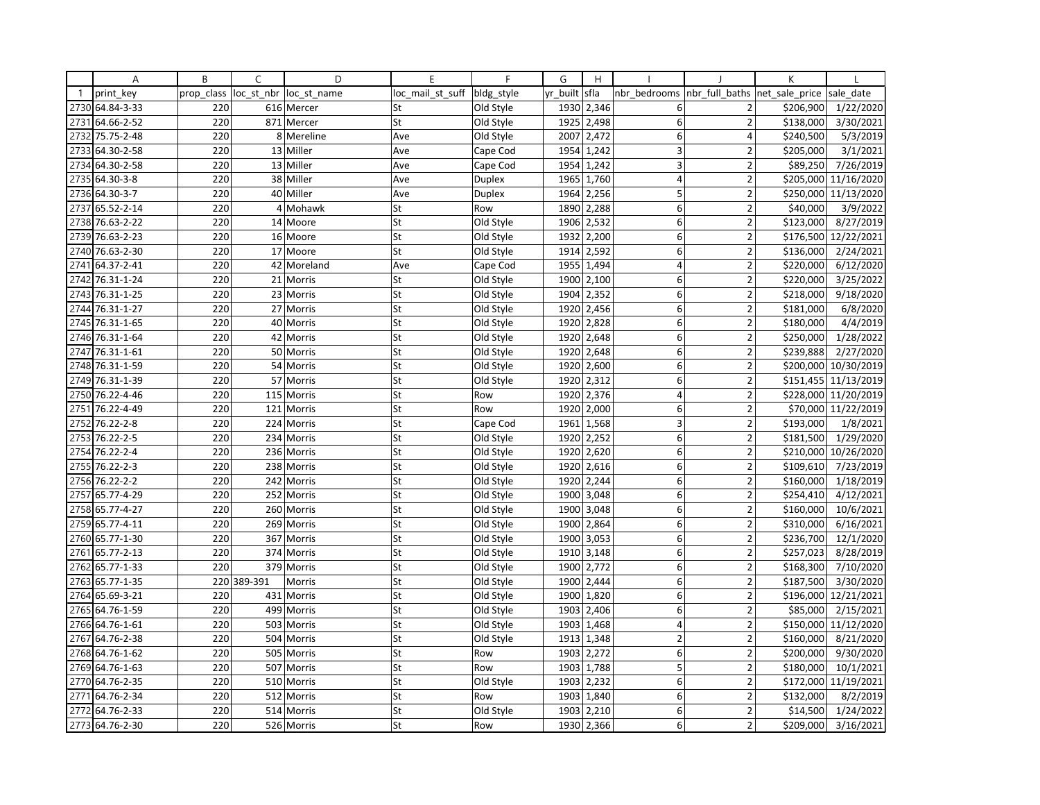|              | Α               | B          | C          | D             | E                | $\mathsf{F}$  | G        | H          |                 |                | K              |                      |
|--------------|-----------------|------------|------------|---------------|------------------|---------------|----------|------------|-----------------|----------------|----------------|----------------------|
| $\mathbf{1}$ | print key       | prop class | loc_st_nbr | loc st name   | loc mail st suff | bldg style    | yr built | sfla       | nbr bedrooms    | nbr full baths | net sale price | sale date            |
|              | 2730 64.84-3-33 | 220        |            | 616 Mercer    | St               | Old Style     |          | 1930 2,346 | 6               | 2              | \$206,900      | 1/22/2020            |
| 2731         | 64.66-2-52      | 220        |            | 871 Mercer    | St               | Old Style     | 1925     | 2,498      | $6 \mid$        | $\overline{2}$ | \$138,000      | 3/30/2021            |
| 2732         | 75.75-2-48      | 220        | 8          | Mereline      | Ave              | Old Style     | 2007     | 2,472      | 6 <sup>1</sup>  | 4              | \$240,500      | 5/3/2019             |
| 2733         | 64.30-2-58      | 220        |            | 13 Miller     | Ave              | Cape Cod      | 1954     | 1,242      | 3               | $\overline{2}$ | \$205,000      | 3/1/2021             |
|              | 2734 64.30-2-58 | 220        |            | 13 Miller     | Ave              | Cape Cod      | 1954     | 1,242      | 3               | $\overline{2}$ | \$89,250       | 7/26/2019            |
| 2735         | 64.30-3-8       | 220        | 38         | Miller        | Ave              | <b>Duplex</b> | 1965     | 1,760      | $\overline{4}$  | $\overline{2}$ | \$205,000      | 11/16/2020           |
|              | 2736 64.30-3-7  | 220        |            | 40 Miller     | Ave              | <b>Duplex</b> | 1964     | 2,256      | 5               | $\overline{2}$ |                | \$250,000 11/13/2020 |
| 2737         | 65.52-2-14      | 220        | 4          | Mohawk        | St               | Row           | 1890     | 2,288      | $6 \mid$        | $\overline{2}$ | \$40,000       | 3/9/2022             |
|              | 2738 76.63-2-22 | 220        |            | 14 Moore      | St               | Old Style     | 1906     | 2,532      | $6 \mid$        | $\overline{2}$ | \$123,000      | 8/27/2019            |
| 2739         | 76.63-2-23      | 220        |            | 16 Moore      | St               | Old Style     | 1932     | 2,200      | 6               | $\overline{2}$ | \$176,500      | 12/22/2021           |
| 2740         | 76.63-2-30      | 220        |            | 17 Moore      | St               | Old Style     | 1914     | 2,592      | 6 <sup>1</sup>  | $\overline{2}$ | \$136,000      | 2/24/2021            |
| 2741         | 64.37-2-41      | 220        |            | 42 Moreland   | Ave              | Cape Cod      |          | 1955 1,494 | $\overline{4}$  | $\overline{2}$ | \$220,000      | 6/12/2020            |
| 2742         | 76.31-1-24      | 220        |            | 21 Morris     | St               | Old Style     | 1900     | 2,100      | 6               | $\overline{2}$ | \$220,000      | 3/25/2022            |
| 2743         | 76.31-1-25      | 220        |            | 23 Morris     | St               | Old Style     | 1904     | 2,352      | $6 \mid$        | $\overline{2}$ | \$218,000      | 9/18/2020            |
| 2744         | 76.31-1-27      | 220        |            | 27 Morris     | St               | Old Style     | 1920     | 2,456      | 6 <sup>1</sup>  | $\overline{2}$ | \$181,000      | 6/8/2020             |
| 2745         | 76.31-1-65      | 220        |            | 40 Morris     | St               | Old Style     | 1920     | 2,828      | 6 <sup>1</sup>  | $\overline{2}$ | \$180,000      | 4/4/2019             |
|              | 2746 76.31-1-64 | 220        | 42         | Morris        | St               | Old Style     | 1920     | 2,648      | 6 <sup>1</sup>  | $\overline{2}$ | \$250,000      | 1/28/2022            |
| 2747         | 76.31-1-61      | 220        |            | 50 Morris     | St               | Old Style     | 1920     | 2,648      | 6               | $\overline{2}$ | \$239,888      | 2/27/2020            |
| 2748         | 76.31-1-59      | 220        |            | 54 Morris     | St               | Old Style     | 1920     | 2,600      | $6 \mid$        | $\overline{2}$ | \$200,000      | 10/30/2019           |
|              | 2749 76.31-1-39 | 220        |            | 57 Morris     | St               | Old Style     |          | 1920 2,312 | 6 <sup>1</sup>  | $\overline{2}$ |                | \$151,455 11/13/2019 |
| 2750         | 76.22-4-46      | 220        | 115        | Morris        | St               | Row           | 1920     | 2,376      | $\vert 4 \vert$ | $\overline{2}$ |                | \$228,000 11/20/2019 |
| 2751         | 76.22-4-49      | 220        |            | 121 Morris    | St               | Row           | 1920     | 2,000      | $6 \mid$        | $\overline{2}$ |                | \$70,000 11/22/2019  |
| 2752         | 76.22-2-8       | 220        |            | 224 Morris    | St               | Cape Cod      | 1961     | 1,568      | 3               | $\overline{2}$ | \$193,000      | 1/8/2021             |
| 2753         | 76.22-2-5       | 220        |            | 234 Morris    | St               | Old Style     | 1920     | 2,252      | 6               | $\overline{2}$ | \$181,500      | 1/29/2020            |
| 2754         | 76.22-2-4       | 220        |            | 236 Morris    | St               | Old Style     | 1920     | 2,620      | 6 <sup>1</sup>  | $\overline{2}$ | \$210,000      | 10/26/2020           |
| 2755         | 76.22-2-3       | 220        |            | 238 Morris    | St               | Old Style     | 1920     | 2,616      | 6               | $\overline{2}$ | \$109,610      | 7/23/2019            |
| 2756         | 76.22-2-2       | 220        | 242        | Morris        | St               | Old Style     | 1920     | 2,244      | 6 <sup>1</sup>  | $\overline{2}$ | \$160,000      | 1/18/2019            |
| 2757         | 65.77-4-29      | 220        |            | 252 Morris    | St               | Old Style     |          | 1900 3,048 | 6 <sup>1</sup>  | $\overline{2}$ | \$254,410      | 4/12/2021            |
| 2758         | 65.77-4-27      | 220        |            | 260 Morris    | St               | Old Style     | 1900     | 3,048      | $6 \mid$        | $\overline{2}$ | \$160,000      | 10/6/2021            |
|              | 2759 65.77-4-11 | 220        |            | 269 Morris    | St               | Old Style     | 1900     | 2,864      | 6 <sup>1</sup>  | $\overline{2}$ | \$310,000      | 6/16/2021            |
| 2760         | 65.77-1-30      | 220        | 367        | Morris        | St               | Old Style     | 1900     | 3,053      | 6 <sup>1</sup>  | $\overline{2}$ | \$236,700      | 12/1/2020            |
| 2761         | 65.77-2-13      | 220        |            | 374 Morris    | St               | Old Style     | 1910     | 3,148      | 6 <sup>1</sup>  | $\overline{2}$ | \$257,023      | 8/28/2019            |
| 2762         | 65.77-1-33      | 220        |            | 379 Morris    | St               | Old Style     | 1900     | 2,772      | $6 \mid$        | $\overline{2}$ | \$168,300      | 7/10/2020            |
|              | 2763 65.77-1-35 | 220        | 389-391    | <b>Morris</b> | St               | Old Style     | 1900     | 2,444      | 6               | $\overline{2}$ | \$187,500      | 3/30/2020            |
| 2764         | 65.69-3-21      | 220        |            | 431 Morris    | St               | Old Style     | 1900     | 1,820      | $6 \mid$        | $\overline{2}$ | \$196,000      | 12/21/2021           |
|              | 2765 64.76-1-59 | 220        |            | 499 Morris    | St               | Old Style     | 1903     | 2,406      | 6 <sup>1</sup>  | $\overline{2}$ | \$85,000       | 2/15/2021            |
| 2766         | 64.76-1-61      | 220        |            | 503 Morris    | St               | Old Style     | 1903     | 1,468      | $\overline{4}$  | $\overline{2}$ | \$150,000      | 11/12/2020           |
| 2767         | 64.76-2-38      | 220        |            | 504 Morris    | St               | Old Style     | 1913     | 1,348      | $\overline{2}$  | $\overline{2}$ | \$160,000      | 8/21/2020            |
| 2768         | 64.76-1-62      | 220        | 505        | Morris        | St               | Row           | 1903     | 2,272      | $6 \mid$        | $\overline{2}$ | \$200,000      | 9/30/2020            |
| 2769         | 64.76-1-63      | 220        | 507        | Morris        | St               | Row           | 1903     | 1,788      | 5               | $\overline{2}$ | \$180,000      | 10/1/2021            |
|              | 2770 64.76-2-35 | 220        |            | 510 Morris    | St               | Old Style     | 1903     | 2,232      | $6 \mid$        | $\overline{2}$ |                | \$172,000 11/19/2021 |
| 2771         | 64.76-2-34      | 220        | 512        | Morris        | St               | Row           | 1903     | 1,840      | 6 <sup>1</sup>  | $\overline{2}$ | \$132,000      | 8/2/2019             |
| 2772         | 64.76-2-33      | 220        |            | 514 Morris    | St               | Old Style     | 1903     | 2,210      | 6 <sup>1</sup>  | $\overline{2}$ | \$14,500       | 1/24/2022            |
|              | 2773 64.76-2-30 | 220        |            | 526 Morris    | St               | Row           |          | 1930 2,366 | $6 \mid$        | $\overline{2}$ | \$209,000      | 3/16/2021            |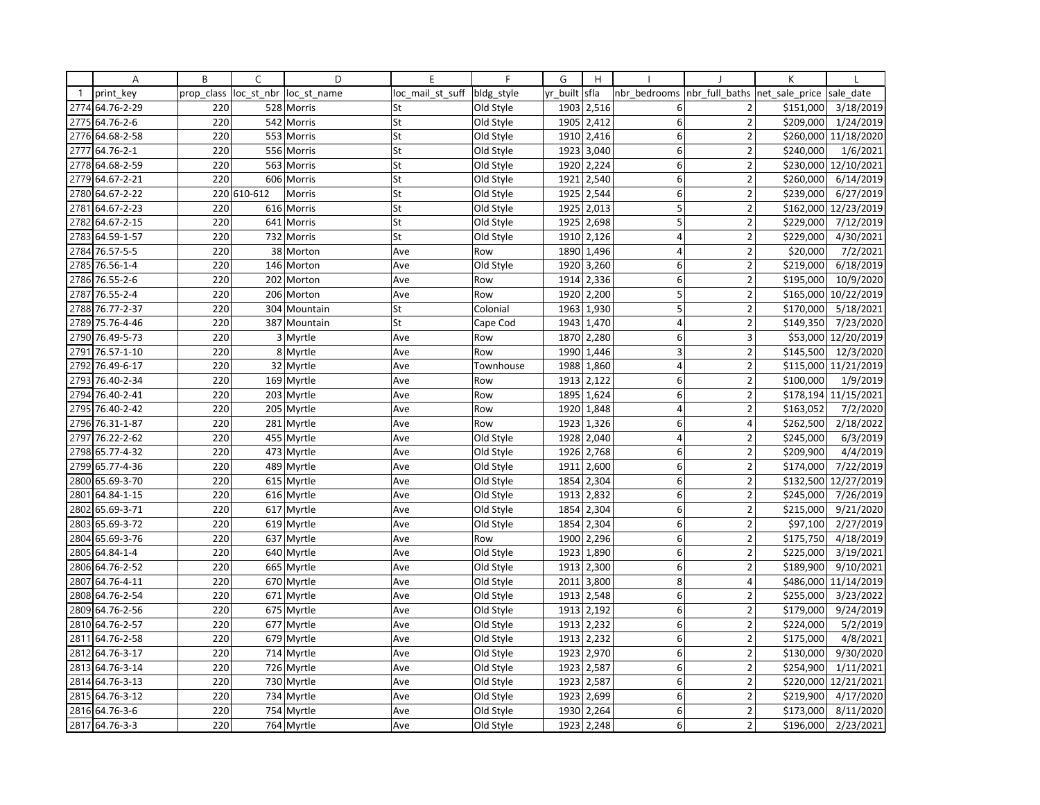|              | Α               | B          | C           | D            | E                | F          | G        | H          |                         |                          | К              |            |
|--------------|-----------------|------------|-------------|--------------|------------------|------------|----------|------------|-------------------------|--------------------------|----------------|------------|
| $\mathbf{1}$ | print key       | prop class | loc st nbr  | loc st name  | loc mail st suff | bldg_style | yr built | sfla       | nbr bedrooms            | nbr full baths           | net sale price | sale date  |
|              | 2774 64.76-2-29 | 220        |             | 528 Morris   | St               | Old Style  | 1903     | 2,516      | 6                       | $\overline{2}$           | \$151,000      | 3/18/2019  |
| 2775         | 64.76-2-6       | 220        | 542         | Morris       | St               | Old Style  | 1905     | 2,412      | 6                       | $\overline{2}$           | \$209,000      | 1/24/2019  |
| 2776         | 64.68-2-58      | 220        |             | 553 Morris   | St               | Old Style  | 1910     | 2,416      | 6                       | $\overline{2}$           | \$260,000      | 11/18/2020 |
| 2777         | 64.76-2-1       | 220        |             | 556 Morris   | St               | Old Style  |          | 1923 3,040 | $6 \mid$                | $\overline{2}$           | \$240,000      | 1/6/2021   |
|              | 2778 64.68-2-59 | 220        |             | 563 Morris   | St               | Old Style  | 1920     | 2,224      | 6                       | $\overline{2}$           | \$230,000      | 12/10/2021 |
| 2779         | 64.67-2-21      | 220        |             | 606 Morris   | St               | Old Style  | 1921     | 2,540      | 6                       | $\overline{2}$           | \$260,000      | 6/14/2019  |
|              | 2780 64.67-2-22 |            | 220 610-612 | Morris       | St               | Old Style  | 1925     | 2,544      | 6                       | $\overline{2}$           | \$239,000      | 6/27/2019  |
| 2781         | 64.67-2-23      | 220        |             | 616 Morris   | St               | Old Style  | 1925     | 2,013      | 5                       | $\overline{2}$           | \$162,000      | 12/23/2019 |
| 2782         | 64.67-2-15      | 220        |             | 641 Morris   | St               | Old Style  | 1925     | 2,698      | 5                       | $\overline{2}$           | \$229,000      | 7/12/2019  |
| 2783         | 64.59-1-57      | 220        |             | 732 Morris   | St               | Old Style  | 1910     | 2,126      | $\overline{4}$          | $\overline{\phantom{a}}$ | \$229,000      | 4/30/2021  |
| 2784         | 76.57-5-5       | 220        |             | 38 Morton    | Ave              | Row        | 1890     | 1,496      | 4                       | $\overline{2}$           | \$20,000       | 7/2/2021   |
| 2785         | 76.56-1-4       | 220        |             | 146 Morton   | Ave              | Old Style  | 1920     | 3,260      | 6                       | $\overline{2}$           | \$219,000      | 6/18/2019  |
| 2786         | 76.55-2-6       | 220        |             | 202 Morton   | Ave              | Row        | 1914     | 2,336      | 6                       | $\overline{2}$           | \$195,000      | 10/9/2020  |
| 2787         | 76.55-2-4       | 220        |             | 206 Morton   | Ave              | Row        | 1920     | 2,200      | 5                       | $\overline{2}$           | \$165,000      | 10/22/2019 |
| 2788         | 76.77-2-37      | 220        |             | 304 Mountain | St               | Colonial   |          | 1963 1,930 | 5                       | $\overline{2}$           | \$170,000      | 5/18/2021  |
| 2789         | 75.76-4-46      | 220        |             | 387 Mountain | St               | Cape Cod   | 1943     | 1,470      | $\overline{4}$          | $\overline{2}$           | \$149,350      | 7/23/2020  |
| 2790         | 76.49-5-73      | 220        |             | 3 Myrtle     | Ave              | Row        | 1870     | 2,280      | 6                       | 3                        | \$53,000       | 12/20/2019 |
| 2791         | 76.57-1-10      | 220        |             | 8 Myrtle     | Ave              | Row        | 1990     | 1,446      | $\overline{\mathbf{3}}$ | $\overline{\phantom{a}}$ | \$145,500      | 12/3/2020  |
| 2792         | 76.49-6-17      | 220        |             | 32 Myrtle    | Ave              | Townhouse  | 1988     | 1,860      | $\overline{4}$          | $\overline{2}$           | \$115,000      | 11/21/2019 |
| 2793         | 76.40-2-34      | 220        |             | 169 Myrtle   | Ave              | Row        | 1913     | 2,122      | 6                       | $\overline{\mathbf{c}}$  | \$100,000      | 1/9/2019   |
| 2794         | 76.40-2-41      | 220        |             | 203 Myrtle   | Ave              | Row        | 1895     | 1,624      | $6 \mid$                | $\overline{2}$           | \$178,194      | 11/15/2021 |
| 2795         | 76.40-2-42      | 220        |             | 205 Myrtle   | Ave              | Row        | 1920     | 1,848      | $\overline{4}$          | $\overline{2}$           | \$163,052      | 7/2/2020   |
| 2796         | 76.31-1-87      | 220        |             | 281 Myrtle   | Ave              | Row        | 1923     | 1,326      | 6                       | $\overline{\mathbf{4}}$  | \$262,500      | 2/18/2022  |
| 2797         | 76.22-2-62      | 220        |             | 455 Myrtle   | Ave              | Old Style  | 1928     | 2,040      | 4                       | 2                        | \$245,000      | 6/3/2019   |
| 2798         | 65.77-4-32      | 220        |             | 473 Myrtle   | Ave              | Old Style  | 1926     | 2,768      | 6                       | $\mathbf 2$              | \$209,900      | 4/4/2019   |
| 2799         | 65.77-4-36      | 220        |             | 489 Myrtle   | Ave              | Old Style  | 1911     | 2,600      | 6                       | $\overline{2}$           | \$174,000      | 7/22/2019  |
| 2800         | 65.69-3-70      | 220        |             | 615 Myrtle   | Ave              | Old Style  | 1854     | 2,304      | 6                       | $\overline{2}$           | \$132,500      | 12/27/2019 |
| 2801         | 64.84-1-15      | 220        |             | 616 Myrtle   | Ave              | Old Style  | 1913     | 2,832      | 6                       | $\overline{2}$           | \$245,000      | 7/26/2019  |
| 2802         | 65.69-3-71      | 220        |             | 617 Myrtle   | Ave              | Old Style  | 1854     | 2,304      | $6 \mid$                | $\overline{2}$           | \$215,000      | 9/21/2020  |
| 2803         | 65.69-3-72      | 220        |             | 619 Myrtle   | Ave              | Old Style  | 1854     | 2,304      | 6                       | $\overline{2}$           | \$97,100       | 2/27/2019  |
| 2804         | 65.69-3-76      | 220        |             | 637 Myrtle   | Ave              | Row        | 1900     | 2,296      | 6                       | $\overline{2}$           | \$175,750      | 4/18/2019  |
| 2805         | 64.84-1-4       | 220        |             | 640 Myrtle   | Ave              | Old Style  | 1923     | 1,890      | 6                       | $\overline{2}$           | \$225,000      | 3/19/2021  |
| 2806         | 64.76-2-52      | 220        |             | 665 Myrtle   | Ave              | Old Style  |          | 1913 2,300 | 6 <sup>1</sup>          | $\overline{2}$           | \$189,900      | 9/10/2021  |
| 2807         | 64.76-4-11      | 220        |             | 670 Myrtle   | Ave              | Old Style  | 2011     | 3,800      | 8                       | 4                        | \$486,000      | 11/14/2019 |
| 2808         | 64.76-2-54      | 220        |             | 671 Myrtle   | Ave              | Old Style  | 1913     | 2,548      | 6                       | $\overline{2}$           | \$255,000      | 3/23/2022  |
|              | 2809 64.76-2-56 | 220        |             | 675 Myrtle   | Ave              | Old Style  |          | 1913 2,192 | 6                       | $\overline{2}$           | \$179,000      | 9/24/2019  |
| 2810         | 64.76-2-57      | 220        |             | 677 Myrtle   | Ave              | Old Style  | 1913     | 2,232      | $6 \mid$                | $\overline{2}$           | \$224,000      | 5/2/2019   |
| 2811         | 64.76-2-58      | 220        |             | 679 Myrtle   | Ave              | Old Style  | 1913     | 2,232      | 6                       | $\overline{2}$           | \$175,000      | 4/8/2021   |
| 2812         | 64.76-3-17      | 220        |             | 714 Myrtle   | Ave              | Old Style  | 1923     | 2,970      | 6                       | $\overline{\phantom{a}}$ | \$130,000      | 9/30/2020  |
| 2813         | 64.76-3-14      | 220        |             | 726 Myrtle   | Ave              | Old Style  | 1923     | 2,587      | 6                       | 2                        | \$254,900      | 1/11/2021  |
|              | 2814 64.76-3-13 | 220        |             | 730 Myrtle   | Ave              | Old Style  |          | 1923 2,587 | 6                       | $\overline{2}$           | \$220,000      | 12/21/2021 |
|              | 2815 64.76-3-12 | 220        |             | 734 Myrtle   | Ave              | Old Style  | 1923     | 2,699      | 6                       | $\overline{2}$           | \$219,900      | 4/17/2020  |
|              | 2816 64.76-3-6  | 220        |             | 754 Myrtle   | Ave              | Old Style  | 1930     | 2,264      | 6                       | $\overline{2}$           | \$173,000      | 8/11/2020  |
|              | 2817 64.76-3-3  | 220        |             | 764 Myrtle   | Ave              | Old Style  | 1923     | 2,248      | 6                       | $\overline{2}$           | \$196,000      | 2/23/2021  |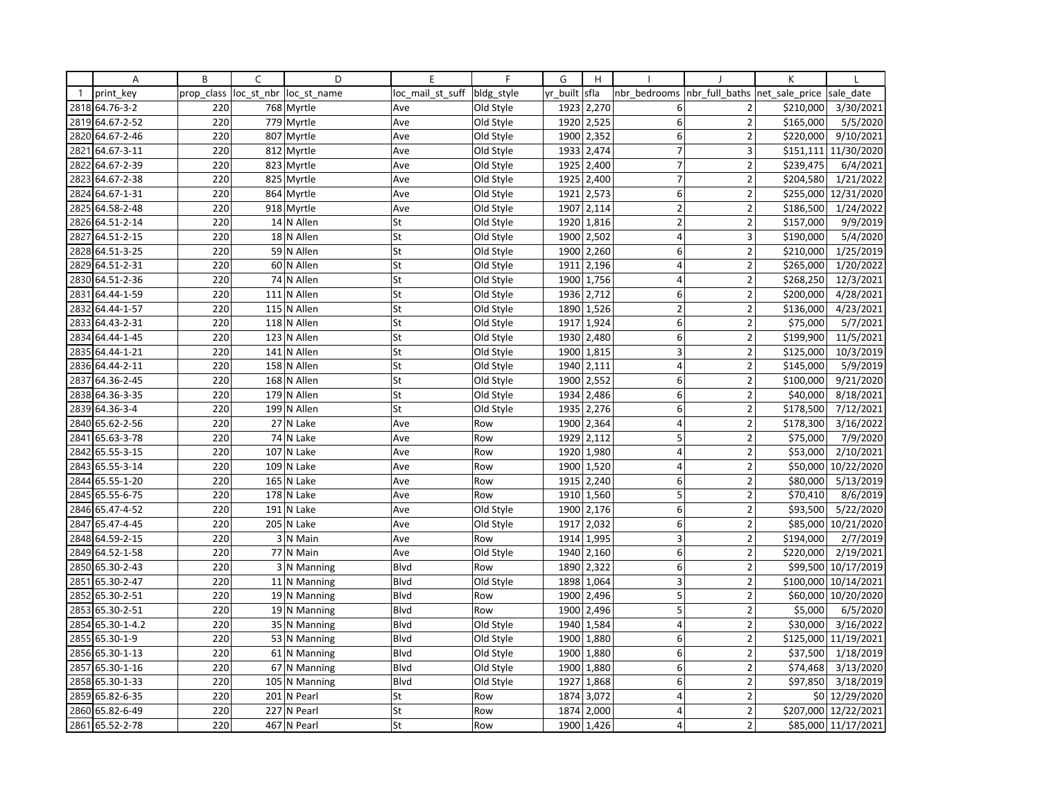|              | Α               | B          | C              | D             | E                | $\mathsf{F}$ | G        | H          |                         |                | K              |                      |
|--------------|-----------------|------------|----------------|---------------|------------------|--------------|----------|------------|-------------------------|----------------|----------------|----------------------|
| $\mathbf{1}$ | print key       | prop class | loc st nbr     | loc st name   | loc mail st suff | bldg style   | yr built | sfla       | nbr bedrooms            | nbr_full_baths | net sale price | sale date            |
|              | 2818 64.76-3-2  | 220        |                | 768 Myrtle    | Ave              | Old Style    |          | 1923 2,270 | 6                       | 2              | \$210,000      | 3/30/2021            |
| 2819         | 64.67-2-52      | 220        | 779            | Myrtle        | Ave              | Old Style    | 1920     | 2,525      | $6 \mid$                | $\overline{2}$ | \$165,000      | 5/5/2020             |
| 2820         | 64.67-2-46      | 220        | 807            | Myrtle        | Ave              | Old Style    | 1900     | 2,352      | 6                       | $\overline{2}$ | \$220,000      | 9/10/2021            |
| 2821         | 64.67-3-11      | 220        |                | 812 Myrtle    | Ave              | Old Style    |          | 1933 2,474 | $\overline{7}$          | 3              |                | \$151,111 11/30/2020 |
| 2822         | 64.67-2-39      | 220        |                | 823 Myrtle    | Ave              | Old Style    | 1925     | 2,400      | $\overline{7}$          | $\overline{2}$ | \$239,475      | 6/4/2021             |
| 2823         | 64.67-2-38      | 220        | 825            | Myrtle        | Ave              | Old Style    | 1925     | 2,400      | $\overline{7}$          | $\overline{2}$ | \$204,580      | 1/21/2022            |
|              | 2824 64.67-1-31 | 220        |                | 864 Myrtle    | Ave              | Old Style    | 1921     | 2,573      | 6 <sup>1</sup>          | $\overline{2}$ | \$255,000      | 12/31/2020           |
| 2825         | 64.58-2-48      | 220        |                | 918 Myrtle    | Ave              | Old Style    | 1907     | 2,114      | 2                       | $\overline{2}$ | \$186,500      | 1/24/2022            |
|              | 2826 64.51-2-14 | 220        |                | 14 N Allen    | St               | Old Style    |          | 1920 1,816 | $\overline{2}$          | $\overline{2}$ | \$157,000      | 9/9/2019             |
| 2827         | 64.51-2-15      | 220        |                | 18 N Allen    | St               | Old Style    | 1900     | 2,502      | $\overline{4}$          | 3              | \$190,000      | 5/4/2020             |
|              | 2828 64.51-3-25 | 220        |                | 59 N Allen    | St               | Old Style    | 1900     | 2,260      | 6 <sup>1</sup>          | $\overline{2}$ | \$210,000      | 1/25/2019            |
|              | 2829 64.51-2-31 | 220        |                | 60 N Allen    | St               | Old Style    | 1911     | 2,196      | $\overline{4}$          | $\overline{2}$ | \$265,000      | 1/20/2022            |
| 2830         | 64.51-2-36      | 220        |                | 74 N Allen    | St               | Old Style    | 1900     | 1,756      | $\overline{\mathbf{4}}$ | $\overline{2}$ | \$268,250      | 12/3/2021            |
| 2831         | 64.44-1-59      | 220        |                | 111 N Allen   | St               | Old Style    | 1936     | 2,712      | $6 \mid$                | $\overline{2}$ | \$200,000      | 4/28/2021            |
| 2832         | 64.44-1-57      | 220        |                | 115 N Allen   | St               | Old Style    | 1890     | 1,526      | $\overline{2}$          | $\overline{2}$ | \$136,000      | 4/23/2021            |
| 2833         | 64.43-2-31      | 220        |                | 118 N Allen   | St               | Old Style    | 1917     | 1,924      | 6 <sup>1</sup>          | $\overline{2}$ | \$75,000       | 5/7/2021             |
|              | 2834 64.44-1-45 | 220        |                | 123 N Allen   | St               | Old Style    |          | 1930 2,480 | 6 <sup>1</sup>          | $\overline{2}$ | \$199,900      | 11/5/2021            |
| 2835         | 64.44-1-21      | 220        |                | 141 N Allen   | St               | Old Style    | 1900     | 1,815      | $\overline{3}$          | $\overline{2}$ | \$125,000      | 10/3/2019            |
| 2836         | 64.44-2-11      | 220        |                | 158 N Allen   | St               | Old Style    | 1940     | 2,111      | $\overline{\mathbf{4}}$ | $\overline{2}$ | \$145,000      | 5/9/2019             |
| 2837         | 64.36-2-45      | 220        |                | 168 N Allen   | St               | Old Style    | 1900     | 2,552      | $6 \mid$                | $\overline{2}$ | \$100,000      | 9/21/2020            |
| 2838         | 64.36-3-35      | 220        |                | 179 N Allen   | St               | Old Style    | 1934     | 2,486      | 6 <sup>1</sup>          | $\overline{2}$ | \$40,000       | 8/18/2021            |
|              | 2839 64.36-3-4  | 220        |                | 199 N Allen   | St               | Old Style    | 1935     | 2,276      | 6 <sup>1</sup>          | $\overline{2}$ | \$178,500      | 7/12/2021            |
|              | 2840 65.62-2-56 | 220        |                | 27 N Lake     | Ave              | Row          | 1900     | 2,364      | $\overline{\mathbf{4}}$ | $\overline{2}$ | \$178,300      | 3/16/2022            |
| 2841         | 65.63-3-78      | 220        |                | 74 N Lake     | Ave              | Row          | 1929     | 2,112      | 5                       | $\overline{2}$ | \$75,000       | 7/9/2020             |
| 2842         | 65.55-3-15      | 220        |                | 107 N Lake    | Ave              | Row          |          | 1920 1,980 | $\vert 4 \vert$         | $\overline{2}$ | \$53,000       | 2/10/2021            |
| 2843         | 65.55-3-14      | 220        |                | 109 N Lake    | Ave              | Row          | 1900     | 1,520      | $\overline{4}$          | $\overline{2}$ | \$50,000       | 10/22/2020           |
| 2844         | 65.55-1-20      | 220        | 165            | N Lake        | Ave              | Row          | 1915     | 2,240      | 6 <sup>1</sup>          | $\overline{2}$ | \$80,000       | 5/13/2019            |
|              | 2845 65.55-6-75 | 220        |                | 178 N Lake    | Ave              | Row          |          | 1910 1,560 | 5                       | $\overline{2}$ | \$70,410       | 8/6/2019             |
| 2846         | 65.47-4-52      | 220        |                | 191 N Lake    | Ave              | Old Style    | 1900     | 2,176      | $6 \mid$                | $\overline{2}$ | \$93,500       | 5/22/2020            |
| 2847         | 65.47-4-45      | 220        |                | 205 N Lake    | Ave              | Old Style    | 1917     | 2,032      | $6 \mid$                | $\overline{2}$ | \$85,000       | 10/21/2020           |
| 2848         | 64.59-2-15      | 220        | $\overline{3}$ | N Main        | Ave              | Row          | 1914     | 1,995      | 3                       | $\overline{2}$ | \$194,000      | 2/7/2019             |
| 2849         | 64.52-1-58      | 220        |                | 77 N Main     | Ave              | Old Style    | 1940     | 2,160      | 6 <sup>1</sup>          | $\overline{2}$ | \$220,000      | 2/19/2021            |
| 2850         | 65.30-2-43      | 220        |                | 3 N Manning   | Blvd             | Row          | 1890     | 2,322      | 6 <sup>1</sup>          | $\overline{2}$ | \$99,500       | 10/17/2019           |
|              | 2851 65.30-2-47 | 220        |                | 11 N Manning  | <b>B</b> lvd     | Old Style    | 1898     | 1,064      | $\overline{3}$          | $\overline{2}$ | \$100,000      | 10/14/2021           |
| 2852         | 65.30-2-51      | 220        |                | 19 N Manning  | Blvd             | Row          | 1900     | 2,496      | 5                       | $\overline{2}$ | \$60,000       | 10/20/2020           |
|              | 2853 65.30-2-51 | 220        |                | 19 N Manning  | Blvd             | Row          | 1900     | 2,496      | 5                       | $\overline{2}$ | \$5,000        | 6/5/2020             |
| 2854         | 65.30-1-4.2     | 220        |                | 35 N Manning  | <b>Blvd</b>      | Old Style    | 1940     | 1,584      | $\overline{4}$          | $\overline{2}$ | \$30,000       | 3/16/2022            |
|              | 2855 65.30-1-9  | 220        |                | 53 N Manning  | Blvd             | Old Style    | 1900     | 1,880      | 6 <sup>1</sup>          | $\overline{2}$ | \$125,000      | 11/19/2021           |
| 2856         | 65.30-1-13      | 220        |                | 61 N Manning  | <b>Blvd</b>      | Old Style    | 1900     | 1,880      | $6 \mid$                | $\overline{2}$ | \$37,500       | 1/18/2019            |
| 2857         | 65.30-1-16      | 220        |                | 67 N Manning  | Blvd             | Old Style    | 1900     | 1,880      | $6 \mid$                | $\overline{2}$ | \$74,468       | 3/13/2020            |
|              | 2858 65.30-1-33 | 220        |                | 105 N Manning | Blvd             | Old Style    | 1927     | 1,868      | $6 \mid$                | $\overline{2}$ | \$97,850       | 3/18/2019            |
| 2859         | 65.82-6-35      | 220        |                | 201 N Pearl   | St               | Row          | 1874     | 3,072      | $\overline{4}$          | $\overline{2}$ |                | \$0 12/29/2020       |
| 2860         | 65.82-6-49      | 220        |                | 227 N Pearl   | St               | Row          | 1874     | 2,000      | $\overline{4}$          | $\overline{2}$ | \$207,000      | 12/22/2021           |
|              | 2861 65.52-2-78 | 220        |                | 467 N Pearl   | St               | Row          |          | 1900 1,426 | $\overline{\mathbf{4}}$ | $\overline{2}$ |                | \$85,000 11/17/2021  |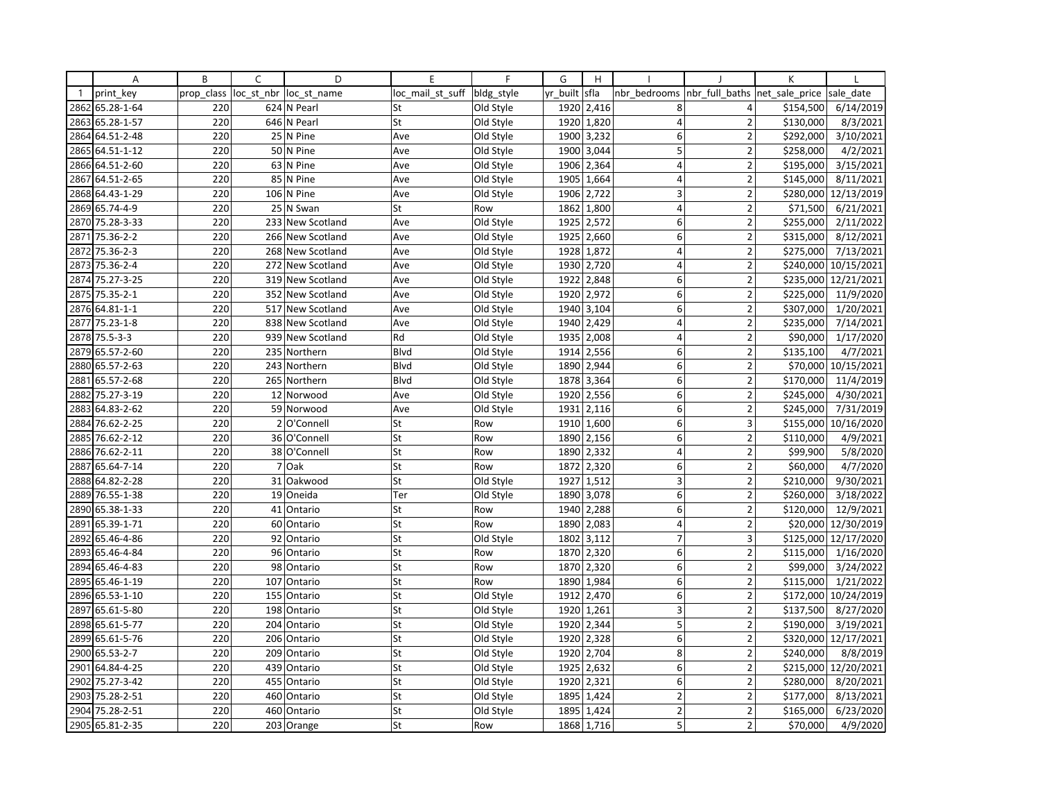|              | Α               | B          | C          | D                | E                | F          | G        | H          |                  |                         | K              |                      |
|--------------|-----------------|------------|------------|------------------|------------------|------------|----------|------------|------------------|-------------------------|----------------|----------------------|
| $\mathbf{1}$ | print key       | prop class | loc st nbr | loc st name      | loc mail st suff | bldg_style | yr built | sfla       | nbr bedrooms     | nbr full baths          | net sale price | sale date            |
| 2862         | 65.28-1-64      | 220        |            | 624 N Pearl      | St               | Old Style  | 1920     | 2,416      | 8                | 4                       | \$154,500      | 6/14/2019            |
| 2863         | 65.28-1-57      | 220        |            | 646 N Pearl      | St               | Old Style  | 1920     | 1,820      | 4                | $\overline{2}$          | \$130,000      | 8/3/2021             |
| 2864         | 64.51-2-48      | 220        |            | 25 N Pine        | Ave              | Old Style  | 1900     | 3,232      | 6                | $\overline{2}$          | \$292,000      | 3/10/2021            |
| 2865         | 64.51-1-12      | 220        |            | 50 N Pine        | Ave              | Old Style  |          | 1900 3,044 | 5                | $\overline{2}$          | \$258,000      | 4/2/2021             |
| 2866         | 64.51-2-60      | 220        |            | 63 N Pine        | Ave              | Old Style  | 1906     | 2,364      | 4                | $\overline{2}$          | \$195,000      | 3/15/2021            |
| 2867         | 64.51-2-65      | 220        |            | 85 N Pine        | Ave              | Old Style  | 1905     | 1,664      | 4                | $\overline{2}$          | \$145,000      | 8/11/2021            |
|              | 2868 64.43-1-29 | 220        |            | 106 N Pine       | Ave              | Old Style  | 1906     | 2,722      | 3                | $\overline{2}$          |                | \$280,000 12/13/2019 |
| 2869         | 65.74-4-9       | 220        |            | 25 N Swan        | St               | Row        | 1862     | 1,800      | $\overline{4}$   | $\overline{2}$          | \$71,500       | 6/21/2021            |
|              | 2870 75.28-3-33 | 220        |            | 233 New Scotland | Ave              | Old Style  | 1925     | 2,572      | 6                | $\overline{2}$          | \$255,000      | 2/11/2022            |
| 2871         | 75.36-2-2       | 220        |            | 266 New Scotland | Ave              | Old Style  | 1925     | 2,660      | 6                | $\overline{2}$          | \$315,000      | 8/12/2021            |
| 2872         | 75.36-2-3       | 220        |            | 268 New Scotland | Ave              | Old Style  | 1928     | 1,872      | 4                | $\overline{\mathbf{c}}$ | \$275,000      | 7/13/2021            |
| 2873         | 75.36-2-4       | 220        |            | 272 New Scotland | Ave              | Old Style  |          | 1930 2,720 | $\overline{4}$   | $\overline{2}$          |                | \$240,000 10/15/2021 |
| 2874         | 75.27-3-25      | 220        |            | 319 New Scotland | Ave              | Old Style  | 1922     | 2,848      | 6                | $\overline{2}$          |                | \$235,000 12/21/2021 |
| 2875         | 75.35-2-1       | 220        |            | 352 New Scotland | Ave              | Old Style  | 1920     | 2,972      | 6                | $\overline{2}$          | \$225,000      | 11/9/2020            |
| 2876         | 64.81-1-1       | 220        |            | 517 New Scotland | Ave              | Old Style  | 1940     | 3,104      | 6                | $\overline{2}$          | \$307,000      | 1/20/2021            |
| 2877         | 75.23-1-8       | 220        |            | 838 New Scotland | Ave              | Old Style  | 1940     | 2,429      | $\overline{4}$   | $\overline{2}$          | \$235,000      | 7/14/2021            |
|              | 2878 75.5-3-3   | 220        |            | 939 New Scotland | Rd               | Old Style  | 1935     | 2,008      | $\overline{4}$   | $\overline{2}$          | \$90,000       | 1/17/2020            |
| 2879         | 65.57-2-60      | 220        |            | 235 Northern     | Blvd             | Old Style  | 1914     | 2,556      | 6                | $\overline{2}$          | \$135,100      | 4/7/2021             |
| 2880         | 65.57-2-63      | 220        |            | 243 Northern     | Blvd             | Old Style  | 1890     | 2,944      | 6                | $\overline{2}$          | \$70,000       | 10/15/2021           |
| 2881         | 65.57-2-68      | 220        |            | 265 Northern     | Blvd             | Old Style  | 1878     | 3,364      | 6                | $\overline{2}$          | \$170,000      | 11/4/2019            |
| 2882         | 75.27-3-19      | 220        |            | 12 Norwood       | Ave              | Old Style  | 1920     | 2,556      | 6                | $\overline{2}$          | \$245,000      | 4/30/2021            |
| 2883         | 64.83-2-62      | 220        |            | 59 Norwood       | Ave              | Old Style  | 1931     | 2,116      | 6                | $\overline{2}$          | \$245,000      | 7/31/2019            |
| 2884         | 76.62-2-25      | 220        |            | 2 O'Connell      | St               | Row        | 1910     | 1,600      | 6                | 3                       | \$155,000      | 10/16/2020           |
| 2885         | 76.62-2-12      | 220        |            | 36 O'Connell     | St               | <b>Row</b> | 1890     | 2,156      | 6                | $\overline{2}$          | \$110,000      | 4/9/2021             |
| 2886         | 76.62-2-11      | 220        |            | 38 O'Connell     | St               | Row        | 1890     | 2,332      | 4                | $\overline{2}$          | \$99,900       | 5/8/2020             |
| 2887         | 65.64-7-14      | 220        |            | 7 Oak            | St               | Row        | 1872     | 2,320      | 6                | $\overline{2}$          | \$60,000       | 4/7/2020             |
| 2888         | 64.82-2-28      | 220        |            | 31 Oakwood       | St               | Old Style  | 1927     | 1,512      | 3                | $\overline{2}$          | \$210,000      | 9/30/2021            |
| 2889         | 76.55-1-38      | 220        |            | 19 Oneida        | Ter              | Old Style  | 1890     | 3,078      | 6                | $\overline{2}$          | \$260,000      | 3/18/2022            |
| 2890         | 65.38-1-33      | 220        |            | 41 Ontario       | St               | Row        | 1940     | 2,288      | 6                | $\overline{2}$          | \$120,000      | 12/9/2021            |
| 2891         | 65.39-1-71      | 220        |            | 60 Ontario       | St               | Row        | 1890     | 2,083      | 4                | $\overline{2}$          |                | \$20,000 12/30/2019  |
| 2892         | 65.46-4-86      | 220        |            | 92 Ontario       | St               | Old Style  | 1802     | 3,112      | $\overline{7}$   | $\overline{3}$          |                | \$125,000 12/17/2020 |
| 2893         | 65.46-4-84      | 220        |            | 96 Ontario       | St               | Row        | 1870     | 2,320      | 6                | $\overline{2}$          | \$115,000      | 1/16/2020            |
| 2894         | 65.46-4-83      | 220        |            | 98 Ontario       | St               | Row        |          | 1870 2,320 | 6                | $\overline{2}$          | \$99,000       | 3/24/2022            |
|              | 2895 65.46-1-19 | 220        |            | 107 Ontario      | St               | Row        | 1890     | 1,984      | $\boldsymbol{6}$ | $\overline{2}$          | \$115,000      | 1/21/2022            |
| 2896         | 65.53-1-10      | 220        |            | 155 Ontario      | St               | Old Style  | 1912     | 2,470      | 6                | $\overline{2}$          | \$172,000      | 10/24/2019           |
| 2897         | 65.61-5-80      | 220        |            | 198 Ontario      | St               | Old Style  | 1920     | 1,261      | 3                | $\overline{2}$          | \$137,500      | 8/27/2020            |
| 2898         | 65.61-5-77      | 220        |            | 204 Ontario      | St               | Old Style  | 1920     | 2,344      | 5                | $\overline{2}$          | \$190,000      | 3/19/2021            |
|              | 2899 65.61-5-76 | 220        |            | 206 Ontario      | St               | Old Style  | 1920     | 2,328      | 6                | $\overline{2}$          |                | \$320,000 12/17/2021 |
| 2900         | 65.53-2-7       | 220        | 209        | Ontario          | St               | Old Style  | 1920     | 2,704      | 8                | $\overline{2}$          | \$240,000      | 8/8/2019             |
| 2901         | 64.84-4-25      | 220        |            | 439 Ontario      | St               | Old Style  | 1925     | 2,632      | 6                | $\overline{2}$          |                | \$215,000 12/20/2021 |
| 2902         | 75.27-3-42      | 220        |            | 455 Ontario      | St               | Old Style  |          | 1920 2,321 | 6                | $\overline{\mathbf{c}}$ | \$280,000      | 8/20/2021            |
| 2903         | 75.28-2-51      | 220        |            | 460 Ontario      | St               | Old Style  | 1895     | 1,424      | $\overline{2}$   | $\overline{2}$          | \$177,000      | 8/13/2021            |
| 2904         | 75.28-2-51      | 220        |            | 460 Ontario      | St               | Old Style  | 1895     | 1,424      | $\overline{2}$   | $\overline{2}$          | \$165,000      | 6/23/2020            |
|              | 2905 65.81-2-35 | 220        |            | 203 Orange       | St               | Row        |          | 1868 1,716 | 5                | $\overline{2}$          | \$70,000       | 4/9/2020             |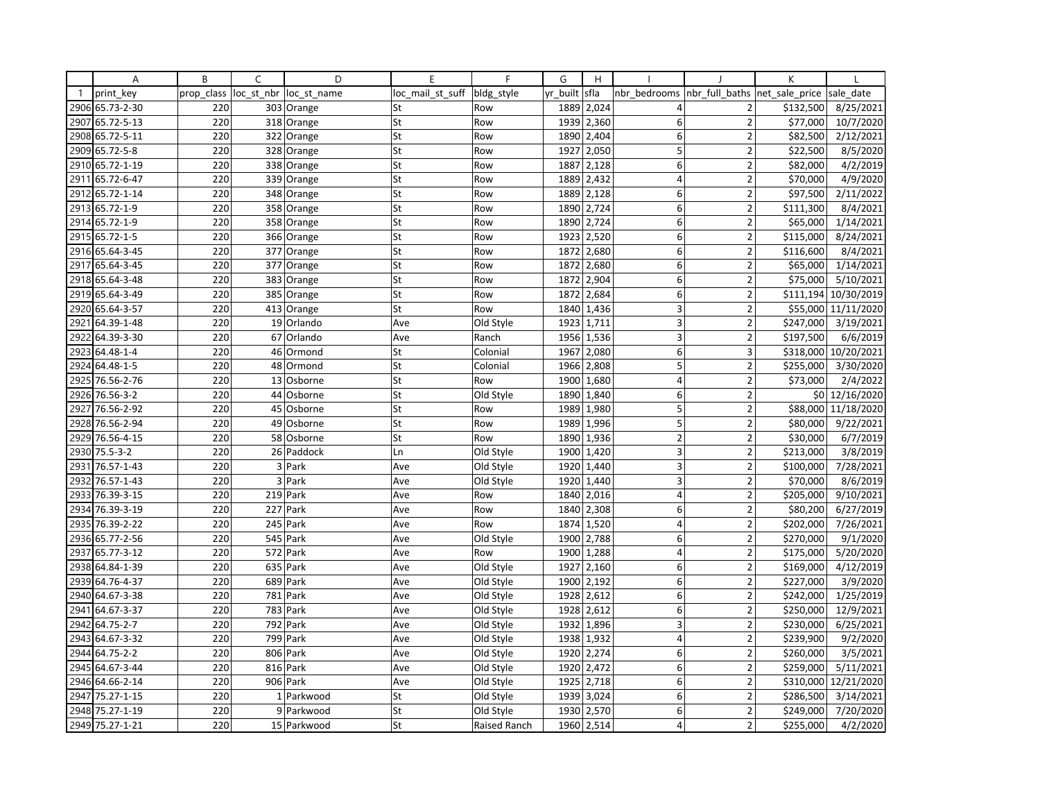|              | Α               | B          | C          | D           | E                | F            | G        | H          |                  |                         | K              |                      |
|--------------|-----------------|------------|------------|-------------|------------------|--------------|----------|------------|------------------|-------------------------|----------------|----------------------|
| $\mathbf{1}$ | print key       | prop_class | loc st nbr | loc st name | loc mail st suff | bldg style   | yr built | sfla       | nbr bedrooms     | nbr full baths          | net sale price | sale date            |
| 2906         | 65.73-2-30      | 220        |            | 303 Orange  | St               | Row          | 1889     | 2,024      | 4                | 2                       | \$132,500      | 8/25/2021            |
| 2907         | 65.72-5-13      | 220        |            | 318 Orange  | St               | Row          | 1939     | 2,360      | 6                | $\overline{2}$          | \$77,000       | 10/7/2020            |
| 2908         | 65.72-5-11      | 220        |            | 322 Orange  | St               | Row          | 1890     | 2,404      | 6                | $\overline{2}$          | \$82,500       | 2/12/2021            |
| 2909         | 65.72-5-8       | 220        |            | 328 Orange  | St               | Row          | 1927     | 2,050      | 5                | $\overline{2}$          | \$22,500       | 8/5/2020             |
| 2910         | 65.72-1-19      | 220        |            | 338 Orange  | St               | Row          | 1887     | 2,128      | 6                | $\overline{2}$          | \$82,000       | 4/2/2019             |
| 2911         | 65.72-6-47      | 220        |            | 339 Orange  | St               | Row          | 1889     | 2,432      | $\overline{4}$   | $\overline{2}$          | \$70,000       | 4/9/2020             |
| 2912         | 65.72-1-14      | 220        |            | 348 Orange  | St               | Row          | 1889     | 2,128      | 6                | $\overline{2}$          | \$97,500       | 2/11/2022            |
| 2913         | 65.72-1-9       | 220        |            | 358 Orange  | St               | Row          | 1890     | 2,724      | 6                | $\overline{2}$          | \$111,300      | 8/4/2021             |
|              | 2914 65.72-1-9  | 220        |            | 358 Orange  | St               | Row          | 1890     | 2,724      | 6                | $\overline{2}$          | \$65,000       | 1/14/2021            |
| 2915         | 65.72-1-5       | 220        |            | 366 Orange  | St               | Row          | 1923     | 2,520      | 6                | $\overline{2}$          | \$115,000      | 8/24/2021            |
| 2916         | 65.64-3-45      | 220        |            | 377 Orange  | St               | Row          | 1872     | 2,680      | 6                | $\overline{2}$          | \$116,600      | 8/4/2021             |
| 2917         | 65.64-3-45      | 220        |            | 377 Orange  | St               | Row          | 1872     | 2,680      | 6                | $\overline{2}$          | \$65,000       | 1/14/2021            |
| 2918         | 65.64-3-48      | 220        |            | 383 Orange  | St               | Row          | 1872     | 2,904      | 6                | $\overline{2}$          | \$75,000       | 5/10/2021            |
| 2919         | 65.64-3-49      | 220        |            | 385 Orange  | St               | Row          | 1872     | 2,684      | 6                | $\overline{2}$          |                | \$111,194 10/30/2019 |
| 2920         | 65.64-3-57      | 220        |            | 413 Orange  | St               | Row          | 1840     | 1,436      | 3                | $\overline{2}$          |                | \$55,000 11/11/2020  |
| 2921         | 64.39-1-48      | 220        |            | 19 Orlando  | Ave              | Old Style    | 1923     | 1,711      | 3                | $\overline{2}$          | \$247,000      | 3/19/2021            |
| 2922         | 64.39-3-30      | 220        |            | 67 Orlando  | Ave              | Ranch        | 1956     | 1,536      | 3                | $\overline{2}$          | \$197,500      | 6/6/2019             |
| 2923         | 64.48-1-4       | 220        |            | 46 Ormond   | St               | Colonial     | 1967     | 2,080      | 6                | $\overline{\mathbf{3}}$ |                | \$318,000 10/20/2021 |
| 2924         | 64.48-1-5       | 220        |            | 48 Ormond   | St               | Colonial     | 1966     | 2,808      | 5                | $\overline{2}$          | \$255,000      | 3/30/2020            |
| 2925         | 76.56-2-76      | 220        |            | 13 Osborne  | St               | Row          | 1900     | 1,680      | $\overline{4}$   | $\overline{2}$          | \$73,000       | 2/4/2022             |
| 2926         | 76.56-3-2       | 220        |            | 44 Osborne  | St               | Old Style    | 1890     | 1,840      | 6                | $\overline{2}$          |                | \$0 12/16/2020       |
| 2927         | 76.56-2-92      | 220        |            | 45 Osborne  | St               | Row          | 1989     | 1,980      | 5                | $\overline{2}$          |                | \$88,000 11/18/2020  |
| 2928         | 76.56-2-94      | 220        |            | 49 Osborne  | St               | Row          | 1989     | 1,996      | 5                | $\overline{2}$          | \$80,000       | 9/22/2021            |
| 2929         | 76.56-4-15      | 220        |            | 58 Osborne  | St               | Row          | 1890     | 1,936      | $\mathbf 2$      | $\overline{2}$          | \$30,000       | 6/7/2019             |
| 2930         | $75.5 - 3 - 2$  | 220        |            | 26 Paddock  | Ln               | Old Style    | 1900     | 1,420      | 3                | $\overline{2}$          | \$213,000      | 3/8/2019             |
| 2931         | 76.57-1-43      | 220        |            | 3 Park      | Ave              | Old Style    | 1920     | 1,440      | 3                | $\overline{2}$          | \$100,000      | 7/28/2021            |
| 2932         | 76.57-1-43      | 220        |            | 3 Park      | Ave              | Old Style    | 1920     | 1,440      | 3                | $\overline{2}$          | \$70,000       | 8/6/2019             |
| 2933         | 76.39-3-15      | 220        |            | 219 Park    | Ave              | Row          | 1840     | 2,016      | $\overline{4}$   | $\overline{2}$          | \$205,000      | 9/10/2021            |
| 2934         | 76.39-3-19      | 220        |            | 227 Park    | Ave              | Row          | 1840     | 2,308      | 6                | $\overline{2}$          | \$80,200       | 6/27/2019            |
| 2935         | 76.39-2-22      | 220        |            | 245 Park    | Ave              | Row          | 1874     | 1,520      | 4                | $\overline{2}$          | \$202,000      | 7/26/2021            |
| 2936         | 65.77-2-56      | 220        |            | 545 Park    | Ave              | Old Style    | 1900     | 2,788      | 6                | $\overline{2}$          | \$270,000      | 9/1/2020             |
| 2937         | 65.77-3-12      | 220        |            | 572 Park    | Ave              | Row          | 1900     | 1,288      | $\overline{4}$   | $\overline{2}$          | \$175,000      | 5/20/2020            |
| 2938         | 64.84-1-39      | 220        |            | 635 Park    | Ave              | Old Style    | 1927     | 2,160      | 6                | $\overline{2}$          | \$169,000      | 4/12/2019            |
| 2939         | 64.76-4-37      | 220        |            | 689 Park    | Ave              | Old Style    | 1900     | 2,192      | $\boldsymbol{6}$ | $\overline{2}$          | \$227,000      | 3/9/2020             |
| 2940         | 64.67-3-38      | 220        |            | 781 Park    | Ave              | Old Style    | 1928     | 2,612      | 6                | $\overline{2}$          | \$242,000      | 1/25/2019            |
| 2941         | 64.67-3-37      | 220        |            | 783 Park    | Ave              | Old Style    | 1928     | 2,612      | 6                | $\overline{2}$          | \$250,000      | 12/9/2021            |
| 2942         | 64.75-2-7       | 220        |            | 792 Park    | Ave              | Old Style    | 1932     | 1,896      | 3                | $\overline{2}$          | \$230,000      | 6/25/2021            |
| 2943         | 64.67-3-32      | 220        |            | 799 Park    | Ave              | Old Style    | 1938     | 1,932      | $\overline{4}$   | $\overline{2}$          | \$239,900      | 9/2/2020             |
| 2944         | 64.75-2-2       | 220        |            | 806 Park    | Ave              | Old Style    | 1920     | 2,274      | 6                | $\overline{2}$          | \$260,000      | 3/5/2021             |
| 2945         | 64.67-3-44      | 220        |            | 816 Park    | Ave              | Old Style    | 1920     | 2,472      | 6                | $\overline{2}$          | \$259,000      | 5/11/2021            |
| 2946         | 64.66-2-14      | 220        |            | 906 Park    | Ave              | Old Style    |          | 1925 2,718 | 6                | $\overline{2}$          |                | \$310,000 12/21/2020 |
| 2947         | 75.27-1-15      | 220        |            | 1 Parkwood  | St               | Old Style    | 1939     | 3,024      | 6                | $\overline{2}$          | \$286,500      | 3/14/2021            |
| 2948         | 75.27-1-19      | 220        |            | 9 Parkwood  | St               | Old Style    | 1930     | 2,570      | 6                | $\overline{2}$          | \$249,000      | 7/20/2020            |
|              | 2949 75.27-1-21 | 220        |            | 15 Parkwood | St               | Raised Ranch | 1960     | 2,514      | 4                | $\overline{2}$          | \$255,000      | 4/2/2020             |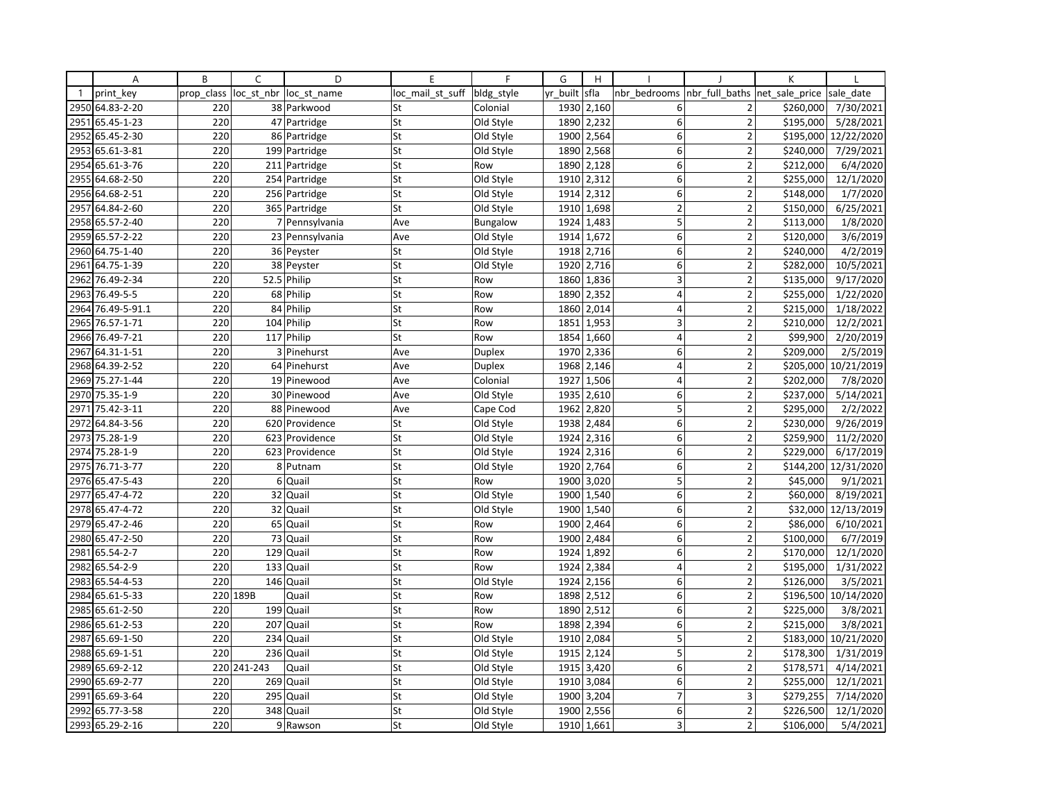|              | Α               | B          | C           | D                      | E                | F             | G        | H          |                |                          | К              |            |
|--------------|-----------------|------------|-------------|------------------------|------------------|---------------|----------|------------|----------------|--------------------------|----------------|------------|
| $\mathbf{1}$ | print key       | prop class |             | loc st nbr loc st name | loc mail st suff | bldg style    | yr built | sfla       | nbr bedrooms   | nbr full baths           | net sale price | sale date  |
| 2950         | 64.83-2-20      | 220        |             | 38 Parkwood            | St               | Colonial      | 1930     | 2,160      | 6              | $\overline{2}$           | \$260,000      | 7/30/2021  |
| 2951         | 65.45-1-23      | 220        |             | 47 Partridge           | St               | Old Style     | 1890     | 2,232      | 6              | $\overline{2}$           | \$195,000      | 5/28/2021  |
| 2952         | 65.45-2-30      | 220        |             | 86 Partridge           | St               | Old Style     | 1900     | 2,564      | 6              | $\overline{2}$           | \$195,000      | 12/22/2020 |
| 2953         | 65.61-3-81      | 220        |             | 199 Partridge          | St               | Old Style     | 1890     | 2,568      | $6 \mid$       | $\overline{2}$           | \$240,000      | 7/29/2021  |
|              | 2954 65.61-3-76 | 220        |             | 211 Partridge          | St               | Row           | 1890     | 2,128      | 6              | $\overline{2}$           | \$212,000      | 6/4/2020   |
| 2955         | 64.68-2-50      | 220        |             | 254 Partridge          | St               | Old Style     | 1910     | 2,312      | 6              | $\overline{2}$           | \$255,000      | 12/1/2020  |
|              | 2956 64.68-2-51 | 220        |             | 256 Partridge          | St               | Old Style     | 1914     | 2,312      | 6              | $\overline{2}$           | \$148,000      | 1/7/2020   |
| 2957         | 64.84-2-60      | 220        |             | 365 Partridge          | St               | Old Style     | 1910     | 1,698      | $\overline{2}$ | $\overline{2}$           | \$150,000      | 6/25/2021  |
|              | 2958 65.57-2-40 | 220        |             | 7 Pennsylvania         | Ave              | Bungalow      |          | 1924 1,483 | 5              | $\overline{2}$           | \$113,000      | 1/8/2020   |
| 2959         | 65.57-2-22      | 220        |             | 23 Pennsylvania        | Ave              | Old Style     | 1914     | 1,672      | 6              | $\overline{\phantom{a}}$ | \$120,000      | 3/6/2019   |
| 2960         | 64.75-1-40      | 220        |             | 36 Peyster             | St               | Old Style     | 1918     | 2,716      | 6              | $\overline{2}$           | \$240,000      | 4/2/2019   |
| 2961         | 64.75-1-39      | 220        |             | 38 Peyster             | St               | Old Style     | 1920     | 2,716      | 6              | $\overline{2}$           | \$282,000      | 10/5/2021  |
| 2962         | 76.49-2-34      | 220        |             | 52.5 Philip            | St               | Row           | 1860     | 1,836      | 3              | $\overline{2}$           | \$135,000      | 9/17/2020  |
| 2963         | 76.49-5-5       | 220        |             | 68 Philip              | St               | Row           | 1890     | 2,352      | 4              | $\overline{2}$           | \$255,000      | 1/22/2020  |
| 2964         | 76.49-5-91.1    | 220        |             | 84 Philip              | St               | Row           | 1860     | 2,014      | $\overline{4}$ | $\overline{2}$           | \$215,000      | 1/18/2022  |
| 2965         | 76.57-1-71      | 220        |             | 104 Philip             | St               | Row           | 1851     | 1,953      | 3              | $\overline{2}$           | \$210,000      | 12/2/2021  |
| 2966         | 76.49-7-21      | 220        |             | 117 Philip             | St               | Row           | 1854     | 1,660      | $\overline{4}$ | $\overline{2}$           | \$99,900       | 2/20/2019  |
| 2967         | 64.31-1-51      | 220        |             | 3 Pinehurst            | Ave              | <b>Duplex</b> | 1970     | 2,336      | 6              | $\overline{\phantom{a}}$ | \$209,000      | 2/5/2019   |
| 2968         | 64.39-2-52      | 220        |             | 64 Pinehurst           | Ave              | <b>Duplex</b> | 1968     | 2,146      | $\overline{4}$ | $\overline{2}$           | \$205,000      | 10/21/2019 |
|              | 2969 75.27-1-44 | 220        |             | 19 Pinewood            | Ave              | Colonial      | 1927     | 1,506      | $\overline{4}$ | $\overline{\mathbf{c}}$  | \$202,000      | 7/8/2020   |
| 2970         | 75.35-1-9       | 220        |             | 30 Pinewood            | Ave              | Old Style     | 1935     | 2,610      | $6 \mid$       | $\overline{2}$           | \$237,000      | 5/14/2021  |
| 2971         | 75.42-3-11      | 220        |             | 88 Pinewood            | Ave              | Cape Cod      | 1962     | 2,820      | 5              | $\overline{2}$           | \$295,000      | 2/2/2022   |
| 2972         | 64.84-3-56      | 220        |             | 620 Providence         | St               | Old Style     | 1938     | 2,484      | 6              | $\overline{2}$           | \$230,000      | 9/26/2019  |
| 2973         | 75.28-1-9       | 220        |             | 623 Providence         | St               | Old Style     | 1924     | 2,316      | 6              | $\overline{2}$           | \$259,900      | 11/2/2020  |
|              | 2974 75.28-1-9  | 220        |             | 623 Providence         | St               | Old Style     | 1924     | 2,316      | 6              | $\mathbf 2$              | \$229,000      | 6/17/2019  |
| 2975         | 76.71-3-77      | 220        |             | 8 Putnam               | St               | Old Style     | 1920     | 2,764      | 6              | $\overline{2}$           | \$144,200      | 12/31/2020 |
| 2976         | 65.47-5-43      | 220        | 6           | Quail                  | St               | Row           | 1900     | 3,020      | 5              | $\overline{2}$           | \$45,000       | 9/1/2021   |
| 2977         | 65.47-4-72      | 220        |             | 32 Quail               | St               | Old Style     | 1900     | 1,540      | 6              | $\overline{2}$           | \$60,000       | 8/19/2021  |
| 2978         | 65.47-4-72      | 220        |             | 32 Quail               | St               | Old Style     | 1900     | 1,540      | $6 \mid$       | $\overline{2}$           | \$32,000       | 12/13/2019 |
| 2979         | 65.47-2-46      | 220        |             | 65 Quail               | St               | Row           | 1900     | 2,464      | 6              | $\overline{2}$           | \$86,000       | 6/10/2021  |
| 2980         | 65.47-2-50      | 220        | 73          | Quail                  | St               | Row           | 1900     | 2,484      | 6              | $\overline{2}$           | \$100,000      | 6/7/2019   |
| 2981         | 65.54-2-7       | 220        | 129         | Quail                  | St               | Row           | 1924     | 1,892      | 6              | $\overline{2}$           | \$170,000      | 12/1/2020  |
| 2982         | 65.54-2-9       | 220        |             | 133 Quail              | St               | Row           |          | 1924 2,384 | $\overline{4}$ | $\overline{2}$           | \$195,000      | 1/31/2022  |
| 2983         | 65.54-4-53      | 220        |             | 146 Quail              | St               | Old Style     | 1924     | 2,156      | $\mathsf 6$    | $\overline{2}$           | \$126,000      | 3/5/2021   |
| 2984         | 65.61-5-33      |            | 220 189B    | Quail                  | St               | Row           | 1898     | 2,512      | 6              | $\overline{2}$           | \$196,500      | 10/14/2020 |
|              | 2985 65.61-2-50 | 220        |             | 199 Quail              | St               | Row           | 1890     | 2,512      | 6              | $\overline{2}$           | \$225,000      | 3/8/2021   |
| 2986         | 65.61-2-53      | 220        | 207         | Quail                  | St               | Row           | 1898     | 2,394      | $6 \mid$       | $\overline{2}$           | \$215,000      | 3/8/2021   |
| 2987         | 65.69-1-50      | 220        |             | 234 Quail              | St               | Old Style     | 1910     | 2,084      | 5              | $\overline{2}$           | \$183,000      | 10/21/2020 |
| 2988         | 65.69-1-51      | 220        | 236         | Quail                  | St               | Old Style     | 1915     | 2,124      | 5              | $\overline{\phantom{a}}$ | \$178,300      | 1/31/2019  |
| 2989         | 65.69-2-12      |            | 220 241-243 | Quail                  | St               | Old Style     | 1915     | 3,420      | 6              | 2                        | \$178,571      | 4/14/2021  |
|              | 2990 65.69-2-77 | 220        |             | 269 Quail              | St               | Old Style     |          | 1910 3,084 | 6              | $\overline{2}$           | \$255,000      | 12/1/2021  |
| 2991         | 65.69-3-64      | 220        | 295         | Quail                  | St               | Old Style     | 1900     | 3,204      | $\overline{7}$ | 3                        | \$279,255      | 7/14/2020  |
| 2992         | 65.77-3-58      | 220        | 348         | Quail                  | St               | Old Style     | 1900     | 2,556      | 6              | $\overline{2}$           | \$226,500      | 12/1/2020  |
|              | 2993 65.29-2-16 | 220        |             | 9 Rawson               | St               | Old Style     |          | 1910 1,661 | $\overline{3}$ | $\overline{2}$           | \$106,000      | 5/4/2021   |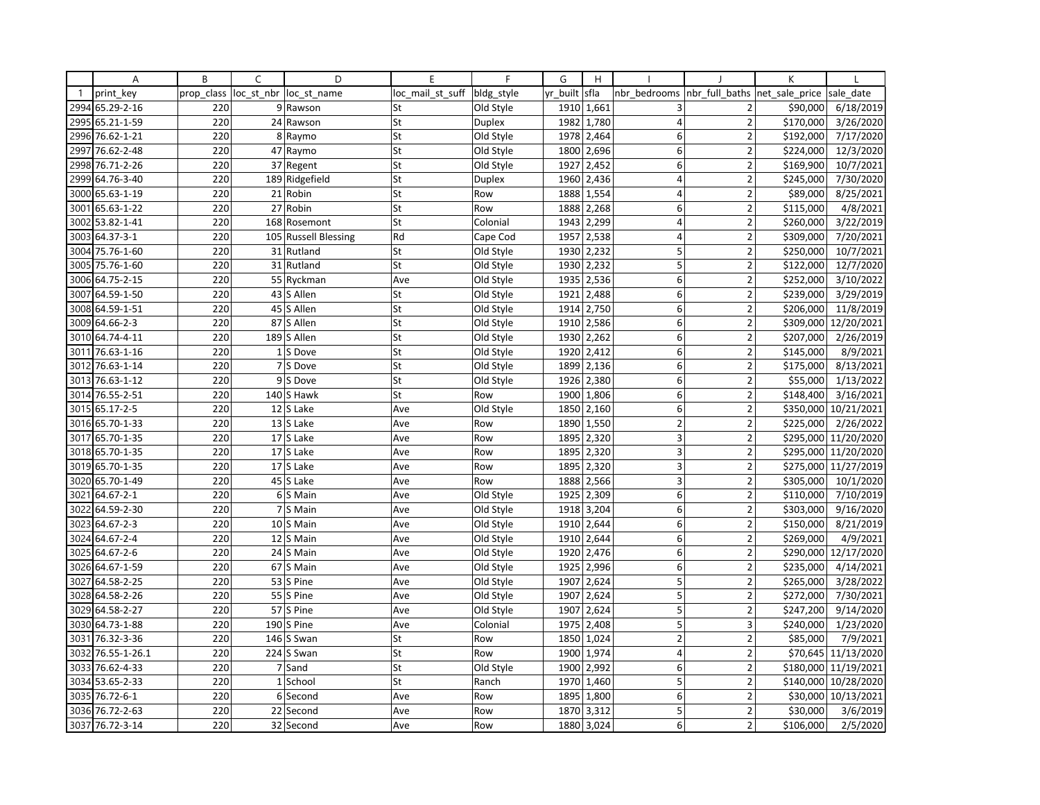|              | Α               | B          | C              | D                      | E                | F             | G        | H          |                |                         | K              |                      |
|--------------|-----------------|------------|----------------|------------------------|------------------|---------------|----------|------------|----------------|-------------------------|----------------|----------------------|
| $\mathbf{1}$ | print key       | prop_class |                | loc st nbr loc st name | loc mail st suff | bldg_style    | yr built | sfla       | nbr bedrooms   | nbr full baths          | net sale price | sale date            |
| 2994         | 65.29-2-16      | 220        |                | 9 Rawson               | St               | Old Style     | 1910     | 1,661      | 3              | 2                       | \$90,000       | 6/18/2019            |
| 2995         | 65.21-1-59      | 220        |                | 24 Rawson              | St               | <b>Duplex</b> | 1982     | 1,780      | 4              | $\overline{2}$          | \$170,000      | 3/26/2020            |
| 2996         | 76.62-1-21      | 220        |                | 8 Raymo                | St               | Old Style     | 1978     | 2,464      | 6              | $\overline{\mathbf{c}}$ | \$192,000      | 7/17/2020            |
| 2997         | 76.62-2-48      | 220        |                | 47 Raymo               | St               | Old Style     |          | 1800 2,696 | 6              | $\overline{2}$          | \$224,000      | 12/3/2020            |
| 2998         | 76.71-2-26      | 220        |                | 37 Regent              | St               | Old Style     | 1927     | 2,452      | 6              | $\overline{2}$          | \$169,900      | 10/7/2021            |
| 2999         | 64.76-3-40      | 220        |                | 189 Ridgefield         | St               | <b>Duplex</b> | 1960     | 2,436      | $\overline{4}$ | $\overline{2}$          | \$245,000      | 7/30/2020            |
| 3000         | 65.63-1-19      | 220        |                | 21 Robin               | St               | Row           | 1888     | 1,554      | $\overline{4}$ | $\overline{2}$          | \$89,000       | 8/25/2021            |
| 3001         | 65.63-1-22      | 220        |                | 27 Robin               | St               | Row           | 1888     | 2,268      | 6              | $\overline{2}$          | \$115,000      | 4/8/2021             |
| 3002         | 53.82-1-41      | 220        |                | 168 Rosemont           | St               | Colonial      | 1943     | 2,299      | 4              | $\overline{2}$          | \$260,000      | 3/22/2019            |
| 3003         | 64.37-3-1       | 220        |                | 105 Russell Blessing   | Rd               | Cape Cod      | 1957     | 2,538      | $\overline{4}$ | $\overline{2}$          | \$309,000      | 7/20/2021            |
| 3004         | 75.76-1-60      | 220        |                | 31 Rutland             | St               | Old Style     | 1930     | 2,232      | 5              | $\overline{2}$          | \$250,000      | 10/7/2021            |
|              | 3005 75.76-1-60 | 220        |                | 31 Rutland             | St               | Old Style     | 1930     | 2,232      | 5              | $\overline{2}$          | \$122,000      | 12/7/2020            |
| 3006         | 64.75-2-15      | 220        |                | 55 Ryckman             | Ave              | Old Style     | 1935     | 2,536      | $\overline{6}$ | $\overline{2}$          | \$252,000      | 3/10/2022            |
| 3007         | 64.59-1-50      | 220        |                | 43 S Allen             | St               | Old Style     | 1921     | 2,488      | 6              | $\overline{2}$          | \$239,000      | 3/29/2019            |
|              | 3008 64.59-1-51 | 220        |                | 45 S Allen             | St               | Old Style     | 1914     | 2,750      | 6              | $\overline{2}$          | \$206,000      | 11/8/2019            |
| 3009         | 64.66-2-3       | 220        |                | 87 S Allen             | St               | Old Style     | 1910     | 2,586      | 6              | $\overline{2}$          |                | \$309,000 12/20/2021 |
|              | 3010 64.74-4-11 | 220        |                | 189 S Allen            | St               | Old Style     |          | 1930 2,262 | 6              | $\overline{2}$          | \$207,000      | 2/26/2019            |
| 3011         | 76.63-1-16      | 220        |                | 1S Dove                | St               | Old Style     | 1920     | 2,412      | 6              | $\overline{2}$          | \$145,000      | 8/9/2021             |
| 3012         | 76.63-1-14      | 220        |                | 7 S Dove               | St               | Old Style     | 1899     | 2,136      | 6              | $\overline{2}$          | \$175,000      | 8/13/2021            |
| 3013         | 76.63-1-12      | 220        |                | 9S Dove                | St               | Old Style     | 1926     | 2,380      | 6              | $\overline{2}$          | \$55,000       | 1/13/2022            |
| 3014         | 76.55-2-51      | 220        |                | 140 S Hawk             | St               | Row           | 1900     | 1,806      | 6              | $\overline{2}$          | \$148,400      | 3/16/2021            |
| 3015         | 65.17-2-5       | 220        |                | 12 S Lake              | Ave              | Old Style     | 1850     | 2,160      | 6              | $\overline{2}$          |                | \$350,000 10/21/2021 |
| 3016         | 65.70-1-33      | 220        |                | 13 S Lake              | Ave              | Row           | 1890     | 1,550      | $\overline{2}$ | $\overline{2}$          | \$225,000      | 2/26/2022            |
| 3017         | 65.70-1-35      | 220        |                | 17 S Lake              | Ave              | Row           | 1895     | 2,320      | 3              | $\overline{2}$          |                | \$295,000 11/20/2020 |
| 3018         | 65.70-1-35      | 220        |                | 17 S Lake              | Ave              | Row           | 1895     | 2,320      | 3              | $\overline{2}$          |                | \$295,000 11/20/2020 |
|              | 3019 65.70-1-35 | 220        |                | 17 S Lake              | Ave              | Row           | 1895     | 2,320      | 3              | $\overline{2}$          |                | \$275,000 11/27/2019 |
| 3020         | 65.70-1-49      | 220        |                | 45 S Lake              | Ave              | Row           | 1888     | 2,566      | 3              | $\overline{2}$          | \$305,000      | 10/1/2020            |
| 3021         | 64.67-2-1       | 220        |                | 6 S Main               | Ave              | Old Style     | 1925     | 2,309      | 6              | $\overline{2}$          | \$110,000      | 7/10/2019            |
| 3022         | 64.59-2-30      | 220        |                | 7 S Main               | Ave              | Old Style     | 1918     | 3,204      | 6              | $\overline{2}$          | \$303,000      | 9/16/2020            |
| 3023         | 64.67-2-3       | 220        |                | 10 S Main              | Ave              | Old Style     | 1910     | 2,644      | 6              | $\overline{2}$          | \$150,000      | 8/21/2019            |
| 3024         | 64.67-2-4       | 220        |                | 12 S Main              | Ave              | Old Style     | 1910     | 2,644      | 6              | $\overline{2}$          | \$269,000      | 4/9/2021             |
| 3025         | 64.67-2-6       | 220        |                | 24 S Main              | Ave              | Old Style     | 1920     | 2,476      | 6              | $\overline{\mathbf{c}}$ |                | \$290,000 12/17/2020 |
| 3026         | 64.67-1-59      | 220        |                | 67 S Main              | Ave              | Old Style     |          | 1925 2,996 | 6              | $\overline{2}$          | \$235,000      | 4/14/2021            |
| 3027         | 64.58-2-25      | 220        |                | 53 S Pine              | Ave              | Old Style     | 1907     | 2,624      | 5              | $\overline{2}$          | \$265,000      | 3/28/2022            |
|              | 3028 64.58-2-26 | 220        |                | 55 S Pine              | Ave              | Old Style     | 1907     | 2,624      | 5              | $\overline{2}$          | \$272,000      | 7/30/2021            |
| 3029         | 64.58-2-27      | 220        |                | 57 S Pine              | Ave              | Old Style     | 1907     | 2,624      | $\overline{5}$ | $\overline{2}$          | \$247,200      | 9/14/2020            |
| 3030         | 64.73-1-88      | 220        |                | 190 S Pine             | Ave              | Colonial      | 1975     | 2,408      | 5              | 3                       | \$240,000      | 1/23/2020            |
| 3031         | 76.32-3-36      | 220        |                | 146 S Swan             | St               | Row           | 1850     | 1,024      | $\mathbf 2$    | $\overline{2}$          | \$85,000       | 7/9/2021             |
| 3032         | 76.55-1-26.1    | 220        |                | 224 S Swan             | St               | Row           | 1900     | 1,974      | $\overline{4}$ | $\overline{2}$          |                | \$70,645 11/13/2020  |
| 3033         | 76.62-4-33      | 220        | $\overline{7}$ | Sand                   | St               | Old Style     | 1900     | 2,992      | 6              | $\overline{2}$          |                | \$180,000 11/19/2021 |
|              | 3034 53.65-2-33 | 220        |                | 1 School               | St               | Ranch         | 1970     | 1,460      | 5              | $\overline{2}$          |                | \$140,000 10/28/2020 |
| 3035         | 76.72-6-1       | 220        | 6              | Second                 | Ave              | Row           | 1895     | 1,800      | 6              | $\overline{2}$          |                | \$30,000 10/13/2021  |
|              | 3036 76.72-2-63 | 220        |                | 22 Second              | Ave              | Row           | 1870     | 3,312      | 5              | $\overline{2}$          | \$30,000       | 3/6/2019             |
|              | 3037 76.72-3-14 | 220        |                | 32 Second              | Ave              | Row           | 1880     | 3,024      | 6              | $\overline{2}$          | \$106,000      | 2/5/2020             |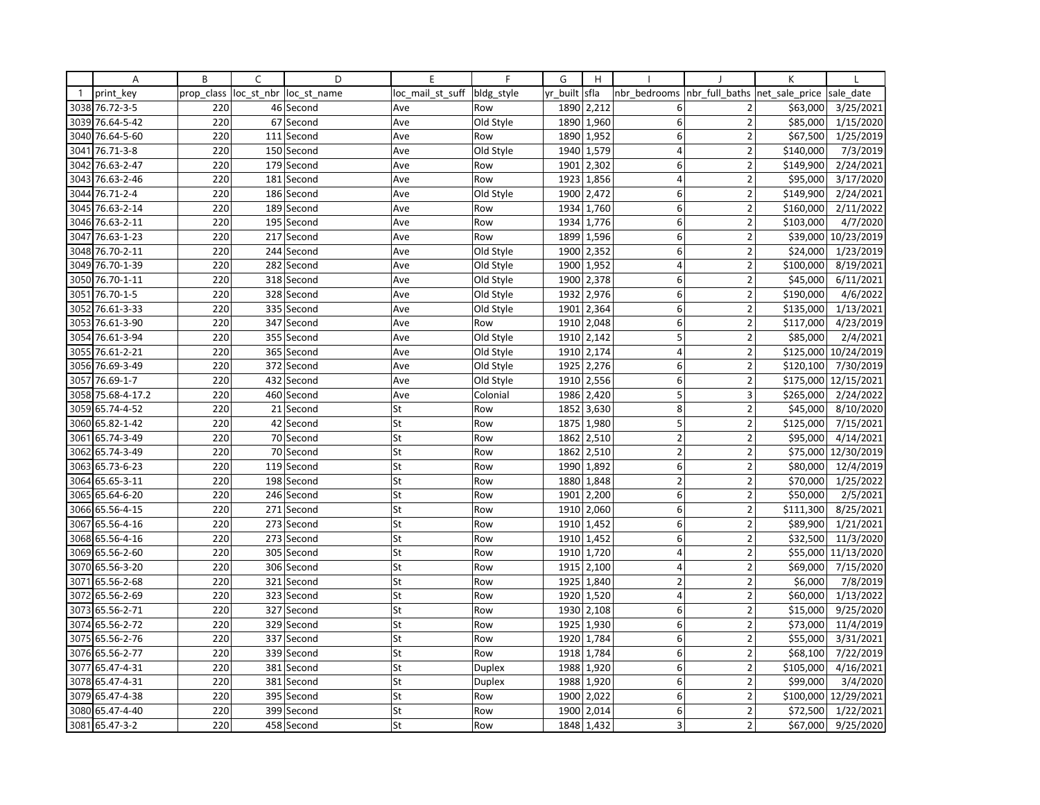|              | Α               | B          | C          | D           | E                | F          | G        | H                         |                |                          | К              |                       |
|--------------|-----------------|------------|------------|-------------|------------------|------------|----------|---------------------------|----------------|--------------------------|----------------|-----------------------|
| $\mathbf{1}$ | print key       | prop_class | loc st nbr | loc st name | loc_mail_st_suff | bldg style | yr built | sfla                      | nbr bedrooms   | nbr full baths           | net sale price | sale date             |
| 3038         | 76.72-3-5       | 220        |            | 46 Second   | Ave              | Row        | 1890     | 2,212                     | 6              | 2                        | \$63,000       | 3/25/2021             |
| 3039         | 76.64-5-42      | 220        | 67         | Second      | Ave              | Old Style  | 1890     | 1,960                     | 6              | $\overline{2}$           | \$85,000       | 1/15/2020             |
| 3040         | 76.64-5-60      | 220        |            | 111 Second  | Ave              | Row        | 1890     | 1,952                     | 6              | $\overline{2}$           | \$67,500       | 1/25/2019             |
| 3041         | 76.71-3-8       | 220        |            | 150 Second  | Ave              | Old Style  |          | 1940 1,579                | 4              | $\overline{2}$           | \$140,000      | 7/3/2019              |
| 3042         | 76.63-2-47      | 220        |            | 179 Second  | Ave              | Row        | 1901     | 2,302                     | 6              | $\overline{2}$           | \$149,900      | 2/24/2021             |
| 3043         | 76.63-2-46      | 220        | 181        | Second      | Ave              | Row        | 1923     | 1,856                     | $\overline{4}$ | $\overline{2}$           | \$95,000       | 3/17/2020             |
| 3044         | 76.71-2-4       | 220        |            | 186 Second  | Ave              | Old Style  | 1900     | 2,472                     | 6              | $\overline{2}$           | \$149,900      | $\frac{1}{2}/24/2021$ |
| 3045         | 76.63-2-14      | 220        |            | 189 Second  | Ave              | Row        | 1934     | 1,760                     | 6              | $\overline{2}$           | \$160,000      | 2/11/2022             |
| 3046         | 76.63-2-11      | 220        |            | 195 Second  | Ave              | Row        | 1934     | 1,776                     | 6              | $\overline{2}$           | \$103,000      | 4/7/2020              |
| 3047         | 76.63-1-23      | 220        |            | 217 Second  | Ave              | Row        | 1899     | 1,596                     | 6              | $\overline{\phantom{a}}$ | \$39,000       | 10/23/2019            |
| 3048         | 76.70-2-11      | 220        |            | 244 Second  | Ave              | Old Style  | 1900     | 2,352                     | 6              | $\overline{2}$           | \$24,000       | 1/23/2019             |
| 3049         | 76.70-1-39      | 220        |            | 282 Second  | Ave              | Old Style  | 1900     | 1,952                     | $\overline{4}$ | $\overline{2}$           | \$100,000      | 8/19/2021             |
| 3050         | 76.70-1-11      | 220        |            | 318 Second  | Ave              | Old Style  | 1900     | 2,378                     | 6              | $\overline{2}$           | \$45,000       | 6/11/2021             |
| 3051         | 76.70-1-5       | 220        | 328        | Second      | Ave              | Old Style  | 1932     | 2,976                     | 6              | $\overline{2}$           | \$190,000      | 4/6/2022              |
| 3052         | 76.61-3-33      | 220        |            | 335 Second  | Ave              | Old Style  | 1901     | 2,364                     | 6              | $\overline{2}$           | \$135,000      | 1/13/2021             |
| 3053         | 76.61-3-90      | 220        |            | 347 Second  | Ave              | Row        | 1910     | 2,048                     | 6              | $\overline{2}$           | \$117,000      | 4/23/2019             |
| 3054         | 76.61-3-94      | 220        |            | 355 Second  | Ave              | Old Style  | 1910     | 2,142                     | 5              | $\overline{2}$           | \$85,000       | 2/4/2021              |
| 3055         | 76.61-2-21      | 220        | 365        | Second      | Ave              | Old Style  | 1910     | 2,174                     | $\overline{4}$ | $\overline{\phantom{a}}$ | \$125,000      | 10/24/2019            |
| 3056         | 76.69-3-49      | 220        |            | 372 Second  | Ave              | Old Style  | 1925     | 2,276                     | 6              | $\overline{2}$           | \$120,100      | 7/30/2019             |
| 3057         | 76.69-1-7       | 220        |            | 432 Second  | Ave              | Old Style  | 1910     | 2,556                     | 6              | $\overline{\mathbf{c}}$  | \$175,000      | 12/15/2021            |
| 3058         | 75.68-4-17.2    | 220        |            | 460 Second  | Ave              | Colonial   | 1986     | 2,420                     | 5              | 3                        | \$265,000      | 2/24/2022             |
| 3059         | 65.74-4-52      | 220        |            | 21 Second   | St               | Row        | 1852     | 3,630                     | 8              | $\overline{2}$           | \$45,000       | 8/10/2020             |
| 3060         | 65.82-1-42      | 220        | 42         | Second      | St               | Row        | 1875     | 1,980                     | 5              | $\overline{2}$           | \$125,000      | 7/15/2021             |
| 3061         | 65.74-3-49      | 220        |            | 70 Second   | St               | Row        | 1862     | 2,510                     | $\overline{2}$ | $\overline{2}$           | \$95,000       | 4/14/2021             |
| 3062         | 65.74-3-49      | 220        |            | 70 Second   | St               | Row        | 1862     | 2,510                     | $\mathbf 2$    | $\mathbf 2$              | \$75,000       | 12/30/2019            |
| 3063         | 65.73-6-23      | 220        |            | 119 Second  | St               | Row        | 1990     | 1,892                     | 6              | $\overline{2}$           | \$80,000       | 12/4/2019             |
| 3064         | 65.65-3-11      | 220        | 198        | Second      | St               | Row        | 1880     | 1,848                     | $\overline{2}$ | $\mathbf 2$              | \$70,000       | 1/25/2022             |
|              | 3065 65.64-6-20 | 220        |            | 246 Second  | St               | Row        | 1901     | 2,200                     | 6              | $\overline{2}$           | \$50,000       | 2/5/2021              |
| 3066         | 65.56-4-15      | 220        |            | 271 Second  | St               | Row        | 1910     | 2,060                     | $6 \mid$       | $\mathbf 2$              | \$111,300      | 8/25/2021             |
| 3067         | 65.56-4-16      | 220        |            | 273 Second  | St               | Row        | 1910     | 1,452                     | 6              | $\overline{2}$           | \$89,900       | 1/21/2021             |
| 3068         | 65.56-4-16      | 220        | 273        | Second      | St               | Row        | 1910     | 1,452                     | 6              | $\overline{2}$           | \$32,500       | 11/3/2020             |
| 3069         | 65.56-2-60      | 220        | 305        | Second      | St               | Row        | 1910     | 1,720                     | $\overline{4}$ | $\overline{2}$           | \$55,000       | 11/13/2020            |
| 3070         | 65.56-3-20      | 220        |            | 306 Second  | St               | Row        |          | $\overline{19}15$   2,100 | $\overline{4}$ | $\overline{2}$           | \$69,000       | 7/15/2020             |
| 3071         | 65.56-2-68      | 220        |            | 321 Second  | St               | Row        | 1925     | 1,840                     | $\overline{2}$ | $\overline{2}$           | \$6,000        | 7/8/2019              |
| 3072         | 65.56-2-69      | 220        | 323        | Second      | St               | Row        | 1920     | 1,520                     | 4              | $\overline{2}$           | \$60,000       | 1/13/2022             |
|              | 3073 65.56-2-71 | 220        |            | 327 Second  | St               | Row        | 1930     | 2,108                     | 6              | $\overline{2}$           | \$15,000       | 9/25/2020             |
| 3074         | 65.56-2-72      | 220        |            | 329 Second  | St               | Row        | 1925     | 1,930                     | 6              | $\overline{2}$           | \$73,000       | 11/4/2019             |
|              | 3075 65.56-2-76 | 220        |            | 337 Second  | St               | Row        | 1920     | 1,784                     | 6              | $\overline{2}$           | \$55,000       | 3/31/2021             |
| 3076         | 65.56-2-77      | 220        | 339        | Second      | St               | Row        | 1918     | 1,784                     | 6              | $\overline{\phantom{a}}$ | \$68,100       | 7/22/2019             |
| 3077         | 65.47-4-31      | 220        |            | 381 Second  | St               | Duplex     | 1988     | 1,920                     | 6              | $\overline{\mathbf{c}}$  | \$105,000      | 4/16/2021             |
| 3078         | 65.47-4-31      | 220        |            | 381 Second  | St               | Duplex     | 1988     | 1,920                     | 6              | $\overline{2}$           | \$99,000       | 3/4/2020              |
| 3079         | 65.47-4-38      | 220        |            | 395 Second  | St               | Row        | 1900     | 2,022                     | 6              | $\overline{2}$           | \$100,000      | 12/29/2021            |
| 3080         | 65.47-4-40      | 220        |            | 399 Second  | St               | Row        | 1900     | 2,014                     | 6              | $\overline{2}$           | \$72,500       | 1/22/2021             |
|              | 3081 65.47-3-2  | 220        |            | 458 Second  | St               | Row        | 1848     | 1,432                     | $\overline{3}$ | $\overline{2}$           | \$67,000       | 9/25/2020             |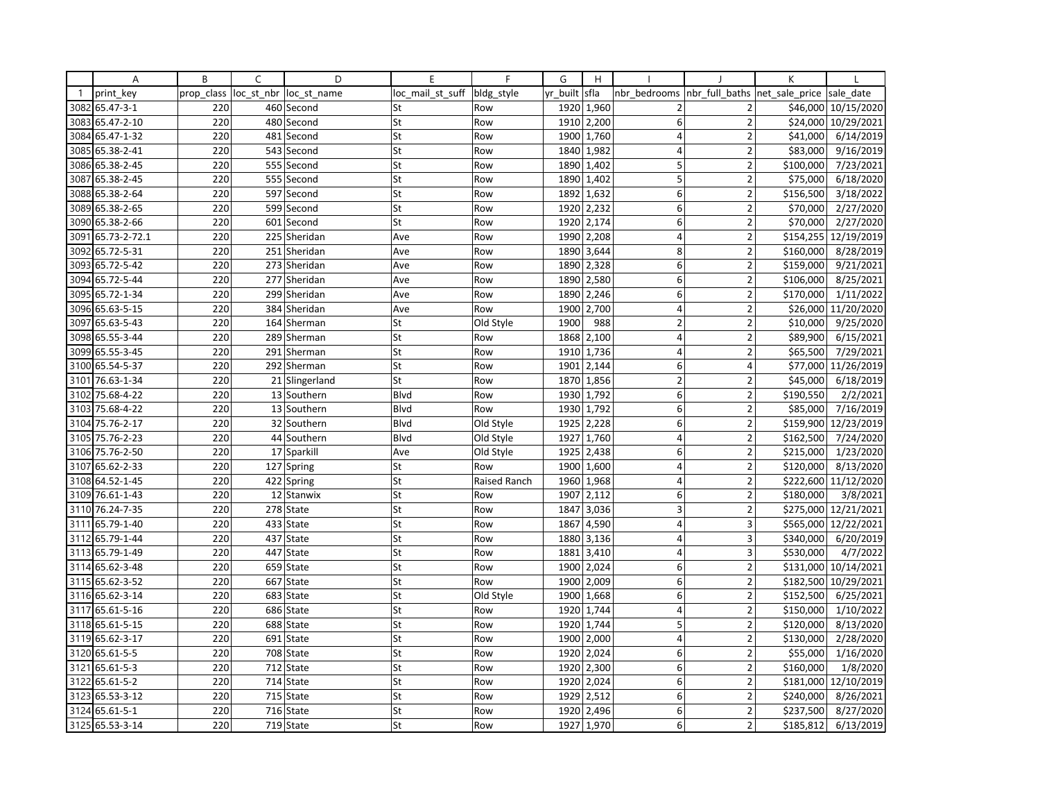|              | Α               | B          | C          | D              | E                | F            | G        | H                       |                         |                          | К              |                       |
|--------------|-----------------|------------|------------|----------------|------------------|--------------|----------|-------------------------|-------------------------|--------------------------|----------------|-----------------------|
| $\mathbf{1}$ | print key       | prop class | loc st nbr | loc st name    | loc mail st suff | bldg style   | yr built | sfla                    | nbr bedrooms            | nbr full baths           | net_sale_price | sale date             |
| 3082         | 65.47-3-1       | 220        |            | 460 Second     | St               | Row          | 1920     | 1,960                   | $\overline{2}$          | 2                        | \$46,000       | 10/15/2020            |
| 3083         | 65.47-2-10      | 220        |            | 480 Second     | St               | Row          | 1910     | 2,200                   | 6                       | $\overline{2}$           | \$24,000       | 10/29/2021            |
| 3084         | 65.47-1-32      | 220        |            | 481 Second     | St               | Row          | 1900     | 1,760                   | $\overline{4}$          | $\overline{2}$           | \$41,000       | 6/14/2019             |
| 3085         | 65.38-2-41      | 220        |            | 543 Second     | St               | Row          |          | 1840 1,982              | 4                       | $\overline{2}$           | \$83,000       | 9/16/2019             |
|              | 3086 65.38-2-45 | 220        |            | 555 Second     | St               | Row          | 1890     | 1,402                   | 5                       | $\overline{2}$           | \$100,000      | 7/23/2021             |
| 3087         | 65.38-2-45      | 220        | 555        | Second         | St               | Row          | 1890     | 1,402                   | 5                       | $\overline{2}$           | \$75,000       | 6/18/2020             |
|              | 3088 65.38-2-64 | 220        |            | 597 Second     | St               | Row          |          | 1892 1,632              | 6                       | $\overline{2}$           | \$156,500      | 3/18/2022             |
| 3089         | 65.38-2-65      | 220        |            | 599 Second     | St               | Row          | 1920     | 2,232                   | 6                       | $\overline{2}$           | \$70,000       | 2/27/2020             |
|              | 3090 65.38-2-66 | 220        | 601        | Second         | St               | Row          | 1920     | 2,174                   | 6                       | $\overline{2}$           | \$70,000       | 2/27/2020             |
| 3091         | 65.73-2-72.1    | 220        |            | 225 Sheridan   | Ave              | Row          | 1990     | 2,208                   | $\overline{4}$          | $\overline{\phantom{a}}$ | \$154,255      | 12/19/2019            |
| 3092         | 65.72-5-31      | 220        |            | 251 Sheridan   | Ave              | Row          | 1890     | 3,644                   | 8                       | $\overline{2}$           | \$160,000      | 8/28/2019             |
| 3093         | 65.72-5-42      | 220        |            | 273 Sheridan   | Ave              | Row          | 1890     | 2,328                   | 6                       | $\overline{2}$           | \$159,000      | 9/21/2021             |
| 3094         | 65.72-5-44      | 220        |            | 277 Sheridan   | Ave              | Row          | 1890     | 2,580                   | 6                       | $\overline{2}$           | \$106,000      | 8/25/2021             |
| 3095         | 65.72-1-34      | 220        |            | 299 Sheridan   | Ave              | Row          | 1890     | 2,246                   | 6                       | $\overline{2}$           | \$170,000      | 1/11/2022             |
|              | 3096 65.63-5-15 | 220        |            | 384 Sheridan   | Ave              | Row          | 1900     | 2,700                   | $\overline{4}$          | $\overline{2}$           | \$26,000       | 11/20/2020            |
| 3097         | 65.63-5-43      | 220        |            | 164 Sherman    | St               | Old Style    | 1900     | 988                     | $\overline{2}$          | $\overline{2}$           | \$10,000       | $\frac{1}{9/25/2020}$ |
|              | 3098 65.55-3-44 | 220        |            | 289 Sherman    | St               | Row          | 1868     | 2,100                   | $\overline{4}$          | $\overline{2}$           | \$89,900       | 6/15/2021             |
| 3099         | 65.55-3-45      | 220        |            | 291 Sherman    | St               | Row          | 1910     | 1,736                   | $\overline{4}$          | $\overline{2}$           | \$65,500       | 7/29/2021             |
| 3100         | 65.54-5-37      | 220        |            | 292 Sherman    | St               | Row          | 1901     | 2,144                   | 6                       | 4                        | \$77,000       | 11/26/2019            |
| 3101         | 76.63-1-34      | 220        |            | 21 Slingerland | St               | Row          | 1870     | 1,856                   | $\overline{2}$          | 2                        | \$45,000       | 6/18/2019             |
| 3102         | 75.68-4-22      | 220        |            | 13 Southern    | Blvd             | Row          | 1930     | 1,792                   | 6                       | $\overline{2}$           | \$190,550      | 2/2/2021              |
| 3103         | 75.68-4-22      | 220        |            | 13 Southern    | Blvd             | Row          | 1930     | 1,792                   | 6                       | $\overline{2}$           | \$85,000       | 7/16/2019             |
| 3104         | 75.76-2-17      | 220        |            | 32 Southern    | Blvd             | Old Style    | 1925     | 2,228                   | 6                       | $\overline{2}$           | \$159,900      | 12/23/2019            |
| 3105         | 75.76-2-23      | 220        |            | 44 Southern    | Blvd             | Old Style    | 1927     | 1,760                   | 4                       | $\overline{2}$           | \$162,500      | 7/24/2020             |
| 3106         | 75.76-2-50      | 220        |            | 17 Sparkill    | Ave              | Old Style    | 1925     | 2,438                   | 6                       | $\mathbf 2$              | \$215,000      | 1/23/2020             |
| 3107         | 65.62-2-33      | 220        |            | 127 Spring     | St               | Row          | 1900     | 1,600                   | 4                       | $\overline{2}$           | \$120,000      | 8/13/2020             |
| 3108         | 64.52-1-45      | 220        |            | 422 Spring     | St               | Raised Ranch | 1960     | 1,968                   | $\overline{4}$          | $\overline{2}$           | \$222,600      | 11/12/2020            |
| 3109         | 76.61-1-43      | 220        |            | 12 Stanwix     | St               | Row          | 1907     | 2,112                   | 6                       | $\overline{2}$           | \$180,000      | 3/8/2021              |
| 3110         | 76.24-7-35      | 220        |            | 278 State      | St               | Row          | 1847     | 3,036                   | $\overline{\mathbf{3}}$ | $\overline{2}$           | \$275,000      | 12/21/2021            |
| 3111         | 65.79-1-40      | 220        |            | 433 State      | St               | Row          | 1867     | 4,590                   | 4                       | 3                        | \$565,000      | 12/22/2021            |
| 3112         | 65.79-1-44      | 220        |            | 437 State      | St               | Row          | 1880     | 3,136                   | $\overline{4}$          | 3                        | \$340,000      | 6/20/2019             |
| 3113         | 65.79-1-49      | 220        | 447        | State          | St               | Row          | 1881     | 3,410                   | $\overline{4}$          | 3                        | \$530,000      | 4/7/2022              |
|              | 3114 65.62-3-48 | 220        |            | 659 State      | St               | Row          |          | $\overline{1900}$ 2,024 | 6                       | $\overline{2}$           |                | \$131,000 10/14/2021  |
|              | 3115 65.62-3-52 | 220        |            | 667 State      | St               | Row          | 1900     | 2,009                   | $\mathsf 6$             | $\overline{2}$           | \$182,500      | 10/29/2021            |
| 3116         | 65.62-3-14      | 220        | 683        | State          | St               | Old Style    | 1900     | 1,668                   | 6                       | $\overline{2}$           | \$152,500      | 6/25/2021             |
| 3117         | 65.61-5-16      | 220        |            | 686 State      | St               | Row          | 1920     | 1,744                   | $\overline{4}$          | $\overline{2}$           | \$150,000      | 1/10/2022             |
| 3118         | 65.61-5-15      | 220        |            | 688 State      | St               | Row          | 1920     | 1,744                   | 5                       | $\overline{2}$           | \$120,000      | 8/13/2020             |
|              | 3119 65.62-3-17 | 220        |            | 691 State      | St               | Row          | 1900     | 2,000                   | $\overline{4}$          | $\overline{2}$           | \$130,000      | 2/28/2020             |
| 3120         | 65.61-5-5       | 220        |            | 708 State      | St               | Row          | 1920     | 2,024                   | 6                       | $\overline{\phantom{a}}$ | \$55,000       | 1/16/2020             |
| 3121         | 65.61-5-3       | 220        | 712        | State          | St               | Row          | 1920     | 2,300                   | 6                       | $\overline{2}$           | \$160,000      | 1/8/2020              |
| 3122         | 65.61-5-2       | 220        |            | 714 State      | St               | Row          | 1920     | 2,024                   | 6                       | $\overline{2}$           | \$181,000      | 12/10/2019            |
| 3123         | 65.53-3-12      | 220        | 715        | State          | St               | Row          | 1929     | 2,512                   | 6                       | $\overline{2}$           | \$240,000      | 8/26/2021             |
|              | 3124 65.61-5-1  | 220        |            | 716 State      | St               | Row          | 1920     | 2,496                   | 6                       | $\overline{2}$           | \$237,500      | 8/27/2020             |
|              | 3125 65.53-3-14 | 220        |            | 719 State      | St               | Row          | 1927     | 1,970                   | 6                       | $\overline{2}$           | \$185,812      | 6/13/2019             |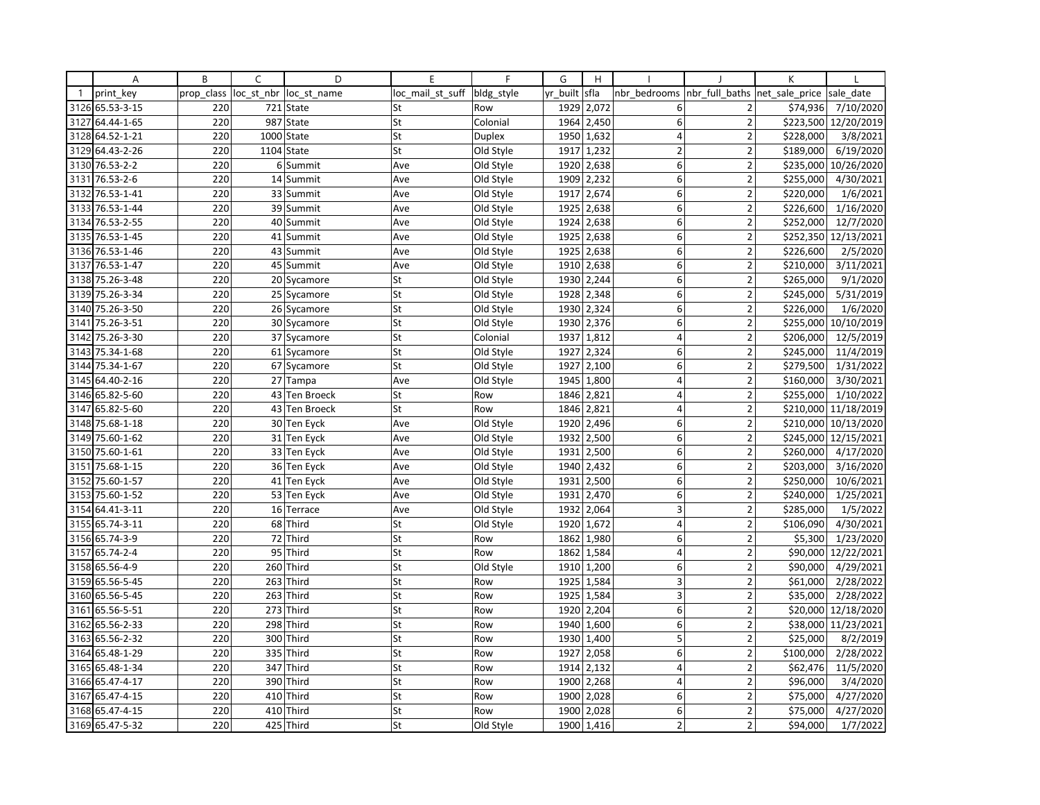|              | Α               | B          | C          | D                 | E                | F          | G        | H          |                 |                          | K              |            |
|--------------|-----------------|------------|------------|-------------------|------------------|------------|----------|------------|-----------------|--------------------------|----------------|------------|
| $\mathbf{1}$ | print key       | prop_class | loc_st_nbr | loc st name       | loc mail st suff | bldg_style | yr built | sfla       | nbr bedrooms    | nbr full baths           | net_sale_price | sale date  |
|              | 3126 65.53-3-15 | 220        |            | 721 State         | St               | Row        | 1929     | 2,072      | 6               | 2                        | \$74,936       | 7/10/2020  |
| 3127         | 64.44-1-65      | 220        |            | 987 State         | St               | Colonial   | 1964     | 2,450      | 6               | $\overline{2}$           | \$223,500      | 12/20/2019 |
| 3128         | 64.52-1-21      | 220        |            | 1000 State        | St               | Duplex     | 1950     | 1,632      | 4               | $\overline{\mathbf{c}}$  | \$228,000      | 3/8/2021   |
| 3129         | 64.43-2-26      | 220        |            | 1104 State        | St               | Old Style  |          | 1917 1,232 | $\overline{2}$  | $\overline{2}$           | \$189,000      | 6/19/2020  |
| 3130         | 76.53-2-2       | 220        | 6          | Summit            | Ave              | Old Style  | 1920     | 2,638      | 6               | $\overline{2}$           | \$235,000      | 10/26/2020 |
| 3131         | 76.53-2-6       | 220        | 14         | Summit            | Ave              | Old Style  | 1909     | 2,232      | 6               | $\overline{2}$           | \$255,000      | 4/30/2021  |
| 3132         | 76.53-1-41      | 220        |            | 33 Summit         | Ave              | Old Style  | 1917     | 2,674      | 6               | $\overline{2}$           | \$220,000      | 1/6/2021   |
| 3133         | 76.53-1-44      | 220        |            | 39 Summit         | Ave              | Old Style  | 1925     | 2,638      | 6               | $\overline{2}$           | \$226,600      | 1/16/2020  |
|              | 3134 76.53-2-55 | 220        |            | 40 Summit         | Ave              | Old Style  | 1924     | 2,638      | 6               | $\overline{2}$           | \$252,000      | 12/7/2020  |
| 3135         | 76.53-1-45      | 220        |            | 41 Summit         | Ave              | Old Style  | 1925     | 2,638      | 6               | $\overline{2}$           | \$252,350      | 12/13/2021 |
| 3136         | 76.53-1-46      | 220        |            | 43 Summit         | Ave              | Old Style  | 1925     | 2,638      | 6               | $\overline{2}$           | \$226,600      | 2/5/2020   |
| 3137         | 76.53-1-47      | 220        |            | 45 Summit         | Ave              | Old Style  | 1910     | 2,638      | 6               | $\overline{2}$           | \$210,000      | 3/11/2021  |
| 3138         | 75.26-3-48      | 220        |            | 20 Sycamore       | St               | Old Style  | 1930     | 2,244      | 6               | $\overline{2}$           | \$265,000      | 9/1/2020   |
| 3139         | 75.26-3-34      | 220        |            | 25 Sycamore       | St               | Old Style  | 1928     | 2,348      | 6               | $\overline{2}$           | \$245,000      | 5/31/2019  |
| 3140         | 75.26-3-50      | 220        |            | 26 Sycamore       | St               | Old Style  | 1930     | 2,324      | 6               | $\overline{2}$           | \$226,000      | 1/6/2020   |
| 3141         | 75.26-3-51      | 220        |            | 30 Sycamore       | St               | Old Style  | 1930     | 2,376      | 6               | $\overline{2}$           | \$255,000      | 10/10/2019 |
| 3142         | 75.26-3-30      | 220        |            | 37 Sycamore       | St               | Colonial   | 1937     | 1,812      | $\overline{4}$  | $\overline{2}$           | \$206,000      | 12/5/2019  |
| 3143         | 75.34-1-68      | 220        | 61         | Sycamore          | St               | Old Style  | 1927     | 2,324      | 6               | $\overline{2}$           | \$245,000      | 11/4/2019  |
| 3144         | 75.34-1-67      | 220        |            | 67 Sycamore       | St               | Old Style  | 1927     | 2,100      | 6               | $\overline{2}$           | \$279,500      | 1/31/2022  |
|              | 3145 64.40-2-16 | 220        | 27         | Tampa             | Ave              | Old Style  | 1945     | 1,800      | $\overline{4}$  | $\overline{2}$           | \$160,000      | 3/30/2021  |
| 3146         | 65.82-5-60      | 220        |            | 43 Ten Broeck     | St               | Row        | 1846     | 2,821      | $\vert 4 \vert$ | $\overline{2}$           | \$255,000      | 1/10/2022  |
| 3147         | 65.82-5-60      | 220        | 43         | <b>Ten Broeck</b> | St               | Row        | 1846     | 2,821      | 4               | $\overline{2}$           | \$210,000      | 11/18/2019 |
| 3148         | 75.68-1-18      | 220        |            | 30 Ten Eyck       | Ave              | Old Style  | 1920     | 2,496      | 6               | $\overline{2}$           | \$210,000      | 10/13/2020 |
| 3149         | 75.60-1-62      | 220        |            | 31 Ten Eyck       | Ave              | Old Style  | 1932     | 2,500      | 6               | $\overline{2}$           | \$245,000      | 12/15/2021 |
|              | 3150 75.60-1-61 | 220        |            | 33 Ten Eyck       | Ave              | Old Style  |          | 1931 2,500 | 6               | $\overline{2}$           | \$260,000      | 4/17/2020  |
| 3151         | 75.68-1-15      | 220        |            | 36 Ten Eyck       | Ave              | Old Style  | 1940     | 2,432      | 6               | $\overline{2}$           | \$203,000      | 3/16/2020  |
| 3152         | 75.60-1-57      | 220        |            | 41 Ten Eyck       | Ave              | Old Style  | 1931     | 2,500      | 6               | $\overline{2}$           | \$250,000      | 10/6/2021  |
|              | 3153 75.60-1-52 | 220        |            | 53 Ten Eyck       | Ave              | Old Style  | 1931     | 2,470      | 6               | $\overline{2}$           | \$240,000      | 1/25/2021  |
| 3154         | 64.41-3-11      | 220        | 16         | Terrace           | Ave              | Old Style  | 1932     | 2,064      | 3               | $\overline{2}$           | \$285,000      | 1/5/2022   |
|              | 3155 65.74-3-11 | 220        |            | 68 Third          | St               | Old Style  | 1920     | 1,672      | $\overline{4}$  | $\overline{2}$           | \$106,090      | 4/30/2021  |
| 3156         | 65.74-3-9       | 220        | 72         | Third             | St               | Row        | 1862     | 1,980      | 6               | $\overline{\phantom{a}}$ | \$5,300        | 1/23/2020  |
| 3157         | 65.74-2-4       | 220        | 95         | Third             | St               | Row        | 1862     | 1,584      | 4               | $\overline{2}$           | \$90,000       | 12/22/2021 |
|              | 3158 65.56-4-9  | 220        |            | 260 Third         | St               | Old Style  |          | 1910 1,200 | 6               | $\overline{2}$           | \$90,000       | 4/29/2021  |
| 3159         | 65.56-5-45      | 220        | 263        | Third             | St               | Row        | 1925     | 1,584      | 3               | $\overline{2}$           | \$61,000       | 2/28/2022  |
|              | 3160 65.56-5-45 | 220        | 263        | Third             | St               | Row        | 1925     | 1,584      | 3               | $\overline{2}$           | \$35,000       | 2/28/2022  |
|              | 3161 65.56-5-51 | 220        | 273        | Third             | St               | Row        | 1920     | 2,204      | 6               | $\overline{2}$           | \$20,000       | 12/18/2020 |
| 3162         | 65.56-2-33      | 220        | 298        | Third             | St               | Row        | 1940     | 1,600      | 6               | $\overline{2}$           | \$38,000       | 11/23/2021 |
|              | 3163 65.56-2-32 | 220        | 300        | Third             | St               | Row        | 1930     | 1,400      | 5               | $\overline{2}$           | \$25,000       | 8/2/2019   |
|              | 3164 65.48-1-29 | 220        | 335        | Third             | St               | Row        | 1927     | 2,058      | 6               | $\overline{\phantom{a}}$ | \$100,000      | 2/28/2022  |
|              | 3165 65.48-1-34 | 220        | 347        | Third             | St               | Row        | 1914     | 2,132      | $\overline{4}$  | $\overline{\mathbf{c}}$  | \$62,476       | 11/5/2020  |
|              | 3166 65.47-4-17 | 220        |            | 390 Third         | St               | Row        | 1900     | 2,268      | 4               | $\overline{2}$           | \$96,000       | 3/4/2020   |
| 3167         | 65.47-4-15      | 220        | 410        | Third             | St               | Row        | 1900     | 2,028      | $6 \mid$        | $\overline{2}$           | \$75,000       | 4/27/2020  |
|              | 3168 65.47-4-15 | 220        |            | 410 Third         | St               | Row        | 1900     | 2,028      | 6               | $\overline{2}$           | \$75,000       | 4/27/2020  |
|              | 3169 65.47-5-32 | 220        |            | 425 Third         | St               | Old Style  | 1900     | 1,416      | $\overline{2}$  | $\overline{2}$           | \$94,000       | 1/7/2022   |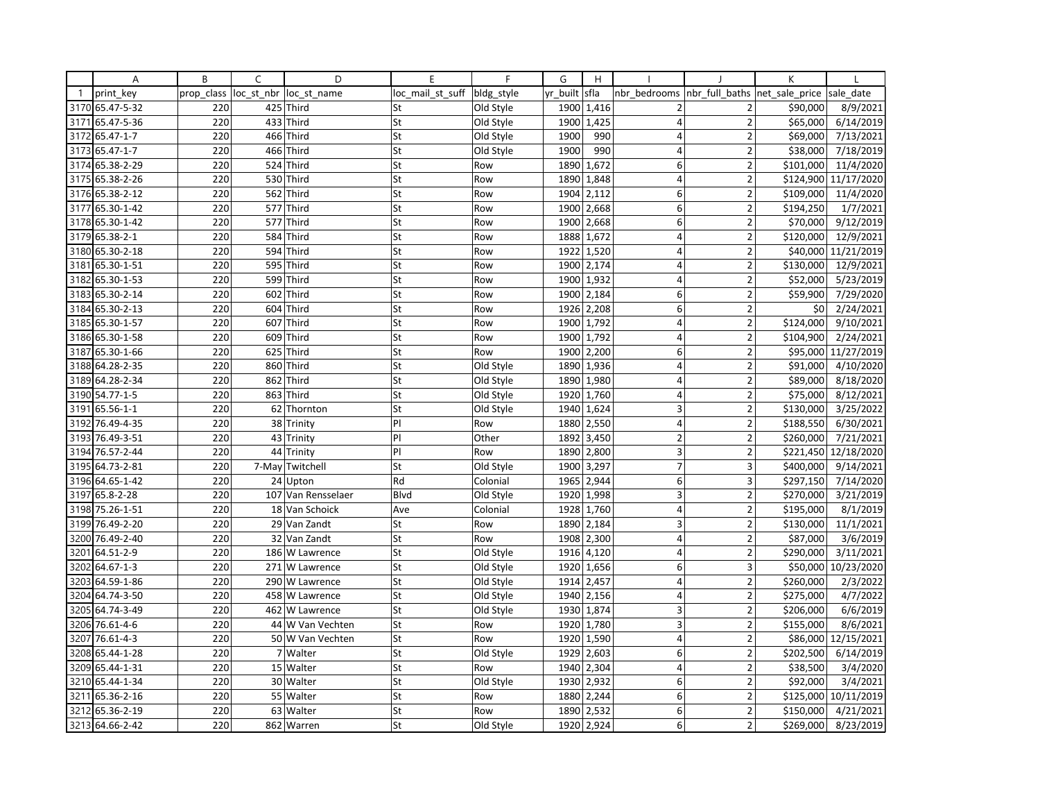|                | Α               | B          | C          | D                  | E                | F          | G        | H          |                         |                                | К         |                      |
|----------------|-----------------|------------|------------|--------------------|------------------|------------|----------|------------|-------------------------|--------------------------------|-----------|----------------------|
| $\overline{1}$ | print key       | prop class | loc st nbr | loc st name        | loc mail st suff | bldg_style | yr built | sfla       | nbr_bedrooms            | nbr_full_baths  net_sale_price |           | sale date            |
|                | 3170 65.47-5-32 | 220        |            | 425 Third          | St               | Old Style  | 1900     | 1,416      |                         | 2                              | \$90,000  | 8/9/2021             |
| 3171           | 65.47-5-36      | 220        |            | 433 Third          | St               | Old Style  | 1900     | 1,425      | 4                       | $\overline{2}$                 | \$65,000  | 6/14/2019            |
| 3172           | 65.47-1-7       | 220        |            | 466 Third          | St               | Old Style  | 1900     | 990        | 4                       | $\overline{\mathbf{c}}$        | \$69,000  | 7/13/2021            |
|                | 3173 65.47-1-7  | 220        |            | 466 Third          | St               | Old Style  | 1900     | 990        | $\overline{4}$          | $\overline{2}$                 | \$38,000  | 7/18/2019            |
|                | 3174 65.38-2-29 | 220        |            | 524 Third          | St               | Row        | 1890     | 1,672      | $\overline{\mathbf{6}}$ | $\overline{2}$                 | \$101,000 | 11/4/2020            |
|                | 3175 65.38-2-26 | 220        |            | 530 Third          | St               | Row        | 1890     | 1,848      | 4                       | $\overline{2}$                 |           | \$124,900 11/17/2020 |
|                | 3176 65.38-2-12 | 220        |            | 562 Third          | St               | Row        | 1904     | 2,112      | 6                       | $\overline{\mathbf{c}}$        | \$109,000 | 11/4/2020            |
| 3177           | 65.30-1-42      | 220        |            | 577 Third          | St               | Row        | 1900     | 2,668      | 6                       | $\overline{2}$                 | \$194,250 | 1/7/2021             |
|                | 3178 65.30-1-42 | 220        |            | 577 Third          | st               | Row        | 1900     | 2,668      | 6                       | $\overline{2}$                 | \$70,000  | 9/12/2019            |
|                | 3179 65.38-2-1  | 220        |            | 584 Third          | St               | Row        | 1888     | 1,672      | $\overline{4}$          | $\overline{2}$                 | \$120,000 | 12/9/2021            |
|                | 3180 65.30-2-18 | 220        | 594        | Third              | St               | Row        | 1922     | 1,520      | 4                       | $\overline{2}$                 | \$40,000  | 11/21/2019           |
|                | 3181 65.30-1-51 | 220        |            | 595 Third          | St               | Row        | 1900     | 2,174      | 4                       | $\mathbf 2$                    | \$130,000 | 12/9/2021            |
| 3182           | 65.30-1-53      | 220        | 599        | Third              | St               | Row        | 1900     | 1,932      | 4                       | $\overline{2}$                 | \$52,000  | 5/23/2019            |
|                | 3183 65.30-2-14 | 220        |            | 602 Third          | St               | Row        | 1900     | 2,184      | 6                       | $\overline{2}$                 | \$59,900  | 7/29/2020            |
|                | 3184 65.30-2-13 | 220        |            | 604 Third          | St               | Row        | 1926     | 2,208      | 6                       | $\overline{2}$                 | \$0       | 2/24/2021            |
| 3185           | 65.30-1-57      | 220        | 607        | Third              | St               | Row        | 1900     | 1,792      | 4                       | $\overline{2}$                 | \$124,000 | 9/10/2021            |
|                | 3186 65.30-1-58 | 220        |            | 609 Third          | St               | Row        | 1900     | 1,792      | 4                       | $\overline{2}$                 | \$104,900 | 2/24/2021            |
|                | 3187 65.30-1-66 | 220        |            | 625 Third          | St               | Row        | 1900     | 2,200      | 6                       | $\overline{2}$                 |           | \$95,000 11/27/2019  |
| 3188           | 64.28-2-35      | 220        | 860        | Third              | St               | Old Style  | 1890     | 1,936      | 4                       | $\overline{2}$                 | \$91,000  | 4/10/2020            |
|                | 3189 64.28-2-34 | 220        |            | 862 Third          | St               | Old Style  | 1890     | 1,980      | $\overline{4}$          | $\overline{2}$                 | \$89,000  | 8/18/2020            |
|                | 3190 54.77-1-5  | 220        |            | 863 Third          | St               | Old Style  | 1920     | 1,760      | $\overline{4}$          | $\overline{2}$                 | \$75,000  | 8/12/2021            |
| 3191           | 65.56-1-1       | 220        | 62         | Thornton           | St               | Old Style  | 1940     | 1,624      | 3                       | $\overline{2}$                 | \$130,000 | 3/25/2022            |
| 3192           | 76.49-4-35      | 220        |            | 38 Trinity         | P                | Row        | 1880     | 2,550      | $\overline{4}$          | $\overline{2}$                 | \$188,550 | 6/30/2021            |
| 3193           | 76.49-3-51      | 220        |            | 43 Trinity         | P                | Other      | 1892     | 3,450      | $\overline{2}$          | $\overline{2}$                 | \$260,000 | 7/21/2021            |
|                | 3194 76.57-2-44 | 220        |            | 44 Trinity         | P                | Row        | 1890     | 2,800      | 3                       | $\overline{2}$                 |           | \$221,450 12/18/2020 |
|                | 3195 64.73-2-81 | 220        | 7-May      | Twitchell          | St               | Old Style  | 1900     | 3,297      | $\overline{7}$          | 3                              | \$400,000 | 9/14/2021            |
|                | 3196 64.65-1-42 | 220        |            | 24 Upton           | Rd               | Colonial   | 1965     | 2,944      | 6                       | 3                              | \$297,150 | 7/14/2020            |
|                | 3197 65.8-2-28  | 220        |            | 107 Van Rensselaer | Blvd             | Old Style  | 1920     | 1,998      | 3                       | $\overline{2}$                 | \$270,000 | 3/21/2019            |
| 3198           | 75.26-1-51      | 220        |            | 18 Van Schoick     | Ave              | Colonial   | 1928     | 1,760      | 4                       | $\overline{2}$                 | \$195,000 | 8/1/2019             |
|                | 3199 76.49-2-20 | 220        |            | 29 Van Zandt       | St               | Row        | 1890     | 2,184      | 3                       | $\overline{2}$                 | \$130,000 | 11/1/2021            |
|                | 3200 76.49-2-40 | 220        |            | 32 Van Zandt       | St               | Row        | 1908     | 2,300      | $\overline{4}$          | $\overline{2}$                 | \$87,000  | 3/6/2019             |
| 3201           | 64.51-2-9       | 220        |            | 186 W Lawrence     | St               | Old Style  | 1916     | 4,120      | 4                       | $\overline{2}$                 | \$290,000 | 3/11/2021            |
| 3202           | 64.67-1-3       | 220        |            | 271 W Lawrence     | St               | Old Style  |          | 1920 1,656 | 6                       | 3                              |           | \$50,000 10/23/2020  |
|                | 3203 64.59-1-86 | 220        |            | 290 W Lawrence     | St               | Old Style  | 1914     | 2,457      | 4                       | $\overline{2}$                 | \$260,000 | 2/3/2022             |
|                | 3204 64.74-3-50 | 220        |            | 458 W Lawrence     | St               | Old Style  | 1940     | 2,156      | 4                       | $\overline{2}$                 | \$275,000 | 4/7/2022             |
|                | 3205 64.74-3-49 | 220        |            | 462 W Lawrence     | St               | Old Style  | 1930     | 1,874      | 3                       | $\overline{2}$                 | \$206,000 | 6/6/2019             |
| 3206           | 76.61-4-6       | 220        |            | 44 W Van Vechten   | St               | Row        | 1920     | 1,780      | 3                       | $\overline{2}$                 | \$155,000 | 8/6/2021             |
| 3207           | 76.61-4-3       | 220        |            | 50 W Van Vechten   | St               | Row        | 1920     | 1,590      | 4                       | $\mathbf 2$                    | \$86,000  | 12/15/2021           |
| 3208           | 65.44-1-28      | 220        |            | 7 Walter           | St               | Old Style  | 1929     | 2,603      | 6                       | $\overline{2}$                 | \$202,500 | 6/14/2019            |
| 3209           | 65.44-1-31      | 220        |            | 15 Walter          | St               | Row        | 1940     | 2,304      | 4                       | $\overline{\mathbf{c}}$        | \$38,500  | 3/4/2020             |
|                | 3210 65.44-1-34 | 220        |            | 30 Walter          | St               | Old Style  | 1930     | 2,932      | 6                       | $\overline{2}$                 | \$92,000  | 3/4/2021             |
| 3211           | 65.36-2-16      | 220        |            | 55 Walter          | St               | Row        | 1880     | 2,244      | 6                       | $\overline{2}$                 |           | \$125,000 10/11/2019 |
| 3212           | 65.36-2-19      | 220        | 63         | Walter             | St               | Row        | 1890     | 2,532      | 6                       | $\overline{2}$                 | \$150,000 | 4/21/2021            |
|                | 3213 64.66-2-42 | 220        |            | 862 Warren         | St               | Old Style  | 1920     | 2,924      | 6                       | $\overline{2}$                 | \$269,000 | 8/23/2019            |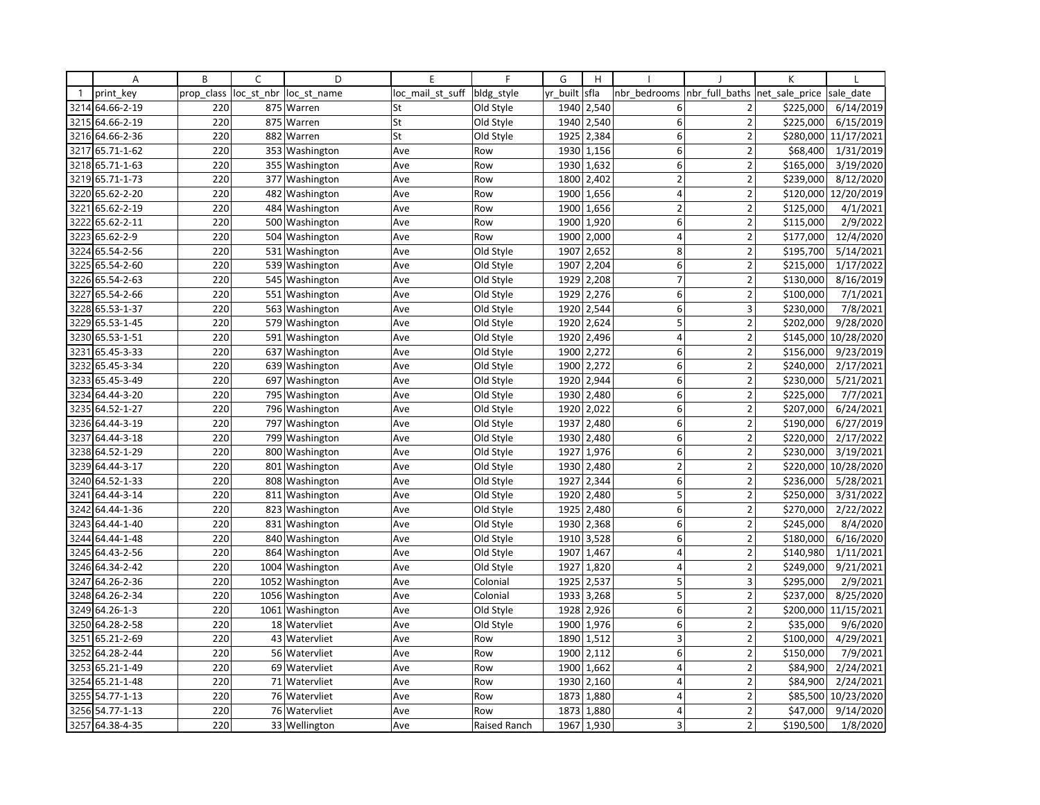|              | A               | B          | $\mathsf{C}$ | D               | E                | F            | G        | H          |                |                               | K         |            |
|--------------|-----------------|------------|--------------|-----------------|------------------|--------------|----------|------------|----------------|-------------------------------|-----------|------------|
| $\mathbf{1}$ | print key       | prop class | loc st nbr   | loc st name     | loc mail st suff | bldg_style   | yr built | sfla       | nbr bedrooms   | nbr full baths net sale price |           | sale date  |
| 3214         | 64.66-2-19      | 220        |              | 875 Warren      | St               | Old Style    | 1940     | 2,540      | 6              | $\overline{2}$                | \$225,000 | 6/14/2019  |
| 3215         | 64.66-2-19      | 220        |              | 875 Warren      | St               | Old Style    | 1940     | 2,540      | 6              | $\overline{2}$                | \$225,000 | 6/15/2019  |
| 3216         | 64.66-2-36      | 220        | 882          | Warren          | St               | Old Style    | 1925     | 2,384      | 6              | 2                             | \$280,000 | 11/17/2021 |
| 3217         | 65.71-1-62      | 220        |              | 353 Washington  | Ave              | Row          | 1930     | 1,156      | $6 \mid$       | $\overline{2}$                | \$68,400  | 1/31/2019  |
|              | 3218 65.71-1-63 | 220        |              | 355 Washington  | Ave              | Row          | 1930     | 1,632      | 6              | $\overline{2}$                | \$165,000 | 3/19/2020  |
| 3219         | 65.71-1-73      | 220        |              | 377 Washington  | Ave              | Row          | 1800     | 2,402      | $\overline{2}$ | $\overline{2}$                | \$239,000 | 8/12/2020  |
| 3220         | 65.62-2-20      | 220        |              | 482 Washington  | Ave              | Row          | 1900     | 1,656      | 4              | $\overline{\mathbf{c}}$       | \$120,000 | 12/20/2019 |
| 3221         | 65.62-2-19      | 220        |              | 484 Washington  | Ave              | Row          | 1900     | 1,656      | $\overline{2}$ | $\overline{2}$                | \$125,000 | 4/1/2021   |
| 3222         | 65.62-2-11      | 220        |              | 500 Washington  | Ave              | Row          | 1900     | 1,920      | 6              | $\overline{2}$                | \$115,000 | 2/9/2022   |
| 3223         | 65.62-2-9       | 220        |              | 504 Washington  | Ave              | Row          | 1900     | 2,000      | $\overline{4}$ | $\overline{a}$                | \$177,000 | 12/4/2020  |
| 3224         | 65.54-2-56      | 220        |              | 531 Washington  | Ave              | Old Style    | 1907     | 2,652      | 8              | $\overline{2}$                | \$195,700 | 5/14/2021  |
| 3225         | 65.54-2-60      | 220        |              | 539 Washington  | Ave              | Old Style    | 1907     | 2,204      | $6 \mid$       | $\mathbf 2$                   | \$215,000 | 1/17/2022  |
|              | 3226 65.54-2-63 | 220        |              | 545 Washington  | Ave              | Old Style    | 1929     | 2,208      | $\overline{7}$ | $\overline{2}$                | \$130,000 | 8/16/2019  |
| 3227         | 65.54-2-66      | 220        | 551          | Washington      | Ave              | Old Style    | 1929     | 2,276      | 6              | $\overline{2}$                | \$100,000 | 7/1/2021   |
|              | 3228 65.53-1-37 | 220        |              | 563 Washington  | Ave              | Old Style    | 1920     | 2,544      | 6              | 3                             | \$230,000 | 7/8/2021   |
| 3229         | 65.53-1-45      | 220        |              | 579 Washington  | Ave              | Old Style    | 1920     | 2,624      | 5              | $\overline{2}$                | \$202,000 | 9/28/2020  |
|              | 3230 65.53-1-51 | 220        |              | 591 Washington  | Ave              | Old Style    | 1920     | 2,496      | 4              | $\overline{2}$                | \$145,000 | 10/28/2020 |
| 3231         | 65.45-3-33      | 220        |              | 637 Washington  | Ave              | Old Style    | 1900     | 2,272      | 6              | $\overline{2}$                | \$156,000 | 9/23/2019  |
| 3232         | 65.45-3-34      | 220        |              | 639 Washington  | Ave              | Old Style    | 1900     | 2,272      | 6              | $\overline{2}$                | \$240,000 | 2/17/2021  |
|              | 3233 65.45-3-49 | 220        |              | 697 Washington  | Ave              | Old Style    | 1920     | 2,944      | 6              | $\overline{2}$                | \$230,000 | 5/21/2021  |
|              | 3234 64.44-3-20 | 220        |              | 795 Washington  | Ave              | Old Style    | 1930     | 2,480      | 6              | $\overline{2}$                | \$225,000 | 7/7/2021   |
| 3235         | 64.52-1-27      | 220        |              | 796 Washington  | Ave              | Old Style    | 1920     | 2,022      | 6              | $\overline{2}$                | \$207,000 | 6/24/2021  |
| 3236         | 64.44-3-19      | 220        |              | 797 Washington  | Ave              | Old Style    | 1937     | 2,480      | 6              | $\overline{2}$                | \$190,000 | 6/27/2019  |
| 3237         | 64.44-3-18      | 220        |              | 799 Washington  | Ave              | Old Style    | 1930     | 2,480      | 6              | $\overline{2}$                | \$220,000 | 2/17/2022  |
|              | 3238 64.52-1-29 | 220        |              | 800 Washington  | Ave              | Old Style    | 1927     | 1,976      | 6              | $\overline{2}$                | \$230,000 | 3/19/2021  |
| 3239         | 64.44-3-17      | 220        |              | 801 Washington  | Ave              | Old Style    | 1930     | 2,480      | $\overline{2}$ | $\overline{2}$                | \$220,000 | 10/28/2020 |
| 3240         | 64.52-1-33      | 220        |              | 808 Washington  | Ave              | Old Style    | 1927     | 2,344      | 6              | $\overline{2}$                | \$236,000 | 5/28/2021  |
| 3241         | 64.44-3-14      | 220        |              | 811 Washington  | Ave              | Old Style    | 1920     | 2,480      | 5              | $\overline{2}$                | \$250,000 | 3/31/2022  |
| 3242         | 64.44-1-36      | 220        |              | 823 Washington  | Ave              | Old Style    | 1925     | 2,480      | $6 \mid$       | $\overline{2}$                | \$270,000 | 2/22/2022  |
|              | 3243 64.44-1-40 | 220        |              | 831 Washington  | Ave              | Old Style    | 1930     | 2,368      | 6              | $\mathbf 2$                   | \$245,000 | 8/4/2020   |
| 3244         | 64.44-1-48      | 220        |              | 840 Washington  | Ave              | Old Style    | 1910     | 3,528      | 6              | $\overline{2}$                | \$180,000 | 6/16/2020  |
| 3245         | 64.43-2-56      | 220        |              | 864 Washington  | Ave              | Old Style    | 1907     | 1,467      | 4              | $\overline{\mathbf{c}}$       | \$140,980 | 1/11/2021  |
| 3246         | 64.34-2-42      | 220        |              | 1004 Washington | Ave              | Old Style    | 1927     | 1,820      | $\overline{4}$ | $\overline{2}$                | \$249,000 | 9/21/2021  |
| 3247         | 64.26-2-36      | 220        |              | 1052 Washington | Ave              | Colonial     | 1925     | 2,537      | 5              | 3                             | \$295,000 | 2/9/2021   |
| 3248         | 64.26-2-34      | 220        |              | 1056 Washington | Ave              | Colonial     | 1933     | 3,268      | 5              | $\overline{2}$                | \$237,000 | 8/25/2020  |
|              | 3249 64.26-1-3  | 220        |              | 1061 Washington | Ave              | Old Style    | 1928     | 2,926      | 6              | 2                             | \$200,000 | 11/15/2021 |
| 3250         | 64.28-2-58      | 220        |              | 18 Watervliet   | Ave              | Old Style    | 1900     | 1,976      | $6 \mid$       | $\overline{2}$                | \$35,000  | 9/6/2020   |
| 3251         | 65.21-2-69      | 220        |              | 43 Watervliet   | Ave              | Row          | 1890     | 1,512      | 3              | $\overline{2}$                | \$100,000 | 4/29/2021  |
| 3252         | 64.28-2-44      | 220        |              | 56 Watervliet   | Ave              | Row          | 1900     | 2,112      | 6              | $\overline{2}$                | \$150,000 | 7/9/2021   |
| 3253         | 65.21-1-49      | 220        |              | 69 Watervliet   | Ave              | Row          | 1900     | 1,662      | 4              | $\overline{2}$                | \$84,900  | 2/24/2021  |
|              | 3254 65.21-1-48 | 220        |              | 71 Watervliet   | Ave              | Row          |          | 1930 2,160 | 4              | $\overline{2}$                | \$84,900  | 2/24/2021  |
|              | 3255 54.77-1-13 | 220        |              | 76 Watervliet   | Ave              | Row          | 1873     | 1,880      | 4              | $\overline{2}$                | \$85,500  | 10/23/2020 |
| 3256         | 54.77-1-13      | 220        |              | 76 Watervliet   | Ave              | Row          | 1873     | 1,880      | $\overline{4}$ | $\overline{2}$                | \$47,000  | 9/14/2020  |
| 3257         | 64.38-4-35      | 220        |              | 33 Wellington   | Ave              | Raised Ranch | 1967     | 1,930      | $\overline{3}$ | $\overline{2}$                | \$190,500 | 1/8/2020   |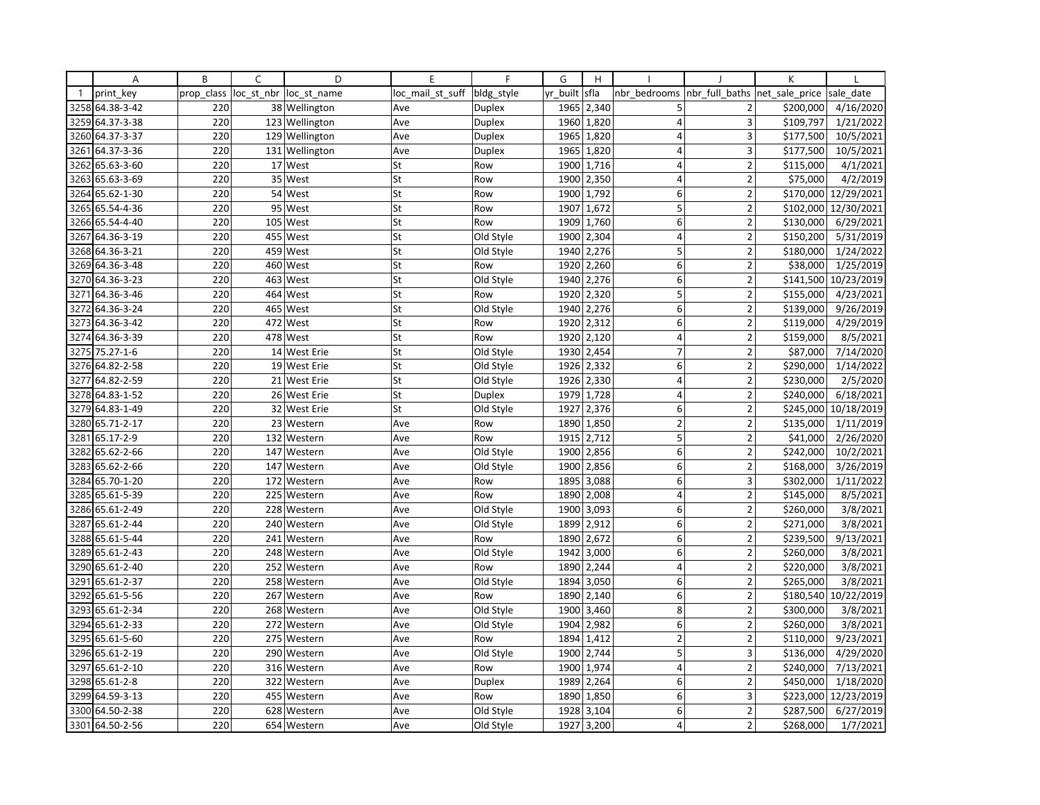|              | Α               | B          | C          | D              | E                | F             | G        | H          |                         |                         | K              |                      |
|--------------|-----------------|------------|------------|----------------|------------------|---------------|----------|------------|-------------------------|-------------------------|----------------|----------------------|
| $\mathbf{1}$ | print key       | prop class | loc_st_nbr | loc st name    | loc mail st suff | bldg style    | yr built | sfla       | nbr bedrooms            | nbr_full_baths          | net sale price | sale date            |
| 3258         | 64.38-3-42      | 220        |            | 38 Wellington  | Ave              | Duplex        |          | 1965 2,340 | 5                       | $\overline{2}$          | \$200,000      | 4/16/2020            |
| 3259         | 64.37-3-38      | 220        |            | 123 Wellington | Ave              | <b>Duplex</b> | 1960     | 1,820      | $\overline{4}$          | $\overline{\mathbf{3}}$ | \$109,797      | 1/21/2022            |
| 3260         | 64.37-3-37      | 220        |            | 129 Wellington | Ave              | Duplex        | 1965     | 1,820      | 4                       | 3                       | \$177,500      | 10/5/2021            |
| 3261         | 64.37-3-36      | 220        |            | 131 Wellington | Ave              | <b>Duplex</b> |          | 1965 1,820 | 4                       | 3                       | \$177,500      | 10/5/2021            |
| 3262         | 65.63-3-60      | 220        |            | 17 West        | St               | Row           | 1900     | 1,716      | $\overline{4}$          | $\overline{2}$          | \$115,000      | 4/1/2021             |
| 3263         | 65.63-3-69      | 220        | 35         | West           | St               | Row           | 1900     | 2,350      | $\overline{4}$          | $\overline{2}$          | \$75,000       | 4/2/2019             |
| 3264         | 65.62-1-30      | 220        |            | 54 West        | St               | Row           |          | 1900 1,792 | 6 <sup>1</sup>          | $\overline{2}$          |                | \$170,000 12/29/2021 |
| 3265         | 65.54-4-36      | 220        | 95         | West           | St               | Row           | 1907     | 1,672      | 5                       | $\overline{2}$          | \$102,000      | 12/30/2021           |
|              | 3266 65.54-4-40 | 220        |            | 105 West       | St               | Row           | 1909     | 1,760      | $6 \mid$                | $\overline{2}$          | \$130,000      | 6/29/2021            |
| 3267         | 64.36-3-19      | 220        | 455        | West           | St               | Old Style     | 1900     | 2,304      | $\overline{4}$          | $\overline{2}$          | \$150,200      | 5/31/2019            |
| 3268         | 64.36-3-21      | 220        |            | 459 West       | St               | Old Style     | 1940     | 2,276      | 5                       | $\overline{2}$          | \$180,000      | 1/24/2022            |
|              | 3269 64.36-3-48 | 220        |            | 460 West       | St               | Row           | 1920     | 2,260      | 6 <sup>1</sup>          | $\overline{2}$          | \$38,000       | 1/25/2019            |
| 3270         | 64.36-3-23      | 220        | 463        | West           | St               | Old Style     | 1940     | 2,276      | 6 <sup>1</sup>          | $\overline{2}$          | \$141,500      | 10/23/2019           |
| 3271         | 64.36-3-46      | 220        | 464        | West           | St               | Row           | 1920     | 2,320      | 5                       | $\overline{2}$          | \$155,000      | 4/23/2021            |
| 3272         | 64.36-3-24      | 220        |            | 465 West       | St               | Old Style     | 1940     | 2,276      | 6                       | $\overline{2}$          | \$139,000      | 9/26/2019            |
| 3273         | 64.36-3-42      | 220        | 472        | West           | St               | Row           | 1920     | 2,312      | 6 <sup>1</sup>          | $\overline{2}$          | \$119,000      | 4/29/2019            |
|              | 3274 64.36-3-39 | 220        |            | 478 West       | St               | Row           | 1920     | 2,120      | $\overline{4}$          | $\overline{2}$          | \$159,000      | 8/5/2021             |
| 3275         | 75.27-1-6       | 220        |            | 14 West Erie   | St               | Old Style     | 1930     | 2,454      | $\overline{7}$          | $\overline{2}$          | \$87,000       | 7/14/2020            |
| 3276         | 64.82-2-58      | 220        |            | 19 West Erie   | St               | Old Style     | 1926     | 2,332      | $6 \mid$                | $\overline{2}$          | \$290,000      | 1/14/2022            |
| 3277         | 64.82-2-59      | 220        |            | 21 West Erie   | St               | Old Style     |          | 1926 2,330 | $\overline{4}$          | $\overline{2}$          | \$230,000      | 2/5/2020             |
| 3278         | 64.83-1-52      | 220        |            | 26 West Erie   | St               | <b>Duplex</b> | 1979     | 1,728      | $\vert 4 \vert$         | $\overline{2}$          | \$240,000      | 6/18/2021            |
| 3279         | 64.83-1-49      | 220        |            | 32 West Erie   | St               | Old Style     | 1927     | 2,376      | $6 \mid$                | $\overline{2}$          | \$245,000      | 10/18/2019           |
| 3280         | 65.71-2-17      | 220        | 23         | Western        | Ave              | Row           | 1890     | 1,850      | $\overline{2}$          | $\overline{2}$          | \$135,000      | 1/11/2019            |
| 3281         | 65.17-2-9       | 220        | 132        | Western        | Ave              | Row           | 1915     | 2,712      | 5                       | $\overline{2}$          | \$41,000       | 2/26/2020            |
| 3282         | 65.62-2-66      | 220        |            | 147 Western    | Ave              | Old Style     | 1900     | 2,856      | 6 <sup>1</sup>          | $\overline{2}$          | \$242,000      | 10/2/2021            |
| 3283         | 65.62-2-66      | 220        |            | 147 Western    | Ave              | Old Style     | 1900     | 2,856      | 6                       | $\overline{2}$          | \$168,000      | 3/26/2019            |
| 3284         | 65.70-1-20      | 220        | 172        | Western        | Ave              | Row           | 1895     | 3,088      | 6 <sup>1</sup>          | 3                       | \$302,000      | 1/11/2022            |
|              | 3285 65.61-5-39 | 220        |            | 225 Western    | Ave              | Row           |          | 1890 2,008 | $\overline{4}$          | $\overline{2}$          | \$145,000      | 8/5/2021             |
| 3286         | 65.61-2-49      | 220        | 228        | Western        | Ave              | Old Style     | 1900     | 3,093      | $6 \mid$                | $\overline{2}$          | \$260,000      | 3/8/2021             |
| 3287         | 65.61-2-44      | 220        |            | 240 Western    | Ave              | Old Style     | 1899     | 2,912      | $6 \mid$                | $\overline{2}$          | \$271,000      | 3/8/2021             |
| 3288         | 65.61-5-44      | 220        | 241        | Western        | Ave              | Row           | 1890     | 2,672      | 6                       | $\overline{2}$          | \$239,500      | 9/13/2021            |
| 3289         | 65.61-2-43      | 220        | 248        | Western        | Ave              | Old Style     | 1942     | 3,000      | 6 <sup>1</sup>          | $\overline{2}$          | \$260,000      | 3/8/2021             |
| 3290         | 65.61-2-40      | 220        | 252        | Western        | Ave              | Row           | 1890     | 2,244      | $\overline{4}$          | $\overline{2}$          | \$220,000      | 3/8/2021             |
| 3291         | 65.61-2-37      | 220        |            | 258 Western    | Ave              | Old Style     | 1894     | 3,050      | 6                       | $\overline{2}$          | \$265,000      | 3/8/2021             |
| 3292         | 65.61-5-56      | 220        | 267        | Western        | Ave              | Row           | 1890     | 2,140      | $6 \mid$                | $\overline{2}$          | \$180,540      | 10/22/2019           |
|              | 3293 65.61-2-34 | 220        |            | 268 Western    | Ave              | Old Style     | 1900     | 3,460      | 8                       | $\overline{2}$          | \$300,000      | 3/8/2021             |
| 3294         | 65.61-2-33      | 220        | 272        | Western        | Ave              | Old Style     | 1904     | 2,982      | $6 \mid$                | $\overline{2}$          | \$260,000      | 3/8/2021             |
|              | 3295 65.61-5-60 | 220        |            | 275 Western    | Ave              | Row           | 1894     | 1,412      | $\overline{2}$          | $\overline{2}$          | \$110,000      | 9/23/2021            |
| 3296         | 65.61-2-19      | 220        |            | 290 Western    | Ave              | Old Style     | 1900     | 2,744      | 5                       | 3                       | \$136,000      | 4/29/2020            |
| 3297         | 65.61-2-10      | 220        | 316        | Western        | Ave              | Row           | 1900     | 1,974      | $\overline{4}$          | $\overline{2}$          | \$240,000      | 7/13/2021            |
|              | 3298 65.61-2-8  | 220        |            | 322 Western    | Ave              | <b>Duplex</b> | 1989     | 2,264      | $6 \mid$                | $\overline{2}$          | \$450,000      | 1/18/2020            |
| 3299         | 64.59-3-13      | 220        | 455        | Western        | Ave              | Row           | 1890     | 1,850      | 6 <sup>1</sup>          | 3                       | \$223,000      | 12/23/2019           |
| 3300         | 64.50-2-38      | 220        | 628        | Western        | Ave              | Old Style     | 1928     | 3,104      | 6 <sup>1</sup>          | $\overline{2}$          | \$287,500      | 6/27/2019            |
|              | 3301 64.50-2-56 | 220        |            | 654 Western    | Ave              | Old Style     | 1927     | 3,200      | $\overline{\mathbf{4}}$ | $\overline{2}$          | \$268,000      | 1/7/2021             |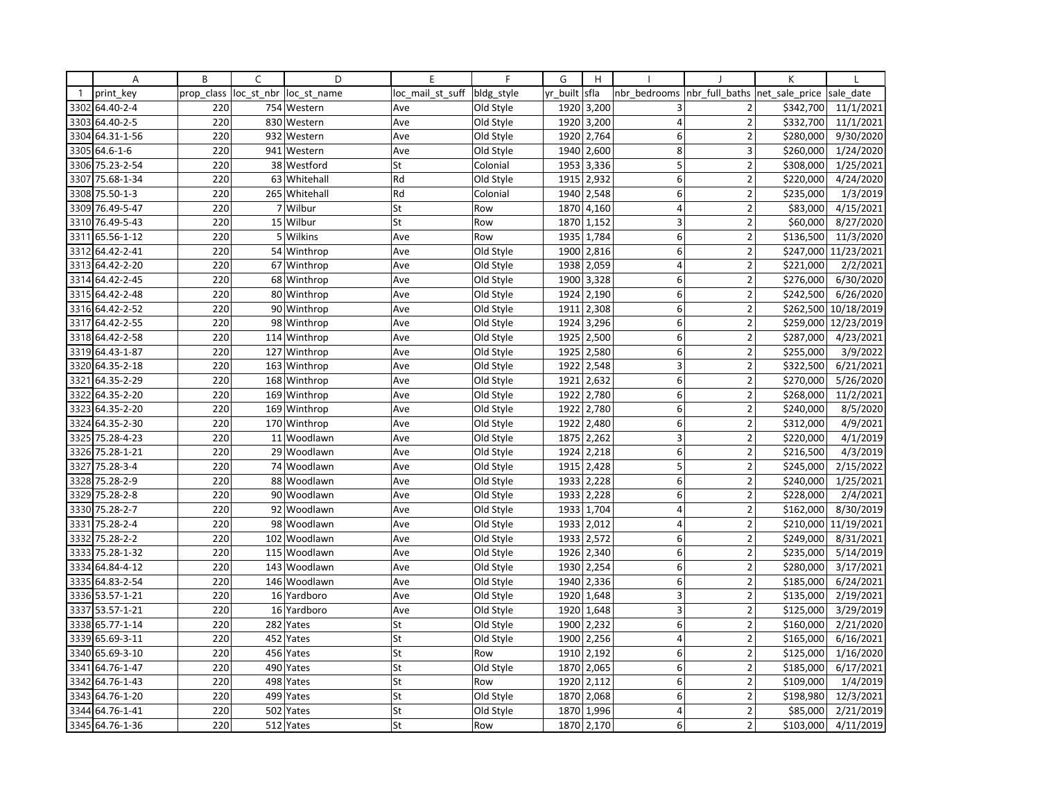|              | A               | B          | C              | D             | E                | F          | G        | H          |                 |                          | К              |            |
|--------------|-----------------|------------|----------------|---------------|------------------|------------|----------|------------|-----------------|--------------------------|----------------|------------|
| $\mathbf{1}$ | print key       | prop class | loc st nbr     | loc st name   | loc mail st suff | bldg_style | yr built | sfla       | nbr bedrooms    | nbr full baths           | net sale price | sale date  |
| 3302         | 64.40-2-4       | 220        |                | 754 Western   | Ave              | Old Style  | 1920     | 3,200      | 3               | $\overline{2}$           | \$342,700      | 11/1/2021  |
| 3303         | 64.40-2-5       | 220        | 830            | Western       | Ave              | Old Style  | 1920     | 3,200      | $\overline{4}$  | $\overline{2}$           | \$332,700      | 11/1/2021  |
| 3304         | 64.31-1-56      | 220        |                | 932 Western   | Ave              | Old Style  | 1920     | 2,764      | 6               | $\overline{2}$           | \$280,000      | 9/30/2020  |
| 3305         | $64.6 - 1 - 6$  | 220        |                | 941 Western   | Ave              | Old Style  |          | 1940 2,600 | 8 <sup>1</sup>  | 3                        | \$260,000      | 1/24/2020  |
|              | 3306 75.23-2-54 | 220        |                | 38 Westford   | St               | Colonial   | 1953     | 3,336      | 5               | $\overline{2}$           | \$308,000      | 1/25/2021  |
| 3307         | 75.68-1-34      | 220        | 63             | Whitehall     | Rd               | Old Style  | 1915     | 2,932      | 6               | $\overline{2}$           | \$220,000      | 4/24/2020  |
|              | 3308 75.50-1-3  | 220        |                | 265 Whitehall | Rd               | Colonial   | 1940     | 2,548      | 6               | $\overline{2}$           | \$235,000      | 1/3/2019   |
| 3309         | 76.49-5-47      | 220        |                | 7 Wilbur      | St               | Row        | 1870     | 4,160      | $\overline{4}$  | $\overline{2}$           | \$83,000       | 4/15/2021  |
|              | 3310 76.49-5-43 | 220        |                | 15 Wilbur     | St               | Row        |          | 1870 1,152 | 3               | $\overline{2}$           | \$60,000       | 8/27/2020  |
| 3311         | 65.56-1-12      | 220        | 5 <sup>1</sup> | Wilkins       | Ave              | Row        | 1935     | 1,784      | 6               | $\overline{\phantom{a}}$ | \$136,500      | 11/3/2020  |
| 3312         | 64.42-2-41      | 220        |                | 54 Winthrop   | Ave              | Old Style  | 1900     | 2,816      | 6               | $\overline{2}$           | \$247,000      | 11/23/2021 |
|              | 3313 64.42-2-20 | 220        |                | 67 Winthrop   | Ave              | Old Style  | 1938     | 2,059      | $\overline{4}$  | $\overline{2}$           | \$221,000      | 2/2/2021   |
|              | 3314 64.42-2-45 | 220        |                | 68 Winthrop   | Ave              | Old Style  | 1900     | 3,328      | 6               | $\overline{2}$           | \$276,000      | 6/30/2020  |
| 3315         | 64.42-2-48      | 220        |                | 80 Winthrop   | Ave              | Old Style  | 1924     | 2,190      | 6               | $\overline{2}$           | \$242,500      | 6/26/2020  |
|              | 3316 64.42-2-52 | 220        |                | 90 Winthrop   | Ave              | Old Style  | 1911     | 2,308      | 6               | $\overline{2}$           | \$262,500      | 10/18/2019 |
| 3317         | 64.42-2-55      | 220        | 98             | Winthrop      | Ave              | Old Style  | 1924     | 3,296      | 6               | $\overline{2}$           | \$259,000      | 12/23/2019 |
|              | 3318 64.42-2-58 | 220        |                | 114 Winthrop  | Ave              | Old Style  | 1925     | 2,500      | 6               | $\overline{2}$           | \$287,000      | 4/23/2021  |
|              | 3319 64.43-1-87 | 220        |                | 127 Winthrop  | Ave              | Old Style  | 1925     | 2,580      | 6               | $\overline{2}$           | \$255,000      | 3/9/2022   |
| 3320         | 64.35-2-18      | 220        | 163            | Winthrop      | Ave              | Old Style  | 1922     | 2,548      | 3               | $\overline{2}$           | \$322,500      | 6/21/2021  |
| 3321         | 64.35-2-29      | 220        |                | 168 Winthrop  | Ave              | Old Style  | 1921     | 2,632      | 6               | $\overline{2}$           | \$270,000      | 5/26/2020  |
| 3322         | 64.35-2-20      | 220        | 169            | Winthrop      | Ave              | Old Style  | 1922     | 2,780      | $6 \mid$        | $\overline{2}$           | \$268,000      | 11/2/2021  |
|              | 3323 64.35-2-20 | 220        |                | 169 Winthrop  | Ave              | Old Style  | 1922     | 2,780      | 6               | $\overline{2}$           | \$240,000      | 8/5/2020   |
| 3324         | 64.35-2-30      | 220        |                | 170 Winthrop  | Ave              | Old Style  | 1922     | 2,480      | 6               | $\overline{a}$           | \$312,000      | 4/9/2021   |
| 3325         | 75.28-4-23      | 220        |                | 11 Woodlawn   | Ave              | Old Style  | 1875     | 2,262      | 3               | $\mathbf 2$              | \$220,000      | 4/1/2019   |
|              | 3326 75.28-1-21 | 220        |                | 29 Woodlawn   | Ave              | Old Style  | 1924     | 2,218      | 6               | $\mathbf 2$              | \$216,500      | 4/3/2019   |
| 3327         | 75.28-3-4       | 220        |                | 74 Woodlawn   | Ave              | Old Style  | 1915     | 2,428      | 5               | $\overline{2}$           | \$245,000      | 2/15/2022  |
| 3328         | 75.28-2-9       | 220        | 88             | Woodlawn      | Ave              | Old Style  | 1933     | 2,228      | 6               | $\overline{2}$           | \$240,000      | 1/25/2021  |
| 3329         | 75.28-2-8       | 220        |                | 90 Woodlawn   | Ave              | Old Style  | 1933     | 2,228      | 6               | $\overline{2}$           | \$228,000      | 2/4/2021   |
| 3330         | 75.28-2-7       | 220        |                | 92 Woodlawn   | Ave              | Old Style  | 1933     | 1,704      | $\vert 4 \vert$ | $\mathbf 2$              | \$162,000      | 8/30/2019  |
| 3331         | 75.28-2-4       | 220        |                | 98 Woodlawn   | Ave              | Old Style  | 1933     | 2,012      | 4               | $\overline{2}$           | \$210,000      | 11/19/2021 |
| 3332         | 75.28-2-2       | 220        | 102            | Woodlawn      | Ave              | Old Style  | 1933     | 2,572      | 6               | $\overline{2}$           | \$249,000      | 8/31/2021  |
| 3333         | 75.28-1-32      | 220        | 115            | Woodlawn      | Ave              | Old Style  | 1926     | 2,340      | 6               | $\overline{2}$           | \$235,000      | 5/14/2019  |
|              | 3334 64.84-4-12 | 220        |                | 143 Woodlawn  | Ave              | Old Style  |          | 1930 2,254 | 6 <sup>1</sup>  | $\overline{2}$           | \$280,000      | 3/17/2021  |
|              | 3335 64.83-2-54 | 220        |                | 146 Woodlawn  | Ave              | Old Style  | 1940     | 2,336      | $\mathsf 6$     | $\overline{2}$           | \$185,000      | 6/24/2021  |
|              | 3336 53.57-1-21 | 220        | 16             | Yardboro      | Ave              | Old Style  | 1920     | 1,648      | 3               | $\overline{2}$           | \$135,000      | 2/19/2021  |
|              | 3337 53.57-1-21 | 220        |                | 16 Yardboro   | Ave              | Old Style  |          | 1920 1,648 | 3               | $\overline{2}$           | \$125,000      | 3/29/2019  |
| 3338         | 65.77-1-14      | 220        | 282            | Yates         | St               | Old Style  | 1900     | 2,232      | $6 \mid$        | $\overline{2}$           | \$160,000      | 2/21/2020  |
|              | 3339 65.69-3-11 | 220        |                | 452 Yates     | St               | Old Style  | 1900     | 2,256      | $\overline{4}$  | $\overline{2}$           | \$165,000      | 6/16/2021  |
| 3340         | 65.69-3-10      | 220        | 456            | Yates         | St               | Row        | 1910     | 2,192      | 6               | $\overline{\phantom{a}}$ | \$125,000      | 1/16/2020  |
| 3341         | 64.76-1-47      | 220        | 490            | Yates         | St               | Old Style  | 1870     | 2,065      | 6               | $\overline{2}$           | \$185,000      | 6/17/2021  |
|              | 3342 64.76-1-43 | 220        |                | 498 Yates     | St               | Row        |          | 1920 2,112 | 6               | $\overline{2}$           | \$109,000      | 1/4/2019   |
| 3343         | 64.76-1-20      | 220        | 499            | Yates         | St               | Old Style  | 1870     | 2,068      | 6               | $\overline{2}$           | \$198,980      | 12/3/2021  |
|              | 3344 64.76-1-41 | 220        | 502            | Yates         | St               | Old Style  | 1870     | 1,996      | $\overline{4}$  | $\overline{2}$           | \$85,000       | 2/21/2019  |
|              | 3345 64.76-1-36 | 220        |                | 512 Yates     | St               | Row        |          | 1870 2,170 | 6               | $\overline{2}$           | \$103,000      | 4/11/2019  |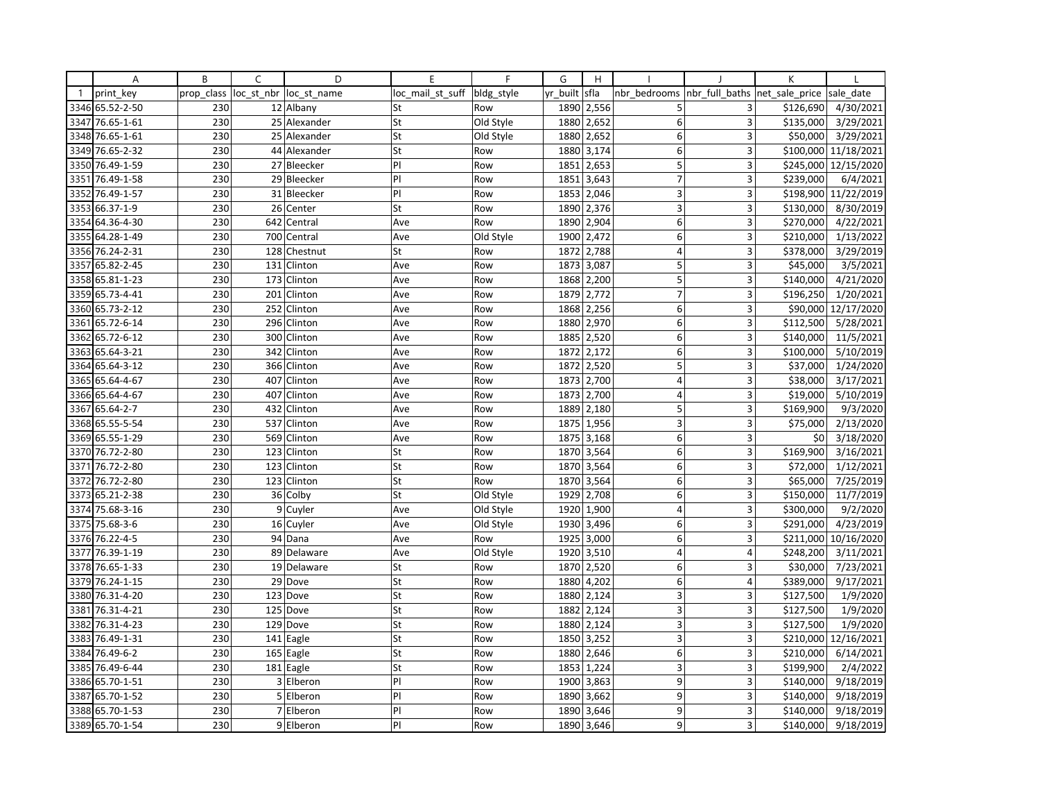|              | Α               | B          | C              | D            | E                | F          | G        | H                       |                         |                | К              |            |
|--------------|-----------------|------------|----------------|--------------|------------------|------------|----------|-------------------------|-------------------------|----------------|----------------|------------|
| $\mathbf{1}$ | print key       | prop class | loc_st_nbr     | loc st name  | loc mail st suff | bldg_style | yr built | sfla                    | nbr bedrooms            | nbr full baths | net sale price | sale date  |
| 3346         | 65.52-2-50      | 230        |                | 12 Albany    | St               | Row        | 1890     | 2,556                   | 5                       | 3              | \$126,690      | 4/30/2021  |
| 3347         | 76.65-1-61      | 230        |                | 25 Alexander | St               | Old Style  | 1880     | 2,652                   | 6                       | $\overline{3}$ | \$135,000      | 3/29/2021  |
| 3348         | 76.65-1-61      | 230        |                | 25 Alexander | St               | Old Style  | 1880     | 2,652                   | 6                       | 3              | \$50,000       | 3/29/2021  |
|              | 3349 76.65-2-32 | 230        |                | 44 Alexander | St               | Row        |          | 1880 3,174              | $6 \mid$                | 3              | \$100,000      | 11/18/2021 |
| 3350         | 76.49-1-59      | 230        |                | 27 Bleecker  | PI               | Row        | 1851     | 2,653                   | 5                       | 3              | \$245,000      | 12/15/2020 |
| 3351         | 76.49-1-58      | 230        |                | 29 Bleecker  | PI               | Row        | 1851     | 3,643                   | $\overline{7}$          | 3              | \$239,000      | 6/4/2021   |
| 3352         | 76.49-1-57      | 230        |                | 31 Bleecker  | PI               | Row        |          | 1853 2,046              | 3                       | 3              | \$198,900      | 11/22/2019 |
| 3353         | 66.37-1-9       | 230        | 26             | Center       | St               | Row        | 1890     | 2,376                   | 3                       | $\overline{3}$ | \$130,000      | 8/30/2019  |
|              | 3354 64.36-4-30 | 230        | 642            | Central      | Ave              | Row        |          | 1890 2,904              | 6                       | 3              | \$270,000      | 4/22/2021  |
| 3355         | 64.28-1-49      | 230        | 700            | Central      | Ave              | Old Style  | 1900     | 2,472                   | 6                       | 3              | \$210,000      | 1/13/2022  |
|              | 3356 76.24-2-31 | 230        | 128            | Chestnut     | St               | Row        | 1872     | 2,788                   | 4                       | 3              | \$378,000      | 3/29/2019  |
|              | 3357 65.82-2-45 | 230        |                | 131 Clinton  | Ave              | Row        | 1873     | 3,087                   | 5                       | 3              | \$45,000       | 3/5/2021   |
| 3358         | 65.81-1-23      | 230        |                | 173 Clinton  | Ave              | Row        | 1868     | 2,200                   | 5                       | 3              | \$140,000      | 4/21/2020  |
| 3359         | 65.73-4-41      | 230        | 201            | Clinton      | Ave              | Row        | 1879     | 2,772                   | $\overline{7}$          | 3              | \$196,250      | 1/20/2021  |
|              | 3360 65.73-2-12 | 230        |                | 252 Clinton  | Ave              | Row        | 1868     | 2,256                   | 6                       | 3              | \$90,000       | 12/17/2020 |
| 3361         | 65.72-6-14      | 230        | 296            | Clinton      | Ave              | Row        | 1880     | 2,970                   | 6                       | 3              | \$112,500      | 5/28/2021  |
| 3362         | 65.72-6-12      | 230        | 300            | Clinton      | Ave              | Row        | 1885     | 2,520                   | 6                       | 3              | \$140,000      | 11/5/2021  |
| 3363         | 65.64-3-21      | 230        | 342            | Clinton      | Ave              | Row        | 1872     | 2,172                   | 6                       | 3              | \$100,000      | 5/10/2019  |
| 3364         | 65.64-3-12      | 230        | 366            | Clinton      | Ave              | Row        | 1872     | 2,520                   | 5                       | $\overline{3}$ | \$37,000       | 1/24/2020  |
|              | 3365 65.64-4-67 | 230        | 407            | Clinton      | Ave              | Row        | 1873     | 2,700                   | 4                       | 3              | \$38,000       | 3/17/2021  |
| 3366         | 65.64-4-67      | 230        | 407            | Clinton      | Ave              | Row        | 1873     | 2,700                   | $\overline{\mathbf{4}}$ | $\overline{3}$ | \$19,000       | 5/10/2019  |
| 3367         | 65.64-2-7       | 230        | 432            | Clinton      | Ave              | Row        | 1889     | 2,180                   | 5                       | 3              | \$169,900      | 9/3/2020   |
| 3368         | 65.55-5-54      | 230        | 537            | Clinton      | Ave              | Row        | 1875     | 1,956                   | 3                       | 3              | \$75,000       | 2/13/2020  |
| 3369         | 65.55-1-29      | 230        | 569            | Clinton      | Ave              | Row        | 1875     | 3,168                   | 6                       | 3              | \$0            | 3/18/2020  |
|              | 3370 76.72-2-80 | 230        | 123            | Clinton      | St               | Row        | 1870     | 3,564                   | 6                       | 3              | \$169,900      | 3/16/2021  |
| 3371         | 76.72-2-80      | 230        | 123            | Clinton      | St               | Row        | 1870     | 3,564                   | 6                       | 3              | \$72,000       | 1/12/2021  |
| 3372         | 76.72-2-80      | 230        | 123            | Clinton      | St               | Row        | 1870     | 3,564                   | 6                       | 3              | \$65,000       | 7/25/2019  |
| 3373         | 65.21-2-38      | 230        | 36             | Colby        | St               | Old Style  | 1929     | 2,708                   | 6                       | 3              | \$150,000      | 11/7/2019  |
| 3374         | 75.68-3-16      | 230        |                | 9 Cuyler     | Ave              | Old Style  | 1920     | 1,900                   | $\vert 4 \vert$         | 3              | \$300,000      | 9/2/2020   |
| 3375         | 75.68-3-6       | 230        | 16             | Cuyler       | Ave              | Old Style  | 1930     | 3,496                   | 6                       | 3              | \$291,000      | 4/23/2019  |
| 3376         | 76.22-4-5       | 230        |                | 94 Dana      | Ave              | Row        | 1925     | 3,000                   | 6                       | 3              | \$211,000      | 10/16/2020 |
| 3377         | 76.39-1-19      | 230        |                | 89 Delaware  | Ave              | Old Style  | 1920     | 3,510                   | $\overline{4}$          | $\overline{4}$ | \$248,200      | 3/11/2021  |
| 3378         | 76.65-1-33      | 230        |                | 19 Delaware  | St               | Row        |          | $\overline{1870}$ 2,520 | 6                       | $\overline{3}$ | \$30,000       | 7/23/2021  |
| 3379         | 76.24-1-15      | 230        |                | 29 Dove      | St               | Row        | 1880     | 4,202                   | $\mathsf 6$             | $\overline{4}$ | \$389,000      | 9/17/2021  |
| 3380         | 76.31-4-20      | 230        | 123            | Dove         | St               | Row        | 1880     | 2,124                   | 3                       | 3              | \$127,500      | 1/9/2020   |
| 3381         | 76.31-4-21      | 230        |                | 125 Dove     | St               | Row        | 1882     | 2,124                   | 3                       | 3              | \$127,500      | 1/9/2020   |
| 3382         | 76.31-4-23      | 230        |                | 129 Dove     | St               | Row        | 1880     | 2,124                   | 3                       | $\overline{3}$ | \$127,500      | 1/9/2020   |
| 3383         | 76.49-1-31      | 230        |                | 141 Eagle    | St               | Row        | 1850     | 3,252                   | 3                       | 3              | \$210,000      | 12/16/2021 |
| 3384         | 76.49-6-2       | 230        | 165            | Eagle        | St               | Row        | 1880     | 2,646                   | 6                       | 3              | \$210,000      | 6/14/2021  |
| 3385         | 76.49-6-44      | 230        |                | 181 Eagle    | St               | Row        | 1853     | 1,224                   | 3                       | 3              | \$199,900      | 2/4/2022   |
|              | 3386 65.70-1-51 | 230        |                | 3 Elberon    | P                | Row        |          | 1900 3,863              | 9                       | 3              | \$140,000      | 9/18/2019  |
| 3387         | 65.70-1-52      | 230        | 5 <sup>1</sup> | Elberon      | PI               | Row        | 1890     | 3,662                   | 9                       | 3              | \$140,000      | 9/18/2019  |
| 3388         | 65.70-1-53      | 230        |                | 7 Elberon    | PI               | Row        | 1890     | 3,646                   | 9                       | 3              | \$140,000      | 9/18/2019  |
|              | 3389 65.70-1-54 | 230        |                | 9 Elberon    | PI               | Row        |          | 1890 3,646              | 9                       | 3              | \$140,000      | 9/18/2019  |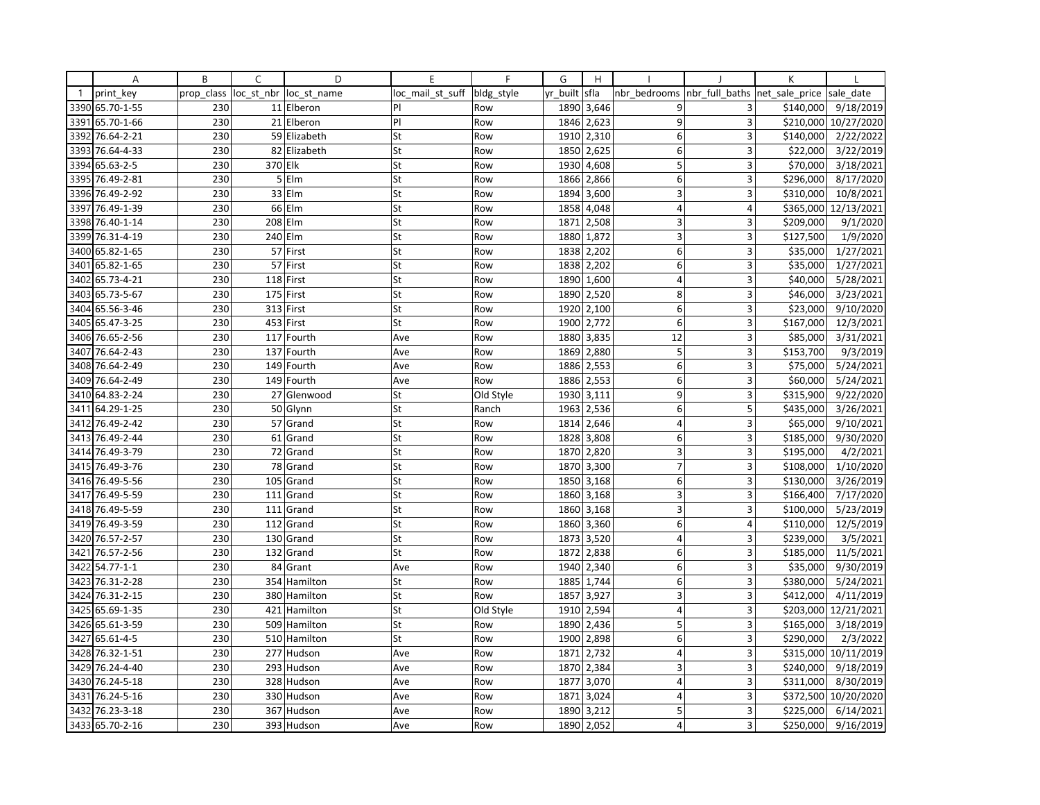|              | Α               | B          | C              | D            | E                | $\mathsf{F}$ | G        | H          |                         |                | K              |                     |
|--------------|-----------------|------------|----------------|--------------|------------------|--------------|----------|------------|-------------------------|----------------|----------------|---------------------|
| $\mathbf{1}$ | print key       | prop_class | loc st nbr     | loc st name  | loc mail st suff | bldg style   | yr built | sfla       | nbr bedrooms            | nbr full baths | net sale price | sale date           |
| 3390         | 65.70-1-55      | 230        |                | 11 Elberon   | PI               | Row          | 1890     | 3,646      | 9                       | 3              | \$140,000      | 9/18/2019           |
| 3391         | 65.70-1-66      | 230        |                | 21 Elberon   | PI               | Row          | 1846     | 2,623      | 9                       | 3              | \$210,000      | 10/27/2020          |
| 3392         | 76.64-2-21      | 230        |                | 59 Elizabeth | St               | Row          | 1910     | 2,310      | 6                       | 3              | \$140,000      | 2/22/2022           |
| 3393         | 76.64-4-33      | 230        |                | 82 Elizabeth | St               | Row          | 1850     | 2,625      | $6 \mid$                | 3              | \$22,000       | 3/22/2019           |
| 3394         | 65.63-2-5       | 230        | 370 Elk        |              | St               | Row          | 1930     | 4,608      | 5                       | 3              | \$70,000       | 3/18/2021           |
| 3395         | 76.49-2-81      | 230        | $\overline{5}$ | Elm          | St               | Row          | 1866     | 2,866      | 6                       | 3              | \$296,000      | 8/17/2020           |
| 3396         | 76.49-2-92      | 230        |                | $33$ Elm     | St               | Row          | 1894     | 3,600      | $\overline{3}$          | 3              | \$310,000      | 10/8/2021           |
| 3397         | 76.49-1-39      | 230        | 66             | Elm          | St               | Row          | 1858     | 4,048      | $\overline{4}$          | 4              | \$365,000      | 12/13/2021          |
| 3398         | 76.40-1-14      | 230        |                | 208 Elm      | St               | Row          | 1871     | 2,508      | 3                       | 3              | \$209,000      | 9/1/2020            |
| 3399         | 76.31-4-19      | 230        | 240 Elm        |              | St               | Row          | 1880     | 1,872      | $\overline{3}$          | 3              | \$127,500      | 1/9/2020            |
| 3400         | 65.82-1-65      | 230        |                | 57 First     | St               | Row          | 1838     | 2,202      | 6                       | 3              | \$35,000       | 1/27/2021           |
| 3401         | 65.82-1-65      | 230        |                | 57 First     | St               | Row          | 1838     | 2,202      | 6                       | 3              | \$35,000       | $\frac{1}{27}/2021$ |
| 3402         | 65.73-4-21      | 230        |                | 118 First    | St               | Row          | 1890     | 1,600      | $\overline{4}$          | 3              | \$40,000       | 5/28/2021           |
| 3403         | 65.73-5-67      | 230        |                | 175 First    | St               | Row          | 1890     | 2,520      | 8                       | 3              | \$46,000       | 3/23/2021           |
| 3404         | 65.56-3-46      | 230        |                | 313 First    | St               | Row          | 1920     | 2,100      | 6                       | 3              | \$23,000       | 9/10/2020           |
| 3405         | 65.47-3-25      | 230        |                | 453 First    | St               | Row          | 1900     | 2,772      | 6                       | 3              | \$167,000      | 12/3/2021           |
| 3406         | 76.65-2-56      | 230        |                | 117 Fourth   | Ave              | Row          | 1880     | 3,835      | 12                      | $\overline{3}$ | \$85,000       | 3/31/2021           |
| 3407         | 76.64-2-43      | 230        |                | 137 Fourth   | Ave              | Row          | 1869     | 2,880      | 5                       | 3              | \$153,700      | 9/3/2019            |
| 3408         | 76.64-2-49      | 230        | 149            | Fourth       | Ave              | Row          | 1886     | 2,553      | 6 <sup>1</sup>          | 3              | \$75,000       | 5/24/2021           |
| 3409         | 76.64-2-49      | 230        |                | 149 Fourth   | Ave              | Row          | 1886     | 2,553      | 6                       | 3              | \$60,000       | 5/24/2021           |
| 3410         | 64.83-2-24      | 230        |                | 27 Glenwood  | St               | Old Style    | 1930     | 3,111      | $\overline{9}$          | 3              | \$315,900      | 9/22/2020           |
| 3411         | 64.29-1-25      | 230        |                | 50 Glynn     | St               | Ranch        | 1963     | 2,536      | 6                       | 5              | \$435,000      | 3/26/2021           |
| 3412         | 76.49-2-42      | 230        | 57             | Grand        | St               | Row          | 1814     | 2,646      | $\overline{4}$          | 3              | \$65,000       | 9/10/2021           |
| 3413         | 76.49-2-44      | 230        |                | 61 Grand     | St               | Row          | 1828     | 3,808      | 6                       | 3              | \$185,000      | 9/30/2020           |
| 3414         | 76.49-3-79      | 230        |                | 72 Grand     | St               | Row          |          | 1870 2,820 | 3                       | 3              | \$195,000      | 4/2/2021            |
| 3415         | 76.49-3-76      | 230        |                | 78 Grand     | St               | Row          | 1870     | 3,300      | $\overline{7}$          | 3              | \$108,000      | 1/10/2020           |
| 3416         | 76.49-5-56      | 230        | 105            | Grand        | St               | Row          | 1850     | 3,168      | $6 \mid$                | 3              | \$130,000      | 3/26/2019           |
| 3417         | 76.49-5-59      | 230        |                | 111 Grand    | St               | Row          | 1860     | 3,168      | 3                       | 3              | \$166,400      | 7/17/2020           |
| 3418         | 76.49-5-59      | 230        |                | 111 Grand    | St               | Row          | 1860     | 3,168      | 3                       | 3              | \$100,000      | 5/23/2019           |
| 3419         | 76.49-3-59      | 230        |                | 112 Grand    | St               | Row          | 1860     | 3,360      | 6                       | 4              | \$110,000      | 12/5/2019           |
| 3420         | 76.57-2-57      | 230        |                | 130 Grand    | St               | Row          | 1873     | 3,520      | $\overline{4}$          | 3              | \$239,000      | 3/5/2021            |
| 3421         | 76.57-2-56      | 230        | 132            | Grand        | St               | Row          | 1872     | 2,838      | 6                       | 3              | \$185,000      | 11/5/2021           |
| 3422         | $54.77 - 1 - 1$ | 230        | 84             | Grant        | Ave              | Row          | 1940     | 2,340      | $6 \mid$                | 3              | \$35,000       | 9/30/2019           |
| 3423         | 76.31-2-28      | 230        |                | 354 Hamilton | St               | Row          | 1885     | 1,744      | 6                       | 3              | \$380,000      | 5/24/2021           |
| 3424         | 76.31-2-15      | 230        |                | 380 Hamilton | St               | Row          | 1857     | 3,927      | $\overline{3}$          | 3              | \$412,000      | 4/11/2019           |
| 3425         | 65.69-1-35      | 230        |                | 421 Hamilton | St               | Old Style    | 1910     | 2,594      | $\overline{4}$          | 3              | \$203,000      | 12/21/2021          |
| 3426         | 65.61-3-59      | 230        |                | 509 Hamilton | St               | Row          | 1890     | 2,436      | 5                       | 3              | \$165,000      | 3/18/2019           |
| 3427         | 65.61-4-5       | 230        |                | 510 Hamilton | St               | Row          | 1900     | 2,898      | 6 <sup>1</sup>          | $\overline{3}$ | \$290,000      | 2/3/2022            |
| 3428         | 76.32-1-51      | 230        |                | 277 Hudson   | Ave              | Row          | 1871     | 2,732      | $\overline{4}$          | 3              | \$315,000      | 10/11/2019          |
| 3429         | 76.24-4-40      | 230        | 293            | Hudson       | Ave              | Row          | 1870     | 2,384      | 3                       | 3              | \$240,000      | 9/18/2019           |
| 3430         | 76.24-5-18      | 230        |                | 328 Hudson   | Ave              | Row          | 1877     | 3,070      | $\overline{4}$          | 3              | \$311,000      | 8/30/2019           |
| 3431         | 76.24-5-16      | 230        |                | 330 Hudson   | Ave              | Row          | 1871     | 3,024      | $\overline{4}$          | $\overline{3}$ | \$372,500      | 10/20/2020          |
| 3432         | 76.23-3-18      | 230        |                | 367 Hudson   | Ave              | Row          | 1890     | 3,212      | 5                       | $\overline{3}$ | \$225,000      | 6/14/2021           |
|              | 3433 65.70-2-16 | 230        |                | 393 Hudson   | Ave              | Row          |          | 1890 2,052 | $\overline{\mathbf{4}}$ | $\overline{3}$ | \$250,000      | 9/16/2019           |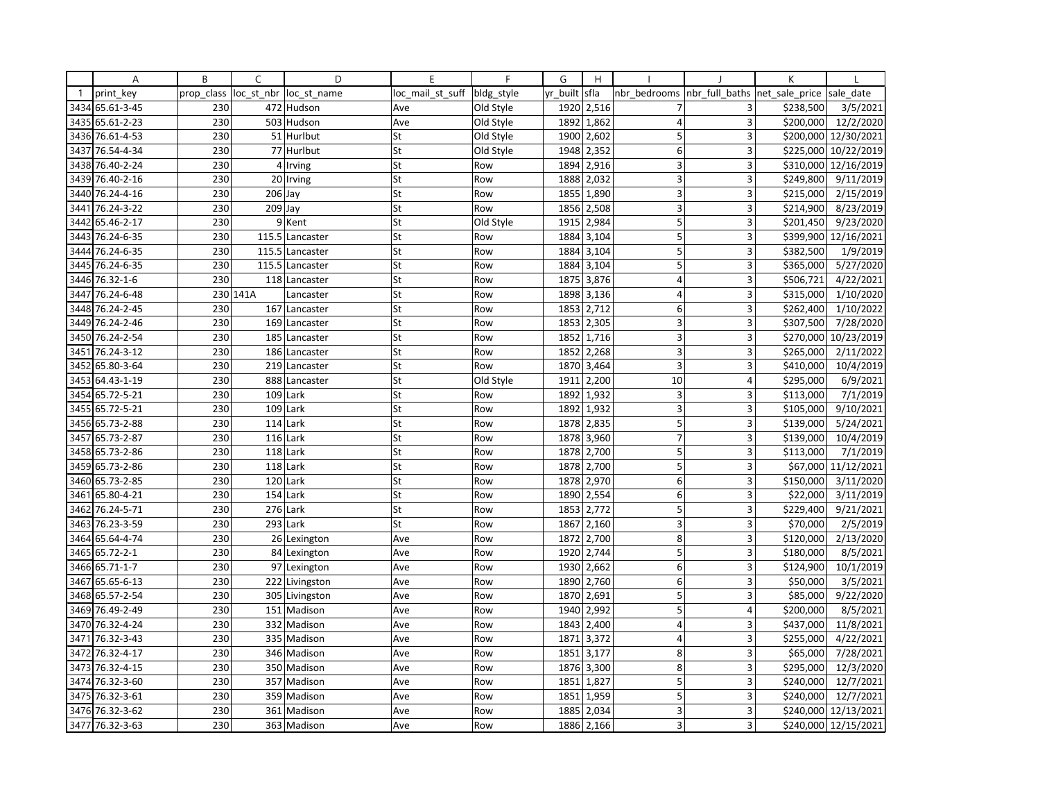|              | Α               | B          | C          | D               | E                | F          | G        | H          |                |                | К              |                      |
|--------------|-----------------|------------|------------|-----------------|------------------|------------|----------|------------|----------------|----------------|----------------|----------------------|
| $\mathbf{1}$ | print key       | prop class | loc st nbr | loc st name     | loc mail st suff | bldg_style | yr built | sfla       | nbr bedrooms   | nbr full baths | net sale price | sale date            |
| 3434         | 65.61-3-45      | 230        |            | 472 Hudson      | Ave              | Old Style  | 1920     | 2,516      |                | 3              | \$238,500      | 3/5/2021             |
| 3435         | 65.61-2-23      | 230        |            | 503 Hudson      | Ave              | Old Style  | 1892     | 1,862      | $\overline{4}$ | $\overline{3}$ | \$200,000      | 12/2/2020            |
| 3436         | 76.61-4-53      | 230        |            | 51 Hurlbut      | St               | Old Style  | 1900     | 2,602      | 5              | 3              | \$200,000      | 12/30/2021           |
| 3437         | 76.54-4-34      | 230        |            | 77 Hurlbut      | St               | Old Style  | 1948     | 2,352      | 6              | 3              | \$225,000      | 10/22/2019           |
|              | 3438 76.40-2-24 | 230        |            | 4 Irving        | St               | Row        | 1894     | 2,916      | 3              | 3              | \$310,000      | 12/16/2019           |
| 3439         | 76.40-2-16      | 230        |            | 20 Irving       | St               | Row        | 1888     | 2,032      | 3              | 3              | \$249,800      | 9/11/2019            |
| 3440         | 76.24-4-16      | 230        | 206 Jay    |                 | St               | Row        | 1855     | 1,890      | 3              | 3              | \$215,000      | 2/15/2019            |
| 3441         | 76.24-3-22      | 230        | 209        | Jay             | St               | Row        | 1856     | 2,508      | 3              | $\overline{3}$ | \$214,900      | 8/23/2019            |
| 3442         | 65.46-2-17      | 230        |            | 9 Kent          | St               | Old Style  | 1915     | 2,984      | 5              | 3              | \$201,450      | 9/23/2020            |
| 3443         | 76.24-6-35      | 230        | 115.5      | Lancaster       | St               | Row        | 1884     | 3,104      | 5              | 3              | \$399,900      | 12/16/2021           |
| 3444         | 76.24-6-35      | 230        |            | 115.5 Lancaster | St               | Row        | 1884     | 3,104      | 5              | 3              | \$382,500      | 1/9/2019             |
| 3445         | 76.24-6-35      | 230        |            | 115.5 Lancaster | St               | Row        | 1884     | 3,104      | 5              | 3              | \$365,000      | 5/27/2020            |
| 3446         | 76.32-1-6       | 230        |            | 118 Lancaster   | St               | Row        | 1875     | 3,876      | $\overline{4}$ | 3              | \$506,721      | 4/22/2021            |
| 3447         | 76.24-6-48      |            | 230 141A   | Lancaster       | St               | Row        | 1898     | 3,136      | 4              | 3              | \$315,000      | 1/10/2020            |
| 3448         | 76.24-2-45      | 230        |            | 167 Lancaster   | St               | Row        | 1853     | 2,712      | 6              | 3              | \$262,400      | 1/10/2022            |
| 3449         | 76.24-2-46      | 230        |            | 169 Lancaster   | St               | Row        | 1853     | 2,305      | 3              | 3              | \$307,500      | 7/28/2020            |
| 3450         | 76.24-2-54      | 230        |            | 185 Lancaster   | St               | Row        | 1852     | 1,716      | 3              | 3              | \$270,000      | 10/23/2019           |
| 3451         | 76.24-3-12      | 230        |            | 186 Lancaster   | St               | Row        | 1852     | 2,268      | $\overline{3}$ |                | \$265,000      | 2/11/2022            |
| 3452         | 65.80-3-64      | 230        |            | 219 Lancaster   | St               | Row        | 1870     | 3,464      | $\overline{3}$ | $\overline{3}$ | \$410,000      | 10/4/2019            |
| 3453         | 64.43-1-19      | 230        |            | 888 Lancaster   | St               | Old Style  | 1911     | 2,200      | 10             | 4              | \$295,000      | 6/9/2021             |
| 3454         | 65.72-5-21      | 230        |            | $109$ Lark      | St               | Row        | 1892     | 1,932      | 3 <sup>1</sup> | 3              | \$113,000      | 7/1/2019             |
| 3455         | 65.72-5-21      | 230        |            | 109 Lark        | St               | Row        | 1892     | 1,932      | 3              | 3              | \$105,000      | 9/10/2021            |
|              | 3456 65.73-2-88 | 230        |            | $114$ Lark      | St               | Row        | 1878     | 2,835      | 5              | 3              | \$139,000      | 5/24/2021            |
| 3457         | 65.73-2-87      | 230        |            | $116$ Lark      | St               | Row        | 1878     | 3,960      | $\overline{7}$ | 3              | \$139,000      | 10/4/2019            |
|              | 3458 65.73-2-86 | 230        |            | 118 Lark        | St               | Row        | 1878     | 2,700      | 5              | 3              | \$113,000      | 7/1/2019             |
| 3459         | 65.73-2-86      | 230        |            | 118 Lark        | St               | Row        | 1878     | 2,700      | 5              | 3              | \$67,000       | 11/12/2021           |
| 3460         | 65.73-2-85      | 230        |            | 120 Lark        | St               | Row        | 1878     | 2,970      | 6              | 3              | \$150,000      | 3/11/2020            |
| 3461         | 65.80-4-21      | 230        |            | 154 Lark        | St               | Row        | 1890     | 2,554      | 6              | 3              | \$22,000       | 3/11/2019            |
| 3462         | 76.24-5-71      | 230        | 276        | Lark            | St               | Row        | 1853     | 2,772      | 5 <sup>1</sup> | 3              | \$229,400      | 9/21/2021            |
| 3463         | 76.23-3-59      | 230        |            | 293 Lark        | St               | Row        | 1867     | 2,160      | 3              | 3              | \$70,000       | 2/5/2019             |
| 3464         | 65.64-4-74      | 230        |            | 26 Lexington    | Ave              | Row        | 1872     | 2,700      | 8              | 3              | \$120,000      | 2/13/2020            |
| 3465         | 65.72-2-1       | 230        |            | 84 Lexington    | Ave              | Row        | 1920     | 2,744      | 5              | 3              | \$180,000      | 8/5/2021             |
| 3466         | 65.71-1-7       | 230        |            | 97 Lexington    | Ave              | Row        | 1930     | 2,662      | 6 <sup>1</sup> | 3              | \$124,900      | 10/1/2019            |
| 3467         | 65.65-6-13      | 230        |            | 222 Livingston  | Ave              | Row        | 1890     | 2,760      | $\mathsf 6$    | $\overline{3}$ | \$50,000       | 3/5/2021             |
| 3468         | 65.57-2-54      | 230        |            | 305 Livingston  | Ave              | Row        | 1870     | 2,691      | 5              | 3              | \$85,000       | 9/22/2020            |
|              | 3469 76.49-2-49 | 230        |            | 151 Madison     | Ave              | Row        | 1940     | 2,992      | 5              | 4              | \$200,000      | 8/5/2021             |
| 3470         | 76.32-4-24      | 230        |            | 332 Madison     | Ave              | Row        | 1843     | 2,400      | $\overline{4}$ | 3              | \$437,000      | 11/8/2021            |
| 3471         | 76.32-3-43      | 230        |            | 335 Madison     | Ave              | Row        | 1871     | 3,372      | $\overline{4}$ | 3              | \$255,000      | 4/22/2021            |
| 3472         | 76.32-4-17      | 230        |            | 346 Madison     | Ave              | Row        | 1851     | 3,177      | 8              | 3              | \$65,000       | 7/28/2021            |
| 3473         | 76.32-4-15      | 230        |            | 350 Madison     | Ave              | Row        | 1876     | 3,300      | 8              | 3              | \$295,000      | 12/3/2020            |
|              | 3474 76.32-3-60 | 230        |            | 357 Madison     | Ave              | Row        |          | 1851 1,827 | 5              | 3              | \$240,000      | 12/7/2021            |
| 3475         | 76.32-3-61      | 230        |            | 359 Madison     | Ave              | Row        | 1851     | 1,959      | 5              | 3              | \$240,000      | 12/7/2021            |
|              | 3476 76.32-3-62 | 230        |            | 361 Madison     | Ave              | Row        | 1885     | 2,034      | 3              | 3              | \$240,000      | 12/13/2021           |
|              | 3477 76.32-3-63 | 230        |            | 363 Madison     | Ave              | Row        | 1886     | 2,166      | $\overline{3}$ | 3              |                | \$240,000 12/15/2021 |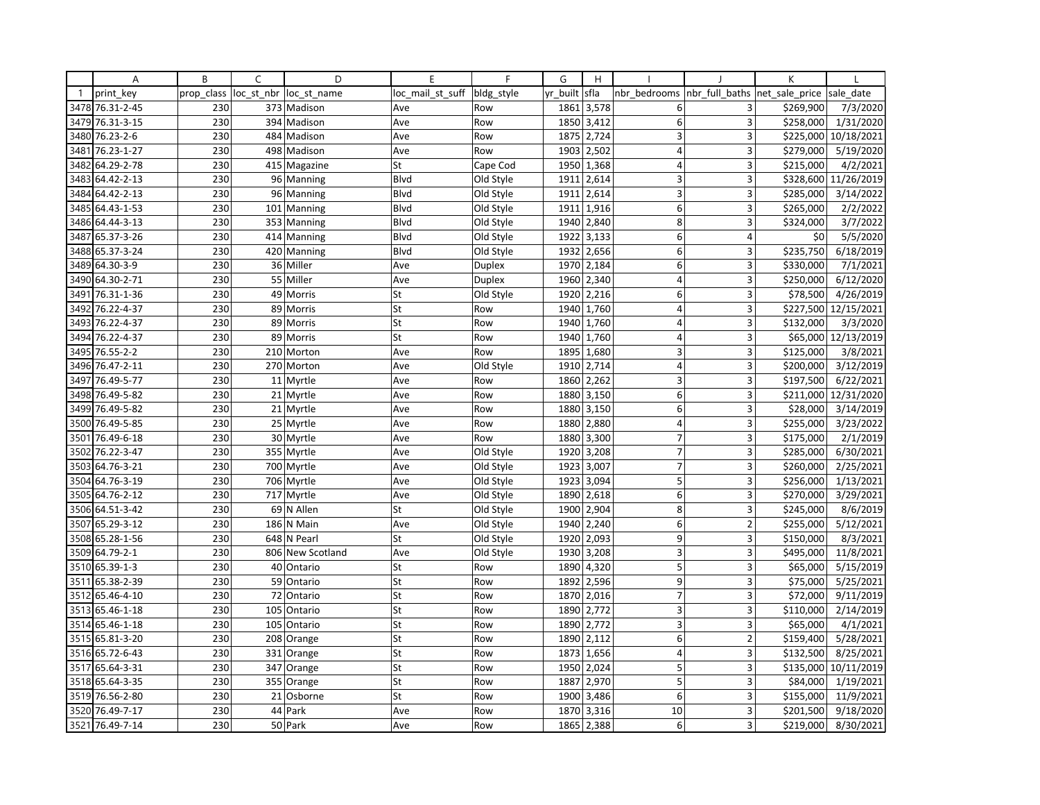|              | Α               | B          | C          | D            | E                | $\mathsf{F}$  | G        | H          |                         |                | K              |                       |
|--------------|-----------------|------------|------------|--------------|------------------|---------------|----------|------------|-------------------------|----------------|----------------|-----------------------|
| $\mathbf{1}$ | print key       | prop class | loc_st_nbr | loc st name  | loc mail st suff | bldg style    | yr built | sfla       | nbr bedrooms            | nbr full baths | net sale price | sale date             |
| 3478         | 76.31-2-45      | 230        |            | 373 Madison  | Ave              | Row           | 1861     | 3,578      | 6                       | 3              | \$269,900      | 7/3/2020              |
| 3479         | 76.31-3-15      | 230        | 394        | Madison      | Ave              | Row           | 1850     | 3,412      | 6                       | 3              | \$258,000      | 1/31/2020             |
| 3480         | 76.23-2-6       | 230        | 484        | Madison      | Ave              | Row           | 1875     | 2,724      | $\overline{3}$          | 3              | \$225,000      | 10/18/2021            |
| 3481         | 76.23-1-27      | 230        |            | 498 Madison  | Ave              | Row           |          | 1903 2,502 | $\overline{4}$          | 3              | \$279,000      | 5/19/2020             |
| 3482         | 64.29-2-78      | 230        |            | 415 Magazine | St               | Cape Cod      | 1950     | 1,368      | $\overline{4}$          | 3              | \$215,000      | 4/2/2021              |
| 3483         | 64.42-2-13      | 230        | 96         | Manning      | <b>Blvd</b>      | Old Style     | 1911     | 2,614      | 3                       | 3              | \$328,600      | 11/26/2019            |
| 3484         | 64.42-2-13      | 230        |            | 96 Manning   | Blvd             | Old Style     | 1911     | 2,614      | 3                       | 3              | \$285,000      | 3/14/2022             |
| 3485         | 64.43-1-53      | 230        | 101        | Manning      | Blvd             | Old Style     | 1911     | 1,916      | $6 \mid$                | 3              | \$265,000      | 2/2/2022              |
|              | 3486 64.44-3-13 | 230        |            | 353 Manning  | Blvd             | Old Style     |          | 1940 2,840 | 8 <sup>1</sup>          | 3              | \$324,000      | 3/7/2022              |
| 3487         | 65.37-3-26      | 230        | 414        | Manning      | Blvd             | Old Style     | 1922     | 3,133      | 6                       | 4              | \$0            | 5/5/2020              |
| 3488         | 65.37-3-24      | 230        |            | 420 Manning  | Blvd             | Old Style     | 1932     | 2,656      | 6 <sup>1</sup>          | 3              | \$235,750      | 6/18/2019             |
|              | 3489 64.30-3-9  | 230        |            | 36 Miller    | Ave              | <b>Duplex</b> | 1970     | 2,184      | 6                       | 3              | \$330,000      | 7/1/2021              |
| 3490         | 64.30-2-71      | 230        |            | 55 Miller    | Ave              | <b>Duplex</b> | 1960     | 2,340      | $\overline{\mathbf{4}}$ | 3              | \$250,000      | 6/12/2020             |
| 3491         | 76.31-1-36      | 230        | 49         | Morris       | St               | Old Style     | 1920     | 2,216      | $6 \mid$                | 3              | \$78,500       | 4/26/2019             |
| 3492         | 76.22-4-37      | 230        |            | 89 Morris    | St               | Row           | 1940     | 1,760      | $\overline{4}$          | 3              | \$227,500      | 12/15/2021            |
| 3493         | 76.22-4-37      | 230        |            | 89 Morris    | St               | Row           | 1940     | 1,760      | $\overline{4}$          | 3              | \$132,000      | 3/3/2020              |
| 3494         | 76.22-4-37      | 230        |            | 89 Morris    | St               | Row           | 1940     | 1,760      | $\overline{4}$          | 3              | \$65,000       | 12/13/2019            |
| 3495         | 76.55-2-2       | 230        |            | 210 Morton   | Ave              | Row           | 1895     | 1,680      | 3                       | 3              | \$125,000      | 3/8/2021              |
| 3496         | 76.47-2-11      | 230        |            | 270 Morton   | Ave              | Old Style     | 1910     | 2,714      | $\overline{\mathbf{4}}$ | 3              | \$200,000      | 3/12/2019             |
| 3497         | 76.49-5-77      | 230        |            | 11 Myrtle    | Ave              | Row           | 1860     | 2,262      | 3                       | 3              | \$197,500      | 6/22/2021             |
| 3498         | 76.49-5-82      | 230        |            | 21 Myrtle    | Ave              | Row           | 1880     | 3,150      | 6 <sup>1</sup>          | $\overline{3}$ | \$211,000      | 12/31/2020            |
| 3499         | 76.49-5-82      | 230        |            | 21 Myrtle    | Ave              | Row           | 1880     | 3,150      | $6 \mid$                | 3              | \$28,000       | 3/14/2019             |
| 3500         | 76.49-5-85      | 230        |            | 25 Myrtle    | Ave              | Row           | 1880     | 2,880      | $\overline{\mathbf{4}}$ | $\overline{3}$ | \$255,000      | 3/23/2022             |
| 3501         | 76.49-6-18      | 230        |            | 30 Myrtle    | Ave              | Row           | 1880     | 3,300      | $\overline{7}$          | 3              | \$175,000      | 2/1/2019              |
| 3502         | 76.22-3-47      | 230        |            | 355 Myrtle   | Ave              | Old Style     | 1920     | 3,208      | $\overline{7}$          | 3              | \$285,000      | 6/30/2021             |
| 3503         | 64.76-3-21      | 230        |            | 700 Myrtle   | Ave              | Old Style     | 1923     | 3,007      | $\overline{7}$          | 3              | \$260,000      | 2/25/2021             |
| 3504         | 64.76-3-19      | 230        |            | 706 Myrtle   | Ave              | Old Style     | 1923     | 3,094      | 5                       | 3              | \$256,000      | 1/13/2021             |
|              | 3505 64.76-2-12 | 230        |            | 717 Myrtle   | Ave              | Old Style     |          | 1890 2,618 | 6 <sup>1</sup>          | 3              | \$270,000      | 3/29/2021             |
| 3506         | 64.51-3-42      | 230        |            | 69 N Allen   | St               | Old Style     | 1900     | 2,904      | 8 <sup>1</sup>          | 3              | \$245,000      | 8/6/2019              |
| 3507         | 65.29-3-12      | 230        |            | 186 N Main   | Ave              | Old Style     | 1940     | 2,240      | $6 \mid$                | $\overline{2}$ | \$255,000      | 5/12/2021             |
| 3508         | 65.28-1-56      | 230        | 648        | N Pearl      | St               | Old Style     | 1920     | 2,093      | 9                       | 3              | \$150,000      | 8/3/2021              |
| 3509         | 64.79-2-1       | 230        | 806        | New Scotland | Ave              | Old Style     | 1930     | 3,208      | 3                       | 3              | \$495,000      | 11/8/2021             |
| 3510         | 65.39-1-3       | 230        |            | 40 Ontario   | St               | Row           | 1890     | 4,320      | 5                       | 3              | \$65,000       | 5/15/2019             |
| 3511         | 65.38-2-39      | 230        |            | 59 Ontario   | St               | Row           | 1892     | 2,596      | 9                       | $\overline{3}$ | \$75,000       | 5/25/2021             |
| 3512         | 65.46-4-10      | 230        | 72         | Ontario      | St               | Row           | 1870     | 2,016      | $\overline{7}$          | 3              | \$72,000       | 9/11/2019             |
|              | 3513 65.46-1-18 | 230        | 105        | Ontario      | St               | Row           | 1890     | 2,772      | 3                       | 3              | \$110,000      | 2/14/2019             |
| 3514         | 65.46-1-18      | 230        | 105        | Ontario      | St               | Row           | 1890     | 2,772      | 3 <sup>1</sup>          | 3              | \$65,000       | 4/1/2021              |
|              | 3515 65.81-3-20 | 230        |            | 208 Orange   | St               | Row           |          | 1890 2,112 | 6 <sup>1</sup>          | $\overline{2}$ | \$159,400      | 5/28/2021             |
| 3516         | 65.72-6-43      | 230        | 331        | Orange       | St               | Row           | 1873     | 1,656      | $\overline{4}$          | 3              | \$132,500      | 8/25/2021             |
| 3517         | 65.64-3-31      | 230        | 347        | Orange       | St               | Row           | 1950     | 2,024      | 5                       | 3              | \$135,000      | 10/11/2019            |
|              | 3518 65.64-3-35 | 230        |            | 355 Orange   | St               | Row           | 1887     | 2,970      | 5                       | 3              | \$84,000       | 1/19/2021             |
| 3519         | 76.56-2-80      | 230        |            | 21 Osborne   | St               | Row           | 1900     | 3,486      | 6                       | 3              | \$155,000      | $\frac{1}{11}/9/2021$ |
|              | 3520 76.49-7-17 | 230        |            | 44 Park      | Ave              | Row           | 1870     | 3,316      | 10                      | 3              | \$201,500      | 9/18/2020             |
|              | 3521 76.49-7-14 | 230        |            | 50 Park      | Ave              | Row           | 1865     | 2,388      | 6                       | $\overline{3}$ | \$219,000      | 8/30/2021             |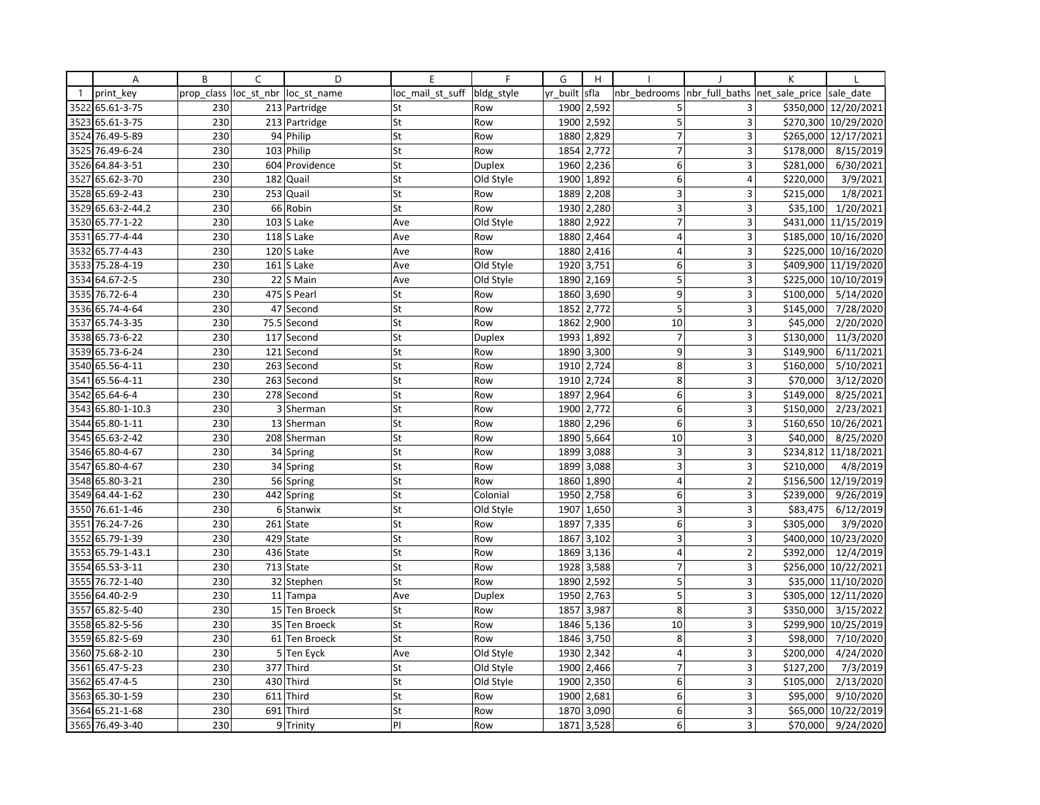|              | Α               | B          | C    | D                      | E                | F             | G        | H          |                |                         | К              |                       |
|--------------|-----------------|------------|------|------------------------|------------------|---------------|----------|------------|----------------|-------------------------|----------------|-----------------------|
| $\mathbf{1}$ | print key       | prop_class |      | loc st nbr loc st name | loc mail st suff | bldg_style    | yr built | sfla       | nbr bedrooms   | nbr full baths          | net sale price | sale date             |
| 3522         | 65.61-3-75      | 230        |      | 213 Partridge          | St               | Row           | 1900     | 2,592      | 5              | 3                       |                | \$350,000 12/20/2021  |
| 3523         | 65.61-3-75      | 230        |      | 213 Partridge          | St               | Row           | 1900     | 2,592      | 5              | $\overline{3}$          |                | \$270,300 10/29/2020  |
| 3524         | 76.49-5-89      | 230        |      | 94 Philip              | St               | Row           | 1880     | 2,829      | $\overline{7}$ | 3                       |                | \$265,000 12/17/2021  |
| 3525         | 76.49-6-24      | 230        |      | 103 Philip             | St               | Row           | 1854     | 2,772      | $\overline{7}$ | 3                       | \$178,000      | 8/15/2019             |
| 3526         | 64.84-3-51      | 230        |      | 604 Providence         | St               | <b>Duplex</b> | 1960     | 2,236      | 6              | 3                       | \$281,000      | 6/30/2021             |
| 3527         | 65.62-3-70      | 230        |      | 182 Quail              | St               | Old Style     | 1900     | 1,892      | 6              | 4                       | \$220,000      | 3/9/2021              |
|              | 3528 65.69-2-43 | 230        |      | 253 Quail              | St               | Row           | 1889     | 2,208      | $\overline{3}$ | 3                       | \$215,000      | 1/8/2021              |
| 3529         | 65.63-2-44.2    | 230        |      | 66 Robin               | St               | Row           | 1930     | 2,280      | 3              | 3                       | \$35,100       | 1/20/2021             |
|              | 3530 65.77-1-22 | 230        |      | $103$ S Lake           | Ave              | Old Style     | 1880     | 2,922      | $\overline{7}$ | 3                       |                | \$431,000 11/15/2019  |
| 3531         | 65.77-4-44      | 230        |      | $118$ S Lake           | Ave              | Row           | 1880     | 2,464      | $\overline{4}$ | 3                       |                | \$185,000 10/16/2020  |
| 3532         | 65.77-4-43      | 230        |      | 120 S Lake             | Ave              | Row           | 1880     | 2,416      | $\overline{4}$ | 3                       |                | \$225,000 10/16/2020  |
| 3533         | 75.28-4-19      | 230        |      | $161$ S Lake           | Ave              | Old Style     | 1920     | 3,751      | 6              | $\overline{3}$          |                | \$409,900 11/19/2020  |
| 3534         | 64.67-2-5       | 230        |      | 22 S Main              | Ave              | Old Style     | 1890     | 2,169      | 5              | 3                       |                | \$225,000 10/10/2019  |
| 3535         | 76.72-6-4       | 230        |      | 475 S Pearl            | St               | Row           | 1860     | 3,690      | 9              | 3                       | \$100,000      | 5/14/2020             |
| 3536         | 65.74-4-64      | 230        |      | 47 Second              | St               | Row           | 1852     | 2,772      | 5              | 3                       | \$145,000      | 7/28/2020             |
| 3537         | 65.74-3-35      | 230        | 75.5 | Second                 | St               | Row           | 1862     | 2,900      | 10             | $\overline{3}$          | \$45,000       | 2/20/2020             |
|              | 3538 65.73-6-22 | 230        |      | 117 Second             | St               | Duplex        | 1993     | 1,892      | $\overline{7}$ | 3                       | \$130,000      | 11/3/2020             |
| 3539         | 65.73-6-24      | 230        | 121  | Second                 | St               | Row           | 1890     | 3,300      | 9              | 3                       | \$149,900      | 6/11/2021             |
| 3540         | 65.56-4-11      | 230        | 263  | Second                 | St               | Row           | 1910     | 2,724      | 8              | 3                       | \$160,000      | 5/10/2021             |
| 3541         | 65.56-4-11      | 230        |      | 263 Second             | St               | Row           | 1910     | 2,724      | 8              | 3                       | \$70,000       | 3/12/2020             |
| 3542         | 65.64-6-4       | 230        |      | 278 Second             | St               | Row           | 1897     | 2,964      | 6              | 3                       | \$149,000      | 8/25/2021             |
| 3543         | 65.80-1-10.3    | 230        |      | 3 Sherman              | St               | Row           | 1900     | 2,772      | 6              | 3                       | \$150,000      | 2/23/2021             |
| 3544         | 65.80-1-11      | 230        |      | 13 Sherman             | St               | Row           | 1880     | 2,296      | 6              | 3                       |                | \$160,650 10/26/2021  |
| 3545         | 65.63-2-42      | 230        |      | 208 Sherman            | St               | Row           | 1890     | 5,664      | 10             | 3                       | \$40,000       | 8/25/2020             |
|              | 3546 65.80-4-67 | 230        |      | 34 Spring              | St               | Row           |          | 1899 3,088 | 3              | 3                       |                | \$234,812 11/18/2021  |
| 3547         | 65.80-4-67      | 230        |      | 34 Spring              | St               | Row           | 1899     | 3,088      | 3              | $\overline{3}$          | \$210,000      | 4/8/2019              |
| 3548         | 65.80-3-21      | 230        |      | 56 Spring              | St               | Row           | 1860     | 1,890      | 4              | $\overline{2}$          |                | \$156,500 12/19/2019  |
| 3549         | 64.44-1-62      | 230        |      | 442 Spring             | St               | Colonial      | 1950     | 2,758      | 6              | 3                       | \$239,000      | 9/26/2019             |
| 3550         | 76.61-1-46      | 230        |      | 6 Stanwix              | St               | Old Style     | 1907     | 1,650      | 3              | 3                       | \$83,475       | 6/12/2019             |
| 3551         | 76.24-7-26      | 230        |      | 261 State              | St               | Row           | 1897     | 7,335      | 6              | 3                       | \$305,000      | 3/9/2020              |
| 3552         | 65.79-1-39      | 230        |      | 429 State              | St               | Row           | 1867     | 3,102      | $\overline{3}$ | 3                       |                | \$400,000 10/23/2020  |
| 3553         | 65.79-1-43.1    | 230        |      | 436 State              | St               | Row           | 1869     | 3,136      | 4              | $\overline{2}$          | \$392,000      | 12/4/2019             |
|              | 3554 65.53-3-11 | 230        |      | 713 State              | St               | Row           |          | 1928 3,588 | $\overline{7}$ | 3                       |                | \$256,000 10/22/2021  |
| 3555         | 76.72-1-40      | 230        |      | 32 Stephen             | St               | Row           | 1890     | 2,592      | 5              | 3                       |                | \$35,000 11/10/2020   |
|              | 3556 64.40-2-9  | 230        |      | 11 Tampa               | Ave              | Duplex        | 1950     | 2,763      | 5              | 3                       |                | \$305,000 12/11/2020  |
| 3557         | 65.82-5-40      | 230        |      | 15 Ten Broeck          | St               | Row           | 1857     | 3,987      | 8              | 3                       | \$350,000      | 3/15/2022             |
| 3558         | 65.82-5-56      | 230        |      | 35 Ten Broeck          | St               | Row           | 1846     | 5,136      | 10             | 3                       |                | \$299,900 10/25/2019  |
|              | 3559 65.82-5-69 | 230        | 61   | <b>Ten Broeck</b>      | St               | Row           | 1846     | 3,750      | 8              | 3                       | \$98,000       | 7/10/2020             |
|              | 3560 75.68-2-10 | 230        |      | 5 Ten Eyck             | Ave              | Old Style     | 1930     | 2,342      | $\overline{4}$ | $\overline{\mathbf{3}}$ | \$200,000      | 4/24/2020             |
| 3561         | 65.47-5-23      | 230        |      | 377 Third              | St               | Old Style     | 1900     | 2,466      | $\overline{7}$ | 3                       | \$127,200      | 7/3/2019              |
| 3562         | 65.47-4-5       | 230        |      | 430 Third              | St               | Old Style     | 1900     | 2,350      | 6              | 3                       | \$105,000      | 2/13/2020             |
| 3563         | 65.30-1-59      | 230        | 611  | Third                  | St               | Row           | 1900     | 2,681      | 6              | 3                       | \$95,000       | $\frac{1}{9}$ 10/2020 |
|              | 3564 65.21-1-68 | 230        |      | 691 Third              | St               | Row           | 1870     | 3,090      | 6              | 3                       | \$65,000       | 10/22/2019            |
|              | 3565 76.49-3-40 | 230        |      | 9 Trinity              | PI               | Row           | 1871     | 3,528      | 6              | $\overline{\mathbf{3}}$ | \$70,000       | 9/24/2020             |